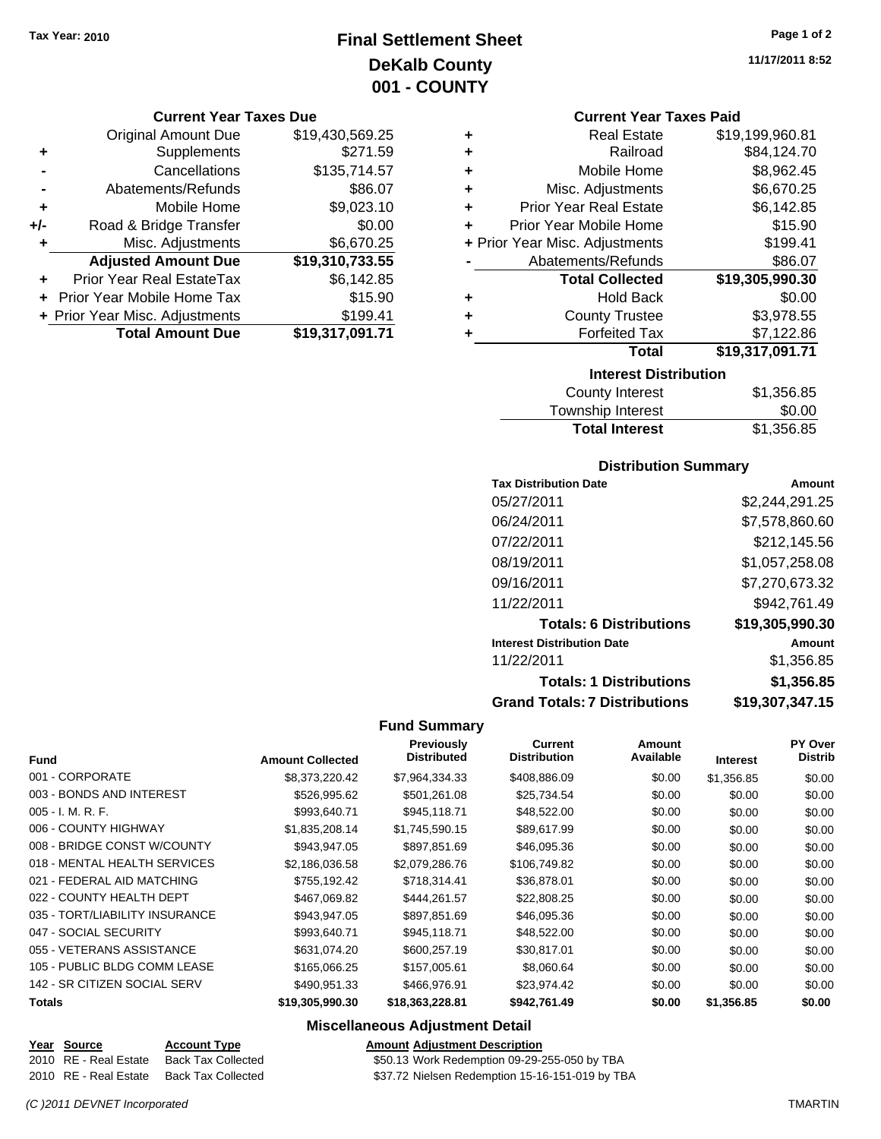## **Final Settlement Sheet Tax Year: 2010 Page 1 of 2 DeKalb County 001 - COUNTY**

#### **Current Year Taxes Due**

|     | <b>Original Amount Due</b>     | \$19,430,569.25 |
|-----|--------------------------------|-----------------|
|     | Supplements                    | \$271.59        |
|     | Cancellations                  | \$135,714.57    |
|     | Abatements/Refunds             | \$86.07         |
| ٠   | Mobile Home                    | \$9,023.10      |
| +/- | Road & Bridge Transfer         | \$0.00          |
|     | Misc. Adjustments              | \$6,670.25      |
|     | <b>Adjusted Amount Due</b>     | \$19,310,733.55 |
|     | Prior Year Real EstateTax      | \$6,142.85      |
|     | Prior Year Mobile Home Tax     | \$15.90         |
|     | + Prior Year Misc. Adjustments | \$199.41        |
|     | <b>Total Amount Due</b>        | \$19,317,091.71 |

#### **Current Year Taxes Paid**

| ٠                            | <b>Real Estate</b>             | \$19,199,960.81 |  |
|------------------------------|--------------------------------|-----------------|--|
| ٠                            | Railroad                       | \$84,124.70     |  |
| ٠                            | Mobile Home                    | \$8,962.45      |  |
| ٠                            | Misc. Adjustments              | \$6,670.25      |  |
| ÷                            | <b>Prior Year Real Estate</b>  | \$6,142.85      |  |
| ÷                            | Prior Year Mobile Home         | \$15.90         |  |
|                              | + Prior Year Misc. Adjustments | \$199.41        |  |
|                              | Abatements/Refunds             | \$86.07         |  |
|                              | <b>Total Collected</b>         | \$19,305,990.30 |  |
| ٠                            | <b>Hold Back</b>               | \$0.00          |  |
| ٠                            | <b>County Trustee</b>          | \$3,978.55      |  |
| ٠                            | <b>Forfeited Tax</b>           | \$7,122.86      |  |
|                              | Total                          | \$19,317,091.71 |  |
| <b>Interest Distribution</b> |                                |                 |  |

| County Interest       | \$1,356.85 |
|-----------------------|------------|
| Township Interest     | \$0.00     |
| <b>Total Interest</b> | \$1,356.85 |

#### **Distribution Summary**

| <b>Tax Distribution Date</b>         | Amount          |
|--------------------------------------|-----------------|
| 05/27/2011                           | \$2,244,291.25  |
| 06/24/2011                           | \$7,578,860.60  |
| 07/22/2011                           | \$212,145.56    |
| 08/19/2011                           | \$1,057,258.08  |
| 09/16/2011                           | \$7,270,673.32  |
| 11/22/2011                           | \$942,761.49    |
| <b>Totals: 6 Distributions</b>       | \$19,305,990.30 |
| <b>Interest Distribution Date</b>    | Amount          |
| 11/22/2011                           | \$1,356.85      |
| <b>Totals: 1 Distributions</b>       | \$1,356.85      |
| <b>Grand Totals: 7 Distributions</b> | \$19,307,347.15 |

#### **Fund Summary**

|                                |                         | Previously<br><b>Distributed</b> | <b>Current</b><br><b>Distribution</b> | Amount<br>Available |                 | <b>PY Over</b><br><b>Distrib</b> |
|--------------------------------|-------------------------|----------------------------------|---------------------------------------|---------------------|-----------------|----------------------------------|
| <b>Fund</b>                    | <b>Amount Collected</b> |                                  |                                       |                     | <b>Interest</b> |                                  |
| 001 - CORPORATE                | \$8,373,220,42          | \$7.964.334.33                   | \$408,886.09                          | \$0.00              | \$1,356.85      | \$0.00                           |
| 003 - BONDS AND INTEREST       | \$526,995.62            | \$501,261.08                     | \$25,734.54                           | \$0.00              | \$0.00          | \$0.00                           |
| $005 - I. M. R. F.$            | \$993,640.71            | \$945,118.71                     | \$48,522.00                           | \$0.00              | \$0.00          | \$0.00                           |
| 006 - COUNTY HIGHWAY           | \$1,835,208.14          | \$1,745,590.15                   | \$89,617.99                           | \$0.00              | \$0.00          | \$0.00                           |
| 008 - BRIDGE CONST W/COUNTY    | \$943,947.05            | \$897,851.69                     | \$46,095.36                           | \$0.00              | \$0.00          | \$0.00                           |
| 018 - MENTAL HEALTH SERVICES   | \$2,186,036.58          | \$2,079,286.76                   | \$106,749.82                          | \$0.00              | \$0.00          | \$0.00                           |
| 021 - FEDERAL AID MATCHING     | \$755,192.42            | \$718,314.41                     | \$36,878.01                           | \$0.00              | \$0.00          | \$0.00                           |
| 022 - COUNTY HEALTH DEPT       | \$467.069.82            | \$444.261.57                     | \$22,808.25                           | \$0.00              | \$0.00          | \$0.00                           |
| 035 - TORT/LIABILITY INSURANCE | \$943,947.05            | \$897,851.69                     | \$46,095.36                           | \$0.00              | \$0.00          | \$0.00                           |
| 047 - SOCIAL SECURITY          | \$993.640.71            | \$945,118.71                     | \$48,522.00                           | \$0.00              | \$0.00          | \$0.00                           |
| 055 - VETERANS ASSISTANCE      | \$631.074.20            | \$600.257.19                     | \$30,817.01                           | \$0.00              | \$0.00          | \$0.00                           |
| 105 - PUBLIC BLDG COMM LEASE   | \$165,066.25            | \$157,005.61                     | \$8,060.64                            | \$0.00              | \$0.00          | \$0.00                           |
| 142 - SR CITIZEN SOCIAL SERV   | \$490,951.33            | \$466,976.91                     | \$23,974.42                           | \$0.00              | \$0.00          | \$0.00                           |
| <b>Totals</b>                  | \$19,305,990.30         | \$18,363,228.81                  | \$942,761.49                          | \$0.00              | \$1,356.85      | \$0.00                           |

#### **Miscellaneous Adjustment Detail**

| Year Source           | <b>Account Type</b> | <b>Amount Adjustment Description</b>            |
|-----------------------|---------------------|-------------------------------------------------|
| 2010 RE - Real Estate | Back Tax Collected  | \$50.13 Work Redemption 09-29-255-050 by TBA    |
| 2010 RE - Real Estate | Back Tax Collected  | \$37.72 Nielsen Redemption 15-16-151-019 by TBA |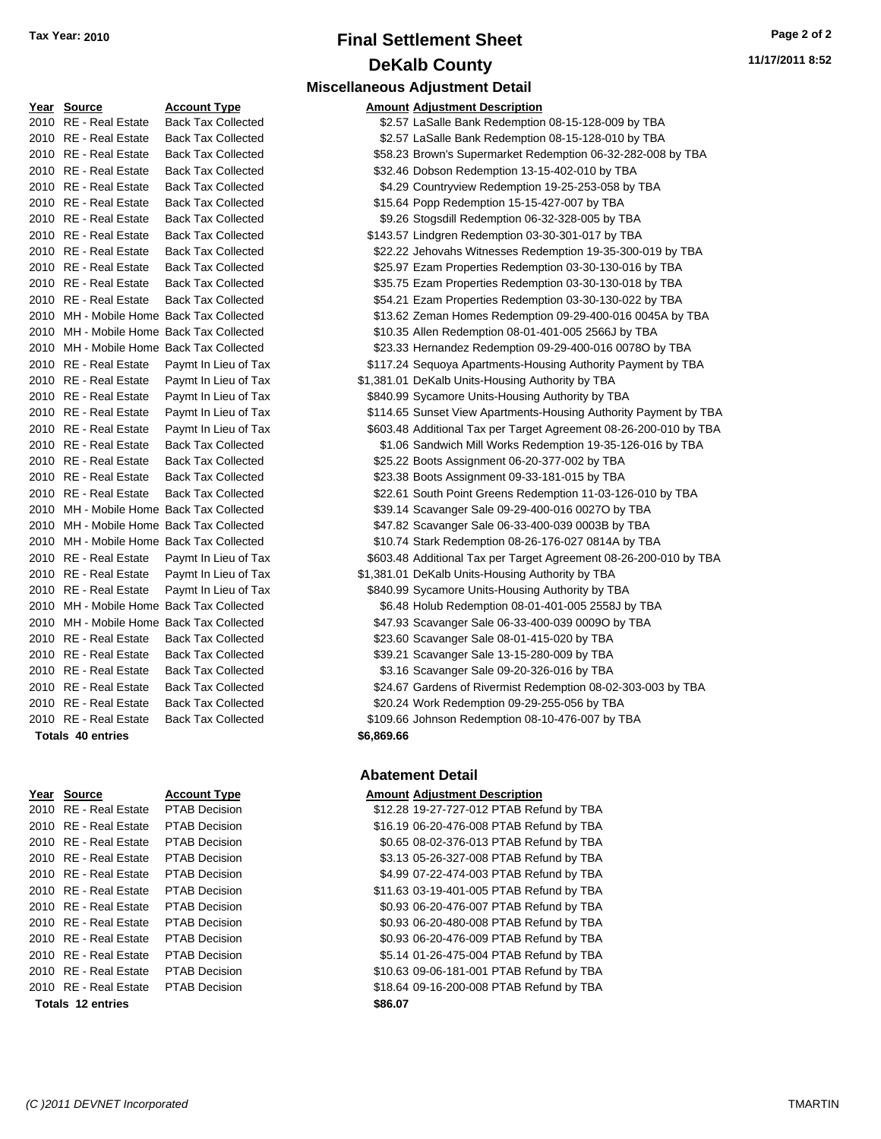## **Final Settlement Sheet Tax Year: 2010 Page 2 of 2 DeKalb County Miscellaneous Adjustment Detail**

| Year Source           | <b>Account Type</b>                      |            | <b>Amount Adjustment Description</b>                              |
|-----------------------|------------------------------------------|------------|-------------------------------------------------------------------|
| 2010 RE - Real Estate | <b>Back Tax Collected</b>                |            | \$2.57 LaSalle Bank Redemption 08-15-128-009 by TBA               |
| 2010 RE - Real Estate | <b>Back Tax Collected</b>                |            | \$2.57 LaSalle Bank Redemption 08-15-128-010 by TBA               |
| 2010 RE - Real Estate | <b>Back Tax Collected</b>                |            | \$58.23 Brown's Supermarket Redemption 06-32-282-008 by TBA       |
| 2010 RE - Real Estate | <b>Back Tax Collected</b>                |            | \$32.46 Dobson Redemption 13-15-402-010 by TBA                    |
| 2010 RE - Real Estate | <b>Back Tax Collected</b>                |            | \$4.29 Countryview Redemption 19-25-253-058 by TBA                |
| 2010 RE - Real Estate | <b>Back Tax Collected</b>                |            | \$15.64 Popp Redemption 15-15-427-007 by TBA                      |
| 2010 RE - Real Estate | <b>Back Tax Collected</b>                |            | \$9.26 Stogsdill Redemption 06-32-328-005 by TBA                  |
| 2010 RE - Real Estate | <b>Back Tax Collected</b>                |            | \$143.57 Lindgren Redemption 03-30-301-017 by TBA                 |
| 2010 RE - Real Estate | <b>Back Tax Collected</b>                |            | \$22.22 Jehovahs Witnesses Redemption 19-35-300-019 by TBA        |
| 2010 RE - Real Estate | <b>Back Tax Collected</b>                |            | \$25.97 Ezam Properties Redemption 03-30-130-016 by TBA           |
| 2010 RE - Real Estate | <b>Back Tax Collected</b>                |            | \$35.75 Ezam Properties Redemption 03-30-130-018 by TBA           |
| 2010 RE - Real Estate | <b>Back Tax Collected</b>                |            | \$54.21 Ezam Properties Redemption 03-30-130-022 by TBA           |
|                       | 2010 MH - Mobile Home Back Tax Collected |            | \$13.62 Zeman Homes Redemption 09-29-400-016 0045A by TBA         |
|                       | 2010 MH - Mobile Home Back Tax Collected |            | \$10.35 Allen Redemption 08-01-401-005 2566J by TBA               |
|                       | 2010 MH - Mobile Home Back Tax Collected |            | \$23.33 Hernandez Redemption 09-29-400-016 0078O by TBA           |
| 2010 RE - Real Estate | Paymt In Lieu of Tax                     |            | \$117.24 Sequoya Apartments-Housing Authority Payment by TBA      |
| 2010 RE - Real Estate | Paymt In Lieu of Tax                     |            | \$1,381.01 DeKalb Units-Housing Authority by TBA                  |
| 2010 RE - Real Estate | Paymt In Lieu of Tax                     |            | \$840.99 Sycamore Units-Housing Authority by TBA                  |
| 2010 RE - Real Estate | Paymt In Lieu of Tax                     |            | \$114.65 Sunset View Apartments-Housing Authority Payment by TBA  |
| 2010 RE - Real Estate | Paymt In Lieu of Tax                     |            | \$603.48 Additional Tax per Target Agreement 08-26-200-010 by TBA |
| 2010 RE - Real Estate | <b>Back Tax Collected</b>                |            | \$1.06 Sandwich Mill Works Redemption 19-35-126-016 by TBA        |
| 2010 RE - Real Estate | <b>Back Tax Collected</b>                |            | \$25.22 Boots Assignment 06-20-377-002 by TBA                     |
| 2010 RE - Real Estate | <b>Back Tax Collected</b>                |            | \$23.38 Boots Assignment 09-33-181-015 by TBA                     |
| 2010 RE - Real Estate | <b>Back Tax Collected</b>                |            | \$22.61 South Point Greens Redemption 11-03-126-010 by TBA        |
|                       | 2010 MH - Mobile Home Back Tax Collected |            | \$39.14 Scavanger Sale 09-29-400-016 0027O by TBA                 |
|                       | 2010 MH - Mobile Home Back Tax Collected |            | \$47.82 Scavanger Sale 06-33-400-039 0003B by TBA                 |
|                       | 2010 MH - Mobile Home Back Tax Collected |            | \$10.74 Stark Redemption 08-26-176-027 0814A by TBA               |
| 2010 RE - Real Estate | Paymt In Lieu of Tax                     |            | \$603.48 Additional Tax per Target Agreement 08-26-200-010 by TBA |
| 2010 RE - Real Estate | Paymt In Lieu of Tax                     |            | \$1,381.01 DeKalb Units-Housing Authority by TBA                  |
| 2010 RE - Real Estate | Paymt In Lieu of Tax                     |            | \$840.99 Sycamore Units-Housing Authority by TBA                  |
|                       | 2010 MH - Mobile Home Back Tax Collected |            | \$6.48 Holub Redemption 08-01-401-005 2558J by TBA                |
|                       | 2010 MH - Mobile Home Back Tax Collected |            | \$47.93 Scavanger Sale 06-33-400-039 0009O by TBA                 |
| 2010 RE - Real Estate | <b>Back Tax Collected</b>                |            | \$23.60 Scavanger Sale 08-01-415-020 by TBA                       |
| 2010 RE - Real Estate | <b>Back Tax Collected</b>                |            | \$39.21 Scavanger Sale 13-15-280-009 by TBA                       |
| 2010 RE - Real Estate | <b>Back Tax Collected</b>                |            | \$3.16 Scavanger Sale 09-20-326-016 by TBA                        |
| 2010 RE - Real Estate | <b>Back Tax Collected</b>                |            | \$24.67 Gardens of Rivermist Redemption 08-02-303-003 by TBA      |
| 2010 RE - Real Estate | <b>Back Tax Collected</b>                |            | \$20.24 Work Redemption 09-29-255-056 by TBA                      |
| 2010 RE - Real Estate | <b>Back Tax Collected</b>                |            | \$109.66 Johnson Redemption 08-10-476-007 by TBA                  |
| Totals 40 entries     |                                          | \$6.869.66 |                                                                   |

| <u>Year Source</u>                  | <b>Account Type</b>  | <b>Amount Adjustment Description</b>     |
|-------------------------------------|----------------------|------------------------------------------|
| 2010 RE - Real Estate               | PTAB Decision        | \$12.28 19-27-727-012 PTAB Refund by TBA |
| 2010 RE - Real Estate               | <b>PTAB Decision</b> | \$16.19 06-20-476-008 PTAB Refund by TBA |
| 2010 RE - Real Estate               | <b>PTAB Decision</b> | \$0.65 08-02-376-013 PTAB Refund by TBA  |
| 2010 RE - Real Estate               | <b>PTAB Decision</b> | \$3.13 05-26-327-008 PTAB Refund by TBA  |
| 2010 RE - Real Estate               | <b>PTAB Decision</b> | \$4.99 07-22-474-003 PTAB Refund by TBA  |
| 2010 RE - Real Estate               | <b>PTAB Decision</b> | \$11.63 03-19-401-005 PTAB Refund by TBA |
| 2010 RE - Real Estate               | <b>PTAB Decision</b> | \$0.93 06-20-476-007 PTAB Refund by TBA  |
| 2010 RE - Real Estate               | <b>PTAB Decision</b> | \$0.93 06-20-480-008 PTAB Refund by TBA  |
| 2010 RE - Real Estate               | <b>PTAB Decision</b> | \$0.93 06-20-476-009 PTAB Refund by TBA  |
| 2010 RE - Real Estate               | <b>PTAB Decision</b> | \$5.14 01-26-475-004 PTAB Refund by TBA  |
| 2010 RE - Real Estate               | PTAB Decision        | \$10.63 09-06-181-001 PTAB Refund by TBA |
| 2010 RE - Real Estate PTAB Decision |                      | \$18.64 09-16-200-008 PTAB Refund by TBA |
| Totals 12 entries                   |                      | \$86.07                                  |

#### **Amount Adjustment Description** ed **32.57 LaSalle Bank Redemption 08-15-128-009 by TBA** ed **32.57 LaSalle Bank Redemption 08-15-128-010 by TBA** ed \$58.23 Brown's Supermarket Redemption 06-32-282-008 by TBA ed **332.46 Dobson Redemption 13-15-402-010 by TBA** ed **34.29 Countryview Redemption 19-25-253-058 by TBA** ed 315.64 Popp Redemption 15-15-427-007 by TBA 2010 B9.26 Stogsdill Redemption 06-32-328-005 by TBA ed **\$143.57 Lindgren Redemption 03-30-301-017 by TBA** ed **\$22.22** Jehovahs Witnesses Redemption 19-35-300-019 by TBA ed 525.97 Ezam Properties Redemption 03-30-130-016 by TBA 2010 **2010 Real Estate State State Sear Froperties Redemption 03-30-130-018 by TBA** ed 554.21 Ezam Properties Redemption 03-30-130-022 by TBA ed \$13.62 Zeman Homes Redemption 09-29-400-016 0045A by TBA ed 310.35 Allen Redemption 08-01-401-005 2566J by TBA ed **323.33 Hernandez Redemption 09-29-400-016 0078O by TBA** Tax  $$117.24$  Sequoya Apartments-Housing Authority Payment by TBA 2010 Real Estate Charles Tax - Real Estate S1,381.01 DeKalb Units-Housing Authority by TBA Tax **3010 8840.99 Sycamore Units-Housing Authority by TBA** 2010 Tax 6114.65 Sunset View Apartments-Housing Authority Payment by TBA 2010 Tax 603.48 Additional Tax per Target Agreement 08-26-200-010 by TBA ed 2010 **2010 REal Estate State State State State State State State State Tax Collected State Tax Collected State Tax Collected State Tax Collected State Tax Collected State Tax Collected State State State Tax Collected St** ed and 25.22 Boots Assignment 06-20-377-002 by TBA ed 623.38 Boots Assignment 09-33-181-015 by TBA ed 622.61 South Point Greens Redemption 11-03-126-010 by TBA

**Abatement Detail**

**Totals \$6,869.66 40 entries**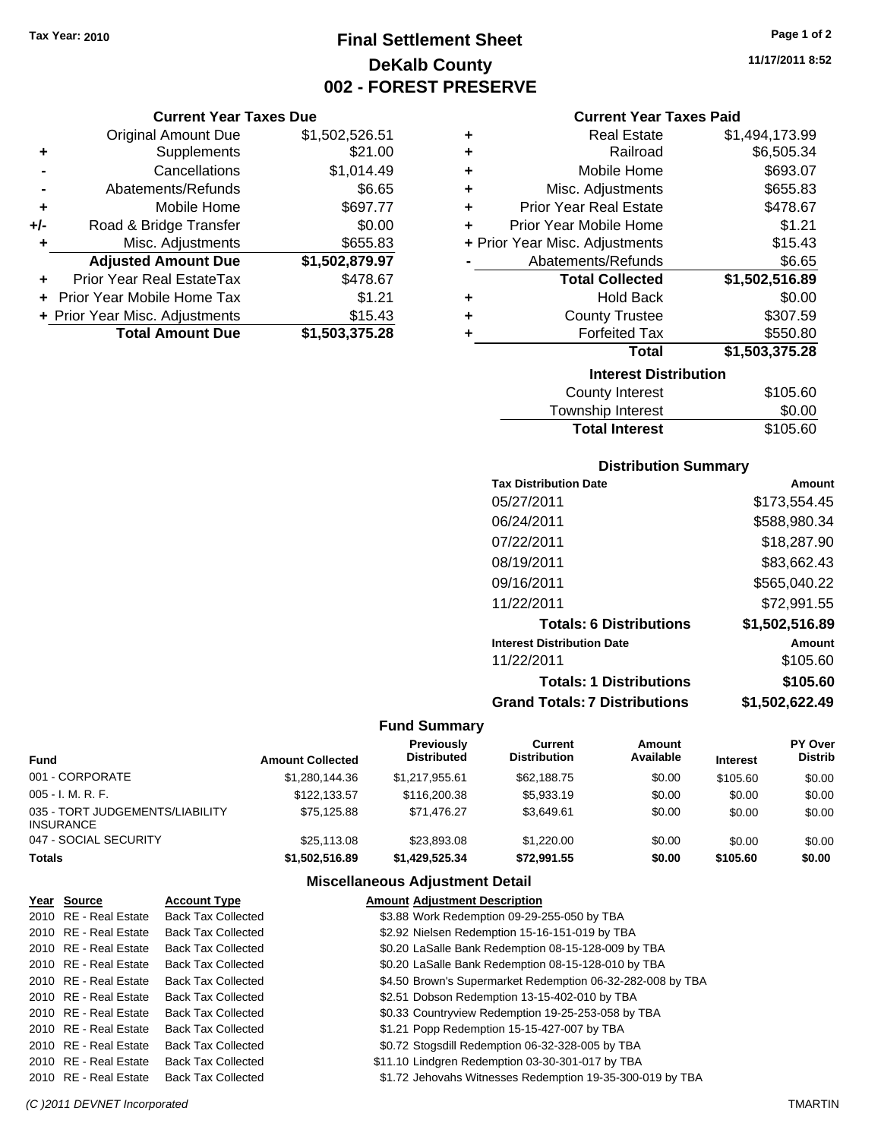## **Final Settlement Sheet Tax Year: 2010 Page 1 of 2 DeKalb County 002 - FOREST PRESERVE**

#### **Current Year Taxes Due**

|     | <b>Original Amount Due</b>     | \$1,502,526.51 |
|-----|--------------------------------|----------------|
| ٠   | Supplements                    | \$21.00        |
|     | Cancellations                  | \$1,014.49     |
|     | Abatements/Refunds             | \$6.65         |
| ٠   | Mobile Home                    | \$697.77       |
| +/- | Road & Bridge Transfer         | \$0.00         |
| ٠   | Misc. Adjustments              | \$655.83       |
|     | <b>Adjusted Amount Due</b>     | \$1,502,879.97 |
|     | Prior Year Real EstateTax      | \$478.67       |
|     | Prior Year Mobile Home Tax     | \$1.21         |
|     | + Prior Year Misc. Adjustments | \$15.43        |
|     | <b>Total Amount Due</b>        | \$1,503,375.28 |

| ٠ | <b>Real Estate</b>             | \$1,494,173.99 |
|---|--------------------------------|----------------|
| ٠ | Railroad                       | \$6,505.34     |
| ٠ | Mobile Home                    | \$693.07       |
| ÷ | Misc. Adjustments              | \$655.83       |
| ٠ | <b>Prior Year Real Estate</b>  | \$478.67       |
| ÷ | Prior Year Mobile Home         | \$1.21         |
|   | + Prior Year Misc. Adjustments | \$15.43        |
|   | Abatements/Refunds             | \$6.65         |
|   | <b>Total Collected</b>         | \$1,502,516.89 |
| ٠ | <b>Hold Back</b>               | \$0.00         |
| ٠ | <b>County Trustee</b>          | \$307.59       |
| ٠ | <b>Forfeited Tax</b>           | \$550.80       |
|   | Total                          | \$1,503,375.28 |
|   | <b>Interest Distribution</b>   |                |
|   | Oacosto Interest.              | <b>MANE CO</b> |

| <b>Total Interest</b> | \$105.60 |
|-----------------------|----------|
| Township Interest     | \$0.00   |
| County Interest       | \$105.60 |

#### **Distribution Summary**

| <b>Tax Distribution Date</b>         | Amount         |
|--------------------------------------|----------------|
| 05/27/2011                           | \$173,554.45   |
| 06/24/2011                           | \$588,980.34   |
| 07/22/2011                           | \$18,287.90    |
| 08/19/2011                           | \$83,662.43    |
| 09/16/2011                           | \$565,040.22   |
| 11/22/2011                           | \$72,991.55    |
| <b>Totals: 6 Distributions</b>       | \$1,502,516.89 |
| <b>Interest Distribution Date</b>    | Amount         |
| 11/22/2011                           | \$105.60       |
| <b>Totals: 1 Distributions</b>       | \$105.60       |
| <b>Grand Totals: 7 Distributions</b> | \$1,502,622.49 |
|                                      |                |

#### **Fund Summary**

| Fund                                         | <b>Amount Collected</b> | <b>Previously</b><br><b>Distributed</b> | Current<br><b>Distribution</b> | Amount<br>Available | <b>Interest</b> | <b>PY Over</b><br><b>Distrib</b> |
|----------------------------------------------|-------------------------|-----------------------------------------|--------------------------------|---------------------|-----------------|----------------------------------|
| 001 - CORPORATE                              | \$1,280,144.36          | \$1,217,955.61                          | \$62,188.75                    | \$0.00              | \$105.60        | \$0.00                           |
| 005 - I. M. R. F.                            | \$122.133.57            | \$116,200.38                            | \$5,933.19                     | \$0.00              | \$0.00          | \$0.00                           |
| 035 - TORT JUDGEMENTS/LIABILITY<br>INSURANCE | \$75.125.88             | \$71.476.27                             | \$3.649.61                     | \$0.00              | \$0.00          | \$0.00                           |
| 047 - SOCIAL SECURITY                        | \$25,113,08             | \$23,893,08                             | \$1.220.00                     | \$0.00              | \$0.00          | \$0.00                           |
| Totals                                       | \$1,502,516.89          | \$1,429,525.34                          | \$72,991.55                    | \$0.00              | \$105.60        | \$0.00                           |

#### **Miscellaneous Adjustment Detail**

| Year Source           | <b>Account Type</b>       | <b>Amount Adjustment Description</b>                       |
|-----------------------|---------------------------|------------------------------------------------------------|
| 2010 RE - Real Estate | <b>Back Tax Collected</b> | \$3.88 Work Redemption 09-29-255-050 by TBA                |
| 2010 RE - Real Estate | <b>Back Tax Collected</b> | \$2.92 Nielsen Redemption 15-16-151-019 by TBA             |
| 2010 RE - Real Estate | <b>Back Tax Collected</b> | \$0.20 LaSalle Bank Redemption 08-15-128-009 by TBA        |
| 2010 RE - Real Estate | <b>Back Tax Collected</b> | \$0.20 LaSalle Bank Redemption 08-15-128-010 by TBA        |
| 2010 RE - Real Estate | <b>Back Tax Collected</b> | \$4.50 Brown's Supermarket Redemption 06-32-282-008 by TBA |
| 2010 RE - Real Estate | <b>Back Tax Collected</b> | \$2.51 Dobson Redemption 13-15-402-010 by TBA              |
| 2010 RE - Real Estate | <b>Back Tax Collected</b> | \$0.33 Countryview Redemption 19-25-253-058 by TBA         |
| 2010 RE - Real Estate | <b>Back Tax Collected</b> | \$1.21 Popp Redemption 15-15-427-007 by TBA                |
| 2010 RE - Real Estate | <b>Back Tax Collected</b> | \$0.72 Stogsdill Redemption 06-32-328-005 by TBA           |
| 2010 RE - Real Estate | <b>Back Tax Collected</b> | \$11.10 Lindgren Redemption 03-30-301-017 by TBA           |
| 2010 RE - Real Estate | <b>Back Tax Collected</b> | \$1.72 Jehovahs Witnesses Redemption 19-35-300-019 by TBA  |

**11/17/2011 8:52**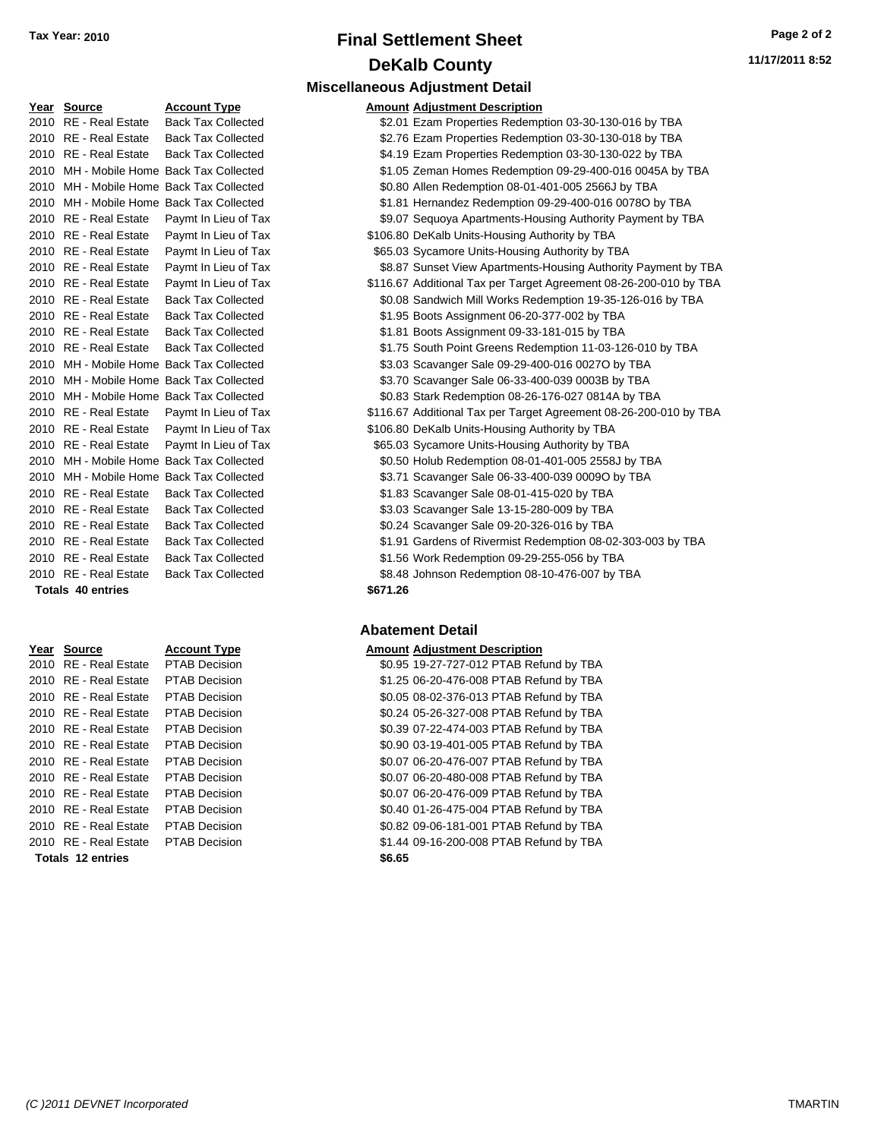## **Final Settlement Sheet Tax Year: 2010 Page 2 of 2 DeKalb County Miscellaneous Adjustment Detail**

| Year Source              | <b>Account Type</b>                      |          | <b>Amount Adjustment Description</b> |
|--------------------------|------------------------------------------|----------|--------------------------------------|
| 2010 RE - Real Estate    | <b>Back Tax Collected</b>                |          | \$2.01 Ezam Properties Redemp        |
| 2010 RE - Real Estate    | <b>Back Tax Collected</b>                |          | \$2.76 Ezam Properties Redemp        |
| 2010 RE - Real Estate    | <b>Back Tax Collected</b>                |          | \$4.19 Ezam Properties Redemp        |
|                          | 2010 MH - Mobile Home Back Tax Collected |          | \$1.05 Zeman Homes Redemptio         |
|                          | 2010 MH - Mobile Home Back Tax Collected |          | \$0.80 Allen Redemption 08-01-4      |
|                          | 2010 MH - Mobile Home Back Tax Collected |          | \$1.81 Hernandez Redemption 0        |
| 2010 RE - Real Estate    | Paymt In Lieu of Tax                     |          | \$9.07 Sequoya Apartments-Hou        |
| 2010 RE - Real Estate    | Paymt In Lieu of Tax                     |          | \$106.80 DeKalb Units-Housing Au     |
| 2010 RE - Real Estate    | Paymt In Lieu of Tax                     |          | \$65.03 Sycamore Units-Housing       |
| 2010 RE - Real Estate    | Paymt In Lieu of Tax                     |          | \$8.87 Sunset View Apartments-       |
| 2010 RE - Real Estate    | Paymt In Lieu of Tax                     |          | \$116.67 Additional Tax per Target   |
| 2010 RE - Real Estate    | <b>Back Tax Collected</b>                |          | \$0.08 Sandwich Mill Works Red       |
| 2010 RE - Real Estate    | <b>Back Tax Collected</b>                |          | \$1.95 Boots Assignment 06-20-       |
| 2010 RE - Real Estate    | <b>Back Tax Collected</b>                |          | \$1.81 Boots Assignment 09-33-       |
| 2010 RE - Real Estate    | <b>Back Tax Collected</b>                |          | \$1.75 South Point Greens Rede       |
|                          | 2010 MH - Mobile Home Back Tax Collected |          | \$3.03 Scavanger Sale 09-29-40       |
|                          | 2010 MH - Mobile Home Back Tax Collected |          | \$3.70 Scavanger Sale 06-33-40       |
|                          | 2010 MH - Mobile Home Back Tax Collected |          | \$0.83 Stark Redemption 08-26-       |
| 2010 RE - Real Estate    | Paymt In Lieu of Tax                     |          | \$116.67 Additional Tax per Target   |
| 2010 RE - Real Estate    | Paymt In Lieu of Tax                     |          | \$106.80 DeKalb Units-Housing Au     |
| 2010 RE - Real Estate    | Paymt In Lieu of Tax                     |          | \$65.03 Sycamore Units-Housing       |
|                          | 2010 MH - Mobile Home Back Tax Collected |          | \$0.50 Holub Redemption 08-01        |
|                          | 2010 MH - Mobile Home Back Tax Collected |          | \$3.71 Scavanger Sale 06-33-40       |
| 2010 RE - Real Estate    | <b>Back Tax Collected</b>                |          | \$1.83 Scavanger Sale 08-01-41       |
| 2010 RE - Real Estate    | <b>Back Tax Collected</b>                |          | \$3.03 Scavanger Sale 13-15-28       |
| 2010 RE - Real Estate    | <b>Back Tax Collected</b>                |          | \$0.24 Scavanger Sale 09-20-32       |
| 2010 RE - Real Estate    | <b>Back Tax Collected</b>                |          | \$1.91 Gardens of Rivermist Red      |
| 2010 RE - Real Estate    | <b>Back Tax Collected</b>                |          | \$1.56 Work Redemption 09-29-        |
| 2010 RE - Real Estate    | <b>Back Tax Collected</b>                |          | \$8.48 Johnson Redemption 08-        |
| <b>Totals 40 entries</b> |                                          | \$671.26 |                                      |

| Year Source             | <b>Account Type</b>  | Amount |
|-------------------------|----------------------|--------|
| 2010 RE - Real Estate   | <b>PTAB Decision</b> | \$0.95 |
| 2010 RE - Real Estate   | <b>PTAB Decision</b> | \$1.25 |
| 2010 RE - Real Estate   | <b>PTAB Decision</b> | \$0.05 |
| 2010 RE - Real Estate   | <b>PTAB Decision</b> | \$0.24 |
| 2010 RE - Real Estate   | <b>PTAB Decision</b> | \$0.39 |
| 2010 RE - Real Estate   | <b>PTAB Decision</b> | \$0.90 |
| 2010 RE - Real Estate   | <b>PTAB Decision</b> | \$0.07 |
| 2010 RE - Real Estate   | <b>PTAB Decision</b> | \$0.07 |
| 2010 RE - Real Estate   | <b>PTAB Decision</b> | \$0.07 |
| 2010 RE - Real Estate   | <b>PTAB Decision</b> | \$0.40 |
| 2010 RE - Real Estate   | <b>PTAB Decision</b> | \$0.82 |
| 2010   RE - Real Estate | <b>PTAB Decision</b> | \$1.44 |
| Totals 12 entries       |                      | \$6.65 |

| Year Source           | <b>Account Type</b>                      |          | Amount Adjustment Description                                     |
|-----------------------|------------------------------------------|----------|-------------------------------------------------------------------|
| 2010 RE - Real Estate | <b>Back Tax Collected</b>                |          | \$2.01 Ezam Properties Redemption 03-30-130-016 by TBA            |
| 2010 RE - Real Estate | <b>Back Tax Collected</b>                |          | \$2.76 Ezam Properties Redemption 03-30-130-018 by TBA            |
| 2010 RE - Real Estate | <b>Back Tax Collected</b>                |          | \$4.19 Ezam Properties Redemption 03-30-130-022 by TBA            |
|                       | 2010 MH - Mobile Home Back Tax Collected |          | \$1.05 Zeman Homes Redemption 09-29-400-016 0045A by TBA          |
|                       | 2010 MH - Mobile Home Back Tax Collected |          | \$0.80 Allen Redemption 08-01-401-005 2566J by TBA                |
|                       | 2010 MH - Mobile Home Back Tax Collected |          | \$1.81 Hernandez Redemption 09-29-400-016 00780 by TBA            |
| 2010 RE - Real Estate | Paymt In Lieu of Tax                     |          | \$9.07 Sequoya Apartments-Housing Authority Payment by TBA        |
| 2010 RE - Real Estate | Paymt In Lieu of Tax                     |          | \$106.80 DeKalb Units-Housing Authority by TBA                    |
| 2010 RE - Real Estate | Paymt In Lieu of Tax                     |          | \$65.03 Sycamore Units-Housing Authority by TBA                   |
| 2010 RE - Real Estate | Paymt In Lieu of Tax                     |          | \$8.87 Sunset View Apartments-Housing Authority Payment by TBA    |
| 2010 RE - Real Estate | Paymt In Lieu of Tax                     |          | \$116.67 Additional Tax per Target Agreement 08-26-200-010 by TBA |
| 2010 RE - Real Estate | <b>Back Tax Collected</b>                |          | \$0.08 Sandwich Mill Works Redemption 19-35-126-016 by TBA        |
| 2010 RE - Real Estate | <b>Back Tax Collected</b>                |          | \$1.95 Boots Assignment 06-20-377-002 by TBA                      |
| 2010 RE - Real Estate | <b>Back Tax Collected</b>                |          | \$1.81 Boots Assignment 09-33-181-015 by TBA                      |
| 2010 RE - Real Estate | <b>Back Tax Collected</b>                |          | \$1.75 South Point Greens Redemption 11-03-126-010 by TBA         |
|                       | 2010 MH - Mobile Home Back Tax Collected |          | \$3.03 Scavanger Sale 09-29-400-016 0027O by TBA                  |
|                       | 2010 MH - Mobile Home Back Tax Collected |          | \$3.70 Scavanger Sale 06-33-400-039 0003B by TBA                  |
|                       | 2010 MH - Mobile Home Back Tax Collected |          | \$0.83 Stark Redemption 08-26-176-027 0814A by TBA                |
| 2010 RE - Real Estate | Paymt In Lieu of Tax                     |          | \$116.67 Additional Tax per Target Agreement 08-26-200-010 by TBA |
| 2010 RE - Real Estate | Paymt In Lieu of Tax                     |          | \$106.80 DeKalb Units-Housing Authority by TBA                    |
| 2010 RE - Real Estate | Paymt In Lieu of Tax                     |          | \$65.03 Sycamore Units-Housing Authority by TBA                   |
|                       | 2010 MH - Mobile Home Back Tax Collected |          | \$0.50 Holub Redemption 08-01-401-005 2558J by TBA                |
|                       | 2010 MH - Mobile Home Back Tax Collected |          | \$3.71 Scavanger Sale 06-33-400-039 0009O by TBA                  |
| 2010 RE - Real Estate | <b>Back Tax Collected</b>                |          | \$1.83 Scavanger Sale 08-01-415-020 by TBA                        |
| 2010 RE - Real Estate | <b>Back Tax Collected</b>                |          | \$3.03 Scavanger Sale 13-15-280-009 by TBA                        |
| 2010 RE - Real Estate | <b>Back Tax Collected</b>                |          | \$0.24 Scavanger Sale 09-20-326-016 by TBA                        |
| 2010 RE - Real Estate | <b>Back Tax Collected</b>                |          | \$1.91 Gardens of Rivermist Redemption 08-02-303-003 by TBA       |
| 2010 RE - Real Estate | <b>Back Tax Collected</b>                |          | \$1.56 Work Redemption 09-29-255-056 by TBA                       |
| 2010 RE - Real Estate | <b>Back Tax Collected</b>                |          | \$8.48 Johnson Redemption 08-10-476-007 by TBA                    |
| Totals 40 entries     |                                          | \$671.26 |                                                                   |

#### **Abatement Detail**

#### **Peart Islamic Source Amount Adjustment Description**

20.95 19-27-727-012 PTAB Refund by TBA 21.25 06-20-476-008 PTAB Refund by TBA 2010 80.05 08-02-376-013 PTAB Refund by TBA 20.24 05-26-327-008 PTAB Refund by TBA 20.39 07-22-474-003 PTAB Refund by TBA 2010 80.90 03-19-401-005 PTAB Refund by TBA 2010 80.07 06-20-476-007 PTAB Refund by TBA 2010 80.07 06-20-480-008 PTAB Refund by TBA 2010 80.07 06-20-476-009 PTAB Refund by TBA 2010 80.40 01-26-475-004 PTAB Refund by TBA 2010 80.82 09-06-181-001 PTAB Refund by TBA 2010 81.44 09-16-200-008 PTAB Refund by TBA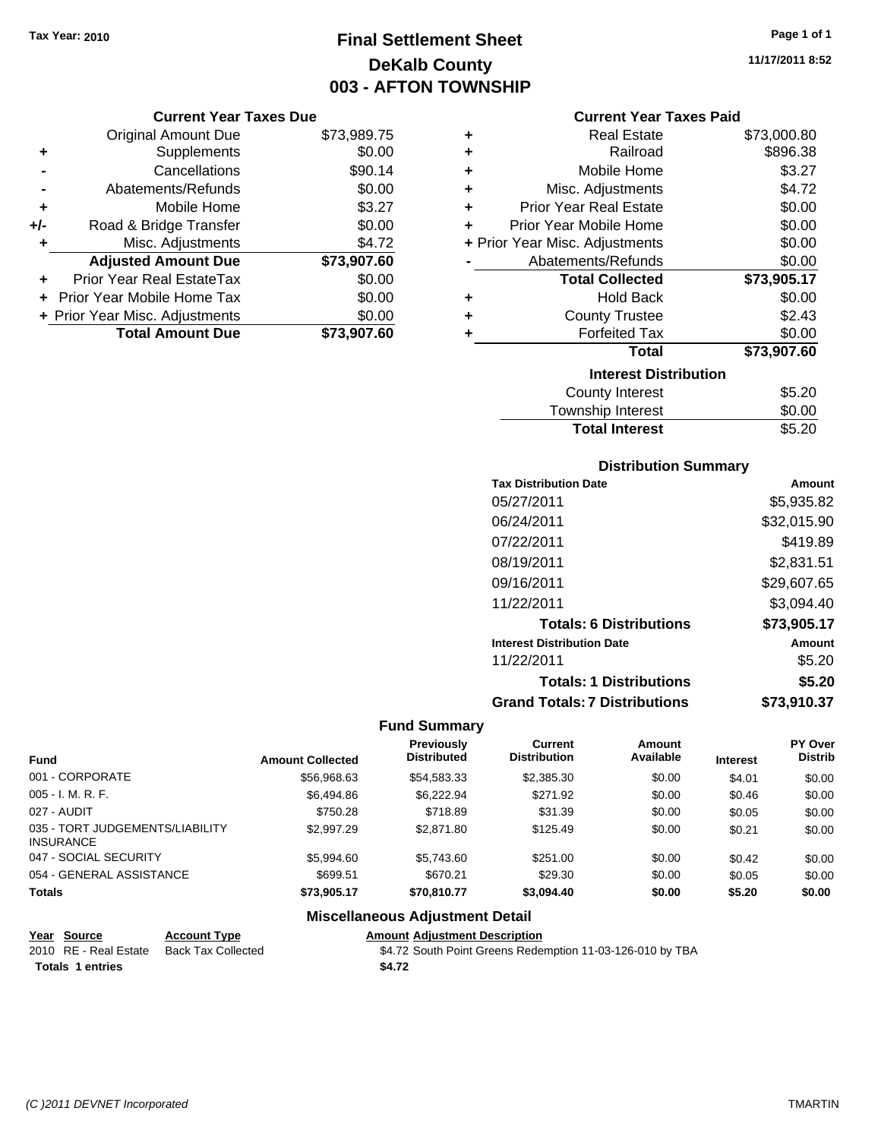## **Final Settlement Sheet Tax Year: 2010 Page 1 of 1 DeKalb County 003 - AFTON TOWNSHIP**

#### **Current Year Taxes Due**

|     | <b>Original Amount Due</b>       | \$73,989.75 |
|-----|----------------------------------|-------------|
| ٠   | Supplements                      | \$0.00      |
|     | Cancellations                    | \$90.14     |
|     | Abatements/Refunds               | \$0.00      |
| ÷   | Mobile Home                      | \$3.27      |
| +/- | Road & Bridge Transfer           | \$0.00      |
| ٠   | Misc. Adjustments                | \$4.72      |
|     | <b>Adjusted Amount Due</b>       | \$73,907.60 |
|     | <b>Prior Year Real EstateTax</b> | \$0.00      |
|     | Prior Year Mobile Home Tax       | \$0.00      |
|     | + Prior Year Misc. Adjustments   | \$0.00      |
|     | <b>Total Amount Due</b>          | \$73.907.60 |

#### **Current Year Taxes Paid**

| ٠ | Real Estate                    | \$73,000.80 |
|---|--------------------------------|-------------|
| ٠ | Railroad                       | \$896.38    |
| ÷ | Mobile Home                    | \$3.27      |
| ٠ | Misc. Adjustments              | \$4.72      |
| ٠ | Prior Year Real Estate         | \$0.00      |
| ٠ | Prior Year Mobile Home         | \$0.00      |
|   | + Prior Year Misc. Adjustments | \$0.00      |
|   | Abatements/Refunds             | \$0.00      |
|   | <b>Total Collected</b>         | \$73,905.17 |
| ٠ | Hold Back                      | \$0.00      |
| ٠ | <b>County Trustee</b>          | \$2.43      |
| ٠ | <b>Forfeited Tax</b>           | \$0.00      |
|   | Total                          | \$73,907.60 |
|   | <b>Interest Distribution</b>   |             |
|   | County Interest                | \$5.20      |
|   | <b>Township Interest</b>       | \$0.00      |
|   | <b>Total Interest</b>          | \$5.20      |

#### **Distribution Summary**

| <b>Tax Distribution Date</b>         | Amount      |
|--------------------------------------|-------------|
| 05/27/2011                           | \$5.935.82  |
| 06/24/2011                           | \$32,015.90 |
| 07/22/2011                           | \$419.89    |
| 08/19/2011                           | \$2,831.51  |
| 09/16/2011                           | \$29,607.65 |
| 11/22/2011                           | \$3,094.40  |
| <b>Totals: 6 Distributions</b>       | \$73,905.17 |
| <b>Interest Distribution Date</b>    | Amount      |
| 11/22/2011                           | \$5.20      |
| <b>Totals: 1 Distributions</b>       | \$5.20      |
| <b>Grand Totals: 7 Distributions</b> | \$73,910,37 |

#### **Fund Summary**

|                                                     |                         | <b>Previously</b>  | Current             | <b>Amount</b> |                 | PY Over        |
|-----------------------------------------------------|-------------------------|--------------------|---------------------|---------------|-----------------|----------------|
| <b>Fund</b>                                         | <b>Amount Collected</b> | <b>Distributed</b> | <b>Distribution</b> | Available     | <b>Interest</b> | <b>Distrib</b> |
| 001 - CORPORATE                                     | \$56,968.63             | \$54,583.33        | \$2,385.30          | \$0.00        | \$4.01          | \$0.00         |
| 005 - I. M. R. F.                                   | \$6,494.86              | \$6,222.94         | \$271.92            | \$0.00        | \$0.46          | \$0.00         |
| 027 - AUDIT                                         | \$750.28                | \$718.89           | \$31.39             | \$0.00        | \$0.05          | \$0.00         |
| 035 - TORT JUDGEMENTS/LIABILITY<br><b>INSURANCE</b> | \$2,997.29              | \$2,871.80         | \$125.49            | \$0.00        | \$0.21          | \$0.00         |
| 047 - SOCIAL SECURITY                               | \$5,994.60              | \$5.743.60         | \$251.00            | \$0.00        | \$0.42          | \$0.00         |
| 054 - GENERAL ASSISTANCE                            | \$699.51                | \$670.21           | \$29.30             | \$0.00        | \$0.05          | \$0.00         |
| <b>Totals</b>                                       | \$73.905.17             | \$70,810.77        | \$3,094.40          | \$0.00        | \$5.20          | \$0.00         |

#### **Miscellaneous Adjustment Detail**

| Year Source           | <b>Account Type</b> | <b>Amount Adjustment Description</b>                      |
|-----------------------|---------------------|-----------------------------------------------------------|
| 2010 RE - Real Estate | Back Tax Collected  | \$4.72 South Point Greens Redemption 11-03-126-010 by TBA |
| Totals 1 entries      |                     | \$4.72                                                    |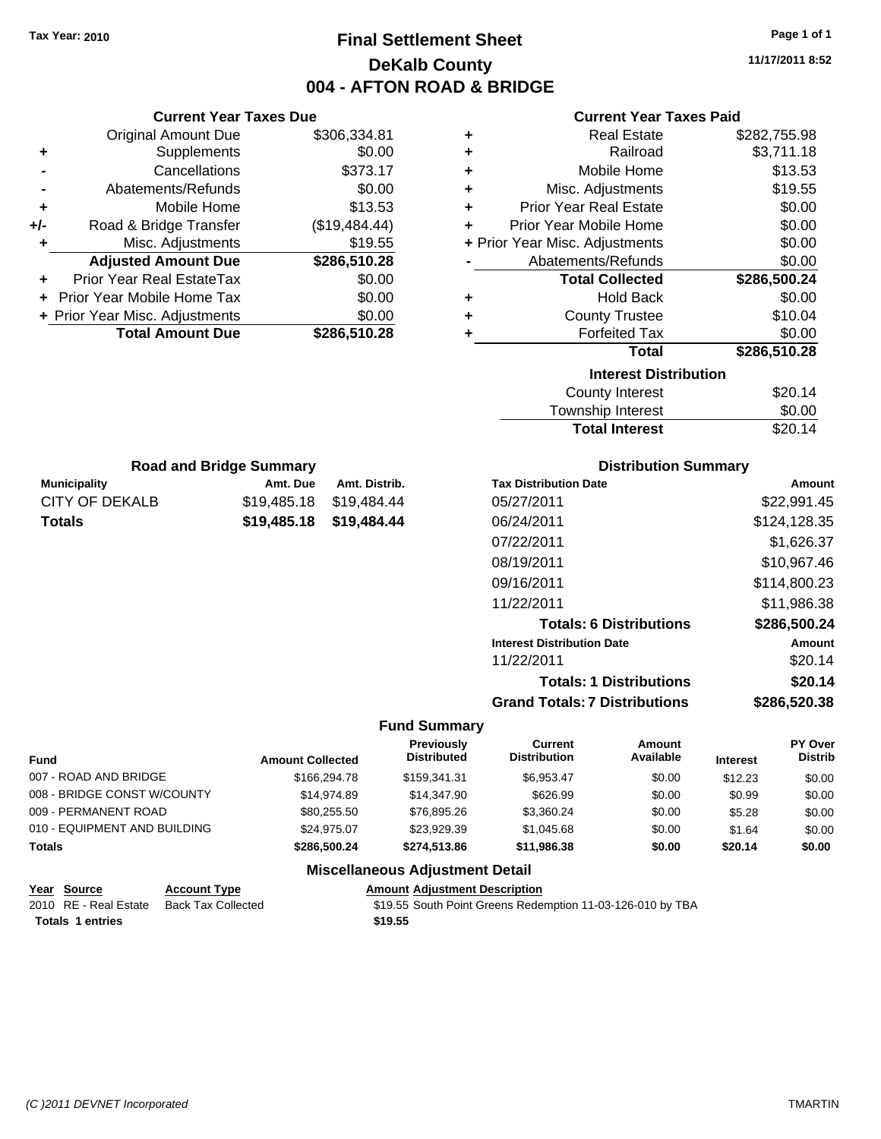## **Final Settlement Sheet Tax Year: 2010 Page 1 of 1 DeKalb County 004 - AFTON ROAD & BRIDGE**

**11/17/2011 8:52**

#### **Current Year Taxes Paid**

| <b>Current Year Taxes Due</b> |                                |               |                                | <b>Current Year Taxes Paid</b> |               |
|-------------------------------|--------------------------------|---------------|--------------------------------|--------------------------------|---------------|
|                               | <b>Original Amount Due</b>     | \$306,334.81  | ٠                              | <b>Real Estate</b>             | \$282,755.98  |
| ٠                             | Supplements                    | \$0.00        | ÷                              | Railroad                       | \$3,711.18    |
|                               | Cancellations                  | \$373.17      | ٠                              | Mobile Home                    | \$13.53       |
|                               | Abatements/Refunds             | \$0.00        | ٠                              | Misc. Adjustments              | \$19.55       |
| ٠                             | Mobile Home                    | \$13.53       | ٠                              | <b>Prior Year Real Estate</b>  | \$0.00        |
| +/-                           | Road & Bridge Transfer         | (\$19,484.44) | ÷                              | Prior Year Mobile Home         | \$0.00        |
|                               | Misc. Adjustments              | \$19.55       | + Prior Year Misc. Adjustments |                                | \$0.00        |
|                               | <b>Adjusted Amount Due</b>     | \$286,510.28  |                                | Abatements/Refunds             | \$0.00        |
| ٠                             | Prior Year Real EstateTax      | \$0.00        |                                | <b>Total Collected</b>         | \$286,500.24  |
|                               | + Prior Year Mobile Home Tax   | \$0.00        | ٠                              | <b>Hold Back</b>               | \$0.00        |
|                               | + Prior Year Misc. Adjustments | \$0.00        | ٠                              | <b>County Trustee</b>          | \$10.04       |
|                               | <b>Total Amount Due</b>        | \$286,510.28  |                                | <b>Forfeited Tax</b>           | \$0.00        |
|                               |                                |               |                                | <b>Total</b>                   | \$286,510.28  |
|                               |                                |               |                                | <b>Interest Distribution</b>   |               |
|                               |                                |               |                                | County Interest                | <b>ድጋበ 14</b> |

|   | Abatements/Refunds           | \$0.00       |
|---|------------------------------|--------------|
|   | <b>Total Collected</b>       | \$286,500.24 |
| ٠ | <b>Hold Back</b>             | \$0.00       |
| ÷ | <b>County Trustee</b>        | \$10.04      |
| ÷ | <b>Forfeited Tax</b>         | \$0.00       |
|   | <b>Total</b>                 | \$286,510.28 |
|   | <b>Interest Distribution</b> |              |
|   | <b>County Interest</b>       | \$20.14      |
|   |                              | .            |

| <b>Total Interest</b>  | \$20.14        |
|------------------------|----------------|
| Township Interest      | \$0.00         |
| <b>COUTTY THICLEST</b> | <b>JZU. 14</b> |

| <b>Road and Bridge Summary</b> |                         |               |  |  |
|--------------------------------|-------------------------|---------------|--|--|
| <b>Municipality</b>            | Amt. Due                | Amt. Distrib. |  |  |
| CITY OF DEKALB                 | \$19.485.18             | \$19,484.44   |  |  |
| <b>Totals</b>                  | \$19,485.18 \$19,484.44 |               |  |  |

#### **Distribution Summary**

| <b>Tax Distribution Date</b>         | Amount       |
|--------------------------------------|--------------|
| 05/27/2011                           | \$22,991.45  |
| 06/24/2011                           | \$124,128.35 |
| 07/22/2011                           | \$1,626.37   |
| 08/19/2011                           | \$10,967.46  |
| 09/16/2011                           | \$114,800.23 |
| 11/22/2011                           | \$11,986.38  |
| <b>Totals: 6 Distributions</b>       | \$286,500.24 |
| <b>Interest Distribution Date</b>    | Amount       |
| 11/22/2011                           | \$20.14      |
| <b>Totals: 1 Distributions</b>       | \$20.14      |
| <b>Grand Totals: 7 Distributions</b> | \$286.520.38 |
|                                      |              |

#### **Fund Summary**

| <b>Fund</b>                  | <b>Amount Collected</b> | <b>Previously</b><br><b>Distributed</b> | Current<br><b>Distribution</b> | Amount<br>Available | <b>Interest</b> | PY Over<br><b>Distrib</b> |
|------------------------------|-------------------------|-----------------------------------------|--------------------------------|---------------------|-----------------|---------------------------|
| 007 - ROAD AND BRIDGE        | \$166,294.78            | \$159.341.31                            | \$6.953.47                     | \$0.00              | \$12.23         | \$0.00                    |
| 008 - BRIDGE CONST W/COUNTY  | \$14,974.89             | \$14,347.90                             | \$626.99                       | \$0.00              | \$0.99          | \$0.00                    |
| 009 - PERMANENT ROAD         | \$80.255.50             | \$76.895.26                             | \$3.360.24                     | \$0.00              | \$5.28          | \$0.00                    |
| 010 - EQUIPMENT AND BUILDING | \$24.975.07             | \$23,929.39                             | \$1.045.68                     | \$0.00              | \$1.64          | \$0.00                    |
| Totals                       | \$286,500.24            | \$274,513,86                            | \$11,986.38                    | \$0.00              | \$20.14         | \$0.00                    |

#### **Miscellaneous Adjustment Detail**

| Year Source             | <b>Account Type</b>                      | <b>Amount Adiustment Description</b>                       |
|-------------------------|------------------------------------------|------------------------------------------------------------|
|                         | 2010 RE - Real Estate Back Tax Collected | \$19.55 South Point Greens Redemption 11-03-126-010 by TBA |
| <b>Totals 1 entries</b> |                                          | \$19.55                                                    |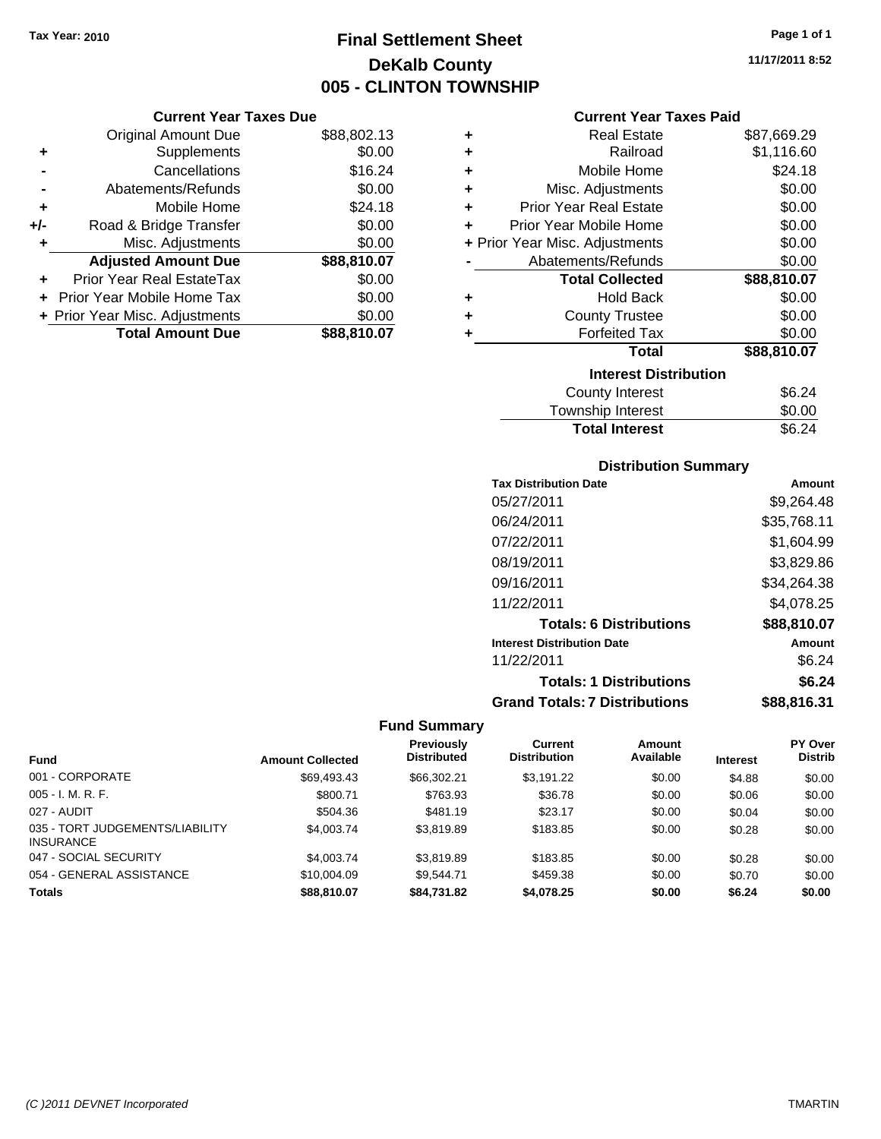## **Final Settlement Sheet Tax Year: 2010 Page 1 of 1 DeKalb County 005 - CLINTON TOWNSHIP**

**11/17/2011 8:52**

#### **Current Year Taxes Paid**

|     | <b>Current Year Taxes Due</b>    |             |
|-----|----------------------------------|-------------|
|     | <b>Original Amount Due</b>       | \$88,802.13 |
| ٠   | Supplements                      | \$0.00      |
|     | Cancellations                    | \$16.24     |
|     | Abatements/Refunds               | \$0.00      |
| ٠   | Mobile Home                      | \$24.18     |
| +/- | Road & Bridge Transfer           | \$0.00      |
| ٠   | Misc. Adjustments                | \$0.00      |
|     | <b>Adjusted Amount Due</b>       | \$88,810.07 |
| ٠   | <b>Prior Year Real EstateTax</b> | \$0.00      |
|     | Prior Year Mobile Home Tax       | \$0.00      |
|     | + Prior Year Misc. Adjustments   | \$0.00      |
|     | <b>Total Amount Due</b>          | \$88,810.07 |

| ٠ | <b>Real Estate</b>             | \$87,669.29 |
|---|--------------------------------|-------------|
| ÷ | Railroad                       | \$1,116.60  |
| ÷ | Mobile Home                    | \$24.18     |
| ٠ | Misc. Adjustments              | \$0.00      |
| ٠ | <b>Prior Year Real Estate</b>  | \$0.00      |
| ٠ | Prior Year Mobile Home         | \$0.00      |
|   | + Prior Year Misc. Adjustments | \$0.00      |
|   | Abatements/Refunds             | \$0.00      |
|   | <b>Total Collected</b>         | \$88,810.07 |
| ٠ | Hold Back                      | \$0.00      |
| ٠ | <b>County Trustee</b>          | \$0.00      |
| ٠ | <b>Forfeited Tax</b>           | \$0.00      |
|   | Total                          | \$88,810.07 |
|   | <b>Interest Distribution</b>   |             |
|   | <b>County Interest</b>         | \$6.24      |
|   | <b>Township Interest</b>       | \$0.00      |
|   | <b>Total Interest</b>          | \$6.24      |

#### **Distribution Summary**

| <b>Tax Distribution Date</b>         | Amount      |
|--------------------------------------|-------------|
| 05/27/2011                           | \$9.264.48  |
| 06/24/2011                           | \$35,768.11 |
| 07/22/2011                           | \$1,604.99  |
| 08/19/2011                           | \$3,829.86  |
| 09/16/2011                           | \$34,264.38 |
| 11/22/2011                           | \$4,078.25  |
| <b>Totals: 6 Distributions</b>       | \$88,810.07 |
| <b>Interest Distribution Date</b>    | Amount      |
| 11/22/2011                           | \$6.24      |
| <b>Totals: 1 Distributions</b>       | \$6.24      |
| <b>Grand Totals: 7 Distributions</b> | \$88,816.31 |

|                                                     |                         | <b>Previously</b>  | Current             | Amount    |                 | <b>PY Over</b> |
|-----------------------------------------------------|-------------------------|--------------------|---------------------|-----------|-----------------|----------------|
| <b>Fund</b>                                         | <b>Amount Collected</b> | <b>Distributed</b> | <b>Distribution</b> | Available | <b>Interest</b> | <b>Distrib</b> |
| 001 - CORPORATE                                     | \$69.493.43             | \$66,302.21        | \$3.191.22          | \$0.00    | \$4.88          | \$0.00         |
| $005 - I. M. R. F.$                                 | \$800.71                | \$763.93           | \$36.78             | \$0.00    | \$0.06          | \$0.00         |
| 027 - AUDIT                                         | \$504.36                | \$481.19           | \$23.17             | \$0.00    | \$0.04          | \$0.00         |
| 035 - TORT JUDGEMENTS/LIABILITY<br><b>INSURANCE</b> | \$4,003.74              | \$3.819.89         | \$183.85            | \$0.00    | \$0.28          | \$0.00         |
| 047 - SOCIAL SECURITY                               | \$4,003.74              | \$3.819.89         | \$183.85            | \$0.00    | \$0.28          | \$0.00         |
| 054 - GENERAL ASSISTANCE                            | \$10,004.09             | \$9.544.71         | \$459.38            | \$0.00    | \$0.70          | \$0.00         |
| <b>Totals</b>                                       | \$88,810.07             | \$84.731.82        | \$4,078.25          | \$0.00    | \$6.24          | \$0.00         |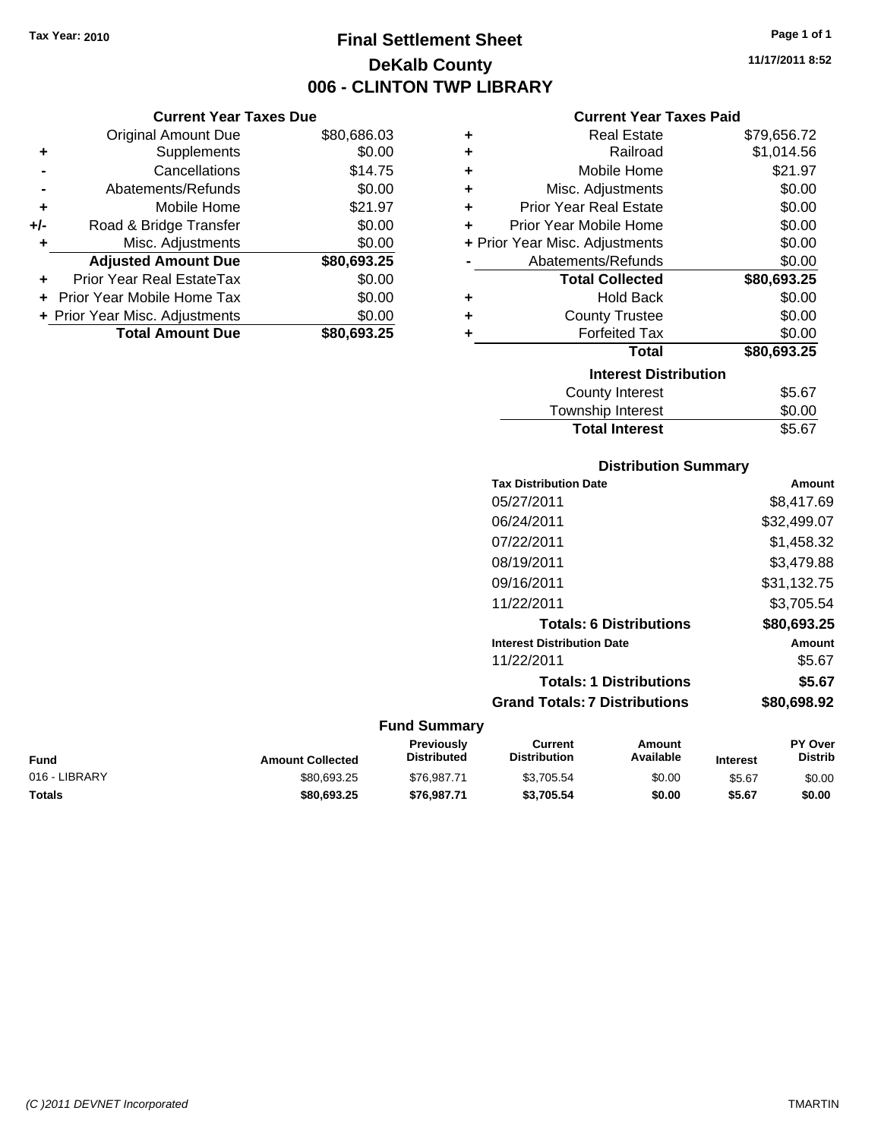**Current Year Taxes Due** Original Amount Due \$80,686.03

**Adjusted Amount Due \$80,693.25**

**Total Amount Due \$80,693.25**

**+** Supplements \$0.00 **-** Cancellations \$14.75 **-** Abatements/Refunds \$0.00 **+** Mobile Home \$21.97 **+/-** Road & Bridge Transfer \$0.00 **+** Misc. Adjustments \$0.00

**+** Prior Year Real EstateTax \$0.00 **+** Prior Year Mobile Home Tax \$0.00 **+ Prior Year Misc. Adjustments**  $$0.00$ 

## **Final Settlement Sheet Tax Year: 2010 Page 1 of 1 DeKalb County 006 - CLINTON TWP LIBRARY**

**11/17/2011 8:52**

#### **Current Year Taxes Paid**

| ٠ | <b>Real Estate</b>             | \$79,656.72 |
|---|--------------------------------|-------------|
| ٠ | Railroad                       | \$1,014.56  |
| ÷ | Mobile Home                    | \$21.97     |
| ÷ | Misc. Adjustments              | \$0.00      |
| ÷ | Prior Year Real Estate         | \$0.00      |
| ٠ | Prior Year Mobile Home         | \$0.00      |
|   | + Prior Year Misc. Adjustments | \$0.00      |
|   | Abatements/Refunds             | \$0.00      |
|   | <b>Total Collected</b>         | \$80,693.25 |
| ÷ | <b>Hold Back</b>               | \$0.00      |
| ÷ | <b>County Trustee</b>          | \$0.00      |
| ÷ | <b>Forfeited Tax</b>           | \$0.00      |
|   | <b>Total</b>                   | \$80,693.25 |
|   | <b>Interest Distribution</b>   |             |
|   | County Interest                | \$5.67      |
|   | <b>Township Interest</b>       | \$0.00      |

### **Distribution Summary**

Total Interest \$5.67

| <b>Tax Distribution Date</b>         | Amount      |
|--------------------------------------|-------------|
| 05/27/2011                           | \$8,417.69  |
| 06/24/2011                           | \$32,499.07 |
| 07/22/2011                           | \$1,458.32  |
| 08/19/2011                           | \$3,479.88  |
| 09/16/2011                           | \$31,132.75 |
| 11/22/2011                           | \$3.705.54  |
| <b>Totals: 6 Distributions</b>       | \$80,693.25 |
| <b>Interest Distribution Date</b>    | Amount      |
| 11/22/2011                           | \$5.67      |
| <b>Totals: 1 Distributions</b>       | \$5.67      |
| <b>Grand Totals: 7 Distributions</b> | \$80.698.92 |
|                                      |             |

| Fund          | <b>Amount Collected</b> | Previously<br><b>Distributed</b> | Current<br>Distribution | Amount<br>Available | <b>Interest</b> | <b>PY Over</b><br><b>Distrib</b> |
|---------------|-------------------------|----------------------------------|-------------------------|---------------------|-----------------|----------------------------------|
| 016 - LIBRARY | \$80.693.25             | \$76.987.71                      | \$3,705.54              | \$0.00              | \$5.67          | \$0.00                           |
| Totals        | \$80,693,25             | \$76.987.71                      | \$3.705.54              | \$0.00              | \$5.67          | \$0.00                           |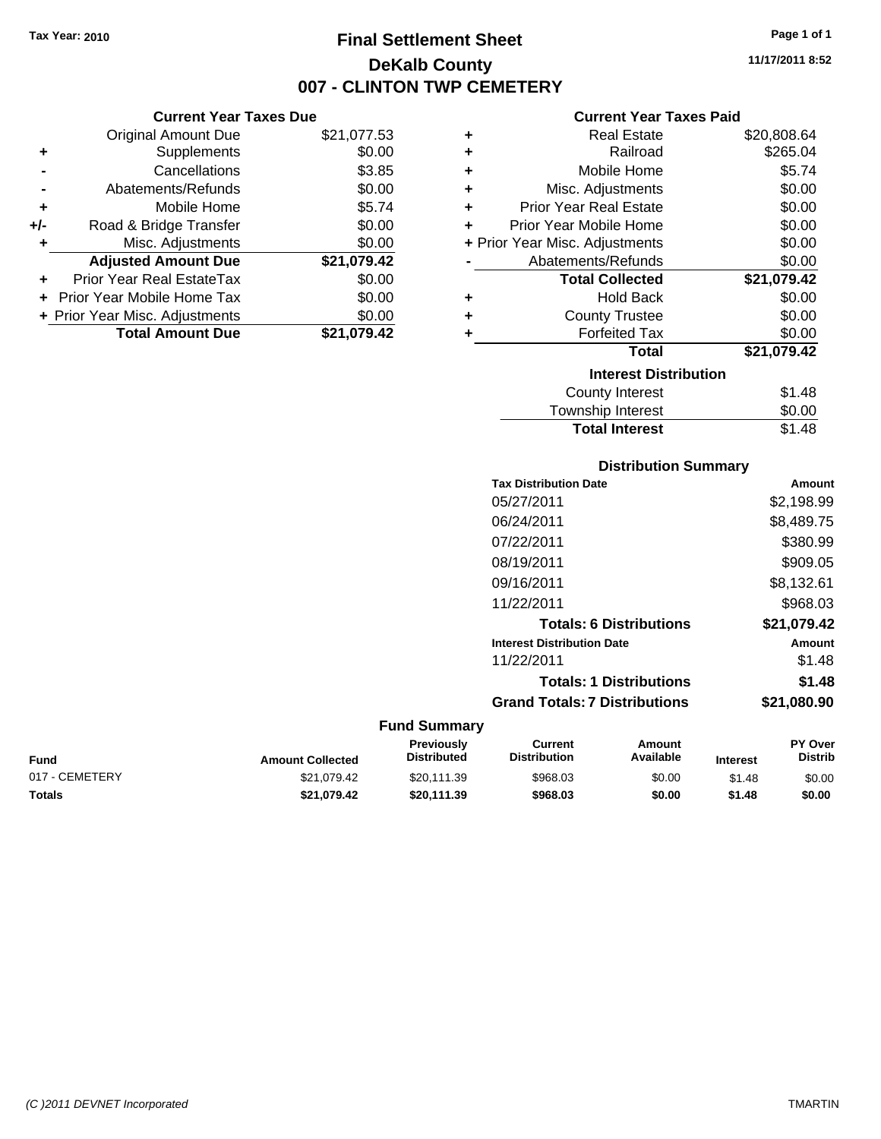**Current Year Taxes Due** Original Amount Due \$21,077.53

**Adjusted Amount Due \$21,079.42**

**Total Amount Due \$21,079.42**

**+** Supplements \$0.00 **-** Cancellations \$3.85 **-** Abatements/Refunds \$0.00 **+** Mobile Home \$5.74 **+/-** Road & Bridge Transfer \$0.00 **+** Misc. Adjustments \$0.00

**+** Prior Year Real EstateTax \$0.00 **+** Prior Year Mobile Home Tax \$0.00 **+ Prior Year Misc. Adjustments**  $$0.00$ 

## **Final Settlement Sheet Tax Year: 2010 Page 1 of 1 DeKalb County 007 - CLINTON TWP CEMETERY**

**11/17/2011 8:52**

#### **Current Year Taxes Paid**

| ÷ | <b>Real Estate</b>             | \$20,808.64 |
|---|--------------------------------|-------------|
| ٠ | Railroad                       | \$265.04    |
| ٠ | Mobile Home                    | \$5.74      |
| ÷ | Misc. Adjustments              | \$0.00      |
| ٠ | <b>Prior Year Real Estate</b>  | \$0.00      |
| ÷ | Prior Year Mobile Home         | \$0.00      |
|   | + Prior Year Misc. Adjustments | \$0.00      |
|   | Abatements/Refunds             | \$0.00      |
|   | <b>Total Collected</b>         | \$21,079.42 |
| ٠ | <b>Hold Back</b>               | \$0.00      |
| ٠ | <b>County Trustee</b>          | \$0.00      |
|   | <b>Forfeited Tax</b>           | \$0.00      |
|   | Total                          | \$21,079.42 |
|   | <b>Interest Distribution</b>   |             |
|   | <b>County Interest</b>         | \$1.48      |
|   | Townshin Interest              | ፍስ ሰስ       |

## **Distribution Summary** ownship interest **Total Interest** \$1.48

| <b>Tax Distribution Date</b>         | Amount      |
|--------------------------------------|-------------|
| 05/27/2011                           | \$2,198.99  |
| 06/24/2011                           | \$8,489.75  |
| 07/22/2011                           | \$380.99    |
| 08/19/2011                           | \$909.05    |
| 09/16/2011                           | \$8,132.61  |
| 11/22/2011                           | \$968.03    |
| <b>Totals: 6 Distributions</b>       | \$21.079.42 |
| <b>Interest Distribution Date</b>    | Amount      |
| 11/22/2011                           | \$1.48      |
| <b>Totals: 1 Distributions</b>       | \$1.48      |
| <b>Grand Totals: 7 Distributions</b> | \$21,080.90 |

| Fund           | <b>Amount Collected</b> | <b>Previously</b><br><b>Distributed</b> | Current<br><b>Distribution</b> | Amount<br>Available | <b>Interest</b> | <b>PY Over</b><br><b>Distrib</b> |
|----------------|-------------------------|-----------------------------------------|--------------------------------|---------------------|-----------------|----------------------------------|
| 017 - CEMETERY | \$21.079.42             | \$20.111.39                             | \$968.03                       | \$0.00              | \$1.48          | \$0.00                           |
| Totals         | \$21.079.42             | \$20.111.39                             | \$968.03                       | \$0.00              | \$1.48          | \$0.00                           |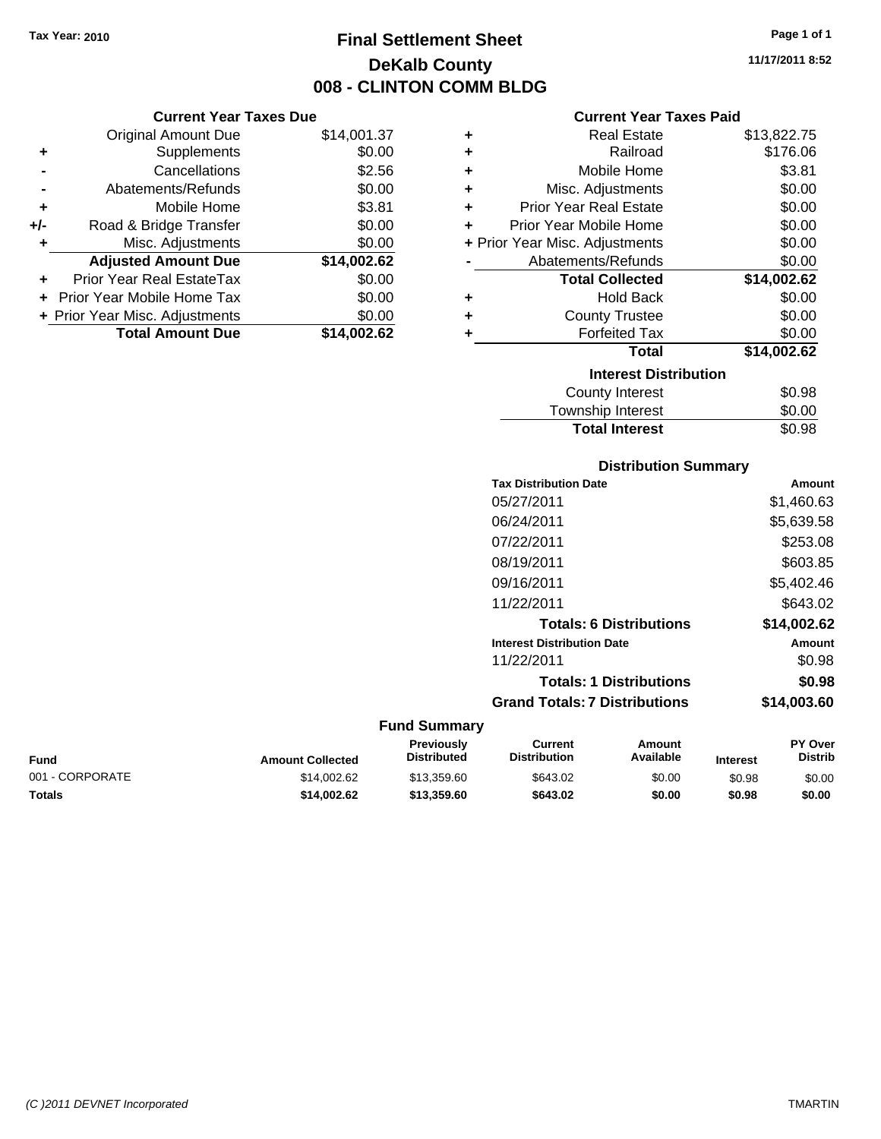**Current Year Taxes Due** Original Amount Due \$14,001.37

**Adjusted Amount Due \$14,002.62**

**Total Amount Due \$14,002.62**

**+** Supplements \$0.00 **-** Cancellations \$2.56 **-** Abatements/Refunds \$0.00 **+** Mobile Home \$3.81 **+/-** Road & Bridge Transfer \$0.00 **+** Misc. Adjustments \$0.00

**+** Prior Year Real EstateTax \$0.00 **+** Prior Year Mobile Home Tax \$0.00 **+ Prior Year Misc. Adjustments**  $$0.00$ 

## **Final Settlement Sheet Tax Year: 2010 Page 1 of 1 DeKalb County 008 - CLINTON COMM BLDG**

**11/17/2011 8:52**

| <b>Current Year Taxes Paid</b> |  |  |  |
|--------------------------------|--|--|--|
|--------------------------------|--|--|--|

| ٠ | <b>Real Estate</b>                 | \$13,822.75 |
|---|------------------------------------|-------------|
|   | Railroad<br>٠                      | \$176.06    |
|   | Mobile Home<br>٠                   | \$3.81      |
|   | Misc. Adjustments<br>٠             | \$0.00      |
|   | <b>Prior Year Real Estate</b><br>٠ | \$0.00      |
| ÷ | Prior Year Mobile Home             | \$0.00      |
|   | + Prior Year Misc. Adjustments     | \$0.00      |
|   | Abatements/Refunds                 | \$0.00      |
|   | <b>Total Collected</b>             | \$14,002.62 |
| ٠ | <b>Hold Back</b>                   | \$0.00      |
|   | <b>County Trustee</b><br>٠         | \$0.00      |
| ٠ | <b>Forfeited Tax</b>               | \$0.00      |
|   | <b>Total</b>                       | \$14,002.62 |
|   | <b>Interest Distribution</b>       |             |
|   | <b>County Interest</b>             | \$0.98      |
|   | Township Interact                  | ድስ ሰስ       |

## County Interest  $$0.98$ Township Interest  $$0.00$ **Total Interest** \$0.98

#### **Distribution Summary**

| <b>Tax Distribution Date</b>         | Amount      |
|--------------------------------------|-------------|
| 05/27/2011                           | \$1,460.63  |
| 06/24/2011                           | \$5,639.58  |
| 07/22/2011                           | \$253.08    |
| 08/19/2011                           | \$603.85    |
| 09/16/2011                           | \$5,402.46  |
| 11/22/2011                           | \$643.02    |
| <b>Totals: 6 Distributions</b>       | \$14,002.62 |
| <b>Interest Distribution Date</b>    | Amount      |
| 11/22/2011                           | \$0.98      |
| <b>Totals: 1 Distributions</b>       | \$0.98      |
| <b>Grand Totals: 7 Distributions</b> | \$14,003,60 |
|                                      |             |

| <b>Fund</b>     | <b>Amount Collected</b> | Previously<br><b>Distributed</b> | Current<br><b>Distribution</b> | Amount<br>Available | <b>Interest</b> | <b>PY Over</b><br><b>Distrib</b> |
|-----------------|-------------------------|----------------------------------|--------------------------------|---------------------|-----------------|----------------------------------|
| 001 - CORPORATE | \$14,002.62             | \$13.359.60                      | \$643.02                       | \$0.00              | \$0.98          | \$0.00                           |
| Totals          | \$14.002.62             | \$13,359.60                      | \$643.02                       | \$0.00              | \$0.98          | \$0.00                           |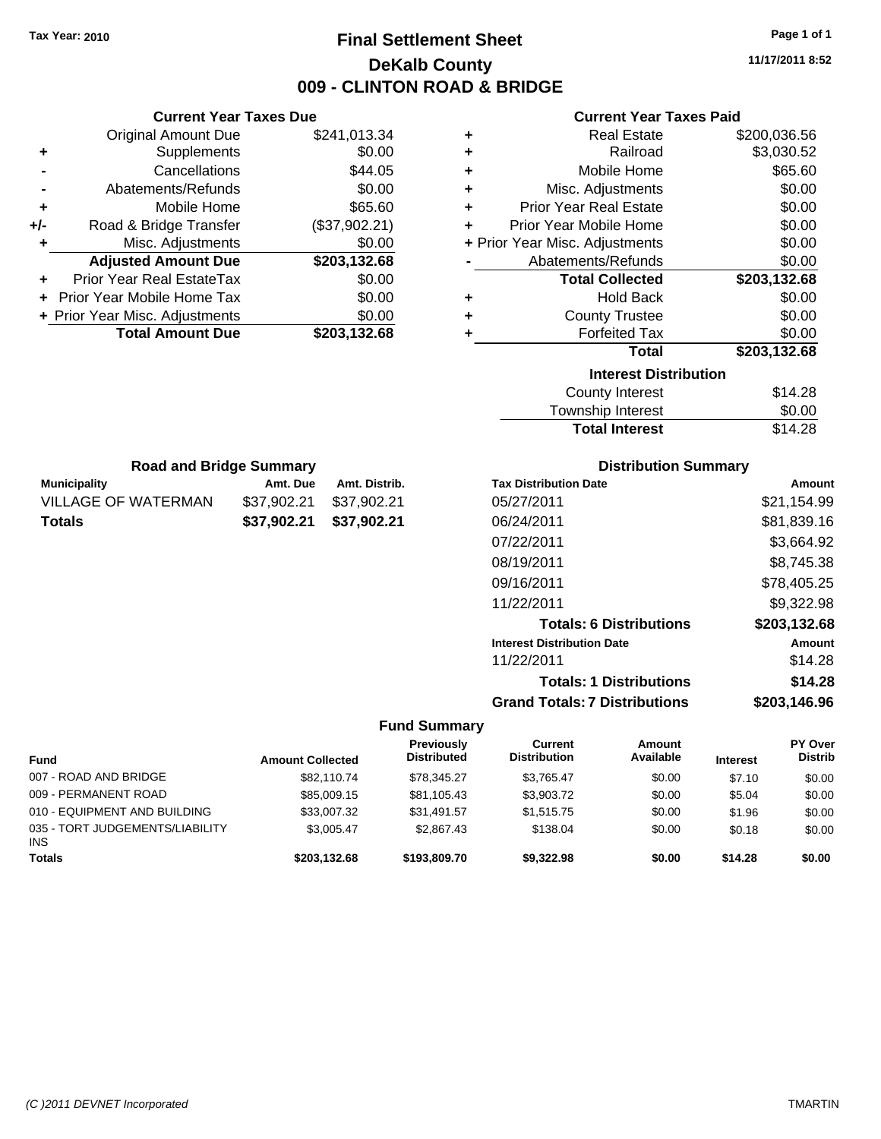## **Final Settlement Sheet Tax Year: 2010 Page 1 of 1 DeKalb County 009 - CLINTON ROAD & BRIDGE**

**11/17/2011 8:52**

#### **Current Year Taxes Paid**

|     | <b>Current Year Taxes Due</b>  |               |
|-----|--------------------------------|---------------|
|     | <b>Original Amount Due</b>     | \$241,013.34  |
| ٠   | Supplements                    | \$0.00        |
|     | Cancellations                  | \$44.05       |
|     | Abatements/Refunds             | \$0.00        |
| ٠   | Mobile Home                    | \$65.60       |
| +/- | Road & Bridge Transfer         | (\$37,902.21) |
| ٠   | Misc. Adjustments              | \$0.00        |
|     | <b>Adjusted Amount Due</b>     | \$203,132.68  |
|     | Prior Year Real EstateTax      | \$0.00        |
|     | Prior Year Mobile Home Tax     | \$0.00        |
|     | + Prior Year Misc. Adjustments | \$0.00        |
|     | <b>Total Amount Due</b>        | \$203.132.68  |

**Municipality Municipality** Amt. Due Amt. Distrib. **Road and Bridge Summary**

VILLAGE OF WATERMAN \$37,902.21 \$37,902.21 **Totals \$37,902.21 \$37,902.21**

|   | <b>Real Estate</b>             | \$200,036.56 |
|---|--------------------------------|--------------|
| ÷ | Railroad                       | \$3,030.52   |
| ÷ | Mobile Home                    | \$65.60      |
| ٠ | Misc. Adjustments              | \$0.00       |
| ÷ | <b>Prior Year Real Estate</b>  | \$0.00       |
| ٠ | Prior Year Mobile Home         | \$0.00       |
|   | + Prior Year Misc. Adjustments | \$0.00       |
|   | Abatements/Refunds             | \$0.00       |
|   |                                |              |
|   | <b>Total Collected</b>         | \$203,132.68 |
| ٠ | <b>Hold Back</b>               | \$0.00       |
| ÷ | <b>County Trustee</b>          | \$0.00       |
| ٠ | <b>Forfeited Tax</b>           | \$0.00       |
|   | Total                          | \$203,132.68 |
|   | <b>Interest Distribution</b>   |              |
|   | <b>County Interest</b>         | \$14.28      |

| Township Interest     | \$0.00  |
|-----------------------|---------|
| <b>Total Interest</b> | \$14.28 |

| <b>Distribution Summary</b>          |              |  |  |  |
|--------------------------------------|--------------|--|--|--|
| <b>Tax Distribution Date</b>         | Amount       |  |  |  |
| 05/27/2011                           | \$21,154.99  |  |  |  |
| 06/24/2011                           | \$81,839.16  |  |  |  |
| 07/22/2011                           | \$3,664.92   |  |  |  |
| 08/19/2011                           | \$8,745.38   |  |  |  |
| 09/16/2011                           | \$78,405.25  |  |  |  |
| 11/22/2011                           | \$9,322.98   |  |  |  |
| <b>Totals: 6 Distributions</b>       | \$203,132.68 |  |  |  |
| <b>Interest Distribution Date</b>    | Amount       |  |  |  |
| 11/22/2011                           | \$14.28      |  |  |  |
| <b>Totals: 1 Distributions</b>       | \$14.28      |  |  |  |
| <b>Grand Totals: 7 Distributions</b> | \$203,146.96 |  |  |  |

| <b>Fund</b>                                   | <b>Amount Collected</b> | Previously<br><b>Distributed</b> | Current<br><b>Distribution</b> | Amount<br>Available | <b>Interest</b> | <b>PY Over</b><br><b>Distrib</b> |
|-----------------------------------------------|-------------------------|----------------------------------|--------------------------------|---------------------|-----------------|----------------------------------|
| 007 - ROAD AND BRIDGE                         | \$82,110.74             | \$78,345.27                      | \$3.765.47                     | \$0.00              | \$7.10          | \$0.00                           |
| 009 - PERMANENT ROAD                          | \$85,009.15             | \$81,105.43                      | \$3,903.72                     | \$0.00              | \$5.04          | \$0.00                           |
| 010 - EQUIPMENT AND BUILDING                  | \$33,007.32             | \$31.491.57                      | \$1,515.75                     | \$0.00              | \$1.96          | \$0.00                           |
| 035 - TORT JUDGEMENTS/LIABILITY<br><b>INS</b> | \$3.005.47              | \$2,867.43                       | \$138.04                       | \$0.00              | \$0.18          | \$0.00                           |
| <b>Totals</b>                                 | \$203.132.68            | \$193,809,70                     | \$9,322.98                     | \$0.00              | \$14.28         | \$0.00                           |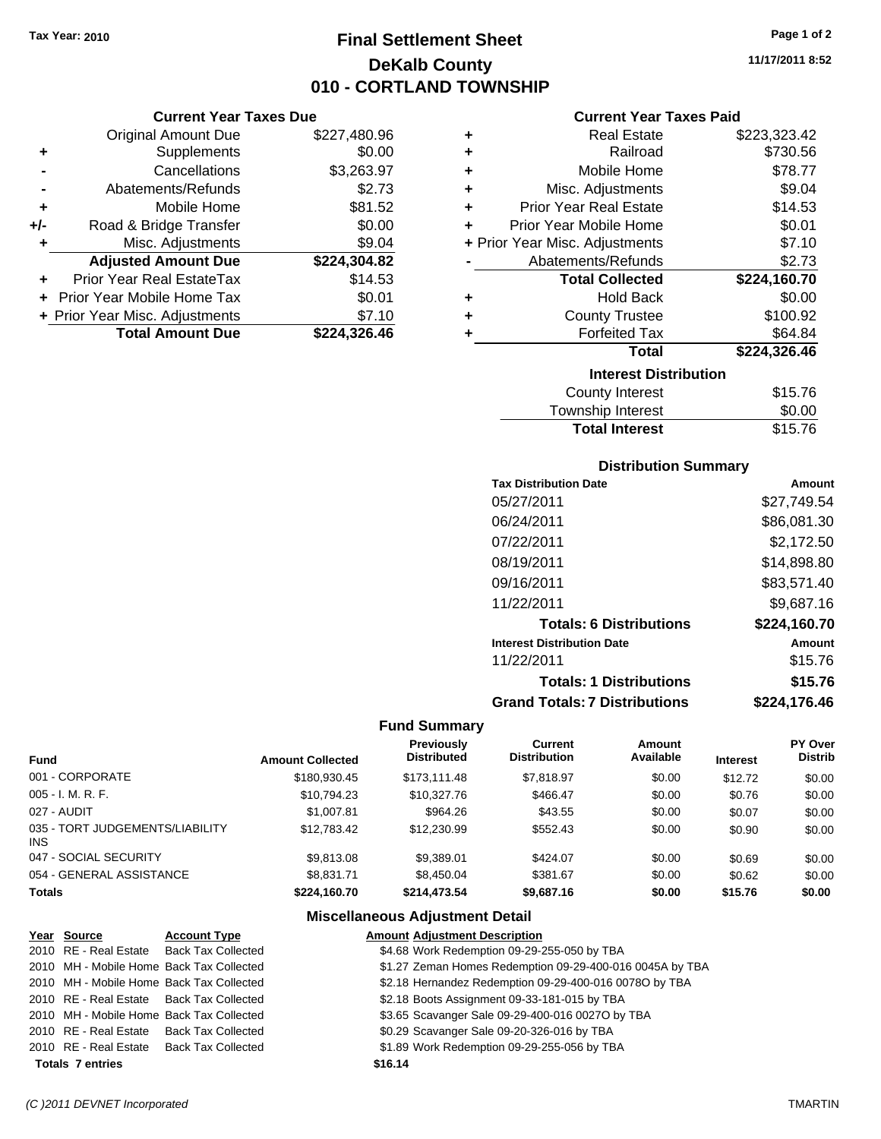## **Final Settlement Sheet Tax Year: 2010 Page 1 of 2 DeKalb County 010 - CORTLAND TOWNSHIP**

#### **Current Year Taxes Due**

|       | <b>Original Amount Due</b>     | \$227,480.96 |
|-------|--------------------------------|--------------|
| ٠     | Supplements                    | \$0.00       |
|       | Cancellations                  | \$3,263.97   |
|       | Abatements/Refunds             | \$2.73       |
| ÷     | Mobile Home                    | \$81.52      |
| $+/-$ | Road & Bridge Transfer         | \$0.00       |
| ٠     | Misc. Adjustments              | \$9.04       |
|       | <b>Adjusted Amount Due</b>     | \$224,304.82 |
|       | Prior Year Real EstateTax      | \$14.53      |
|       | Prior Year Mobile Home Tax     | \$0.01       |
|       | + Prior Year Misc. Adjustments | \$7.10       |
|       | <b>Total Amount Due</b>        | \$224.326.46 |

#### **Current Year Taxes Paid**

| ٠ | <b>Real Estate</b>             | \$223,323.42 |
|---|--------------------------------|--------------|
| ÷ | Railroad                       | \$730.56     |
| ÷ | Mobile Home                    | \$78.77      |
| ٠ | Misc. Adjustments              | \$9.04       |
| ÷ | <b>Prior Year Real Estate</b>  | \$14.53      |
| ٠ | Prior Year Mobile Home         | \$0.01       |
|   | + Prior Year Misc. Adjustments | \$7.10       |
|   | Abatements/Refunds             | \$2.73       |
|   | <b>Total Collected</b>         | \$224,160.70 |
| ٠ | <b>Hold Back</b>               | \$0.00       |
| ٠ | <b>County Trustee</b>          | \$100.92     |
| ٠ | <b>Forfeited Tax</b>           | \$64.84      |
|   | Total                          | \$224,326.46 |
|   |                                |              |
|   | <b>Interest Distribution</b>   |              |
|   | <b>County Interest</b>         | \$15.76      |

## Township Interest \$0.00 **Total Interest**

#### **Distribution Summary**

| <b>Tax Distribution Date</b>         | Amount       |
|--------------------------------------|--------------|
| 05/27/2011                           | \$27,749.54  |
| 06/24/2011                           | \$86,081.30  |
| 07/22/2011                           | \$2.172.50   |
| 08/19/2011                           | \$14,898.80  |
| 09/16/2011                           | \$83,571.40  |
| 11/22/2011                           | \$9,687.16   |
| <b>Totals: 6 Distributions</b>       | \$224,160.70 |
| <b>Interest Distribution Date</b>    | Amount       |
| 11/22/2011                           | \$15.76      |
| <b>Totals: 1 Distributions</b>       | \$15.76      |
| <b>Grand Totals: 7 Distributions</b> | \$224.176.46 |

#### **Fund Summary**

|                                         |                         | <b>Previously</b>  | Current             | Amount    |                 | PY Over        |
|-----------------------------------------|-------------------------|--------------------|---------------------|-----------|-----------------|----------------|
| <b>Fund</b>                             | <b>Amount Collected</b> | <b>Distributed</b> | <b>Distribution</b> | Available | <b>Interest</b> | <b>Distrib</b> |
| 001 - CORPORATE                         | \$180,930.45            | \$173.111.48       | \$7,818.97          | \$0.00    | \$12.72         | \$0.00         |
| 005 - I. M. R. F.                       | \$10,794.23             | \$10,327.76        | \$466.47            | \$0.00    | \$0.76          | \$0.00         |
| 027 - AUDIT                             | \$1,007.81              | \$964.26           | \$43.55             | \$0.00    | \$0.07          | \$0.00         |
| 035 - TORT JUDGEMENTS/LIABILITY<br>INS. | \$12,783,42             | \$12,230.99        | \$552.43            | \$0.00    | \$0.90          | \$0.00         |
| 047 - SOCIAL SECURITY                   | \$9,813,08              | \$9.389.01         | \$424.07            | \$0.00    | \$0.69          | \$0.00         |
| 054 - GENERAL ASSISTANCE                | \$8,831.71              | \$8,450.04         | \$381.67            | \$0.00    | \$0.62          | \$0.00         |
| <b>Totals</b>                           | \$224.160.70            | \$214.473.54       | \$9,687.16          | \$0.00    | \$15.76         | \$0.00         |

#### **Miscellaneous Adjustment Detail**

| Year Source             | <b>Account Type</b>                      | <b>Amount Adjustment Description</b>                     |
|-------------------------|------------------------------------------|----------------------------------------------------------|
|                         | 2010 RE - Real Estate Back Tax Collected | \$4.68 Work Redemption 09-29-255-050 by TBA              |
|                         | 2010 MH - Mobile Home Back Tax Collected | \$1.27 Zeman Homes Redemption 09-29-400-016 0045A by TBA |
|                         | 2010 MH - Mobile Home Back Tax Collected | \$2.18 Hernandez Redemption 09-29-400-016 00780 by TBA   |
|                         | 2010 RE - Real Estate Back Tax Collected | \$2.18 Boots Assignment 09-33-181-015 by TBA             |
|                         | 2010 MH - Mobile Home Back Tax Collected | \$3.65 Scavanger Sale 09-29-400-016 0027O by TBA         |
|                         | 2010 RE - Real Estate Back Tax Collected | \$0.29 Scavanger Sale 09-20-326-016 by TBA               |
|                         | 2010 RE - Real Estate Back Tax Collected | \$1.89 Work Redemption 09-29-255-056 by TBA              |
| <b>Totals 7 entries</b> |                                          | \$16.14                                                  |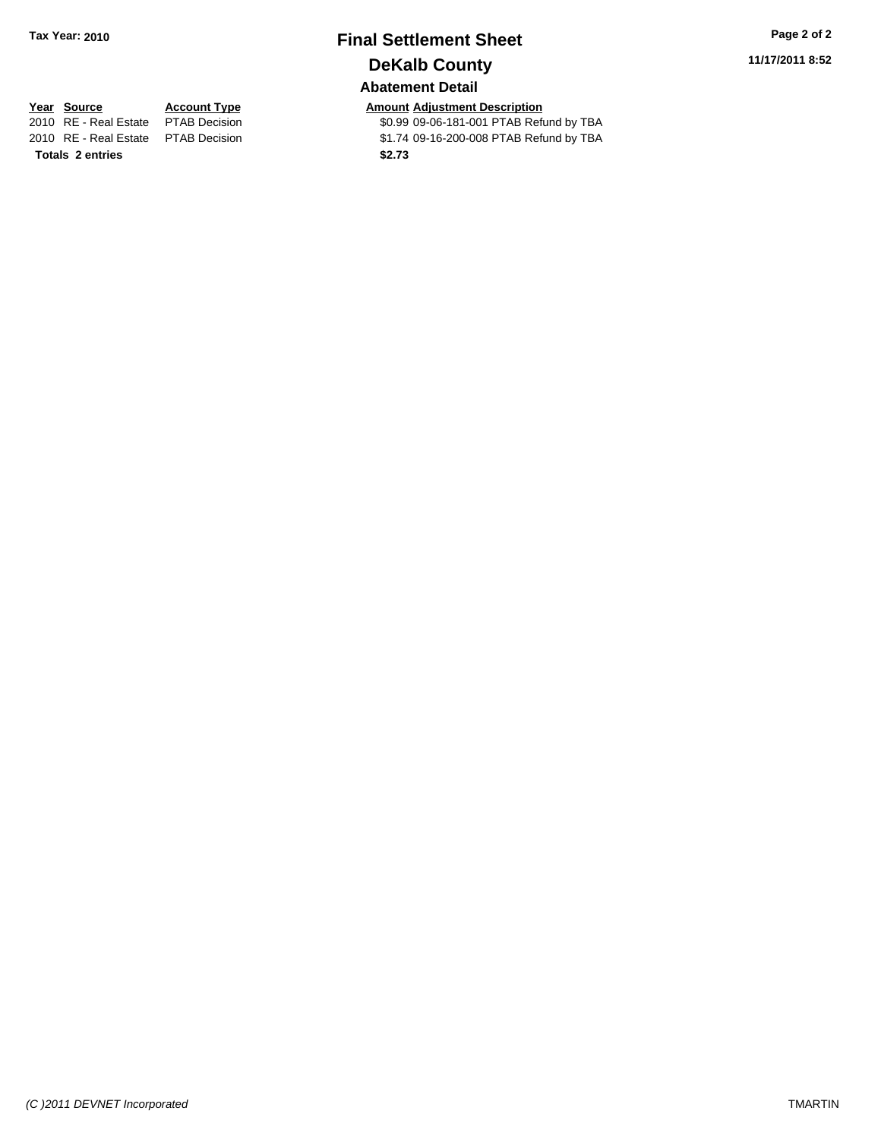## **Final Settlement Sheet Tax Year: 2010 Page 2 of 2 DeKalb County Abatement Detail**

**11/17/2011 8:52**

**Totals \$2.73 2 entries**

**Year Source Account Type Amount Adjustment Description**<br>2010 RE - Real Estate PTAB Decision **Amount COM** \$0.99 09-06-181-001 PTAB Refu \$0.99 09-06-181-001 PTAB Refund by TBA 2010 RE - Real Estate \$1.74 09-16-200-008 PTAB Refund by TBA PTAB Decision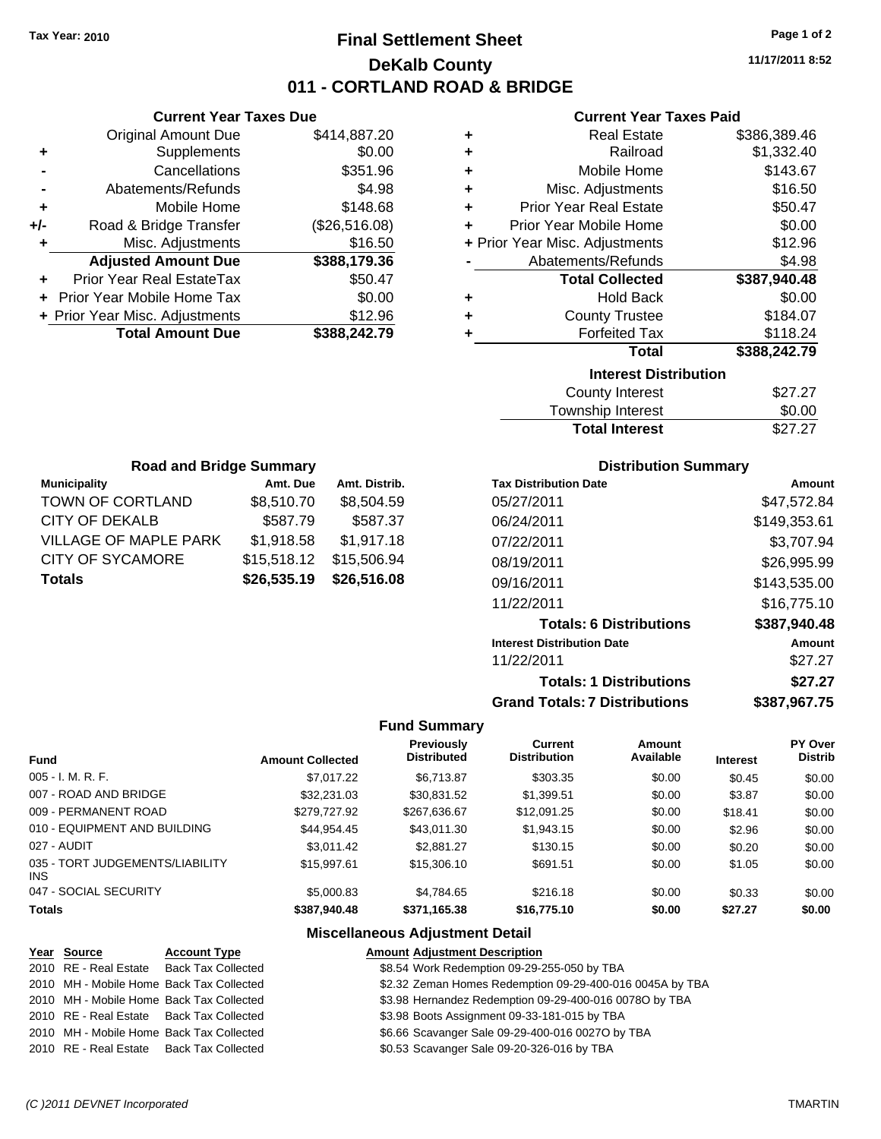## **Final Settlement Sheet Tax Year: 2010 Page 1 of 2 DeKalb County 011 - CORTLAND ROAD & BRIDGE**

**11/17/2011 8:52**

#### **Current Year Taxes Paid**

|     | <b>Current Year Taxes Due</b>  |               |
|-----|--------------------------------|---------------|
|     | <b>Original Amount Due</b>     | \$414,887.20  |
| ٠   | Supplements                    | \$0.00        |
|     | Cancellations                  | \$351.96      |
|     | Abatements/Refunds             | \$4.98        |
| ٠   | Mobile Home                    | \$148.68      |
| +/- | Road & Bridge Transfer         | (\$26,516.08) |
| ٠   | Misc. Adjustments              | \$16.50       |
|     | <b>Adjusted Amount Due</b>     | \$388,179.36  |
|     | Prior Year Real EstateTax      | \$50.47       |
|     | Prior Year Mobile Home Tax     | \$0.00        |
|     | + Prior Year Misc. Adjustments | \$12.96       |
|     | <b>Total Amount Due</b>        | \$388,242.79  |
|     |                                |               |

| ٠ | <b>Real Estate</b>             | \$386,389.46 |
|---|--------------------------------|--------------|
| ÷ | Railroad                       | \$1,332.40   |
| ٠ | Mobile Home                    | \$143.67     |
| ٠ | Misc. Adjustments              | \$16.50      |
| ÷ | <b>Prior Year Real Estate</b>  | \$50.47      |
| ٠ | Prior Year Mobile Home         | \$0.00       |
|   | + Prior Year Misc. Adjustments | \$12.96      |
|   | Abatements/Refunds             | \$4.98       |
|   | <b>Total Collected</b>         | \$387,940.48 |
|   |                                |              |
| ٠ | <b>Hold Back</b>               | \$0.00       |
| ٠ | <b>County Trustee</b>          | \$184.07     |
| ٠ | <b>Forfeited Tax</b>           | \$118.24     |
|   | <b>Total</b>                   | \$388,242.79 |
|   | <b>Interest Distribution</b>   |              |
|   | <b>County Interest</b>         | \$27.27      |

| <b>Total Interest</b> | \$27.27 |
|-----------------------|---------|
| Township Interest     | \$0.00  |
| County Interest       | \$27.27 |

| <b>Road and Bridge Summary</b> |             |               |  |  |
|--------------------------------|-------------|---------------|--|--|
| <b>Municipality</b>            | Amt. Due    | Amt. Distrib. |  |  |
| TOWN OF CORTLAND               | \$8,510.70  | \$8,504.59    |  |  |
| <b>CITY OF DEKALB</b>          | \$587.79    | \$587.37      |  |  |
| <b>VILLAGE OF MAPLE PARK</b>   | \$1,918.58  | \$1,917.18    |  |  |
| <b>CITY OF SYCAMORE</b>        | \$15,518.12 | \$15,506.94   |  |  |
| <b>Totals</b>                  | \$26,535.19 | \$26,516.08   |  |  |

#### **Distribution Summary**

| <b>Tax Distribution Date</b>         | Amount       |
|--------------------------------------|--------------|
| 05/27/2011                           | \$47,572.84  |
| 06/24/2011                           | \$149,353.61 |
| 07/22/2011                           | \$3,707.94   |
| 08/19/2011                           | \$26,995.99  |
| 09/16/2011                           | \$143,535.00 |
| 11/22/2011                           | \$16.775.10  |
| <b>Totals: 6 Distributions</b>       | \$387,940.48 |
| <b>Interest Distribution Date</b>    | Amount       |
| 11/22/2011                           | \$27.27      |
| <b>Totals: 1 Distributions</b>       | \$27.27      |
| <b>Grand Totals: 7 Distributions</b> | \$387,967.75 |

#### **Fund Summary**

| <b>Fund</b>                             | <b>Amount Collected</b> | <b>Previously</b><br><b>Distributed</b> | Current<br><b>Distribution</b> | Amount<br>Available | <b>Interest</b> | PY Over<br><b>Distrib</b> |
|-----------------------------------------|-------------------------|-----------------------------------------|--------------------------------|---------------------|-----------------|---------------------------|
| 005 - I. M. R. F.                       |                         |                                         |                                |                     |                 |                           |
|                                         | \$7,017.22              | \$6,713.87                              | \$303.35                       | \$0.00              | \$0.45          | \$0.00                    |
| 007 - ROAD AND BRIDGE                   | \$32,231,03             | \$30,831.52                             | \$1,399.51                     | \$0.00              | \$3.87          | \$0.00                    |
| 009 - PERMANENT ROAD                    | \$279,727.92            | \$267,636.67                            | \$12,091.25                    | \$0.00              | \$18.41         | \$0.00                    |
| 010 - EQUIPMENT AND BUILDING            | \$44.954.45             | \$43,011.30                             | \$1,943.15                     | \$0.00              | \$2.96          | \$0.00                    |
| 027 - AUDIT                             | \$3.011.42              | \$2,881.27                              | \$130.15                       | \$0.00              | \$0.20          | \$0.00                    |
| 035 - TORT JUDGEMENTS/LIABILITY<br>INS. | \$15,997.61             | \$15,306.10                             | \$691.51                       | \$0.00              | \$1.05          | \$0.00                    |
| 047 - SOCIAL SECURITY                   | \$5,000.83              | \$4.784.65                              | \$216.18                       | \$0.00              | \$0.33          | \$0.00                    |
| <b>Totals</b>                           | \$387.940.48            | \$371.165.38                            | \$16,775.10                    | \$0.00              | \$27.27         | \$0.00                    |

#### **Miscellaneous Adjustment Detail**

#### **Year Source Account Type Amount Adjustment Description** 2010 RE - Real Estate Back Tax Collected \$8.54 Work Redemption 09-29-255-050 by TBA 2010 MH - Mobile Home Back Tax Collected \$2.32 Zeman Homes Redemption 09-29-400-016 0045A by TBA 2010 MH - Mobile Home Back Tax Collected \$3.98 Hernandez Redemption 09-29-400-016 0078O by TBA 2010 RE - Real Estate Back Tax Collected \$3.98 Boots Assignment 09-33-181-015 by TBA 2010 MH - Mobile Home Back Tax Collected \$6.66 Scavanger Sale 09-29-400-016 0027O by TBA 2010 RE - Real Estate Back Tax Collected \$0.53 Scavanger Sale 09-20-326-016 by TBA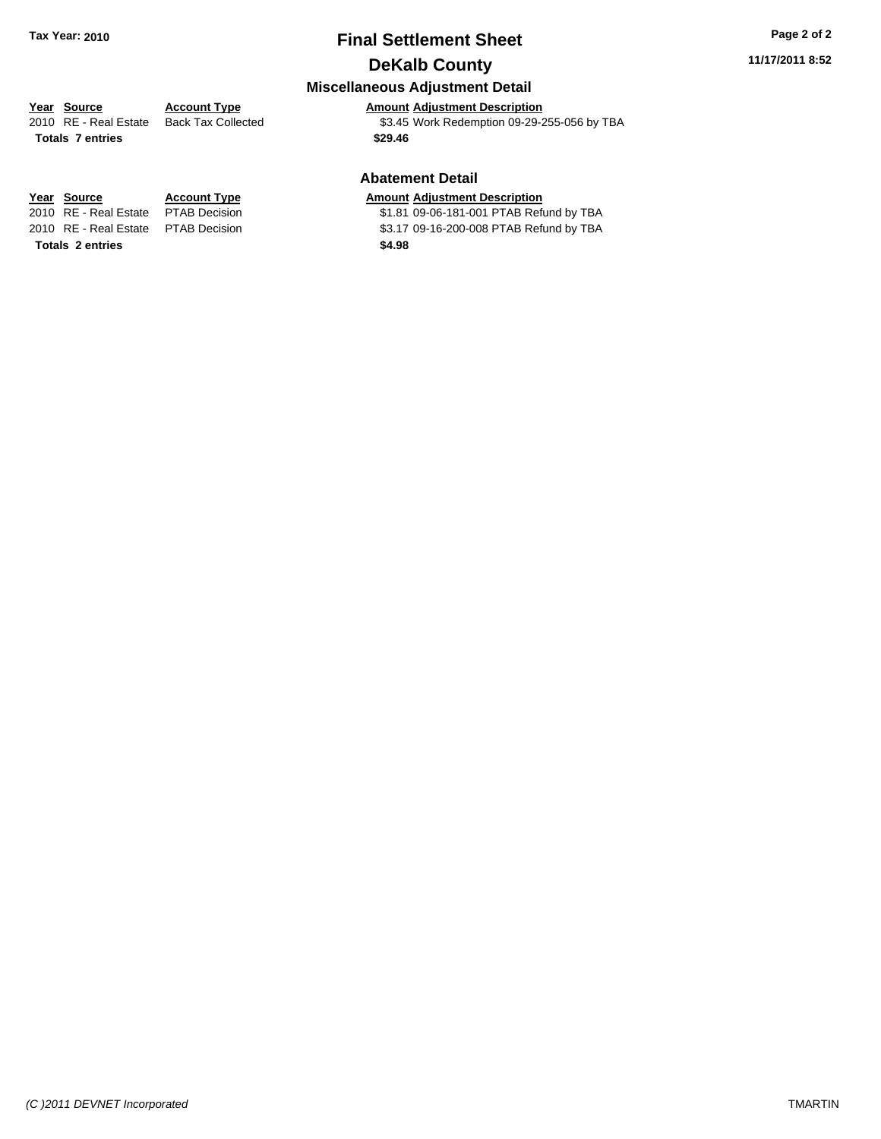## **Final Settlement Sheet Tax Year: 2010 Page 2 of 2 DeKalb County**

## **Miscellaneous Adjustment Detail**

## **Year Source Account Type Amount Adjustment Description**

2010 RE - Real Estate Back Tax Collected \$3.45 Work Redemption 09-29-255-056 by TBA **Totals \$29.46 7 entries**

#### **Abatement Detail**

#### **Year Source Account Type Amount Adjustment Description**

2010 RE - Real Estate \$1.81 09-06-181-001 PTAB Refund by TBA PTAB Decision 2010 RE - Real Estate \$3.17 09-16-200-008 PTAB Refund by TBA PTAB Decision

**Totals \$4.98 2 entries**

*(C )2011 DEVNET Incorporated* TMARTIN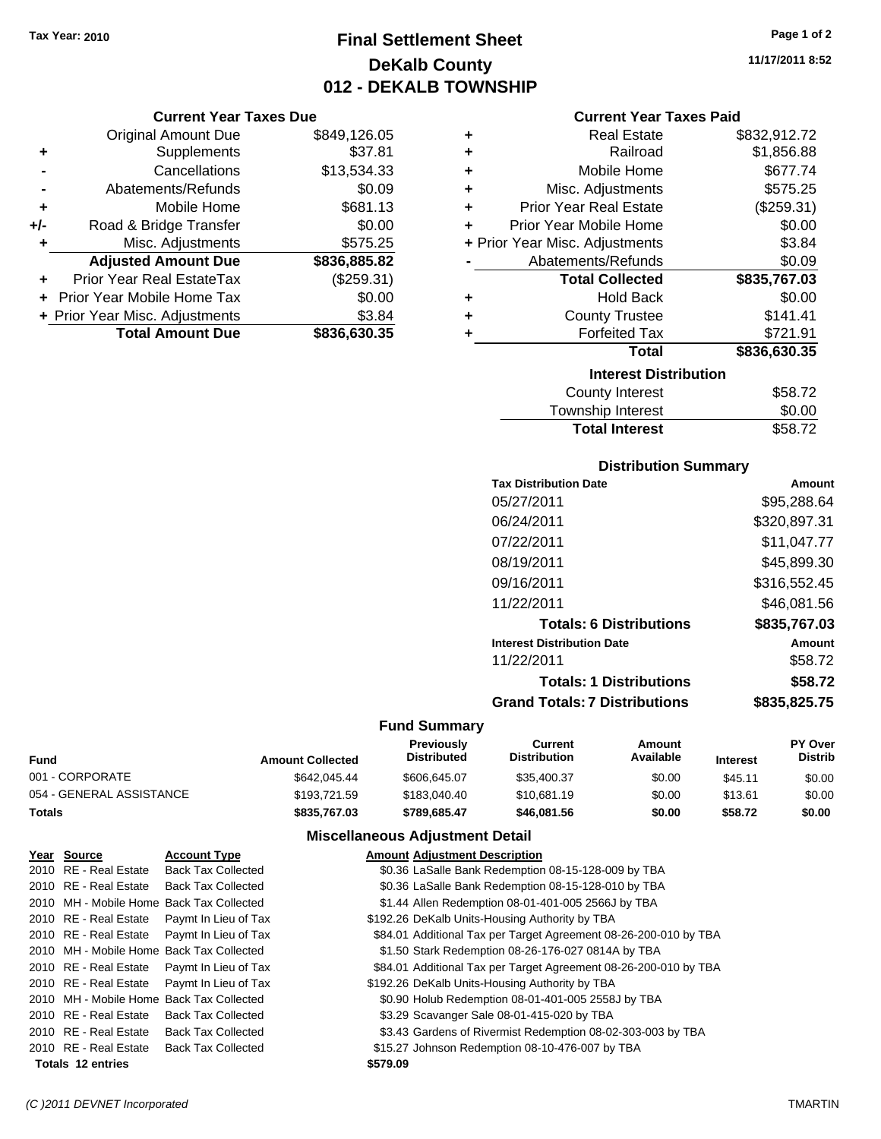## **Final Settlement Sheet Tax Year: 2010 Page 1 of 2 DeKalb County 012 - DEKALB TOWNSHIP**

#### **Current Year Taxes Due**

|     | <b>Original Amount Due</b>       | \$849,126.05 |
|-----|----------------------------------|--------------|
| ٠   | Supplements                      | \$37.81      |
|     | Cancellations                    | \$13,534.33  |
|     | Abatements/Refunds               | \$0.09       |
| ÷   | Mobile Home                      | \$681.13     |
| +/- | Road & Bridge Transfer           | \$0.00       |
| ٠   | Misc. Adjustments                | \$575.25     |
|     | <b>Adjusted Amount Due</b>       | \$836,885.82 |
|     | <b>Prior Year Real EstateTax</b> | (\$259.31)   |
|     | Prior Year Mobile Home Tax       | \$0.00       |
|     | + Prior Year Misc. Adjustments   | \$3.84       |
|     | <b>Total Amount Due</b>          | \$836,630.35 |

| ÷ | <b>Real Estate</b>             | \$832,912.72 |
|---|--------------------------------|--------------|
| ٠ | Railroad                       | \$1,856.88   |
| ٠ | Mobile Home                    | \$677.74     |
| ٠ | Misc. Adjustments              | \$575.25     |
| ٠ | <b>Prior Year Real Estate</b>  | (\$259.31)   |
| ÷ | Prior Year Mobile Home         | \$0.00       |
|   | + Prior Year Misc. Adjustments | \$3.84       |
|   | Abatements/Refunds             | \$0.09       |
|   | <b>Total Collected</b>         | \$835,767.03 |
| ÷ | <b>Hold Back</b>               | \$0.00       |
|   | <b>County Trustee</b>          | \$141.41     |
| ٠ | <b>Forfeited Tax</b>           | \$721.91     |
|   | Total                          | \$836,630.35 |
|   | <b>Interest Distribution</b>   |              |
|   | <b>County Interest</b>         | \$58.72      |

| <b>Total Interest</b> | \$58.72 |
|-----------------------|---------|
| Township Interest     | \$0.00  |
| County Interest       | \$58.72 |

#### **Distribution Summary**

| <b>Tax Distribution Date</b>         | Amount       |
|--------------------------------------|--------------|
| 05/27/2011                           | \$95,288.64  |
| 06/24/2011                           | \$320,897.31 |
| 07/22/2011                           | \$11.047.77  |
| 08/19/2011                           | \$45,899.30  |
| 09/16/2011                           | \$316,552.45 |
| 11/22/2011                           | \$46.081.56  |
| <b>Totals: 6 Distributions</b>       | \$835,767.03 |
| <b>Interest Distribution Date</b>    | Amount       |
| 11/22/2011                           | \$58.72      |
| <b>Totals: 1 Distributions</b>       | \$58.72      |
| <b>Grand Totals: 7 Distributions</b> | \$835,825.75 |
|                                      |              |

#### **Fund Summary**

| Fund                     | <b>Amount Collected</b> | <b>Previously</b><br><b>Distributed</b> | Current<br>Distribution | Amount<br>Available | <b>Interest</b> | <b>PY Over</b><br><b>Distrib</b> |
|--------------------------|-------------------------|-----------------------------------------|-------------------------|---------------------|-----------------|----------------------------------|
| 001 - CORPORATE          | \$642,045.44            | \$606,645,07                            | \$35,400.37             | \$0.00              | \$45.11         | \$0.00                           |
| 054 - GENERAL ASSISTANCE | \$193.721.59            | \$183,040.40                            | \$10,681.19             | \$0.00              | \$13.61         | \$0.00                           |
| Totals                   | \$835,767.03            | \$789.685.47                            | \$46,081.56             | \$0.00              | \$58.72         | \$0.00                           |

#### **Miscellaneous Adjustment Detail**

| Year Source              | <b>Account Type</b>                        | <b>Amount Adjustment Description</b>                             |
|--------------------------|--------------------------------------------|------------------------------------------------------------------|
| 2010 RE - Real Estate    | <b>Back Tax Collected</b>                  | \$0.36 LaSalle Bank Redemption 08-15-128-009 by TBA              |
| 2010 RE - Real Estate    | <b>Back Tax Collected</b>                  | \$0.36 LaSalle Bank Redemption 08-15-128-010 by TBA              |
|                          | 2010 MH - Mobile Home Back Tax Collected   | \$1.44 Allen Redemption 08-01-401-005 2566J by TBA               |
| 2010 RE - Real Estate    | Paymt In Lieu of Tax                       | \$192.26 DeKalb Units-Housing Authority by TBA                   |
|                          | 2010 RE - Real Estate Paymt In Lieu of Tax | \$84.01 Additional Tax per Target Agreement 08-26-200-010 by TBA |
|                          | 2010 MH - Mobile Home Back Tax Collected   | \$1.50 Stark Redemption 08-26-176-027 0814A by TBA               |
| 2010 RE - Real Estate    | Paymt In Lieu of Tax                       | \$84.01 Additional Tax per Target Agreement 08-26-200-010 by TBA |
| 2010 RE - Real Estate    | Paymt In Lieu of Tax                       | \$192.26 DeKalb Units-Housing Authority by TBA                   |
|                          | 2010 MH - Mobile Home Back Tax Collected   | \$0.90 Holub Redemption 08-01-401-005 2558J by TBA               |
| 2010 RE - Real Estate    | <b>Back Tax Collected</b>                  | \$3.29 Scavanger Sale 08-01-415-020 by TBA                       |
| 2010 RE - Real Estate    | <b>Back Tax Collected</b>                  | \$3.43 Gardens of Rivermist Redemption 08-02-303-003 by TBA      |
| 2010 RE - Real Estate    | <b>Back Tax Collected</b>                  | \$15.27 Johnson Redemption 08-10-476-007 by TBA                  |
| <b>Totals 12 entries</b> |                                            | \$579.09                                                         |

**11/17/2011 8:52**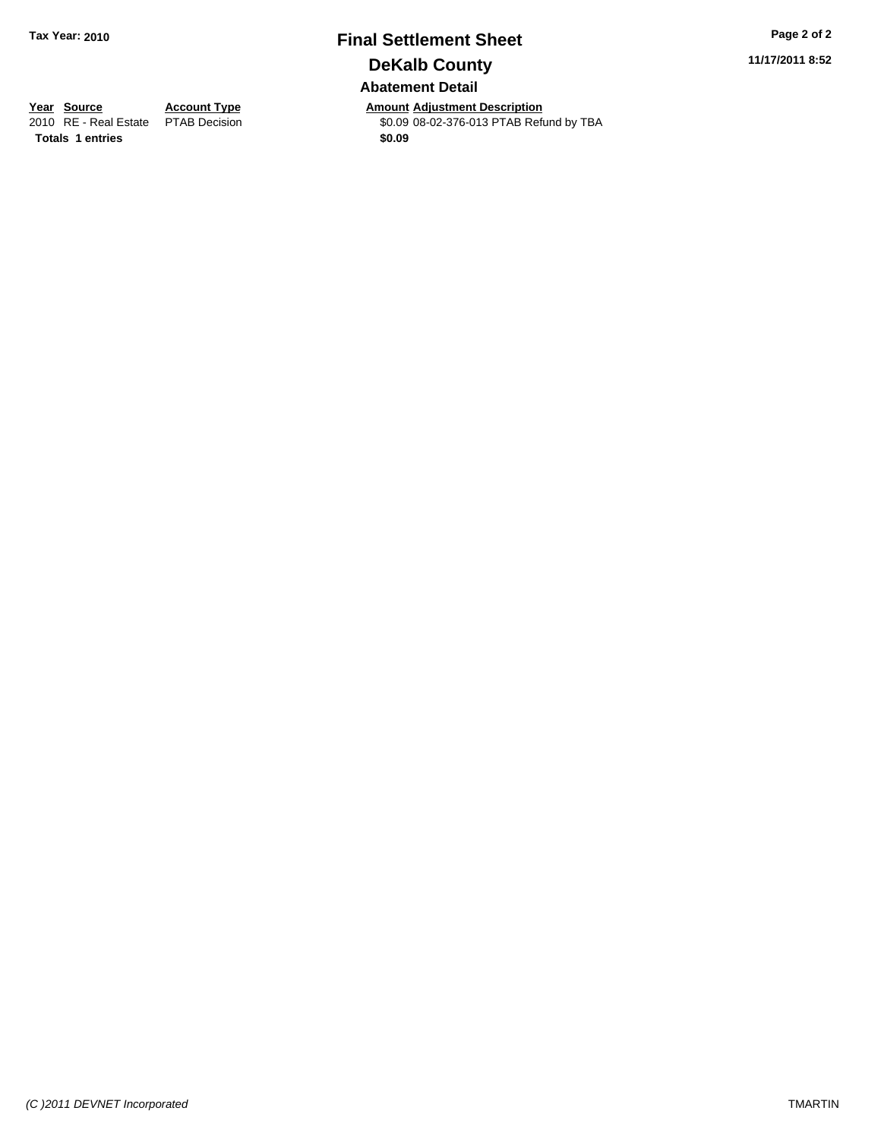## **Final Settlement Sheet Tax Year: 2010 Page 2 of 2 DeKalb County Abatement Detail**

**11/17/2011 8:52**

**Year Source Account Type Amount Adjustment Description**<br>
2010 RE - Real Estate PTAB Decision **Amount COLOGES ADJUSTER** Refu \$0.09 08-02-376-013 PTAB Refund by TBA

**Totals 1 entries** \$0.09

*(C )2011 DEVNET Incorporated* TMARTIN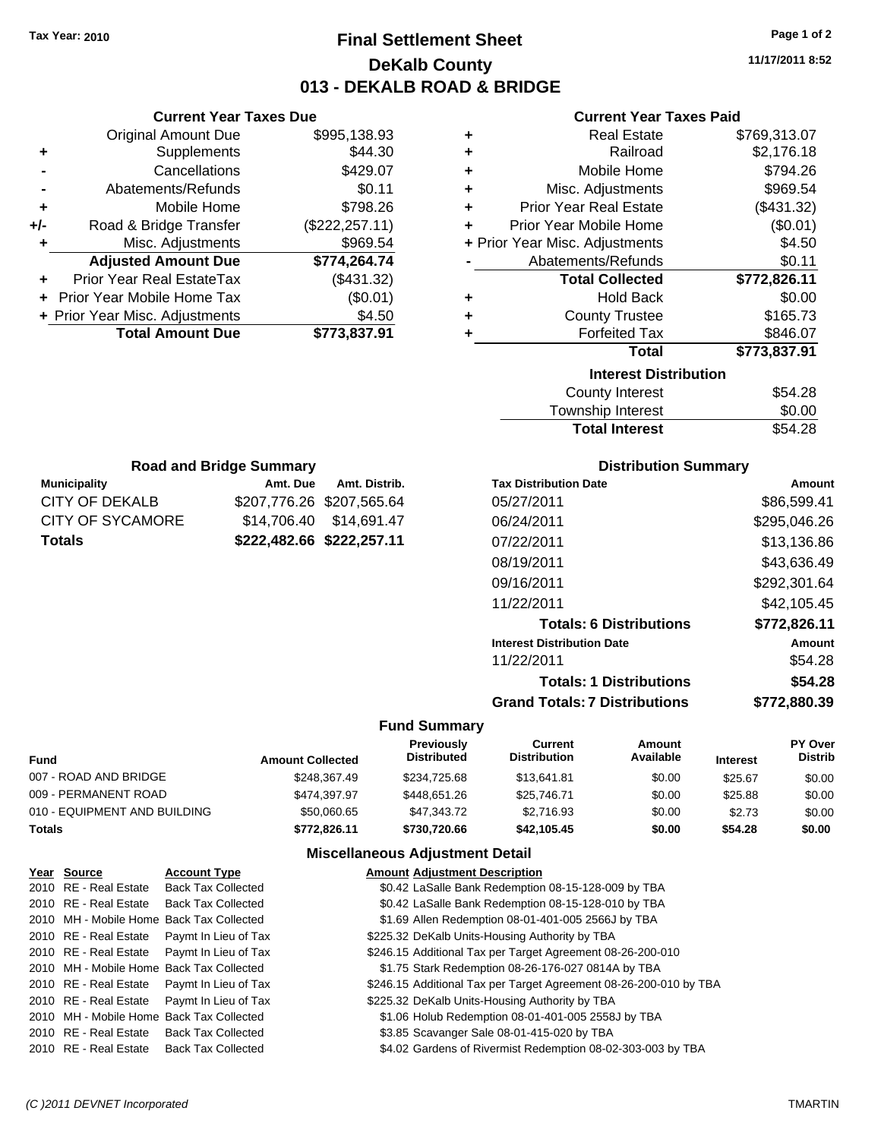## **Final Settlement Sheet Tax Year: 2010 Page 1 of 2 DeKalb County 013 - DEKALB ROAD & BRIDGE**

**11/17/2011 8:52**

#### **Current Year Taxes Paid**

| ٠ | <b>Real Estate</b>             | \$769,313.07 |
|---|--------------------------------|--------------|
| ÷ | Railroad                       | \$2,176.18   |
| ٠ | Mobile Home                    | \$794.26     |
| ÷ | Misc. Adjustments              | \$969.54     |
| ÷ | <b>Prior Year Real Estate</b>  | (\$431.32)   |
| ÷ | Prior Year Mobile Home         | (\$0.01)     |
|   | + Prior Year Misc. Adjustments | \$4.50       |
|   | Abatements/Refunds             | \$0.11       |
|   | <b>Total Collected</b>         | \$772,826.11 |
| ٠ | <b>Hold Back</b>               | \$0.00       |
| ٠ | <b>County Trustee</b>          | \$165.73     |
| ٠ | <b>Forfeited Tax</b>           | \$846.07     |
|   | Total                          | \$773,837.91 |
|   | <b>Interest Distribution</b>   |              |
|   | <b>County Interest</b>         | \$54.28      |
|   | Townehin Interest              | ፍስ ሰስ        |

| <b>Total Interest</b> | \$54.28 |
|-----------------------|---------|
| Township Interest     | \$0.00  |
| County Interest       | \$54.28 |

| <b>Road and Bridge Summary</b> |                           |                           |  |  |  |
|--------------------------------|---------------------------|---------------------------|--|--|--|
| <b>Municipality</b>            | Amt. Due                  | Amt. Distrib.             |  |  |  |
| CITY OF DEKALB                 |                           | \$207,776.26 \$207,565.64 |  |  |  |
| CITY OF SYCAMORE               |                           | \$14,706.40 \$14,691.47   |  |  |  |
| <b>Totals</b>                  | \$222,482.66 \$222,257.11 |                           |  |  |  |

**Current Year Taxes Due** Original Amount Due \$995,138.93

**Adjusted Amount Due \$774,264.74**

**Total Amount Due \$773,837.91**

**+** Supplements \$44.30 **-** Cancellations \$429.07 **-** Abatements/Refunds \$0.11 **+** Mobile Home \$798.26 **+/-** Road & Bridge Transfer (\$222,257.11) **+** Misc. Adjustments \$969.54

**+** Prior Year Real EstateTax (\$431.32) **+** Prior Year Mobile Home Tax (\$0.01) **+ Prior Year Misc. Adjustments \$4.50** 

#### **Distribution Summary**

| <b>Tax Distribution Date</b>         | Amount       |
|--------------------------------------|--------------|
| 05/27/2011                           | \$86,599.41  |
| 06/24/2011                           | \$295,046.26 |
| 07/22/2011                           | \$13.136.86  |
| 08/19/2011                           | \$43,636.49  |
| 09/16/2011                           | \$292,301.64 |
| 11/22/2011                           | \$42.105.45  |
| <b>Totals: 6 Distributions</b>       | \$772,826.11 |
| <b>Interest Distribution Date</b>    | Amount       |
| 11/22/2011                           | \$54.28      |
| <b>Totals: 1 Distributions</b>       | \$54.28      |
| <b>Grand Totals: 7 Distributions</b> | \$772.880.39 |
|                                      |              |

#### **Fund Summary**

| Fund                         | <b>Amount Collected</b> | Previously<br><b>Distributed</b> | Current<br><b>Distribution</b> | Amount<br>Available | <b>Interest</b> | <b>PY Over</b><br><b>Distrib</b> |
|------------------------------|-------------------------|----------------------------------|--------------------------------|---------------------|-----------------|----------------------------------|
| 007 - ROAD AND BRIDGE        | \$248,367.49            | \$234.725.68                     | \$13.641.81                    | \$0.00              | \$25.67         | \$0.00                           |
| 009 - PERMANENT ROAD         | \$474.397.97            | \$448.651.26                     | \$25,746.71                    | \$0.00              | \$25.88         | \$0.00                           |
| 010 - EQUIPMENT AND BUILDING | \$50,060.65             | \$47.343.72                      | \$2,716.93                     | \$0.00              | \$2.73          | \$0.00                           |
| Totals                       | \$772.826.11            | \$730,720.66                     | \$42,105,45                    | \$0.00              | \$54.28         | \$0.00                           |

#### **Miscellaneous Adjustment Detail**

| Year Source           | <b>Account Type</b>                        | <b>Amount Adjustment Description</b>                              |
|-----------------------|--------------------------------------------|-------------------------------------------------------------------|
| 2010 RE - Real Estate | <b>Back Tax Collected</b>                  | \$0.42 LaSalle Bank Redemption 08-15-128-009 by TBA               |
| 2010 RE - Real Estate | <b>Back Tax Collected</b>                  | \$0.42 LaSalle Bank Redemption 08-15-128-010 by TBA               |
|                       | 2010 MH - Mobile Home Back Tax Collected   | \$1.69 Allen Redemption 08-01-401-005 2566J by TBA                |
|                       | 2010 RE - Real Estate Paymt In Lieu of Tax | \$225.32 DeKalb Units-Housing Authority by TBA                    |
|                       | 2010 RE - Real Estate Paymt In Lieu of Tax | \$246.15 Additional Tax per Target Agreement 08-26-200-010        |
|                       | 2010 MH - Mobile Home Back Tax Collected   | \$1.75 Stark Redemption 08-26-176-027 0814A by TBA                |
|                       | 2010 RE - Real Estate Paymt In Lieu of Tax | \$246.15 Additional Tax per Target Agreement 08-26-200-010 by TBA |
|                       | 2010 RE - Real Estate Paymt In Lieu of Tax | \$225.32 DeKalb Units-Housing Authority by TBA                    |
|                       | 2010 MH - Mobile Home Back Tax Collected   | \$1.06 Holub Redemption 08-01-401-005 2558J by TBA                |
|                       | 2010 RE - Real Estate Back Tax Collected   | \$3.85 Scavanger Sale 08-01-415-020 by TBA                        |
|                       | 2010 RE - Real Estate Back Tax Collected   | \$4.02 Gardens of Rivermist Redemption 08-02-303-003 by TBA       |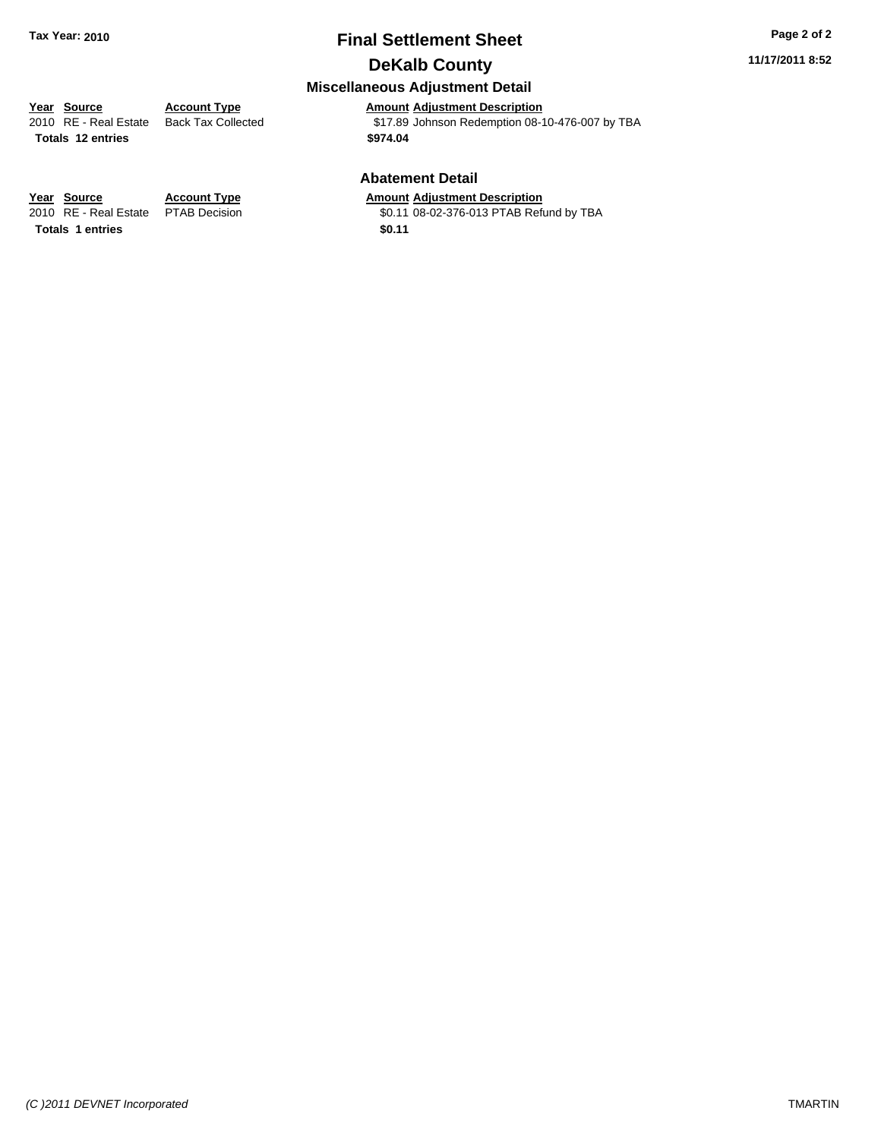## **Final Settlement Sheet Tax Year: 2010 Page 2 of 2 DeKalb County**

#### **11/17/2011 8:52**

## **Miscellaneous Adjustment Detail**

**Year Source Account Type Amount Adjustment Description**<br>
2010 RE - Real Estate Back Tax Collected **Account 1817.89** Johnson Redemption 08-1  $$17.89$  Johnson Redemption 08-10-476-007 by TBA **Totals \$974.04 12 entries**

#### **Abatement Detail**

#### **Account Type Amount Adjustment Description**

PTAB Decision  $$0.11\ 08-02-376-013$  PTAB Refund by TBA

| Year Source                         | <b>Account Type</b> | Amount |
|-------------------------------------|---------------------|--------|
| 2010 RE - Real Estate PTAB Decision |                     | \$0.11 |
| <b>Totals 1 entries</b>             |                     | \$0.11 |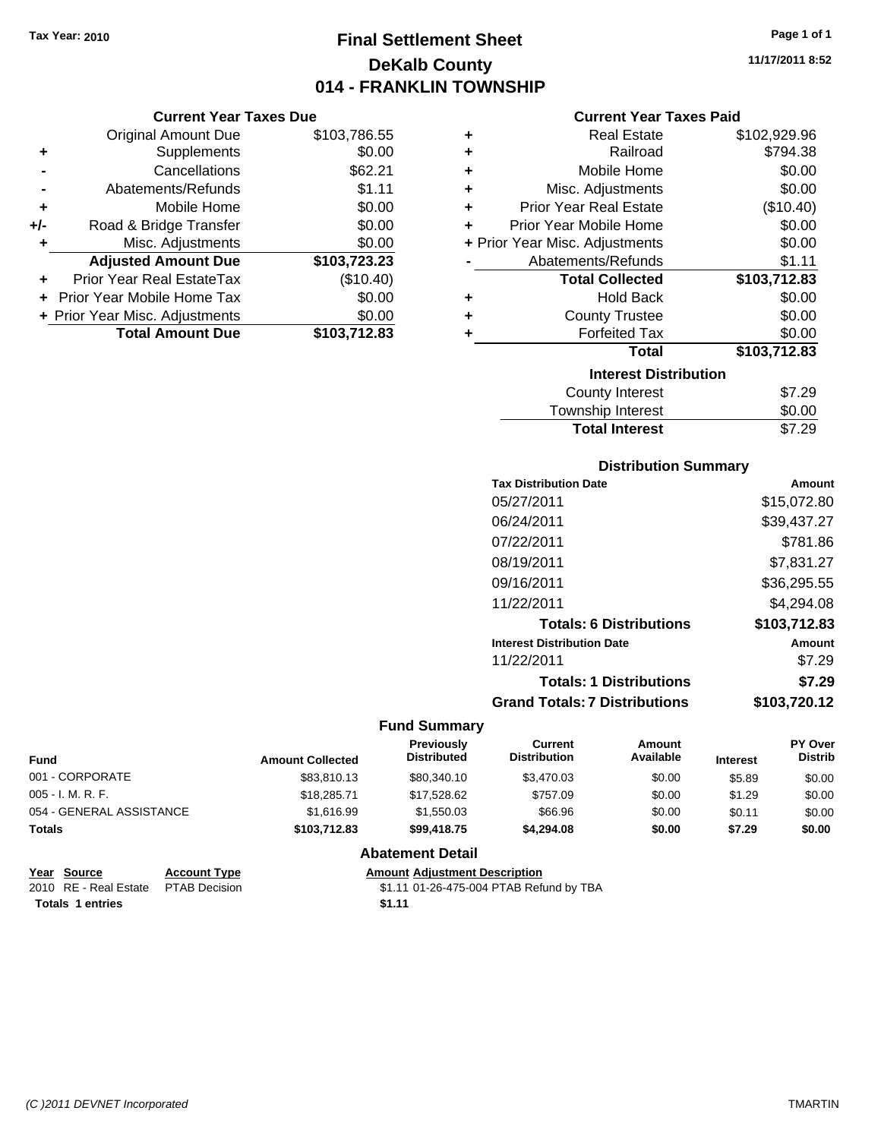## **Final Settlement Sheet Tax Year: 2010 Page 1 of 1 DeKalb County 014 - FRANKLIN TOWNSHIP**

**11/17/2011 8:52**

#### **Current Year Taxes Paid**

|     | <b>Current Year Taxes Due</b>     |              |
|-----|-----------------------------------|--------------|
|     | <b>Original Amount Due</b>        | \$103,786.55 |
| ٠   | Supplements                       | \$0.00       |
|     | Cancellations                     | \$62.21      |
|     | Abatements/Refunds                | \$1.11       |
| ٠   | Mobile Home                       | \$0.00       |
| +/- | Road & Bridge Transfer            | \$0.00       |
| ٠   | Misc. Adjustments                 | \$0.00       |
|     | <b>Adjusted Amount Due</b>        | \$103,723.23 |
|     | Prior Year Real EstateTax         | (\$10.40)    |
|     | <b>Prior Year Mobile Home Tax</b> | \$0.00       |
|     | + Prior Year Misc. Adjustments    | \$0.00       |
|     | <b>Total Amount Due</b>           | \$103,712.83 |

| ٠ | <b>Real Estate</b>             | \$102,929.96 |
|---|--------------------------------|--------------|
| ٠ | Railroad                       | \$794.38     |
| ٠ | Mobile Home                    | \$0.00       |
| ٠ | Misc. Adjustments              | \$0.00       |
| ÷ | <b>Prior Year Real Estate</b>  | (\$10.40)    |
| ٠ | Prior Year Mobile Home         | \$0.00       |
|   | + Prior Year Misc. Adjustments | \$0.00       |
|   | Abatements/Refunds             | \$1.11       |
|   | <b>Total Collected</b>         | \$103,712.83 |
| ٠ | Hold Back                      | \$0.00       |
| ٠ | <b>County Trustee</b>          | \$0.00       |
| ٠ | <b>Forfeited Tax</b>           | \$0.00       |
|   | Total                          | \$103,712.83 |
|   | <b>Interest Distribution</b>   |              |
|   | <b>County Interest</b>         | \$7.29       |
|   | <b>Township Interest</b>       | \$0.00       |
|   | <b>Total Interest</b>          | \$7.29       |

#### **Distribution Summary**

| <b>Tax Distribution Date</b>         | Amount       |
|--------------------------------------|--------------|
| 05/27/2011                           | \$15,072.80  |
| 06/24/2011                           | \$39,437.27  |
| 07/22/2011                           | \$781.86     |
| 08/19/2011                           | \$7,831.27   |
| 09/16/2011                           | \$36,295.55  |
| 11/22/2011                           | \$4,294.08   |
| <b>Totals: 6 Distributions</b>       | \$103,712.83 |
| <b>Interest Distribution Date</b>    | Amount       |
| 11/22/2011                           | \$7.29       |
| <b>Totals: 1 Distributions</b>       | \$7.29       |
| <b>Grand Totals: 7 Distributions</b> | \$103.720.12 |
|                                      |              |

#### **Fund Summary**

| <b>Fund</b>              | <b>Amount Collected</b> | <b>Previously</b><br><b>Distributed</b> | <b>Current</b><br><b>Distribution</b> | Amount<br>Available | <b>Interest</b> | <b>PY Over</b><br><b>Distrib</b> |
|--------------------------|-------------------------|-----------------------------------------|---------------------------------------|---------------------|-----------------|----------------------------------|
| 001 - CORPORATE          | \$83,810.13             | \$80,340.10                             | \$3,470.03                            | \$0.00              | \$5.89          | \$0.00                           |
| 005 - I. M. R. F.        | \$18,285.71             | \$17,528.62                             | \$757.09                              | \$0.00              | \$1.29          | \$0.00                           |
| 054 - GENERAL ASSISTANCE | \$1.616.99              | \$1,550.03                              | \$66.96                               | \$0.00              | \$0.11          | \$0.00                           |
| <b>Totals</b>            | \$103,712.83            | \$99,418.75                             | \$4,294.08                            | \$0.00              | \$7.29          | \$0.00                           |

#### **Abatement Detail**

| Year Source                         | <b>Account Type</b> | <b>Amount Adjustment Description</b>    |
|-------------------------------------|---------------------|-----------------------------------------|
| 2010 RE - Real Estate PTAB Decision |                     | \$1.11 01-26-475-004 PTAB Refund by TBA |
| <b>Totals 1 entries</b>             |                     | \$1.11                                  |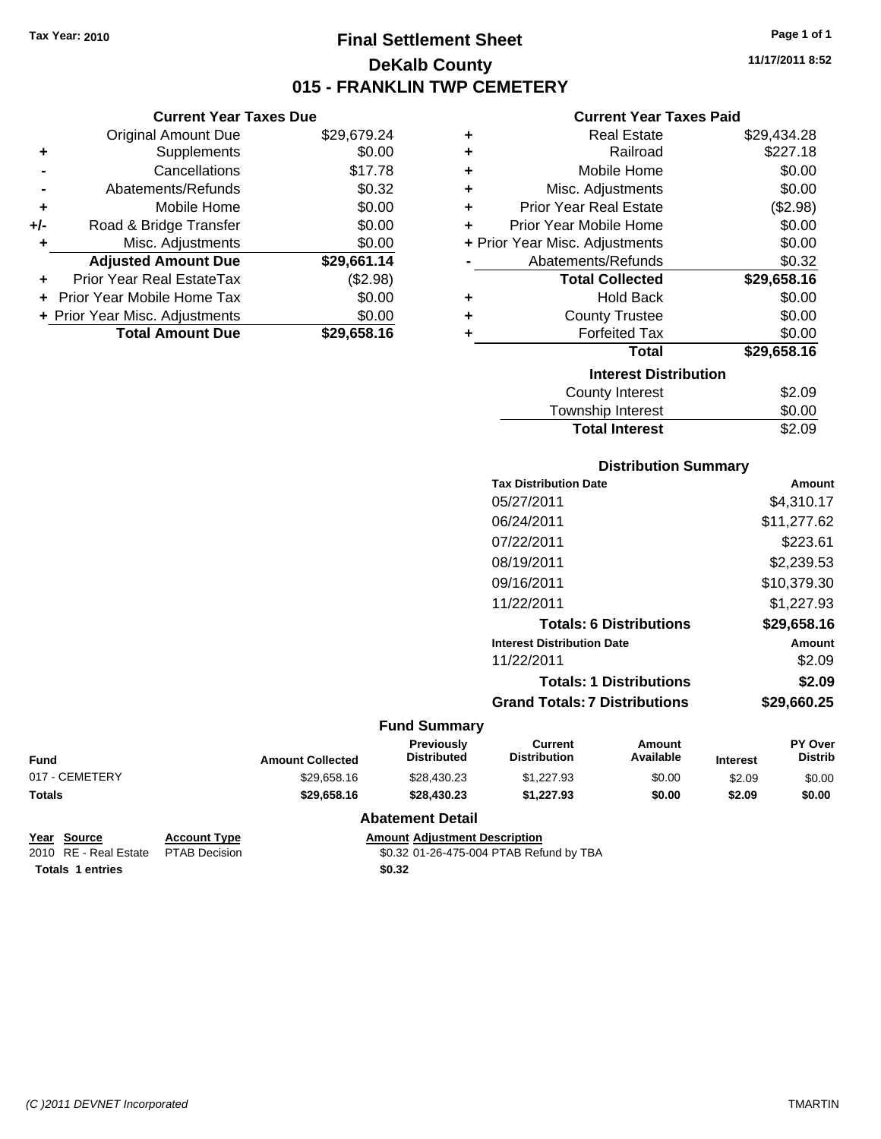**Current Year Taxes Due** Original Amount Due \$29,679.24

**Adjusted Amount Due \$29,661.14**

**Total Amount Due \$29,658.16**

**+** Supplements \$0.00 **-** Cancellations \$17.78 **-** Abatements/Refunds \$0.32 **+** Mobile Home \$0.00 **+/-** Road & Bridge Transfer \$0.00 **+** Misc. Adjustments \$0.00

**+** Prior Year Real EstateTax (\$2.98) **+** Prior Year Mobile Home Tax \$0.00 **+ Prior Year Misc. Adjustments**  $$0.00$ 

## **Final Settlement Sheet Tax Year: 2010 Page 1 of 1 DeKalb County 015 - FRANKLIN TWP CEMETERY**

**11/17/2011 8:52**

#### **Current Year Taxes Paid**

| ٠ | <b>Real Estate</b>             | \$29,434.28 |
|---|--------------------------------|-------------|
| ٠ | Railroad                       | \$227.18    |
| ٠ | Mobile Home                    | \$0.00      |
| ÷ | Misc. Adjustments              | \$0.00      |
| ÷ | <b>Prior Year Real Estate</b>  | (\$2.98)    |
| ٠ | Prior Year Mobile Home         | \$0.00      |
|   | + Prior Year Misc. Adjustments | \$0.00      |
|   | Abatements/Refunds             | \$0.32      |
|   | <b>Total Collected</b>         | \$29,658.16 |
| ٠ | <b>Hold Back</b>               | \$0.00      |
| ٠ | <b>County Trustee</b>          | \$0.00      |
| ÷ | <b>Forfeited Tax</b>           | \$0.00      |
|   | <b>Total</b>                   | \$29,658.16 |
|   | <b>Interest Distribution</b>   |             |
|   | County Interest                | \$2.09      |
|   | <b>Township Interest</b>       | \$0.00      |

# Total Interest \$2.09

| <b>Distribution Summary</b>       |             |
|-----------------------------------|-------------|
| <b>Tax Distribution Date</b>      | Amount      |
| 05/27/2011                        | \$4,310.17  |
| 06/24/2011                        | \$11,277.62 |
| 07/22/2011                        | \$223.61    |
| 08/19/2011                        | \$2,239.53  |
| 09/16/2011                        | \$10,379.30 |
| 11/22/2011                        | \$1.227.93  |
| <b>Totals: 6 Distributions</b>    | \$29,658.16 |
| <b>Interest Distribution Date</b> | Amount      |
| 11/22/2011                        | \$2.09      |
| <b>Totals: 1 Distributions</b>    | \$2.09      |
| Grand Totals: 7 Distributions     | \$29,660.25 |

#### **Fund Summary**

| <b>Fund</b>    | <b>Amount Collected</b> | <b>Previously</b><br><b>Distributed</b> | Current<br><b>Distribution</b> | Amount<br>Available | <b>Interest</b> | <b>PY Over</b><br>Distrib |
|----------------|-------------------------|-----------------------------------------|--------------------------------|---------------------|-----------------|---------------------------|
| 017 - CEMETERY | \$29,658.16             | \$28,430.23                             | \$1,227.93                     | \$0.00              | \$2.09          | \$0.00                    |
| <b>Totals</b>  | \$29,658,16             | \$28.430.23                             | \$1.227.93                     | \$0.00              | \$2.09          | \$0.00                    |

#### **Abatement Detail**

| Year Source           | <b>Account Type</b>  |
|-----------------------|----------------------|
| 2010 RE - Real Estate | <b>PTAB Decision</b> |

**Amount Adjustment Description** \$0.32 01-26-475-004 PTAB Refund by TBA **Totals \$0.32 1 entries**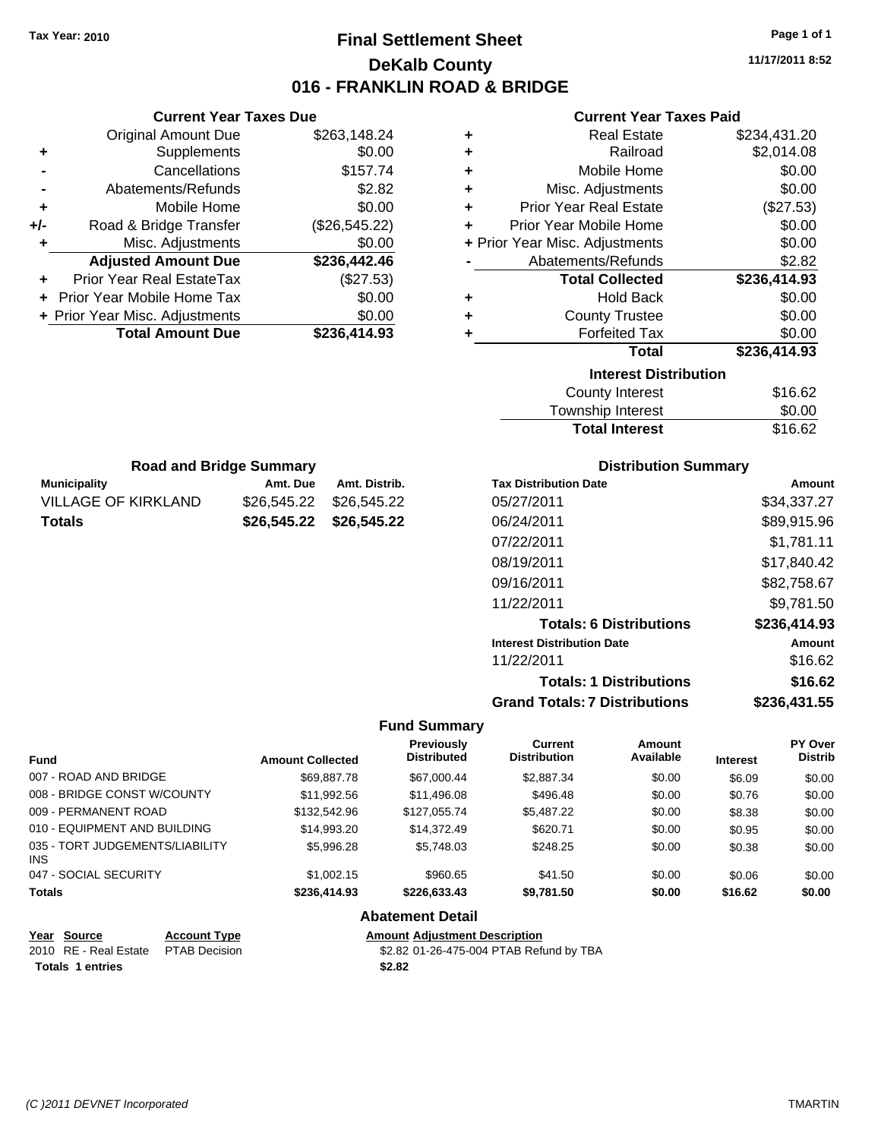## **Final Settlement Sheet Tax Year: 2010 Page 1 of 1 DeKalb County 016 - FRANKLIN ROAD & BRIDGE**

**11/17/2011 8:52**

#### **Current Year Taxes Paid**

|     | <b>Current Year Taxes Due</b>  |               |
|-----|--------------------------------|---------------|
|     | <b>Original Amount Due</b>     | \$263,148.24  |
| ٠   | Supplements                    | \$0.00        |
|     | Cancellations                  | \$157.74      |
|     | Abatements/Refunds             | \$2.82        |
| ٠   | Mobile Home                    | \$0.00        |
| +/- | Road & Bridge Transfer         | (\$26,545.22) |
| ٠   | Misc. Adjustments              | \$0.00        |
|     | <b>Adjusted Amount Due</b>     | \$236,442.46  |
| ٠   | Prior Year Real EstateTax      | (\$27.53)     |
|     | Prior Year Mobile Home Tax     | \$0.00        |
|     | + Prior Year Misc. Adjustments | \$0.00        |
|     | <b>Total Amount Due</b>        | \$236,414.93  |
|     |                                |               |

**Municipality Municipality** Amt. Due Amt. Distrib. **Road and Bridge Summary**

VILLAGE OF KIRKLAND \$26,545.22 \$26,545.22 **Totals \$26,545.22 \$26,545.22**

| ٠ | <b>Real Estate</b>             | \$234,431.20 |
|---|--------------------------------|--------------|
| ÷ | Railroad                       | \$2,014.08   |
| ÷ | Mobile Home                    | \$0.00       |
| ٠ | Misc. Adjustments              | \$0.00       |
| ÷ | <b>Prior Year Real Estate</b>  | (\$27.53)    |
| ÷ | Prior Year Mobile Home         | \$0.00       |
|   | + Prior Year Misc. Adjustments | \$0.00       |
|   | Abatements/Refunds             | \$2.82       |
|   |                                |              |
|   | <b>Total Collected</b>         | \$236,414.93 |
| ٠ | <b>Hold Back</b>               | \$0.00       |
| ÷ | <b>County Trustee</b>          | \$0.00       |
| ٠ | <b>Forfeited Tax</b>           | \$0.00       |
|   | <b>Total</b>                   | \$236,414.93 |
|   | <b>Interest Distribution</b>   |              |
|   | County Interest                | \$16.62      |

| <b>Total Interest</b> | \$16.62 |
|-----------------------|---------|
|                       |         |

| <b>Distribution Summary</b>          |              |
|--------------------------------------|--------------|
| <b>Tax Distribution Date</b>         | Amount       |
| 05/27/2011                           | \$34,337.27  |
| 06/24/2011                           | \$89,915.96  |
| 07/22/2011                           | \$1.781.11   |
| 08/19/2011                           | \$17.840.42  |
| 09/16/2011                           | \$82,758.67  |
| 11/22/2011                           | \$9.781.50   |
| <b>Totals: 6 Distributions</b>       | \$236,414.93 |
| <b>Interest Distribution Date</b>    | Amount       |
| 11/22/2011                           | \$16.62      |
| <b>Totals: 1 Distributions</b>       | \$16.62      |
| <b>Grand Totals: 7 Distributions</b> | \$236,431.55 |

#### **Fund Summary**

| <b>Fund</b>                                   | <b>Amount Collected</b> | Previously<br><b>Distributed</b> | Current<br><b>Distribution</b> | <b>Amount</b><br>Available | <b>Interest</b> | <b>PY Over</b><br><b>Distrib</b> |
|-----------------------------------------------|-------------------------|----------------------------------|--------------------------------|----------------------------|-----------------|----------------------------------|
| 007 - ROAD AND BRIDGE                         | \$69,887.78             | \$67,000.44                      | \$2,887.34                     | \$0.00                     | \$6.09          | \$0.00                           |
| 008 - BRIDGE CONST W/COUNTY                   | \$11,992.56             | \$11,496.08                      | \$496.48                       | \$0.00                     | \$0.76          | \$0.00                           |
| 009 - PERMANENT ROAD                          | \$132,542.96            | \$127,055,74                     | \$5,487.22                     | \$0.00                     | \$8.38          | \$0.00                           |
| 010 - EQUIPMENT AND BUILDING                  | \$14,993.20             | \$14,372.49                      | \$620.71                       | \$0.00                     | \$0.95          | \$0.00                           |
| 035 - TORT JUDGEMENTS/LIABILITY<br><b>INS</b> | \$5,996.28              | \$5,748.03                       | \$248.25                       | \$0.00                     | \$0.38          | \$0.00                           |
| 047 - SOCIAL SECURITY                         | \$1,002.15              | \$960.65                         | \$41.50                        | \$0.00                     | \$0.06          | \$0.00                           |
| <b>Totals</b>                                 | \$236,414.93            | \$226,633.43                     | \$9,781.50                     | \$0.00                     | \$16.62         | \$0.00                           |

#### **Abatement Detail**

| Year Source             | <b>Account Type</b> | <b>Amount Adjustment Description</b>    |
|-------------------------|---------------------|-----------------------------------------|
| 2010 RE - Real Estate   | PTAB Decision       | \$2.82 01-26-475-004 PTAB Refund by TBA |
| <b>Totals 1 entries</b> |                     | \$2.82                                  |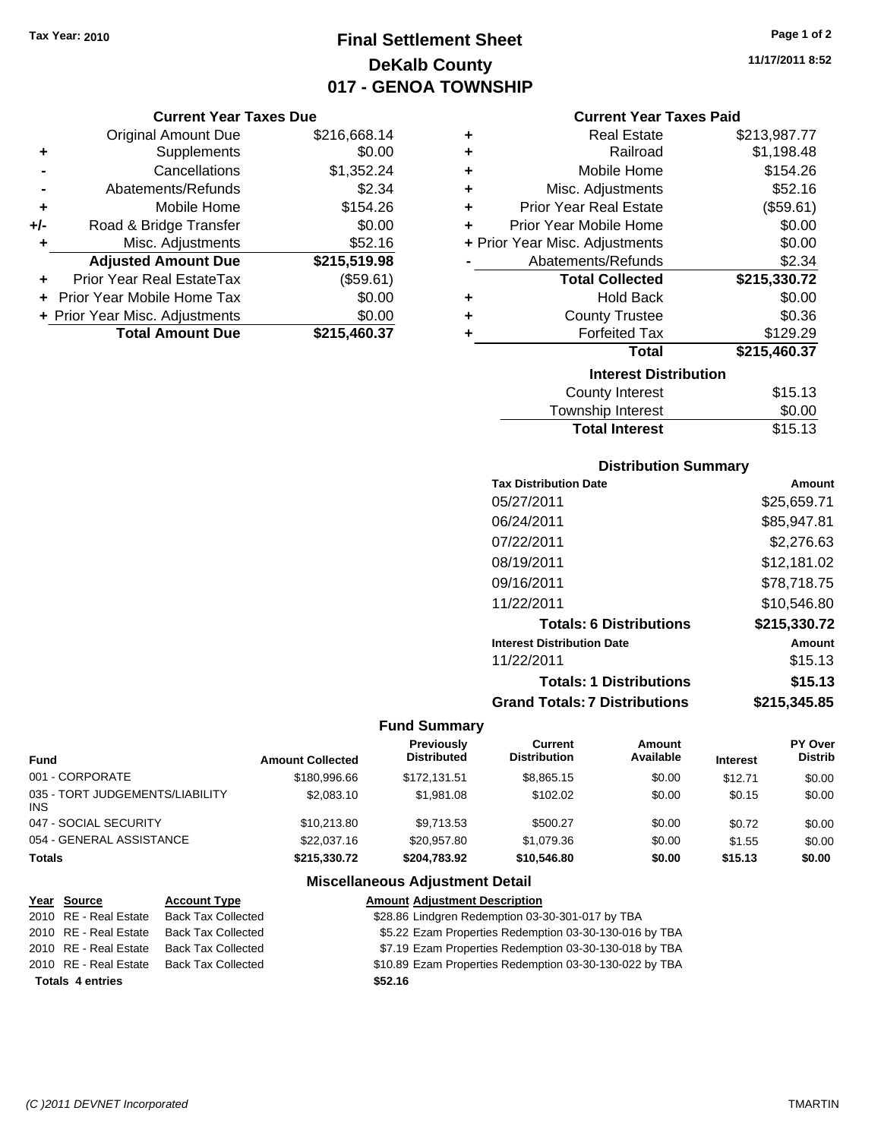## **Final Settlement Sheet Tax Year: 2010 Page 1 of 2 DeKalb County 017 - GENOA TOWNSHIP**

#### **Current Year Taxes Due**

|     | <b>Original Amount Due</b>        | \$216,668.14 |
|-----|-----------------------------------|--------------|
| ٠   | Supplements                       | \$0.00       |
|     | Cancellations                     | \$1,352.24   |
|     | Abatements/Refunds                | \$2.34       |
| ٠   | Mobile Home                       | \$154.26     |
| +/- | Road & Bridge Transfer            | \$0.00       |
| ٠   | Misc. Adjustments                 | \$52.16      |
|     | <b>Adjusted Amount Due</b>        | \$215,519.98 |
|     | Prior Year Real EstateTax         | (\$59.61)    |
|     | <b>Prior Year Mobile Home Tax</b> | \$0.00       |
|     | + Prior Year Misc. Adjustments    | \$0.00       |
|     | <b>Total Amount Due</b>           | \$215,460.37 |

| ٠ | <b>Real Estate</b>             | \$213,987.77 |
|---|--------------------------------|--------------|
| ÷ | Railroad                       | \$1,198.48   |
| ÷ | Mobile Home                    | \$154.26     |
| ٠ | Misc. Adjustments              | \$52.16      |
| ÷ | <b>Prior Year Real Estate</b>  | (\$59.61)    |
| ٠ | Prior Year Mobile Home         | \$0.00       |
|   | + Prior Year Misc. Adjustments | \$0.00       |
|   | Abatements/Refunds             | \$2.34       |
|   | <b>Total Collected</b>         | \$215,330.72 |
| ٠ | <b>Hold Back</b>               | \$0.00       |
|   |                                |              |
| ٠ | <b>County Trustee</b>          | \$0.36       |
|   | <b>Forfeited Tax</b>           | \$129.29     |
|   | Total                          | \$215,460.37 |
|   | <b>Interest Distribution</b>   |              |
|   | County Interest                | \$15.13      |

### Township Interest  $$0.00$ **Total Interest** \$15.13

### **Distribution Summary**

| <b>Tax Distribution Date</b>         | Amount       |
|--------------------------------------|--------------|
| 05/27/2011                           | \$25,659.71  |
| 06/24/2011                           | \$85,947.81  |
| 07/22/2011                           | \$2,276.63   |
| 08/19/2011                           | \$12,181.02  |
| 09/16/2011                           | \$78,718.75  |
| 11/22/2011                           | \$10,546.80  |
| <b>Totals: 6 Distributions</b>       | \$215,330.72 |
| <b>Interest Distribution Date</b>    | Amount       |
| 11/22/2011                           | \$15.13      |
| <b>Totals: 1 Distributions</b>       | \$15.13      |
| <b>Grand Totals: 7 Distributions</b> | \$215,345.85 |
|                                      |              |

#### **Fund Summary**

| <b>Fund</b>                             | <b>Amount Collected</b> | Previously<br><b>Distributed</b> | Current<br><b>Distribution</b> | Amount<br>Available | <b>Interest</b> | PY Over<br><b>Distrib</b> |
|-----------------------------------------|-------------------------|----------------------------------|--------------------------------|---------------------|-----------------|---------------------------|
| 001 - CORPORATE                         | \$180,996.66            | \$172.131.51                     | \$8,865.15                     | \$0.00              | \$12.71         | \$0.00                    |
| 035 - TORT JUDGEMENTS/LIABILITY<br>INS. | \$2,083.10              | \$1,981.08                       | \$102.02                       | \$0.00              | \$0.15          | \$0.00                    |
| 047 - SOCIAL SECURITY                   | \$10.213.80             | \$9,713.53                       | \$500.27                       | \$0.00              | \$0.72          | \$0.00                    |
| 054 - GENERAL ASSISTANCE                | \$22,037.16             | \$20,957.80                      | \$1,079.36                     | \$0.00              | \$1.55          | \$0.00                    |
| Totals                                  | \$215,330.72            | \$204.783.92                     | \$10,546.80                    | \$0.00              | \$15.13         | \$0.00                    |

### **Miscellaneous Adjustment Detail**

| Year Source             | <b>Account Type</b>       | <b>Amount Adjustment Description</b>                    |
|-------------------------|---------------------------|---------------------------------------------------------|
| 2010 RE - Real Estate   | <b>Back Tax Collected</b> | \$28.86 Lindgren Redemption 03-30-301-017 by TBA        |
| 2010 RE - Real Estate   | <b>Back Tax Collected</b> | \$5.22 Ezam Properties Redemption 03-30-130-016 by TBA  |
| 2010 RE - Real Estate   | Back Tax Collected        | \$7.19 Ezam Properties Redemption 03-30-130-018 by TBA  |
| 2010 RE - Real Estate   | <b>Back Tax Collected</b> | \$10.89 Ezam Properties Redemption 03-30-130-022 by TBA |
| <b>Totals 4 entries</b> |                           | \$52.16                                                 |

**11/17/2011 8:52**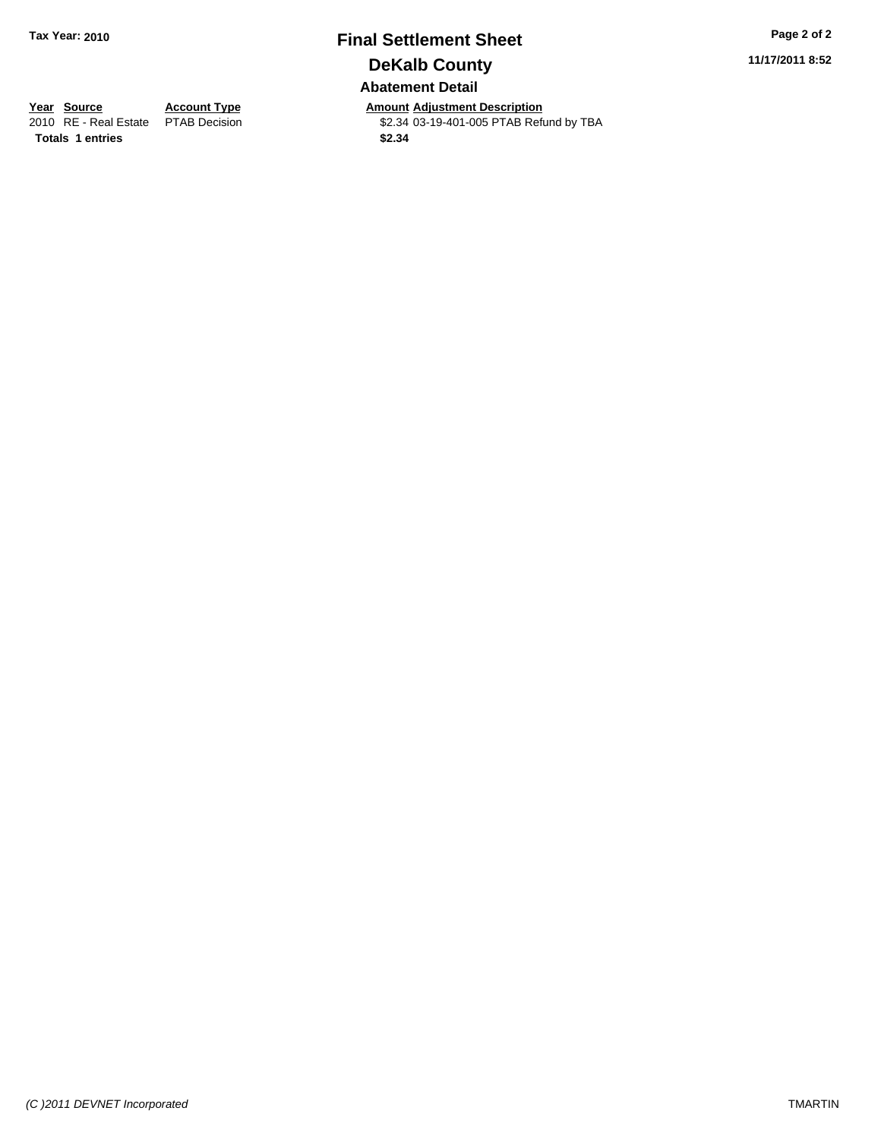## **Final Settlement Sheet Tax Year: 2010 Page 2 of 2 DeKalb County Abatement Detail**

**11/17/2011 8:52**

**Totals \$2.34 1 entries**

**Year Source Account Type Amount Adjustment Description**<br>
2010 RE - Real Estate PTAB Decision **Amount** \$2.34 03-19-401-005 PTAB Refu \$2.34 03-19-401-005 PTAB Refund by TBA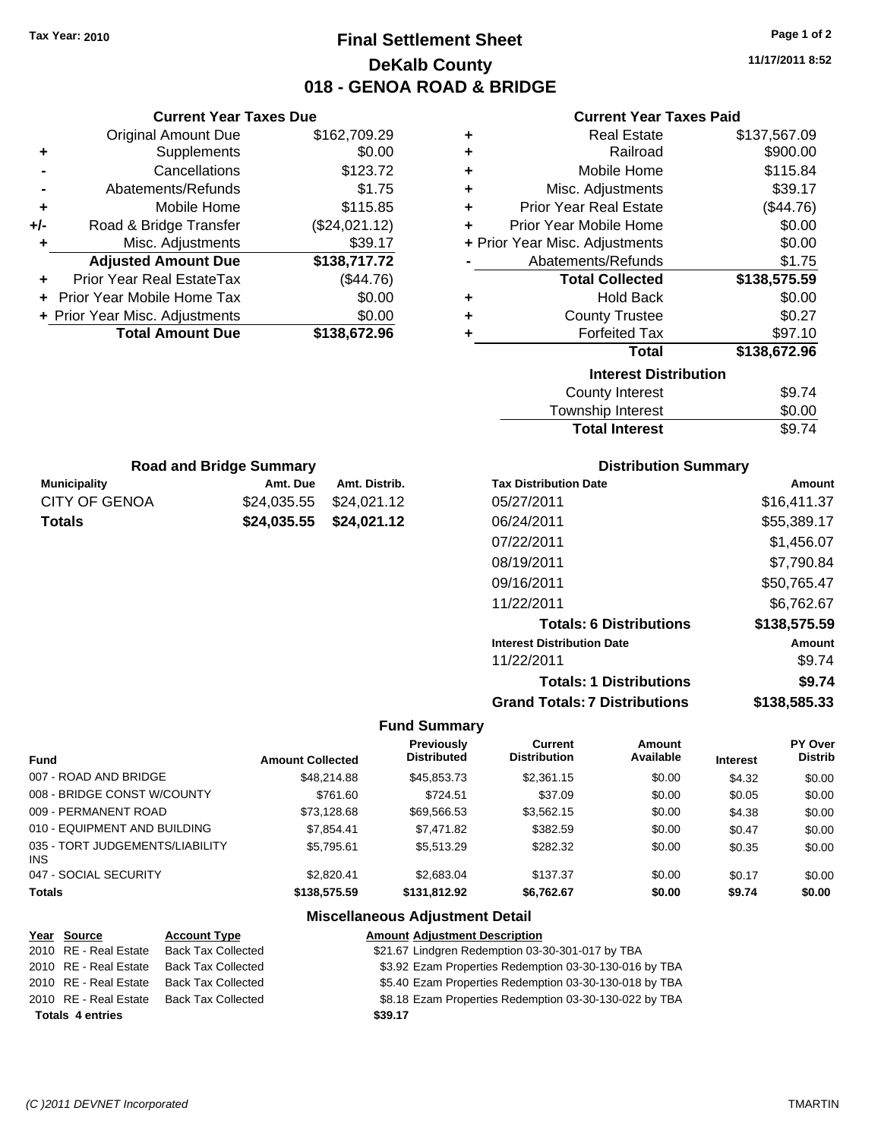## **Final Settlement Sheet Tax Year: 2010 Page 1 of 2 DeKalb County 018 - GENOA ROAD & BRIDGE**

**11/17/2011 8:52**

#### **Current Year Taxes Paid**

| ٠ | <b>Real Estate</b>             | \$137,567.09 |  |  |
|---|--------------------------------|--------------|--|--|
| ٠ | Railroad                       | \$900.00     |  |  |
| ٠ | Mobile Home                    | \$115.84     |  |  |
| ٠ | Misc. Adjustments              | \$39.17      |  |  |
| ٠ | <b>Prior Year Real Estate</b>  | (\$44.76)    |  |  |
| ÷ | Prior Year Mobile Home         | \$0.00       |  |  |
|   | + Prior Year Misc. Adjustments | \$0.00       |  |  |
|   | Abatements/Refunds             | \$1.75       |  |  |
|   | <b>Total Collected</b>         | \$138,575.59 |  |  |
| ٠ | <b>Hold Back</b>               | \$0.00       |  |  |
| ٠ | <b>County Trustee</b>          | \$0.27       |  |  |
| ٠ | <b>Forfeited Tax</b>           | \$97.10      |  |  |
|   | <b>Total</b>                   | \$138,672.96 |  |  |
|   | <b>Interest Distribution</b>   |              |  |  |
|   | <b>County Interest</b>         | \$9.74       |  |  |
|   | Township Interact              | ድስ ስስ        |  |  |

| <b>Total Interest</b> | \$9.74 |
|-----------------------|--------|
| Township Interest     | \$0.00 |
| County Interest       | 39.74  |

|     | <b>Road and Bridge Summary</b> |   |
|-----|--------------------------------|---|
| itv | Amt Due                        | A |

**Current Year Taxes Due** Original Amount Due \$162,709.29

**Adjusted Amount Due \$138,717.72**

**Total Amount Due \$138,672.96**

**+** Supplements \$0.00 **-** Cancellations \$123.72 **-** Abatements/Refunds \$1.75 **+** Mobile Home \$115.85 **+/-** Road & Bridge Transfer (\$24,021.12) **+** Misc. Adjustments \$39.17

**+** Prior Year Real EstateTax (\$44.76) **+** Prior Year Mobile Home Tax \$0.00 **+ Prior Year Misc. Adjustments**  $$0.00$ 

| <b>Municipality</b> | Amt. Due                | Amt. Distrib. |
|---------------------|-------------------------|---------------|
| CITY OF GENOA       | \$24.035.55 \$24.021.12 |               |
| <b>Totals</b>       | \$24,035.55 \$24,021.12 |               |

#### **Distribution Summary**

| Amount       |
|--------------|
| \$16.411.37  |
| \$55,389.17  |
| \$1,456.07   |
| \$7,790.84   |
| \$50,765.47  |
| \$6.762.67   |
| \$138,575.59 |
| Amount       |
| \$9.74       |
| \$9.74       |
| \$138,585.33 |
|              |

#### **Fund Summary**

|                                         |                         | Previously         | Current             | Amount    |                 | PY Over        |
|-----------------------------------------|-------------------------|--------------------|---------------------|-----------|-----------------|----------------|
| <b>Fund</b>                             | <b>Amount Collected</b> | <b>Distributed</b> | <b>Distribution</b> | Available | <b>Interest</b> | <b>Distrib</b> |
| 007 - ROAD AND BRIDGE                   | \$48,214.88             | \$45,853,73        | \$2,361.15          | \$0.00    | \$4.32          | \$0.00         |
| 008 - BRIDGE CONST W/COUNTY             | \$761.60                | \$724.51           | \$37.09             | \$0.00    | \$0.05          | \$0.00         |
| 009 - PERMANENT ROAD                    | \$73.128.68             | \$69.566.53        | \$3.562.15          | \$0.00    | \$4.38          | \$0.00         |
| 010 - EQUIPMENT AND BUILDING            | \$7,854.41              | \$7.471.82         | \$382.59            | \$0.00    | \$0.47          | \$0.00         |
| 035 - TORT JUDGEMENTS/LIABILITY<br>INS. | \$5.795.61              | \$5,513.29         | \$282.32            | \$0.00    | \$0.35          | \$0.00         |
| 047 - SOCIAL SECURITY                   | \$2.820.41              | \$2.683.04         | \$137.37            | \$0.00    | \$0.17          | \$0.00         |
| <b>Totals</b>                           | \$138,575.59            | \$131.812.92       | \$6.762.67          | \$0.00    | \$9.74          | \$0.00         |

#### **Miscellaneous Adjustment Detail**

| Year Source             | <b>Account Type</b>       | <b>Amount Adjustment Description</b>                   |
|-------------------------|---------------------------|--------------------------------------------------------|
| 2010 RE - Real Estate   | <b>Back Tax Collected</b> | \$21.67 Lindgren Redemption 03-30-301-017 by TBA       |
| 2010 RE - Real Estate   | <b>Back Tax Collected</b> | \$3.92 Ezam Properties Redemption 03-30-130-016 by TBA |
| 2010 RE - Real Estate   | <b>Back Tax Collected</b> | \$5.40 Ezam Properties Redemption 03-30-130-018 by TBA |
| 2010 RE - Real Estate   | <b>Back Tax Collected</b> | \$8.18 Ezam Properties Redemption 03-30-130-022 by TBA |
| <b>Totals 4 entries</b> |                           | \$39.17                                                |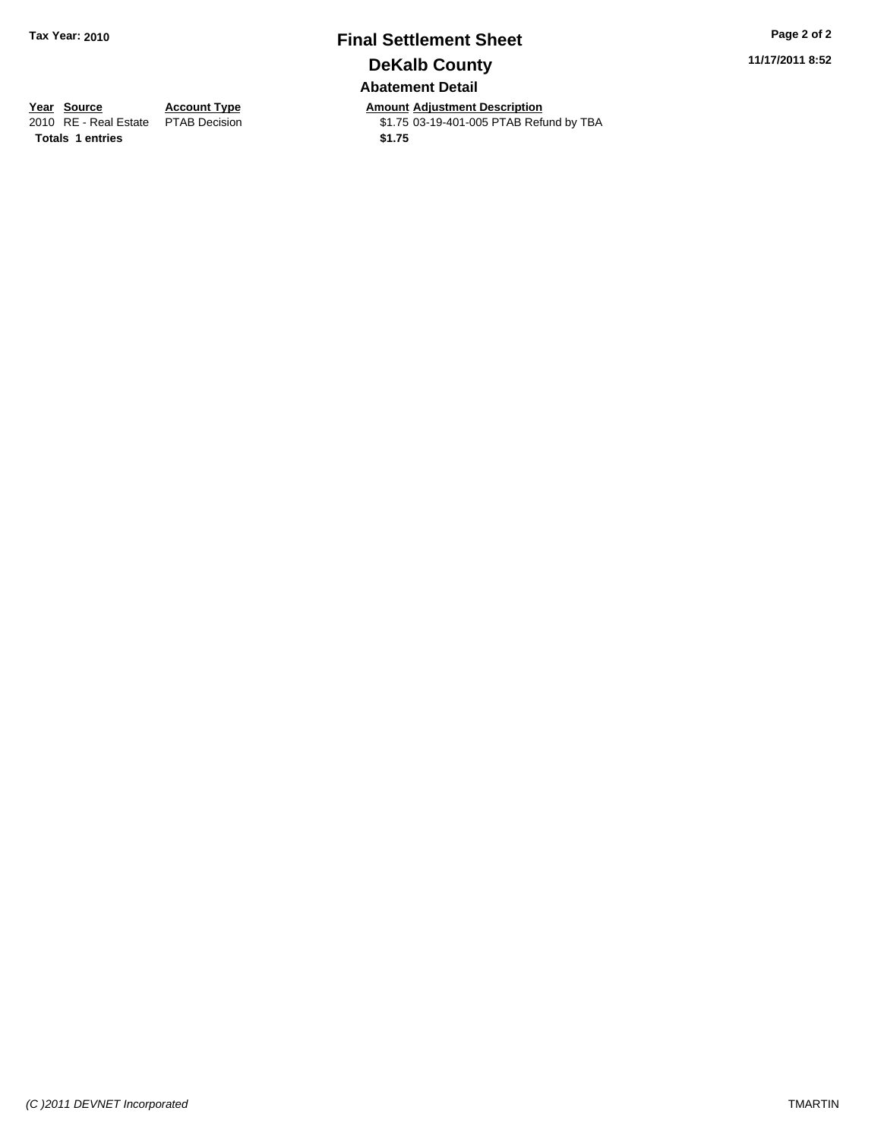## **Final Settlement Sheet Tax Year: 2010 Page 2 of 2 DeKalb County Abatement Detail**

**11/17/2011 8:52**

**Totals 1 entries** \$1.75

**Year Source Account Type Amount Adjustment Description**<br>
2010 RE - Real Estate PTAB Decision **Amount Adjustment Description**<br>
\$1.75 03-19-401-005 PTAB Refu \$1.75 03-19-401-005 PTAB Refund by TBA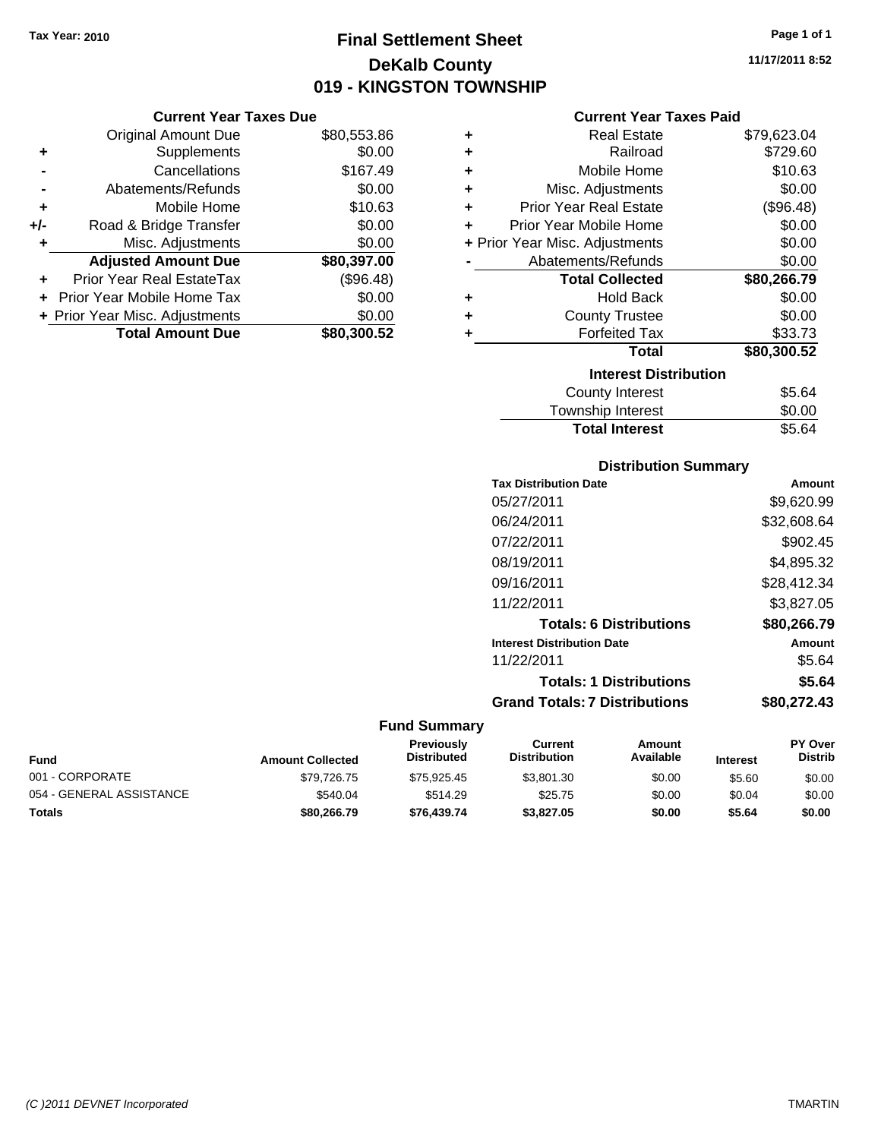## **Final Settlement Sheet Tax Year: 2010 Page 1 of 1 DeKalb County 019 - KINGSTON TOWNSHIP**

**11/17/2011 8:52**

#### **Current Year Taxes Paid**

| ٠ | <b>Real Estate</b>             | \$79,623.04 |
|---|--------------------------------|-------------|
| ٠ | Railroad                       | \$729.60    |
| ٠ | Mobile Home                    | \$10.63     |
| ٠ | Misc. Adjustments              | \$0.00      |
| ٠ | <b>Prior Year Real Estate</b>  | (\$96.48)   |
| ÷ | Prior Year Mobile Home         | \$0.00      |
|   | + Prior Year Misc. Adjustments | \$0.00      |
|   | Abatements/Refunds             | \$0.00      |
|   | <b>Total Collected</b>         | \$80,266.79 |
| ٠ | <b>Hold Back</b>               | \$0.00      |
| ٠ | <b>County Trustee</b>          | \$0.00      |
| ٠ | <b>Forfeited Tax</b>           | \$33.73     |
|   | <b>Total</b>                   | \$80,300.52 |
|   | <b>Interest Distribution</b>   |             |
|   | County Interest                | \$5.64      |
|   |                                |             |

#### **Distribution Summary**

Total Interest **\$5.64** 

| <b>Tax Distribution Date</b>         | Amount      |
|--------------------------------------|-------------|
| 05/27/2011                           | \$9,620.99  |
| 06/24/2011                           | \$32,608.64 |
| 07/22/2011                           | \$902.45    |
| 08/19/2011                           | \$4,895.32  |
| 09/16/2011                           | \$28,412.34 |
| 11/22/2011                           | \$3,827.05  |
| <b>Totals: 6 Distributions</b>       | \$80,266.79 |
| <b>Interest Distribution Date</b>    | Amount      |
| 11/22/2011                           | \$5.64      |
| <b>Totals: 1 Distributions</b>       | \$5.64      |
| <b>Grand Totals: 7 Distributions</b> | \$80,272.43 |
|                                      |             |

#### **Fund Summary**

| <b>Fund</b>              | <b>Amount Collected</b> | <b>Previously</b><br><b>Distributed</b> | Current<br><b>Distribution</b> | Amount<br>Available | <b>Interest</b> | <b>PY Over</b><br><b>Distrib</b> |
|--------------------------|-------------------------|-----------------------------------------|--------------------------------|---------------------|-----------------|----------------------------------|
| 001 - CORPORATE          | \$79,726.75             | \$75.925.45                             | \$3,801.30                     | \$0.00              | \$5.60          | \$0.00                           |
| 054 - GENERAL ASSISTANCE | \$540.04                | \$514.29                                | \$25.75                        | \$0.00              | \$0.04          | \$0.00                           |
| <b>Totals</b>            | \$80,266.79             | \$76,439.74                             | \$3,827.05                     | \$0.00              | \$5.64          | \$0.00                           |

|       | <b>Current Year Taxes Due</b> |             |
|-------|-------------------------------|-------------|
|       | <b>Original Amount Due</b>    | \$80,553.86 |
|       | Supplements                   | \$0.00      |
|       | Cancellations                 | \$167.49    |
|       | Abatements/Refunds            | \$0.00      |
| ÷     | Mobile Home                   | \$10.63     |
| $+/-$ | Road & Bridge Transfer        | \$0.00      |
|       | Misc. Adjustments             | \$0.00      |

**Adjusted Amount Due \$80,397.00**

**Total Amount Due \$80,300.52**

**+** Prior Year Real EstateTax (\$96.48) **+** Prior Year Mobile Home Tax \$0.00 **+ Prior Year Misc. Adjustments**  $$0.00$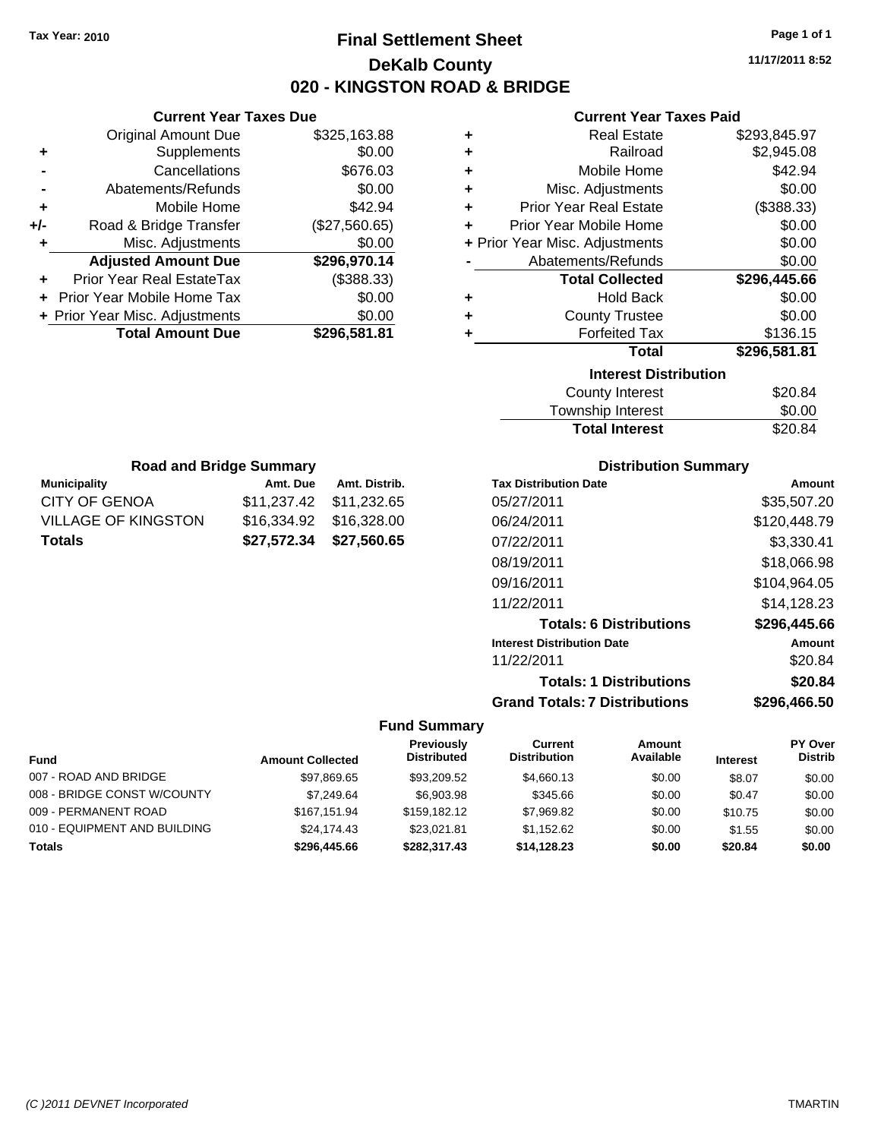## **Final Settlement Sheet Tax Year: 2010 Page 1 of 1 DeKalb County 020 - KINGSTON ROAD & BRIDGE**

**11/17/2011 8:52**

#### **Current Year Taxes Paid**

| ٠ | <b>Real Estate</b>             | \$293,845.97 |
|---|--------------------------------|--------------|
| ٠ | Railroad                       | \$2,945.08   |
| ٠ | Mobile Home                    | \$42.94      |
| ÷ | Misc. Adjustments              | \$0.00       |
| ٠ | <b>Prior Year Real Estate</b>  | (\$388.33)   |
| ÷ | Prior Year Mobile Home         | \$0.00       |
|   | + Prior Year Misc. Adjustments | \$0.00       |
|   | Abatements/Refunds             | \$0.00       |
|   | <b>Total Collected</b>         | \$296,445.66 |
| ٠ | <b>Hold Back</b>               | \$0.00       |
| ÷ | <b>County Trustee</b>          | \$0.00       |
| ٠ | <b>Forfeited Tax</b>           | \$136.15     |
|   | <b>Total</b>                   | \$296,581.81 |
|   | <b>Interest Distribution</b>   |              |
|   | <b>County Interest</b>         | \$20.84      |
|   | Township Interest              | \$0.00       |

| <b>Total Interest</b> | \$20.84 |
|-----------------------|---------|
| Township Interest     | \$0.00  |
| County Interest       | \$20.84 |

| <b>Road and Bridge Summary</b> |                         |               |  |  |
|--------------------------------|-------------------------|---------------|--|--|
| <b>Municipality</b>            | Amt. Due                | Amt. Distrib. |  |  |
| CITY OF GENOA                  | \$11,237.42 \$11,232.65 |               |  |  |
| VILLAGE OF KINGSTON            |                         |               |  |  |
| Totals                         | \$27,572.34 \$27,560.65 |               |  |  |

**Current Year Taxes Due** Original Amount Due \$325,163.88

**Adjusted Amount Due \$296,970.14**

**Total Amount Due \$296,581.81**

**+** Supplements \$0.00 **-** Cancellations \$676.03 **-** Abatements/Refunds \$0.00 **+** Mobile Home \$42.94 **+/-** Road & Bridge Transfer (\$27,560.65) **+** Misc. Adjustments \$0.00

**+** Prior Year Real EstateTax (\$388.33) **+** Prior Year Mobile Home Tax \$0.00 **+ Prior Year Misc. Adjustments**  $$0.00$ 

#### **Distribution Summary**

| <b>Tax Distribution Date</b>         | Amount       |
|--------------------------------------|--------------|
| 05/27/2011                           | \$35,507.20  |
| 06/24/2011                           | \$120,448.79 |
| 07/22/2011                           | \$3,330.41   |
| 08/19/2011                           | \$18,066.98  |
| 09/16/2011                           | \$104.964.05 |
| 11/22/2011                           | \$14.128.23  |
| <b>Totals: 6 Distributions</b>       | \$296,445.66 |
| <b>Interest Distribution Date</b>    | Amount       |
| 11/22/2011                           | \$20.84      |
| <b>Totals: 1 Distributions</b>       | \$20.84      |
| <b>Grand Totals: 7 Distributions</b> | \$296.466.50 |

|                              |                         | Previously         | Current             | Amount    |                 | PY Over        |
|------------------------------|-------------------------|--------------------|---------------------|-----------|-----------------|----------------|
| <b>Fund</b>                  | <b>Amount Collected</b> | <b>Distributed</b> | <b>Distribution</b> | Available | <b>Interest</b> | <b>Distrib</b> |
| 007 - ROAD AND BRIDGE        | \$97,869.65             | \$93,209.52        | \$4,660.13          | \$0.00    | \$8.07          | \$0.00         |
| 008 - BRIDGE CONST W/COUNTY  | \$7.249.64              | \$6,903.98         | \$345.66            | \$0.00    | \$0.47          | \$0.00         |
| 009 - PERMANENT ROAD         | \$167,151.94            | \$159,182.12       | \$7,969.82          | \$0.00    | \$10.75         | \$0.00         |
| 010 - EQUIPMENT AND BUILDING | \$24,174.43             | \$23.021.81        | \$1.152.62          | \$0.00    | \$1.55          | \$0.00         |
| <b>Totals</b>                | \$296,445.66            | \$282.317.43       | \$14,128.23         | \$0.00    | \$20.84         | \$0.00         |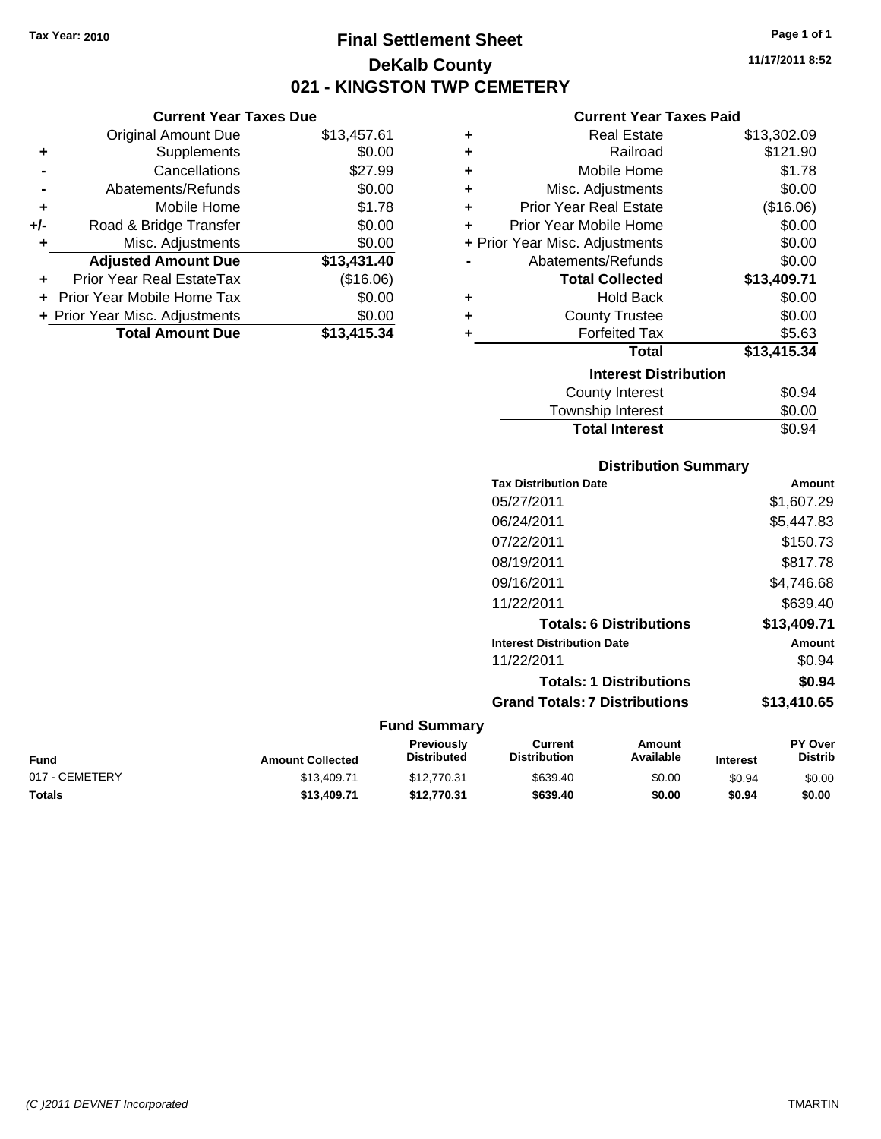**Current Year Taxes Due** Original Amount Due \$13,457.61

**Adjusted Amount Due \$13,431.40**

**+** Supplements \$0.00 **-** Cancellations \$27.99 **-** Abatements/Refunds \$0.00 **+** Mobile Home \$1.78 **+/-** Road & Bridge Transfer \$0.00 **+** Misc. Adjustments \$0.00

**+** Prior Year Real EstateTax (\$16.06) **+** Prior Year Mobile Home Tax \$0.00 **+ Prior Year Misc. Adjustments \$0.00<br>Total Amount Due \$13,415.34** 

**Total Amount Due** 

## **Final Settlement Sheet Tax Year: 2010 Page 1 of 1 DeKalb County 021 - KINGSTON TWP CEMETERY**

**11/17/2011 8:52**

#### **Current Year Taxes Paid**

| ٠ | <b>Real Estate</b>             | \$13,302.09 |
|---|--------------------------------|-------------|
| ٠ | Railroad                       | \$121.90    |
| ٠ | Mobile Home                    | \$1.78      |
| ٠ | Misc. Adjustments              | \$0.00      |
| ٠ | <b>Prior Year Real Estate</b>  | (\$16.06)   |
| ÷ | Prior Year Mobile Home         | \$0.00      |
|   | + Prior Year Misc. Adjustments | \$0.00      |
|   | Abatements/Refunds             | \$0.00      |
|   | <b>Total Collected</b>         | \$13,409.71 |
| ٠ | <b>Hold Back</b>               | \$0.00      |
| ٠ | <b>County Trustee</b>          | \$0.00      |
| ٠ | <b>Forfeited Tax</b>           | \$5.63      |
|   | <b>Total</b>                   | \$13,415.34 |
|   | <b>Interest Distribution</b>   |             |
|   | <b>County Interest</b>         | \$0.94      |
|   | <b>Township Interest</b>       | \$0.00      |

#### **Distribution Summary**

Total Interest \$0.94

| <b>Tax Distribution Date</b>         | Amount      |
|--------------------------------------|-------------|
| 05/27/2011                           | \$1,607.29  |
| 06/24/2011                           | \$5,447.83  |
| 07/22/2011                           | \$150.73    |
| 08/19/2011                           | \$817.78    |
| 09/16/2011                           | \$4,746.68  |
| 11/22/2011                           | \$639.40    |
| <b>Totals: 6 Distributions</b>       | \$13,409.71 |
| <b>Interest Distribution Date</b>    | Amount      |
| 11/22/2011                           | \$0.94      |
| <b>Totals: 1 Distributions</b>       | \$0.94      |
| <b>Grand Totals: 7 Distributions</b> | \$13,410.65 |
|                                      |             |

| <b>Fund</b>    | <b>Amount Collected</b> | <b>Previously</b><br><b>Distributed</b> | Current<br><b>Distribution</b> | Amount<br>Available | <b>Interest</b> | <b>PY Over</b><br><b>Distrib</b> |
|----------------|-------------------------|-----------------------------------------|--------------------------------|---------------------|-----------------|----------------------------------|
| 017 - CEMETERY | \$13,409.71             | \$12,770.31                             | \$639.40                       | \$0.00              | \$0.94          | \$0.00                           |
| <b>Totals</b>  | \$13,409.71             | \$12,770,31                             | \$639.40                       | \$0.00              | \$0.94          | \$0.00                           |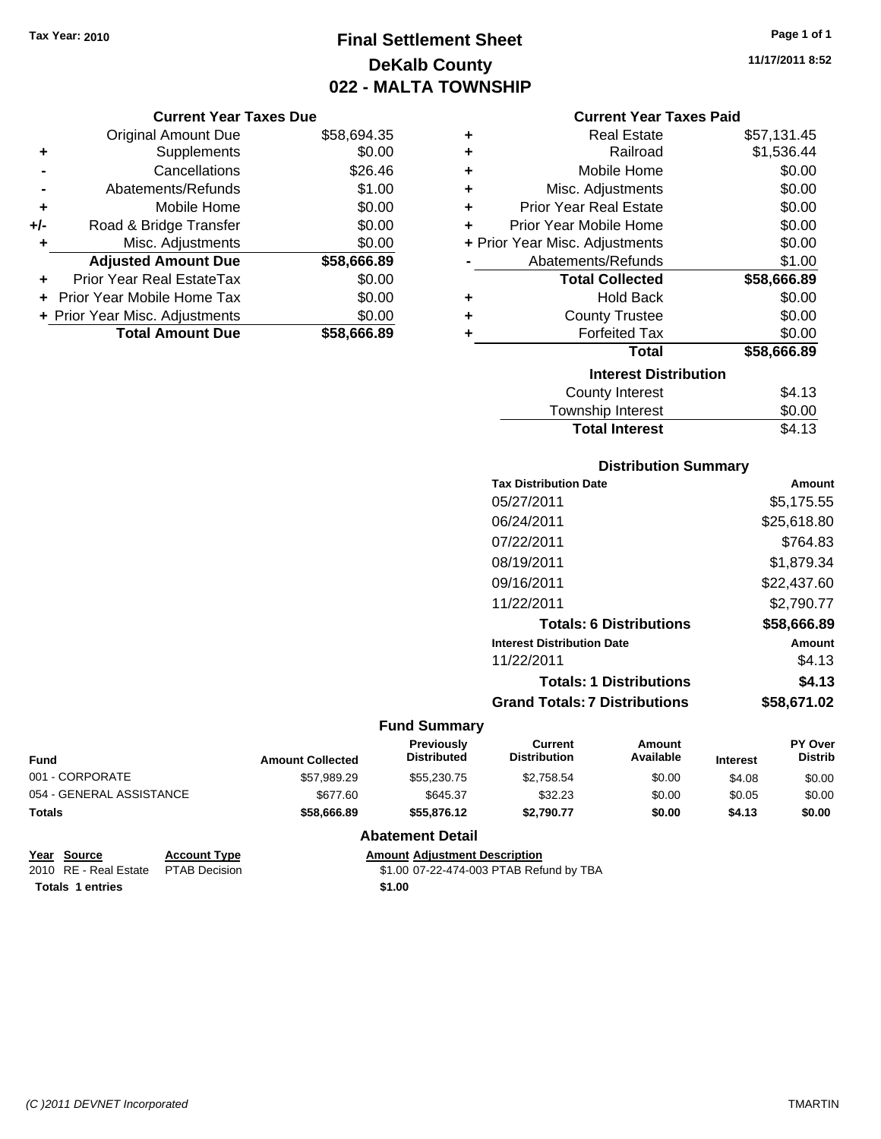## **Final Settlement Sheet Tax Year: 2010 Page 1 of 1 DeKalb County 022 - MALTA TOWNSHIP**

#### **Current Year Taxes Due**

|       | <b>Original Amount Due</b>     | \$58,694.35 |
|-------|--------------------------------|-------------|
| ٠     | Supplements                    | \$0.00      |
|       | Cancellations                  | \$26.46     |
|       | Abatements/Refunds             | \$1.00      |
| ٠     | Mobile Home                    | \$0.00      |
| $+/-$ | Road & Bridge Transfer         | \$0.00      |
| ٠     | Misc. Adjustments              | \$0.00      |
|       | <b>Adjusted Amount Due</b>     | \$58,666.89 |
|       | Prior Year Real EstateTax      | \$0.00      |
|       | Prior Year Mobile Home Tax     | \$0.00      |
|       | + Prior Year Misc. Adjustments | \$0.00      |
|       | <b>Total Amount Due</b>        | \$58.666.89 |

| ٠ | <b>Real Estate</b>             | \$57,131.45 |
|---|--------------------------------|-------------|
| ÷ | Railroad                       | \$1,536.44  |
| ÷ | Mobile Home                    | \$0.00      |
| ÷ | Misc. Adjustments              | \$0.00      |
| ÷ | <b>Prior Year Real Estate</b>  | \$0.00      |
| ÷ | Prior Year Mobile Home         | \$0.00      |
|   | + Prior Year Misc. Adjustments | \$0.00      |
|   | Abatements/Refunds             | \$1.00      |
|   |                                |             |
|   | <b>Total Collected</b>         | \$58,666.89 |
| ٠ | <b>Hold Back</b>               | \$0.00      |
| ÷ | <b>County Trustee</b>          | \$0.00      |
| ٠ | <b>Forfeited Tax</b>           | \$0.00      |
|   | <b>Total</b>                   | \$58,666.89 |
|   | <b>Interest Distribution</b>   |             |
|   | County Interest                | \$4.13      |

# Total Interest \$4.13

| <b>Distribution Summary</b>          |             |
|--------------------------------------|-------------|
| <b>Tax Distribution Date</b>         | Amount      |
| 05/27/2011                           | \$5.175.55  |
| 06/24/2011                           | \$25,618.80 |
| 07/22/2011                           | \$764.83    |
| 08/19/2011                           | \$1,879.34  |
| 09/16/2011                           | \$22,437.60 |
| 11/22/2011                           | \$2,790.77  |
| <b>Totals: 6 Distributions</b>       | \$58,666.89 |
| <b>Interest Distribution Date</b>    | Amount      |
| 11/22/2011                           | \$4.13      |
| <b>Totals: 1 Distributions</b>       | \$4.13      |
| <b>Grand Totals: 7 Distributions</b> | \$58.671.02 |

#### **Fund Summary**

| <b>Fund</b>              | <b>Amount Collected</b> | <b>Previously</b><br><b>Distributed</b> | Current<br><b>Distribution</b> | Amount<br>Available | <b>Interest</b> | <b>PY Over</b><br><b>Distrib</b> |
|--------------------------|-------------------------|-----------------------------------------|--------------------------------|---------------------|-----------------|----------------------------------|
| 001 - CORPORATE          | \$57.989.29             | \$55,230,75                             | \$2.758.54                     | \$0.00              | \$4.08          | \$0.00                           |
| 054 - GENERAL ASSISTANCE | \$677.60                | \$645.37                                | \$32.23                        | \$0.00              | \$0.05          | \$0.00                           |
| Totals                   | \$58,666.89             | \$55,876,12                             | \$2.790.77                     | \$0.00              | \$4.13          | \$0.00                           |

#### **Abatement Detail**

| Year Source                         | <b>Account Type</b> | <b>Amount Adiustment Description</b>    |
|-------------------------------------|---------------------|-----------------------------------------|
| 2010 RE - Real Estate PTAB Decision |                     | \$1.00 07-22-474-003 PTAB Refund by TBA |
| <b>Totals 1 entries</b>             |                     | \$1.00                                  |

**11/17/2011 8:52**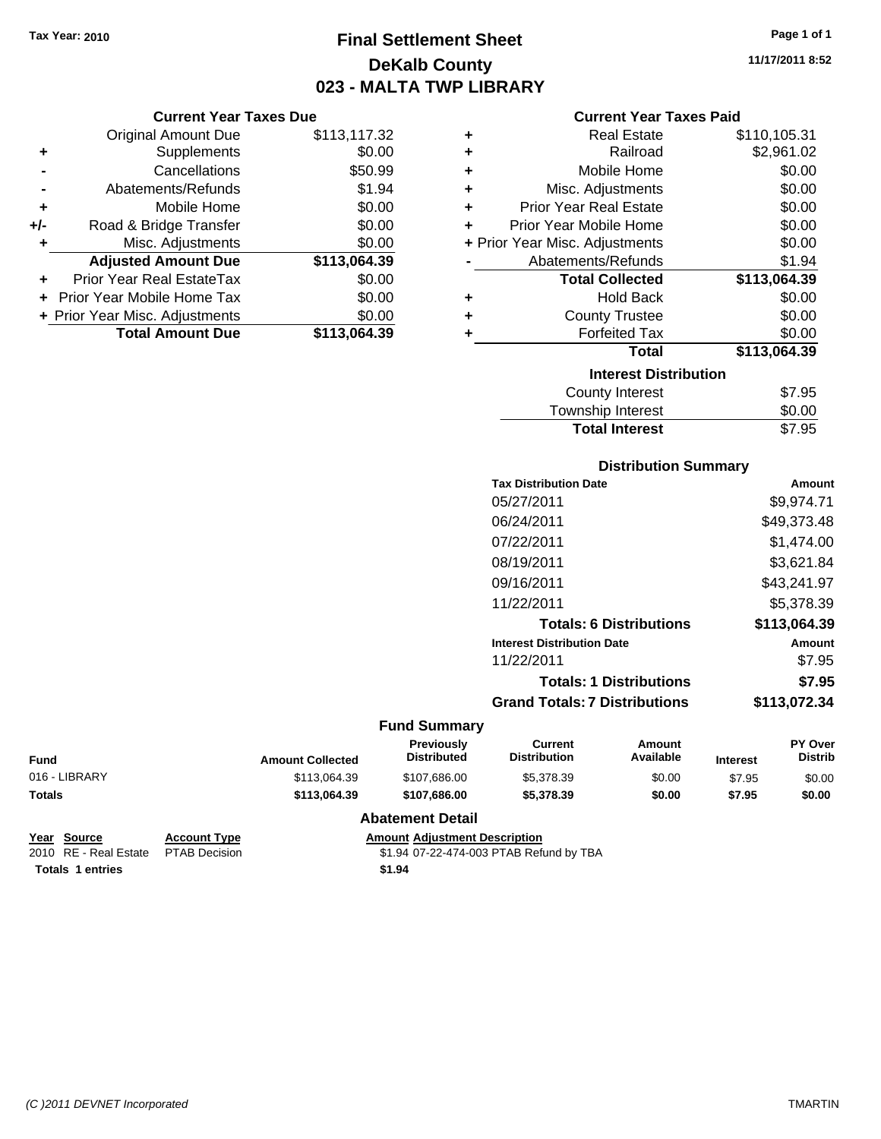## **Final Settlement Sheet Tax Year: 2010 Page 1 of 1 DeKalb County 023 - MALTA TWP LIBRARY**

**11/17/2011 8:52**

#### **Current Year Taxes Due**

|       | <b>Original Amount Due</b>     | \$113,117.32 |
|-------|--------------------------------|--------------|
| ٠     | Supplements                    | \$0.00       |
|       | Cancellations                  | \$50.99      |
|       | Abatements/Refunds             | \$1.94       |
| ٠     | Mobile Home                    | \$0.00       |
| $+/-$ | Road & Bridge Transfer         | \$0.00       |
| ٠     | Misc. Adjustments              | \$0.00       |
|       | <b>Adjusted Amount Due</b>     | \$113,064.39 |
|       | Prior Year Real EstateTax      | \$0.00       |
|       | Prior Year Mobile Home Tax     | \$0.00       |
|       | + Prior Year Misc. Adjustments | \$0.00       |
|       | <b>Total Amount Due</b>        | \$113.064.39 |

#### **Current Year Taxes Paid**

| ٠ | <b>Real Estate</b>             | \$110,105.31 |
|---|--------------------------------|--------------|
| ٠ | Railroad                       | \$2,961.02   |
| ٠ | Mobile Home                    | \$0.00       |
| ٠ | Misc. Adjustments              | \$0.00       |
| ٠ | <b>Prior Year Real Estate</b>  | \$0.00       |
| ٠ | Prior Year Mobile Home         | \$0.00       |
|   | + Prior Year Misc. Adjustments | \$0.00       |
|   | Abatements/Refunds             | \$1.94       |
|   | <b>Total Collected</b>         | \$113,064.39 |
|   |                                |              |
| ٠ | <b>Hold Back</b>               | \$0.00       |
| ٠ | <b>County Trustee</b>          | \$0.00       |
| ٠ | <b>Forfeited Tax</b>           | \$0.00       |
|   | Total                          | \$113,064.39 |
|   | <b>Interest Distribution</b>   |              |

| <b>Total Interest</b> | \$7.95 |
|-----------------------|--------|
| Township Interest     | \$0.00 |
| County Interest       | \$7.95 |

#### **Distribution Summary**

| <b>Tax Distribution Date</b>         | Amount       |
|--------------------------------------|--------------|
| 05/27/2011                           | \$9.974.71   |
| 06/24/2011                           | \$49,373.48  |
| 07/22/2011                           | \$1.474.00   |
| 08/19/2011                           | \$3,621.84   |
| 09/16/2011                           | \$43,241.97  |
| 11/22/2011                           | \$5,378.39   |
| <b>Totals: 6 Distributions</b>       | \$113.064.39 |
| <b>Interest Distribution Date</b>    | Amount       |
| 11/22/2011                           | \$7.95       |
| <b>Totals: 1 Distributions</b>       | \$7.95       |
| <b>Grand Totals: 7 Distributions</b> | \$113,072.34 |
|                                      |              |

#### **Fund Summary**

| <b>Distribution</b><br>Available<br><b>Distributed</b><br><b>Amount Collected</b> | <b>Distrib</b><br><b>Interest</b> |
|-----------------------------------------------------------------------------------|-----------------------------------|
| \$0.00<br>\$107.686.00<br>\$113,064.39<br>\$5,378,39                              | \$0.00<br>\$7.95                  |
| \$0.00<br>\$107.686.00<br>\$5,378,39<br>\$113,064.39                              | \$7.95<br>\$0.00                  |
|                                                                                   |                                   |

#### **Abatement Detail**

| Year Source           | <b>Account T</b> |
|-----------------------|------------------|
| 2010 RE - Real Estate | <b>PTAB Dec</b>  |

**Yearth Islam Amount Adjustment Description Totals 1 entries** \$1.94

2010 81.94 07-22-474-003 PTAB Refund by TBA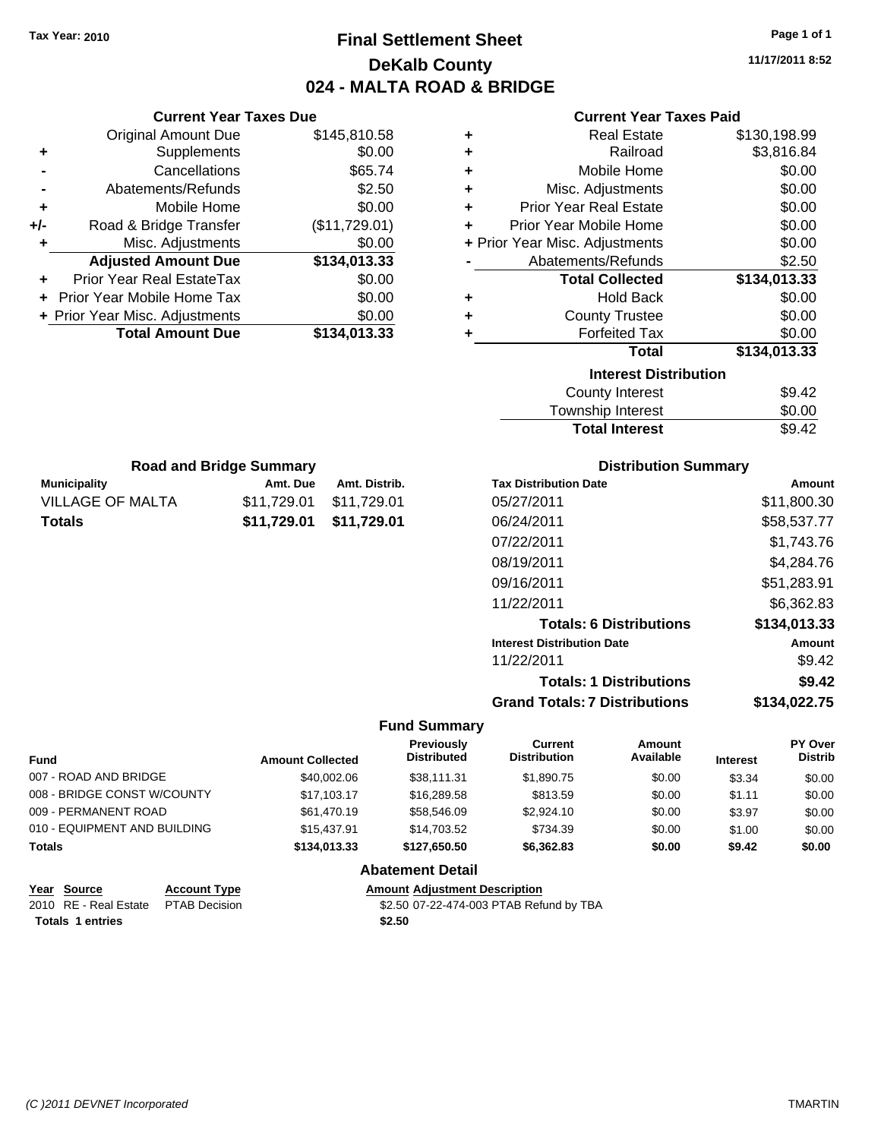## **Final Settlement Sheet Tax Year: 2010 Page 1 of 1 DeKalb County 024 - MALTA ROAD & BRIDGE**

**11/17/2011 8:52**

| <b>Current Year Taxes Due</b> |                                |               |  |
|-------------------------------|--------------------------------|---------------|--|
|                               | Original Amount Due            | \$145,810.58  |  |
| ٠                             | Supplements                    | \$0.00        |  |
|                               | Cancellations                  | \$65.74       |  |
|                               | Abatements/Refunds             | \$2.50        |  |
| ٠                             | Mobile Home                    | \$0.00        |  |
| +/-                           | Road & Bridge Transfer         | (\$11,729.01) |  |
| ٠                             | Misc. Adjustments              | \$0.00        |  |
|                               | <b>Adjusted Amount Due</b>     | \$134,013.33  |  |
| ÷                             | Prior Year Real EstateTax      | \$0.00        |  |
|                               | Prior Year Mobile Home Tax     | \$0.00        |  |
|                               | + Prior Year Misc. Adjustments | \$0.00        |  |
|                               | <b>Total Amount Due</b>        | \$134,013.33  |  |
|                               |                                |               |  |

#### **Current Year Taxes Paid**

|   | <b>Real Estate</b>             | \$130,198.99 |
|---|--------------------------------|--------------|
| ÷ | Railroad                       | \$3,816.84   |
| ٠ | Mobile Home                    | \$0.00       |
| ٠ | Misc. Adjustments              | \$0.00       |
| ٠ | <b>Prior Year Real Estate</b>  | \$0.00       |
| ÷ | Prior Year Mobile Home         | \$0.00       |
|   | + Prior Year Misc. Adjustments | \$0.00       |
|   | Abatements/Refunds             | \$2.50       |
|   | <b>Total Collected</b>         | \$134,013.33 |
| ٠ | <b>Hold Back</b>               | \$0.00       |
| ÷ | <b>County Trustee</b>          | \$0.00       |
|   | <b>Forfeited Tax</b>           | \$0.00       |
|   | <b>Total</b>                   | \$134,013.33 |
|   | <b>Interest Distribution</b>   |              |
|   | County Interest                | \$9.42       |

| <b>Total Interest</b> | \$9.42 |
|-----------------------|--------|
| Township Interest     | \$0.00 |
| County Interest       | \$9.42 |

| <b>Road and Bridge Summary</b> |             |               |  |  |
|--------------------------------|-------------|---------------|--|--|
| <b>Municipality</b>            | Amt. Due    | Amt. Distrib. |  |  |
| <b>VILLAGE OF MALTA</b>        | \$11,729.01 | \$11,729.01   |  |  |
| Totals                         | \$11.729.01 | \$11,729.01   |  |  |

### **Distribution Summary**

| <b>Tax Distribution Date</b>         | Amount       |
|--------------------------------------|--------------|
| 05/27/2011                           | \$11,800.30  |
| 06/24/2011                           | \$58,537.77  |
| 07/22/2011                           | \$1.743.76   |
| 08/19/2011                           | \$4,284.76   |
| 09/16/2011                           | \$51,283.91  |
| 11/22/2011                           | \$6.362.83   |
| <b>Totals: 6 Distributions</b>       | \$134,013.33 |
| <b>Interest Distribution Date</b>    | Amount       |
| 11/22/2011                           | \$9.42       |
| <b>Totals: 1 Distributions</b>       | \$9.42       |
| <b>Grand Totals: 7 Distributions</b> | \$134.022.75 |

#### **Fund Summary**

| <b>Fund</b>                  | <b>Amount Collected</b> | Previously<br><b>Distributed</b> | Current<br><b>Distribution</b> | Amount<br>Available | <b>Interest</b> | PY Over<br><b>Distrib</b> |
|------------------------------|-------------------------|----------------------------------|--------------------------------|---------------------|-----------------|---------------------------|
| 007 - ROAD AND BRIDGE        | \$40,002.06             | \$38,111.31                      | \$1,890.75                     | \$0.00              | \$3.34          | \$0.00                    |
| 008 - BRIDGE CONST W/COUNTY  | \$17.103.17             | \$16,289.58                      | \$813.59                       | \$0.00              | \$1.11          | \$0.00                    |
| 009 - PERMANENT ROAD         | \$61,470.19             | \$58,546.09                      | \$2,924.10                     | \$0.00              | \$3.97          | \$0.00                    |
| 010 - EQUIPMENT AND BUILDING | \$15,437.91             | \$14.703.52                      | \$734.39                       | \$0.00              | \$1.00          | \$0.00                    |
| Totals                       | \$134,013,33            | \$127,650,50                     | \$6.362.83                     | \$0.00              | \$9.42          | \$0.00                    |
|                              |                         |                                  |                                |                     |                 |                           |

#### **Abatement Detail**

#### **Year Source Account Type Amount Adjustment Description** \$2.50 07-22-474-003 PTAB Refund by TBA

| 2010 RE - Real Estate PTAB Decision | \$2.50 |
|-------------------------------------|--------|
| <b>Totals 1 entries</b>             | \$2.50 |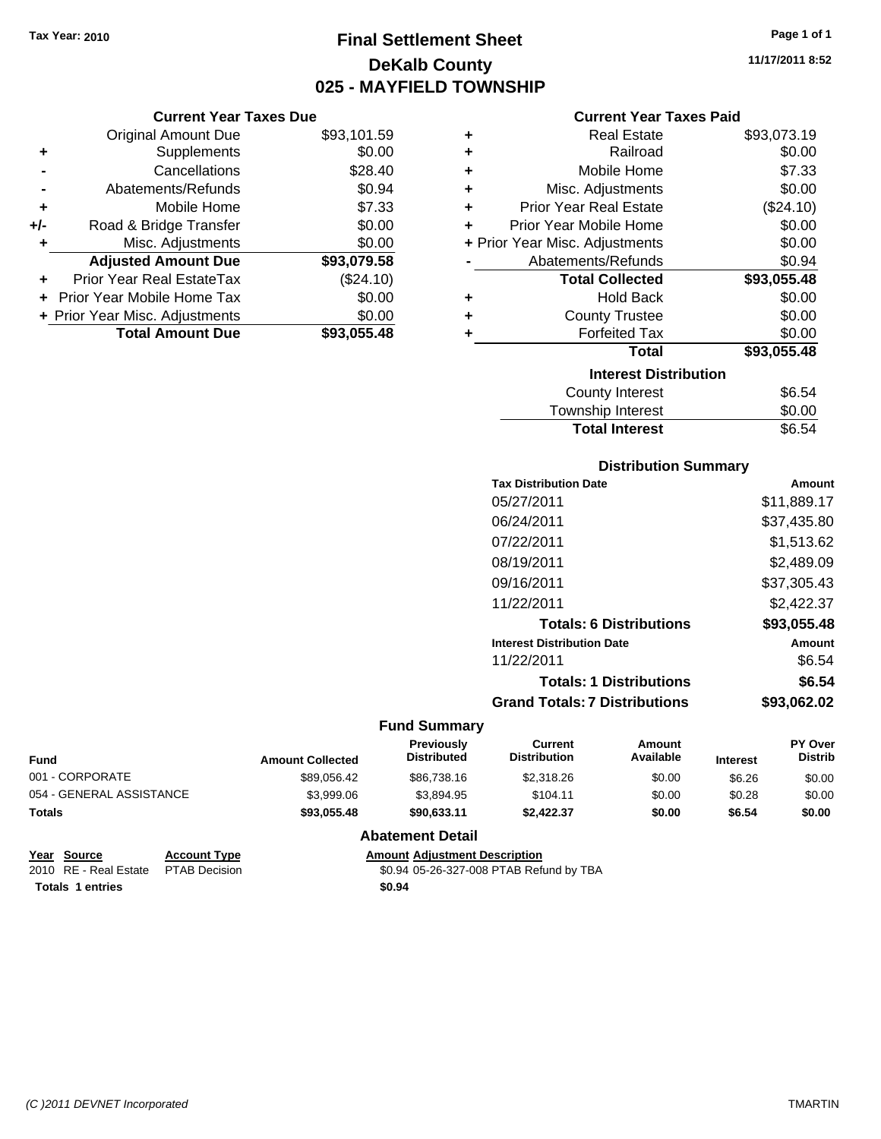## **Final Settlement Sheet Tax Year: 2010 Page 1 of 1 DeKalb County 025 - MAYFIELD TOWNSHIP**

**11/17/2011 8:52**

#### **Current Year Taxes Paid**

| <b>Current Year Taxes Due</b> |                                  |             |   | Cι                   |
|-------------------------------|----------------------------------|-------------|---|----------------------|
|                               | Original Amount Due              | \$93,101.59 | ٠ |                      |
|                               | <b>Supplements</b>               | \$0.00      | ٠ |                      |
|                               | Cancellations                    | \$28.40     | ٠ | М                    |
|                               | Abatements/Refunds               | \$0.94      | ÷ | Misc. A              |
|                               | Mobile Home                      | \$7.33      | ÷ | Prior Year           |
| $+/-$                         | Road & Bridge Transfer           | \$0.00      | ÷ | Prior Year M         |
| ٠                             | Misc. Adjustments                | \$0.00      |   | + Prior Year Misc. A |
|                               | <b>Adjusted Amount Due</b>       | \$93,079.58 |   | Abatemer             |
|                               | <b>Prior Year Real EstateTax</b> | (\$24.10)   |   | Tota                 |
|                               | + Prior Year Mobile Home Tax     | \$0.00      | ÷ |                      |
|                               | + Prior Year Misc. Adjustments   | \$0.00      | ÷ | Cou                  |
|                               | <b>Total Amount Due</b>          | \$93,055.48 |   | Fο                   |
|                               |                                  |             |   |                      |

| ٠ | <b>Real Estate</b>             | \$93,073.19 |
|---|--------------------------------|-------------|
| ÷ | Railroad                       | \$0.00      |
| ÷ | Mobile Home                    | \$7.33      |
| ٠ | Misc. Adjustments              | \$0.00      |
| ÷ | <b>Prior Year Real Estate</b>  | (\$24.10)   |
| ٠ | Prior Year Mobile Home         | \$0.00      |
|   | + Prior Year Misc. Adjustments | \$0.00      |
|   | Abatements/Refunds             | \$0.94      |
|   | <b>Total Collected</b>         | \$93,055.48 |
|   | <b>Hold Back</b>               | \$0.00      |
| ÷ | <b>County Trustee</b>          | \$0.00      |
| ٠ | <b>Forfeited Tax</b>           | \$0.00      |
|   | Total                          | \$93,055.48 |
|   | <b>Interest Distribution</b>   |             |
|   | <b>County Interest</b>         | \$6.54      |
|   | Township Interest              | \$0.00      |
|   | <b>Total Interest</b>          | \$6.54      |

#### **Distribution Summary**

| <b>Tax Distribution Date</b>         | Amount      |
|--------------------------------------|-------------|
| 05/27/2011                           | \$11,889.17 |
| 06/24/2011                           | \$37.435.80 |
| 07/22/2011                           | \$1,513.62  |
| 08/19/2011                           | \$2,489.09  |
| 09/16/2011                           | \$37,305.43 |
| 11/22/2011                           | \$2,422.37  |
| <b>Totals: 6 Distributions</b>       | \$93,055.48 |
| <b>Interest Distribution Date</b>    | Amount      |
| 11/22/2011                           | \$6.54      |
| <b>Totals: 1 Distributions</b>       | \$6.54      |
| <b>Grand Totals: 7 Distributions</b> | \$93.062.02 |
|                                      |             |

#### **Fund Summary**

| <b>Fund</b>              | <b>Amount Collected</b> | <b>Previously</b><br><b>Distributed</b> | Current<br><b>Distribution</b> | Amount<br>Available | <b>Interest</b> | <b>PY Over</b><br><b>Distrib</b> |
|--------------------------|-------------------------|-----------------------------------------|--------------------------------|---------------------|-----------------|----------------------------------|
| 001 - CORPORATE          | \$89,056.42             | \$86,738.16                             | \$2,318.26                     | \$0.00              | \$6.26          | \$0.00                           |
| 054 - GENERAL ASSISTANCE | \$3,999.06              | \$3.894.95                              | \$104.11                       | \$0.00              | \$0.28          | \$0.00                           |
| <b>Totals</b>            | \$93,055.48             | \$90,633,11                             | \$2.422.37                     | \$0.00              | \$6.54          | \$0.00                           |

#### **Abatement Detail**

| Year Source                         | <b>Account Type</b> | <b>Amount Adiustment Description</b>    |
|-------------------------------------|---------------------|-----------------------------------------|
| 2010 RE - Real Estate PTAB Decision |                     | \$0.94 05-26-327-008 PTAB Refund by TBA |
| Totals 1 entries                    |                     | \$0.94                                  |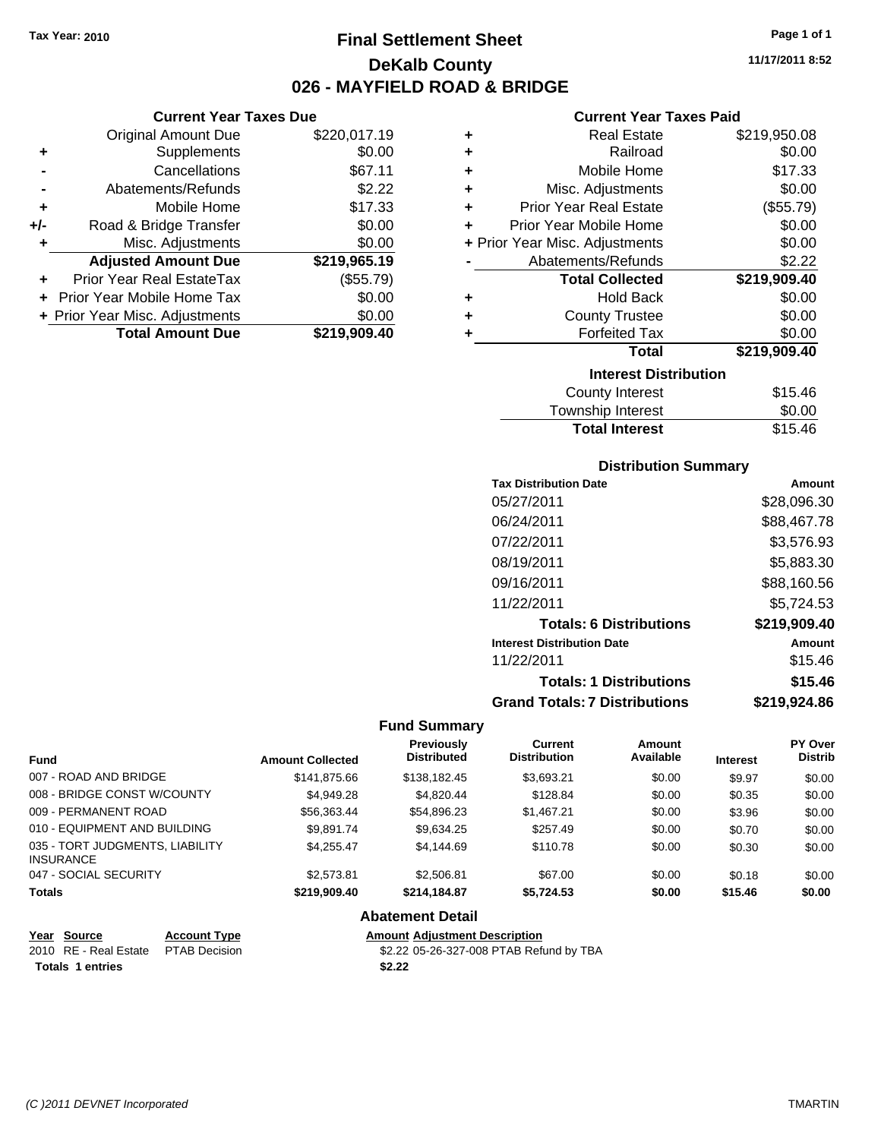**Current Year Taxes Due** Original Amount Due \$220,017.19

**Adjusted Amount Due \$219,965.19**

**Total Amount Due \$219,909.40**

**+** Supplements \$0.00 **-** Cancellations \$67.11 **-** Abatements/Refunds \$2.22 **+** Mobile Home \$17.33 **+/-** Road & Bridge Transfer \$0.00 **+** Misc. Adjustments \$0.00

**+** Prior Year Real EstateTax (\$55.79) **+** Prior Year Mobile Home Tax \$0.00 **+ Prior Year Misc. Adjustments**  $$0.00$ 

## **Final Settlement Sheet Tax Year: 2010 Page 1 of 1 DeKalb County 026 - MAYFIELD ROAD & BRIDGE**

**11/17/2011 8:52**

### **Current Year Taxes Paid**

| ٠                            | <b>Real Estate</b>             | \$219,950.08 |  |  |
|------------------------------|--------------------------------|--------------|--|--|
| ٠                            | Railroad                       | \$0.00       |  |  |
| ٠                            | Mobile Home                    | \$17.33      |  |  |
| ٠                            | Misc. Adjustments              | \$0.00       |  |  |
| ٠                            | <b>Prior Year Real Estate</b>  | (\$55.79)    |  |  |
| ÷                            | Prior Year Mobile Home         | \$0.00       |  |  |
|                              | + Prior Year Misc. Adjustments | \$0.00       |  |  |
|                              | Abatements/Refunds             | \$2.22       |  |  |
|                              | <b>Total Collected</b>         | \$219,909.40 |  |  |
| ٠                            | <b>Hold Back</b>               | \$0.00       |  |  |
| ٠                            | <b>County Trustee</b>          | \$0.00       |  |  |
| ٠                            | <b>Forfeited Tax</b>           | \$0.00       |  |  |
|                              | Total                          | \$219,909.40 |  |  |
| <b>Interest Distribution</b> |                                |              |  |  |
|                              | <b>County Interest</b>         | \$15.46      |  |  |
|                              | Taurachin Internat             | ሮስ ሰሰ        |  |  |

| Township Interest     | \$0.00  |
|-----------------------|---------|
| <b>Total Interest</b> | \$15.46 |

#### **Distribution Summary**

| <b>Tax Distribution Date</b>         | Amount       |
|--------------------------------------|--------------|
| 05/27/2011                           | \$28,096.30  |
| 06/24/2011                           | \$88,467.78  |
| 07/22/2011                           | \$3,576.93   |
| 08/19/2011                           | \$5,883.30   |
| 09/16/2011                           | \$88,160.56  |
| 11/22/2011                           | \$5,724.53   |
| <b>Totals: 6 Distributions</b>       | \$219,909.40 |
| <b>Interest Distribution Date</b>    | Amount       |
| 11/22/2011                           | \$15.46      |
| <b>Totals: 1 Distributions</b>       | \$15.46      |
| <b>Grand Totals: 7 Distributions</b> | \$219,924.86 |

#### **Fund Summary**

| <b>Fund</b>                                         | <b>Amount Collected</b> | <b>Previously</b><br><b>Distributed</b> | <b>Current</b><br><b>Distribution</b> | Amount<br>Available | <b>Interest</b> | PY Over<br><b>Distrib</b> |
|-----------------------------------------------------|-------------------------|-----------------------------------------|---------------------------------------|---------------------|-----------------|---------------------------|
| 007 - ROAD AND BRIDGE                               | \$141.875.66            | \$138,182.45                            | \$3.693.21                            | \$0.00              | \$9.97          | \$0.00                    |
| 008 - BRIDGE CONST W/COUNTY                         | \$4,949.28              | \$4,820.44                              | \$128.84                              | \$0.00              | \$0.35          | \$0.00                    |
| 009 - PERMANENT ROAD                                | \$56,363.44             | \$54,896.23                             | \$1,467.21                            | \$0.00              | \$3.96          | \$0.00                    |
| 010 - EQUIPMENT AND BUILDING                        | \$9.891.74              | \$9,634.25                              | \$257.49                              | \$0.00              | \$0.70          | \$0.00                    |
| 035 - TORT JUDGMENTS, LIABILITY<br><b>INSURANCE</b> | \$4.255.47              | \$4.144.69                              | \$110.78                              | \$0.00              | \$0.30          | \$0.00                    |
| 047 - SOCIAL SECURITY                               | \$2,573.81              | \$2,506.81                              | \$67.00                               | \$0.00              | \$0.18          | \$0.00                    |
| <b>Totals</b>                                       | \$219,909.40            | \$214.184.87                            | \$5,724.53                            | \$0.00              | \$15.46         | \$0.00                    |

#### **Abatement Detail**

| Year Source                         | <b>Account Type</b> | <b>Amount Adjustment Description</b>    |
|-------------------------------------|---------------------|-----------------------------------------|
| 2010 RE - Real Estate PTAB Decision |                     | \$2.22 05-26-327-008 PTAB Refund by TBA |
| <b>Totals 1 entries</b>             |                     | \$2.22                                  |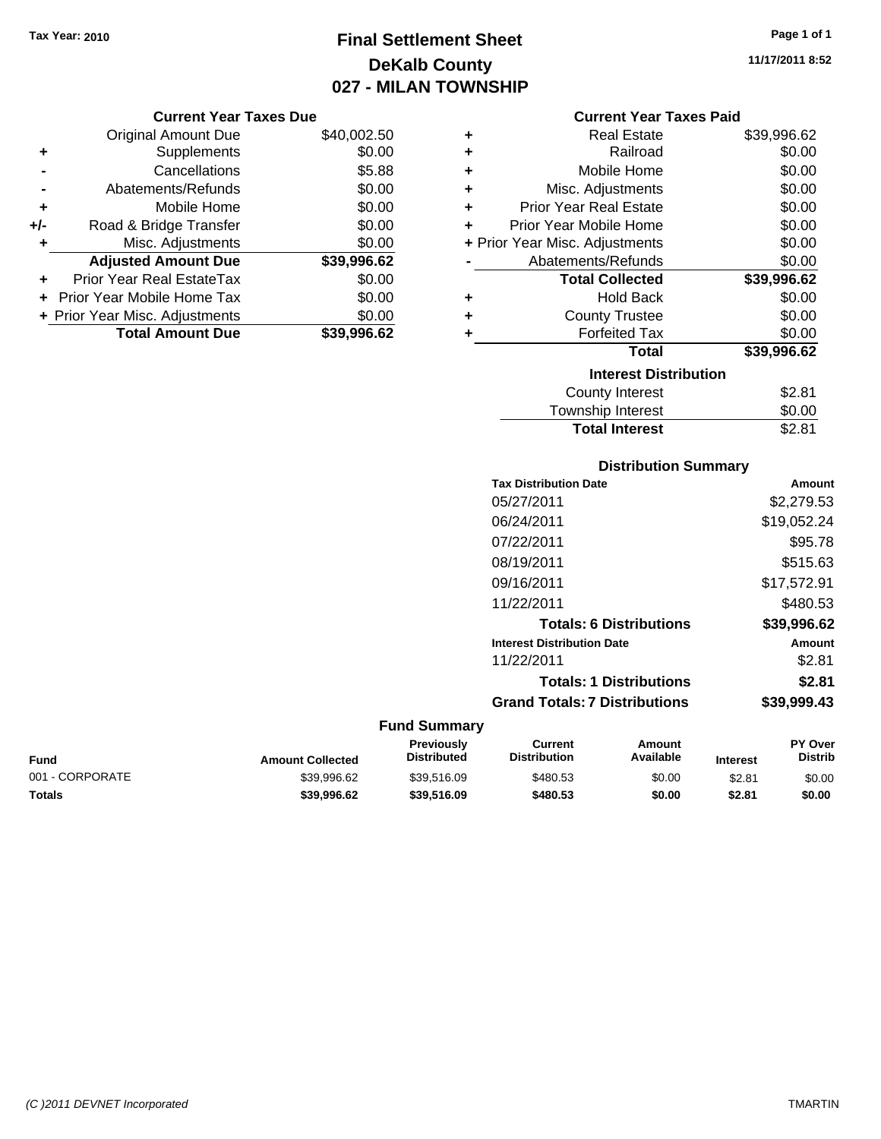## **Final Settlement Sheet Tax Year: 2010 Page 1 of 1 DeKalb County 027 - MILAN TOWNSHIP**

**11/17/2011 8:52**

#### **Current Year Taxes Due**

|     | <b>Original Amount Due</b>     | \$40,002.50 |
|-----|--------------------------------|-------------|
| ٠   | Supplements                    | \$0.00      |
|     | Cancellations                  | \$5.88      |
|     | Abatements/Refunds             | \$0.00      |
| ÷   | Mobile Home                    | \$0.00      |
| +/- | Road & Bridge Transfer         | \$0.00      |
|     | Misc. Adjustments              | \$0.00      |
|     | <b>Adjusted Amount Due</b>     | \$39,996.62 |
| ÷   | Prior Year Real EstateTax      | \$0.00      |
|     | Prior Year Mobile Home Tax     | \$0.00      |
|     | + Prior Year Misc. Adjustments | \$0.00      |
|     | <b>Total Amount Due</b>        | \$39,996.62 |

#### **Current Year Taxes Paid**

| ٠ | Real Estate                    | \$39,996.62 |
|---|--------------------------------|-------------|
| ٠ | Railroad                       | \$0.00      |
| ÷ | Mobile Home                    | \$0.00      |
| ÷ | Misc. Adjustments              | \$0.00      |
| ٠ | Prior Year Real Estate         | \$0.00      |
| ٠ | Prior Year Mobile Home         | \$0.00      |
|   | + Prior Year Misc. Adjustments | \$0.00      |
|   | Abatements/Refunds             | \$0.00      |
|   | <b>Total Collected</b>         | \$39,996.62 |
| ٠ | <b>Hold Back</b>               | \$0.00      |
| ٠ | <b>County Trustee</b>          | \$0.00      |
| ٠ | <b>Forfeited Tax</b>           | \$0.00      |
|   | <b>Total</b>                   | \$39,996.62 |
|   | <b>Interest Distribution</b>   |             |
|   | County Interest                | \$2.81      |
|   | <b>Township Interest</b>       | \$0.00      |
|   | <b>Total Interest</b>          | \$2.81      |

### **Distribution Summary**

| <b>Tax Distribution Date</b>         | Amount      |
|--------------------------------------|-------------|
| 05/27/2011                           | \$2,279.53  |
| 06/24/2011                           | \$19,052.24 |
| 07/22/2011                           | \$95.78     |
| 08/19/2011                           | \$515.63    |
| 09/16/2011                           | \$17,572.91 |
| 11/22/2011                           | \$480.53    |
| <b>Totals: 6 Distributions</b>       | \$39.996.62 |
| <b>Interest Distribution Date</b>    | Amount      |
| 11/22/2011                           | \$2.81      |
| <b>Totals: 1 Distributions</b>       | \$2.81      |
| <b>Grand Totals: 7 Distributions</b> | \$39,999.43 |
|                                      |             |

| Fund            | <b>Amount Collected</b> | Previously<br><b>Distributed</b> | Current<br><b>Distribution</b> | Amount<br>Available | <b>Interest</b> | <b>PY Over</b><br>Distrib |
|-----------------|-------------------------|----------------------------------|--------------------------------|---------------------|-----------------|---------------------------|
| 001 - CORPORATE | \$39.996.62             | \$39.516.09                      | \$480.53                       | \$0.00              | \$2.81          | \$0.00                    |
| Totals          | \$39.996.62             | \$39.516.09                      | \$480.53                       | \$0.00              | \$2.81          | \$0.00                    |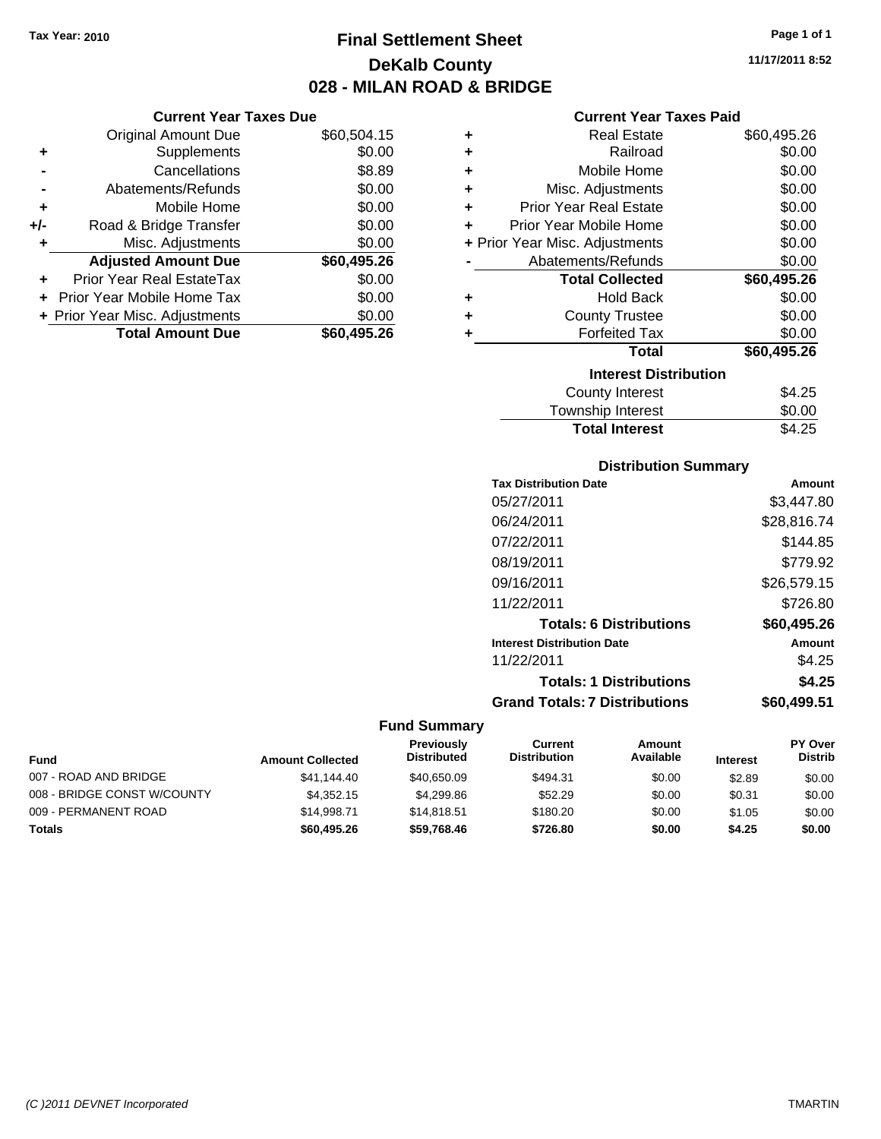## **Final Settlement Sheet Tax Year: 2010 Page 1 of 1 DeKalb County 028 - MILAN ROAD & BRIDGE**

#### **Current Year Taxes Due**

|       | <b>Original Amount Due</b>       | \$60,504.15 |
|-------|----------------------------------|-------------|
| ٠     | Supplements                      | \$0.00      |
|       | Cancellations                    | \$8.89      |
|       | Abatements/Refunds               | \$0.00      |
| ٠     | Mobile Home                      | \$0.00      |
| $+/-$ | Road & Bridge Transfer           | \$0.00      |
| ٠     | Misc. Adjustments                | \$0.00      |
|       | <b>Adjusted Amount Due</b>       | \$60,495.26 |
|       | <b>Prior Year Real EstateTax</b> | \$0.00      |
|       | Prior Year Mobile Home Tax       | \$0.00      |
|       | + Prior Year Misc. Adjustments   | \$0.00      |
|       | <b>Total Amount Due</b>          | \$60,495.26 |

#### **Current Year Taxes Paid**

| ٠                            | Real Estate                    | \$60,495.26 |  |  |  |  |  |  |
|------------------------------|--------------------------------|-------------|--|--|--|--|--|--|
| ÷                            | Railroad                       | \$0.00      |  |  |  |  |  |  |
| ÷                            | Mobile Home                    | \$0.00      |  |  |  |  |  |  |
| ÷                            | Misc. Adjustments              | \$0.00      |  |  |  |  |  |  |
| ٠                            | <b>Prior Year Real Estate</b>  | \$0.00      |  |  |  |  |  |  |
| ٠                            | Prior Year Mobile Home         | \$0.00      |  |  |  |  |  |  |
|                              | + Prior Year Misc. Adjustments | \$0.00      |  |  |  |  |  |  |
|                              | Abatements/Refunds             | \$0.00      |  |  |  |  |  |  |
|                              | <b>Total Collected</b>         | \$60,495.26 |  |  |  |  |  |  |
| ٠                            | <b>Hold Back</b>               | \$0.00      |  |  |  |  |  |  |
| ٠                            | <b>County Trustee</b>          | \$0.00      |  |  |  |  |  |  |
| ٠                            | <b>Forfeited Tax</b>           | \$0.00      |  |  |  |  |  |  |
|                              | Total                          | \$60,495.26 |  |  |  |  |  |  |
| <b>Interest Distribution</b> |                                |             |  |  |  |  |  |  |
|                              | <b>County Interest</b>         | \$4.25      |  |  |  |  |  |  |
|                              | <b>Township Interest</b>       | \$0.00      |  |  |  |  |  |  |
|                              | <b>Total Interest</b>          | \$4.25      |  |  |  |  |  |  |

### **Distribution Summary**

| <b>Tax Distribution Date</b>         | Amount      |
|--------------------------------------|-------------|
| 05/27/2011                           | \$3.447.80  |
| 06/24/2011                           | \$28,816.74 |
| 07/22/2011                           | \$144.85    |
| 08/19/2011                           | \$779.92    |
| 09/16/2011                           | \$26,579.15 |
| 11/22/2011                           | \$726.80    |
| <b>Totals: 6 Distributions</b>       | \$60,495.26 |
| <b>Interest Distribution Date</b>    | Amount      |
| 11/22/2011                           | \$4.25      |
| <b>Totals: 1 Distributions</b>       | \$4.25      |
| <b>Grand Totals: 7 Distributions</b> | \$60.499.51 |
|                                      |             |

#### **Fund Summary**

| <b>Fund</b>                 | <b>Amount Collected</b> | Previously<br><b>Distributed</b> | Current<br><b>Distribution</b> | Amount<br>Available | <b>Interest</b> | <b>PY Over</b><br><b>Distrib</b> |
|-----------------------------|-------------------------|----------------------------------|--------------------------------|---------------------|-----------------|----------------------------------|
| 007 - ROAD AND BRIDGE       | \$41,144.40             | \$40.650.09                      | \$494.31                       | \$0.00              | \$2.89          | \$0.00                           |
| 008 - BRIDGE CONST W/COUNTY | \$4,352.15              | \$4.299.86                       | \$52.29                        | \$0.00              | \$0.31          | \$0.00                           |
| 009 - PERMANENT ROAD        | \$14,998.71             | \$14,818.51                      | \$180.20                       | \$0.00              | \$1.05          | \$0.00                           |
| <b>Totals</b>               | \$60,495.26             | \$59.768.46                      | \$726.80                       | \$0.00              | \$4.25          | \$0.00                           |

**11/17/2011 8:52**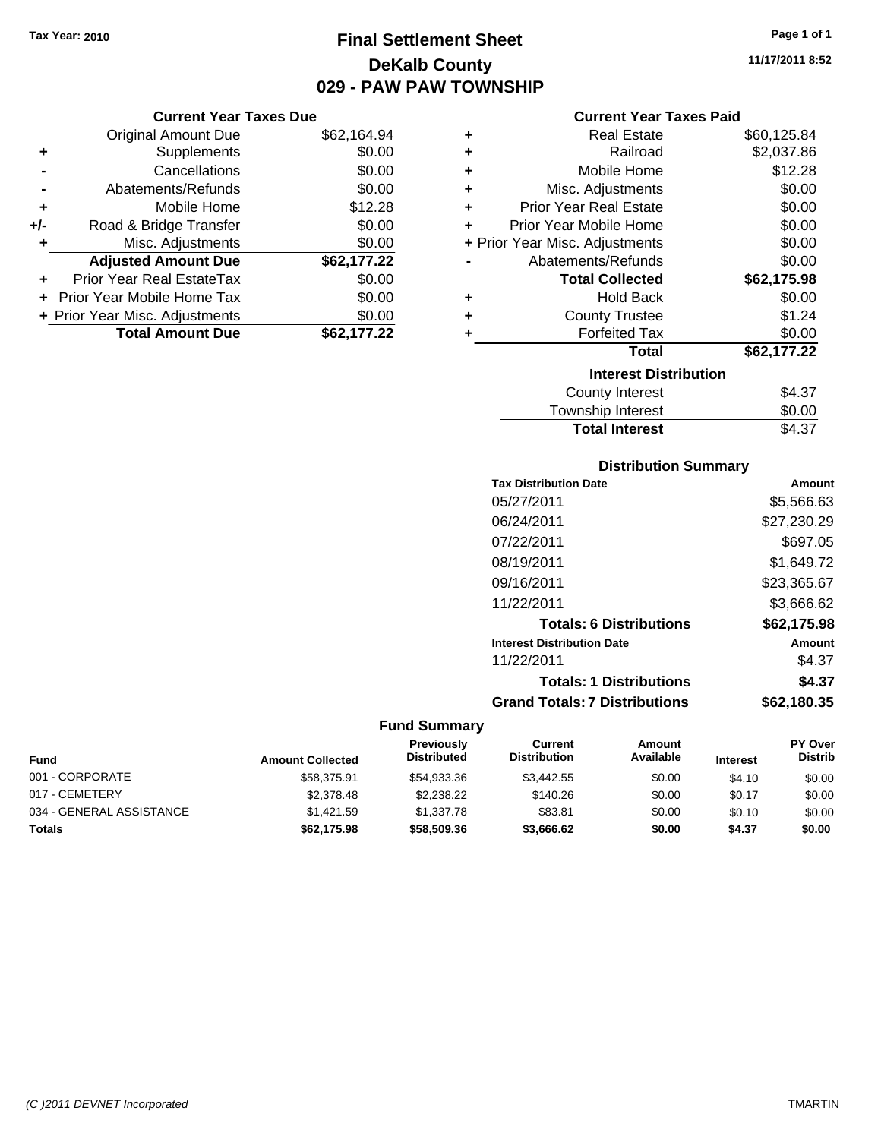**Current Year Taxes Due** Original Amount Due \$62,164.94

**Adjusted Amount Due \$62,177.22**

**Total Amount Due \$62,177.22**

**+** Supplements \$0.00 **-** Cancellations \$0.00 **-** Abatements/Refunds \$0.00 **+** Mobile Home \$12.28 **+/-** Road & Bridge Transfer \$0.00 **+** Misc. Adjustments \$0.00

**+** Prior Year Real EstateTax \$0.00 **+** Prior Year Mobile Home Tax \$0.00 **+ Prior Year Misc. Adjustments**  $$0.00$ 

# **Final Settlement Sheet Tax Year: 2010 Page 1 of 1 DeKalb County 029 - PAW PAW TOWNSHIP**

#### **Current Year Taxes Paid**

|   | Current rear Taxes Paid        |             |
|---|--------------------------------|-------------|
| ٠ | <b>Real Estate</b>             | \$60,125.84 |
| ٠ | Railroad                       | \$2,037.86  |
| ÷ | Mobile Home                    | \$12.28     |
| ٠ | Misc. Adjustments              | \$0.00      |
| ÷ | <b>Prior Year Real Estate</b>  | \$0.00      |
| ÷ | Prior Year Mobile Home         | \$0.00      |
|   | + Prior Year Misc. Adjustments | \$0.00      |
|   | Abatements/Refunds             | \$0.00      |
|   | <b>Total Collected</b>         | \$62,175.98 |
| ÷ | <b>Hold Back</b>               | \$0.00      |
| ٠ | <b>County Trustee</b>          | \$1.24      |
| ٠ | <b>Forfeited Tax</b>           | \$0.00      |
|   | <b>Total</b>                   | \$62,177.22 |
|   | <b>Interest Distribution</b>   |             |
|   | <b>County Interest</b>         | \$4.37      |
|   | Townehin Interest              | ቁስ ስስ       |

| <b>Total Interest</b> | \$4.37 |
|-----------------------|--------|
| Township Interest     | \$0.00 |
| County Interest       | \$4.37 |

#### **Distribution Summary**

| <b>Tax Distribution Date</b>         | Amount      |
|--------------------------------------|-------------|
| 05/27/2011                           | \$5,566.63  |
| 06/24/2011                           | \$27,230.29 |
| 07/22/2011                           | \$697.05    |
| 08/19/2011                           | \$1.649.72  |
| 09/16/2011                           | \$23,365.67 |
| 11/22/2011                           | \$3,666.62  |
| <b>Totals: 6 Distributions</b>       | \$62,175.98 |
| <b>Interest Distribution Date</b>    | Amount      |
| 11/22/2011                           | \$4.37      |
| <b>Totals: 1 Distributions</b>       | \$4.37      |
| <b>Grand Totals: 7 Distributions</b> | \$62.180.35 |
|                                      |             |

#### **Fund Summary**

| <b>Fund</b>              | <b>Amount Collected</b> | Previously<br><b>Distributed</b> | Current<br><b>Distribution</b> | Amount<br>Available | <b>Interest</b> | <b>PY Over</b><br><b>Distrib</b> |
|--------------------------|-------------------------|----------------------------------|--------------------------------|---------------------|-----------------|----------------------------------|
| 001 - CORPORATE          | \$58,375.91             | \$54.933.36                      | \$3,442.55                     | \$0.00              | \$4.10          | \$0.00                           |
| 017 - CEMETERY           | \$2,378.48              | \$2.238.22                       | \$140.26                       | \$0.00              | \$0.17          | \$0.00                           |
| 034 - GENERAL ASSISTANCE | \$1,421.59              | \$1,337.78                       | \$83.81                        | \$0.00              | \$0.10          | \$0.00                           |
| Totals                   | \$62,175.98             | \$58,509.36                      | \$3,666.62                     | \$0.00              | \$4.37          | \$0.00                           |

**11/17/2011 8:52**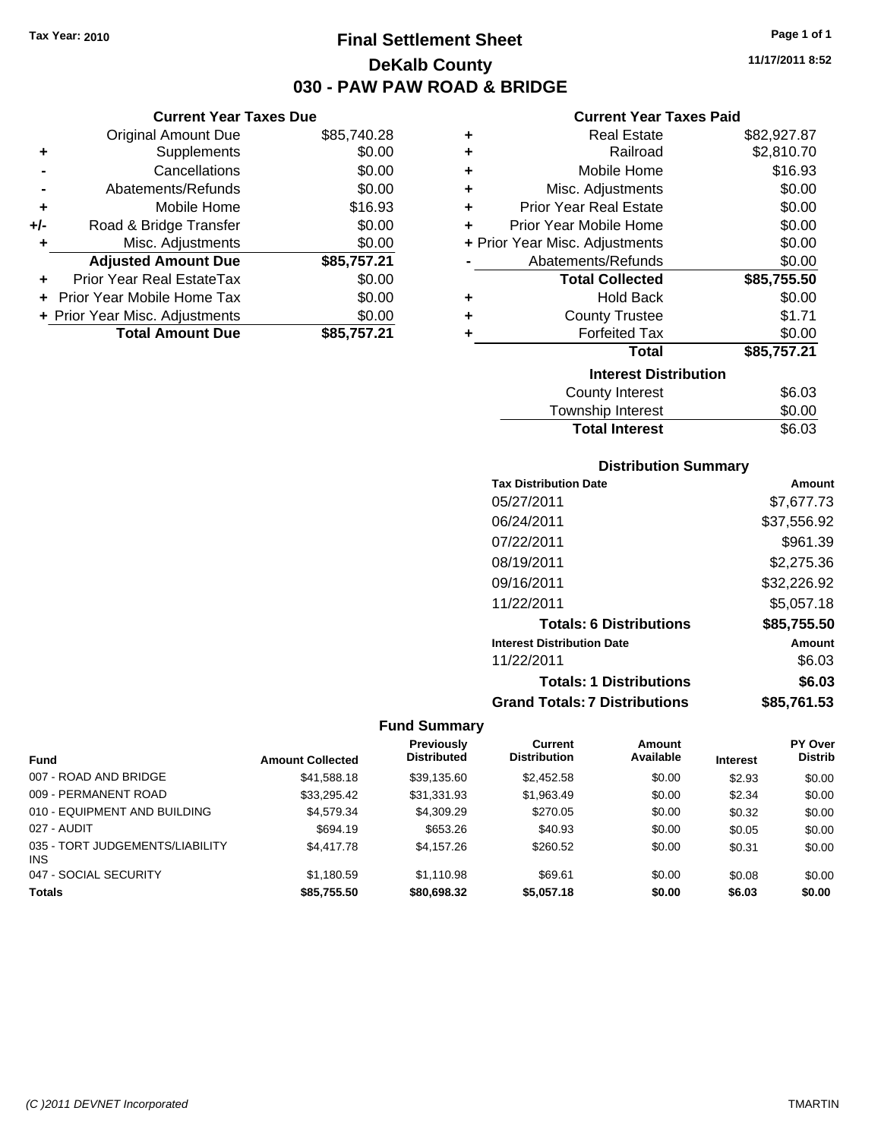**Current Year Taxes Due** Original Amount Due \$85,740.28

**Adjusted Amount Due \$85,757.21**

**Total Amount Due \$85,757.21**

**+** Supplements \$0.00 **-** Cancellations \$0.00 **-** Abatements/Refunds \$0.00 **+** Mobile Home \$16.93 **+/-** Road & Bridge Transfer \$0.00 **+** Misc. Adjustments \$0.00

**+** Prior Year Real EstateTax \$0.00 **+** Prior Year Mobile Home Tax \$0.00 **+ Prior Year Misc. Adjustments**  $$0.00$ 

# **Final Settlement Sheet Tax Year: 2010 Page 1 of 1 DeKalb County 030 - PAW PAW ROAD & BRIDGE**

**11/17/2011 8:52**

#### **Current Year Taxes Paid**

| ٠ | <b>Real Estate</b>             | \$82,927.87 |
|---|--------------------------------|-------------|
| ٠ | Railroad                       | \$2,810.70  |
| ٠ | Mobile Home                    | \$16.93     |
| ٠ | Misc. Adjustments              | \$0.00      |
| ÷ | <b>Prior Year Real Estate</b>  | \$0.00      |
| ÷ | Prior Year Mobile Home         | \$0.00      |
|   | + Prior Year Misc. Adjustments | \$0.00      |
|   | Abatements/Refunds             | \$0.00      |
|   | <b>Total Collected</b>         | \$85,755.50 |
|   |                                |             |
| ٠ | Hold Back                      | \$0.00      |
| ٠ | <b>County Trustee</b>          | \$1.71      |
| ٠ | <b>Forfeited Tax</b>           | \$0.00      |
|   | <b>Total</b>                   | \$85,757.21 |
|   | <b>Interest Distribution</b>   |             |
|   | <b>County Interest</b>         | \$6.03      |

# **Distribution Summary**

Total Interest \$6.03

| <b>Tax Distribution Date</b>         | Amount      |
|--------------------------------------|-------------|
| 05/27/2011                           | \$7.677.73  |
| 06/24/2011                           | \$37,556.92 |
| 07/22/2011                           | \$961.39    |
| 08/19/2011                           | \$2,275.36  |
| 09/16/2011                           | \$32,226.92 |
| 11/22/2011                           | \$5,057.18  |
| <b>Totals: 6 Distributions</b>       | \$85,755.50 |
| <b>Interest Distribution Date</b>    | Amount      |
| 11/22/2011                           | \$6.03      |
| <b>Totals: 1 Distributions</b>       | \$6.03      |
| <b>Grand Totals: 7 Distributions</b> | \$85.761.53 |

|                                               |                         | <b>Previously</b>  | Current             | Amount    |                 | PY Over        |
|-----------------------------------------------|-------------------------|--------------------|---------------------|-----------|-----------------|----------------|
| <b>Fund</b>                                   | <b>Amount Collected</b> | <b>Distributed</b> | <b>Distribution</b> | Available | <b>Interest</b> | <b>Distrib</b> |
| 007 - ROAD AND BRIDGE                         | \$41,588.18             | \$39,135.60        | \$2,452.58          | \$0.00    | \$2.93          | \$0.00         |
| 009 - PERMANENT ROAD                          | \$33,295.42             | \$31,331.93        | \$1,963.49          | \$0.00    | \$2.34          | \$0.00         |
| 010 - EQUIPMENT AND BUILDING                  | \$4,579.34              | \$4,309.29         | \$270.05            | \$0.00    | \$0.32          | \$0.00         |
| 027 - AUDIT                                   | \$694.19                | \$653.26           | \$40.93             | \$0.00    | \$0.05          | \$0.00         |
| 035 - TORT JUDGEMENTS/LIABILITY<br><b>INS</b> | \$4,417.78              | \$4,157.26         | \$260.52            | \$0.00    | \$0.31          | \$0.00         |
| 047 - SOCIAL SECURITY                         | \$1,180.59              | \$1.110.98         | \$69.61             | \$0.00    | \$0.08          | \$0.00         |
| <b>Totals</b>                                 | \$85.755.50             | \$80.698.32        | \$5,057.18          | \$0.00    | \$6.03          | \$0.00         |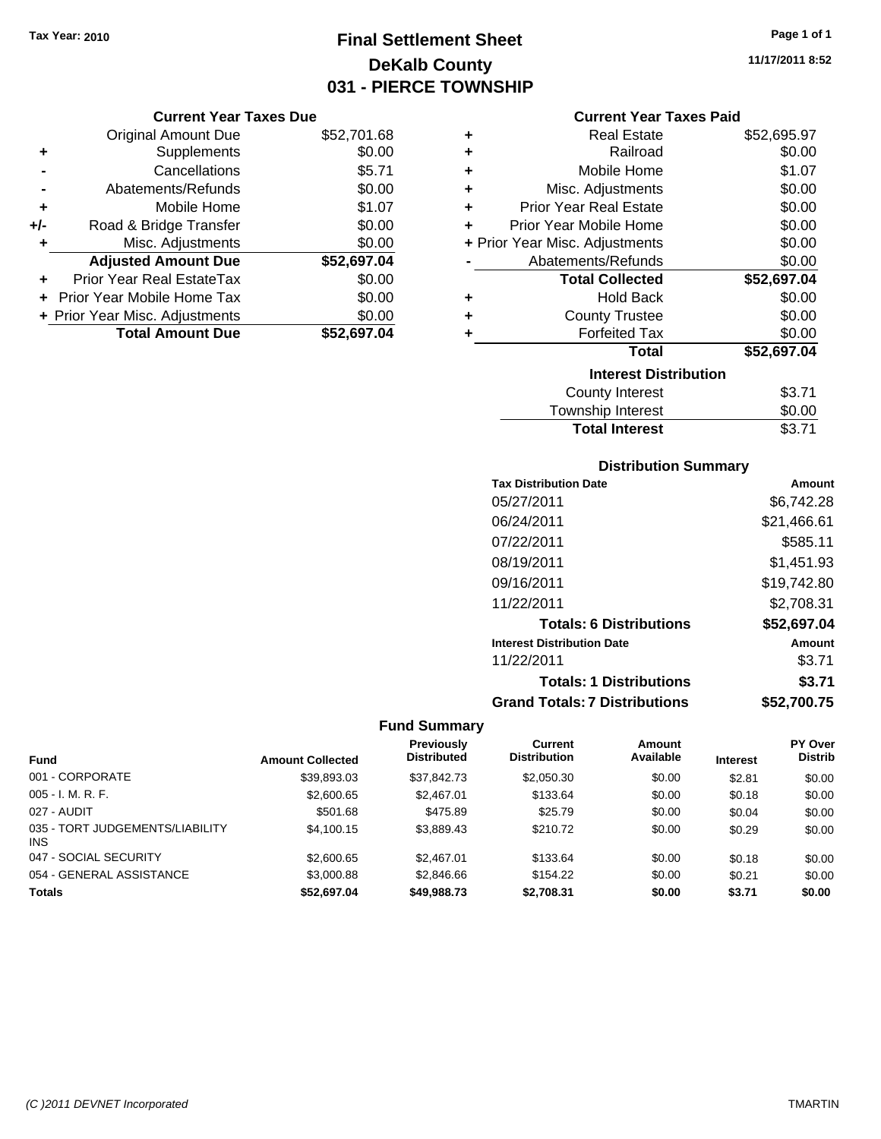# **Final Settlement Sheet Tax Year: 2010 Page 1 of 1 DeKalb County 031 - PIERCE TOWNSHIP**

## **Current Year Taxes Due**

|     | <b>Original Amount Due</b>     | \$52,701.68 |
|-----|--------------------------------|-------------|
| ٠   | Supplements                    | \$0.00      |
|     | Cancellations                  | \$5.71      |
|     | Abatements/Refunds             | \$0.00      |
| ÷   | Mobile Home                    | \$1.07      |
| +/- | Road & Bridge Transfer         | \$0.00      |
| ٠   | Misc. Adjustments              | \$0.00      |
|     | <b>Adjusted Amount Due</b>     | \$52,697.04 |
| ÷   | Prior Year Real EstateTax      | \$0.00      |
|     | Prior Year Mobile Home Tax     | \$0.00      |
|     | + Prior Year Misc. Adjustments | \$0.00      |
|     | <b>Total Amount Due</b>        | \$52,697.04 |

#### **Current Year Taxes Paid**

| ٠ | Real Estate                    | \$52,695.97 |
|---|--------------------------------|-------------|
| ÷ | Railroad                       | \$0.00      |
| ٠ | Mobile Home                    | \$1.07      |
| ٠ | Misc. Adjustments              | \$0.00      |
| ٠ | <b>Prior Year Real Estate</b>  | \$0.00      |
| ٠ | Prior Year Mobile Home         | \$0.00      |
|   | + Prior Year Misc. Adjustments | \$0.00      |
|   | Abatements/Refunds             | \$0.00      |
|   | <b>Total Collected</b>         | \$52,697.04 |
| ٠ | <b>Hold Back</b>               | \$0.00      |
| ٠ | <b>County Trustee</b>          | \$0.00      |
|   | <b>Forfeited Tax</b>           | \$0.00      |
|   | Total                          | \$52,697.04 |
|   | <b>Interest Distribution</b>   |             |
|   | <b>County Interest</b>         | \$3.71      |
|   | <b>Township Interest</b>       | \$0.00      |
|   | <b>Total Interest</b>          | \$3.71      |

## **Distribution Summary**

| <b>Tax Distribution Date</b>         | Amount      |
|--------------------------------------|-------------|
| 05/27/2011                           | \$6.742.28  |
| 06/24/2011                           | \$21,466.61 |
| 07/22/2011                           | \$585.11    |
| 08/19/2011                           | \$1,451.93  |
| 09/16/2011                           | \$19,742.80 |
| 11/22/2011                           | \$2,708.31  |
| <b>Totals: 6 Distributions</b>       | \$52,697.04 |
| <b>Interest Distribution Date</b>    | Amount      |
| 11/22/2011                           | \$3.71      |
| <b>Totals: 1 Distributions</b>       | \$3.71      |
| <b>Grand Totals: 7 Distributions</b> | \$52,700.75 |

|                                               |                         | Previously         | Current             | Amount    |                 | <b>PY Over</b> |
|-----------------------------------------------|-------------------------|--------------------|---------------------|-----------|-----------------|----------------|
| <b>Fund</b>                                   | <b>Amount Collected</b> | <b>Distributed</b> | <b>Distribution</b> | Available | <b>Interest</b> | <b>Distrib</b> |
| 001 - CORPORATE                               | \$39,893.03             | \$37,842.73        | \$2,050.30          | \$0.00    | \$2.81          | \$0.00         |
| $005 - I. M. R. F.$                           | \$2,600.65              | \$2,467.01         | \$133.64            | \$0.00    | \$0.18          | \$0.00         |
| 027 - AUDIT                                   | \$501.68                | \$475.89           | \$25.79             | \$0.00    | \$0.04          | \$0.00         |
| 035 - TORT JUDGEMENTS/LIABILITY<br><b>INS</b> | \$4,100.15              | \$3,889.43         | \$210.72            | \$0.00    | \$0.29          | \$0.00         |
| 047 - SOCIAL SECURITY                         | \$2,600.65              | \$2,467.01         | \$133.64            | \$0.00    | \$0.18          | \$0.00         |
| 054 - GENERAL ASSISTANCE                      | \$3,000.88              | \$2,846.66         | \$154.22            | \$0.00    | \$0.21          | \$0.00         |
| <b>Totals</b>                                 | \$52,697.04             | \$49.988.73        | \$2,708.31          | \$0.00    | \$3.71          | \$0.00         |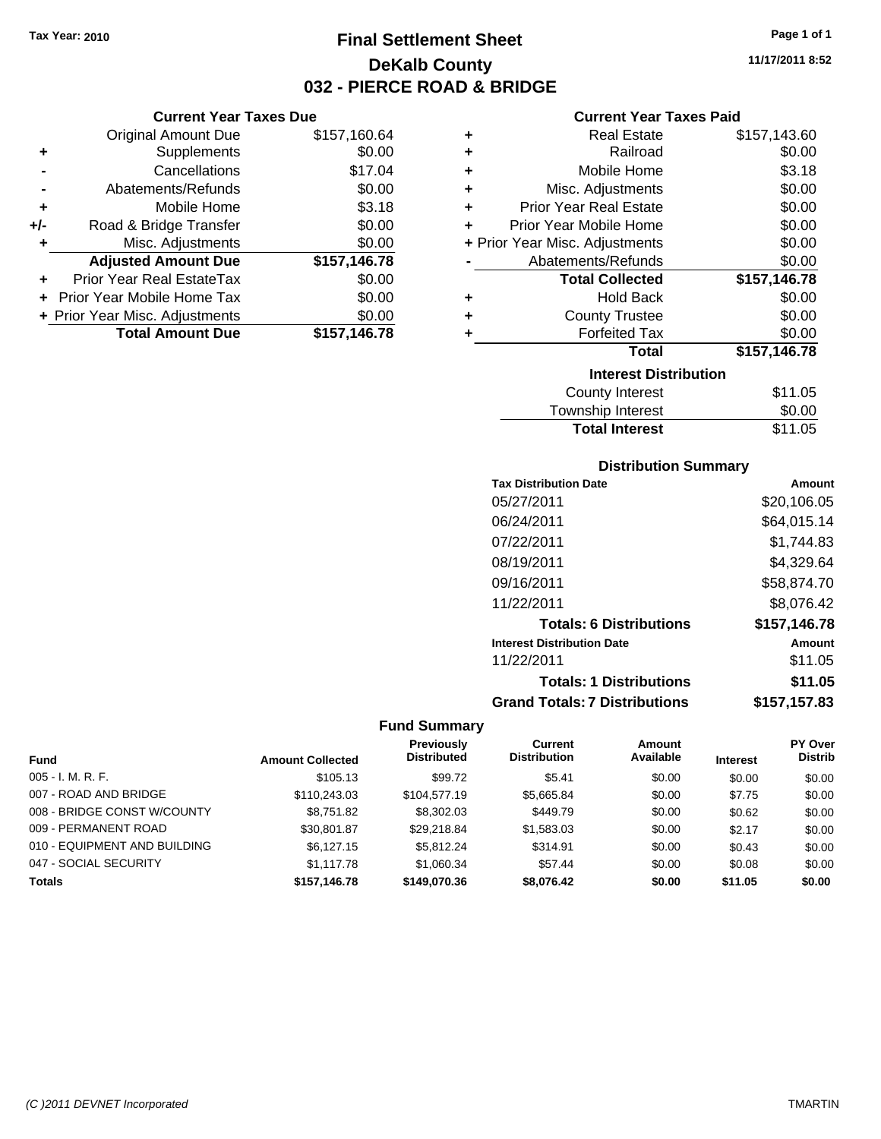**Current Year Taxes Due** Original Amount Due \$157,160.64

**Adjusted Amount Due \$157,146.78**

**Total Amount Due \$157,146.78**

**+** Supplements \$0.00 **-** Cancellations \$17.04 **-** Abatements/Refunds \$0.00 **+** Mobile Home \$3.18 **+/-** Road & Bridge Transfer \$0.00 **+** Misc. Adjustments \$0.00

**+** Prior Year Real EstateTax \$0.00 **+** Prior Year Mobile Home Tax \$0.00 **+ Prior Year Misc. Adjustments**  $$0.00$ 

# **Final Settlement Sheet Tax Year: 2010 Page 1 of 1 DeKalb County 032 - PIERCE ROAD & BRIDGE**

**11/17/2011 8:52**

#### **Current Year Taxes Paid**

| ٠ | <b>Real Estate</b>             | \$157,143.60 |
|---|--------------------------------|--------------|
| ٠ | Railroad                       | \$0.00       |
| ÷ | Mobile Home                    | \$3.18       |
| ٠ | Misc. Adjustments              | \$0.00       |
| ٠ | <b>Prior Year Real Estate</b>  | \$0.00       |
| ÷ | Prior Year Mobile Home         | \$0.00       |
|   | + Prior Year Misc. Adjustments | \$0.00       |
|   | Abatements/Refunds             | \$0.00       |
|   | <b>Total Collected</b>         | \$157,146.78 |
| ٠ | <b>Hold Back</b>               | \$0.00       |
| ٠ | <b>County Trustee</b>          | \$0.00       |
| ٠ | <b>Forfeited Tax</b>           | \$0.00       |
|   | <b>Total</b>                   | \$157,146.78 |
|   | <b>Interest Distribution</b>   |              |
|   | <b>County Interest</b>         | \$11.05      |
|   |                                |              |

| <b>Total Interest</b>  | \$11.05     |
|------------------------|-------------|
| Township Interest      | \$0.00      |
| <b>COUTTLY IFTERST</b> | <b>JU.U</b> |

#### **Distribution Summary**

| <b>Tax Distribution Date</b>         | Amount       |
|--------------------------------------|--------------|
| 05/27/2011                           | \$20,106.05  |
| 06/24/2011                           | \$64,015.14  |
| 07/22/2011                           | \$1,744.83   |
| 08/19/2011                           | \$4,329.64   |
| 09/16/2011                           | \$58,874.70  |
| 11/22/2011                           | \$8,076.42   |
| <b>Totals: 6 Distributions</b>       | \$157,146.78 |
| <b>Interest Distribution Date</b>    | Amount       |
| 11/22/2011                           | \$11.05      |
| <b>Totals: 1 Distributions</b>       | \$11.05      |
| <b>Grand Totals: 7 Distributions</b> | \$157,157.83 |

|                              |                         | <b>Previously</b>  | <b>Current</b>      | Amount    |                 | PY Over        |
|------------------------------|-------------------------|--------------------|---------------------|-----------|-----------------|----------------|
| <b>Fund</b>                  | <b>Amount Collected</b> | <b>Distributed</b> | <b>Distribution</b> | Available | <b>Interest</b> | <b>Distrib</b> |
| $005 - I. M. R. F.$          | \$105.13                | \$99.72            | \$5.41              | \$0.00    | \$0.00          | \$0.00         |
| 007 - ROAD AND BRIDGE        | \$110,243.03            | \$104,577.19       | \$5,665.84          | \$0.00    | \$7.75          | \$0.00         |
| 008 - BRIDGE CONST W/COUNTY  | \$8,751.82              | \$8,302.03         | \$449.79            | \$0.00    | \$0.62          | \$0.00         |
| 009 - PERMANENT ROAD         | \$30,801.87             | \$29.218.84        | \$1,583.03          | \$0.00    | \$2.17          | \$0.00         |
| 010 - EQUIPMENT AND BUILDING | \$6.127.15              | \$5.812.24         | \$314.91            | \$0.00    | \$0.43          | \$0.00         |
| 047 - SOCIAL SECURITY        | \$1,117.78              | \$1,060.34         | \$57.44             | \$0.00    | \$0.08          | \$0.00         |
| <b>Totals</b>                | \$157,146,78            | \$149.070.36       | \$8.076.42          | \$0.00    | \$11.05         | \$0.00         |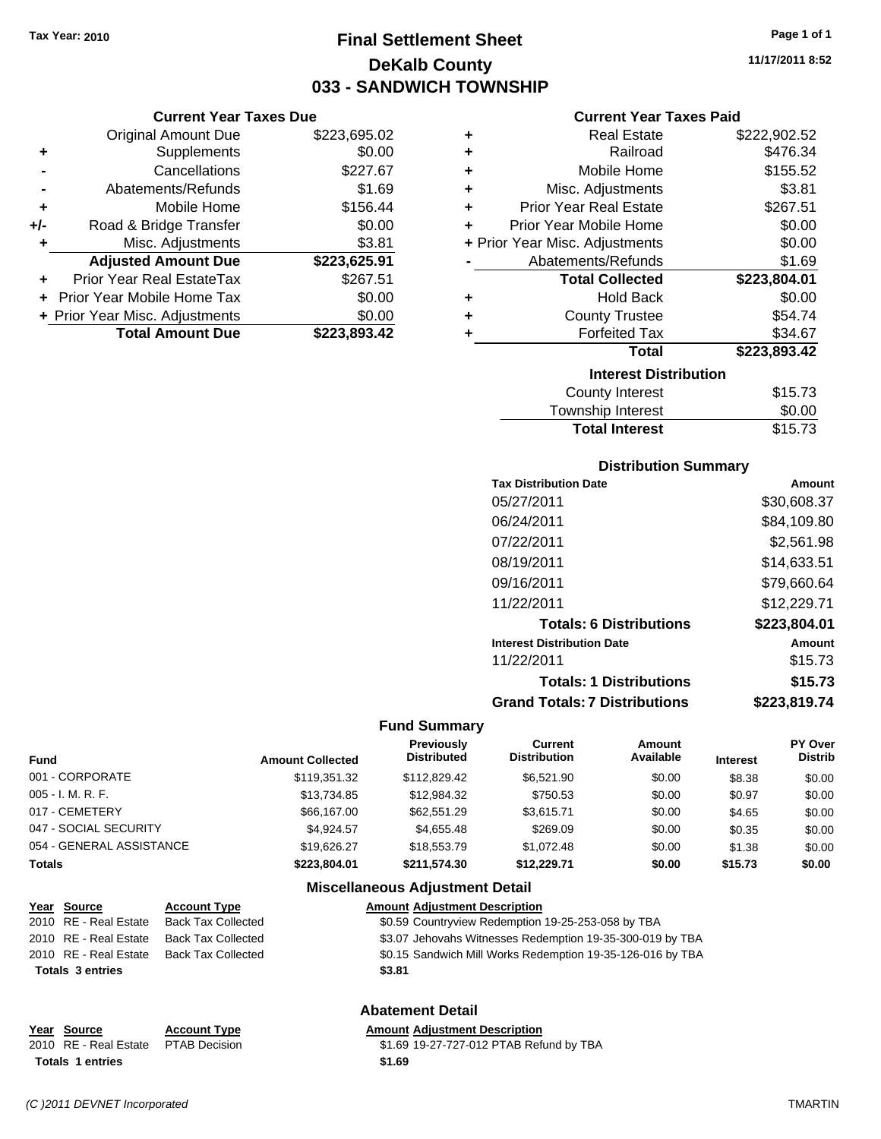**Current Year Taxes Due** Original Amount Due \$223,695.02

**+** Supplements \$0.00 **-** Cancellations \$227.67 **-** Abatements/Refunds \$1.69 **+** Mobile Home \$156.44 **+/-** Road & Bridge Transfer \$0.00 **+** Misc. Adjustments \$3.81 **Adjusted Amount Due \$223,625.91**

**+** Prior Year Real EstateTax \$267.51 **+** Prior Year Mobile Home Tax \$0.00 **+ Prior Year Misc. Adjustments**  $$0.00$ 

**Total Amount Due \$223,893.42**

# **Final Settlement Sheet Tax Year: 2010 Page 1 of 1 DeKalb County 033 - SANDWICH TOWNSHIP**

**11/17/2011 8:52**

#### **Current Year Taxes Paid**

| ٠ | <b>Real Estate</b>             | \$222,902.52 |
|---|--------------------------------|--------------|
| ÷ | Railroad                       | \$476.34     |
| ÷ | Mobile Home                    | \$155.52     |
| ÷ | Misc. Adjustments              | \$3.81       |
| ÷ | <b>Prior Year Real Estate</b>  | \$267.51     |
| ÷ | Prior Year Mobile Home         | \$0.00       |
|   | + Prior Year Misc. Adjustments | \$0.00       |
|   | Abatements/Refunds             | \$1.69       |
|   | <b>Total Collected</b>         | \$223,804.01 |
| ÷ | <b>Hold Back</b>               | \$0.00       |
| ٠ | <b>County Trustee</b>          | \$54.74      |
| ٠ | <b>Forfeited Tax</b>           | \$34.67      |
|   | <b>Total</b>                   | \$223,893.42 |
|   | <b>Interest Distribution</b>   |              |
|   | <b>County Interest</b>         | \$15.73      |
|   | Taurachin Internat             | ሮስ ሰሰ        |

| <b>Total Interest</b> | \$15.73 |
|-----------------------|---------|
| Township Interest     | \$0.00  |
| County Interest       | \$15.73 |

#### **Distribution Summary**

| <b>Tax Distribution Date</b>         | Amount       |
|--------------------------------------|--------------|
| 05/27/2011                           | \$30,608.37  |
| 06/24/2011                           | \$84,109.80  |
| 07/22/2011                           | \$2,561.98   |
| 08/19/2011                           | \$14,633.51  |
| 09/16/2011                           | \$79,660.64  |
| 11/22/2011                           | \$12,229.71  |
| <b>Totals: 6 Distributions</b>       | \$223,804.01 |
| <b>Interest Distribution Date</b>    | Amount       |
| 11/22/2011                           | \$15.73      |
| <b>Totals: 1 Distributions</b>       | \$15.73      |
| <b>Grand Totals: 7 Distributions</b> | \$223.819.74 |
|                                      |              |

#### **Fund Summary**

| <b>Fund</b>              | <b>Amount Collected</b> | Previously<br><b>Distributed</b> | Current<br><b>Distribution</b> | Amount<br>Available | <b>Interest</b> | PY Over<br><b>Distrib</b> |
|--------------------------|-------------------------|----------------------------------|--------------------------------|---------------------|-----------------|---------------------------|
| 001 - CORPORATE          | \$119.351.32            | \$112,829.42                     | \$6,521.90                     | \$0.00              | \$8.38          | \$0.00                    |
| 005 - I. M. R. F.        | \$13.734.85             | \$12.984.32                      | \$750.53                       | \$0.00              | \$0.97          | \$0.00                    |
| 017 - CEMETERY           | \$66,167,00             | \$62,551.29                      | \$3.615.71                     | \$0.00              | \$4.65          | \$0.00                    |
| 047 - SOCIAL SECURITY    | \$4.924.57              | \$4.655.48                       | \$269.09                       | \$0.00              | \$0.35          | \$0.00                    |
| 054 - GENERAL ASSISTANCE | \$19,626.27             | \$18,553.79                      | \$1.072.48                     | \$0.00              | \$1.38          | \$0.00                    |
| Totals                   | \$223.804.01            | \$211.574.30                     | \$12.229.71                    | \$0.00              | \$15.73         | \$0.00                    |

#### **Miscellaneous Adjustment Detail**

| Year Source             | <b>Account Type</b>       | <b>Amount Adjustment Description</b>                       |
|-------------------------|---------------------------|------------------------------------------------------------|
| 2010 RE - Real Estate   | <b>Back Tax Collected</b> | \$0.59 Countryview Redemption 19-25-253-058 by TBA         |
| 2010 RE - Real Estate   | <b>Back Tax Collected</b> | \$3.07 Jehovahs Witnesses Redemption 19-35-300-019 by TBA  |
| 2010 RE - Real Estate   | <b>Back Tax Collected</b> | \$0.15 Sandwich Mill Works Redemption 19-35-126-016 by TBA |
| <b>Totals 3 entries</b> |                           | \$3.81                                                     |
|                         |                           |                                                            |

## **Abatement Detail**

#### **Year Source Account Type Amount Adjustment Description**

2010 RE - Real Estate \$1.69 19-27-727-012 PTAB Refund by TBA PTAB Decision **Totals 1 entries** \$1.69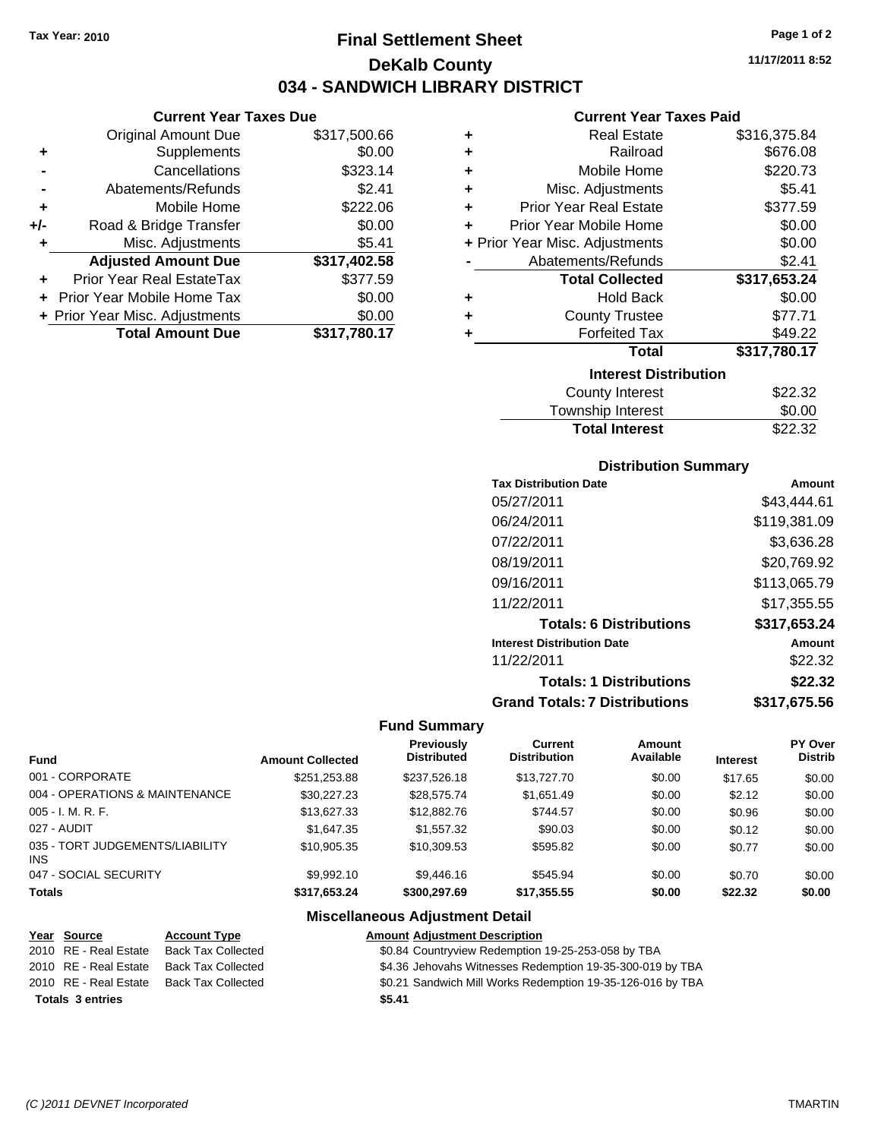# **Final Settlement Sheet Tax Year: 2010 Page 1 of 2 DeKalb County 034 - SANDWICH LIBRARY DISTRICT**

**11/17/2011 8:52**

#### **Current Year Taxes Paid**

| \$317,500.66 |
|--------------|
| \$0.00       |
| \$323.14     |
| \$2.41       |
| \$222.06     |
| \$0.00       |
| \$5.41       |
| \$317,402.58 |
| \$377.59     |
| \$0.00       |
| \$0.00       |
|              |
|              |

| ٠                            | <b>Real Estate</b>             | \$316,375.84 |  |  |  |
|------------------------------|--------------------------------|--------------|--|--|--|
| ٠                            | Railroad                       | \$676.08     |  |  |  |
| ٠                            | Mobile Home                    | \$220.73     |  |  |  |
| ٠                            | Misc. Adjustments              | \$5.41       |  |  |  |
| ٠                            | <b>Prior Year Real Estate</b>  | \$377.59     |  |  |  |
| ÷                            | Prior Year Mobile Home         | \$0.00       |  |  |  |
|                              | + Prior Year Misc. Adjustments | \$0.00       |  |  |  |
|                              | Abatements/Refunds             | \$2.41       |  |  |  |
|                              | <b>Total Collected</b>         | \$317,653.24 |  |  |  |
| ٠                            | <b>Hold Back</b>               | \$0.00       |  |  |  |
| ٠                            | <b>County Trustee</b>          | \$77.71      |  |  |  |
| ٠                            | <b>Forfeited Tax</b>           | \$49.22      |  |  |  |
|                              | Total                          | \$317,780.17 |  |  |  |
| <b>Interest Distribution</b> |                                |              |  |  |  |
|                              | <b>County Interest</b>         | \$22.32      |  |  |  |
|                              | <b>Township Interest</b>       | \$0.00       |  |  |  |
|                              | <b>Total Interest</b>          | \$22.32      |  |  |  |

## **Distribution Summary**

| Amount       |
|--------------|
| \$43.444.61  |
| \$119,381.09 |
| \$3,636.28   |
| \$20,769.92  |
| \$113,065.79 |
| \$17,355.55  |
| \$317,653.24 |
| Amount       |
| \$22.32      |
| \$22.32      |
| \$317.675.56 |
|              |

#### **Fund Summary**

| Fund                                    | <b>Amount Collected</b> | <b>Previously</b><br><b>Distributed</b> | Current<br><b>Distribution</b> | Amount<br>Available | <b>Interest</b> | PY Over<br><b>Distrib</b> |
|-----------------------------------------|-------------------------|-----------------------------------------|--------------------------------|---------------------|-----------------|---------------------------|
| 001 - CORPORATE                         | \$251.253.88            | \$237.526.18                            | \$13,727.70                    | \$0.00              | \$17.65         | \$0.00                    |
| 004 - OPERATIONS & MAINTENANCE          | \$30.227.23             | \$28.575.74                             | \$1.651.49                     | \$0.00              | \$2.12          | \$0.00                    |
| $005 - I. M. R. F.$                     | \$13,627.33             | \$12,882.76                             | \$744.57                       | \$0.00              | \$0.96          | \$0.00                    |
| 027 - AUDIT                             | \$1,647,35              | \$1,557.32                              | \$90.03                        | \$0.00              | \$0.12          | \$0.00                    |
| 035 - TORT JUDGEMENTS/LIABILITY<br>INS. | \$10.905.35             | \$10.309.53                             | \$595.82                       | \$0.00              | \$0.77          | \$0.00                    |
| 047 - SOCIAL SECURITY                   | \$9.992.10              | \$9,446.16                              | \$545.94                       | \$0.00              | \$0.70          | \$0.00                    |
| <b>Totals</b>                           | \$317.653.24            | \$300,297.69                            | \$17,355.55                    | \$0.00              | \$22.32         | \$0.00                    |

| Year Source             | <b>Account Type</b>       | <b>Amount Adjustment Description</b>                       |
|-------------------------|---------------------------|------------------------------------------------------------|
| 2010 RE - Real Estate   | <b>Back Tax Collected</b> | \$0.84 Countryview Redemption 19-25-253-058 by TBA         |
| 2010 RE - Real Estate   | <b>Back Tax Collected</b> | \$4.36 Jehovahs Witnesses Redemption 19-35-300-019 by TBA  |
| 2010 RE - Real Estate   | <b>Back Tax Collected</b> | \$0.21 Sandwich Mill Works Redemption 19-35-126-016 by TBA |
| <b>Totals 3 entries</b> |                           | \$5.41                                                     |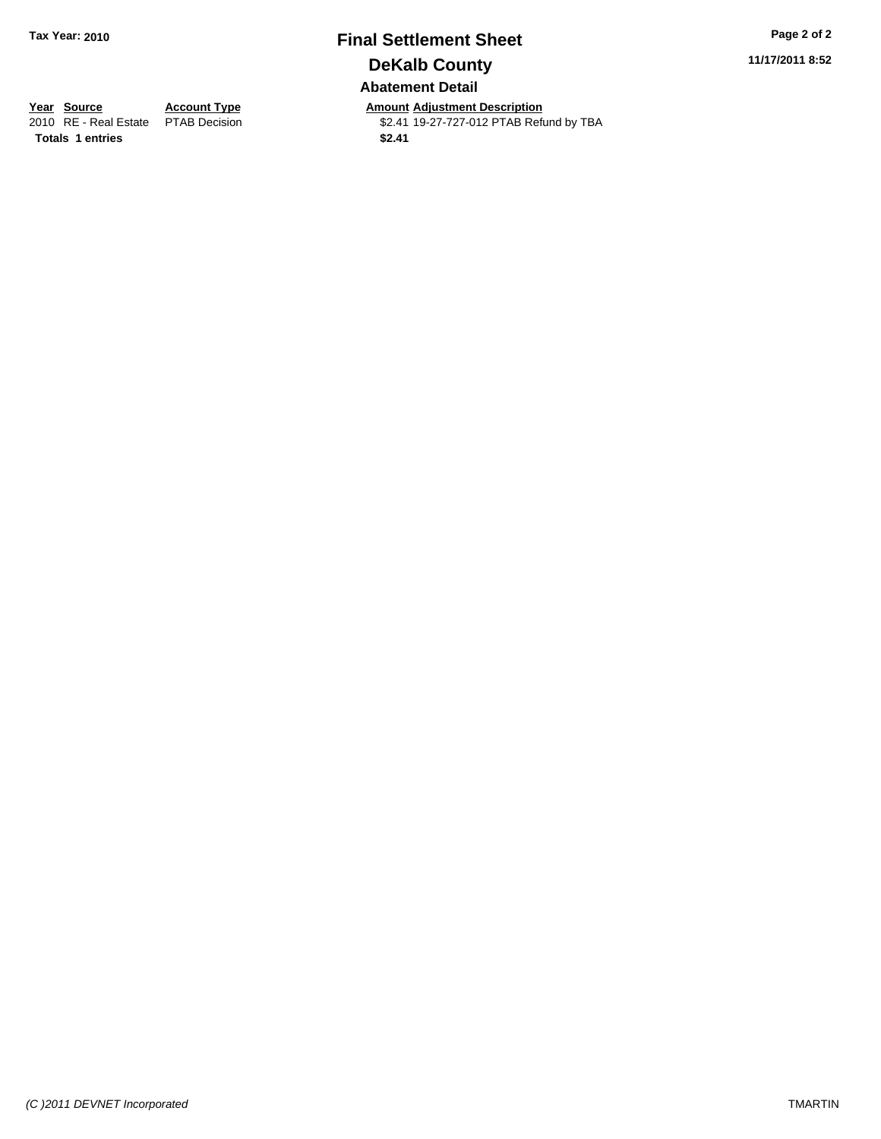# **Final Settlement Sheet Tax Year: 2010 Page 2 of 2 DeKalb County Abatement Detail**

**11/17/2011 8:52**

**Totals \$2.41 1 entries**

**Year Source Account Type Amount Adjustment Description**<br>
2010 RE - Real Estate PTAB Decision **Amount** 32.41 19-27-727-012 PTAB Refu \$2.41 19-27-727-012 PTAB Refund by TBA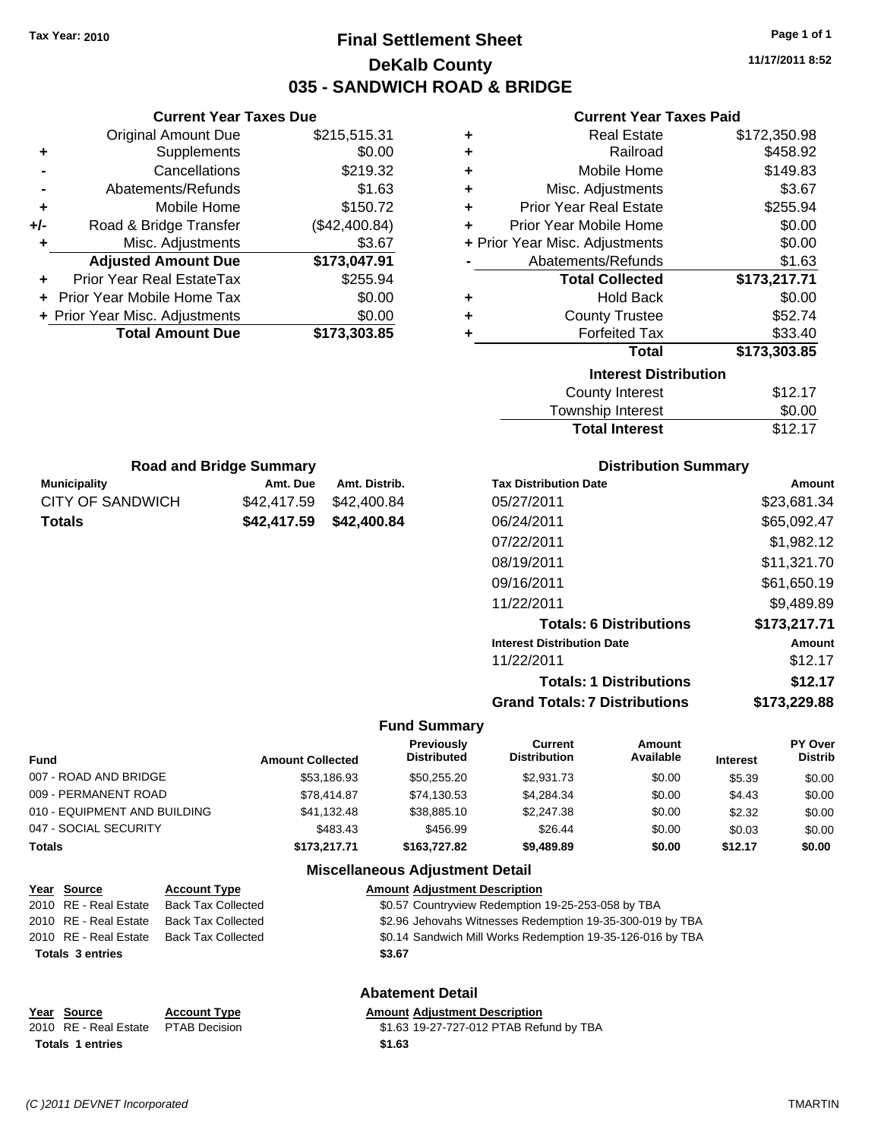# **Final Settlement Sheet Tax Year: 2010 Page 1 of 1 DeKalb County 035 - SANDWICH ROAD & BRIDGE**

**11/17/2011 8:52**

#### **Current Year Taxes Paid**

|     | OUITUR TUUT TUAUS DUU          |               |
|-----|--------------------------------|---------------|
|     | Original Amount Due            | \$215,515.31  |
| ٠   | Supplements                    | \$0.00        |
|     | Cancellations                  | \$219.32      |
|     | Abatements/Refunds             | \$1.63        |
| ٠   | Mobile Home                    | \$150.72      |
| +/- | Road & Bridge Transfer         | (\$42,400.84) |
| ٠   | Misc. Adjustments              | \$3.67        |
|     | <b>Adjusted Amount Due</b>     | \$173,047.91  |
|     | Prior Year Real EstateTax      | \$255.94      |
|     | Prior Year Mobile Home Tax     | \$0.00        |
|     | + Prior Year Misc. Adjustments | \$0.00        |
|     | <b>Total Amount Due</b>        | \$173,303.85  |

**Municipality Municipality** Amt. Due Amt. Distrib. **Road and Bridge Summary**

CITY OF SANDWICH \$42,417.59 \$42,400.84 **Totals \$42,417.59 \$42,400.84**

**Current Year Taxes Due**

| ٠ | <b>Real Estate</b>             | \$172,350.98 |
|---|--------------------------------|--------------|
| ÷ | Railroad                       | \$458.92     |
| ٠ | Mobile Home                    | \$149.83     |
| ٠ | Misc. Adjustments              | \$3.67       |
| ÷ | <b>Prior Year Real Estate</b>  | \$255.94     |
| ÷ | Prior Year Mobile Home         | \$0.00       |
|   | + Prior Year Misc. Adjustments | \$0.00       |
|   | Abatements/Refunds             | \$1.63       |
|   |                                |              |
|   | <b>Total Collected</b>         | \$173,217.71 |
| ٠ | <b>Hold Back</b>               | \$0.00       |
| ÷ | <b>County Trustee</b>          | \$52.74      |
| ٠ | <b>Forfeited Tax</b>           | \$33.40      |
|   | <b>Total</b>                   | \$173,303.85 |
|   | <b>Interest Distribution</b>   |              |
|   | <b>County Interest</b>         | \$12.17      |

## **Distribution Summary**

Total Interest \$12.17

| <b>Tax Distribution Date</b>         | Amount       |
|--------------------------------------|--------------|
| 05/27/2011                           | \$23.681.34  |
| 06/24/2011                           | \$65,092.47  |
| 07/22/2011                           | \$1,982.12   |
| 08/19/2011                           | \$11,321.70  |
| 09/16/2011                           | \$61,650.19  |
| 11/22/2011                           | \$9,489.89   |
| <b>Totals: 6 Distributions</b>       | \$173,217.71 |
| <b>Interest Distribution Date</b>    | Amount       |
| 11/22/2011                           | \$12.17      |
| <b>Totals: 1 Distributions</b>       | \$12.17      |
| <b>Grand Totals: 7 Distributions</b> | \$173.229.88 |

#### **Fund Summary**

| Fund                         | <b>Amount Collected</b> | Previously<br><b>Distributed</b> | Current<br><b>Distribution</b> | Amount<br>Available | <b>Interest</b> | PY Over<br><b>Distrib</b> |
|------------------------------|-------------------------|----------------------------------|--------------------------------|---------------------|-----------------|---------------------------|
| 007 - ROAD AND BRIDGE        | \$53,186.93             | \$50,255.20                      | \$2.931.73                     | \$0.00              | \$5.39          | \$0.00                    |
| 009 - PERMANENT ROAD         | \$78,414.87             | \$74,130.53                      | \$4.284.34                     | \$0.00              | \$4.43          | \$0.00                    |
| 010 - EQUIPMENT AND BUILDING | \$41.132.48             | \$38,885,10                      | \$2,247.38                     | \$0.00              | \$2.32          | \$0.00                    |
| 047 - SOCIAL SECURITY        | \$483.43                | \$456.99                         | \$26.44                        | \$0.00              | \$0.03          | \$0.00                    |
| Totals                       | \$173,217.71            | \$163,727.82                     | \$9,489.89                     | \$0.00              | \$12.17         | \$0.00                    |

#### **Miscellaneous Adjustment Detail**

|                         | Year Source           | <b>Account Type</b>       | <b>Amount Adjustment Description</b>                       |
|-------------------------|-----------------------|---------------------------|------------------------------------------------------------|
|                         | 2010 RE - Real Estate | <b>Back Tax Collected</b> | \$0.57 Countryview Redemption 19-25-253-058 by TBA         |
|                         | 2010 RE - Real Estate | <b>Back Tax Collected</b> | \$2.96 Jehovahs Witnesses Redemption 19-35-300-019 by TBA  |
|                         | 2010 RE - Real Estate | <b>Back Tax Collected</b> | \$0.14 Sandwich Mill Works Redemption 19-35-126-016 by TBA |
| <b>Totals 3 entries</b> |                       |                           | \$3.67                                                     |
|                         |                       |                           | <b>Abatement Detail</b>                                    |

#### **Year Source Account Type Amount Adjustment Description**

| \$1.63 19-27-727-012 PTAB Refund by TBA |
|-----------------------------------------|
| \$1.63                                  |

**Totals 1 entries** 

2010 RE - Real Estate PTAB Decision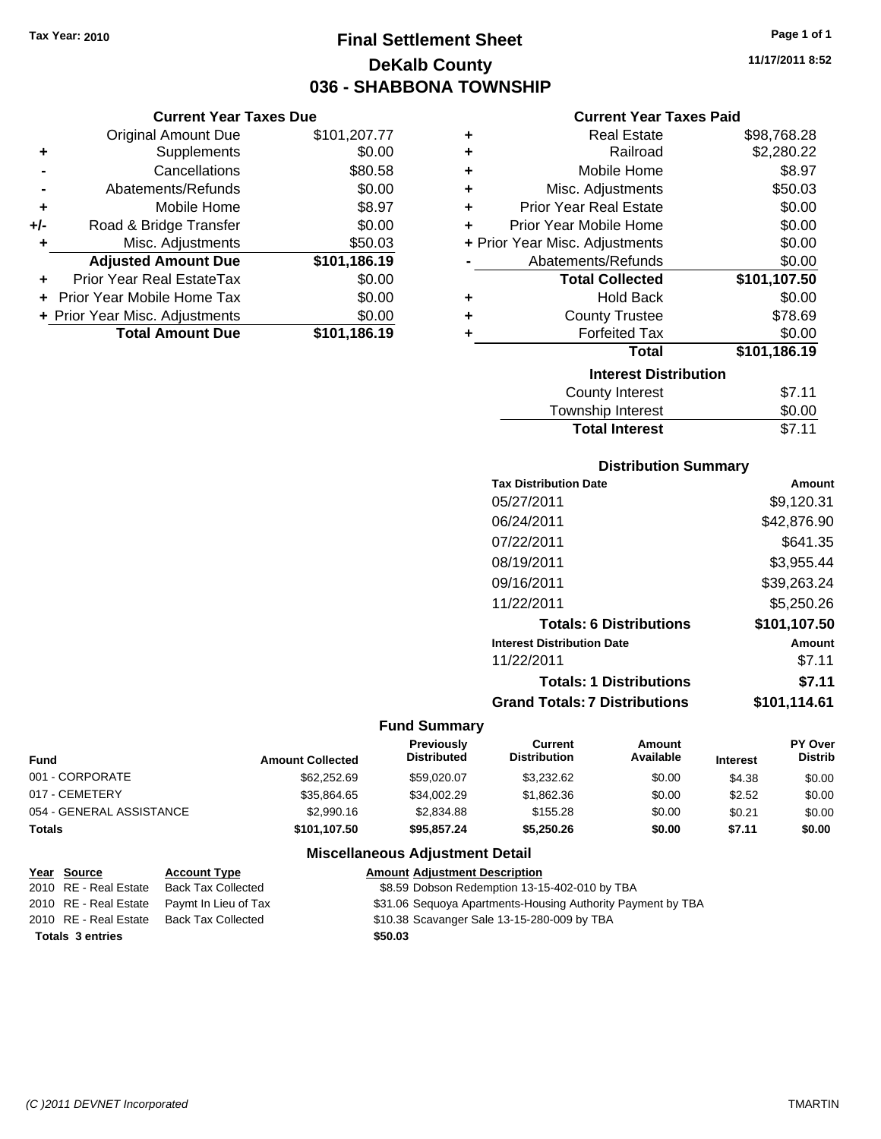**Current Year Taxes Due**

# **Final Settlement Sheet Tax Year: 2010 Page 1 of 1 DeKalb County 036 - SHABBONA TOWNSHIP**

**11/17/2011 8:52**

#### **Current Year Taxes Paid**

|     | <b>Original Amount Due</b>     | \$101,207.77 | ٠ | <b>Real Estate</b>             | \$98,768.28  |  |
|-----|--------------------------------|--------------|---|--------------------------------|--------------|--|
| ٠   | <b>Supplements</b>             | \$0.00       | ٠ | Railroad                       | \$2,280.22   |  |
|     | Cancellations                  | \$80.58      | ٠ | Mobile Home                    | \$8.97       |  |
|     | Abatements/Refunds             | \$0.00       | ٠ | Misc. Adjustments              | \$50.03      |  |
| ٠   | Mobile Home                    | \$8.97       | ÷ | <b>Prior Year Real Estate</b>  | \$0.00       |  |
| +/- | Road & Bridge Transfer         | \$0.00       | ÷ | Prior Year Mobile Home         | \$0.00       |  |
|     | Misc. Adjustments              | \$50.03      |   | + Prior Year Misc. Adjustments | \$0.00       |  |
|     | <b>Adjusted Amount Due</b>     | \$101,186.19 |   | Abatements/Refunds             | \$0.00       |  |
| ÷.  | Prior Year Real EstateTax      | \$0.00       |   | <b>Total Collected</b>         | \$101,107.50 |  |
|     | Prior Year Mobile Home Tax     | \$0.00       | ٠ | <b>Hold Back</b>               | \$0.00       |  |
|     | + Prior Year Misc. Adjustments | \$0.00       |   | <b>County Trustee</b>          | \$78.69      |  |
|     | <b>Total Amount Due</b>        | \$101,186.19 |   | <b>Forfeited Tax</b>           | \$0.00       |  |
|     |                                |              |   | <b>Total</b>                   | \$101,186.19 |  |
|     |                                |              |   | <b>Interest Distribution</b>   |              |  |
|     |                                |              |   | <b>County Interest</b>         | \$7.11       |  |
|     |                                |              |   |                                |              |  |

| <b>Total Interest</b> | \$7.11 |
|-----------------------|--------|
| Township Interest     | \$0.00 |
| County Interest       | \$7.11 |

#### **Distribution Summary**

| <b>Tax Distribution Date</b>         | Amount       |
|--------------------------------------|--------------|
| 05/27/2011                           | \$9,120.31   |
| 06/24/2011                           | \$42,876.90  |
| 07/22/2011                           | \$641.35     |
| 08/19/2011                           | \$3,955.44   |
| 09/16/2011                           | \$39,263.24  |
| 11/22/2011                           | \$5,250.26   |
| <b>Totals: 6 Distributions</b>       | \$101,107.50 |
| <b>Interest Distribution Date</b>    | Amount       |
| 11/22/2011                           | \$7.11       |
| <b>Totals: 1 Distributions</b>       | \$7.11       |
| <b>Grand Totals: 7 Distributions</b> | \$101.114.61 |
|                                      |              |

#### **Fund Summary**

| <b>Fund</b>              | <b>Amount Collected</b> | <b>Previously</b><br><b>Distributed</b> | Current<br><b>Distribution</b> | Amount<br>Available | <b>Interest</b> | PY Over<br><b>Distrib</b> |
|--------------------------|-------------------------|-----------------------------------------|--------------------------------|---------------------|-----------------|---------------------------|
| 001 - CORPORATE          | \$62,252.69             | \$59,020,07                             | \$3.232.62                     | \$0.00              | \$4.38          | \$0.00                    |
| 017 - CEMETERY           | \$35,864.65             | \$34.002.29                             | \$1,862.36                     | \$0.00              | \$2.52          | \$0.00                    |
| 054 - GENERAL ASSISTANCE | \$2,990.16              | \$2,834.88                              | \$155.28                       | \$0.00              | \$0.21          | \$0.00                    |
| <b>Totals</b>            | \$101,107.50            | \$95.857.24                             | \$5,250,26                     | \$0.00              | \$7.11          | \$0.00                    |

|                         | <u>Year Source</u>    | <b>Account Type</b>                        | <b>Amount Adjustment Description</b>                        |
|-------------------------|-----------------------|--------------------------------------------|-------------------------------------------------------------|
|                         | 2010 RE - Real Estate | <b>Back Tax Collected</b>                  | \$8.59 Dobson Redemption 13-15-402-010 by TBA               |
|                         |                       | 2010 RE - Real Estate Paymt In Lieu of Tax | \$31.06 Sequoya Apartments-Housing Authority Payment by TBA |
|                         | 2010 RE - Real Estate | Back Tax Collected                         | \$10.38 Scavanger Sale 13-15-280-009 by TBA                 |
| <b>Totals 3 entries</b> |                       |                                            | \$50.03                                                     |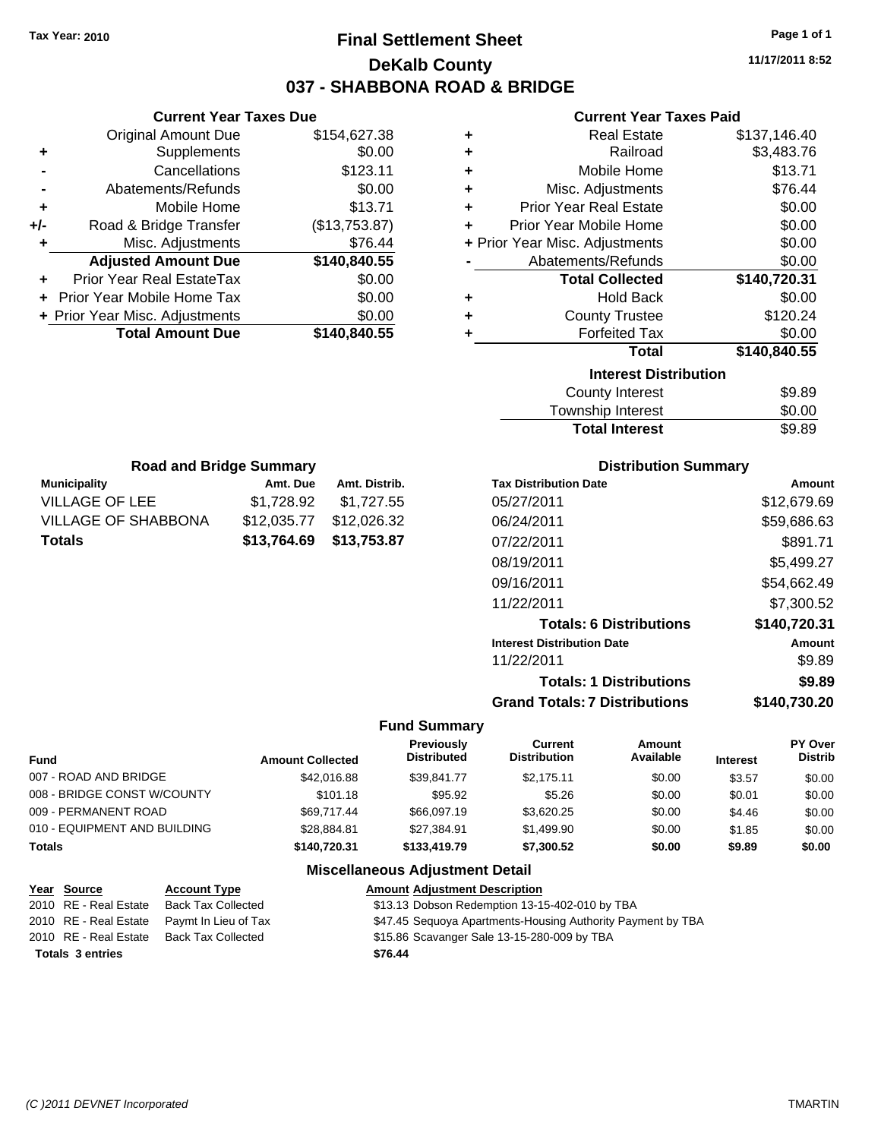# **Final Settlement Sheet Tax Year: 2010 Page 1 of 1 DeKalb County 037 - SHABBONA ROAD & BRIDGE**

**11/17/2011 8:52**

## **Current Year Taxes Paid**

|     | <b>Current Year Taxes Due</b>  |               |     |
|-----|--------------------------------|---------------|-----|
|     | <b>Original Amount Due</b>     | \$154,627.38  |     |
| ٠   | <b>Supplements</b>             | \$0.00        |     |
|     | Cancellations                  | \$123.11      |     |
|     | Abatements/Refunds             | \$0.00        |     |
|     | Mobile Home                    | \$13.71       |     |
| +/- | Road & Bridge Transfer         | (\$13,753.87) |     |
|     | Misc. Adjustments              | \$76.44       | + P |
|     | <b>Adjusted Amount Due</b>     | \$140,840.55  |     |
|     | Prior Year Real EstateTax      | \$0.00        |     |
|     | Prior Year Mobile Home Tax     | \$0.00        |     |
|     | + Prior Year Misc. Adjustments | \$0.00        |     |
|     | <b>Total Amount Due</b>        | \$140,840.55  |     |
|     |                                |               |     |

| ٠ | <b>Real Estate</b>             | \$137,146.40 |
|---|--------------------------------|--------------|
| ٠ | Railroad                       | \$3,483.76   |
| ٠ | Mobile Home                    | \$13.71      |
| ٠ | Misc. Adjustments              | \$76.44      |
| ÷ | <b>Prior Year Real Estate</b>  | \$0.00       |
| ٠ | Prior Year Mobile Home         | \$0.00       |
|   | + Prior Year Misc. Adjustments | \$0.00       |
|   | Abatements/Refunds             | \$0.00       |
|   | <b>Total Collected</b>         | \$140,720.31 |
|   |                                |              |
| ٠ | <b>Hold Back</b>               | \$0.00       |
| ٠ | <b>County Trustee</b>          | \$120.24     |
| ٠ | <b>Forfeited Tax</b>           | \$0.00       |
|   | Total                          | \$140,840.55 |
|   | <b>Interest Distribution</b>   |              |
|   | County Interest                | \$9.89       |

| <b>Total Interest</b> | \$9.89 |
|-----------------------|--------|
| Township Interest     | \$0.00 |
| County Interest       | \$9.89 |

| <b>Road and Bridge Summary</b> |             |               |  |  |
|--------------------------------|-------------|---------------|--|--|
| <b>Municipality</b>            | Amt. Due    | Amt. Distrib. |  |  |
| <b>VILLAGE OF LEE</b>          | \$1,728.92  | \$1,727.55    |  |  |
| <b>VILLAGE OF SHABBONA</b>     | \$12,035.77 | \$12,026.32   |  |  |
| <b>Totals</b>                  | \$13,764.69 | \$13,753.87   |  |  |

## **Distribution Summary**

| Amount       |
|--------------|
| \$12,679.69  |
| \$59,686.63  |
| \$891.71     |
| \$5,499.27   |
| \$54,662.49  |
| \$7.300.52   |
| \$140,720.31 |
| Amount       |
| \$9.89       |
| \$9.89       |
| \$140.730.20 |
|              |

#### **Fund Summary**

| <b>Fund</b>                  | <b>Amount Collected</b> | <b>Previously</b><br><b>Distributed</b> | Current<br><b>Distribution</b> | Amount<br>Available | <b>Interest</b> | PY Over<br><b>Distrib</b> |
|------------------------------|-------------------------|-----------------------------------------|--------------------------------|---------------------|-----------------|---------------------------|
| 007 - ROAD AND BRIDGE        | \$42,016.88             | \$39.841.77                             | \$2.175.11                     | \$0.00              | \$3.57          | \$0.00                    |
| 008 - BRIDGE CONST W/COUNTY  | \$101.18                | \$95.92                                 | \$5.26                         | \$0.00              | \$0.01          | \$0.00                    |
| 009 - PERMANENT ROAD         | \$69.717.44             | \$66,097.19                             | \$3.620.25                     | \$0.00              | \$4.46          | \$0.00                    |
| 010 - EQUIPMENT AND BUILDING | \$28,884.81             | \$27,384.91                             | \$1,499.90                     | \$0.00              | \$1.85          | \$0.00                    |
| <b>Totals</b>                | \$140,720,31            | \$133,419.79                            | \$7,300.52                     | \$0.00              | \$9.89          | \$0.00                    |

| Year Source             | <b>Account Type</b>       | <b>Amount Adjustment Description</b>                        |
|-------------------------|---------------------------|-------------------------------------------------------------|
| 2010 RE - Real Estate   | <b>Back Tax Collected</b> | \$13.13 Dobson Redemption 13-15-402-010 by TBA              |
| 2010 RE - Real Estate   | Paymt In Lieu of Tax      | \$47.45 Sequoya Apartments-Housing Authority Payment by TBA |
| 2010 RE - Real Estate   | <b>Back Tax Collected</b> | \$15.86 Scavanger Sale 13-15-280-009 by TBA                 |
| <b>Totals 3 entries</b> |                           | \$76.44                                                     |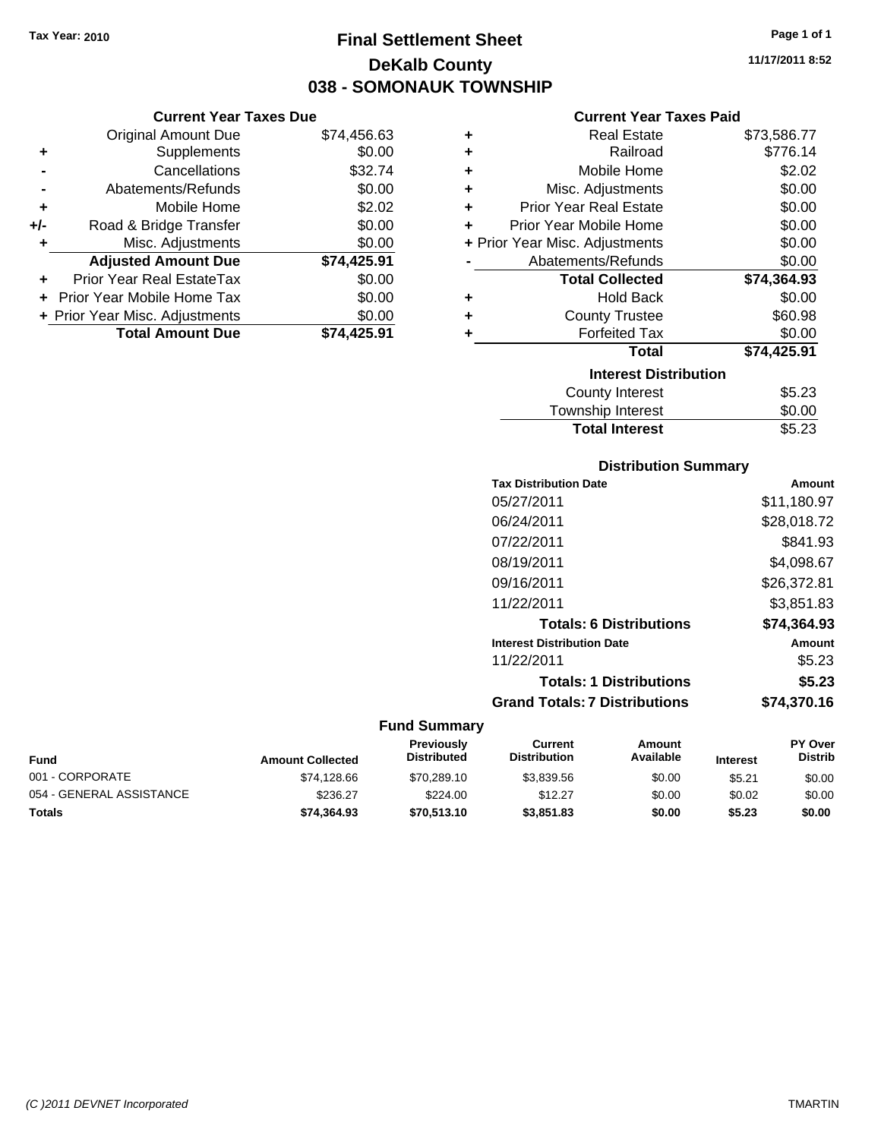# **Final Settlement Sheet Tax Year: 2010 Page 1 of 1 DeKalb County 038 - SOMONAUK TOWNSHIP**

**11/17/2011 8:52**

## **Current Year Taxes Paid**

|     | <b>Current Year Taxes Due</b>     |             |
|-----|-----------------------------------|-------------|
|     | <b>Original Amount Due</b>        | \$74,456.63 |
| ٠   | Supplements                       | \$0.00      |
|     | Cancellations                     | \$32.74     |
|     | Abatements/Refunds                | \$0.00      |
| ٠   | Mobile Home                       | \$2.02      |
| +/- | Road & Bridge Transfer            | \$0.00      |
| ٠   | Misc. Adjustments                 | \$0.00      |
|     | <b>Adjusted Amount Due</b>        | \$74,425.91 |
| ٠   | Prior Year Real EstateTax         | \$0.00      |
|     | <b>Prior Year Mobile Home Tax</b> | \$0.00      |
|     | + Prior Year Misc. Adjustments    | \$0.00      |
|     | <b>Total Amount Due</b>           | \$74.425.91 |

| ٠ | Real Estate                    | \$73,586.77 |
|---|--------------------------------|-------------|
| ٠ | Railroad                       | \$776.14    |
| ٠ | Mobile Home                    | \$2.02      |
| ٠ | Misc. Adjustments              | \$0.00      |
| ٠ | <b>Prior Year Real Estate</b>  | \$0.00      |
| ٠ | Prior Year Mobile Home         | \$0.00      |
|   | + Prior Year Misc. Adjustments | \$0.00      |
|   | Abatements/Refunds             | \$0.00      |
|   | <b>Total Collected</b>         | \$74,364.93 |
| ٠ | <b>Hold Back</b>               | \$0.00      |
| ٠ | <b>County Trustee</b>          | \$60.98     |
| ٠ | <b>Forfeited Tax</b>           | \$0.00      |
|   | Total                          | \$74,425.91 |
|   | <b>Interest Distribution</b>   |             |
|   | <b>County Interest</b>         | \$5.23      |
|   | <b>Township Interest</b>       | \$0.00      |
|   | <b>Total Interest</b>          | \$5.23      |

## **Distribution Summary**

| <b>Tax Distribution Date</b>         | Amount      |
|--------------------------------------|-------------|
| 05/27/2011                           | \$11,180.97 |
| 06/24/2011                           | \$28,018.72 |
| 07/22/2011                           | \$841.93    |
| 08/19/2011                           | \$4,098.67  |
| 09/16/2011                           | \$26,372.81 |
| 11/22/2011                           | \$3.851.83  |
| <b>Totals: 6 Distributions</b>       | \$74.364.93 |
| <b>Interest Distribution Date</b>    | Amount      |
| 11/22/2011                           | \$5.23      |
| <b>Totals: 1 Distributions</b>       | \$5.23      |
| <b>Grand Totals: 7 Distributions</b> | \$74,370.16 |

| Fund                     | <b>Amount Collected</b> | <b>Previously</b><br><b>Distributed</b> | Current<br><b>Distribution</b> | Amount<br>Available | <b>Interest</b> | <b>PY Over</b><br><b>Distrib</b> |
|--------------------------|-------------------------|-----------------------------------------|--------------------------------|---------------------|-----------------|----------------------------------|
| 001 - CORPORATE          | \$74.128.66             | \$70,289.10                             | \$3,839.56                     | \$0.00              | \$5.21          | \$0.00                           |
| 054 - GENERAL ASSISTANCE | \$236.27                | \$224.00                                | \$12.27                        | \$0.00              | \$0.02          | \$0.00                           |
| <b>Totals</b>            | \$74.364.93             | \$70,513.10                             | \$3,851.83                     | \$0.00              | \$5.23          | \$0.00                           |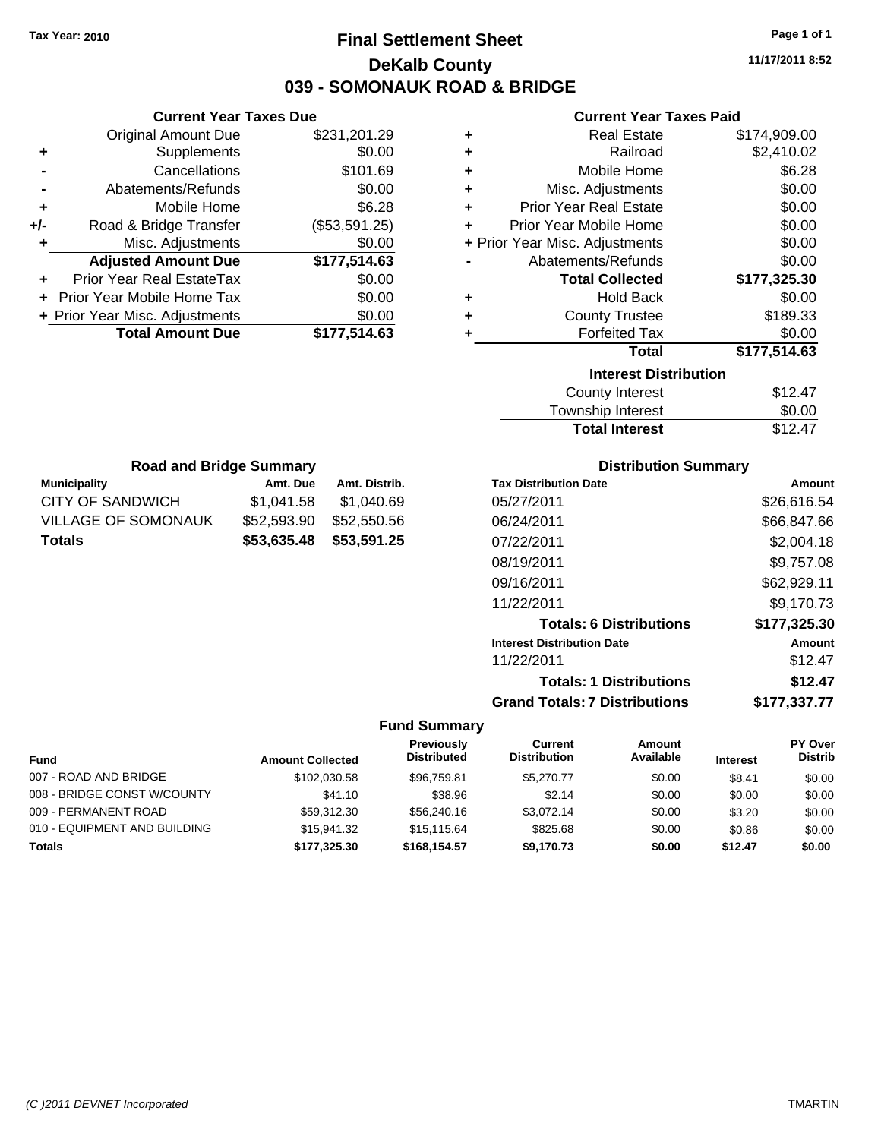# **Final Settlement Sheet Tax Year: 2010 Page 1 of 1 DeKalb County 039 - SOMONAUK ROAD & BRIDGE**

**11/17/2011 8:52**

#### **Current Year Taxes Paid**

| ٠ | <b>Real Estate</b>             | \$174,909.00 |
|---|--------------------------------|--------------|
| ÷ | Railroad                       | \$2,410.02   |
| ÷ | Mobile Home                    | \$6.28       |
| ÷ | Misc. Adjustments              | \$0.00       |
| ÷ | <b>Prior Year Real Estate</b>  | \$0.00       |
| ÷ | Prior Year Mobile Home         | \$0.00       |
|   | + Prior Year Misc. Adjustments | \$0.00       |
|   | Abatements/Refunds             | \$0.00       |
|   | <b>Total Collected</b>         | \$177,325.30 |
| ٠ | <b>Hold Back</b>               | \$0.00       |
| ÷ | <b>County Trustee</b>          | \$189.33     |
| ÷ | <b>Forfeited Tax</b>           | \$0.00       |
|   | Total                          | \$177,514.63 |
|   | <b>Interest Distribution</b>   |              |
|   | <b>County Interest</b>         | \$12.47      |
|   |                                | ີ ລ          |

| <b>Total Interest</b> | \$12.47 |
|-----------------------|---------|
| Township Interest     | \$0.00  |
| County Interest       | \$12.47 |

| <b>Road and Bridge Summary</b> |             |               |  |  |  |
|--------------------------------|-------------|---------------|--|--|--|
| <b>Municipality</b>            | Amt. Due    | Amt. Distrib. |  |  |  |
| CITY OF SANDWICH               | \$1,041.58  | \$1,040.69    |  |  |  |
| <b>VILLAGE OF SOMONAUK</b>     | \$52,593.90 | \$52,550.56   |  |  |  |
| <b>Totals</b>                  | \$53,635,48 | \$53,591.25   |  |  |  |

**Current Year Taxes Due** Original Amount Due \$231,201.29

**Adjusted Amount Due \$177,514.63**

**Total Amount Due \$177,514.63**

**+** Supplements \$0.00 **-** Cancellations \$101.69 **-** Abatements/Refunds \$0.00 **+** Mobile Home \$6.28 **+/-** Road & Bridge Transfer (\$53,591.25) **+** Misc. Adjustments \$0.00

**+** Prior Year Real EstateTax \$0.00 **+** Prior Year Mobile Home Tax \$0.00 **+ Prior Year Misc. Adjustments**  $$0.00$ 

#### **Distribution Summary**

| Amount       |
|--------------|
| \$26,616.54  |
| \$66,847.66  |
| \$2,004.18   |
| \$9,757.08   |
| \$62,929.11  |
| \$9,170.73   |
| \$177,325.30 |
| Amount       |
| \$12.47      |
| \$12.47      |
| \$177.337.77 |
|              |

|                              |                         | <b>Previously</b>  | Current             | Amount    |                 | PY Over        |
|------------------------------|-------------------------|--------------------|---------------------|-----------|-----------------|----------------|
| <b>Fund</b>                  | <b>Amount Collected</b> | <b>Distributed</b> | <b>Distribution</b> | Available | <b>Interest</b> | <b>Distrib</b> |
| 007 - ROAD AND BRIDGE        | \$102,030.58            | \$96,759.81        | \$5,270,77          | \$0.00    | \$8.41          | \$0.00         |
| 008 - BRIDGE CONST W/COUNTY  | \$41.10                 | \$38.96            | \$2.14              | \$0.00    | \$0.00          | \$0.00         |
| 009 - PERMANENT ROAD         | \$59,312.30             | \$56,240.16        | \$3.072.14          | \$0.00    | \$3.20          | \$0.00         |
| 010 - EQUIPMENT AND BUILDING | \$15,941.32             | \$15.115.64        | \$825.68            | \$0.00    | \$0.86          | \$0.00         |
| <b>Totals</b>                | \$177.325.30            | \$168,154.57       | \$9.170.73          | \$0.00    | \$12.47         | \$0.00         |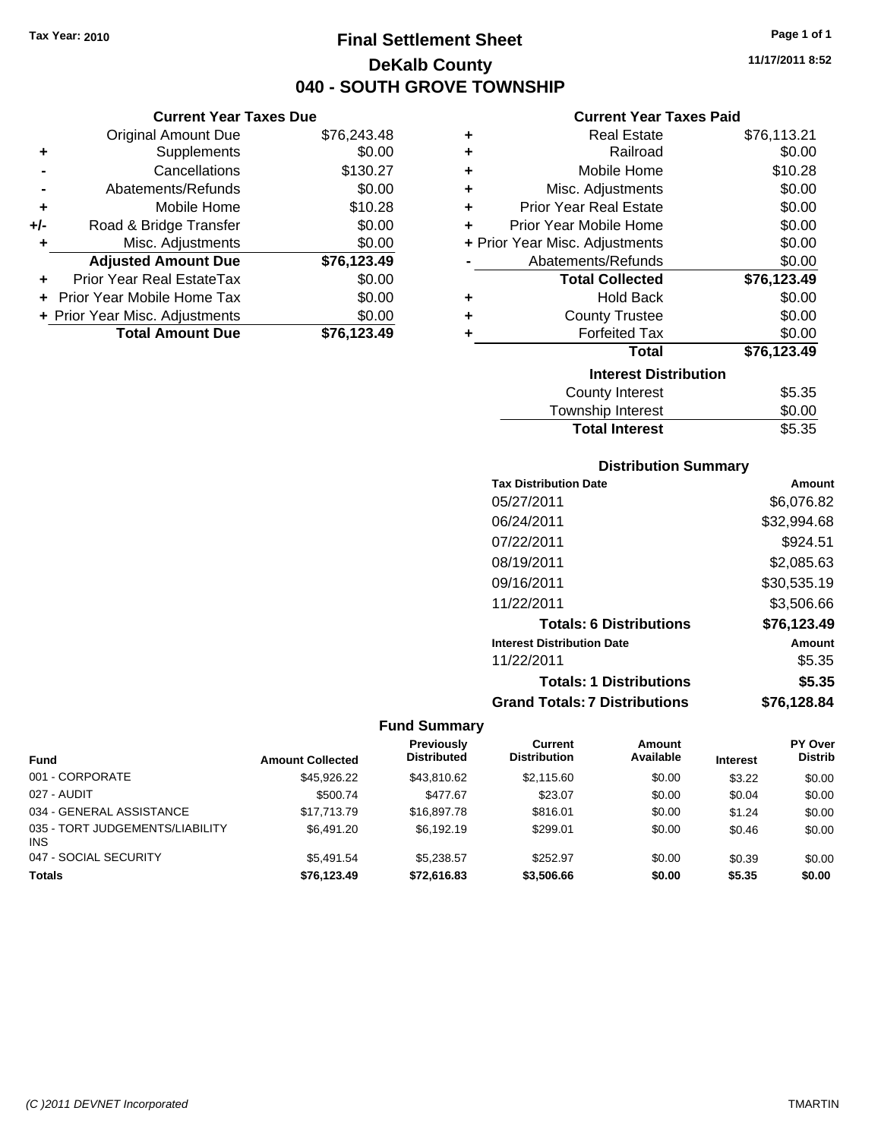**Current Year Taxes Due** Original Amount Due \$76,243.48

**Adjusted Amount Due \$76,123.49**

**Total Amount Due \$76,123.49**

**+** Supplements \$0.00 **-** Cancellations \$130.27 **-** Abatements/Refunds \$0.00 **+** Mobile Home \$10.28 **+/-** Road & Bridge Transfer \$0.00 **+** Misc. Adjustments \$0.00

**+** Prior Year Real EstateTax \$0.00 **+** Prior Year Mobile Home Tax \$0.00 **+ Prior Year Misc. Adjustments**  $$0.00$ 

# **Final Settlement Sheet Tax Year: 2010 Page 1 of 1 DeKalb County 040 - SOUTH GROVE TOWNSHIP**

**11/17/2011 8:52**

#### **Current Year Taxes Paid**

| ٠ | <b>Real Estate</b>             | \$76,113.21 |
|---|--------------------------------|-------------|
| ÷ | Railroad                       | \$0.00      |
| ÷ | Mobile Home                    | \$10.28     |
| ÷ | Misc. Adjustments              | \$0.00      |
| ÷ | <b>Prior Year Real Estate</b>  | \$0.00      |
| ٠ | Prior Year Mobile Home         | \$0.00      |
|   | + Prior Year Misc. Adjustments | \$0.00      |
|   | Abatements/Refunds             | \$0.00      |
|   |                                |             |
|   | <b>Total Collected</b>         | \$76,123.49 |
| ٠ | <b>Hold Back</b>               | \$0.00      |
| ٠ | <b>County Trustee</b>          | \$0.00      |
| ÷ | <b>Forfeited Tax</b>           | \$0.00      |
|   | <b>Total</b>                   | \$76,123.49 |
|   | <b>Interest Distribution</b>   |             |
|   | County Interest                | \$5.35      |

# **Distribution Summary**

Total Interest **\$5.35** 

| <b>Tax Distribution Date</b>         | Amount      |
|--------------------------------------|-------------|
| 05/27/2011                           | \$6,076.82  |
| 06/24/2011                           | \$32,994.68 |
| 07/22/2011                           | \$924.51    |
| 08/19/2011                           | \$2,085.63  |
| 09/16/2011                           | \$30,535.19 |
| 11/22/2011                           | \$3,506.66  |
| <b>Totals: 6 Distributions</b>       | \$76.123.49 |
| <b>Interest Distribution Date</b>    | Amount      |
| 11/22/2011                           | \$5.35      |
| <b>Totals: 1 Distributions</b>       | \$5.35      |
| <b>Grand Totals: 7 Distributions</b> | \$76.128.84 |

|                                               |                         | <b>Previously</b>  | Current             | Amount    |                 | PY Over        |
|-----------------------------------------------|-------------------------|--------------------|---------------------|-----------|-----------------|----------------|
| Fund                                          | <b>Amount Collected</b> | <b>Distributed</b> | <b>Distribution</b> | Available | <b>Interest</b> | <b>Distrib</b> |
| 001 - CORPORATE                               | \$45.926.22             | \$43,810.62        | \$2,115,60          | \$0.00    | \$3.22          | \$0.00         |
| 027 - AUDIT                                   | \$500.74                | \$477.67           | \$23.07             | \$0.00    | \$0.04          | \$0.00         |
| 034 - GENERAL ASSISTANCE                      | \$17.713.79             | \$16,897.78        | \$816.01            | \$0.00    | \$1.24          | \$0.00         |
| 035 - TORT JUDGEMENTS/LIABILITY<br><b>INS</b> | \$6,491.20              | \$6,192.19         | \$299.01            | \$0.00    | \$0.46          | \$0.00         |
| 047 - SOCIAL SECURITY                         | \$5.491.54              | \$5.238.57         | \$252.97            | \$0.00    | \$0.39          | \$0.00         |
| <b>Totals</b>                                 | \$76.123.49             | \$72,616.83        | \$3,506.66          | \$0.00    | \$5.35          | \$0.00         |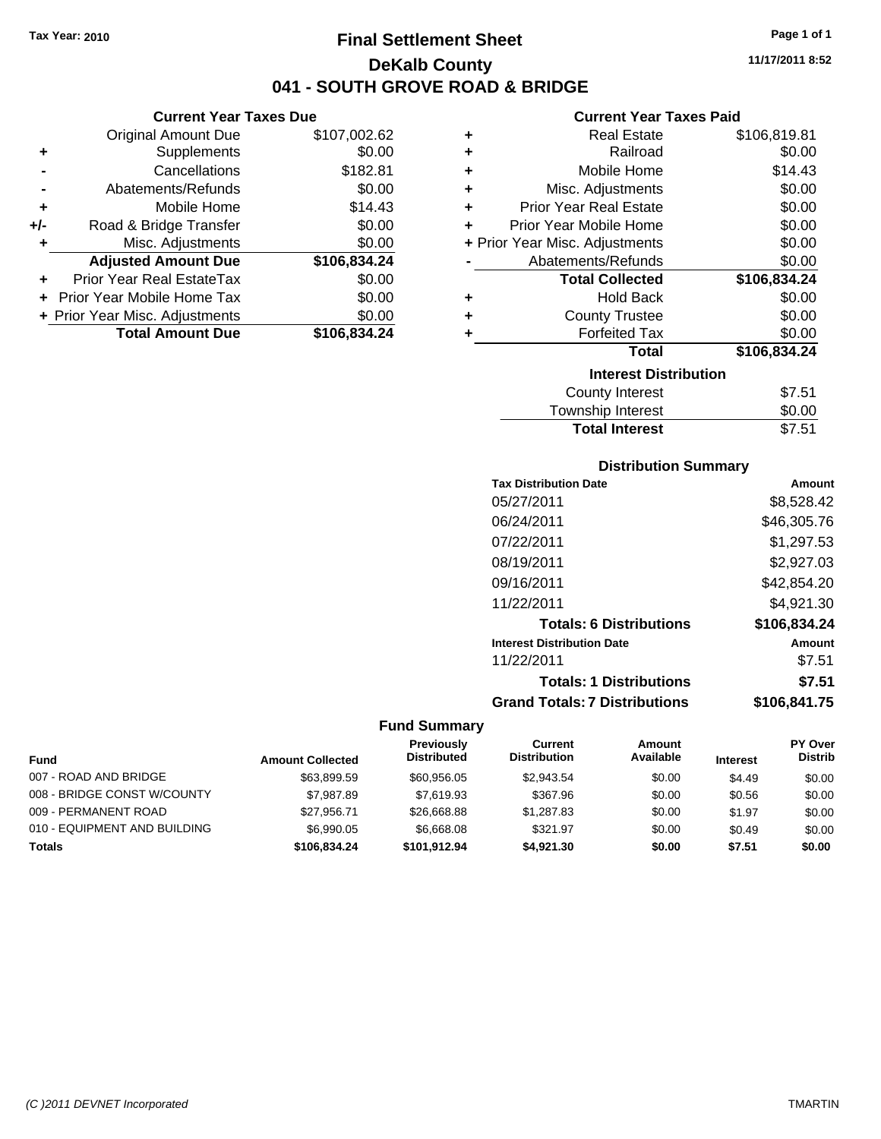**Current Year Taxes Due** Original Amount Due \$107,002.62

**Adjusted Amount Due \$106,834.24**

**+** Supplements \$0.00 **-** Cancellations \$182.81 **-** Abatements/Refunds \$0.00 **+** Mobile Home \$14.43 **+/-** Road & Bridge Transfer \$0.00 **+** Misc. Adjustments \$0.00

**+** Prior Year Real EstateTax \$0.00 **+** Prior Year Mobile Home Tax \$0.00 **+ Prior Year Misc. Adjustments \$0.00<br>Total Amount Due \$106,834.24** 

**Total Amount Due** 

# **Final Settlement Sheet Tax Year: 2010 Page 1 of 1 DeKalb County 041 - SOUTH GROVE ROAD & BRIDGE**

**Current Year Taxes Paid**

|   | Current Year Taxes Paid        |              |
|---|--------------------------------|--------------|
| ٠ | <b>Real Estate</b>             | \$106,819.81 |
| ÷ | Railroad                       | \$0.00       |
| ÷ | Mobile Home                    | \$14.43      |
| ÷ | Misc. Adjustments              | \$0.00       |
| ÷ | <b>Prior Year Real Estate</b>  | \$0.00       |
| ÷ | Prior Year Mobile Home         | \$0.00       |
|   | + Prior Year Misc. Adjustments | \$0.00       |
|   | Abatements/Refunds             | \$0.00       |
|   | <b>Total Collected</b>         | \$106,834.24 |
| ٠ | <b>Hold Back</b>               | \$0.00       |
| ÷ | <b>County Trustee</b>          | \$0.00       |
| ٠ | <b>Forfeited Tax</b>           | \$0.00       |
|   | <b>Total</b>                   | \$106,834.24 |
|   |                                |              |
|   | <b>Interest Distribution</b>   |              |
|   | <b>County Interest</b>         | \$7.51       |

Total Interest \$7.51

| <b>Distribution Summary</b>          |              |
|--------------------------------------|--------------|
| <b>Tax Distribution Date</b>         | Amount       |
| 05/27/2011                           | \$8,528.42   |
| 06/24/2011                           | \$46,305.76  |
| 07/22/2011                           | \$1.297.53   |
| 08/19/2011                           | \$2,927.03   |
| 09/16/2011                           | \$42,854.20  |
| 11/22/2011                           | \$4.921.30   |
| <b>Totals: 6 Distributions</b>       | \$106,834.24 |
| <b>Interest Distribution Date</b>    | Amount       |
| 11/22/2011                           | \$7.51       |
| <b>Totals: 1 Distributions</b>       | \$7.51       |
| <b>Grand Totals: 7 Distributions</b> | \$106,841.75 |

|                              |                         | <b>Previously</b>  | Current             | Amount    |                 | PY Over        |
|------------------------------|-------------------------|--------------------|---------------------|-----------|-----------------|----------------|
| <b>Fund</b>                  | <b>Amount Collected</b> | <b>Distributed</b> | <b>Distribution</b> | Available | <b>Interest</b> | <b>Distrib</b> |
| 007 - ROAD AND BRIDGE        | \$63,899.59             | \$60,956,05        | \$2.943.54          | \$0.00    | \$4.49          | \$0.00         |
| 008 - BRIDGE CONST W/COUNTY  | \$7.987.89              | \$7.619.93         | \$367.96            | \$0.00    | \$0.56          | \$0.00         |
| 009 - PERMANENT ROAD         | \$27.956.71             | \$26,668,88        | \$1.287.83          | \$0.00    | \$1.97          | \$0.00         |
| 010 - EQUIPMENT AND BUILDING | \$6,990.05              | \$6,668,08         | \$321.97            | \$0.00    | \$0.49          | \$0.00         |
| <b>Totals</b>                | \$106.834.24            | \$101.912.94       | \$4.921.30          | \$0.00    | \$7.51          | \$0.00         |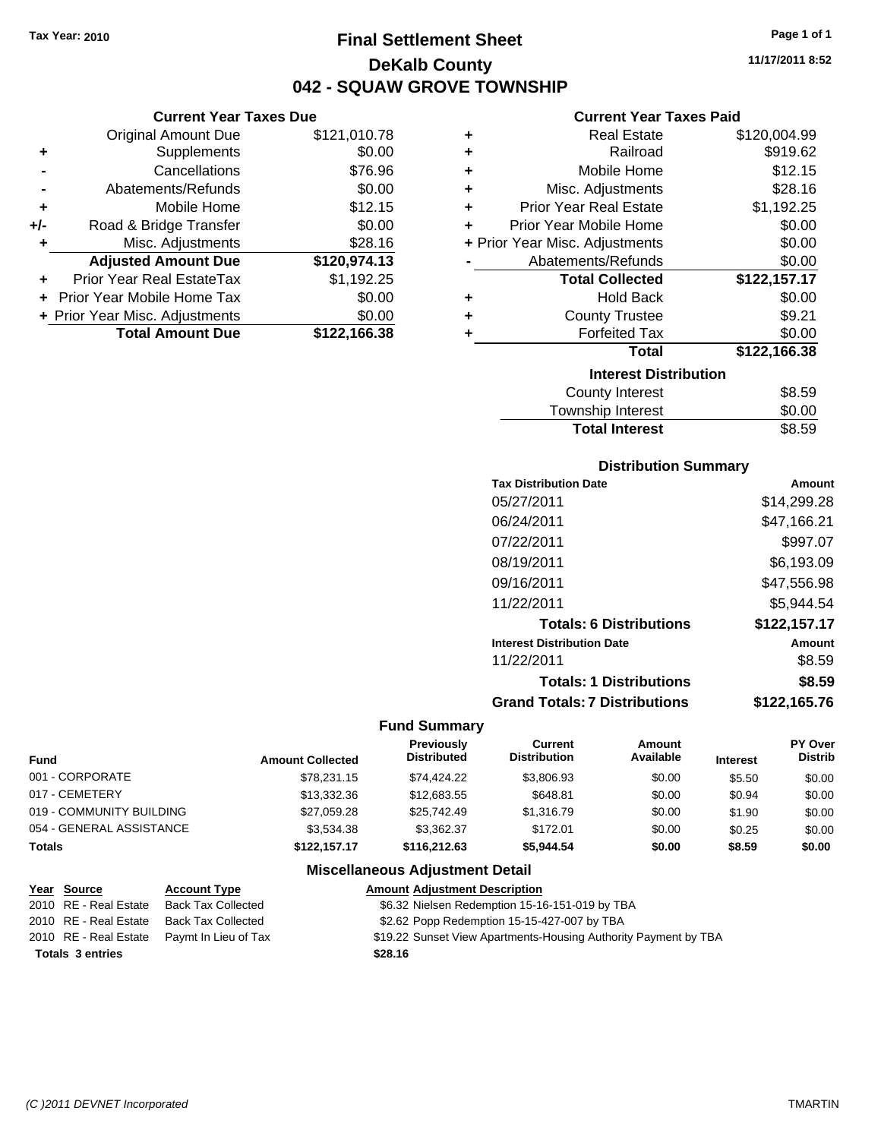**Current Year Taxes Due** Original Amount Due \$121,010.78

**Adjusted Amount Due \$120,974.13**

**Total Amount Due \$122,166.38**

**+** Supplements \$0.00 **-** Cancellations \$76.96 **-** Abatements/Refunds \$0.00 **+** Mobile Home \$12.15 **+/-** Road & Bridge Transfer \$0.00 **+** Misc. Adjustments \$28.16

**+** Prior Year Real EstateTax \$1,192.25 **+** Prior Year Mobile Home Tax \$0.00 **+ Prior Year Misc. Adjustments**  $$0.00$ 

# **Final Settlement Sheet Tax Year: 2010 Page 1 of 1 DeKalb County 042 - SQUAW GROVE TOWNSHIP**

**11/17/2011 8:52**

#### **Current Year Taxes Paid**

| ٠ | <b>Real Estate</b>             | \$120,004.99 |  |  |  |  |
|---|--------------------------------|--------------|--|--|--|--|
| ÷ | Railroad                       | \$919.62     |  |  |  |  |
| ÷ | Mobile Home                    | \$12.15      |  |  |  |  |
| ÷ | Misc. Adjustments              | \$28.16      |  |  |  |  |
| ÷ | <b>Prior Year Real Estate</b>  | \$1,192.25   |  |  |  |  |
| ÷ | Prior Year Mobile Home         | \$0.00       |  |  |  |  |
|   | + Prior Year Misc. Adjustments | \$0.00       |  |  |  |  |
|   | Abatements/Refunds             | \$0.00       |  |  |  |  |
|   | <b>Total Collected</b>         | \$122,157.17 |  |  |  |  |
| ٠ | <b>Hold Back</b>               | \$0.00       |  |  |  |  |
| ٠ | <b>County Trustee</b>          | \$9.21       |  |  |  |  |
| ÷ | <b>Forfeited Tax</b>           | \$0.00       |  |  |  |  |
|   | <b>Total</b>                   | \$122,166.38 |  |  |  |  |
|   | <b>Interest Distribution</b>   |              |  |  |  |  |
|   | <b>County Interest</b>         | \$8.59       |  |  |  |  |
|   |                                | ີ່           |  |  |  |  |

| Township Interest     | \$0.00 |
|-----------------------|--------|
| <b>Total Interest</b> | \$8.59 |

#### **Distribution Summary**

| <b>Tax Distribution Date</b>         | Amount       |
|--------------------------------------|--------------|
| 05/27/2011                           | \$14,299.28  |
| 06/24/2011                           | \$47,166.21  |
| 07/22/2011                           | \$997.07     |
| 08/19/2011                           | \$6,193.09   |
| 09/16/2011                           | \$47,556.98  |
| 11/22/2011                           | \$5,944.54   |
| <b>Totals: 6 Distributions</b>       | \$122,157.17 |
| <b>Interest Distribution Date</b>    | Amount       |
| 11/22/2011                           | \$8.59       |
| <b>Totals: 1 Distributions</b>       | \$8.59       |
| <b>Grand Totals: 7 Distributions</b> | \$122,165.76 |
|                                      |              |

#### **Fund Summary**

| <b>Fund</b>              | <b>Amount Collected</b> | Previously<br><b>Distributed</b> | Current<br><b>Distribution</b> | Amount<br>Available | <b>Interest</b> | PY Over<br><b>Distrib</b> |
|--------------------------|-------------------------|----------------------------------|--------------------------------|---------------------|-----------------|---------------------------|
| 001 - CORPORATE          | \$78,231.15             | \$74.424.22                      | \$3,806.93                     | \$0.00              | \$5.50          | \$0.00                    |
| 017 - CEMETERY           | \$13,332.36             | \$12,683.55                      | \$648.81                       | \$0.00              | \$0.94          | \$0.00                    |
| 019 - COMMUNITY BUILDING | \$27,059.28             | \$25.742.49                      | \$1,316.79                     | \$0.00              | \$1.90          | \$0.00                    |
| 054 - GENERAL ASSISTANCE | \$3.534.38              | \$3.362.37                       | \$172.01                       | \$0.00              | \$0.25          | \$0.00                    |
| <b>Totals</b>            | \$122,157.17            | \$116,212,63                     | \$5.944.54                     | \$0.00              | \$8.59          | \$0.00                    |

| <u>Year Source</u>      | <b>Account Type</b>                        | <b>Amount Adjustment Description</b>                            |
|-------------------------|--------------------------------------------|-----------------------------------------------------------------|
| 2010 RE - Real Estate   | <b>Back Tax Collected</b>                  | \$6.32 Nielsen Redemption 15-16-151-019 by TBA                  |
| 2010 RE - Real Estate   | Back Tax Collected                         | \$2.62 Popp Redemption 15-15-427-007 by TBA                     |
|                         | 2010 RE - Real Estate Paymt In Lieu of Tax | \$19.22 Sunset View Apartments-Housing Authority Payment by TBA |
| <b>Totals 3 entries</b> |                                            | \$28.16                                                         |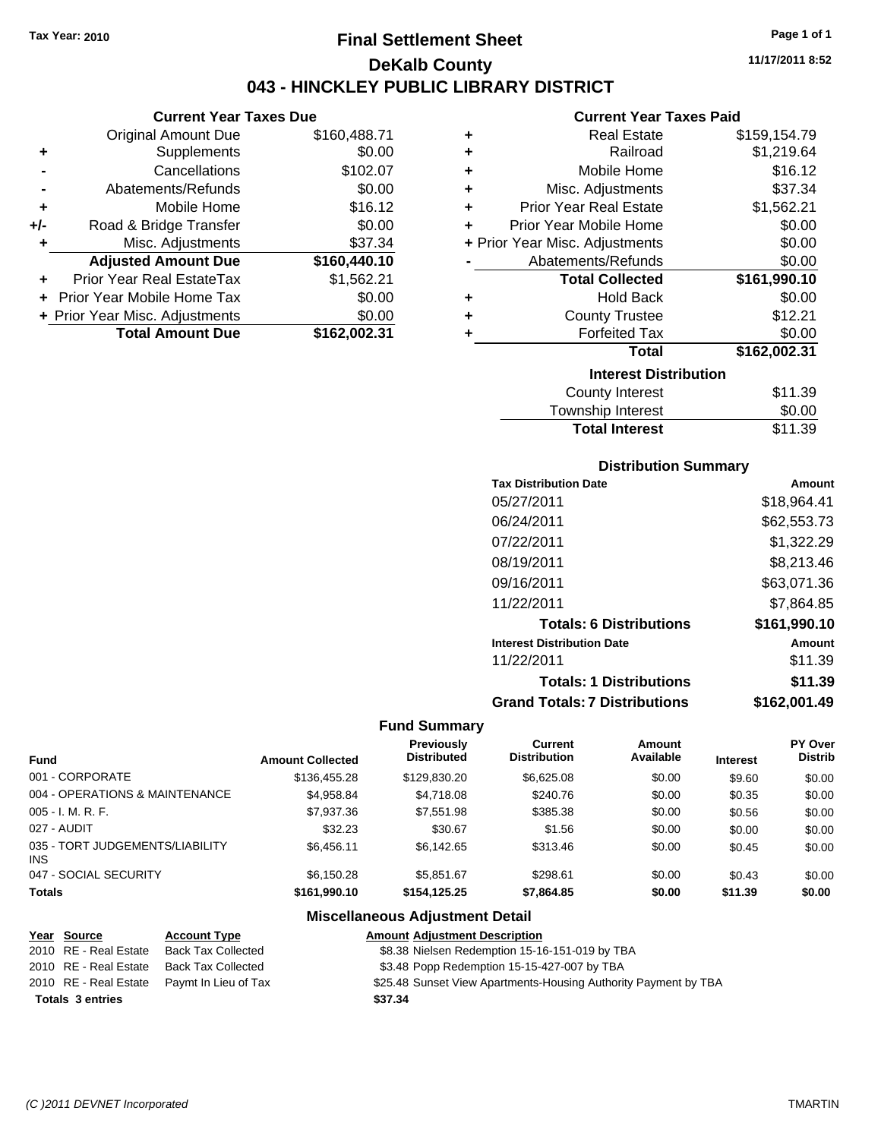**Current Year Taxes Due** Original Amount Due \$160,488.71

**Adjusted Amount Due \$160,440.10**

**Total Amount Due \$162,002.31**

**+** Supplements \$0.00 **-** Cancellations \$102.07 **-** Abatements/Refunds \$0.00 **+** Mobile Home \$16.12 **+/-** Road & Bridge Transfer \$0.00 **+** Misc. Adjustments \$37.34

**+** Prior Year Real EstateTax \$1,562.21 **+** Prior Year Mobile Home Tax \$0.00 **+ Prior Year Misc. Adjustments**  $$0.00$ 

# **Final Settlement Sheet Tax Year: 2010 Page 1 of 1 DeKalb County 043 - HINCKLEY PUBLIC LIBRARY DISTRICT**

**11/17/2011 8:52**

#### **Current Year Taxes Paid**

| ٠ | <b>Real Estate</b>             | \$159,154.79 |
|---|--------------------------------|--------------|
| ÷ | Railroad                       | \$1,219.64   |
| ÷ | Mobile Home                    | \$16.12      |
| ÷ | Misc. Adjustments              | \$37.34      |
| ÷ | <b>Prior Year Real Estate</b>  | \$1,562.21   |
| ÷ | Prior Year Mobile Home         | \$0.00       |
|   | + Prior Year Misc. Adjustments | \$0.00       |
|   | Abatements/Refunds             | \$0.00       |
|   | <b>Total Collected</b>         | \$161,990.10 |
| ٠ | <b>Hold Back</b>               | \$0.00       |
| ÷ | <b>County Trustee</b>          | \$12.21      |
| ٠ | <b>Forfeited Tax</b>           | \$0.00       |
|   | <b>Total</b>                   | \$162,002.31 |
|   | <b>Interest Distribution</b>   |              |
|   | County Interest                | \$11.39      |
|   |                                | ີ ລ          |

| Township Interest     | \$0.00  |
|-----------------------|---------|
| <b>Total Interest</b> | \$11.39 |

#### **Distribution Summary**

| <b>Tax Distribution Date</b>         | Amount       |
|--------------------------------------|--------------|
| 05/27/2011                           | \$18,964.41  |
| 06/24/2011                           | \$62,553.73  |
| 07/22/2011                           | \$1,322.29   |
| 08/19/2011                           | \$8,213.46   |
| 09/16/2011                           | \$63,071.36  |
| 11/22/2011                           | \$7,864.85   |
| <b>Totals: 6 Distributions</b>       | \$161,990.10 |
| <b>Interest Distribution Date</b>    | Amount       |
| 11/22/2011                           | \$11.39      |
| <b>Totals: 1 Distributions</b>       | \$11.39      |
| <b>Grand Totals: 7 Distributions</b> | \$162,001.49 |
|                                      |              |

#### **Fund Summary**

|                                         |                         | <b>Previously</b>  | Current             | Amount    |                 | PY Over        |
|-----------------------------------------|-------------------------|--------------------|---------------------|-----------|-----------------|----------------|
| <b>Fund</b>                             | <b>Amount Collected</b> | <b>Distributed</b> | <b>Distribution</b> | Available | <b>Interest</b> | <b>Distrib</b> |
| 001 - CORPORATE                         | \$136,455.28            | \$129,830,20       | \$6,625.08          | \$0.00    | \$9.60          | \$0.00         |
| 004 - OPERATIONS & MAINTENANCE          | \$4,958.84              | \$4,718.08         | \$240.76            | \$0.00    | \$0.35          | \$0.00         |
| 005 - I. M. R. F.                       | \$7,937.36              | \$7,551.98         | \$385.38            | \$0.00    | \$0.56          | \$0.00         |
| 027 - AUDIT                             | \$32.23                 | \$30.67            | \$1.56              | \$0.00    | \$0.00          | \$0.00         |
| 035 - TORT JUDGEMENTS/LIABILITY<br>INS. | \$6,456.11              | \$6.142.65         | \$313.46            | \$0.00    | \$0.45          | \$0.00         |
| 047 - SOCIAL SECURITY                   | \$6,150.28              | \$5.851.67         | \$298.61            | \$0.00    | \$0.43          | \$0.00         |
| <b>Totals</b>                           | \$161.990.10            | \$154,125,25       | \$7,864.85          | \$0.00    | \$11.39         | \$0.00         |

| <u>Year Source</u>      | <b>Account Type</b>       | <b>Amount Adjustment Description</b>                            |
|-------------------------|---------------------------|-----------------------------------------------------------------|
| 2010 RE - Real Estate   | <b>Back Tax Collected</b> | \$8.38 Nielsen Redemption 15-16-151-019 by TBA                  |
| 2010 RE - Real Estate   | Back Tax Collected        | \$3.48 Popp Redemption 15-15-427-007 by TBA                     |
| 2010 RE - Real Estate   | Paymt In Lieu of Tax      | \$25.48 Sunset View Apartments-Housing Authority Payment by TBA |
| <b>Totals 3 entries</b> |                           | \$37.34                                                         |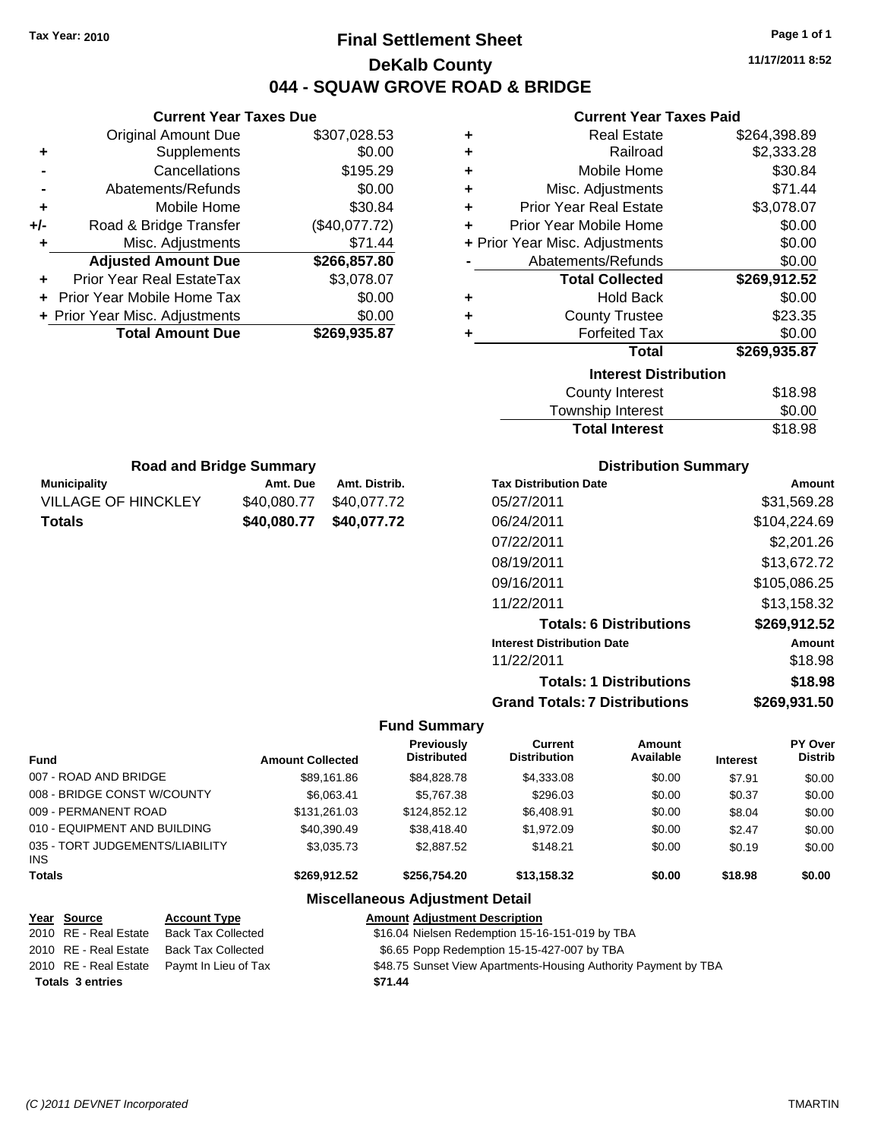# **Final Settlement Sheet Tax Year: 2010 Page 1 of 1 DeKalb County 044 - SQUAW GROVE ROAD & BRIDGE**

**11/17/2011 8:52**

**+** Real Estate \$264,398.89 **+** Railroad \$2,333.28 **+** Mobile Home \$30.84 \$71.44 **+** Prior Year Real Estate \$3,078.07  $$0.00$ **+** Prior Year Misc. Adjustments \$0.00  $$0.00$ **Total Collected \$269,912.52 +** Hold Back \$0.00

**+** Forfeited Tax \$0.00 **Total \$269,935.87**

\$23.35

## **Current Year Taxes Paid**

|     | <b>Current Year Taxes Due</b>  |               |   | <b>Current Year Taxes Pa</b>                           |  |
|-----|--------------------------------|---------------|---|--------------------------------------------------------|--|
|     | <b>Original Amount Due</b>     | \$307,028.53  | ٠ | <b>Real Estate</b>                                     |  |
| ٠   | <b>Supplements</b>             | \$0.00        | ٠ | Railroad                                               |  |
|     | Cancellations                  | \$195.29      | ٠ | Mobile Home                                            |  |
|     | Abatements/Refunds             | \$0.00        | ٠ | Misc. Adjustments                                      |  |
| ÷   | Mobile Home                    | \$30.84       | ÷ | <b>Prior Year Real Estate</b>                          |  |
| +/- | Road & Bridge Transfer         | (\$40,077.72) | ٠ | Prior Year Mobile Home                                 |  |
| ٠   | Misc. Adjustments              | \$71.44       |   | + Prior Year Misc. Adjustments                         |  |
|     | <b>Adjusted Amount Due</b>     | \$266,857.80  |   | Abatements/Refunds                                     |  |
| ÷   | Prior Year Real EstateTax      | \$3,078.07    |   | <b>Total Collected</b>                                 |  |
|     | Prior Year Mobile Home Tax     | \$0.00        | ٠ | <b>Hold Back</b>                                       |  |
|     | + Prior Year Misc. Adjustments | \$0.00        | ÷ | <b>County Trustee</b>                                  |  |
|     | <b>Total Amount Due</b>        | \$269,935.87  |   | <b>Forfeited Tax</b>                                   |  |
|     |                                |               |   | Total                                                  |  |
|     |                                |               |   | <b>Interest Distribution</b><br><b>County Interest</b> |  |
|     |                                |               |   |                                                        |  |

| County Interest       | \$18.98 |
|-----------------------|---------|
| Township Interest     | \$0.00  |
| <b>Total Interest</b> | \$18.98 |

| <b>Road and Bridge Summary</b> |             |               |  |  |
|--------------------------------|-------------|---------------|--|--|
| <b>Municipality</b>            | Amt. Due    | Amt. Distrib. |  |  |
| <b>VILLAGE OF HINCKLEY</b>     | \$40,080,77 | \$40,077.72   |  |  |
| <b>Totals</b>                  | \$40.080.77 | \$40,077.72   |  |  |

#### **Distribution Summary**

| Amount       |
|--------------|
| \$31.569.28  |
| \$104,224.69 |
| \$2,201.26   |
| \$13,672.72  |
| \$105,086.25 |
| \$13,158.32  |
| \$269,912.52 |
| Amount       |
| \$18.98      |
| \$18.98      |
| \$269,931.50 |
|              |

#### **Fund Summary**

| <b>Fund</b>                                   | <b>Amount Collected</b> | Previously<br><b>Distributed</b> | Current<br><b>Distribution</b> | Amount<br>Available | <b>Interest</b> | PY Over<br><b>Distrib</b> |
|-----------------------------------------------|-------------------------|----------------------------------|--------------------------------|---------------------|-----------------|---------------------------|
| 007 - ROAD AND BRIDGE                         | \$89,161.86             | \$84.828.78                      | \$4,333,08                     | \$0.00              | \$7.91          | \$0.00                    |
| 008 - BRIDGE CONST W/COUNTY                   | \$6.063.41              | \$5,767.38                       | \$296.03                       | \$0.00              | \$0.37          | \$0.00                    |
| 009 - PERMANENT ROAD                          | \$131.261.03            | \$124,852.12                     | \$6,408.91                     | \$0.00              | \$8.04          | \$0.00                    |
| 010 - EQUIPMENT AND BUILDING                  | \$40,390.49             | \$38,418,40                      | \$1,972.09                     | \$0.00              | \$2.47          | \$0.00                    |
| 035 - TORT JUDGEMENTS/LIABILITY<br><b>INS</b> | \$3,035.73              | \$2,887.52                       | \$148.21                       | \$0.00              | \$0.19          | \$0.00                    |
| <b>Totals</b>                                 | \$269.912.52            | \$256,754.20                     | \$13.158.32                    | \$0.00              | \$18.98         | \$0.00                    |

| Year Source             | <b>Account Type</b>       | <b>Amount Adjustment Description</b>                            |
|-------------------------|---------------------------|-----------------------------------------------------------------|
| 2010 RE - Real Estate   | Back Tax Collected        | \$16.04 Nielsen Redemption 15-16-151-019 by TBA                 |
| 2010 RE - Real Estate   | <b>Back Tax Collected</b> | \$6.65 Popp Redemption 15-15-427-007 by TBA                     |
| 2010 RE - Real Estate   | Paymt In Lieu of Tax      | \$48.75 Sunset View Apartments-Housing Authority Payment by TBA |
| <b>Totals 3 entries</b> |                           | \$71.44                                                         |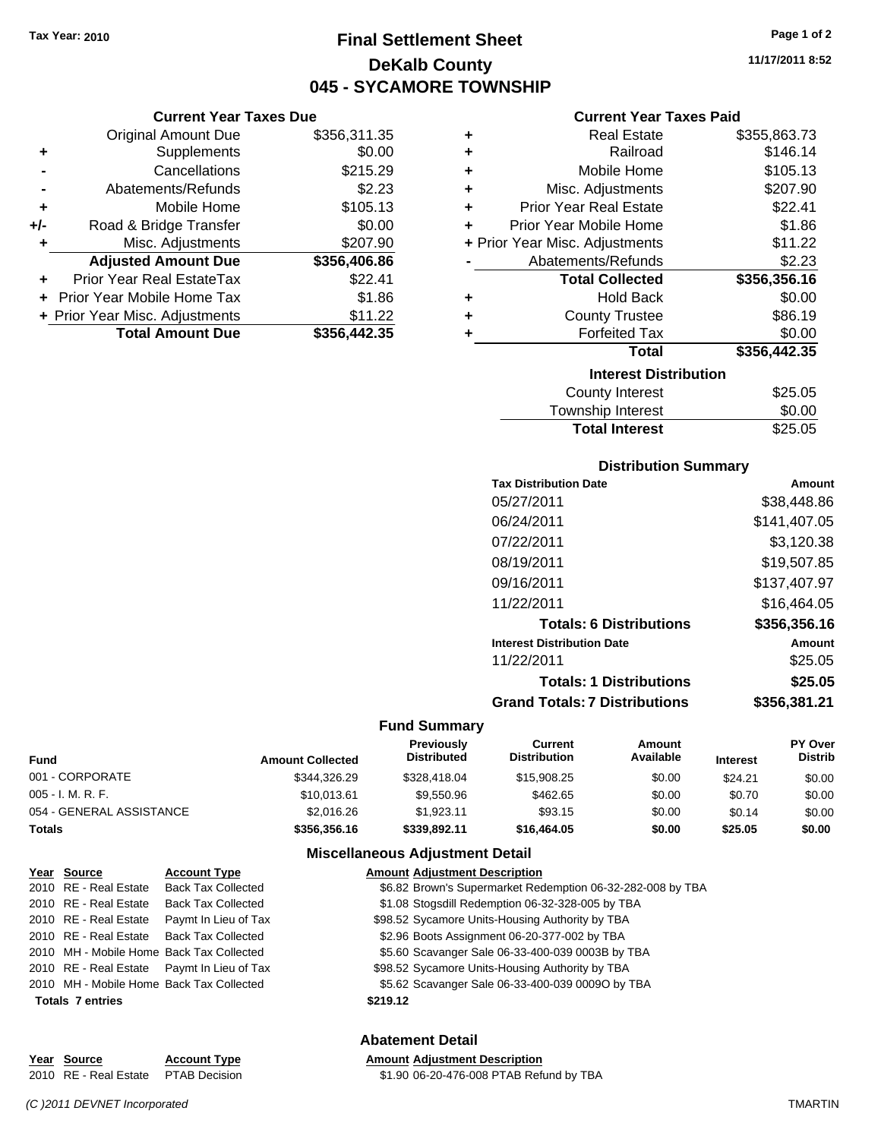# **Final Settlement Sheet Tax Year: 2010 Page 1 of 2 DeKalb County 045 - SYCAMORE TOWNSHIP**

|       | <b>Current Year Taxes Due</b>     |              |
|-------|-----------------------------------|--------------|
|       | <b>Original Amount Due</b>        | \$356,311.35 |
| ٠     | Supplements                       | \$0.00       |
|       | Cancellations                     | \$215.29     |
|       | Abatements/Refunds                | \$2.23       |
| ٠     | Mobile Home                       | \$105.13     |
| $+/-$ | Road & Bridge Transfer            | \$0.00       |
|       | Misc. Adjustments                 | \$207.90     |
|       | <b>Adjusted Amount Due</b>        | \$356,406.86 |
|       | Prior Year Real EstateTax         | \$22.41      |
|       | <b>Prior Year Mobile Home Tax</b> | \$1.86       |
|       | + Prior Year Misc. Adjustments    | \$11.22      |
|       | <b>Total Amount Due</b>           | \$356,442.35 |

#### **Current Year Taxes Paid**

|   | <b>Real Estate</b>             | \$355,863.73 |
|---|--------------------------------|--------------|
| ÷ | Railroad                       | \$146.14     |
| ÷ | Mobile Home                    | \$105.13     |
| ÷ | Misc. Adjustments              | \$207.90     |
| ÷ | <b>Prior Year Real Estate</b>  | \$22.41      |
| ٠ | Prior Year Mobile Home         | \$1.86       |
|   | + Prior Year Misc. Adjustments | \$11.22      |
|   | Abatements/Refunds             | \$2.23       |
|   | <b>Total Collected</b>         | \$356,356.16 |
| ٠ | <b>Hold Back</b>               | \$0.00       |
| ٠ | <b>County Trustee</b>          | \$86.19      |
| ٠ | <b>Forfeited Tax</b>           | \$0.00       |
|   | Total                          | \$356,442.35 |
|   | <b>Interest Distribution</b>   |              |
|   | <b>County Interest</b>         | \$25.05      |
|   | Tournabin Interact             | ድስ ሰስ        |

| <b>Total Interest</b> | \$25.05 |
|-----------------------|---------|
| Township Interest     | \$0.00  |
| County Interest       | \$25.05 |

#### **Distribution Summary**

| <b>Tax Distribution Date</b>         | Amount       |
|--------------------------------------|--------------|
| 05/27/2011                           | \$38.448.86  |
| 06/24/2011                           | \$141,407.05 |
| 07/22/2011                           | \$3.120.38   |
| 08/19/2011                           | \$19,507.85  |
| 09/16/2011                           | \$137,407.97 |
| 11/22/2011                           | \$16.464.05  |
| <b>Totals: 6 Distributions</b>       | \$356.356.16 |
| <b>Interest Distribution Date</b>    | Amount       |
| 11/22/2011                           | \$25.05      |
| <b>Totals: 1 Distributions</b>       | \$25.05      |
| <b>Grand Totals: 7 Distributions</b> | \$356.381.21 |
|                                      |              |

#### **Fund Summary**

| Fund                     | <b>Amount Collected</b> | <b>Previously</b><br><b>Distributed</b> | Current<br><b>Distribution</b> | Amount<br>Available | <b>Interest</b> | PY Over<br><b>Distrib</b> |
|--------------------------|-------------------------|-----------------------------------------|--------------------------------|---------------------|-----------------|---------------------------|
| 001 - CORPORATE          | \$344,326,29            | \$328,418.04                            | \$15,908.25                    | \$0.00              | \$24.21         | \$0.00                    |
| 005 - I. M. R. F.        | \$10,013.61             | \$9,550.96                              | \$462.65                       | \$0.00              | \$0.70          | \$0.00                    |
| 054 - GENERAL ASSISTANCE | \$2,016.26              | \$1.923.11                              | \$93.15                        | \$0.00              | \$0.14          | \$0.00                    |
| Totals                   | \$356,356.16            | \$339,892.11                            | \$16,464.05                    | \$0.00              | \$25.05         | \$0.00                    |

#### **Miscellaneous Adjustment Detail**

| Year Source             | <b>Account Type</b>                        | <b>Amount Adjustment Description</b>                       |
|-------------------------|--------------------------------------------|------------------------------------------------------------|
| 2010 RE - Real Estate   | <b>Back Tax Collected</b>                  | \$6.82 Brown's Supermarket Redemption 06-32-282-008 by TBA |
| 2010 RE - Real Estate   | <b>Back Tax Collected</b>                  | \$1.08 Stogsdill Redemption 06-32-328-005 by TBA           |
|                         | 2010 RE - Real Estate Paymt In Lieu of Tax | \$98.52 Sycamore Units-Housing Authority by TBA            |
|                         | 2010 RE - Real Estate Back Tax Collected   | \$2.96 Boots Assignment 06-20-377-002 by TBA               |
|                         | 2010 MH - Mobile Home Back Tax Collected   | \$5.60 Scavanger Sale 06-33-400-039 0003B by TBA           |
|                         | 2010 RE - Real Estate Paymt In Lieu of Tax | \$98.52 Sycamore Units-Housing Authority by TBA            |
|                         | 2010 MH - Mobile Home Back Tax Collected   | \$5.62 Scavanger Sale 06-33-400-039 0009O by TBA           |
| <b>Totals 7 entries</b> |                                            | \$219.12                                                   |
|                         |                                            |                                                            |

#### **Abatement Detail**

**Year Source Account Type Amount Amount Adjustment Description**<br>2010 RE - Real Estate PTAB Decision **Amount** \$1.90 06-20-476-008 PTAB Refu

\$1.90 06-20-476-008 PTAB Refund by TBA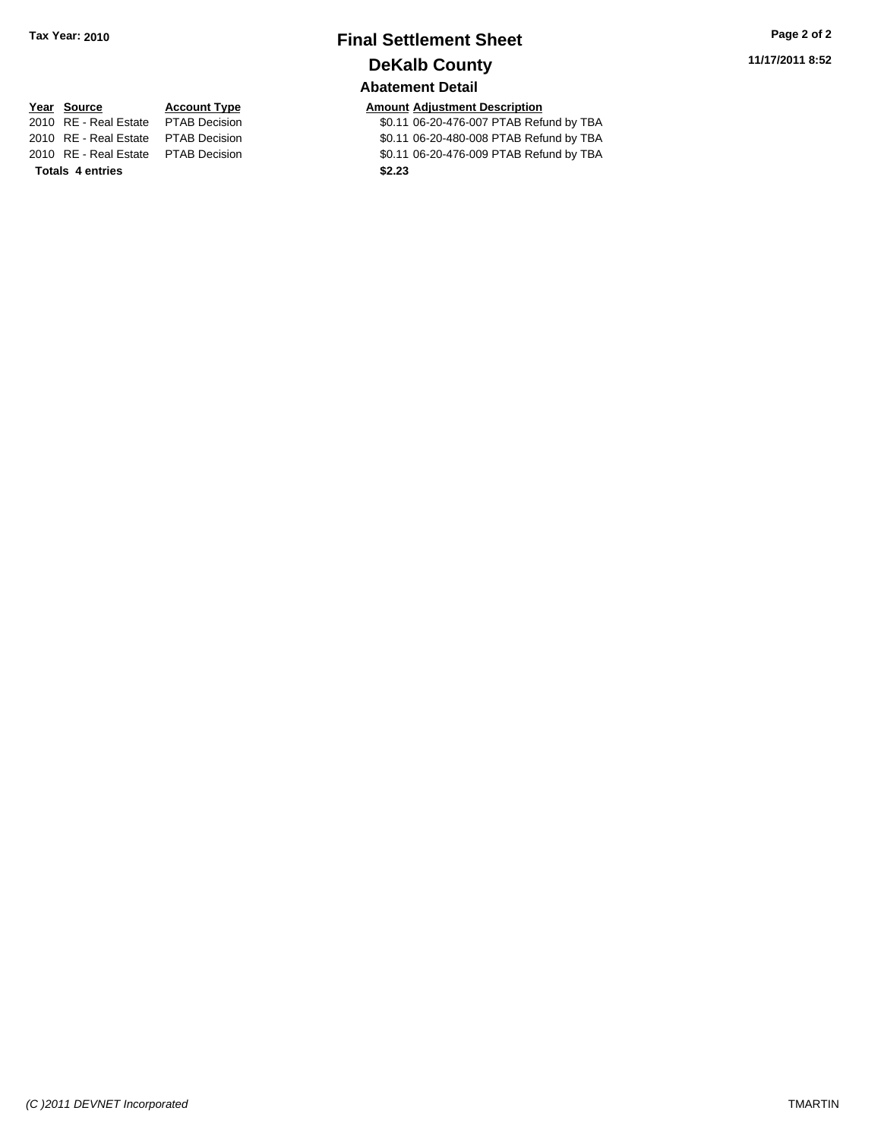# **Final Settlement Sheet Tax Year: 2010 Page 2 of 2 DeKalb County Abatement Detail**

\$0.11 06-20-476-007 PTAB Refund by TBA 2010 RE - Real Estate \$0.11 06-20-480-008 PTAB Refund by TBA PTAB Decision

# **Year Source Account Type Amount Adjustment Description**<br>2010 RE - Real Estate PTAB Decision **Amount** 106-20-476-007 PTAB Refu

**Totals \$2.23 4 entries**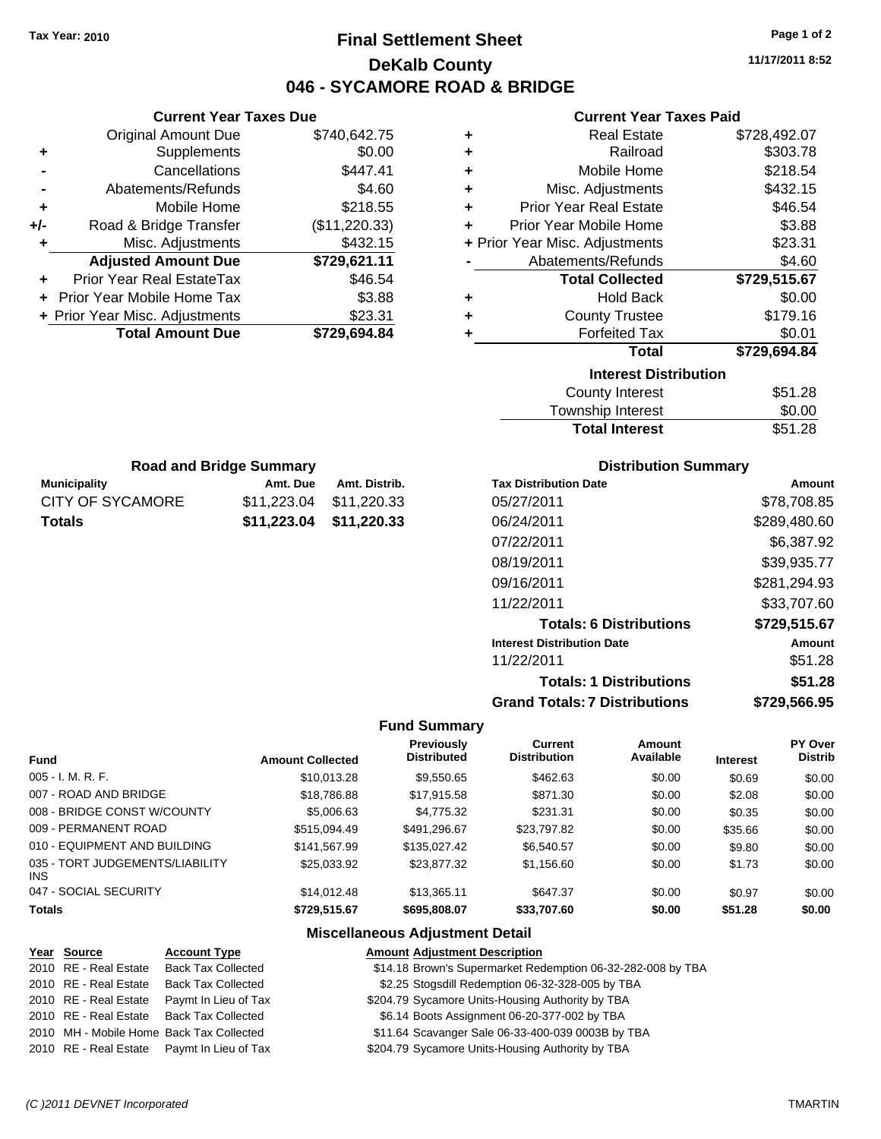# **Final Settlement Sheet Tax Year: 2010 Page 1 of 2 DeKalb County 046 - SYCAMORE ROAD & BRIDGE**

**11/17/2011 8:52**

#### **Current Year Taxes Paid**

|     | <b>Original Amount Due</b>        | \$740,642.75  |
|-----|-----------------------------------|---------------|
| ٠   | Supplements                       | \$0.00        |
|     | Cancellations                     | \$447.41      |
|     | Abatements/Refunds                | \$4.60        |
| ٠   | Mobile Home                       | \$218.55      |
| +/- | Road & Bridge Transfer            | (\$11,220.33) |
| ٠   | Misc. Adjustments                 | \$432.15      |
|     | <b>Adjusted Amount Due</b>        | \$729,621.11  |
|     | <b>Prior Year Real EstateTax</b>  | \$46.54       |
|     | <b>Prior Year Mobile Home Tax</b> | \$3.88        |
|     | + Prior Year Misc. Adjustments    | \$23.31       |
|     | <b>Total Amount Due</b>           | \$729,694.84  |
|     |                                   |               |

**Current Year Taxes Due**

| ٠ | <b>Real Estate</b>             | \$728,492.07 |
|---|--------------------------------|--------------|
| ٠ | Railroad                       | \$303.78     |
| ٠ | Mobile Home                    | \$218.54     |
| ÷ | Misc. Adjustments              | \$432.15     |
| ٠ | <b>Prior Year Real Estate</b>  | \$46.54      |
| ٠ | Prior Year Mobile Home         | \$3.88       |
|   | + Prior Year Misc. Adjustments | \$23.31      |
|   | Abatements/Refunds             | \$4.60       |
|   | <b>Total Collected</b>         | \$729,515.67 |
| ٠ | <b>Hold Back</b>               | \$0.00       |
| ٠ | <b>County Trustee</b>          | \$179.16     |
| ٠ | <b>Forfeited Tax</b>           | \$0.01       |
|   | <b>Total</b>                   | \$729,694.84 |
|   | <b>Interest Distribution</b>   |              |
|   | <b>County Interest</b>         | \$51.28      |
|   |                                |              |

| .<br>Township Interest | \$0.00  |
|------------------------|---------|
| <b>Total Interest</b>  | \$51.28 |

| <b>Road and Bridge Summary</b> |                         |               |  |  |
|--------------------------------|-------------------------|---------------|--|--|
| <b>Municipality</b>            | Amt. Due                | Amt. Distrib. |  |  |
| <b>CITY OF SYCAMORE</b>        | \$11.223.04             | \$11,220.33   |  |  |
| <b>Totals</b>                  | \$11,223.04 \$11,220.33 |               |  |  |

#### **Distribution Summary**

| <b>Tax Distribution Date</b>         | Amount       |
|--------------------------------------|--------------|
| 05/27/2011                           | \$78,708.85  |
| 06/24/2011                           | \$289,480.60 |
| 07/22/2011                           | \$6.387.92   |
| 08/19/2011                           | \$39,935.77  |
| 09/16/2011                           | \$281,294.93 |
| 11/22/2011                           | \$33,707.60  |
| <b>Totals: 6 Distributions</b>       | \$729,515.67 |
| <b>Interest Distribution Date</b>    | Amount       |
| 11/22/2011                           | \$51.28      |
| <b>Totals: 1 Distributions</b>       | \$51.28      |
| <b>Grand Totals: 7 Distributions</b> | \$729.566.95 |

#### **Fund Summary**

|                                        |                         | Previously         | Current             | Amount    |                 | PY Over        |
|----------------------------------------|-------------------------|--------------------|---------------------|-----------|-----------------|----------------|
| <b>Fund</b>                            | <b>Amount Collected</b> | <b>Distributed</b> | <b>Distribution</b> | Available | <b>Interest</b> | <b>Distrib</b> |
| $005 - I. M. R. F.$                    | \$10,013.28             | \$9,550.65         | \$462.63            | \$0.00    | \$0.69          | \$0.00         |
| 007 - ROAD AND BRIDGE                  | \$18,786.88             | \$17,915.58        | \$871.30            | \$0.00    | \$2.08          | \$0.00         |
| 008 - BRIDGE CONST W/COUNTY            | \$5,006.63              | \$4,775.32         | \$231.31            | \$0.00    | \$0.35          | \$0.00         |
| 009 - PERMANENT ROAD                   | \$515,094.49            | \$491,296.67       | \$23,797.82         | \$0.00    | \$35.66         | \$0.00         |
| 010 - EQUIPMENT AND BUILDING           | \$141.567.99            | \$135,027.42       | \$6,540.57          | \$0.00    | \$9.80          | \$0.00         |
| 035 - TORT JUDGEMENTS/LIABILITY<br>INS | \$25.033.92             | \$23.877.32        | \$1,156.60          | \$0.00    | \$1.73          | \$0.00         |
| 047 - SOCIAL SECURITY                  | \$14,012.48             | \$13.365.11        | \$647.37            | \$0.00    | \$0.97          | \$0.00         |
| <b>Totals</b>                          | \$729,515.67            | \$695,808.07       | \$33,707.60         | \$0.00    | \$51.28         | \$0.00         |

#### **Miscellaneous Adjustment Detail**

#### **Year Source Account Type Amount Adjustment Description**

2010 RE - Real Estate Back Tax Collected \$14.18 Brown's Supermarket Redemption 06-32-282-008 by TBA 2010 RE - Real Estate Back Tax Collected \$2.25 Stogsdill Redemption 06-32-328-005 by TBA

- 2010 RE Real Estate Paymt In Lieu of Tax \$204.79 Sycamore Units-Housing Authority by TBA
- 2010 RE Real Estate Back Tax Collected \$6.14 Boots Assignment 06-20-377-002 by TBA

2010 MH - Mobile Home Back Tax Collected \$11.64 Scavanger Sale 06-33-400-039 0003B by TBA

2010 RE - Real Estate Paymt In Lieu of Tax \$204.79 Sycamore Units-Housing Authority by TBA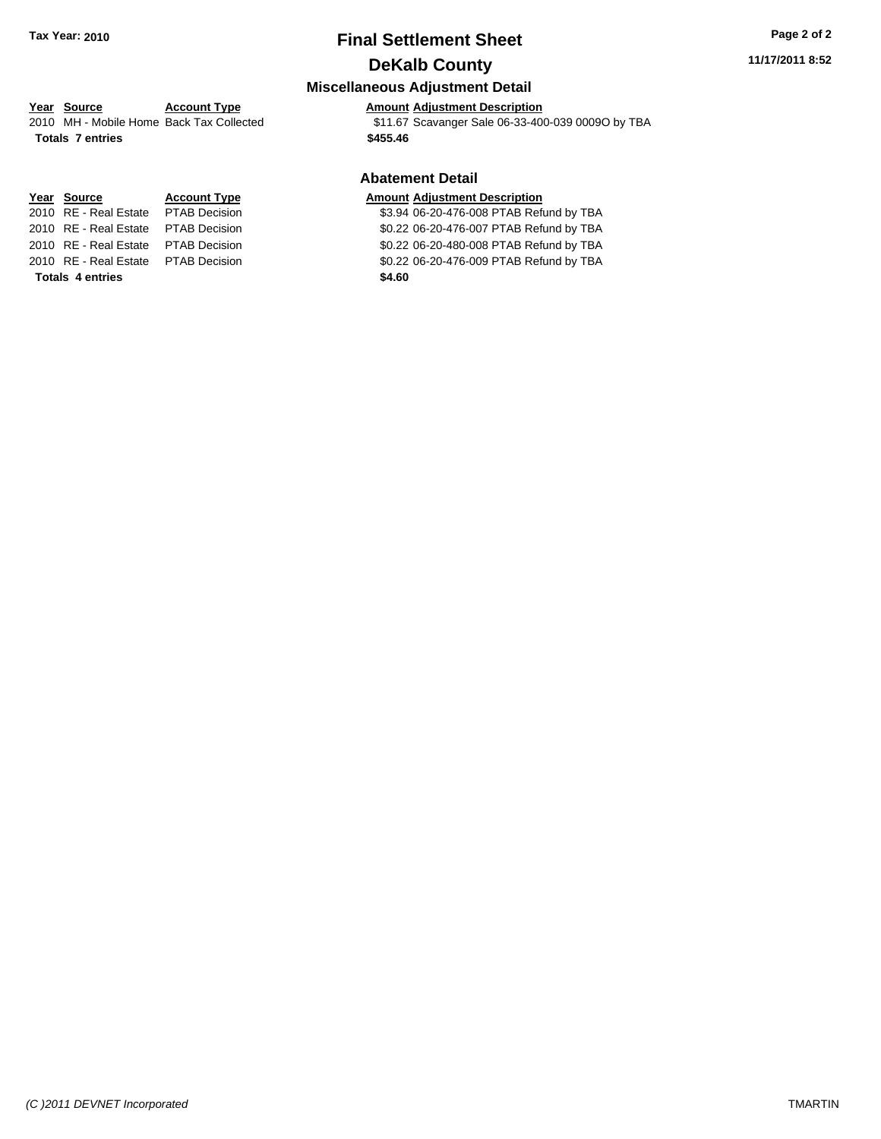# **Final Settlement Sheet Tax Year: 2010 Page 2 of 2 DeKalb County**

# **Year Source Account Type Amount Adjustment Description**

2010 MH - Mobile Home Back Tax Collected \$11.67 Scavanger Sale 06-33-400-039 0009O by TBA **Totals \$455.46 7 entries**

#### **Abatement Detail**

#### **Year Source Account Type Amount Adjustment Description**

2010 RE - Real Estate \$3.94 06-20-476-008 PTAB Refund by TBA PTAB Decision 2010 RE - Real Estate \$0.22 06-20-476-007 PTAB Refund by TBA PTAB Decision 2010 RE - Real Estate \$0.22 06-20-480-008 PTAB Refund by TBA PTAB Decision 2010 RE - Real Estate \$0.22 06-20-476-009 PTAB Refund by TBA PTAB Decision

**Totals \$4.60 4 entries**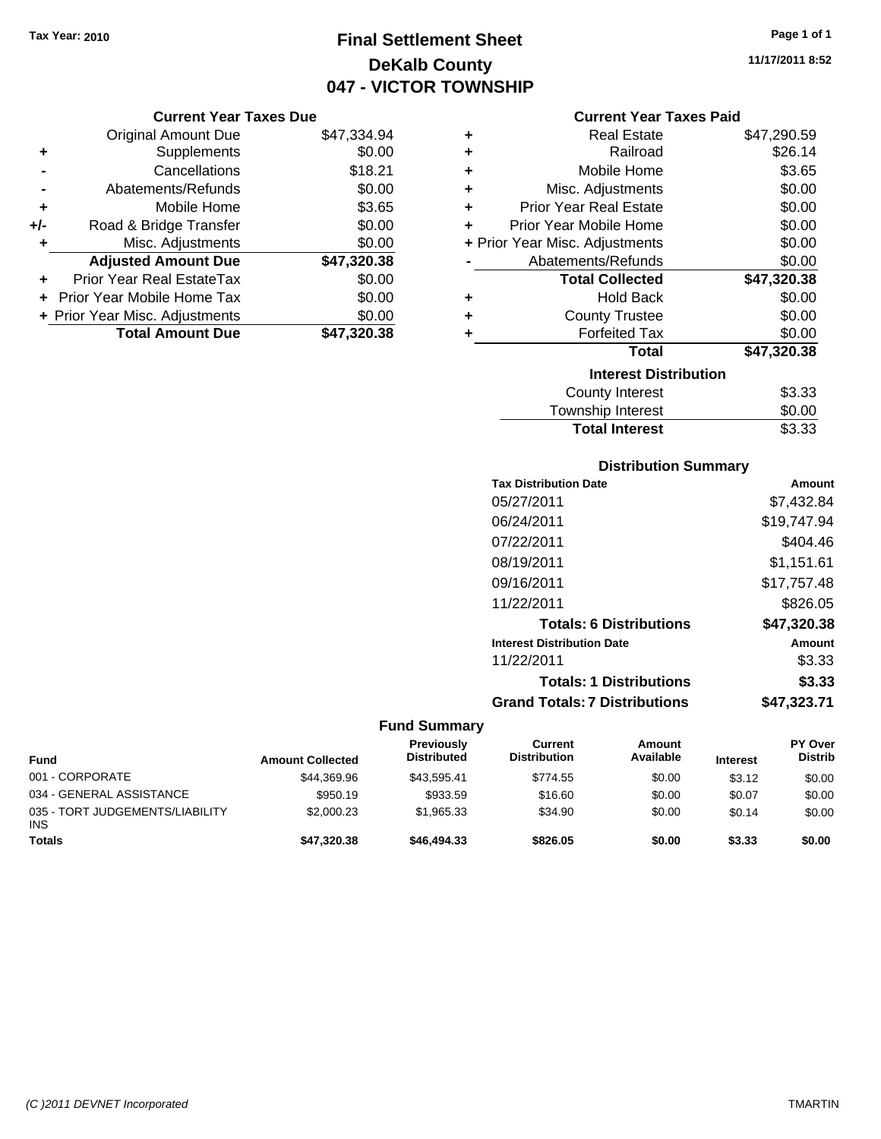# **Final Settlement Sheet Tax Year: 2010 Page 1 of 1 DeKalb County 047 - VICTOR TOWNSHIP**

#### **Current Year Taxes Due**

|     | <b>Original Amount Due</b>     | \$47,334.94 |
|-----|--------------------------------|-------------|
| ٠   | Supplements                    | \$0.00      |
|     | Cancellations                  | \$18.21     |
|     | Abatements/Refunds             | \$0.00      |
| ٠   | Mobile Home                    | \$3.65      |
| +/- | Road & Bridge Transfer         | \$0.00      |
| ٠   | Misc. Adjustments              | \$0.00      |
|     | <b>Adjusted Amount Due</b>     | \$47,320.38 |
|     | Prior Year Real EstateTax      | \$0.00      |
|     | Prior Year Mobile Home Tax     | \$0.00      |
|     | + Prior Year Misc. Adjustments | \$0.00      |
|     | <b>Total Amount Due</b>        | \$47,320.38 |

#### **Current Year Taxes Paid**

| ٠ | Real Estate                    | \$47,290.59 |
|---|--------------------------------|-------------|
| ÷ | Railroad                       | \$26.14     |
| ٠ | Mobile Home                    | \$3.65      |
| ٠ | Misc. Adjustments              | \$0.00      |
| ٠ | <b>Prior Year Real Estate</b>  | \$0.00      |
| ٠ | Prior Year Mobile Home         | \$0.00      |
|   | + Prior Year Misc. Adjustments | \$0.00      |
|   | Abatements/Refunds             | \$0.00      |
|   | <b>Total Collected</b>         | \$47,320.38 |
| ٠ | <b>Hold Back</b>               | \$0.00      |
| ٠ | <b>County Trustee</b>          | \$0.00      |
|   | <b>Forfeited Tax</b>           | \$0.00      |
|   | <b>Total</b>                   | \$47,320.38 |
|   | <b>Interest Distribution</b>   |             |
|   | <b>County Interest</b>         | \$3.33      |
|   | <b>Township Interest</b>       | \$0.00      |
|   | <b>Total Interest</b>          | \$3.33      |

## **Distribution Summary**

| <b>Tax Distribution Date</b>         | Amount      |
|--------------------------------------|-------------|
| 05/27/2011                           | \$7.432.84  |
| 06/24/2011                           | \$19,747.94 |
| 07/22/2011                           | \$404.46    |
| 08/19/2011                           | \$1,151.61  |
| 09/16/2011                           | \$17,757.48 |
| 11/22/2011                           | \$826.05    |
| <b>Totals: 6 Distributions</b>       | \$47,320.38 |
| <b>Interest Distribution Date</b>    | Amount      |
| 11/22/2011                           | \$3.33      |
| <b>Totals: 1 Distributions</b>       | \$3.33      |
| <b>Grand Totals: 7 Distributions</b> | \$47,323.71 |
|                                      |             |

| <b>Fund</b>                                   | <b>Amount Collected</b> | <b>Previously</b><br><b>Distributed</b> | Current<br><b>Distribution</b> | Amount<br>Available | <b>Interest</b> | <b>PY Over</b><br><b>Distrib</b> |
|-----------------------------------------------|-------------------------|-----------------------------------------|--------------------------------|---------------------|-----------------|----------------------------------|
| 001 - CORPORATE                               | \$44,369.96             | \$43.595.41                             | \$774.55                       | \$0.00              | \$3.12          | \$0.00                           |
| 034 - GENERAL ASSISTANCE                      | \$950.19                | \$933.59                                | \$16.60                        | \$0.00              | \$0.07          | \$0.00                           |
| 035 - TORT JUDGEMENTS/LIABILITY<br><b>INS</b> | \$2,000.23              | \$1.965.33                              | \$34.90                        | \$0.00              | \$0.14          | \$0.00                           |
| <b>Totals</b>                                 | \$47,320.38             | \$46,494,33                             | \$826.05                       | \$0.00              | \$3.33          | \$0.00                           |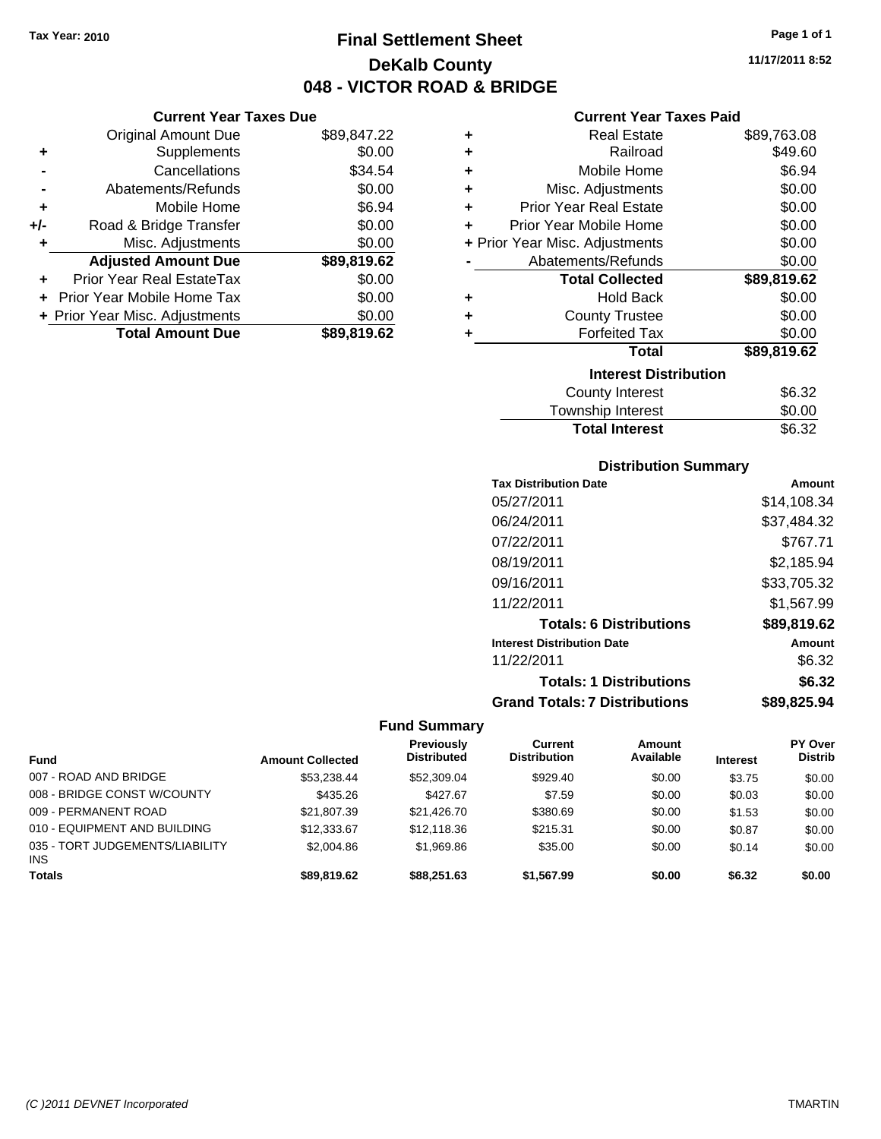**Current Year Taxes Due** Original Amount Due \$89,847.22

**Adjusted Amount Due \$89,819.62**

**Total Amount Due \$89,819.62**

**+** Supplements \$0.00 **-** Cancellations \$34.54 **-** Abatements/Refunds \$0.00 **+** Mobile Home \$6.94 **+/-** Road & Bridge Transfer \$0.00 **+** Misc. Adjustments \$0.00

**+** Prior Year Real EstateTax \$0.00 **+** Prior Year Mobile Home Tax \$0.00 **+ Prior Year Misc. Adjustments**  $$0.00$ 

# **Final Settlement Sheet Tax Year: 2010 Page 1 of 1 DeKalb County 048 - VICTOR ROAD & BRIDGE**

**11/17/2011 8:52**

#### **Current Year Taxes Paid**

| ٠ | <b>Real Estate</b>             | \$89,763.08 |
|---|--------------------------------|-------------|
| ٠ | Railroad                       | \$49.60     |
| ÷ | Mobile Home                    | \$6.94      |
| ÷ | Misc. Adjustments              | \$0.00      |
| ÷ | <b>Prior Year Real Estate</b>  | \$0.00      |
| ÷ | Prior Year Mobile Home         | \$0.00      |
|   | + Prior Year Misc. Adjustments | \$0.00      |
|   | Abatements/Refunds             | \$0.00      |
|   | <b>Total Collected</b>         | \$89,819.62 |
| ٠ | <b>Hold Back</b>               | \$0.00      |
| ÷ | <b>County Trustee</b>          | \$0.00      |
| ٠ | <b>Forfeited Tax</b>           | \$0.00      |
|   | <b>Total</b>                   | \$89,819.62 |
|   | <b>Interest Distribution</b>   |             |
|   | <b>County Interest</b>         | \$6.32      |
|   | <b>Township Interest</b>       | \$0.00      |

# **Distribution Summary**

Total Interest \$6.32

| <b>Tax Distribution Date</b>         | Amount      |
|--------------------------------------|-------------|
| 05/27/2011                           | \$14.108.34 |
| 06/24/2011                           | \$37,484.32 |
| 07/22/2011                           | \$767.71    |
| 08/19/2011                           | \$2,185.94  |
| 09/16/2011                           | \$33,705.32 |
| 11/22/2011                           | \$1,567.99  |
| <b>Totals: 6 Distributions</b>       | \$89,819.62 |
| <b>Interest Distribution Date</b>    | Amount      |
| 11/22/2011                           | \$6.32      |
| <b>Totals: 1 Distributions</b>       | \$6.32      |
| <b>Grand Totals: 7 Distributions</b> | \$89,825,94 |

|                                               |                         | Previously         | Current             | <b>Amount</b> |                 | PY Over        |
|-----------------------------------------------|-------------------------|--------------------|---------------------|---------------|-----------------|----------------|
| <b>Fund</b>                                   | <b>Amount Collected</b> | <b>Distributed</b> | <b>Distribution</b> | Available     | <b>Interest</b> | <b>Distrib</b> |
| 007 - ROAD AND BRIDGE                         | \$53.238.44             | \$52,309.04        | \$929.40            | \$0.00        | \$3.75          | \$0.00         |
| 008 - BRIDGE CONST W/COUNTY                   | \$435.26                | \$427.67           | \$7.59              | \$0.00        | \$0.03          | \$0.00         |
| 009 - PERMANENT ROAD                          | \$21,807.39             | \$21,426,70        | \$380.69            | \$0.00        | \$1.53          | \$0.00         |
| 010 - EQUIPMENT AND BUILDING                  | \$12,333.67             | \$12,118,36        | \$215.31            | \$0.00        | \$0.87          | \$0.00         |
| 035 - TORT JUDGEMENTS/LIABILITY<br><b>INS</b> | \$2,004.86              | \$1,969.86         | \$35.00             | \$0.00        | \$0.14          | \$0.00         |
| <b>Totals</b>                                 | \$89,819.62             | \$88,251,63        | \$1,567.99          | \$0.00        | \$6.32          | \$0.00         |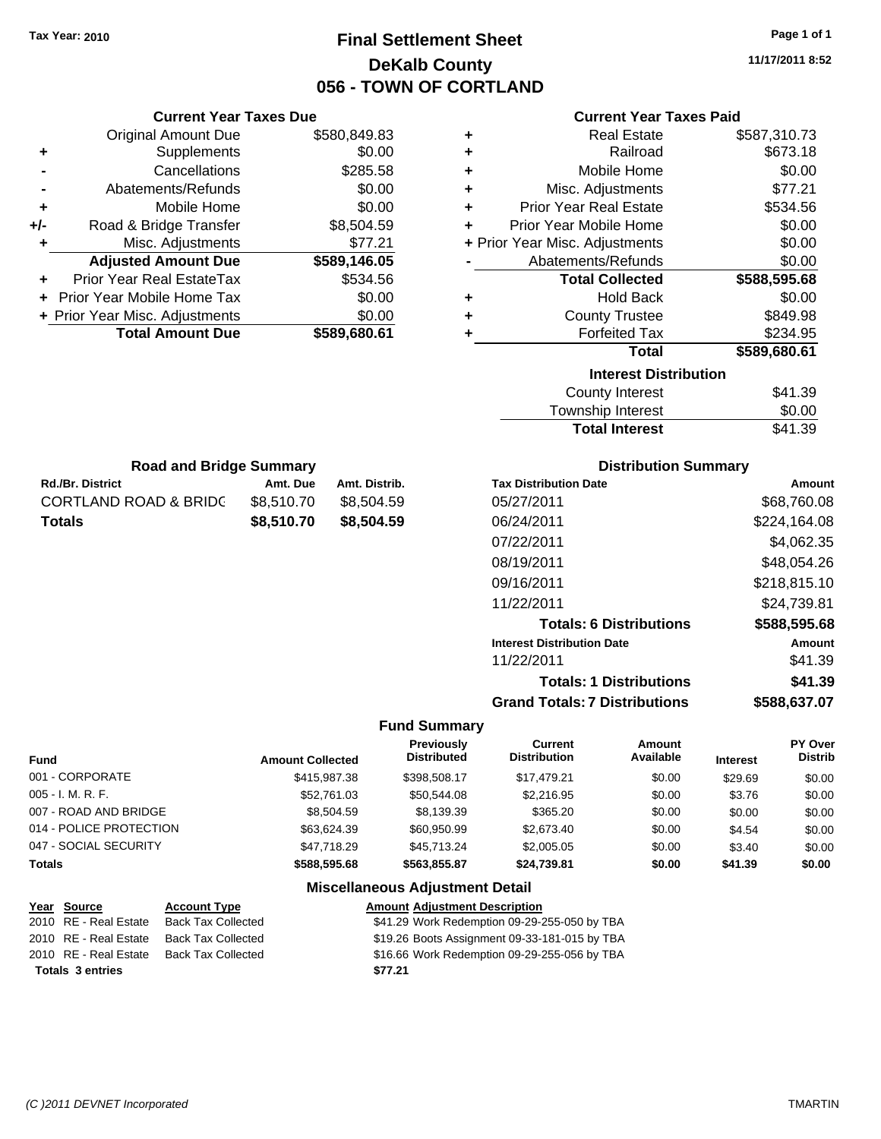# **Final Settlement Sheet Tax Year: 2010 Page 1 of 1 DeKalb County 056 - TOWN OF CORTLAND**

**11/17/2011 8:52**

## **Current Year Taxes Paid**

| ٠ | <b>Real Estate</b>             | \$587,310.73 |
|---|--------------------------------|--------------|
| ٠ | Railroad                       | \$673.18     |
| ÷ | Mobile Home                    | \$0.00       |
| ÷ | Misc. Adjustments              | \$77.21      |
| ÷ | <b>Prior Year Real Estate</b>  | \$534.56     |
| ٠ | Prior Year Mobile Home         | \$0.00       |
|   | + Prior Year Misc. Adjustments | \$0.00       |
|   | Abatements/Refunds             | \$0.00       |
|   | <b>Total Collected</b>         | \$588,595.68 |
| ٠ | <b>Hold Back</b>               | \$0.00       |
| ٠ | <b>County Trustee</b>          | \$849.98     |
| ٠ | <b>Forfeited Tax</b>           | \$234.95     |
|   | <b>Total</b>                   | \$589,680.61 |
|   | <b>Interest Distribution</b>   |              |
|   | <b>County Interest</b>         | \$41.39      |
|   | Township Interact              | ድስ ሰስ        |

| County Interest       | \$41.39 |
|-----------------------|---------|
| Township Interest     | \$0.00  |
| <b>Total Interest</b> | \$41.39 |

| <b>Road and Bridge Summary</b> |            |               |  |  |  |
|--------------------------------|------------|---------------|--|--|--|
| <b>Rd./Br. District</b>        | Amt. Due   | Amt. Distrib. |  |  |  |
| CORTLAND ROAD & BRIDC          | \$8,510.70 | \$8.504.59    |  |  |  |
| Totals                         | \$8,510,70 | \$8,504.59    |  |  |  |

**Current Year Taxes Due** Original Amount Due \$580,849.83

**Adjusted Amount Due \$589,146.05**

**Total Amount Due \$589,680.61**

**+** Supplements \$0.00 **-** Cancellations \$285.58 **-** Abatements/Refunds \$0.00 **+** Mobile Home \$0.00 **+/-** Road & Bridge Transfer \$8,504.59 **+** Misc. Adjustments \$77.21

**+** Prior Year Real EstateTax \$534.56 **+** Prior Year Mobile Home Tax \$0.00 **+ Prior Year Misc. Adjustments**  $$0.00$ 

## **Distribution Summary**

| <b>Tax Distribution Date</b>         | Amount       |
|--------------------------------------|--------------|
| 05/27/2011                           | \$68,760.08  |
| 06/24/2011                           | \$224,164.08 |
| 07/22/2011                           | \$4,062.35   |
| 08/19/2011                           | \$48,054.26  |
| 09/16/2011                           | \$218,815.10 |
| 11/22/2011                           | \$24,739.81  |
| <b>Totals: 6 Distributions</b>       | \$588,595.68 |
| <b>Interest Distribution Date</b>    | Amount       |
| 11/22/2011                           | \$41.39      |
| <b>Totals: 1 Distributions</b>       | \$41.39      |
| <b>Grand Totals: 7 Distributions</b> | \$588,637.07 |

#### **Fund Summary**

| <b>Fund</b>             | <b>Amount Collected</b> | <b>Previously</b><br>Distributed | Current<br><b>Distribution</b> | Amount<br>Available | <b>Interest</b> | PY Over<br><b>Distrib</b> |
|-------------------------|-------------------------|----------------------------------|--------------------------------|---------------------|-----------------|---------------------------|
| 001 - CORPORATE         | \$415,987.38            | \$398,508.17                     | \$17.479.21                    | \$0.00              | \$29.69         | \$0.00                    |
| $005 - I. M. R. F.$     | \$52,761.03             | \$50,544.08                      | \$2,216.95                     | \$0.00              | \$3.76          | \$0.00                    |
| 007 - ROAD AND BRIDGE   | \$8.504.59              | \$8,139.39                       | \$365.20                       | \$0.00              | \$0.00          | \$0.00                    |
| 014 - POLICE PROTECTION | \$63.624.39             | \$60.950.99                      | \$2,673.40                     | \$0.00              | \$4.54          | \$0.00                    |
| 047 - SOCIAL SECURITY   | \$47.718.29             | \$45.713.24                      | \$2,005.05                     | \$0.00              | \$3.40          | \$0.00                    |
| <b>Totals</b>           | \$588,595.68            | \$563,855,87                     | \$24,739.81                    | \$0.00              | \$41.39         | \$0.00                    |

| Year Source             | <b>Account Type</b>       | <b>Amount Adjustment Description</b>          |
|-------------------------|---------------------------|-----------------------------------------------|
| 2010 RE - Real Estate   | <b>Back Tax Collected</b> | \$41.29 Work Redemption 09-29-255-050 by TBA  |
| 2010 RE - Real Estate   | Back Tax Collected        | \$19.26 Boots Assignment 09-33-181-015 by TBA |
| 2010 RE - Real Estate   | <b>Back Tax Collected</b> | \$16.66 Work Redemption 09-29-255-056 by TBA  |
| <b>Totals 3 entries</b> |                           | \$77.21                                       |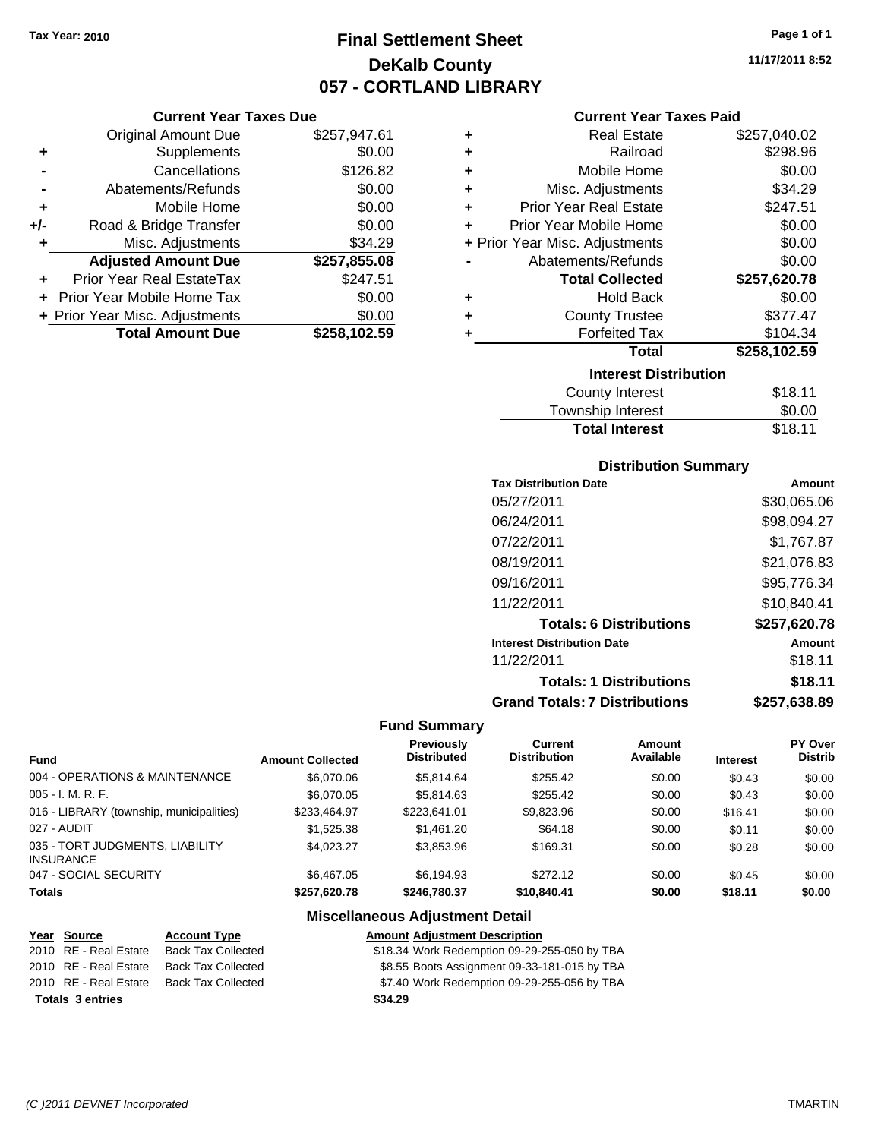# **Final Settlement Sheet Tax Year: 2010 Page 1 of 1 DeKalb County 057 - CORTLAND LIBRARY**

**11/17/2011 8:52**

#### **Current Year Taxes Due**

|       | <b>Original Amount Due</b>     | \$257,947.61 |
|-------|--------------------------------|--------------|
| ٠     | Supplements                    | \$0.00       |
|       | Cancellations                  | \$126.82     |
|       | Abatements/Refunds             | \$0.00       |
| ÷     | Mobile Home                    | \$0.00       |
| $+/-$ | Road & Bridge Transfer         | \$0.00       |
| ٠     | Misc. Adjustments              | \$34.29      |
|       | <b>Adjusted Amount Due</b>     | \$257,855.08 |
|       | Prior Year Real EstateTax      | \$247.51     |
|       | Prior Year Mobile Home Tax     | \$0.00       |
|       | + Prior Year Misc. Adjustments | \$0.00       |
|       | <b>Total Amount Due</b>        | \$258,102.59 |

## **Current Year Taxes Paid**

| ٠ | <b>Real Estate</b>             | \$257,040.02 |
|---|--------------------------------|--------------|
| ٠ | Railroad                       | \$298.96     |
| ٠ | Mobile Home                    | \$0.00       |
| ٠ | Misc. Adjustments              | \$34.29      |
| ÷ | <b>Prior Year Real Estate</b>  | \$247.51     |
| ٠ | Prior Year Mobile Home         | \$0.00       |
|   | + Prior Year Misc. Adjustments | \$0.00       |
|   | Abatements/Refunds             | \$0.00       |
|   | <b>Total Collected</b>         | \$257,620.78 |
|   |                                |              |
| ٠ | <b>Hold Back</b>               | \$0.00       |
| ٠ | <b>County Trustee</b>          | \$377.47     |
| ٠ | <b>Forfeited Tax</b>           | \$104.34     |
|   | Total                          | \$258,102.59 |
|   | <b>Interest Distribution</b>   |              |
|   | County Interest                | \$18.11      |

| .<br>Township Interest | \$0.00  |
|------------------------|---------|
| <b>Total Interest</b>  | \$18.11 |

## **Distribution Summary**

| <b>Tax Distribution Date</b>         | Amount       |
|--------------------------------------|--------------|
| 05/27/2011                           | \$30,065.06  |
| 06/24/2011                           | \$98,094.27  |
| 07/22/2011                           | \$1,767.87   |
| 08/19/2011                           | \$21,076.83  |
| 09/16/2011                           | \$95,776.34  |
| 11/22/2011                           | \$10,840.41  |
| <b>Totals: 6 Distributions</b>       | \$257,620.78 |
| <b>Interest Distribution Date</b>    | Amount       |
| 11/22/2011                           | \$18.11      |
| <b>Totals: 1 Distributions</b>       | \$18.11      |
| <b>Grand Totals: 7 Distributions</b> | \$257,638.89 |

#### **Fund Summary**

|                                                     |                         | <b>Previously</b>  | Current             | Amount    |                 | PY Over        |
|-----------------------------------------------------|-------------------------|--------------------|---------------------|-----------|-----------------|----------------|
| <b>Fund</b>                                         | <b>Amount Collected</b> | <b>Distributed</b> | <b>Distribution</b> | Available | <b>Interest</b> | <b>Distrib</b> |
| 004 - OPERATIONS & MAINTENANCE                      | \$6,070.06              | \$5.814.64         | \$255.42            | \$0.00    | \$0.43          | \$0.00         |
| $005 - I. M. R. F.$                                 | \$6,070.05              | \$5.814.63         | \$255.42            | \$0.00    | \$0.43          | \$0.00         |
| 016 - LIBRARY (township, municipalities)            | \$233.464.97            | \$223.641.01       | \$9,823.96          | \$0.00    | \$16.41         | \$0.00         |
| 027 - AUDIT                                         | \$1,525.38              | \$1.461.20         | \$64.18             | \$0.00    | \$0.11          | \$0.00         |
| 035 - TORT JUDGMENTS, LIABILITY<br><b>INSURANCE</b> | \$4.023.27              | \$3.853.96         | \$169.31            | \$0.00    | \$0.28          | \$0.00         |
| 047 - SOCIAL SECURITY                               | \$6,467.05              | \$6.194.93         | \$272.12            | \$0.00    | \$0.45          | \$0.00         |
| <b>Totals</b>                                       | \$257.620.78            | \$246,780.37       | \$10,840,41         | \$0.00    | \$18.11         | \$0.00         |

| Year Source             | <b>Account Type</b>       | <b>Amount Adjustment Description</b>         |
|-------------------------|---------------------------|----------------------------------------------|
| 2010 RE - Real Estate   | <b>Back Tax Collected</b> | \$18.34 Work Redemption 09-29-255-050 by TBA |
| 2010 RE - Real Estate   | <b>Back Tax Collected</b> | \$8.55 Boots Assignment 09-33-181-015 by TBA |
| 2010 RE - Real Estate   | Back Tax Collected        | \$7.40 Work Redemption 09-29-255-056 by TBA  |
| <b>Totals 3 entries</b> |                           | \$34.29                                      |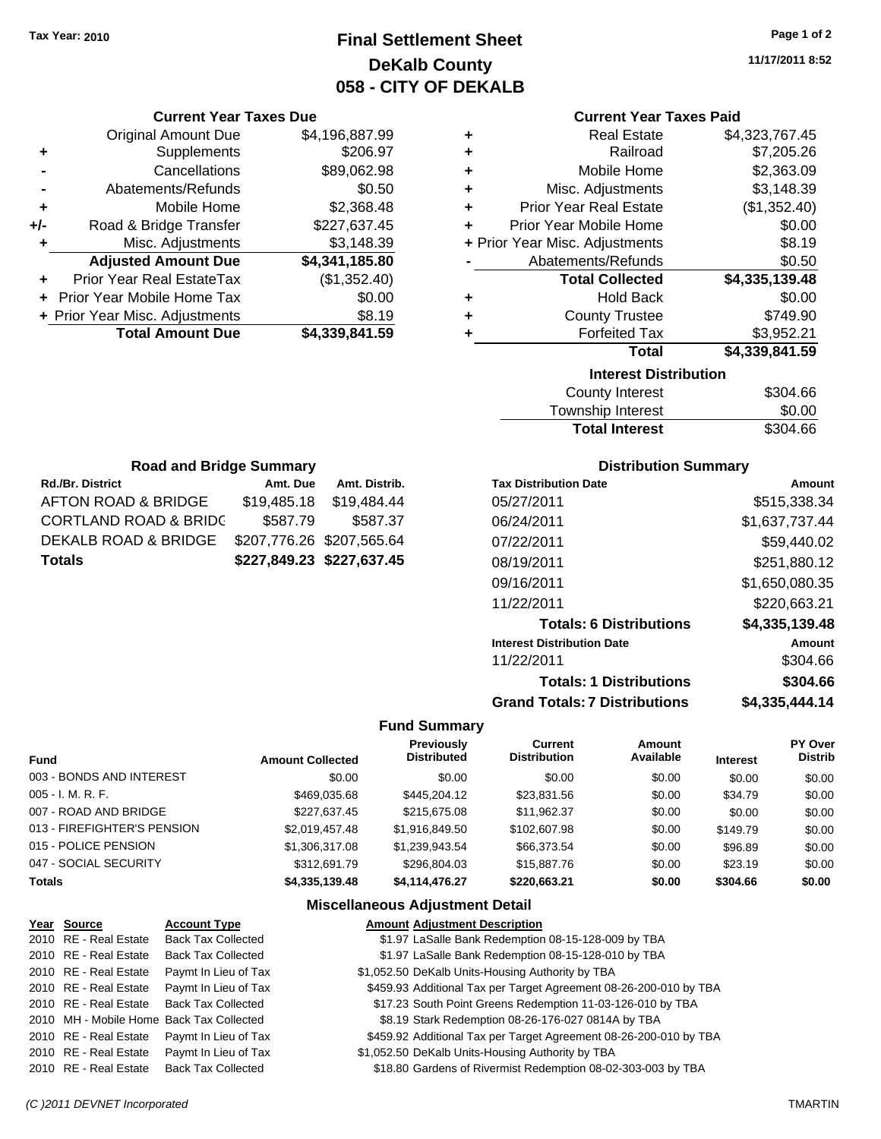# **Final Settlement Sheet Tax Year: 2010 Page 1 of 2 DeKalb County 058 - CITY OF DEKALB**

**11/17/2011 8:52**

#### **Current Year Taxes Paid**

| ٠ | <b>Real Estate</b>             | \$4,323,767.45 |
|---|--------------------------------|----------------|
| ٠ | Railroad                       | \$7,205.26     |
| ٠ | Mobile Home                    | \$2,363.09     |
| ÷ | Misc. Adjustments              | \$3,148.39     |
| ÷ | <b>Prior Year Real Estate</b>  | (\$1,352.40)   |
| ÷ | Prior Year Mobile Home         | \$0.00         |
|   | + Prior Year Misc. Adjustments | \$8.19         |
|   | Abatements/Refunds             | \$0.50         |
|   | <b>Total Collected</b>         | \$4,335,139.48 |
| ٠ | <b>Hold Back</b>               | \$0.00         |
| ٠ | <b>County Trustee</b>          | \$749.90       |
| ٠ | <b>Forfeited Tax</b>           | \$3,952.21     |
|   | Total                          | \$4,339,841.59 |
|   | <b>Interest Distribution</b>   |                |
|   | County Interact                | ድ201 ፎፎ        |

| County Interest       | \$304.66 |
|-----------------------|----------|
| Township Interest     | \$0.00   |
| <b>Total Interest</b> | \$304.66 |

| <b>Road and Bridge Summary</b>   |                           |                           |  |
|----------------------------------|---------------------------|---------------------------|--|
| <b>Rd./Br. District</b>          | Amt. Due                  | Amt. Distrib.             |  |
| AFTON ROAD & BRIDGE              | \$19,485.18               | \$19,484.44               |  |
| <b>CORTLAND ROAD &amp; BRIDC</b> | \$587.79                  | \$587.37                  |  |
| DEKALB ROAD & BRIDGE             | \$207,776.26 \$207,565.64 |                           |  |
| <b>Totals</b>                    |                           | \$227,849.23 \$227,637.45 |  |

**Current Year Taxes Due** Original Amount Due \$4,196,887.99

**Adjusted Amount Due \$4,341,185.80**

**Total Amount Due \$4,339,841.59**

**+** Supplements \$206.97 **-** Cancellations \$89,062.98 **-** Abatements/Refunds \$0.50 **+** Mobile Home \$2,368.48 **+/-** Road & Bridge Transfer \$227,637.45 **+** Misc. Adjustments \$3,148.39

**+** Prior Year Real EstateTax (\$1,352.40) **+** Prior Year Mobile Home Tax \$0.00 **+** Prior Year Misc. Adjustments \$8.19

#### **Distribution Summary**

| <b>Tax Distribution Date</b>         | Amount         |
|--------------------------------------|----------------|
| 05/27/2011                           | \$515,338.34   |
| 06/24/2011                           | \$1,637,737.44 |
| 07/22/2011                           | \$59,440.02    |
| 08/19/2011                           | \$251,880.12   |
| 09/16/2011                           | \$1,650,080.35 |
| 11/22/2011                           | \$220,663.21   |
| <b>Totals: 6 Distributions</b>       | \$4,335,139.48 |
| <b>Interest Distribution Date</b>    | Amount         |
| 11/22/2011                           | \$304.66       |
| <b>Totals: 1 Distributions</b>       | \$304.66       |
| <b>Grand Totals: 7 Distributions</b> | \$4.335.444.14 |

#### **Fund Summary**

|                             |                         | <b>Previously</b>  | Current             | Amount    |                 | PY Over        |
|-----------------------------|-------------------------|--------------------|---------------------|-----------|-----------------|----------------|
| <b>Fund</b>                 | <b>Amount Collected</b> | <b>Distributed</b> | <b>Distribution</b> | Available | <b>Interest</b> | <b>Distrib</b> |
| 003 - BONDS AND INTEREST    | \$0.00                  | \$0.00             | \$0.00              | \$0.00    | \$0.00          | \$0.00         |
| $005 - I. M. R. F.$         | \$469.035.68            | \$445,204.12       | \$23.831.56         | \$0.00    | \$34.79         | \$0.00         |
| 007 - ROAD AND BRIDGE       | \$227.637.45            | \$215,675,08       | \$11,962.37         | \$0.00    | \$0.00          | \$0.00         |
| 013 - FIREFIGHTER'S PENSION | \$2,019,457.48          | \$1.916.849.50     | \$102,607.98        | \$0.00    | \$149.79        | \$0.00         |
| 015 - POLICE PENSION        | \$1,306,317.08          | \$1,239,943.54     | \$66,373.54         | \$0.00    | \$96.89         | \$0.00         |
| 047 - SOCIAL SECURITY       | \$312,691.79            | \$296,804.03       | \$15,887,76         | \$0.00    | \$23.19         | \$0.00         |
| <b>Totals</b>               | \$4,335,139,48          | \$4.114.476.27     | \$220,663.21        | \$0.00    | \$304.66        | \$0.00         |

#### **Miscellaneous Adjustment Detail**

# **Year Source Account Type Amount Adjustment Description**

2010 RE - Real Estate Back Tax Collected \$1.97 LaSalle Bank Redemption 08-15-128-009 by TBA

- 2010 RE Real Estate Back Tax Collected \$1.97 LaSalle Bank Redemption 08-15-128-010 by TBA
- 2010 RE Real Estate Paymt In Lieu of Tax \$1,052.50 DeKalb Units-Housing Authority by TBA
- 2010 RE Real Estate Paymt In Lieu of Tax **Access 1459.93** Additional Tax per Target Agreement 08-26-200-010 by TBA
- 2010 RE Real Estate Back Tax Collected \$17.23 South Point Greens Redemption 11-03-126-010 by TBA
- 2010 MH Mobile Home Back Tax Collected \$8.19 Stark Redemption 08-26-176-027 0814A by TBA
- 2010 RE Real Estate Paymt In Lieu of Tax **Access 1459.92 Additional Tax per Target Agreement 08-26-200-010 by TBA**
- 2010 RE Real Estate Paymt In Lieu of Tax \$1,052.50 DeKalb Units-Housing Authority by TBA
- 2010 RE Real Estate Back Tax Collected \$18.80 Gardens of Rivermist Redemption 08-02-303-003 by TBA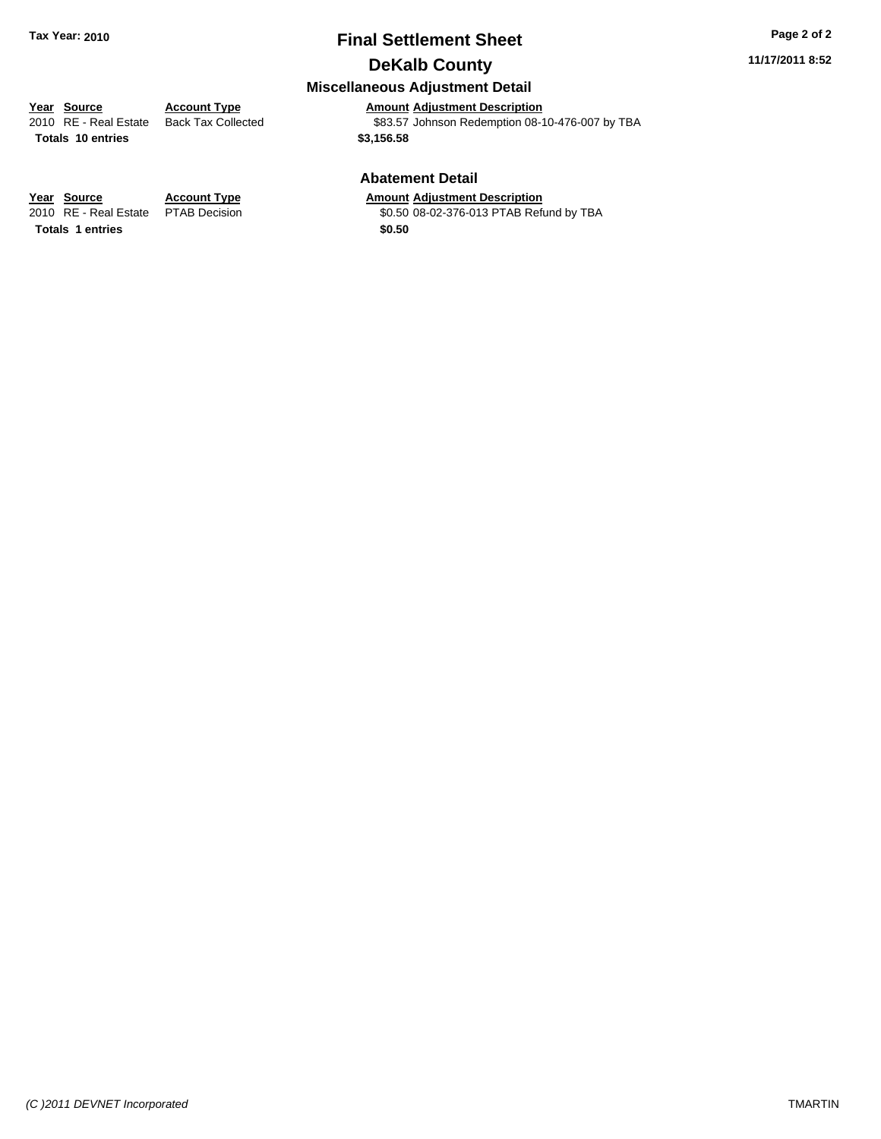# **Final Settlement Sheet Tax Year: 2010 Page 2 of 2 DeKalb County**

#### **11/17/2011 8:52**

# **Miscellaneous Adjustment Detail**

**Year Source Account Type Amount Adjustment Description**<br>
2010 RE - Real Estate Back Tax Collected **Account 1883.57** Johnson Redemption 08-1

**Totals \$3,156.58 10 entries**

\$83.57 Johnson Redemption 08-10-476-007 by TBA

#### **Abatement Detail**

\$0.50 08-02-376-013 PTAB Refund by TBA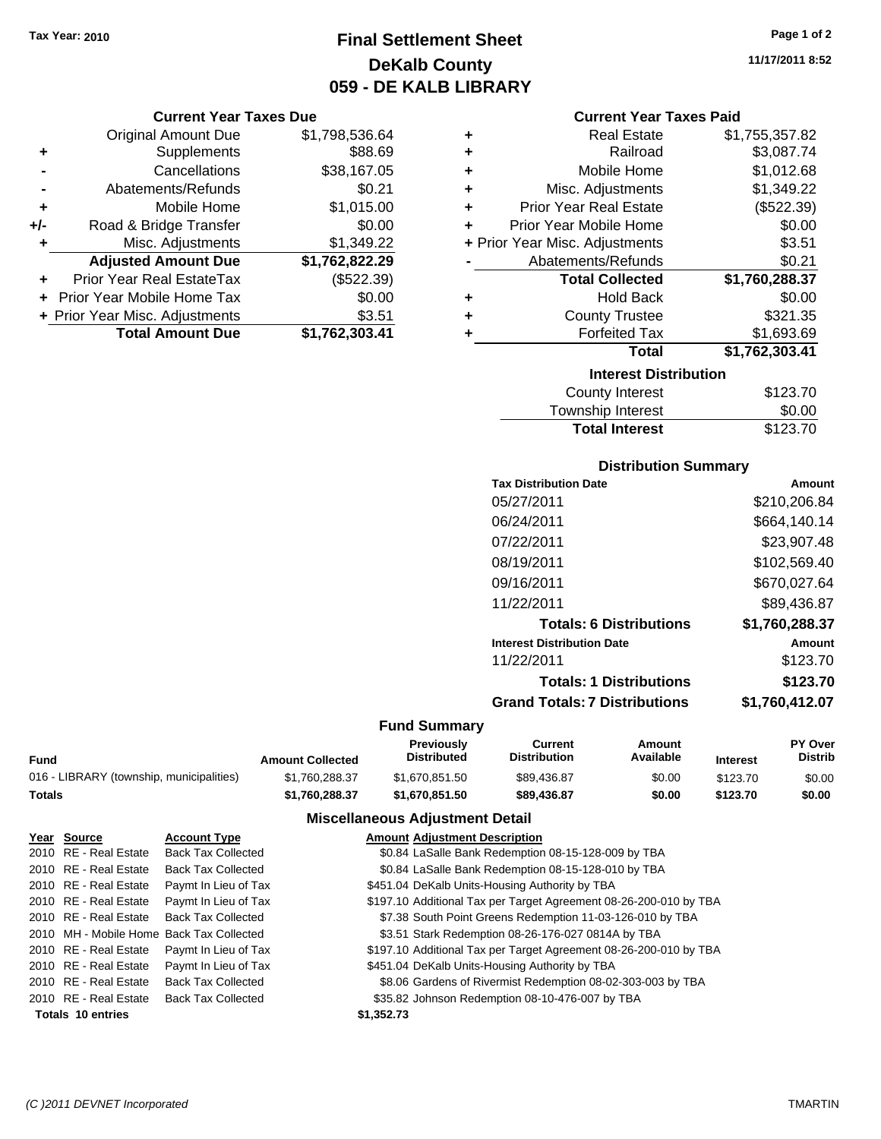# **Final Settlement Sheet Tax Year: 2010 Page 1 of 2 DeKalb County 059 - DE KALB LIBRARY**

#### **Current Year Taxes Due**

|       | <b>Original Amount Due</b>        | \$1,798,536.64 |
|-------|-----------------------------------|----------------|
| ٠     | Supplements                       | \$88.69        |
|       | Cancellations                     | \$38,167.05    |
|       | Abatements/Refunds                | \$0.21         |
| ÷     | Mobile Home                       | \$1,015.00     |
| $+/-$ | Road & Bridge Transfer            | \$0.00         |
| ٠     | Misc. Adjustments                 | \$1,349.22     |
|       | <b>Adjusted Amount Due</b>        | \$1,762,822.29 |
|       | Prior Year Real EstateTax         | (\$522.39)     |
|       | <b>Prior Year Mobile Home Tax</b> | \$0.00         |
|       | + Prior Year Misc. Adjustments    | \$3.51         |
|       | <b>Total Amount Due</b>           | \$1,762,303.41 |

| ٠ | <b>Real Estate</b>             | \$1,755,357.82 |
|---|--------------------------------|----------------|
| ٠ | Railroad                       | \$3,087.74     |
| ٠ | Mobile Home                    | \$1,012.68     |
| ÷ | Misc. Adjustments              | \$1,349.22     |
| ÷ | <b>Prior Year Real Estate</b>  | (\$522.39)     |
| ٠ | Prior Year Mobile Home         | \$0.00         |
|   | + Prior Year Misc. Adjustments | \$3.51         |
|   | Abatements/Refunds             | \$0.21         |
|   | <b>Total Collected</b>         | \$1,760,288.37 |
| ٠ | <b>Hold Back</b>               | \$0.00         |
| ٠ | <b>County Trustee</b>          | \$321.35       |
| ٠ | <b>Forfeited Tax</b>           | \$1,693.69     |
|   | <b>Total</b>                   | \$1,762,303.41 |
|   | <b>Interest Distribution</b>   |                |
|   | <b>County Interest</b>         | \$123.70       |
|   |                                | mm nn          |

#### Township Interest \$0.00<br>
Total Interest \$123.70 **Total Interest**

| <b>Distribution Summary</b>          |                |
|--------------------------------------|----------------|
| <b>Tax Distribution Date</b>         | Amount         |
| 05/27/2011                           | \$210,206.84   |
| 06/24/2011                           | \$664,140.14   |
| 07/22/2011                           | \$23,907.48    |
| 08/19/2011                           | \$102,569.40   |
| 09/16/2011                           | \$670,027.64   |
| 11/22/2011                           | \$89,436.87    |
| <b>Totals: 6 Distributions</b>       | \$1,760,288.37 |
| <b>Interest Distribution Date</b>    | Amount         |
| 11/22/2011                           | \$123.70       |
| <b>Totals: 1 Distributions</b>       | \$123.70       |
| <b>Grand Totals: 7 Distributions</b> | \$1,760,412.07 |

#### **Fund Summary**

|                                          |                         | <b>Previously</b>  | Current             | Amount    |                 | <b>PY Over</b> |
|------------------------------------------|-------------------------|--------------------|---------------------|-----------|-----------------|----------------|
| Fund                                     | <b>Amount Collected</b> | <b>Distributed</b> | <b>Distribution</b> | Available | <b>Interest</b> | <b>Distrib</b> |
| 016 - LIBRARY (township, municipalities) | \$1.760.288.37          | \$1.670.851.50     | \$89,436.87         | \$0.00    | \$123.70        | \$0.00         |
| Totals                                   | \$1.760.288.37          | \$1.670.851.50     | \$89,436.87         | \$0.00    | \$123.70        | \$0.00         |

#### **Miscellaneous Adjustment Detail**

| Year Source              | <b>Account Type</b>                      | <b>Amount Adjustment Description</b>                              |
|--------------------------|------------------------------------------|-------------------------------------------------------------------|
| 2010 RE - Real Estate    | <b>Back Tax Collected</b>                | \$0.84 LaSalle Bank Redemption 08-15-128-009 by TBA               |
| 2010 RE - Real Estate    | <b>Back Tax Collected</b>                | \$0.84 LaSalle Bank Redemption 08-15-128-010 by TBA               |
| 2010 RE - Real Estate    | Paymt In Lieu of Tax                     | \$451.04 DeKalb Units-Housing Authority by TBA                    |
| 2010 RE - Real Estate    | Paymt In Lieu of Tax                     | \$197.10 Additional Tax per Target Agreement 08-26-200-010 by TBA |
| 2010 RE - Real Estate    | <b>Back Tax Collected</b>                | \$7.38 South Point Greens Redemption 11-03-126-010 by TBA         |
|                          | 2010 MH - Mobile Home Back Tax Collected | \$3.51 Stark Redemption 08-26-176-027 0814A by TBA                |
| 2010 RE - Real Estate    | Paymt In Lieu of Tax                     | \$197.10 Additional Tax per Target Agreement 08-26-200-010 by TBA |
| 2010 RE - Real Estate    | Paymt In Lieu of Tax                     | \$451.04 DeKalb Units-Housing Authority by TBA                    |
| 2010 RE - Real Estate    | <b>Back Tax Collected</b>                | \$8.06 Gardens of Rivermist Redemption 08-02-303-003 by TBA       |
| 2010 RE - Real Estate    | <b>Back Tax Collected</b>                | \$35.82 Johnson Redemption 08-10-476-007 by TBA                   |
| <b>Totals 10 entries</b> |                                          | \$1,352,73                                                        |

**11/17/2011 8:52**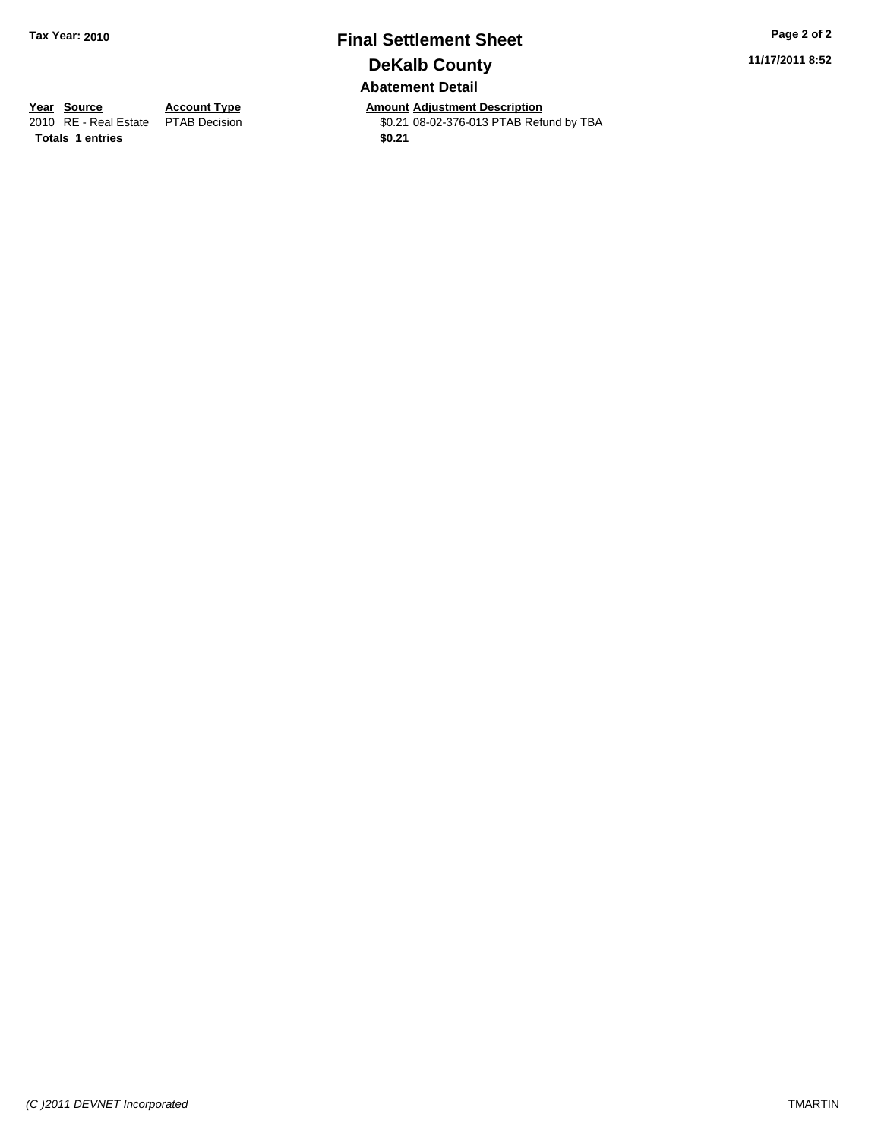# **Final Settlement Sheet Tax Year: 2010 Page 2 of 2 DeKalb County Abatement Detail**

**11/17/2011 8:52**

**Totals 1 entries** \$0.21

**Year Source Account Type Amount Adjustment Description**<br>
2010 RE - Real Estate PTAB Decision **Amount CO2-376-013 PTAB Ref** \$0.21 08-02-376-013 PTAB Refund by TBA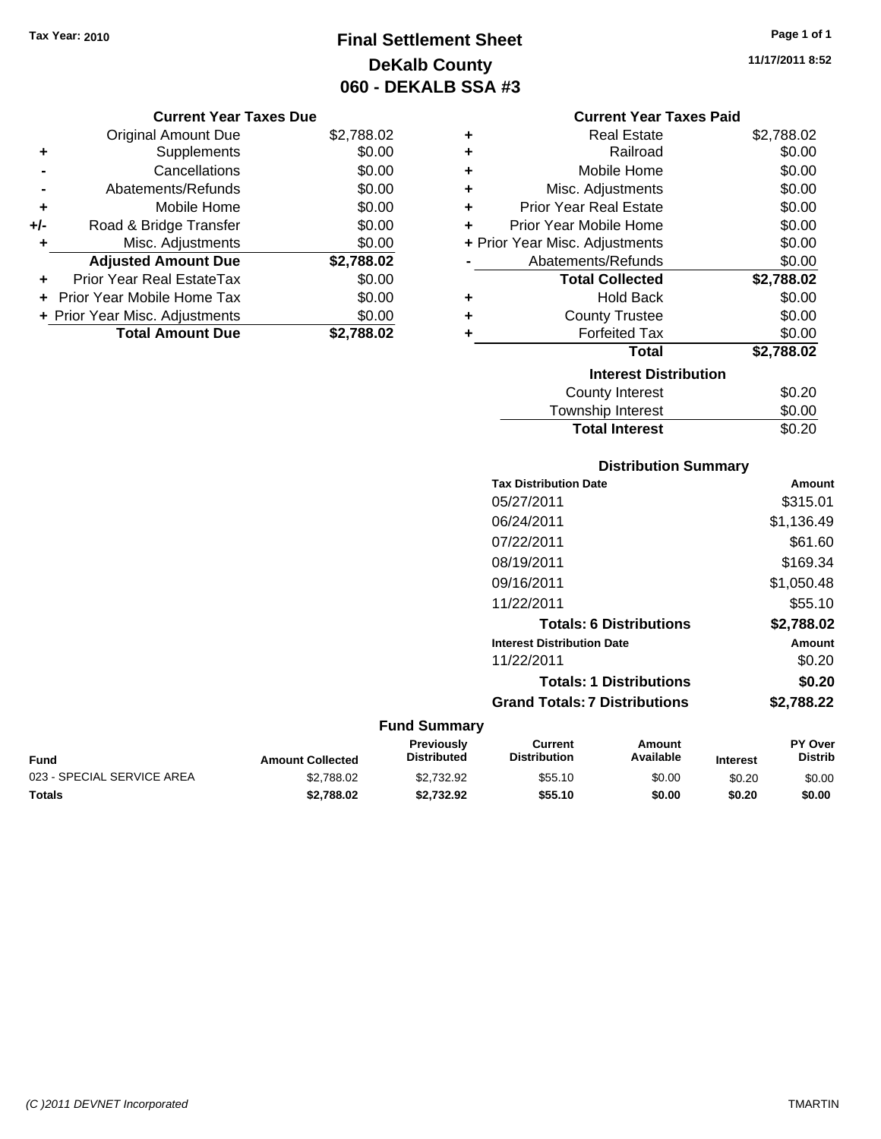# **Final Settlement Sheet Tax Year: 2010 Page 1 of 1 DeKalb County 060 - DEKALB SSA #3**

**11/17/2011 8:52**

#### **Current Year Taxes Due**

|       | <b>Original Amount Due</b>     | \$2,788.02 |
|-------|--------------------------------|------------|
| ٠     | Supplements                    | \$0.00     |
|       | Cancellations                  | \$0.00     |
|       | Abatements/Refunds             | \$0.00     |
| ÷     | Mobile Home                    | \$0.00     |
| $+/-$ | Road & Bridge Transfer         | \$0.00     |
|       | Misc. Adjustments              | \$0.00     |
|       | <b>Adjusted Amount Due</b>     | \$2,788.02 |
|       | Prior Year Real EstateTax      | \$0.00     |
|       | Prior Year Mobile Home Tax     | \$0.00     |
|       | + Prior Year Misc. Adjustments | \$0.00     |
|       | <b>Total Amount Due</b>        | \$2,788.02 |

#### **Current Year Taxes Paid**

| ٠ | <b>Real Estate</b>             | \$2,788.02 |
|---|--------------------------------|------------|
| ÷ | Railroad                       | \$0.00     |
| ٠ | Mobile Home                    | \$0.00     |
| ٠ | Misc. Adjustments              | \$0.00     |
| ÷ | <b>Prior Year Real Estate</b>  | \$0.00     |
| ÷ | Prior Year Mobile Home         | \$0.00     |
|   | + Prior Year Misc. Adjustments | \$0.00     |
|   | Abatements/Refunds             | \$0.00     |
|   |                                |            |
|   | <b>Total Collected</b>         | \$2,788.02 |
| ٠ | <b>Hold Back</b>               | \$0.00     |
| ÷ | <b>County Trustee</b>          | \$0.00     |
| ٠ | <b>Forfeited Tax</b>           | \$0.00     |
|   | Total                          | \$2,788.02 |
|   | <b>Interest Distribution</b>   |            |
|   | County Interest                | \$0.20     |

# **Distribution Summary**

Total Interest \$0.20

| Amount     |
|------------|
| \$315.01   |
| \$1,136.49 |
| \$61.60    |
| \$169.34   |
| \$1,050.48 |
| \$55.10    |
| \$2,788.02 |
| Amount     |
| \$0.20     |
| \$0.20     |
| \$2,788.22 |
|            |
|            |

#### **Fund Summary Fund Interest Amount Collected Distributed PY Over Distrib Amount Available Current Distribution Previously** 023 - SPECIAL SERVICE AREA  $$2,788.02$   $$2,732.92$   $$55.10$   $$0.00$   $$0.20$   $$0.00$ **Totals \$2,788.02 \$2,732.92 \$55.10 \$0.00 \$0.20 \$0.00**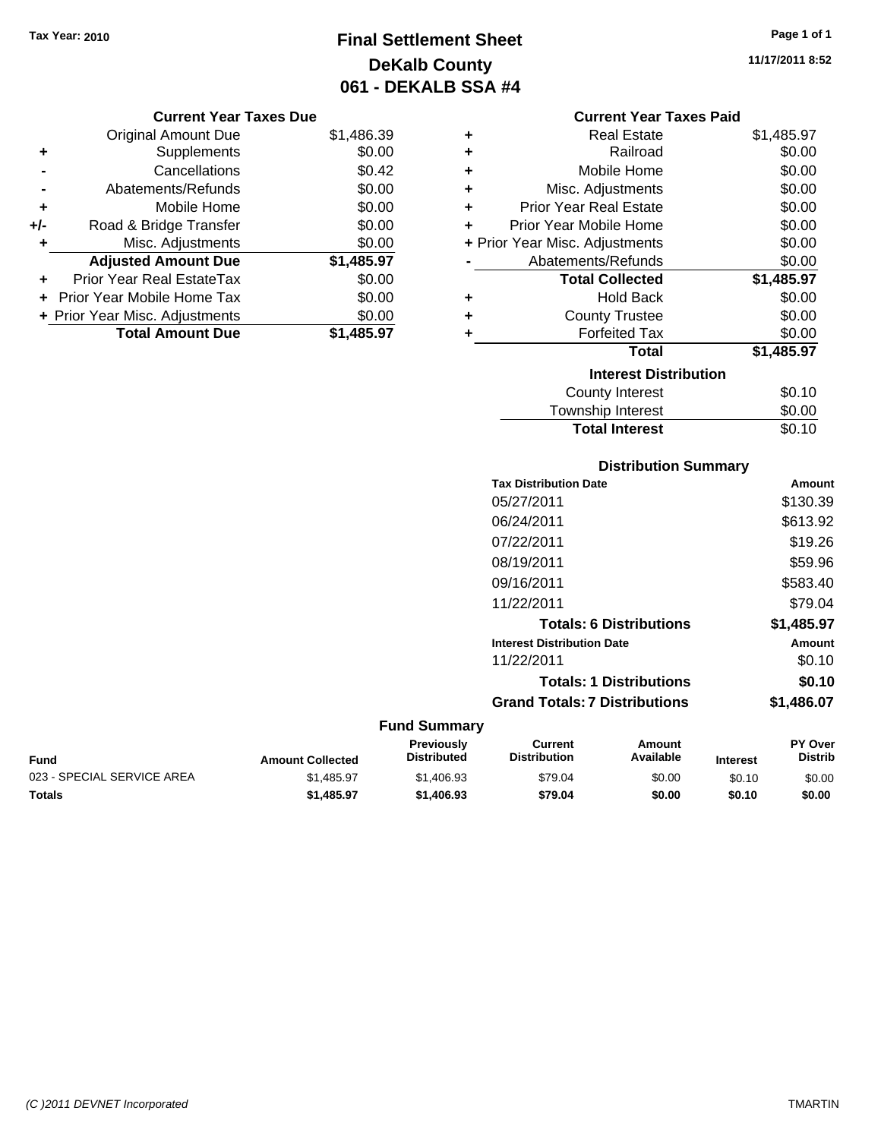# **Final Settlement Sheet Tax Year: 2010 Page 1 of 1 DeKalb County 061 - DEKALB SSA #4**

**11/17/2011 8:52**

#### **Current Year Taxes Due**

|       | <b>Original Amount Due</b>       | \$1,486.39 |
|-------|----------------------------------|------------|
| ٠     | Supplements                      | \$0.00     |
|       | Cancellations                    | \$0.42     |
|       | Abatements/Refunds               | \$0.00     |
| ÷     | Mobile Home                      | \$0.00     |
| $+/-$ | Road & Bridge Transfer           | \$0.00     |
| ٠     | Misc. Adjustments                | \$0.00     |
|       | <b>Adjusted Amount Due</b>       | \$1,485.97 |
|       | <b>Prior Year Real EstateTax</b> | \$0.00     |
|       | Prior Year Mobile Home Tax       | \$0.00     |
|       | + Prior Year Misc. Adjustments   | \$0.00     |
|       | <b>Total Amount Due</b>          | \$1,485.97 |

## **Current Year Taxes Paid**

|   | <b>Real Estate</b>             | \$1,485.97 |
|---|--------------------------------|------------|
| ÷ | Railroad                       | \$0.00     |
| ٠ | Mobile Home                    | \$0.00     |
| ٠ | Misc. Adjustments              | \$0.00     |
| ÷ | <b>Prior Year Real Estate</b>  | \$0.00     |
| ٠ | Prior Year Mobile Home         | \$0.00     |
|   | + Prior Year Misc. Adjustments | \$0.00     |
|   | Abatements/Refunds             | \$0.00     |
|   | <b>Total Collected</b>         | \$1,485.97 |
| ٠ | <b>Hold Back</b>               | \$0.00     |
| ٠ | <b>County Trustee</b>          | \$0.00     |
| ٠ | <b>Forfeited Tax</b>           | \$0.00     |
|   | <b>Total</b>                   | \$1,485.97 |
|   |                                |            |
|   | <b>Interest Distribution</b>   |            |
|   | <b>County Interest</b>         | \$0.10     |

#### Township Interest  $$0.00$ **Total Interest** \$0.10

| <b>Distribution Summary</b>          |            |
|--------------------------------------|------------|
| <b>Tax Distribution Date</b>         | Amount     |
| 05/27/2011                           | \$130.39   |
| 06/24/2011                           | \$613.92   |
| 07/22/2011                           | \$19.26    |
| 08/19/2011                           | \$59.96    |
| 09/16/2011                           | \$583.40   |
| 11/22/2011                           | \$79.04    |
| <b>Totals: 6 Distributions</b>       | \$1,485.97 |
| <b>Interest Distribution Date</b>    | Amount     |
| 11/22/2011                           | \$0.10     |
| <b>Totals: 1 Distributions</b>       | \$0.10     |
| <b>Grand Totals: 7 Distributions</b> | \$1,486.07 |

| <b>Fund</b>                | <b>Amount Collected</b> | <b>Previously</b><br><b>Distributed</b> | Current<br><b>Distribution</b> | Amount<br>Available | <b>Interest</b> | <b>PY Over</b><br>Distrib |
|----------------------------|-------------------------|-----------------------------------------|--------------------------------|---------------------|-----------------|---------------------------|
| 023 - SPECIAL SERVICE AREA | \$1,485.97              | \$1,406.93                              | \$79.04                        | \$0.00              | \$0.10          | \$0.00                    |
| <b>Totals</b>              | \$1,485.97              | \$1,406.93                              | \$79.04                        | \$0.00              | \$0.10          | \$0.00                    |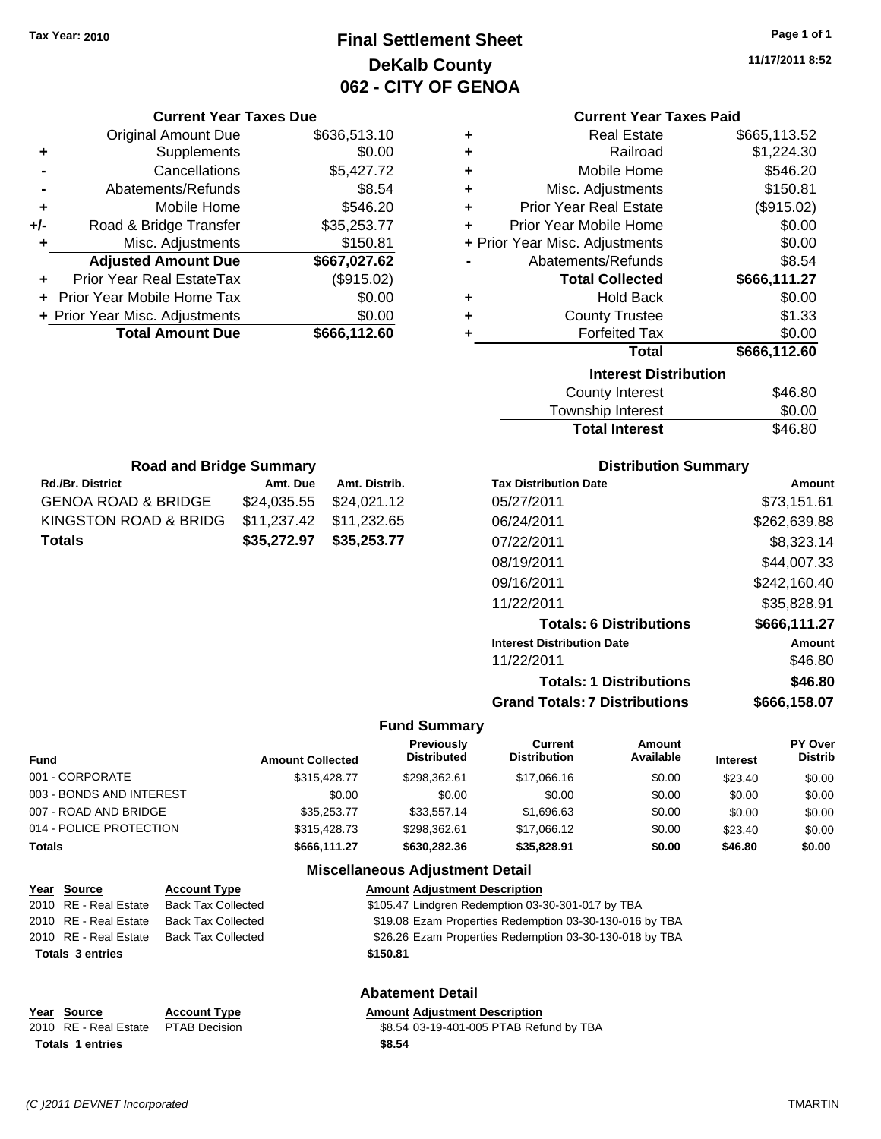# **Final Settlement Sheet Tax Year: 2010 Page 1 of 1 DeKalb County 062 - CITY OF GENOA**

**11/17/2011 8:52**

#### **Current Year Taxes Paid**

| <b>Real Estate</b><br>٠            | \$665,113.52 |
|------------------------------------|--------------|
| Railroad<br>٠                      | \$1,224.30   |
| Mobile Home<br>٠                   | \$546.20     |
| Misc. Adjustments<br>÷             | \$150.81     |
| <b>Prior Year Real Estate</b><br>٠ | (\$915.02)   |
| Prior Year Mobile Home<br>٠        | \$0.00       |
| + Prior Year Misc. Adjustments     | \$0.00       |
| Abatements/Refunds                 | \$8.54       |
| <b>Total Collected</b>             | \$666,111.27 |
| <b>Hold Back</b><br>٠              | \$0.00       |
| <b>County Trustee</b><br>÷         | \$1.33       |
| <b>Forfeited Tax</b><br>٠          | \$0.00       |
| Total                              | \$666,112.60 |
| <b>Interest Distribution</b>       |              |
| <b>County Interest</b>             | \$46.80      |
| Townehin Interest                  | ቁስ ስስ        |

| Township Interest     | \$0.00  |
|-----------------------|---------|
| <b>Total Interest</b> | \$46.80 |

| <b>Road and Bridge Summary</b> |                         |               |  |  |  |
|--------------------------------|-------------------------|---------------|--|--|--|
| Rd./Br. District               | Amt. Due                | Amt. Distrib. |  |  |  |
| GENOA ROAD & BRIDGE            | \$24,035.55 \$24,021.12 |               |  |  |  |
| KINGSTON ROAD & BRIDG          | \$11,237.42 \$11,232.65 |               |  |  |  |
| Totals                         | \$35,272.97 \$35,253.77 |               |  |  |  |

**Current Year Taxes Due** Original Amount Due \$636,513.10

**Adjusted Amount Due \$667,027.62**

**Total Amount Due \$666,112.60**

**+** Supplements \$0.00 **-** Cancellations \$5,427.72 **-** Abatements/Refunds \$8.54 **+** Mobile Home \$546.20 **+/-** Road & Bridge Transfer \$35,253.77 **+** Misc. Adjustments \$150.81

**+** Prior Year Real EstateTax (\$915.02) **+** Prior Year Mobile Home Tax \$0.00 **+ Prior Year Misc. Adjustments**  $$0.00$ 

#### **Distribution Summary**

| <b>Tax Distribution Date</b>         | Amount       |
|--------------------------------------|--------------|
| 05/27/2011                           | \$73,151.61  |
| 06/24/2011                           | \$262,639.88 |
| 07/22/2011                           | \$8,323.14   |
| 08/19/2011                           | \$44.007.33  |
| 09/16/2011                           | \$242.160.40 |
| 11/22/2011                           | \$35,828.91  |
| <b>Totals: 6 Distributions</b>       | \$666,111.27 |
| <b>Interest Distribution Date</b>    | Amount       |
| 11/22/2011                           | \$46.80      |
| <b>Totals: 1 Distributions</b>       | \$46.80      |
| <b>Grand Totals: 7 Distributions</b> | \$666.158.07 |

#### **Fund Summary**

| <b>Fund</b>              | <b>Amount Collected</b> | <b>Previously</b><br><b>Distributed</b> | Current<br><b>Distribution</b> | Amount<br>Available | <b>Interest</b> | PY Over<br><b>Distrib</b> |
|--------------------------|-------------------------|-----------------------------------------|--------------------------------|---------------------|-----------------|---------------------------|
| 001 - CORPORATE          | \$315,428.77            | \$298.362.61                            | \$17,066,16                    | \$0.00              | \$23.40         | \$0.00                    |
| 003 - BONDS AND INTEREST | \$0.00                  | \$0.00                                  | \$0.00                         | \$0.00              | \$0.00          | \$0.00                    |
| 007 - ROAD AND BRIDGE    | \$35,253,77             | \$33,557.14                             | \$1,696.63                     | \$0.00              | \$0.00          | \$0.00                    |
| 014 - POLICE PROTECTION  | \$315,428.73            | \$298.362.61                            | \$17,066.12                    | \$0.00              | \$23.40         | \$0.00                    |
| Totals                   | \$666.111.27            | \$630,282,36                            | \$35,828,91                    | \$0.00              | \$46.80         | \$0.00                    |

#### **Miscellaneous Adjustment Detail**

| Year Source             | <b>Account Type</b>       | <b>Amount Adjustment Description</b>                    |
|-------------------------|---------------------------|---------------------------------------------------------|
| 2010 RE - Real Estate   | <b>Back Tax Collected</b> | \$105.47 Lindgren Redemption 03-30-301-017 by TBA       |
| 2010 RE - Real Estate   | <b>Back Tax Collected</b> | \$19.08 Ezam Properties Redemption 03-30-130-016 by TBA |
| 2010 RE - Real Estate   | <b>Back Tax Collected</b> | \$26.26 Ezam Properties Redemption 03-30-130-018 by TBA |
| <b>Totals 3 entries</b> |                           | \$150.81                                                |
|                         |                           | Ahatement Detail                                        |

#### **Abatement Detail**

#### **Year Source Account Type Amount Adjustment Description**

2010 RE - Real Estate \$8.54 03-19-401-005 PTAB Refund by TBA PTAB Decision **Totals \$8.54 1 entries**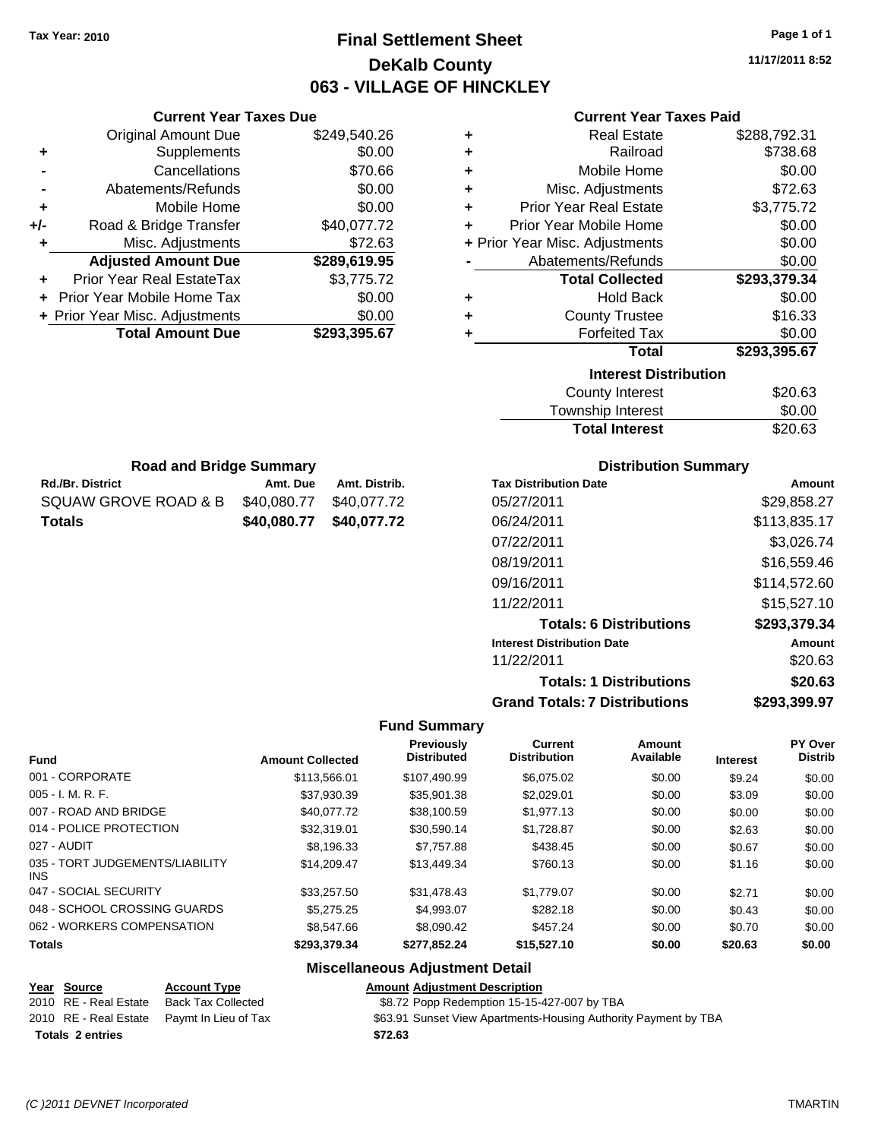# **Final Settlement Sheet Tax Year: 2010 Page 1 of 1 DeKalb County 063 - VILLAGE OF HINCKLEY**

**11/17/2011 8:52**

## **Current Year Taxes Paid**

| <b>Current Year Taxes Due</b> |              |   | <b>Current Year Taxes Paid</b>                              |              |
|-------------------------------|--------------|---|-------------------------------------------------------------|--------------|
| ıl Amount Due                 | \$249,540.26 | ÷ | <b>Real Estate</b>                                          | \$288,792.31 |
| Supplements                   | \$0.00       | ÷ | Railroad                                                    | \$738.68     |
| Cancellations                 | \$70.66      | ÷ | Mobile Home                                                 | \$0.00       |
| าents/Refunds                 | \$0.00       | ÷ | Misc. Adjustments                                           | \$72.63      |
| Mobile Home                   | \$0.00       | ÷ | <b>Prior Year Real Estate</b>                               | \$3,775.72   |
| ridge Transfer                | \$40,077.72  | ÷ | Prior Year Mobile Home                                      | \$0.00       |
| . Adjustments                 | \$72.63      |   | + Prior Year Misc. Adjustments                              | \$0.00       |
| <b>Amount Due</b>             | \$289,619.95 |   | Abatements/Refunds                                          | \$0.00       |
| eal EstateTax                 | \$3,775.72   |   | <b>Total Collected</b>                                      | \$293,379.34 |
| pile Home Tax                 | \$0.00       | ÷ | <b>Hold Back</b>                                            | \$0.00       |
| . Adjustments                 | \$0.00       | ÷ | <b>County Trustee</b>                                       | \$16.33      |
| <b>Amount Due</b>             | \$293,395.67 |   | <b>Forfeited Tax</b>                                        | \$0.00       |
|                               |              |   | Total                                                       | \$293,395.67 |
|                               |              |   | <b>Interest Distribution</b>                                |              |
|                               |              |   | $C_{\text{div}}$ $\mathbf{A}$ , $\mathbf{A}$ , $\mathbf{A}$ | മാവ മാ       |

| <b>County Interest</b> | \$20.63 |
|------------------------|---------|
| Township Interest      | \$0.00  |
| <b>Total Interest</b>  | \$20.63 |

|                  | <b>Road and Bridge Summary</b> |               |
|------------------|--------------------------------|---------------|
| Rd./Br. District | Amt. Due                       | Amt. Distrib. |

Original Amount Due

**Adjusted Amount Due** 

**Total Amount Due** 

**+** Supplements **-** Cancellations **-** Abatements/Refunds **+** Mobile Home **+/-** Road & Bridge Transfer **+** Misc. Adjustments

**+** Prior Year Real EstateTax \$3,775.72 **+** Prior Year Mobile Home Tax \$0.00 **+ Prior Year Misc. Adjustments** 

| Totals               |                         | \$40,080.77 \$40,077.72 |
|----------------------|-------------------------|-------------------------|
| SQUAW GROVE ROAD & B | \$40.080.77 \$40.077.72 |                         |
| RO./Br. DIStrict     | Amt. Due                | AMI. DISITID.           |

#### **Distribution Summary**

| <b>Tax Distribution Date</b>         | Amount       |
|--------------------------------------|--------------|
| 05/27/2011                           | \$29,858.27  |
| 06/24/2011                           | \$113,835.17 |
| 07/22/2011                           | \$3,026.74   |
| 08/19/2011                           | \$16,559.46  |
| 09/16/2011                           | \$114,572.60 |
| 11/22/2011                           | \$15,527.10  |
| <b>Totals: 6 Distributions</b>       | \$293,379.34 |
| <b>Interest Distribution Date</b>    | Amount       |
| 11/22/2011                           | \$20.63      |
| <b>Totals: 1 Distributions</b>       | \$20.63      |
| <b>Grand Totals: 7 Distributions</b> | \$293,399.97 |

#### **Fund Summary**

| <b>Fund</b>                                   | <b>Amount Collected</b> | Previously<br><b>Distributed</b> | <b>Current</b><br><b>Distribution</b> | Amount<br>Available | <b>Interest</b> | PY Over<br><b>Distrib</b> |
|-----------------------------------------------|-------------------------|----------------------------------|---------------------------------------|---------------------|-----------------|---------------------------|
| 001 - CORPORATE                               | \$113,566.01            | \$107.490.99                     | \$6.075.02                            | \$0.00              | \$9.24          | \$0.00                    |
| $005 - I. M. R. F.$                           | \$37.930.39             | \$35.901.38                      | \$2,029.01                            | \$0.00              | \$3.09          | \$0.00                    |
| 007 - ROAD AND BRIDGE                         | \$40,077.72             | \$38,100.59                      | \$1,977.13                            | \$0.00              | \$0.00          | \$0.00                    |
| 014 - POLICE PROTECTION                       | \$32,319.01             | \$30.590.14                      | \$1.728.87                            | \$0.00              | \$2.63          | \$0.00                    |
| 027 - AUDIT                                   | \$8.196.33              | \$7.757.88                       | \$438.45                              | \$0.00              | \$0.67          | \$0.00                    |
| 035 - TORT JUDGEMENTS/LIABILITY<br><b>INS</b> | \$14.209.47             | \$13,449.34                      | \$760.13                              | \$0.00              | \$1.16          | \$0.00                    |
| 047 - SOCIAL SECURITY                         | \$33,257.50             | \$31,478.43                      | \$1,779.07                            | \$0.00              | \$2.71          | \$0.00                    |
| 048 - SCHOOL CROSSING GUARDS                  | \$5,275.25              | \$4.993.07                       | \$282.18                              | \$0.00              | \$0.43          | \$0.00                    |
| 062 - WORKERS COMPENSATION                    | \$8,547.66              | \$8,090.42                       | \$457.24                              | \$0.00              | \$0.70          | \$0.00                    |
| <b>Totals</b>                                 | \$293,379,34            | \$277.852.24                     | \$15,527.10                           | \$0.00              | \$20.63         | \$0.00                    |

#### **Miscellaneous Adjustment Detail**

#### **Year Source Account Type Amount Adjustment Description** 2010 RE - Real Estate Back Tax Collected \$8.72 Popp Redemption 15-15-427-007 by TBA 2010 RE - Real Estate Paymt In Lieu of Tax \$63.91 Sunset View Apartments-Housing Authority Payment by TBA **Totals \$72.63 2 entries**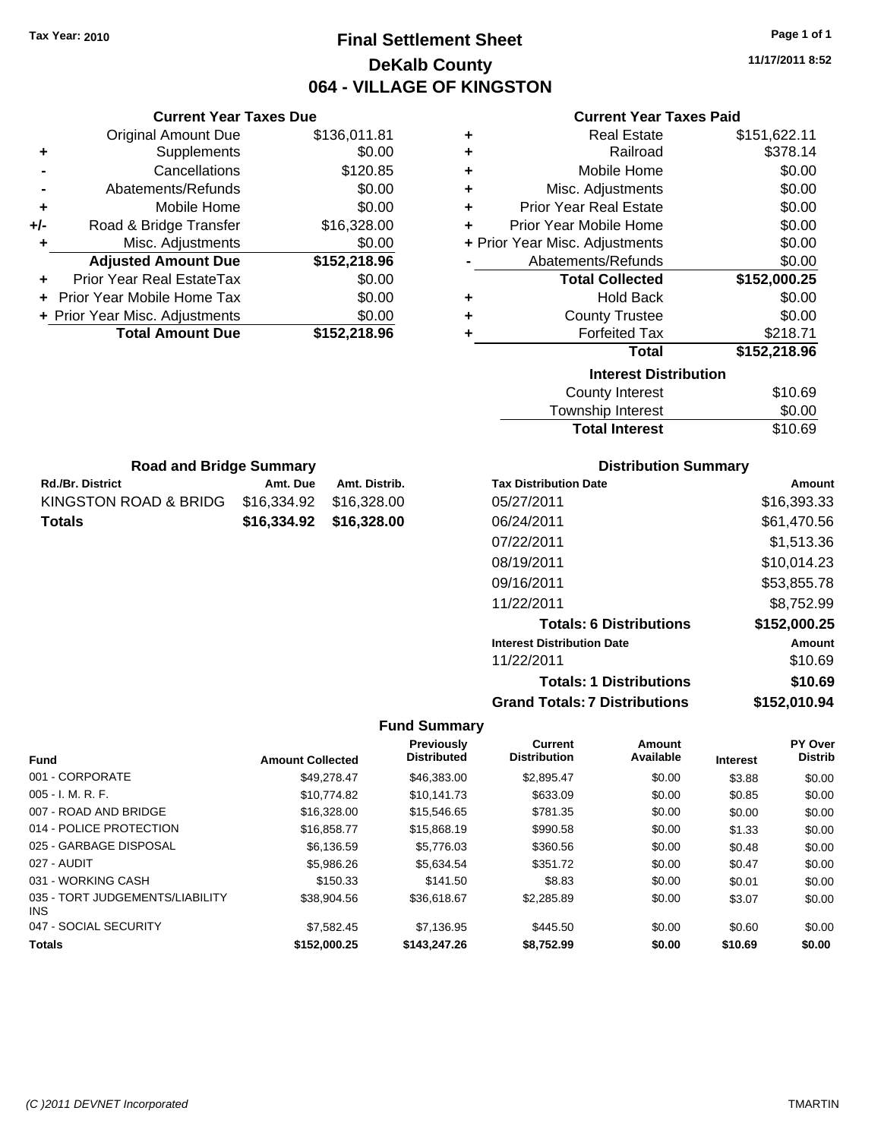**Current Year Taxes Due** Original Amount Due \$136,011.81

**Adjusted Amount Due \$152,218.96**

**Total Amount Due \$152,218.96**

**+** Supplements \$0.00 **-** Cancellations \$120.85 **-** Abatements/Refunds \$0.00 **+** Mobile Home \$0.00 **+/-** Road & Bridge Transfer \$16,328.00 **+** Misc. Adjustments \$0.00

**+** Prior Year Real EstateTax \$0.00 **+** Prior Year Mobile Home Tax \$0.00 **+ Prior Year Misc. Adjustments**  $$0.00$ 

Rd./Br. District **Amt. Due** Amt. Distrib. **Road and Bridge Summary**

KINGSTON ROAD & BRIDG \$16,334.92 \$16,328.00 **Totals \$16,334.92 \$16,328.00**

# **Final Settlement Sheet Tax Year: 2010 Page 1 of 1 DeKalb County 064 - VILLAGE OF KINGSTON**

**11/17/2011 8:52**

## **Current Year Taxes Paid**

| ٠ | <b>Real Estate</b>             | \$151,622.11 |
|---|--------------------------------|--------------|
| ٠ | Railroad                       | \$378.14     |
| ٠ | Mobile Home                    | \$0.00       |
| ٠ | Misc. Adjustments              | \$0.00       |
| ٠ | <b>Prior Year Real Estate</b>  | \$0.00       |
| ٠ | Prior Year Mobile Home         | \$0.00       |
|   | + Prior Year Misc. Adjustments | \$0.00       |
|   | Abatements/Refunds             | \$0.00       |
|   | <b>Total Collected</b>         | \$152,000.25 |
| ٠ | <b>Hold Back</b>               | \$0.00       |
| ٠ | <b>County Trustee</b>          | \$0.00       |
| ٠ | <b>Forfeited Tax</b>           | \$218.71     |
|   | Total                          | \$152,218.96 |
|   | <b>Interest Distribution</b>   |              |
|   | <b>County Interest</b>         | \$10.69      |
|   | Taurachin Internat             | ሮስ ሰሰ        |

| <b>Total Interest</b>  | \$10.69  |
|------------------------|----------|
| Township Interest      | \$0.00   |
| <b>COUTTY THICLEST</b> | ູ⊎ ⊥∪.ບອ |

| <b>Tax Distribution Date</b>         | Amount       |
|--------------------------------------|--------------|
| 05/27/2011                           | \$16,393.33  |
| 06/24/2011                           | \$61,470.56  |
| 07/22/2011                           | \$1,513.36   |
| 08/19/2011                           | \$10,014.23  |
| 09/16/2011                           | \$53,855.78  |
| 11/22/2011                           | \$8,752.99   |
| <b>Totals: 6 Distributions</b>       | \$152,000.25 |
| <b>Interest Distribution Date</b>    | Amount       |
| 11/22/2011                           | \$10.69      |
| <b>Totals: 1 Distributions</b>       | \$10.69      |
| <b>Grand Totals: 7 Distributions</b> | \$152,010.94 |

|                                         |                         | <b>Previously</b>  | <b>Current</b>      | Amount    |                 | <b>PY Over</b> |
|-----------------------------------------|-------------------------|--------------------|---------------------|-----------|-----------------|----------------|
| <b>Fund</b>                             | <b>Amount Collected</b> | <b>Distributed</b> | <b>Distribution</b> | Available | <b>Interest</b> | <b>Distrib</b> |
| 001 - CORPORATE                         | \$49.278.47             | \$46,383,00        | \$2.895.47          | \$0.00    | \$3.88          | \$0.00         |
| $005 - I. M. R. F.$                     | \$10.774.82             | \$10.141.73        | \$633.09            | \$0.00    | \$0.85          | \$0.00         |
| 007 - ROAD AND BRIDGE                   | \$16,328,00             | \$15.546.65        | \$781.35            | \$0.00    | \$0.00          | \$0.00         |
| 014 - POLICE PROTECTION                 | \$16,858,77             | \$15,868.19        | \$990.58            | \$0.00    | \$1.33          | \$0.00         |
| 025 - GARBAGE DISPOSAL                  | \$6,136.59              | \$5.776.03         | \$360.56            | \$0.00    | \$0.48          | \$0.00         |
| 027 - AUDIT                             | \$5,986.26              | \$5.634.54         | \$351.72            | \$0.00    | \$0.47          | \$0.00         |
| 031 - WORKING CASH                      | \$150.33                | \$141.50           | \$8.83              | \$0.00    | \$0.01          | \$0.00         |
| 035 - TORT JUDGEMENTS/LIABILITY<br>INS. | \$38,904.56             | \$36,618.67        | \$2,285.89          | \$0.00    | \$3.07          | \$0.00         |
| 047 - SOCIAL SECURITY                   | \$7,582.45              | \$7,136.95         | \$445.50            | \$0.00    | \$0.60          | \$0.00         |
| <b>Totals</b>                           | \$152,000.25            | \$143,247.26       | \$8,752.99          | \$0.00    | \$10.69         | \$0.00         |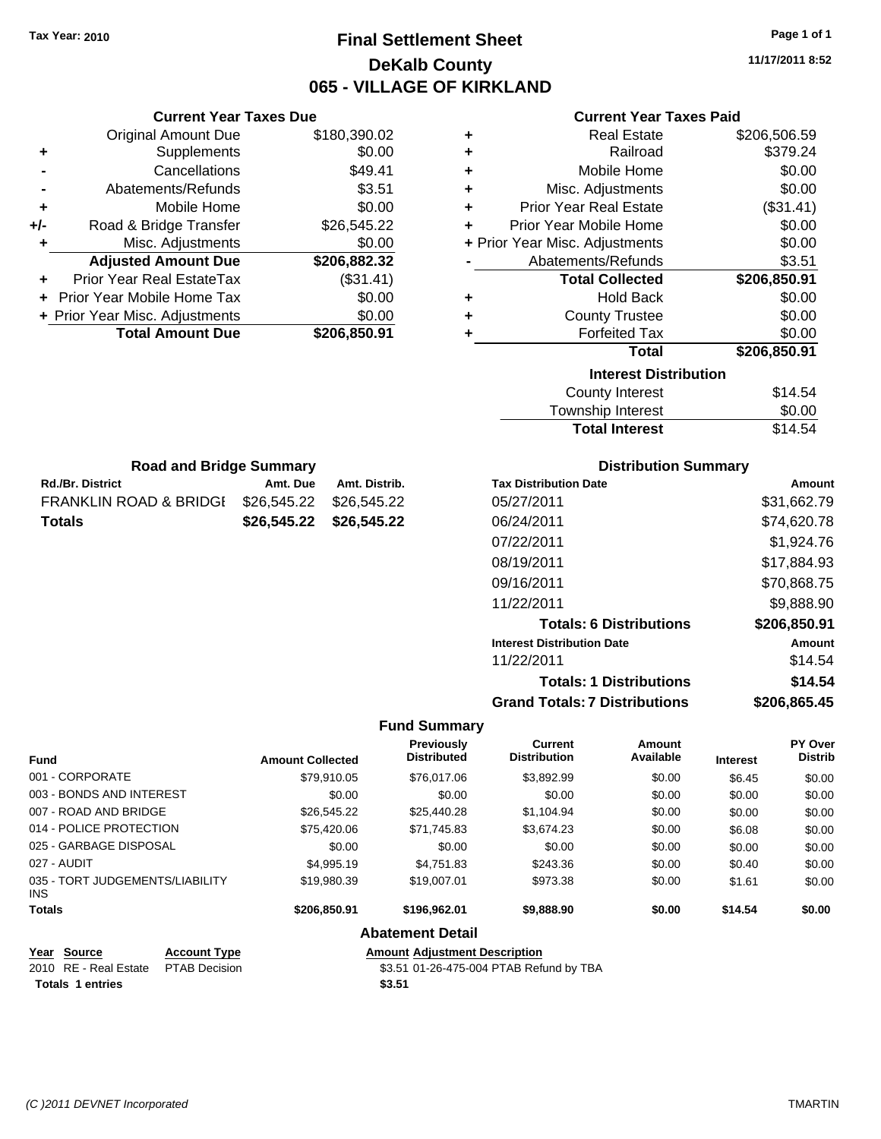# **Final Settlement Sheet Tax Year: 2010 Page 1 of 1 DeKalb County 065 - VILLAGE OF KIRKLAND**

**11/17/2011 8:52**

#### **Current Year Taxes Paid**

|     | <b>Current Year Taxes Due</b>  |              |
|-----|--------------------------------|--------------|
|     | <b>Original Amount Due</b>     | \$180,390.02 |
| ٠   | Supplements                    | \$0.00       |
|     | Cancellations                  | \$49.41      |
|     | Abatements/Refunds             | \$3.51       |
| ٠   | Mobile Home                    | \$0.00       |
| +/- | Road & Bridge Transfer         | \$26,545.22  |
| ٠   | Misc. Adjustments              | \$0.00       |
|     | <b>Adjusted Amount Due</b>     | \$206,882.32 |
| ٠   | Prior Year Real EstateTax      | (\$31.41)    |
|     | Prior Year Mobile Home Tax     | \$0.00       |
|     | + Prior Year Misc. Adjustments | \$0.00       |
|     | <b>Total Amount Due</b>        | \$206,850.91 |
|     |                                |              |

Rd./Br. District **Amt. Due** Amt. Distrib. **Road and Bridge Summary**

FRANKLIN ROAD & BRIDGE \$26,545.22 \$26,545.22 **Totals \$26,545.22 \$26,545.22**

| ٠ | Real Estate                    | \$206,506.59 |
|---|--------------------------------|--------------|
| ٠ | Railroad                       | \$379.24     |
| ٠ | Mobile Home                    | \$0.00       |
| ٠ | Misc. Adjustments              | \$0.00       |
| ÷ | <b>Prior Year Real Estate</b>  | (\$31.41)    |
| ٠ | Prior Year Mobile Home         | \$0.00       |
|   | + Prior Year Misc. Adjustments | \$0.00       |
|   | Abatements/Refunds             | \$3.51       |
|   |                                |              |
|   | <b>Total Collected</b>         | \$206,850.91 |
| ٠ | <b>Hold Back</b>               | \$0.00       |
| ٠ | <b>County Trustee</b>          | \$0.00       |
| ٠ | <b>Forfeited Tax</b>           | \$0.00       |
|   | <b>Total</b>                   | \$206,850.91 |
|   | <b>Interest Distribution</b>   |              |
|   | <b>County Interest</b>         | \$14.54      |

#### Total Interest \$14.54

| <b>Distribution Summary</b>          |              |
|--------------------------------------|--------------|
| <b>Tax Distribution Date</b>         | Amount       |
| 05/27/2011                           | \$31,662.79  |
| 06/24/2011                           | \$74,620.78  |
| 07/22/2011                           | \$1,924.76   |
| 08/19/2011                           | \$17,884.93  |
| 09/16/2011                           | \$70,868.75  |
| 11/22/2011                           | \$9,888.90   |
| <b>Totals: 6 Distributions</b>       | \$206,850.91 |
| <b>Interest Distribution Date</b>    | Amount       |
| 11/22/2011                           | \$14.54      |
| <b>Totals: 1 Distributions</b>       | \$14.54      |
| <b>Grand Totals: 7 Distributions</b> | \$206.865.45 |

#### **Fund Summary**

| <b>Fund</b>                             | <b>Amount Collected</b> | <b>Previously</b><br><b>Distributed</b> | <b>Current</b><br><b>Distribution</b> | Amount<br>Available | <b>Interest</b> | <b>PY Over</b><br><b>Distrib</b> |
|-----------------------------------------|-------------------------|-----------------------------------------|---------------------------------------|---------------------|-----------------|----------------------------------|
| 001 - CORPORATE                         | \$79.910.05             | \$76,017.06                             | \$3,892.99                            | \$0.00              | \$6.45          | \$0.00                           |
| 003 - BONDS AND INTEREST                | \$0.00                  | \$0.00                                  | \$0.00                                | \$0.00              | \$0.00          | \$0.00                           |
| 007 - ROAD AND BRIDGE                   | \$26,545.22             | \$25.440.28                             | \$1,104.94                            | \$0.00              | \$0.00          | \$0.00                           |
| 014 - POLICE PROTECTION                 | \$75,420.06             | \$71,745.83                             | \$3,674.23                            | \$0.00              | \$6.08          | \$0.00                           |
| 025 - GARBAGE DISPOSAL                  | \$0.00                  | \$0.00                                  | \$0.00                                | \$0.00              | \$0.00          | \$0.00                           |
| 027 - AUDIT                             | \$4,995.19              | \$4,751.83                              | \$243.36                              | \$0.00              | \$0.40          | \$0.00                           |
| 035 - TORT JUDGEMENTS/LIABILITY<br>INS. | \$19,980.39             | \$19,007.01                             | \$973.38                              | \$0.00              | \$1.61          | \$0.00                           |
| <b>Totals</b>                           | \$206,850.91            | \$196,962.01                            | \$9,888.90                            | \$0.00              | \$14.54         | \$0.00                           |

**Abatement Detail**

# **Year Source Account Type Amount Adjustment Description Totals \$3.51 1 entries**

\$3.51 01-26-475-004 PTAB Refund by TBA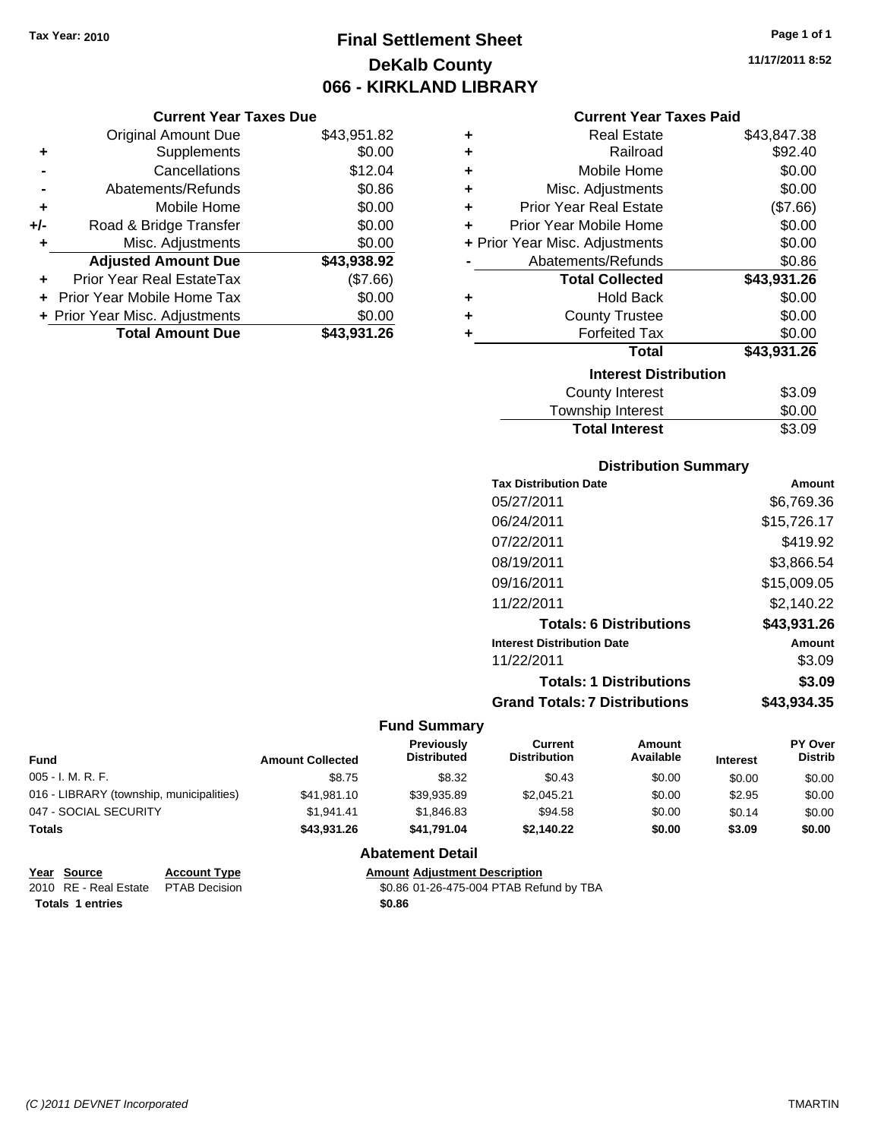# **Final Settlement Sheet Tax Year: 2010 Page 1 of 1 DeKalb County 066 - KIRKLAND LIBRARY**

#### **Current Year Taxes Due**

|       | <b>Original Amount Due</b>     | \$43,951.82 |
|-------|--------------------------------|-------------|
| ٠     | Supplements                    | \$0.00      |
|       | Cancellations                  | \$12.04     |
|       | Abatements/Refunds             | \$0.86      |
| ٠     | Mobile Home                    | \$0.00      |
| $+/-$ | Road & Bridge Transfer         | \$0.00      |
| ٠     | Misc. Adjustments              | \$0.00      |
|       | <b>Adjusted Amount Due</b>     | \$43,938.92 |
|       | Prior Year Real EstateTax      | (\$7.66)    |
|       | Prior Year Mobile Home Tax     | \$0.00      |
|       | + Prior Year Misc. Adjustments | \$0.00      |
|       | <b>Total Amount Due</b>        | \$43,931,26 |

#### **Current Year Taxes Paid**

| ٠                            | <b>Real Estate</b>               | \$43,847.38 |  |  |  |  |
|------------------------------|----------------------------------|-------------|--|--|--|--|
| ÷                            | Railroad                         | \$92.40     |  |  |  |  |
| ÷                            | <b>Mobile Home</b>               | \$0.00      |  |  |  |  |
| ٠                            | Misc. Adjustments                | \$0.00      |  |  |  |  |
| ٠                            | <b>Prior Year Real Estate</b>    | (\$7.66)    |  |  |  |  |
| ٠                            | \$0.00<br>Prior Year Mobile Home |             |  |  |  |  |
|                              | + Prior Year Misc. Adjustments   | \$0.00      |  |  |  |  |
|                              | Abatements/Refunds               | \$0.86      |  |  |  |  |
|                              | <b>Total Collected</b>           | \$43,931.26 |  |  |  |  |
| ٠                            | <b>Hold Back</b>                 | \$0.00      |  |  |  |  |
| ٠                            | <b>County Trustee</b>            | \$0.00      |  |  |  |  |
| ٠                            | <b>Forfeited Tax</b>             | \$0.00      |  |  |  |  |
|                              | Total                            | \$43,931.26 |  |  |  |  |
| <b>Interest Distribution</b> |                                  |             |  |  |  |  |
|                              | <b>County Interest</b>           | \$3.09      |  |  |  |  |
|                              | Township Interest                | \$0.00      |  |  |  |  |
|                              | <b>Total Interest</b>            | \$3.09      |  |  |  |  |

## **Distribution Summary**

| Amount      |
|-------------|
| \$6.769.36  |
| \$15,726.17 |
| \$419.92    |
| \$3,866.54  |
| \$15,009.05 |
| \$2,140.22  |
| \$43,931.26 |
| Amount      |
| \$3.09      |
| \$3.09      |
| \$43.934.35 |
|             |

#### **Fund Summary**

| Fund                                     | <b>Amount Collected</b> | Previously<br><b>Distributed</b> | Current<br><b>Distribution</b> | Amount<br>Available | <b>Interest</b> | <b>PY Over</b><br><b>Distrib</b> |
|------------------------------------------|-------------------------|----------------------------------|--------------------------------|---------------------|-----------------|----------------------------------|
| $005 - I. M. R. F.$                      | \$8.75                  | \$8.32                           | \$0.43                         | \$0.00              | \$0.00          | \$0.00                           |
| 016 - LIBRARY (township, municipalities) | \$41.981.10             | \$39.935.89                      | \$2.045.21                     | \$0.00              | \$2.95          | \$0.00                           |
| 047 - SOCIAL SECURITY                    | \$1.941.41              | \$1.846.83                       | \$94.58                        | \$0.00              | \$0.14          | \$0.00                           |
| <b>Totals</b>                            | \$43.931.26             | \$41.791.04                      | \$2.140.22                     | \$0.00              | \$3.09          | \$0.00                           |

#### **Abatement Detail**

|                  | Year Source                         | <b>Account Type</b> | <b>Amount Adiustment Description</b>    |
|------------------|-------------------------------------|---------------------|-----------------------------------------|
|                  | 2010 RE - Real Estate PTAB Decision |                     | \$0.86 01-26-475-004 PTAB Refund by TBA |
| Totals 1 entries |                                     |                     | \$0.86                                  |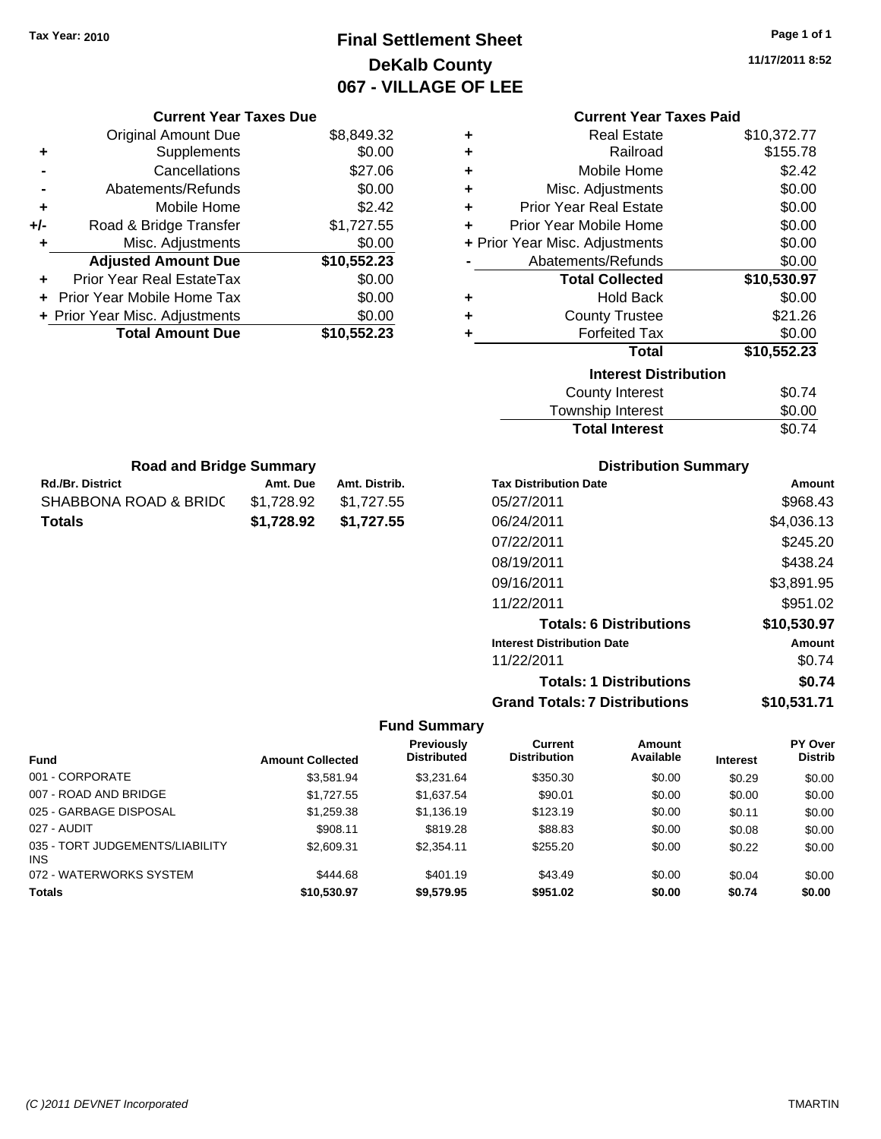### **Final Settlement Sheet Tax Year: 2010 Page 1 of 1 DeKalb County 067 - VILLAGE OF LEE**

**11/17/2011 8:52**

| Current Year Taxes Pald |
|-------------------------|
| \$10,372.77             |
| \$155.78                |
| \$2.42                  |
|                         |

**Current Year Taxes Paid**

|   | Misc. Adjustments              | \$0.00      |
|---|--------------------------------|-------------|
| ٠ | <b>Prior Year Real Estate</b>  | \$0.00      |
|   | Prior Year Mobile Home         | \$0.00      |
|   | + Prior Year Misc. Adjustments | \$0.00      |
|   | Abatements/Refunds             | \$0.00      |
|   | <b>Total Collected</b>         | \$10,530.97 |
| ٠ | <b>Hold Back</b>               | \$0.00      |
| ٠ | <b>County Trustee</b>          | \$21.26     |
|   | <b>Forfeited Tax</b>           | \$0.00      |
|   | Total                          | \$10,552.23 |
|   | <b>Interest Distribution</b>   |             |
|   | County Interest                |             |

| <b>Total Interest</b> | \$0.74 |
|-----------------------|--------|
| Township Interest     | \$0.00 |
| County Interest       | \$0.74 |

| <b>Road and Bridge Summary</b> |            |               |  |  |  |
|--------------------------------|------------|---------------|--|--|--|
| <b>Rd./Br. District</b>        | Amt. Due   | Amt. Distrib. |  |  |  |
| SHABBONA ROAD & BRIDC          | \$1.728.92 | \$1,727.55    |  |  |  |
| <b>Totals</b>                  | \$1.728.92 | \$1.727.55    |  |  |  |

**Current Year Taxes Due** Original Amount Due \$8,849.32

**Adjusted Amount Due \$10,552.23**

**Total Amount Due \$10,552.23**

**+** Supplements \$0.00 **-** Cancellations \$27.06 **-** Abatements/Refunds \$0.00 **+** Mobile Home \$2.42 **+/-** Road & Bridge Transfer \$1,727.55 **+** Misc. Adjustments \$0.00

**+** Prior Year Real EstateTax \$0.00 **+** Prior Year Mobile Home Tax \$0.00 **+ Prior Year Misc. Adjustments**  $$0.00$ 

### **Distribution Summary**

| <b>Tax Distribution Date</b>         | Amount      |
|--------------------------------------|-------------|
| 05/27/2011                           | \$968.43    |
| 06/24/2011                           | \$4,036.13  |
| 07/22/2011                           | \$245.20    |
| 08/19/2011                           | \$438.24    |
| 09/16/2011                           | \$3,891.95  |
| 11/22/2011                           | \$951.02    |
| <b>Totals: 6 Distributions</b>       | \$10,530.97 |
| <b>Interest Distribution Date</b>    | Amount      |
| 11/22/2011                           | \$0.74      |
| <b>Totals: 1 Distributions</b>       | \$0.74      |
| <b>Grand Totals: 7 Distributions</b> | \$10,531.71 |

|                                        |                         | <b>Previously</b>  | Current             | Amount    |                 | PY Over        |
|----------------------------------------|-------------------------|--------------------|---------------------|-----------|-----------------|----------------|
| <b>Fund</b>                            | <b>Amount Collected</b> | <b>Distributed</b> | <b>Distribution</b> | Available | <b>Interest</b> | <b>Distrib</b> |
| 001 - CORPORATE                        | \$3.581.94              | \$3.231.64         | \$350.30            | \$0.00    | \$0.29          | \$0.00         |
| 007 - ROAD AND BRIDGE                  | \$1,727.55              | \$1,637.54         | \$90.01             | \$0.00    | \$0.00          | \$0.00         |
| 025 - GARBAGE DISPOSAL                 | \$1,259.38              | \$1,136.19         | \$123.19            | \$0.00    | \$0.11          | \$0.00         |
| 027 - AUDIT                            | \$908.11                | \$819.28           | \$88.83             | \$0.00    | \$0.08          | \$0.00         |
| 035 - TORT JUDGEMENTS/LIABILITY<br>INS | \$2,609.31              | \$2,354.11         | \$255.20            | \$0.00    | \$0.22          | \$0.00         |
| 072 - WATERWORKS SYSTEM                | \$444.68                | \$401.19           | \$43.49             | \$0.00    | \$0.04          | \$0.00         |
| <b>Totals</b>                          | \$10.530.97             | \$9.579.95         | \$951.02            | \$0.00    | \$0.74          | \$0.00         |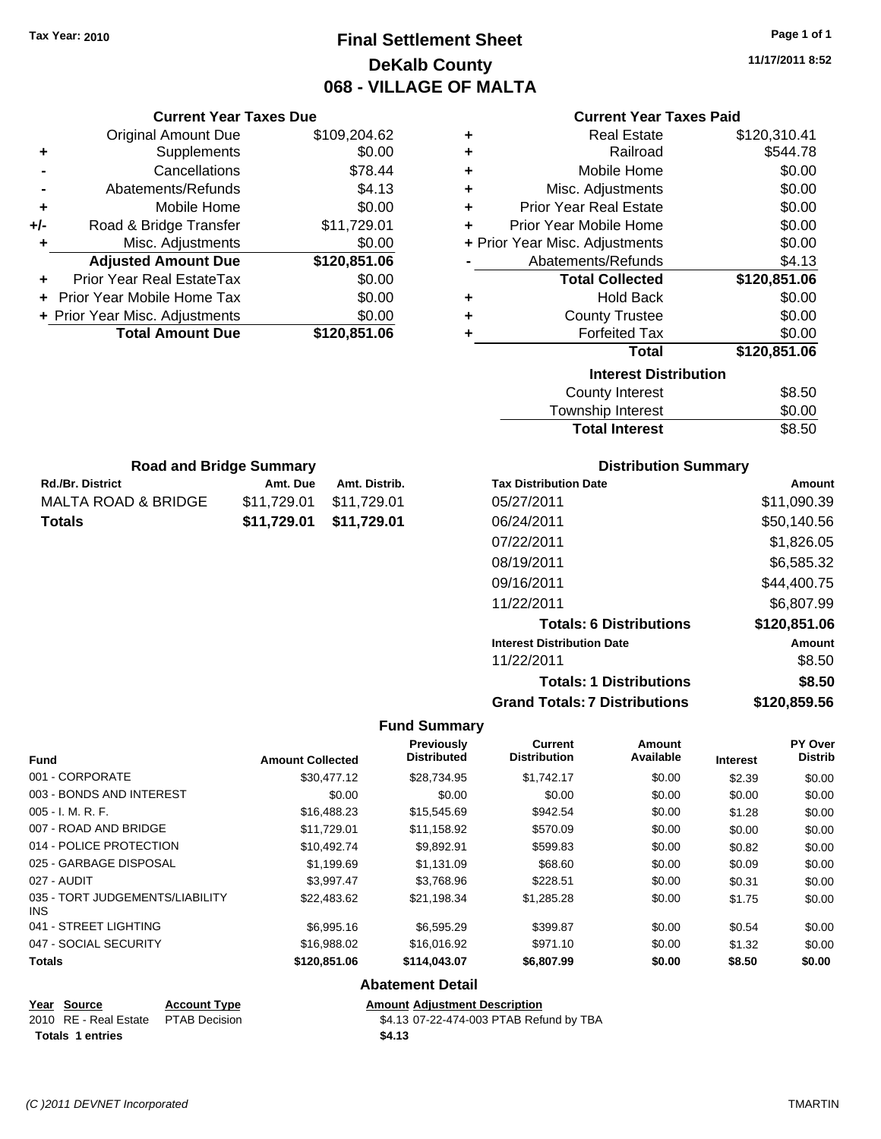### **Final Settlement Sheet Tax Year: 2010 Page 1 of 1 DeKalb County 068 - VILLAGE OF MALTA**

**11/17/2011 8:52**

### **Current Year Taxes Paid**

|     | OUITUR TUUT TUAUS DUU             |              |
|-----|-----------------------------------|--------------|
|     | <b>Original Amount Due</b>        | \$109,204.62 |
| ٠   | Supplements                       | \$0.00       |
|     | Cancellations                     | \$78.44      |
|     | Abatements/Refunds                | \$4.13       |
| ٠   | Mobile Home                       | \$0.00       |
| +/- | Road & Bridge Transfer            | \$11,729.01  |
| ٠   | Misc. Adjustments                 | \$0.00       |
|     | <b>Adjusted Amount Due</b>        | \$120,851.06 |
|     | <b>Prior Year Real EstateTax</b>  | \$0.00       |
|     | <b>Prior Year Mobile Home Tax</b> | \$0.00       |
|     | + Prior Year Misc. Adjustments    | \$0.00       |
|     | <b>Total Amount Due</b>           | \$120,851.06 |
|     |                                   |              |

Rd./Br. District **Amt. Due** Amt. Distrib. **Road and Bridge Summary**

MALTA ROAD & BRIDGE \$11,729.01 \$11,729.01 **Totals \$11,729.01 \$11,729.01**

**Current Year Taxes Due**

| ٠ | Real Estate                    | \$120,310.41 |
|---|--------------------------------|--------------|
| ٠ | Railroad                       | \$544.78     |
| ٠ | Mobile Home                    | \$0.00       |
| ٠ | Misc. Adjustments              | \$0.00       |
| ÷ | <b>Prior Year Real Estate</b>  | \$0.00       |
| ÷ | Prior Year Mobile Home         | \$0.00       |
|   | + Prior Year Misc. Adjustments | \$0.00       |
|   | Abatements/Refunds             | \$4.13       |
|   |                                |              |
|   | <b>Total Collected</b>         | \$120,851.06 |
| ٠ | <b>Hold Back</b>               | \$0.00       |
| ٠ | <b>County Trustee</b>          | \$0.00       |
| ٠ | <b>Forfeited Tax</b>           | \$0.00       |
|   | <b>Total</b>                   | \$120,851.06 |
|   | <b>Interest Distribution</b>   |              |
|   | <b>County Interest</b>         | \$8.50       |

# Total Interest \$8.50

| <b>Distribution Summary</b>          |              |
|--------------------------------------|--------------|
| <b>Tax Distribution Date</b>         | Amount       |
| 05/27/2011                           | \$11,090.39  |
| 06/24/2011                           | \$50,140.56  |
| 07/22/2011                           | \$1,826.05   |
| 08/19/2011                           | \$6,585.32   |
| 09/16/2011                           | \$44,400.75  |
| 11/22/2011                           | \$6,807.99   |
| <b>Totals: 6 Distributions</b>       | \$120,851.06 |
| <b>Interest Distribution Date</b>    | Amount       |
| 11/22/2011                           | \$8.50       |
| <b>Totals: 1 Distributions</b>       | \$8.50       |
| <b>Grand Totals: 7 Distributions</b> | \$120.859.56 |

### **Fund Summary**

| <b>Fund</b>                                   | <b>Amount Collected</b> | Previously<br><b>Distributed</b>     | Current<br><b>Distribution</b> | Amount<br>Available | <b>Interest</b> | PY Over<br><b>Distrib</b> |
|-----------------------------------------------|-------------------------|--------------------------------------|--------------------------------|---------------------|-----------------|---------------------------|
| 001 - CORPORATE                               | \$30,477.12             | \$28,734.95                          | \$1,742.17                     | \$0.00              | \$2.39          | \$0.00                    |
| 003 - BONDS AND INTEREST                      | \$0.00                  | \$0.00                               | \$0.00                         | \$0.00              | \$0.00          | \$0.00                    |
| $005 - I. M. R. F.$                           | \$16,488.23             | \$15,545.69                          | \$942.54                       | \$0.00              | \$1.28          | \$0.00                    |
| 007 - ROAD AND BRIDGE                         | \$11,729.01             | \$11,158.92                          | \$570.09                       | \$0.00              | \$0.00          | \$0.00                    |
| 014 - POLICE PROTECTION                       | \$10.492.74             | \$9,892.91                           | \$599.83                       | \$0.00              | \$0.82          | \$0.00                    |
| 025 - GARBAGE DISPOSAL                        | \$1,199.69              | \$1,131.09                           | \$68.60                        | \$0.00              | \$0.09          | \$0.00                    |
| 027 - AUDIT                                   | \$3,997.47              | \$3,768.96                           | \$228.51                       | \$0.00              | \$0.31          | \$0.00                    |
| 035 - TORT JUDGEMENTS/LIABILITY<br><b>INS</b> | \$22,483.62             | \$21,198.34                          | \$1,285.28                     | \$0.00              | \$1.75          | \$0.00                    |
| 041 - STREET LIGHTING                         | \$6,995.16              | \$6,595.29                           | \$399.87                       | \$0.00              | \$0.54          | \$0.00                    |
| 047 - SOCIAL SECURITY                         | \$16,988.02             | \$16,016.92                          | \$971.10                       | \$0.00              | \$1.32          | \$0.00                    |
| <b>Totals</b>                                 | \$120,851.06            | \$114,043.07                         | \$6,807.99                     | \$0.00              | \$8.50          | \$0.00                    |
|                                               |                         | All care contracts and the contracts |                                |                     |                 |                           |

#### **Abatement Detail**

| Year Source             | <b>Account Type</b>                 | <b>Amount Adjustment Description</b>    |
|-------------------------|-------------------------------------|-----------------------------------------|
|                         | 2010 RE - Real Estate PTAB Decision | \$4.13 07-22-474-003 PTAB Refund by TBA |
| <b>Totals 1 entries</b> |                                     | \$4.13                                  |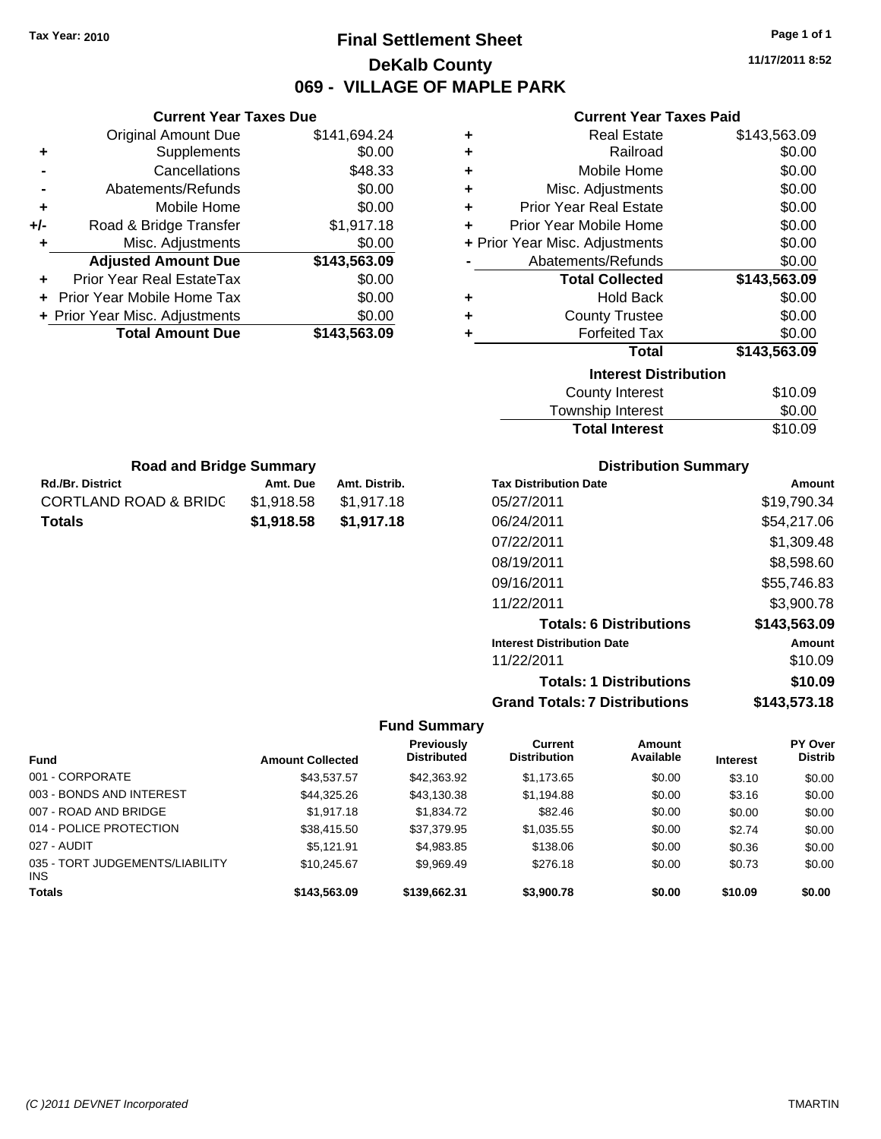### **Final Settlement Sheet Tax Year: 2010 Page 1 of 1 DeKalb County 069 - VILLAGE OF MAPLE PARK**

**11/17/2011 8:52**

### **Current Year Taxes Paid**

| ٠ | <b>Real Estate</b>             | \$143,563.09 |
|---|--------------------------------|--------------|
| ٠ | Railroad                       | \$0.00       |
| ٠ | Mobile Home                    | \$0.00       |
| ٠ | Misc. Adjustments              | \$0.00       |
| ٠ | <b>Prior Year Real Estate</b>  | \$0.00       |
| ٠ | Prior Year Mobile Home         | \$0.00       |
|   | + Prior Year Misc. Adjustments | \$0.00       |
|   | Abatements/Refunds             | \$0.00       |
|   | <b>Total Collected</b>         | \$143,563.09 |
| ٠ | <b>Hold Back</b>               | \$0.00       |
| ٠ | <b>County Trustee</b>          | \$0.00       |
| ٠ | <b>Forfeited Tax</b>           | \$0.00       |
|   | Total                          | \$143,563.09 |
|   | <b>Interest Distribution</b>   |              |
|   | County Interest                | \$10.09      |

| .<br>Township Interest | \$0.00  |
|------------------------|---------|
| <b>Total Interest</b>  | \$10.09 |

| <b>Road and Bridge Summary</b>   |            |               |  |
|----------------------------------|------------|---------------|--|
| <b>Rd./Br. District</b>          | Amt. Due   | Amt. Distrib. |  |
| <b>CORTLAND ROAD &amp; BRIDC</b> | \$1.918.58 | \$1,917.18    |  |
| <b>Totals</b>                    | \$1,918,58 | \$1,917.18    |  |

**Current Year Taxes Due** Original Amount Due \$141,694.24

**Adjusted Amount Due \$143,563.09**

**Total Amount Due \$143,563.09**

**+** Supplements \$0.00 **-** Cancellations \$48.33 **-** Abatements/Refunds \$0.00 **+** Mobile Home \$0.00 **+/-** Road & Bridge Transfer \$1,917.18 **+** Misc. Adjustments \$0.00

**+** Prior Year Real EstateTax \$0.00 **+** Prior Year Mobile Home Tax \$0.00 **+ Prior Year Misc. Adjustments**  $$0.00$ 

### **Distribution Summary**

| <b>Tax Distribution Date</b>         | Amount       |
|--------------------------------------|--------------|
| 05/27/2011                           | \$19,790.34  |
| 06/24/2011                           | \$54,217.06  |
| 07/22/2011                           | \$1,309.48   |
| 08/19/2011                           | \$8,598.60   |
| 09/16/2011                           | \$55,746.83  |
| 11/22/2011                           | \$3,900.78   |
| <b>Totals: 6 Distributions</b>       | \$143,563.09 |
| <b>Interest Distribution Date</b>    | Amount       |
| 11/22/2011                           | \$10.09      |
| <b>Totals: 1 Distributions</b>       | \$10.09      |
| <b>Grand Totals: 7 Distributions</b> | \$143,573.18 |

|                                               |                         | <b>Previously</b>  | <b>Current</b>      | Amount    |                 | <b>PY Over</b> |
|-----------------------------------------------|-------------------------|--------------------|---------------------|-----------|-----------------|----------------|
| <b>Fund</b>                                   | <b>Amount Collected</b> | <b>Distributed</b> | <b>Distribution</b> | Available | <b>Interest</b> | <b>Distrib</b> |
| 001 - CORPORATE                               | \$43,537.57             | \$42,363.92        | \$1,173.65          | \$0.00    | \$3.10          | \$0.00         |
| 003 - BONDS AND INTEREST                      | \$44,325.26             | \$43,130.38        | \$1,194.88          | \$0.00    | \$3.16          | \$0.00         |
| 007 - ROAD AND BRIDGE                         | \$1,917.18              | \$1,834.72         | \$82.46             | \$0.00    | \$0.00          | \$0.00         |
| 014 - POLICE PROTECTION                       | \$38,415.50             | \$37,379.95        | \$1,035.55          | \$0.00    | \$2.74          | \$0.00         |
| 027 - AUDIT                                   | \$5.121.91              | \$4,983.85         | \$138.06            | \$0.00    | \$0.36          | \$0.00         |
| 035 - TORT JUDGEMENTS/LIABILITY<br><b>INS</b> | \$10.245.67             | \$9,969.49         | \$276.18            | \$0.00    | \$0.73          | \$0.00         |
| <b>Totals</b>                                 | \$143,563,09            | \$139,662,31       | \$3,900.78          | \$0.00    | \$10.09         | \$0.00         |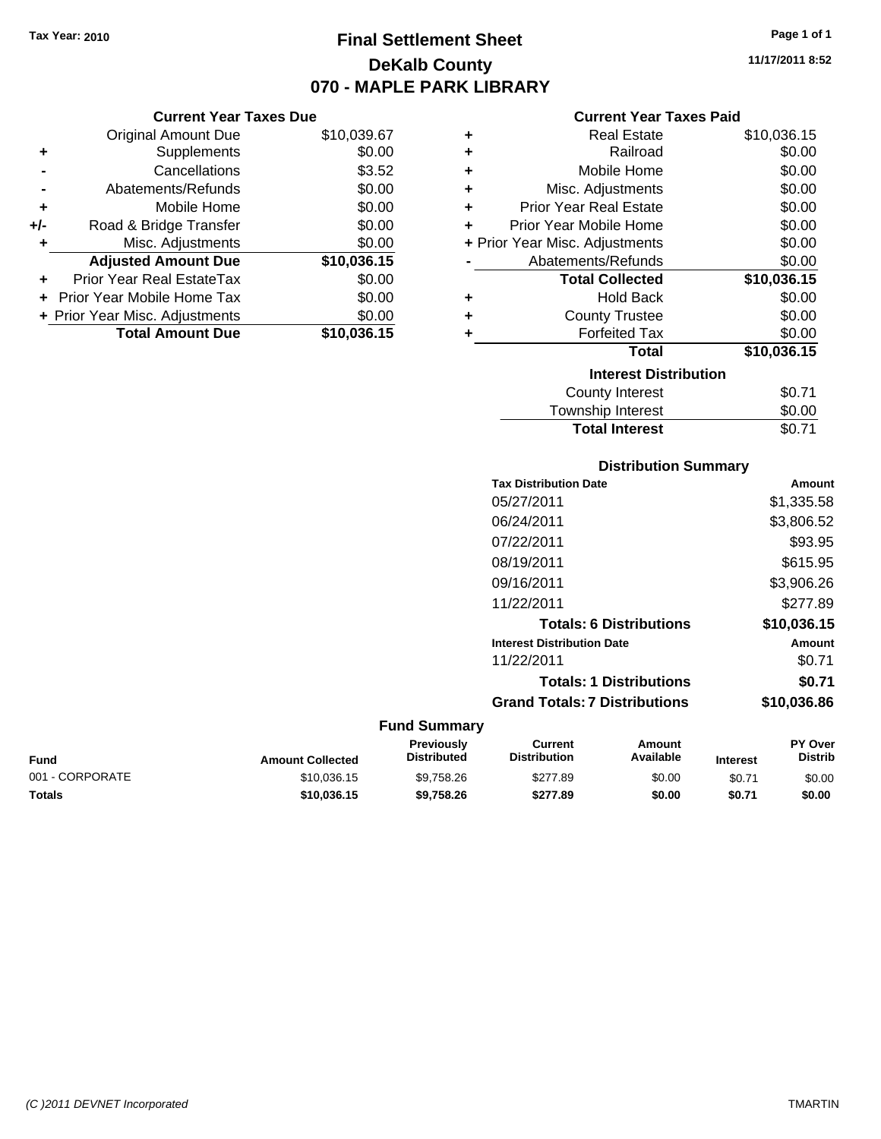### **Final Settlement Sheet Tax Year: 2010 Page 1 of 1 DeKalb County 070 - MAPLE PARK LIBRARY**

**11/17/2011 8:52**

### **Current Year Taxes Paid**

|     | <b>Total Amount Due</b>        | \$10,036.15 |
|-----|--------------------------------|-------------|
|     | + Prior Year Misc. Adjustments | \$0.00      |
|     | Prior Year Mobile Home Tax     | \$0.00      |
|     | Prior Year Real EstateTax      | \$0.00      |
|     | <b>Adjusted Amount Due</b>     | \$10,036.15 |
| ٠   | Misc. Adjustments              | \$0.00      |
| +/- | Road & Bridge Transfer         | \$0.00      |
| ٠   | Mobile Home                    | \$0.00      |
|     | Abatements/Refunds             | \$0.00      |
|     | Cancellations                  | \$3.52      |
| ٠   | Supplements                    | \$0.00      |
|     | <b>Original Amount Due</b>     | \$10,039.67 |
|     |                                |             |

**Current Year Taxes Due**

| ٠ | <b>Real Estate</b>             | \$10,036.15 |
|---|--------------------------------|-------------|
| ٠ | Railroad                       | \$0.00      |
| ÷ | Mobile Home                    | \$0.00      |
| ٠ | Misc. Adjustments              | \$0.00      |
| ٠ | Prior Year Real Estate         | \$0.00      |
| ÷ | Prior Year Mobile Home         | \$0.00      |
|   | + Prior Year Misc. Adjustments | \$0.00      |
|   | Abatements/Refunds             | \$0.00      |
|   | <b>Total Collected</b>         | \$10,036.15 |
| ٠ | <b>Hold Back</b>               | \$0.00      |
| ٠ | <b>County Trustee</b>          | \$0.00      |
| ٠ | <b>Forfeited Tax</b>           | \$0.00      |
|   | Total                          | \$10,036.15 |
|   | <b>Interest Distribution</b>   |             |
|   | <b>County Interest</b>         | \$0.71      |
|   | Township Interest              | \$0.00      |
|   | <b>Total Interest</b>          | \$0.71      |

### **Distribution Summary Tax Distribution Date Amount** 05/27/2011 \$1,335.58 06/24/2011 \$3,806.52 07/22/2011 \$93.95 08/19/2011 \$615.95 09/16/2011 \$3,906.26 11/22/2011 \$277.89 **Totals: 6 Distributions \$10,036.15 Interest Distribution Date Amount** 11/22/2011 \$0.71 **Totals: 1 Distributions \$0.71 Grand Totals: 7 Distributions \$10,036.86**

| <b>Fund</b>     | <b>Amount Collected</b> | <b>Previously</b><br><b>Distributed</b> | Current<br><b>Distribution</b> | Amount<br>Available | <b>Interest</b> | <b>PY Over</b><br><b>Distrib</b> |
|-----------------|-------------------------|-----------------------------------------|--------------------------------|---------------------|-----------------|----------------------------------|
| 001 - CORPORATE | \$10.036.15             | \$9,758.26                              | \$277.89                       | \$0.00              | \$0.71          | \$0.00                           |
| <b>Totals</b>   | \$10.036.15             | \$9.758.26                              | \$277.89                       | \$0.00              | \$0.71          | \$0.00                           |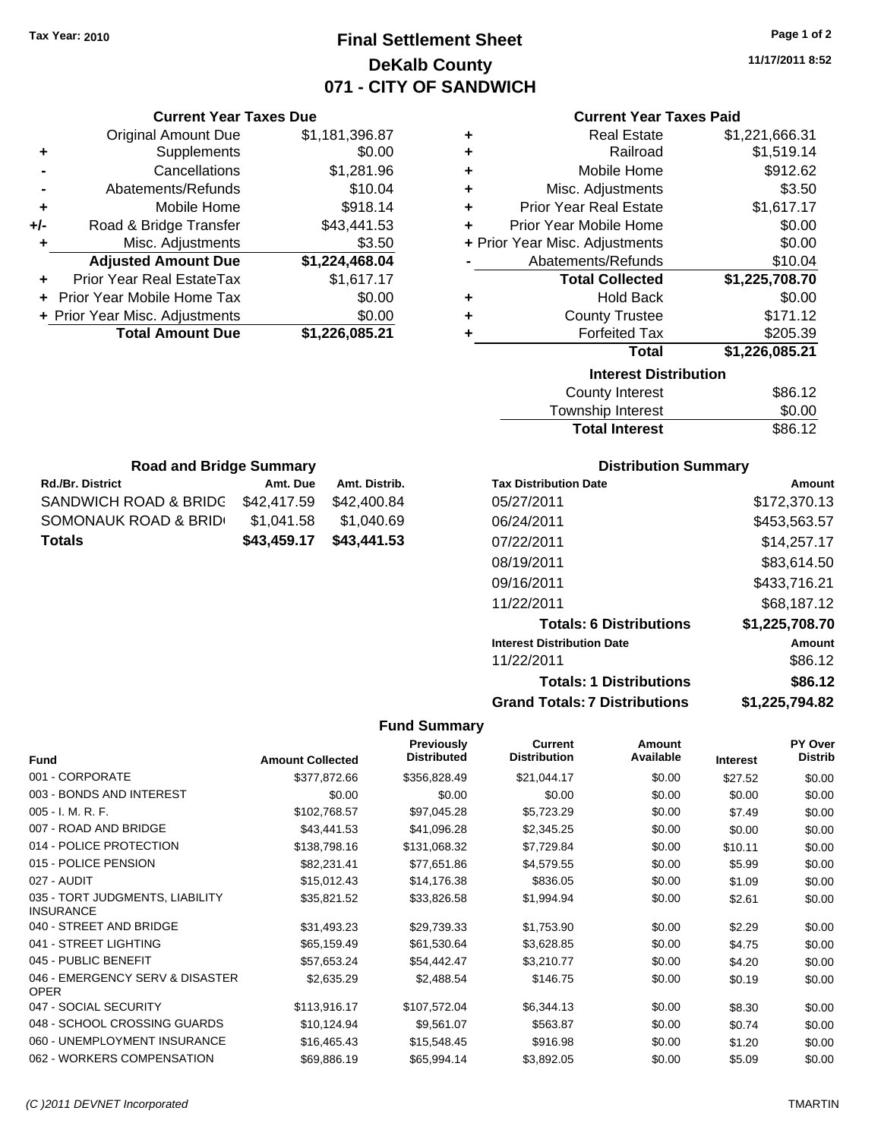### **Final Settlement Sheet Tax Year: 2010 Page 1 of 2 DeKalb County 071 - CITY OF SANDWICH**

**11/17/2011 8:52**

|  | Current Year Taxes Due |  |  |  |  |
|--|------------------------|--|--|--|--|
|--|------------------------|--|--|--|--|

|     | <b>Original Amount Due</b>        | \$1,181,396.87 |
|-----|-----------------------------------|----------------|
| ٠   | Supplements                       | \$0.00         |
|     | Cancellations                     | \$1,281.96     |
|     | Abatements/Refunds                | \$10.04        |
| ٠   | Mobile Home                       | \$918.14       |
| +/- | Road & Bridge Transfer            | \$43,441.53    |
|     | Misc. Adjustments                 | \$3.50         |
|     | <b>Adjusted Amount Due</b>        | \$1,224,468.04 |
|     |                                   |                |
|     | Prior Year Real EstateTax         | \$1,617.17     |
|     | <b>Prior Year Mobile Home Tax</b> | \$0.00         |
|     | + Prior Year Misc. Adjustments    | \$0.00         |
|     | <b>Total Amount Due</b>           | \$1,226,085.21 |

### **Current Year Taxes Paid**

| ٠ | <b>Real Estate</b>             | \$1,221,666.31 |
|---|--------------------------------|----------------|
| ÷ | Railroad                       | \$1,519.14     |
| ÷ | Mobile Home                    | \$912.62       |
| ÷ | Misc. Adjustments              | \$3.50         |
| ٠ | <b>Prior Year Real Estate</b>  | \$1,617.17     |
| ٠ | Prior Year Mobile Home         | \$0.00         |
|   | + Prior Year Misc. Adjustments | \$0.00         |
|   | Abatements/Refunds             | \$10.04        |
|   | <b>Total Collected</b>         | \$1,225,708.70 |
| ٠ | <b>Hold Back</b>               | \$0.00         |
| ÷ | <b>County Trustee</b>          | \$171.12       |
| ٠ | <b>Forfeited Tax</b>           | \$205.39       |
|   | <b>Total</b>                   | \$1,226,085.21 |
|   | <b>Interest Distribution</b>   |                |
|   |                                |                |

| County Interest       | \$86.12 |
|-----------------------|---------|
| Township Interest     | \$0.00  |
| <b>Total Interest</b> | \$86.12 |

| <b>Road and Bridge Summary</b>    |             |               |  |  |
|-----------------------------------|-------------|---------------|--|--|
| <b>Rd./Br. District</b>           | Amt. Due    | Amt. Distrib. |  |  |
| SANDWICH ROAD & BRIDC \$42,417.59 |             | \$42,400.84   |  |  |
| SOMONAUK ROAD & BRIDI             | \$1,041.58  | \$1,040.69    |  |  |
| Totals                            | \$43,459.17 | \$43,441.53   |  |  |

### **Distribution Summary**

| <b>Tax Distribution Date</b>         | Amount         |
|--------------------------------------|----------------|
| 05/27/2011                           | \$172,370.13   |
| 06/24/2011                           | \$453,563.57   |
| 07/22/2011                           | \$14,257.17    |
| 08/19/2011                           | \$83,614.50    |
| 09/16/2011                           | \$433,716.21   |
| 11/22/2011                           | \$68.187.12    |
| <b>Totals: 6 Distributions</b>       | \$1,225,708.70 |
| <b>Interest Distribution Date</b>    | Amount         |
| 11/22/2011                           | \$86.12        |
| <b>Totals: 1 Distributions</b>       | \$86.12        |
| <b>Grand Totals: 7 Distributions</b> | \$1.225.794.82 |

| <b>Fund</b>                                         | <b>Amount Collected</b> | <b>Previously</b><br><b>Distributed</b> | <b>Current</b><br><b>Distribution</b> | <b>Amount</b><br>Available | <b>Interest</b> | <b>PY Over</b><br><b>Distrib</b> |
|-----------------------------------------------------|-------------------------|-----------------------------------------|---------------------------------------|----------------------------|-----------------|----------------------------------|
| 001 - CORPORATE                                     | \$377,872.66            | \$356,828.49                            | \$21,044.17                           | \$0.00                     | \$27.52         | \$0.00                           |
| 003 - BONDS AND INTEREST                            | \$0.00                  | \$0.00                                  | \$0.00                                | \$0.00                     | \$0.00          | \$0.00                           |
| $005 - I. M. R. F.$                                 | \$102,768.57            | \$97,045.28                             | \$5,723.29                            | \$0.00                     | \$7.49          | \$0.00                           |
| 007 - ROAD AND BRIDGE                               | \$43,441.53             | \$41,096.28                             | \$2,345.25                            | \$0.00                     | \$0.00          | \$0.00                           |
| 014 - POLICE PROTECTION                             | \$138,798.16            | \$131,068.32                            | \$7,729.84                            | \$0.00                     | \$10.11         | \$0.00                           |
| 015 - POLICE PENSION                                | \$82,231.41             | \$77,651.86                             | \$4,579.55                            | \$0.00                     | \$5.99          | \$0.00                           |
| 027 - AUDIT                                         | \$15,012.43             | \$14,176.38                             | \$836.05                              | \$0.00                     | \$1.09          | \$0.00                           |
| 035 - TORT JUDGMENTS, LIABILITY<br><b>INSURANCE</b> | \$35,821.52             | \$33,826.58                             | \$1,994.94                            | \$0.00                     | \$2.61          | \$0.00                           |
| 040 - STREET AND BRIDGE                             | \$31,493.23             | \$29,739.33                             | \$1,753.90                            | \$0.00                     | \$2.29          | \$0.00                           |
| 041 - STREET LIGHTING                               | \$65,159.49             | \$61,530.64                             | \$3,628.85                            | \$0.00                     | \$4.75          | \$0.00                           |
| 045 - PUBLIC BENEFIT                                | \$57,653.24             | \$54,442.47                             | \$3,210.77                            | \$0.00                     | \$4.20          | \$0.00                           |
| 046 - EMERGENCY SERV & DISASTER<br><b>OPER</b>      | \$2,635.29              | \$2,488.54                              | \$146.75                              | \$0.00                     | \$0.19          | \$0.00                           |
| 047 - SOCIAL SECURITY                               | \$113,916.17            | \$107,572.04                            | \$6,344.13                            | \$0.00                     | \$8.30          | \$0.00                           |
| 048 - SCHOOL CROSSING GUARDS                        | \$10,124.94             | \$9,561.07                              | \$563.87                              | \$0.00                     | \$0.74          | \$0.00                           |
| 060 - UNEMPLOYMENT INSURANCE                        | \$16,465.43             | \$15,548.45                             | \$916.98                              | \$0.00                     | \$1.20          | \$0.00                           |
| 062 - WORKERS COMPENSATION                          | \$69,886.19             | \$65,994.14                             | \$3,892.05                            | \$0.00                     | \$5.09          | \$0.00                           |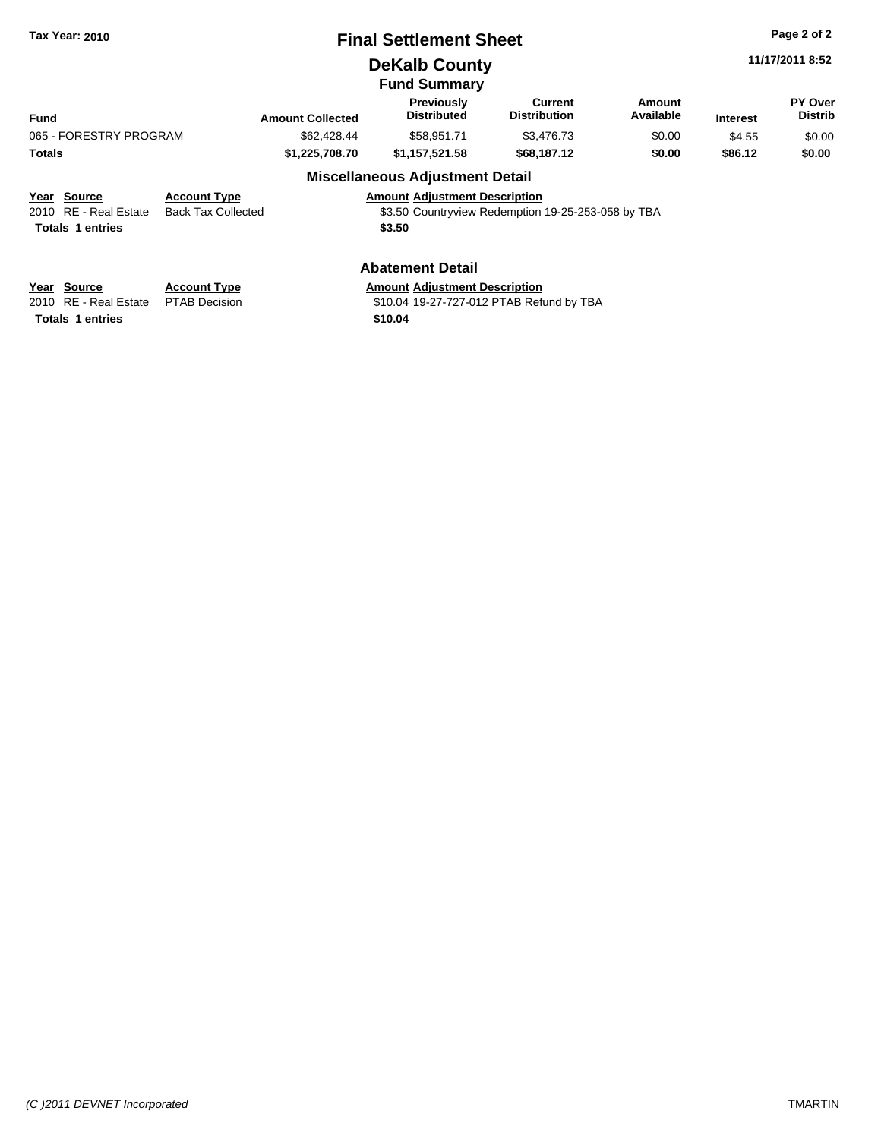|  | <b>Tax Year: 2010</b> |  |  |
|--|-----------------------|--|--|
|--|-----------------------|--|--|

### **Final Settlement Sheet Tax Year: 2010 Page 2 of 2**

### **DeKalb County**

**Fund Summary**

|                         |                           |                         | י שייייייש שיייי                        |                                                    |                     |                 |                                  |
|-------------------------|---------------------------|-------------------------|-----------------------------------------|----------------------------------------------------|---------------------|-----------------|----------------------------------|
| <b>Fund</b>             |                           | <b>Amount Collected</b> | <b>Previously</b><br><b>Distributed</b> | Current<br><b>Distribution</b>                     | Amount<br>Available | <b>Interest</b> | <b>PY Over</b><br><b>Distrib</b> |
| 065 - FORESTRY PROGRAM  |                           | \$62,428,44             | \$58.951.71                             | \$3,476.73                                         | \$0.00              | \$4.55          | \$0.00                           |
| <b>Totals</b>           |                           | \$1,225,708.70          | \$1,157,521.58                          | \$68,187.12                                        | \$0.00              | \$86.12         | \$0.00                           |
|                         |                           |                         | <b>Miscellaneous Adjustment Detail</b>  |                                                    |                     |                 |                                  |
| Year Source             | <b>Account Type</b>       |                         | <b>Amount Adjustment Description</b>    |                                                    |                     |                 |                                  |
| 2010 RE - Real Estate   | <b>Back Tax Collected</b> |                         |                                         | \$3.50 Countryview Redemption 19-25-253-058 by TBA |                     |                 |                                  |
| <b>Totals 1 entries</b> |                           |                         | \$3.50                                  |                                                    |                     |                 |                                  |
|                         |                           |                         |                                         |                                                    |                     |                 |                                  |
|                         |                           |                         |                                         |                                                    |                     |                 |                                  |

### **Abatement Detail**

**Totals 1 entries** 

**Year Source Account Type Amount Adjustment Description**<br>2010 RE - Real Estate PTAB Decision **Amount** \$10.04 19-27-727-012 PTAB Refu \$10.04 19-27-727-012 PTAB Refund by TBA<br>\$10.04 **11/17/2011 8:52**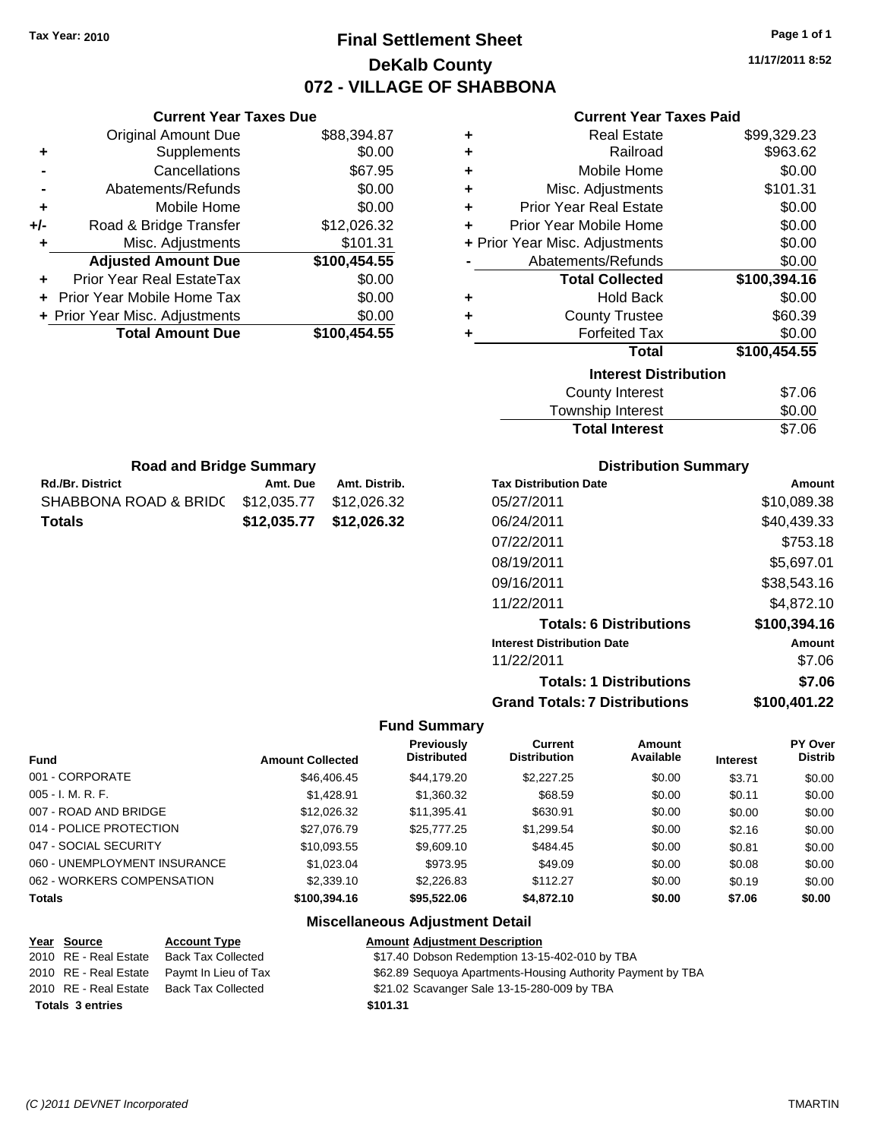### **Final Settlement Sheet Tax Year: 2010 Page 1 of 1 DeKalb County 072 - VILLAGE OF SHABBONA**

**11/17/2011 8:52**

### **Current Year Taxes Paid**

| <b>Current Year Taxes Due</b> |              |   | <b>Current Year Taxes Paid</b> |              |  |  |
|-------------------------------|--------------|---|--------------------------------|--------------|--|--|
| ıl Amount Due                 | \$88,394.87  | ٠ | <b>Real Estate</b>             | \$99,329.23  |  |  |
| Supplements                   | \$0.00       | ÷ | Railroad                       | \$963.62     |  |  |
| Cancellations                 | \$67.95      | ÷ | Mobile Home                    | \$0.00       |  |  |
| าents/Refunds                 | \$0.00       | ÷ | Misc. Adjustments              | \$101.31     |  |  |
| Mobile Home                   | \$0.00       | ÷ | <b>Prior Year Real Estate</b>  | \$0.00       |  |  |
| ridge Transfer                | \$12,026.32  | ÷ | Prior Year Mobile Home         | \$0.00       |  |  |
| . Adjustments                 | \$101.31     |   | + Prior Year Misc. Adjustments | \$0.00       |  |  |
| <b>Amount Due</b>             | \$100,454.55 |   | Abatements/Refunds             | \$0.00       |  |  |
| eal EstateTax                 | \$0.00       |   | <b>Total Collected</b>         | \$100,394.16 |  |  |
| pile Home Tax                 | \$0.00       | ÷ | <b>Hold Back</b>               | \$0.00       |  |  |
| . Adjustments                 | \$0.00       | ٠ | <b>County Trustee</b>          | \$60.39      |  |  |
| <b>Amount Due</b>             | \$100,454.55 |   | <b>Forfeited Tax</b>           | \$0.00       |  |  |
|                               |              |   | Total                          | \$100,454.55 |  |  |
|                               |              |   | <b>Interest Distribution</b>   |              |  |  |
|                               |              |   |                                | ^= ^^        |  |  |

|  | nterest Distribution |  |
|--|----------------------|--|
|  |                      |  |

| <b>Total Interest</b> | \$7.06 |
|-----------------------|--------|
| Township Interest     | \$0.00 |
| County Interest       | \$7.06 |

| <b>Road and Bridge Summary</b>                |                         |               |  |  |  |  |
|-----------------------------------------------|-------------------------|---------------|--|--|--|--|
| <b>Rd./Br. District</b>                       | Amt. Due                | Amt. Distrib. |  |  |  |  |
| SHABBONA ROAD & BRID( \$12,035.77 \$12,026.32 |                         |               |  |  |  |  |
| <b>Totals</b>                                 | \$12,035.77 \$12,026.32 |               |  |  |  |  |

Original Amount Due

**Adjusted Amount Due** 

**Total Amount Due** 

**+** Supplements **-** Cancellations **-** Abatements/Refunds **+** Mobile Home **+/-** Road & Bridge Transfer **+** Misc. Adjustments

**+** Prior Year Real EstateTax \$0.00 **+** Prior Year Mobile Home Tax **+ Prior Year Misc. Adjustments** 

### **Distribution Summary**

| <b>Tax Distribution Date</b>         | Amount       |
|--------------------------------------|--------------|
| 05/27/2011                           | \$10,089.38  |
| 06/24/2011                           | \$40,439.33  |
| 07/22/2011                           | \$753.18     |
| 08/19/2011                           | \$5,697.01   |
| 09/16/2011                           | \$38,543.16  |
| 11/22/2011                           | \$4.872.10   |
| <b>Totals: 6 Distributions</b>       | \$100,394.16 |
| <b>Interest Distribution Date</b>    | Amount       |
| 11/22/2011                           | \$7.06       |
| <b>Totals: 1 Distributions</b>       | \$7.06       |
| <b>Grand Totals: 7 Distributions</b> | \$100.401.22 |

#### **Fund Summary**

|                              |                         | <b>Previously</b>  | <b>Current</b>      | <b>Amount</b> |                 | <b>PY Over</b> |
|------------------------------|-------------------------|--------------------|---------------------|---------------|-----------------|----------------|
| <b>Fund</b>                  | <b>Amount Collected</b> | <b>Distributed</b> | <b>Distribution</b> | Available     | <b>Interest</b> | <b>Distrib</b> |
| 001 - CORPORATE              | \$46,406.45             | \$44,179.20        | \$2,227,25          | \$0.00        | \$3.71          | \$0.00         |
| $005 - I. M. R. F.$          | \$1,428.91              | \$1,360.32         | \$68.59             | \$0.00        | \$0.11          | \$0.00         |
| 007 - ROAD AND BRIDGE        | \$12,026.32             | \$11,395.41        | \$630.91            | \$0.00        | \$0.00          | \$0.00         |
| 014 - POLICE PROTECTION      | \$27,076.79             | \$25,777.25        | \$1,299.54          | \$0.00        | \$2.16          | \$0.00         |
| 047 - SOCIAL SECURITY        | \$10,093.55             | \$9,609.10         | \$484.45            | \$0.00        | \$0.81          | \$0.00         |
| 060 - UNEMPLOYMENT INSURANCE | \$1,023.04              | \$973.95           | \$49.09             | \$0.00        | \$0.08          | \$0.00         |
| 062 - WORKERS COMPENSATION   | \$2,339.10              | \$2,226.83         | \$112.27            | \$0.00        | \$0.19          | \$0.00         |
| <b>Totals</b>                | \$100.394.16            | \$95,522.06        | \$4,872.10          | \$0.00        | \$7.06          | \$0.00         |

### **Miscellaneous Adjustment Detail**

| Year Source             | <b>Account Type</b>       | <b>Amount Adjustment Description</b>                        |
|-------------------------|---------------------------|-------------------------------------------------------------|
| 2010 RE - Real Estate   | <b>Back Tax Collected</b> | \$17.40 Dobson Redemption 13-15-402-010 by TBA              |
| 2010 RE - Real Estate   | Paymt In Lieu of Tax      | \$62.89 Sequoya Apartments-Housing Authority Payment by TBA |
| 2010 RE - Real Estate   | <b>Back Tax Collected</b> | \$21.02 Scavanger Sale 13-15-280-009 by TBA                 |
| <b>Totals 3 entries</b> |                           | \$101.31                                                    |
|                         |                           |                                                             |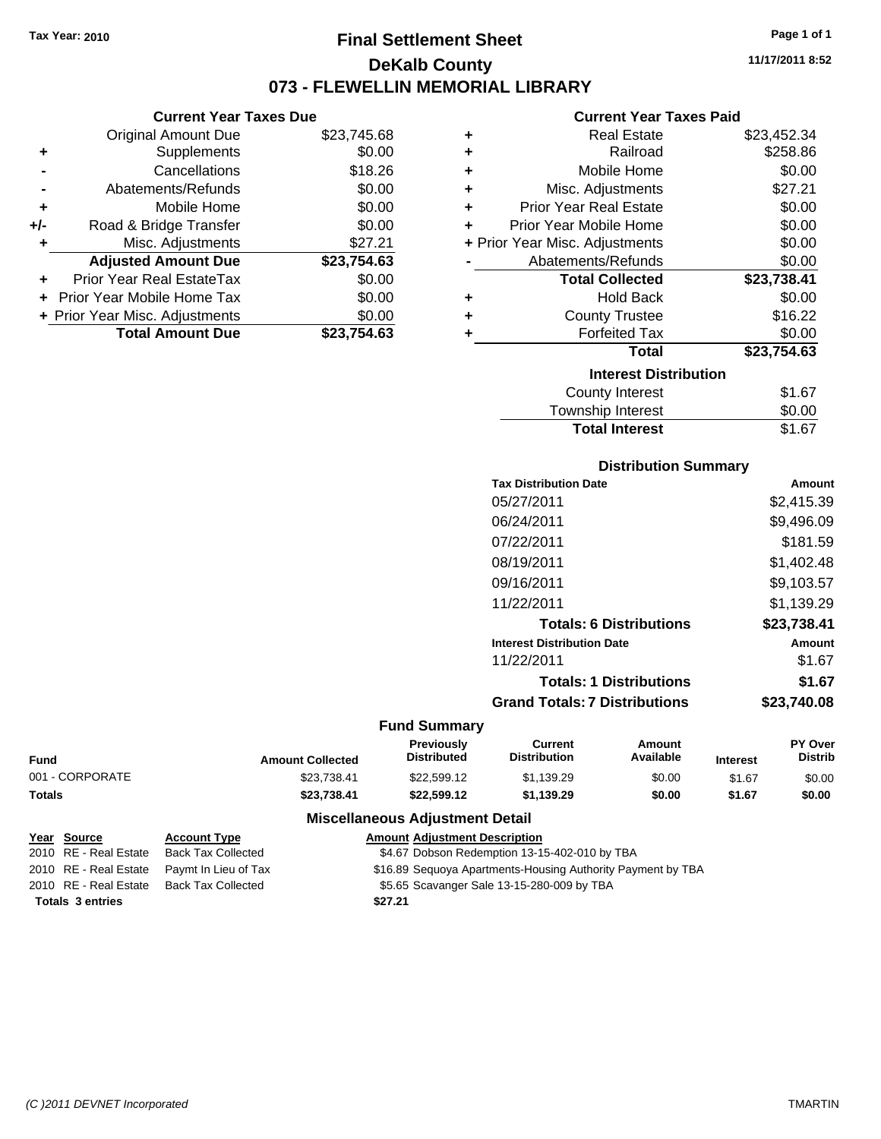**Current Year Taxes Due** Original Amount Due \$23,745.68

**Adjusted Amount Due \$23,754.63**

**Total Amount Due \$23,754.63**

**+** Supplements \$0.00 **-** Cancellations \$18.26 **-** Abatements/Refunds \$0.00 **+** Mobile Home \$0.00 **+/-** Road & Bridge Transfer \$0.00 **+** Misc. Adjustments \$27.21

**+** Prior Year Real EstateTax \$0.00 **+** Prior Year Mobile Home Tax \$0.00 **+ Prior Year Misc. Adjustments**  $$0.00$ 

### **Final Settlement Sheet Tax Year: 2010 Page 1 of 1 DeKalb County 073 - FLEWELLIN MEMORIAL LIBRARY**

**11/17/2011 8:52**

### **Current Year Taxes Paid**

| ٠ | <b>Real Estate</b>             | \$23,452.34 |
|---|--------------------------------|-------------|
| ٠ | Railroad                       | \$258.86    |
| ٠ | Mobile Home                    | \$0.00      |
| ÷ | Misc. Adjustments              | \$27.21     |
| ÷ | <b>Prior Year Real Estate</b>  | \$0.00      |
| ÷ | Prior Year Mobile Home         | \$0.00      |
|   | + Prior Year Misc. Adjustments | \$0.00      |
|   | Abatements/Refunds             | \$0.00      |
|   | <b>Total Collected</b>         | \$23,738.41 |
| ٠ | <b>Hold Back</b>               | \$0.00      |
| ٠ | <b>County Trustee</b>          | \$16.22     |
| ٠ | <b>Forfeited Tax</b>           | \$0.00      |
|   | <b>Total</b>                   | \$23,754.63 |
|   | <b>Interest Distribution</b>   |             |
|   | County Interest                | \$1.67      |
|   | Township Interest              | \$0.00      |

# Township Interest  $$0.00$ Total Interest \$1.67

| <b>DISTRIBUTION SUMMARY</b>  |            |
|------------------------------|------------|
| <b>Tax Distribution Date</b> | Amount     |
| 05/27/2011                   | \$2,415.39 |
| 06/24/2011                   | \$9,496.09 |
| 07/22/2011                   | \$181.59   |
| 08/19/2011                   | \$1,402.48 |
| 09/16/2011                   | \$9,103.57 |
| 11/22/2011                   | \$1,139.29 |
|                              |            |

**Distribution Summary**

| <b>Totals: 6 Distributions</b>       | \$23,738.41 |
|--------------------------------------|-------------|
| <b>Interest Distribution Date</b>    | Amount      |
| 11/22/2011                           | \$1.67      |
| <b>Totals: 1 Distributions</b>       | \$1.67      |
| <b>Grand Totals: 7 Distributions</b> | \$23,740.08 |

### **Fund Summary**

|                 |                         | <b>Previously</b>  | Current             | Amount    |                 | <b>PY Over</b> |
|-----------------|-------------------------|--------------------|---------------------|-----------|-----------------|----------------|
| <b>Fund</b>     | <b>Amount Collected</b> | <b>Distributed</b> | <b>Distribution</b> | Available | <b>Interest</b> | Distrib        |
| 001 - CORPORATE | \$23.738.41             | \$22.599.12        | \$1.139.29          | \$0.00    | \$1.67          | \$0.00         |
| <b>Totals</b>   | \$23.738.41             | \$22.599.12        | \$1.139.29          | \$0.00    | \$1.67          | \$0.00         |

### **Miscellaneous Adjustment Detail**

| Year Source             | <b>Account Type</b>       | <b>Amount Adjustment Description</b>                        |
|-------------------------|---------------------------|-------------------------------------------------------------|
| 2010 RE - Real Estate   | <b>Back Tax Collected</b> | \$4.67 Dobson Redemption 13-15-402-010 by TBA               |
| 2010 RE - Real Estate   | Paymt In Lieu of Tax      | \$16.89 Sequoya Apartments-Housing Authority Payment by TBA |
| 2010 RE - Real Estate   | <b>Back Tax Collected</b> | \$5.65 Scavanger Sale 13-15-280-009 by TBA                  |
| <b>Totals 3 entries</b> |                           | \$27.21                                                     |

#### *(C )2011 DEVNET Incorporated* TMARTIN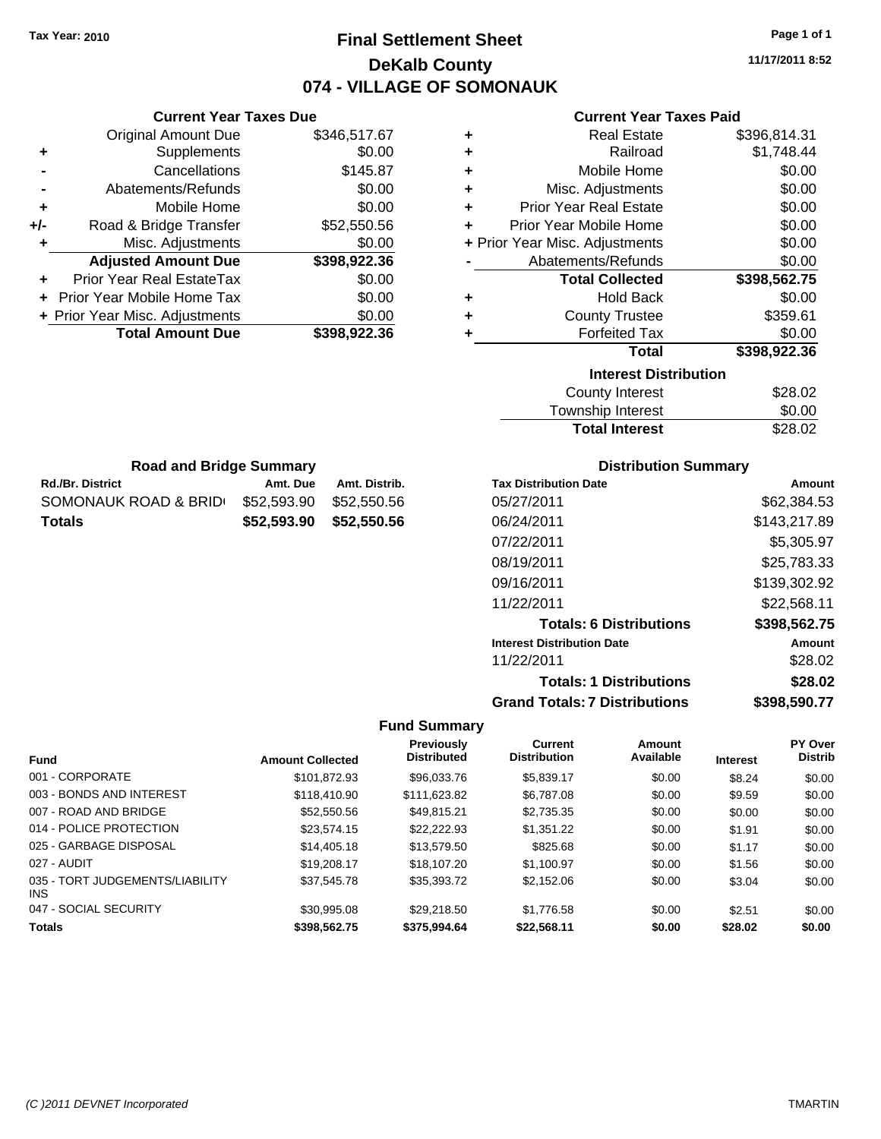### **Final Settlement Sheet Tax Year: 2010 Page 1 of 1 DeKalb County 074 - VILLAGE OF SOMONAUK**

**11/17/2011 8:52**

### **Current Year Taxes Paid**

| ٠ | <b>Real Estate</b>             | \$396,814.31 |
|---|--------------------------------|--------------|
| ٠ | Railroad                       | \$1,748.44   |
| ٠ | Mobile Home                    | \$0.00       |
| ٠ | Misc. Adjustments              | \$0.00       |
| ٠ | <b>Prior Year Real Estate</b>  | \$0.00       |
| ÷ | Prior Year Mobile Home         | \$0.00       |
|   | + Prior Year Misc. Adjustments | \$0.00       |
|   | Abatements/Refunds             | \$0.00       |
|   | <b>Total Collected</b>         | \$398,562.75 |
| ٠ | <b>Hold Back</b>               | \$0.00       |
| ÷ | <b>County Trustee</b>          | \$359.61     |
| ٠ | <b>Forfeited Tax</b>           | \$0.00       |
|   | <b>Total</b>                   | \$398,922.36 |
|   | <b>Interest Distribution</b>   |              |
|   | County Interest                | \$28.02      |
|   |                                | ີ ລ          |

| County Interest       | \$28.02 |
|-----------------------|---------|
| Township Interest     | \$0.00  |
| <b>Total Interest</b> | \$28.02 |

|         | <b>Road and Bridge Summary</b> |                   |  |
|---------|--------------------------------|-------------------|--|
| strint. |                                | $A \rightarrow A$ |  |

**Current Year Taxes Due** Original Amount Due \$346,517.67

**Adjusted Amount Due \$398,922.36**

**Total Amount Due \$398,922.36**

**+** Supplements \$0.00 **-** Cancellations \$145.87 **-** Abatements/Refunds \$0.00 **+** Mobile Home \$0.00 **+/-** Road & Bridge Transfer \$52,550.56 **+** Misc. Adjustments \$0.00

**+** Prior Year Real EstateTax \$0.00 **+** Prior Year Mobile Home Tax \$0.00 **+ Prior Year Misc. Adjustments**  $$0.00$ 

| <b>Rd./Br. District</b> | Amt. Due                | Amt. Distrib. |
|-------------------------|-------------------------|---------------|
| SOMONAUK ROAD & BRID    | \$52,593.90 \$52,550.56 |               |
| <b>Totals</b>           | \$52,593,90 \$52,550,56 |               |

### **Distribution Summary**

| <b>Tax Distribution Date</b>         | Amount       |
|--------------------------------------|--------------|
| 05/27/2011                           | \$62.384.53  |
| 06/24/2011                           | \$143,217.89 |
| 07/22/2011                           | \$5,305.97   |
| 08/19/2011                           | \$25,783.33  |
| 09/16/2011                           | \$139,302.92 |
| 11/22/2011                           | \$22,568.11  |
| <b>Totals: 6 Distributions</b>       | \$398,562.75 |
| <b>Interest Distribution Date</b>    | Amount       |
| 11/22/2011                           | \$28.02      |
| <b>Totals: 1 Distributions</b>       | \$28.02      |
| <b>Grand Totals: 7 Distributions</b> | \$398,590.77 |

| <b>Fund</b>                                   | <b>Amount Collected</b> | <b>Previously</b><br><b>Distributed</b> | <b>Current</b><br><b>Distribution</b> | Amount<br>Available | <b>Interest</b> | PY Over<br><b>Distrib</b> |
|-----------------------------------------------|-------------------------|-----------------------------------------|---------------------------------------|---------------------|-----------------|---------------------------|
| 001 - CORPORATE                               | \$101,872.93            | \$96,033,76                             | \$5.839.17                            | \$0.00              | \$8.24          | \$0.00                    |
| 003 - BONDS AND INTEREST                      | \$118,410.90            | \$111.623.82                            | \$6,787.08                            | \$0.00              | \$9.59          | \$0.00                    |
| 007 - ROAD AND BRIDGE                         | \$52,550.56             | \$49.815.21                             | \$2,735.35                            | \$0.00              | \$0.00          | \$0.00                    |
| 014 - POLICE PROTECTION                       | \$23,574.15             | \$22,222.93                             | \$1,351.22                            | \$0.00              | \$1.91          | \$0.00                    |
| 025 - GARBAGE DISPOSAL                        | \$14,405.18             | \$13,579.50                             | \$825.68                              | \$0.00              | \$1.17          | \$0.00                    |
| 027 - AUDIT                                   | \$19,208.17             | \$18,107.20                             | \$1.100.97                            | \$0.00              | \$1.56          | \$0.00                    |
| 035 - TORT JUDGEMENTS/LIABILITY<br><b>INS</b> | \$37,545.78             | \$35,393,72                             | \$2,152.06                            | \$0.00              | \$3.04          | \$0.00                    |
| 047 - SOCIAL SECURITY                         | \$30,995.08             | \$29,218.50                             | \$1.776.58                            | \$0.00              | \$2.51          | \$0.00                    |
| <b>Totals</b>                                 | \$398,562.75            | \$375,994.64                            | \$22.568.11                           | \$0.00              | \$28.02         | \$0.00                    |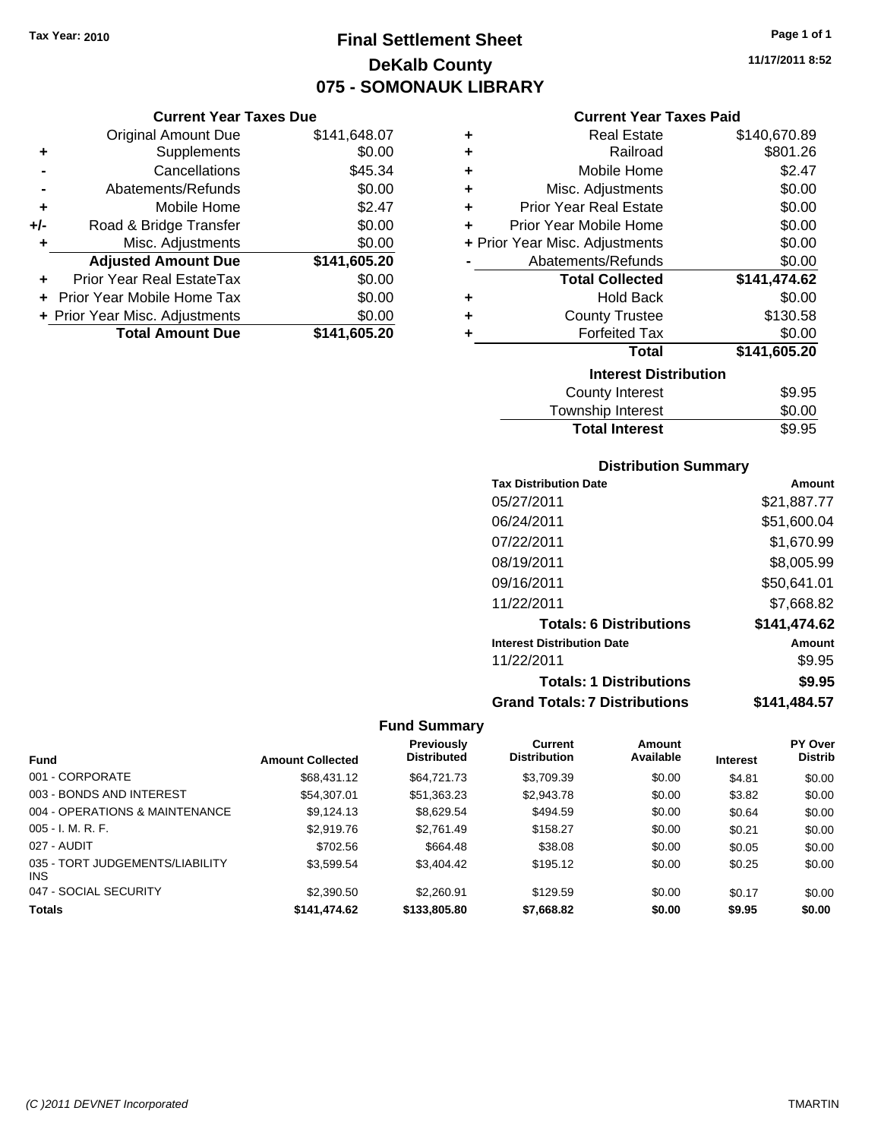## **Final Settlement Sheet Tax Year: 2010 Page 1 of 1 DeKalb County 075 - SOMONAUK LIBRARY**

### **Current Year Taxes Due**

|       | <b>Original Amount Due</b>     | \$141,648.07 |
|-------|--------------------------------|--------------|
| ٠     | Supplements                    | \$0.00       |
|       | Cancellations                  | \$45.34      |
|       | Abatements/Refunds             | \$0.00       |
| ÷     | Mobile Home                    | \$2.47       |
| $+/-$ | Road & Bridge Transfer         | \$0.00       |
| ٠     | Misc. Adjustments              | \$0.00       |
|       | <b>Adjusted Amount Due</b>     | \$141,605.20 |
|       | Prior Year Real EstateTax      | \$0.00       |
|       | Prior Year Mobile Home Tax     | \$0.00       |
|       | + Prior Year Misc. Adjustments | \$0.00       |
|       | <b>Total Amount Due</b>        | \$141,605.20 |

### **Current Year Taxes Paid**

| ٠ | <b>Real Estate</b>             | \$140,670.89 |
|---|--------------------------------|--------------|
| ÷ | Railroad                       | \$801.26     |
| ÷ | Mobile Home                    | \$2.47       |
| ٠ | Misc. Adjustments              | \$0.00       |
| ÷ | <b>Prior Year Real Estate</b>  | \$0.00       |
| ٠ | Prior Year Mobile Home         | \$0.00       |
|   | + Prior Year Misc. Adjustments | \$0.00       |
|   | Abatements/Refunds             | \$0.00       |
|   | <b>Total Collected</b>         | \$141,474.62 |
| ٠ | <b>Hold Back</b>               | \$0.00       |
| ٠ | <b>County Trustee</b>          | \$130.58     |
| ٠ | <b>Forfeited Tax</b>           | \$0.00       |
|   | Total                          | \$141,605.20 |
|   | <b>Interest Distribution</b>   |              |
|   | <b>County Interest</b>         | \$9.95       |
|   | Townehin Interest              | ፍስ ሰስ        |

| Township Interest     | \$0.00 |
|-----------------------|--------|
| <b>Total Interest</b> | \$9.95 |

### **Distribution Summary**

| <b>Tax Distribution Date</b>         | Amount       |
|--------------------------------------|--------------|
| 05/27/2011                           | \$21,887.77  |
| 06/24/2011                           | \$51,600.04  |
| 07/22/2011                           | \$1,670.99   |
| 08/19/2011                           | \$8,005.99   |
| 09/16/2011                           | \$50,641.01  |
| 11/22/2011                           | \$7,668.82   |
| <b>Totals: 6 Distributions</b>       | \$141,474.62 |
| <b>Interest Distribution Date</b>    | Amount       |
| 11/22/2011                           | \$9.95       |
| <b>Totals: 1 Distributions</b>       | \$9.95       |
| <b>Grand Totals: 7 Distributions</b> | \$141,484.57 |

|                                               |                         | Previously         | <b>Current</b>      | Amount    |                 | PY Over        |
|-----------------------------------------------|-------------------------|--------------------|---------------------|-----------|-----------------|----------------|
| <b>Fund</b>                                   | <b>Amount Collected</b> | <b>Distributed</b> | <b>Distribution</b> | Available | <b>Interest</b> | <b>Distrib</b> |
| 001 - CORPORATE                               | \$68,431,12             | \$64,721,73        | \$3,709.39          | \$0.00    | \$4.81          | \$0.00         |
| 003 - BONDS AND INTEREST                      | \$54,307.01             | \$51,363.23        | \$2,943.78          | \$0.00    | \$3.82          | \$0.00         |
| 004 - OPERATIONS & MAINTENANCE                | \$9,124.13              | \$8,629.54         | \$494.59            | \$0.00    | \$0.64          | \$0.00         |
| $005 - I. M. R. F.$                           | \$2,919.76              | \$2.761.49         | \$158.27            | \$0.00    | \$0.21          | \$0.00         |
| 027 - AUDIT                                   | \$702.56                | \$664.48           | \$38.08             | \$0.00    | \$0.05          | \$0.00         |
| 035 - TORT JUDGEMENTS/LIABILITY<br><b>INS</b> | \$3,599.54              | \$3,404.42         | \$195.12            | \$0.00    | \$0.25          | \$0.00         |
| 047 - SOCIAL SECURITY                         | \$2,390.50              | \$2,260.91         | \$129.59            | \$0.00    | \$0.17          | \$0.00         |
| <b>Totals</b>                                 | \$141.474.62            | \$133,805,80       | \$7,668.82          | \$0.00    | \$9.95          | \$0.00         |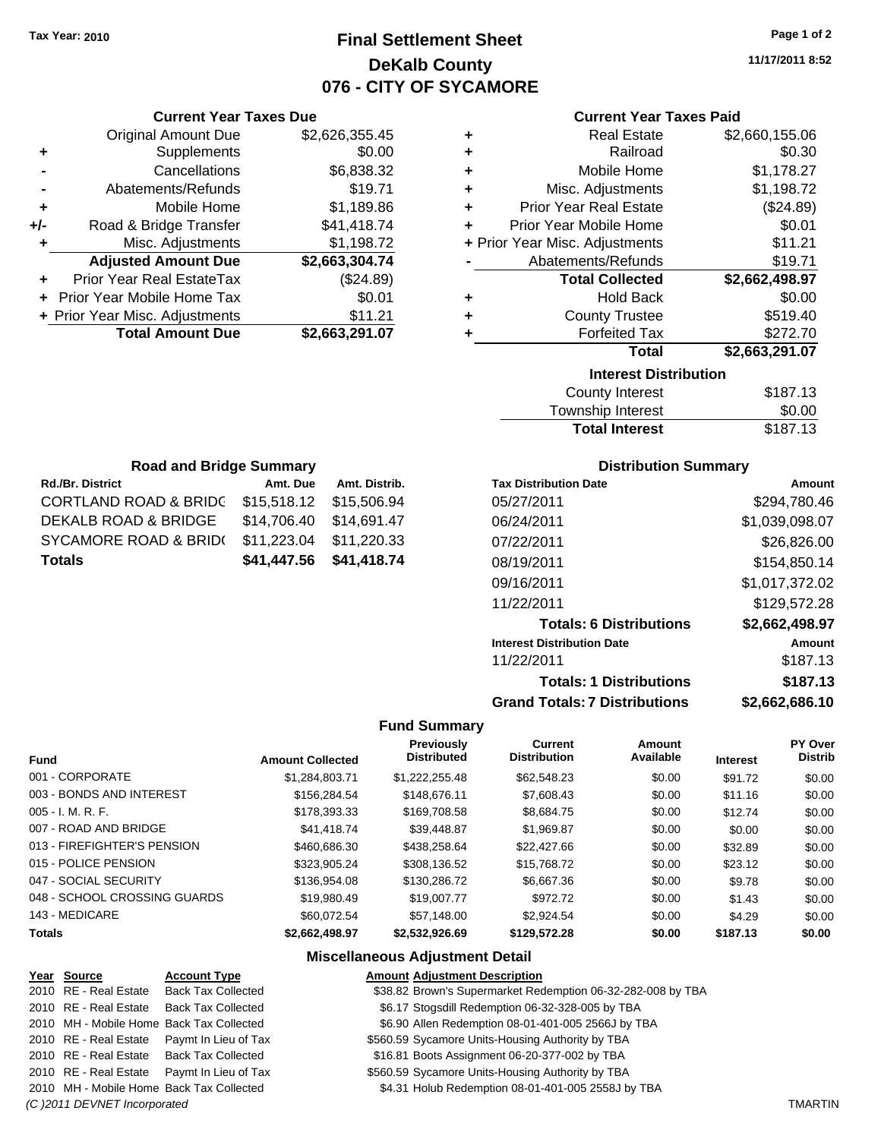### **Final Settlement Sheet Tax Year: 2010 Page 1 of 2 DeKalb County 076 - CITY OF SYCAMORE**

**11/17/2011 8:52**

| <b>Current Year Taxes Paid</b> |  |  |  |
|--------------------------------|--|--|--|
|--------------------------------|--|--|--|

| <b>Current Year Taxes Due</b> |                                                                |   |                               |                                                                  |
|-------------------------------|----------------------------------------------------------------|---|-------------------------------|------------------------------------------------------------------|
| <b>Original Amount Due</b>    | \$2,626,355.45                                                 |   | <b>Real Estate</b>            | \$2,660,155.06                                                   |
| Supplements                   | \$0.00                                                         | ٠ | Railroad                      | \$0.30                                                           |
| Cancellations                 | \$6,838.32                                                     |   | Mobile Home                   | \$1,178.27                                                       |
| Abatements/Refunds            | \$19.71                                                        |   | Misc. Adjustments             | \$1,198.72                                                       |
| Mobile Home                   | \$1,189.86                                                     | ٠ | <b>Prior Year Real Estate</b> | (\$24.89)                                                        |
| Road & Bridge Transfer        | \$41,418.74                                                    | ÷ | Prior Year Mobile Home        | \$0.01                                                           |
| Misc. Adjustments             | \$1,198.72                                                     |   |                               | \$11.21                                                          |
| <b>Adjusted Amount Due</b>    | \$2,663,304.74                                                 |   | Abatements/Refunds            | \$19.71                                                          |
| Prior Year Real EstateTax     | (\$24.89)                                                      |   | <b>Total Collected</b>        | \$2,662,498.97                                                   |
|                               | \$0.01                                                         | ٠ | <b>Hold Back</b>              | \$0.00                                                           |
|                               | \$11.21                                                        |   | <b>County Trustee</b>         | \$519.40                                                         |
| <b>Total Amount Due</b>       | \$2,663,291.07                                                 |   | <b>Forfeited Tax</b>          | \$272.70                                                         |
|                               |                                                                |   | Total                         | \$2,663,291.07                                                   |
| +/-<br>٠                      | + Prior Year Mobile Home Tax<br>+ Prior Year Misc. Adjustments |   |                               | <b>Current Year Taxes Paid</b><br>+ Prior Year Misc. Adjustments |

|   | <b>Interest Distribution</b><br>County Interact | <b>41 27 12</b> |
|---|-------------------------------------------------|-----------------|
|   | Total                                           | \$2,663,291.07  |
| ٠ | <b>Forfeited Tax</b>                            | \$272.70        |
| ÷ | <b>County Trustee</b>                           | \$519.40        |
| ÷ | <b>Hold Back</b>                                | \$0.00          |
|   | <b>Total Collected</b>                          | \$2,662,498.97  |
|   | Abatements/Refunds                              | \$19.71         |
|   | + Prior Year Misc. Adjustments                  | \$11.21         |
| ÷ | Prior Year Mobile Home                          | \$0.01          |
| ÷ | <b>Prior Year Real Estate</b>                   | (\$24.89)       |
| ÷ | Misc. Adjustments                               | \$1,198.72      |
| ÷ | Mobile Home                                     | \$1,178.27      |

| <b>Total Interest</b> | \$187.13 |
|-----------------------|----------|
| Township Interest     | \$0.00   |
| County Interest       | \$187.13 |

| <b>Road and Bridge Summary</b>              |             |               |  |  |
|---------------------------------------------|-------------|---------------|--|--|
| <b>Rd./Br. District</b>                     | Amt. Due    | Amt. Distrib. |  |  |
| <b>CORTLAND ROAD &amp; BRIDC</b>            | \$15,518.12 | \$15,506.94   |  |  |
| DEKALB ROAD & BRIDGE                        | \$14,706.40 | \$14,691.47   |  |  |
| <b>SYCAMORE ROAD &amp; BRID(</b>            | \$11,223.04 | \$11,220.33   |  |  |
| \$41,418.74<br>\$41,447.56<br><b>Totals</b> |             |               |  |  |

#### **Distribution Summary**

| <b>Tax Distribution Date</b>         | Amount         |
|--------------------------------------|----------------|
| 05/27/2011                           | \$294,780.46   |
| 06/24/2011                           | \$1,039,098.07 |
| 07/22/2011                           | \$26,826.00    |
| 08/19/2011                           | \$154,850.14   |
| 09/16/2011                           | \$1,017,372.02 |
| 11/22/2011                           | \$129,572.28   |
| <b>Totals: 6 Distributions</b>       | \$2,662,498.97 |
| <b>Interest Distribution Date</b>    | Amount         |
| 11/22/2011                           | \$187.13       |
| <b>Totals: 1 Distributions</b>       | \$187.13       |
| <b>Grand Totals: 7 Distributions</b> | \$2,662,686.10 |

#### **Fund Summary**

| <b>Fund</b>                  | <b>Amount Collected</b> | Previously<br><b>Distributed</b> | <b>Current</b><br><b>Distribution</b> | Amount<br>Available | <b>Interest</b> | <b>PY Over</b><br><b>Distrib</b> |
|------------------------------|-------------------------|----------------------------------|---------------------------------------|---------------------|-----------------|----------------------------------|
| 001 - CORPORATE              | \$1,284,803.71          | \$1,222,255.48                   | \$62,548.23                           | \$0.00              | \$91.72         | \$0.00                           |
| 003 - BONDS AND INTEREST     | \$156,284.54            | \$148,676.11                     | \$7,608.43                            | \$0.00              | \$11.16         | \$0.00                           |
| $005 - I. M. R. F.$          | \$178,393.33            | \$169,708.58                     | \$8.684.75                            | \$0.00              | \$12.74         | \$0.00                           |
| 007 - ROAD AND BRIDGE        | \$41,418,74             | \$39,448.87                      | \$1.969.87                            | \$0.00              | \$0.00          | \$0.00                           |
| 013 - FIREFIGHTER'S PENSION  | \$460,686,30            | \$438,258,64                     | \$22,427.66                           | \$0.00              | \$32.89         | \$0.00                           |
| 015 - POLICE PENSION         | \$323.905.24            | \$308.136.52                     | \$15,768,72                           | \$0.00              | \$23.12         | \$0.00                           |
| 047 - SOCIAL SECURITY        | \$136,954.08            | \$130,286,72                     | \$6,667,36                            | \$0.00              | \$9.78          | \$0.00                           |
| 048 - SCHOOL CROSSING GUARDS | \$19,980.49             | \$19,007.77                      | \$972.72                              | \$0.00              | \$1.43          | \$0.00                           |
| 143 - MEDICARE               | \$60.072.54             | \$57.148.00                      | \$2.924.54                            | \$0.00              | \$4.29          | \$0.00                           |
| <b>Totals</b>                | \$2.662.498.97          | \$2,532,926.69                   | \$129,572.28                          | \$0.00              | \$187.13        | \$0.00                           |

#### **Miscellaneous Adjustment Detail**

#### **Year Source Account Type Amount Adjustment Description**

2010 RE - Real Estate Back Tax Collected \$38.82 Brown's Supermarket Redemption 06-32-282-008 by TBA

- 2010 RE Real Estate Back Tax Collected \$6.17 Stogsdill Redemption 06-32-328-005 by TBA
- 2010 MH Mobile Home Back Tax Collected **Allen Redemption 08-01-401-005 2566J by TBA**
- 2010 RE Real Estate Paymt In Lieu of Tax \$560.59 Sycamore Units-Housing Authority by TBA
- 2010 RE Real Estate Back Tax Collected \$16.81 Boots Assignment 06-20-377-002 by TBA
- 2010 RE Real Estate Paymt In Lieu of Tax **\$560.59 Sycamore Units-Housing Authority by TBA**
- 2010 MH Mobile Home Back Tax Collected **64.31 Holub Redemption 08-01-401-005 2558J by TBA**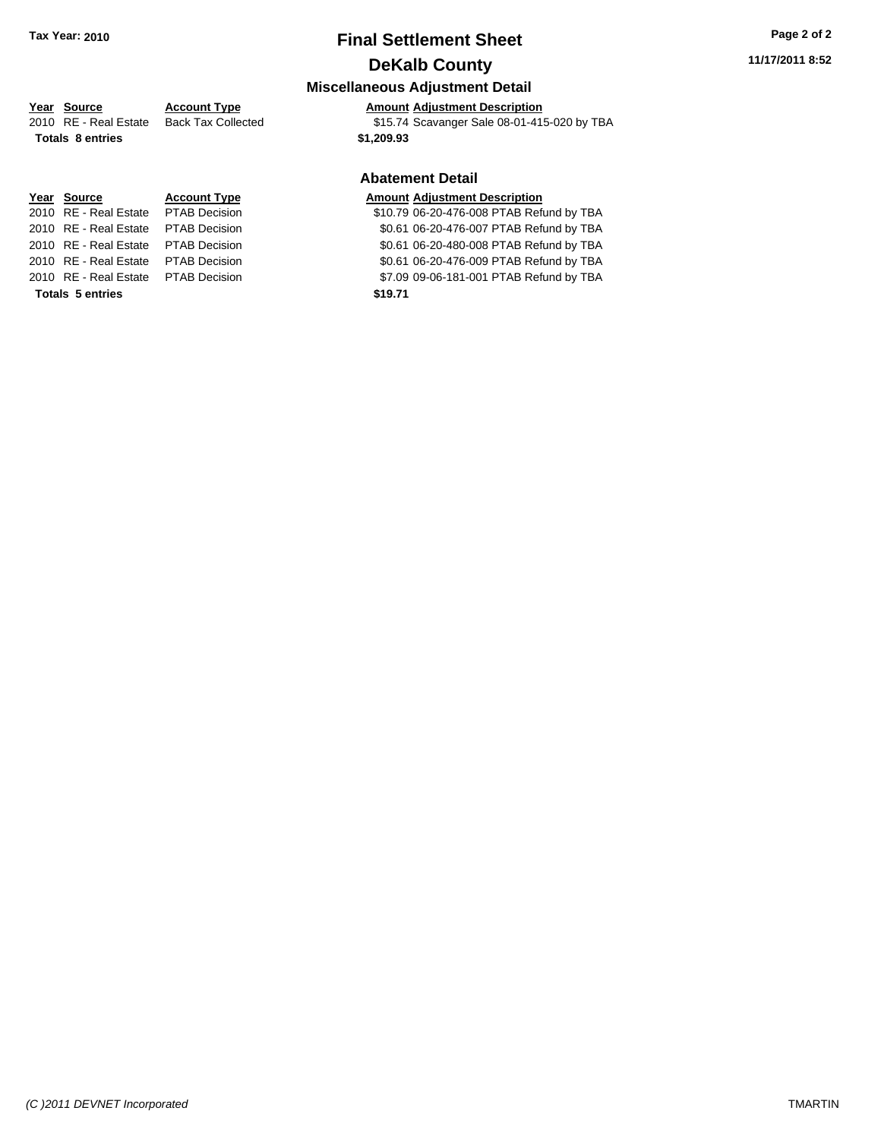### **Final Settlement Sheet Tax Year: 2010 Page 2 of 2 DeKalb County**

### **Miscellaneous Adjustment Detail**

### **Year Source Account Type Amount Adjustment Description**

2010 RE - Real Estate Back Tax Collected \$15.74 Scavanger Sale 08-01-415-020 by TBA

### **Abatement Detail**

#### **Year Source Account Type Amount Adjustment Description**

2010 810.79 06-20-476-008 PTAB Refund by TBA 20.61 06-20-476-007 PTAB Refund by TBA 20.61 06-20-480-008 PTAB Refund by TBA 20.61 06-20-476-009 PTAB Refund by TBA

2010 87.09 09-06-181-001 PTAB Refund by TBA

**Totals \$1,209.93 8 entries**

| Year Source                         | <b>Account Type</b> | Amount  |
|-------------------------------------|---------------------|---------|
| 2010 RE - Real Estate PTAB Decision |                     | \$10.79 |
| 2010 RE - Real Estate PTAB Decision |                     | \$0.61  |
| 2010 RE - Real Estate PTAB Decision |                     | \$0.61  |
| 2010 RE - Real Estate PTAB Decision |                     | \$0.61  |
| 2010 RE - Real Estate PTAB Decision |                     | \$7.09  |
| <b>Totals 5 entries</b>             |                     | \$19.71 |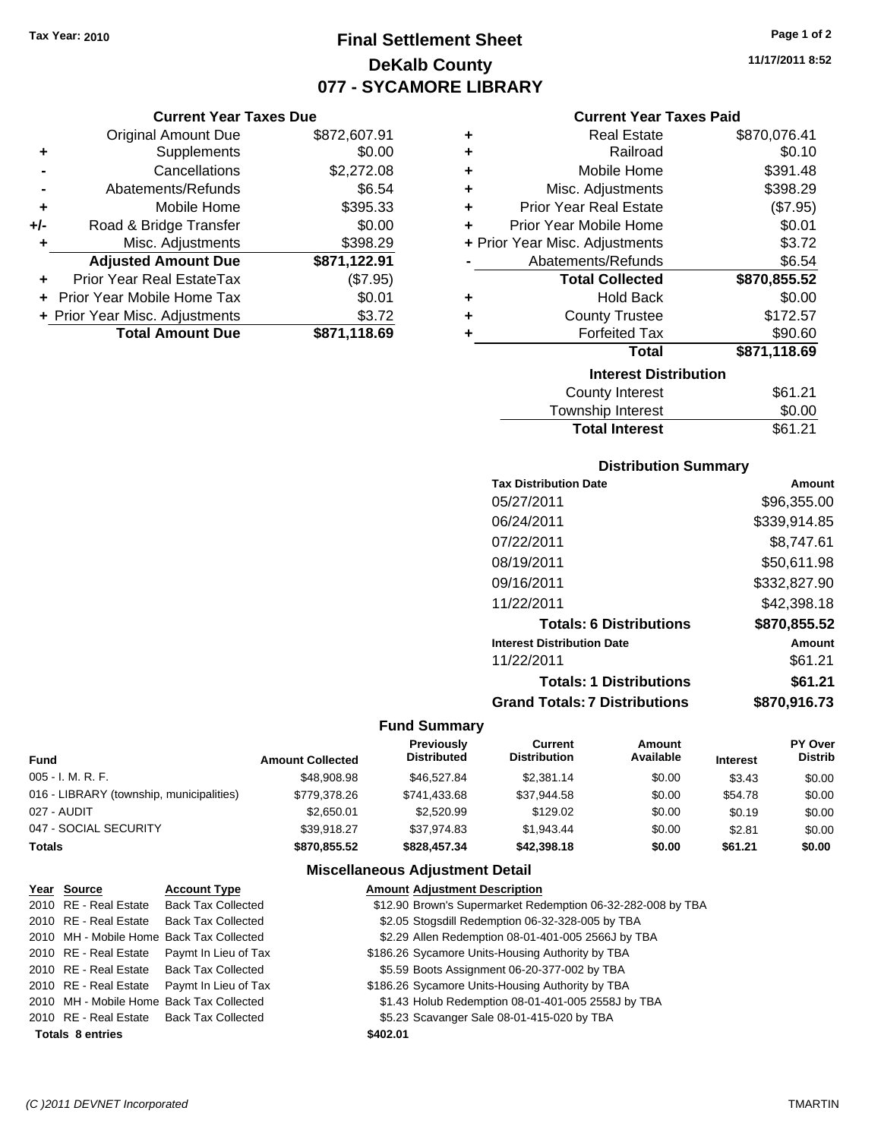### **Final Settlement Sheet Tax Year: 2010 Page 1 of 2 DeKalb County 077 - SYCAMORE LIBRARY**

### **Current Year Taxes Due**

|     | <b>Original Amount Due</b>     | \$872,607.91 |
|-----|--------------------------------|--------------|
| ٠   | Supplements                    | \$0.00       |
|     | Cancellations                  | \$2,272.08   |
|     | Abatements/Refunds             | \$6.54       |
| ٠   | Mobile Home                    | \$395.33     |
| +/- | Road & Bridge Transfer         | \$0.00       |
| ٠   | Misc. Adjustments              | \$398.29     |
|     | <b>Adjusted Amount Due</b>     | \$871,122.91 |
|     | Prior Year Real EstateTax      | (\$7.95)     |
|     | Prior Year Mobile Home Tax     | \$0.01       |
|     | + Prior Year Misc. Adjustments | \$3.72       |
|     | <b>Total Amount Due</b>        | \$871,118.69 |

### **Current Year Taxes Paid**

| ٠ | <b>Real Estate</b>             | \$870,076.41 |
|---|--------------------------------|--------------|
| ÷ | Railroad                       | \$0.10       |
| ÷ | Mobile Home                    | \$391.48     |
| ٠ | Misc. Adjustments              | \$398.29     |
| ٠ | <b>Prior Year Real Estate</b>  | (\$7.95)     |
| ٠ | Prior Year Mobile Home         | \$0.01       |
|   | + Prior Year Misc. Adjustments | \$3.72       |
|   | Abatements/Refunds             | \$6.54       |
|   | <b>Total Collected</b>         | \$870,855.52 |
| ٠ | <b>Hold Back</b>               | \$0.00       |
| ٠ | <b>County Trustee</b>          | \$172.57     |
| ٠ | <b>Forfeited Tax</b>           | \$90.60      |
|   | Total                          | \$871,118.69 |
|   | <b>Interest Distribution</b>   |              |
|   | <b>County Interest</b>         | \$61.21      |
|   | Township Interest              | \$0.00       |
|   | <b>Total Interest</b>          | \$61.21      |

### **Distribution Summary**

| <b>Tax Distribution Date</b>         | Amount       |
|--------------------------------------|--------------|
| 05/27/2011                           | \$96.355.00  |
| 06/24/2011                           | \$339.914.85 |
| 07/22/2011                           | \$8,747.61   |
| 08/19/2011                           | \$50.611.98  |
| 09/16/2011                           | \$332,827.90 |
| 11/22/2011                           | \$42,398.18  |
| <b>Totals: 6 Distributions</b>       | \$870,855.52 |
| <b>Interest Distribution Date</b>    | Amount       |
| 11/22/2011                           | \$61.21      |
| <b>Totals: 1 Distributions</b>       | \$61.21      |
| <b>Grand Totals: 7 Distributions</b> | \$870,916.73 |

### **Fund Summary**

| <b>Fund</b>                              | <b>Amount Collected</b> | <b>Previously</b><br><b>Distributed</b> | Current<br><b>Distribution</b> | Amount<br>Available | <b>Interest</b> | PY Over<br><b>Distrib</b> |
|------------------------------------------|-------------------------|-----------------------------------------|--------------------------------|---------------------|-----------------|---------------------------|
| 005 - I. M. R. F.                        | \$48,908.98             | \$46,527.84                             | \$2,381.14                     | \$0.00              | \$3.43          | \$0.00                    |
| 016 - LIBRARY (township, municipalities) | \$779,378.26            | \$741,433.68                            | \$37,944.58                    | \$0.00              | \$54.78         | \$0.00                    |
| 027 - AUDIT                              | \$2,650.01              | \$2,520.99                              | \$129.02                       | \$0.00              | \$0.19          | \$0.00                    |
| 047 - SOCIAL SECURITY                    | \$39.918.27             | \$37.974.83                             | \$1.943.44                     | \$0.00              | \$2.81          | \$0.00                    |
| Totals                                   | \$870.855.52            | \$828,457,34                            | \$42,398.18                    | \$0.00              | \$61.21         | \$0.00                    |

### **Miscellaneous Adjustment Detail**

| Year Source             | <b>Account Type</b>                        |          | <b>Amount Adjustment Description</b>                        |
|-------------------------|--------------------------------------------|----------|-------------------------------------------------------------|
| 2010 RE - Real Estate   | <b>Back Tax Collected</b>                  |          | \$12.90 Brown's Supermarket Redemption 06-32-282-008 by TBA |
|                         | 2010 RE - Real Estate Back Tax Collected   |          | \$2.05 Stogsdill Redemption 06-32-328-005 by TBA            |
|                         | 2010 MH - Mobile Home Back Tax Collected   |          | \$2.29 Allen Redemption 08-01-401-005 2566J by TBA          |
|                         | 2010 RE - Real Estate Paymt In Lieu of Tax |          | \$186.26 Sycamore Units-Housing Authority by TBA            |
|                         | 2010 RE - Real Estate Back Tax Collected   |          | \$5.59 Boots Assignment 06-20-377-002 by TBA                |
|                         | 2010 RE - Real Estate Paymt In Lieu of Tax |          | \$186.26 Sycamore Units-Housing Authority by TBA            |
|                         | 2010 MH - Mobile Home Back Tax Collected   |          | \$1.43 Holub Redemption 08-01-401-005 2558J by TBA          |
|                         | 2010 RE - Real Estate Back Tax Collected   |          | \$5.23 Scavanger Sale 08-01-415-020 by TBA                  |
| <b>Totals 8 entries</b> |                                            | \$402.01 |                                                             |

**11/17/2011 8:52**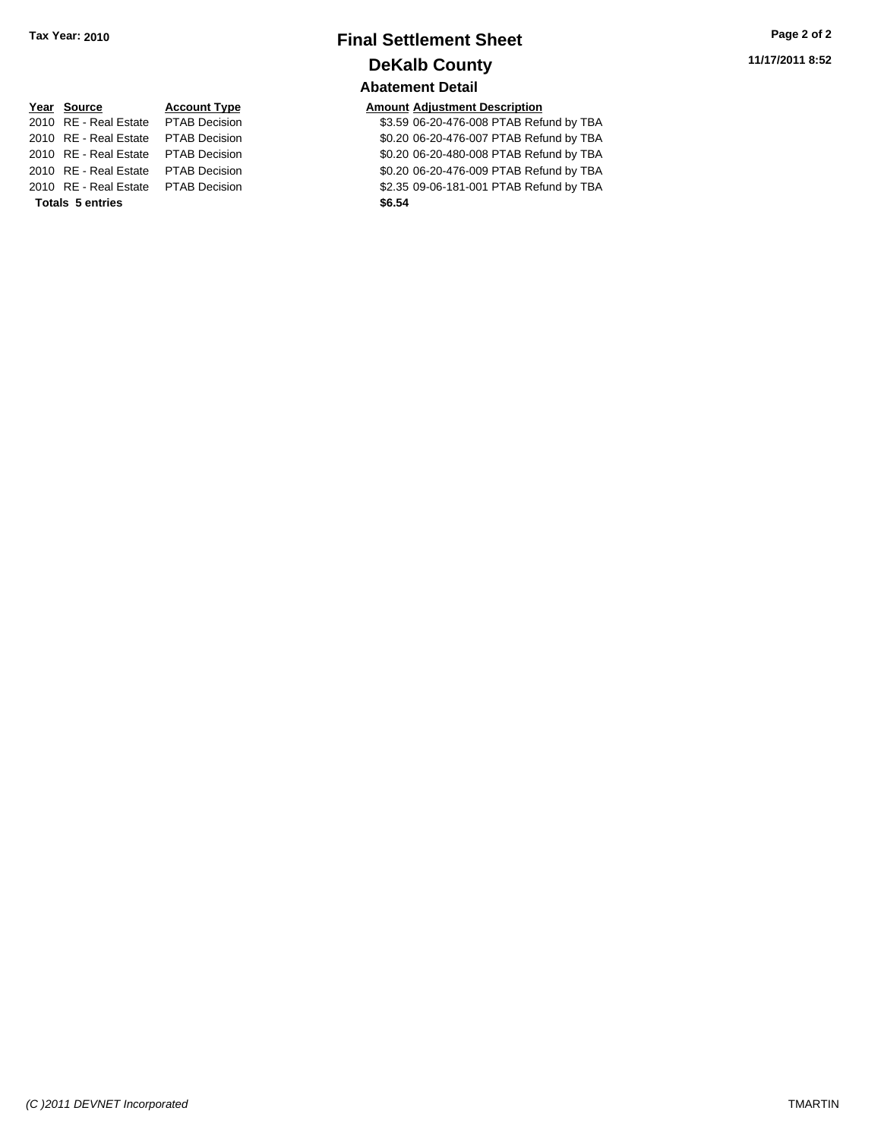### **Final Settlement Sheet Tax Year: 2010 Page 2 of 2 DeKalb County Abatement Detail**

| Year Source                         | <b>Account Type</b>  | Amount |
|-------------------------------------|----------------------|--------|
| 2010 RE - Real Estate               | <b>PTAB Decision</b> | \$3.59 |
| 2010 RE - Real Estate               | <b>PTAB Decision</b> | \$0.20 |
| 2010 RE - Real Estate               | <b>PTAB Decision</b> | \$0.20 |
| 2010 RE - Real Estate               | <b>PTAB Decision</b> | \$0.20 |
| 2010 RE - Real Estate PTAB Decision |                      | \$2.35 |
| <b>Totals 5 entries</b>             |                      | \$6.54 |

**Amount Adjustment Description** \$3.59 06-20-476-008 PTAB Refund by TBA \$0.20 06-20-476-007 PTAB Refund by TBA \$0.20 06-20-480-008 PTAB Refund by TBA \$0.20 06-20-476-009 PTAB Refund by TBA \$2.35 09-06-181-001 PTAB Refund by TBA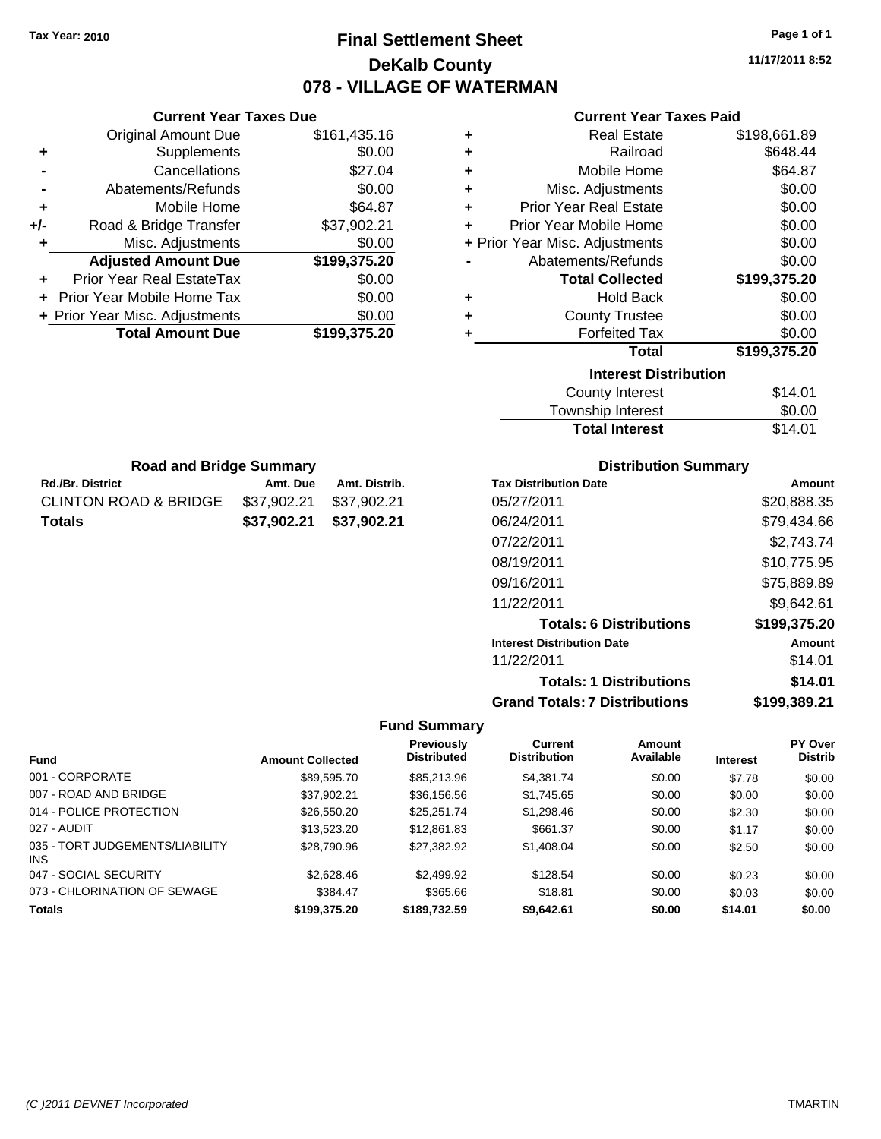### **Final Settlement Sheet Tax Year: 2010 Page 1 of 1 DeKalb County 078 - VILLAGE OF WATERMAN**

**11/17/2011 8:52**

#### **Current Year Taxes Paid**

| ٠ | <b>Real Estate</b>                   | \$198,661.89 |
|---|--------------------------------------|--------------|
| ÷ | Railroad                             | \$648.44     |
| ÷ | Mobile Home                          | \$64.87      |
| ÷ | Misc. Adjustments                    | \$0.00       |
| ÷ | <b>Prior Year Real Estate</b>        | \$0.00       |
| ÷ | Prior Year Mobile Home               | \$0.00       |
|   | + Prior Year Misc. Adjustments       | \$0.00       |
|   | Abatements/Refunds                   | \$0.00       |
|   | <b>Total Collected</b>               | \$199,375.20 |
| ٠ | Hold Back                            | \$0.00       |
| ÷ | <b>County Trustee</b>                | \$0.00       |
| ÷ | <b>Forfeited Tax</b>                 | \$0.00       |
|   | Total                                | \$199,375.20 |
|   | <b>Interest Distribution</b>         |              |
|   | <b>County Interest</b>               | \$14.01      |
|   | المتحدث والمنابذ والمرورين والتحاجين | mn nn        |

| <b>Total Interest</b> | \$14.01 |
|-----------------------|---------|
| Township Interest     | \$0.00  |
| County Interest       | \$14.01 |

| <b>Road and Bridge Summary</b> |                         |               |  |  |  |  |
|--------------------------------|-------------------------|---------------|--|--|--|--|
| <b>Rd./Br. District</b>        | Amt. Due                | Amt. Distrib. |  |  |  |  |
| CLINTON ROAD & BRIDGE          | \$37,902.21 \$37,902.21 |               |  |  |  |  |
| Totals                         | \$37,902.21 \$37,902.21 |               |  |  |  |  |

**Current Year Taxes Due** Original Amount Due \$161,435.16

**Adjusted Amount Due \$199,375.20**

**+** Supplements \$0.00 **-** Cancellations \$27.04 **-** Abatements/Refunds \$0.00 **+** Mobile Home \$64.87 **+/-** Road & Bridge Transfer \$37,902.21 **+** Misc. Adjustments \$0.00

**+** Prior Year Real EstateTax \$0.00 **+** Prior Year Mobile Home Tax \$0.00 **+ Prior Year Misc. Adjustments \$0.00<br>Total Amount Due \$199,375.20** 

**Total Amount Due** 

### **Distribution Summary**

| <b>Tax Distribution Date</b>         | Amount       |
|--------------------------------------|--------------|
| 05/27/2011                           | \$20,888.35  |
| 06/24/2011                           | \$79,434.66  |
| 07/22/2011                           | \$2,743.74   |
| 08/19/2011                           | \$10,775.95  |
| 09/16/2011                           | \$75,889.89  |
| 11/22/2011                           | \$9,642.61   |
| <b>Totals: 6 Distributions</b>       | \$199,375.20 |
| <b>Interest Distribution Date</b>    | Amount       |
| 11/22/2011                           | \$14.01      |
| <b>Totals: 1 Distributions</b>       | \$14.01      |
| <b>Grand Totals: 7 Distributions</b> | \$199,389.21 |

|                                         |                         | <b>Previously</b>  | <b>Current</b>      | Amount    |                 | PY Over        |
|-----------------------------------------|-------------------------|--------------------|---------------------|-----------|-----------------|----------------|
| <b>Fund</b>                             | <b>Amount Collected</b> | <b>Distributed</b> | <b>Distribution</b> | Available | <b>Interest</b> | <b>Distrib</b> |
| 001 - CORPORATE                         | \$89,595.70             | \$85,213,96        | \$4,381.74          | \$0.00    | \$7.78          | \$0.00         |
| 007 - ROAD AND BRIDGE                   | \$37.902.21             | \$36,156.56        | \$1,745.65          | \$0.00    | \$0.00          | \$0.00         |
| 014 - POLICE PROTECTION                 | \$26,550.20             | \$25.251.74        | \$1,298.46          | \$0.00    | \$2.30          | \$0.00         |
| 027 - AUDIT                             | \$13.523.20             | \$12,861.83        | \$661.37            | \$0.00    | \$1.17          | \$0.00         |
| 035 - TORT JUDGEMENTS/LIABILITY<br>INS. | \$28,790.96             | \$27.382.92        | \$1,408.04          | \$0.00    | \$2.50          | \$0.00         |
| 047 - SOCIAL SECURITY                   | \$2,628.46              | \$2,499.92         | \$128.54            | \$0.00    | \$0.23          | \$0.00         |
| 073 - CHLORINATION OF SEWAGE            | \$384.47                | \$365.66           | \$18.81             | \$0.00    | \$0.03          | \$0.00         |
| <b>Totals</b>                           | \$199,375,20            | \$189,732.59       | \$9.642.61          | \$0.00    | \$14.01         | \$0.00         |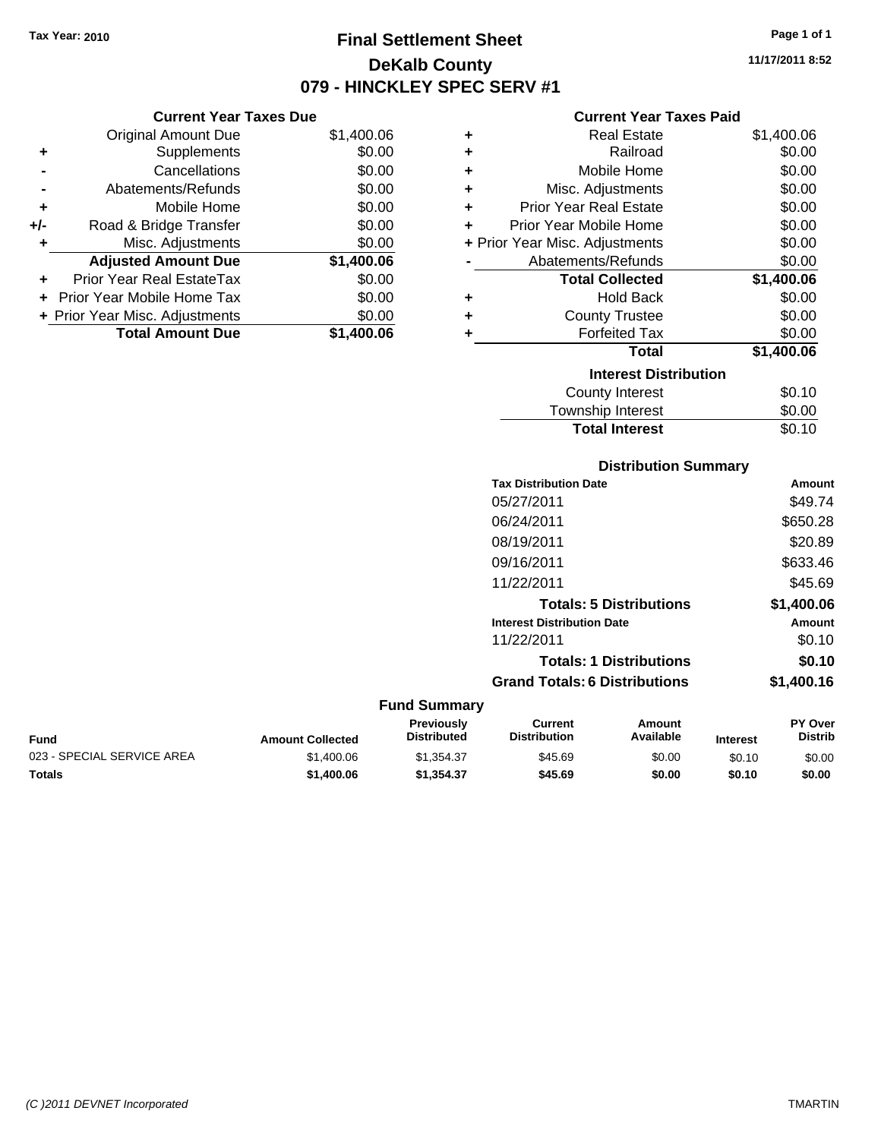**Current Year Taxes Due** Original Amount Due \$1,400.06

**Adjusted Amount Due \$1,400.06**

**Total Amount Due \$1,400.06**

**+** Supplements \$0.00 **-** Cancellations \$0.00 **-** Abatements/Refunds \$0.00 **+** Mobile Home \$0.00 **+/-** Road & Bridge Transfer \$0.00 **+** Misc. Adjustments \$0.00

**+** Prior Year Real EstateTax \$0.00 **+** Prior Year Mobile Home Tax \$0.00 **+ Prior Year Misc. Adjustments**  $$0.00$ 

### **Final Settlement Sheet Tax Year: 2010 Page 1 of 1 DeKalb County 079 - HINCKLEY SPEC SERV #1**

**11/17/2011 8:52**

### **Current Year Taxes Paid**

| ٠                  | <b>Real Estate</b>             | \$1,400.06 |
|--------------------|--------------------------------|------------|
| ٠                  | Railroad                       | \$0.00     |
| ٠                  | Mobile Home                    | \$0.00     |
| ÷                  | Misc. Adjustments              | \$0.00     |
| ÷                  | <b>Prior Year Real Estate</b>  | \$0.00     |
| ÷                  | Prior Year Mobile Home         | \$0.00     |
|                    | + Prior Year Misc. Adjustments | \$0.00     |
| Abatements/Refunds |                                | \$0.00     |
|                    | <b>Total Collected</b>         | \$1,400.06 |
| ٠                  | <b>Hold Back</b>               | \$0.00     |
| ٠                  | <b>County Trustee</b>          | \$0.00     |
| ٠                  | <b>Forfeited Tax</b>           | \$0.00     |
|                    | <b>Total</b>                   | \$1,400.06 |
|                    | <b>Interest Distribution</b>   |            |
|                    | <b>County Interest</b>         | \$0.10     |
|                    | Taurachin Internat             | ድስ ሰሰ      |

| Township Interest     | \$0.00 |
|-----------------------|--------|
| <b>Total Interest</b> | \$0.10 |

### **Distribution Summary**

| <b>Tax Distribution Date</b>         | Amount     |
|--------------------------------------|------------|
| 05/27/2011                           | \$49.74    |
| 06/24/2011                           | \$650.28   |
| 08/19/2011                           | \$20.89    |
| 09/16/2011                           | \$633.46   |
| 11/22/2011                           | \$45.69    |
| <b>Totals: 5 Distributions</b>       | \$1,400.06 |
| <b>Interest Distribution Date</b>    | Amount     |
| 11/22/2011                           | \$0.10     |
| <b>Totals: 1 Distributions</b>       | \$0.10     |
| <b>Grand Totals: 6 Distributions</b> | \$1,400.16 |
|                                      |            |

| <b>Fund</b>                | <b>Amount Collected</b> | Previously<br><b>Distributed</b> | Current<br><b>Distribution</b> | Amount<br>Available | <b>Interest</b> | <b>PY Over</b><br><b>Distrib</b> |
|----------------------------|-------------------------|----------------------------------|--------------------------------|---------------------|-----------------|----------------------------------|
| 023 - SPECIAL SERVICE AREA | \$1,400.06              | \$1.354.37                       | \$45.69                        | \$0.00              | \$0.10          | \$0.00                           |
| <b>Totals</b>              | \$1,400.06              | \$1,354,37                       | \$45.69                        | \$0.00              | \$0.10          | \$0.00                           |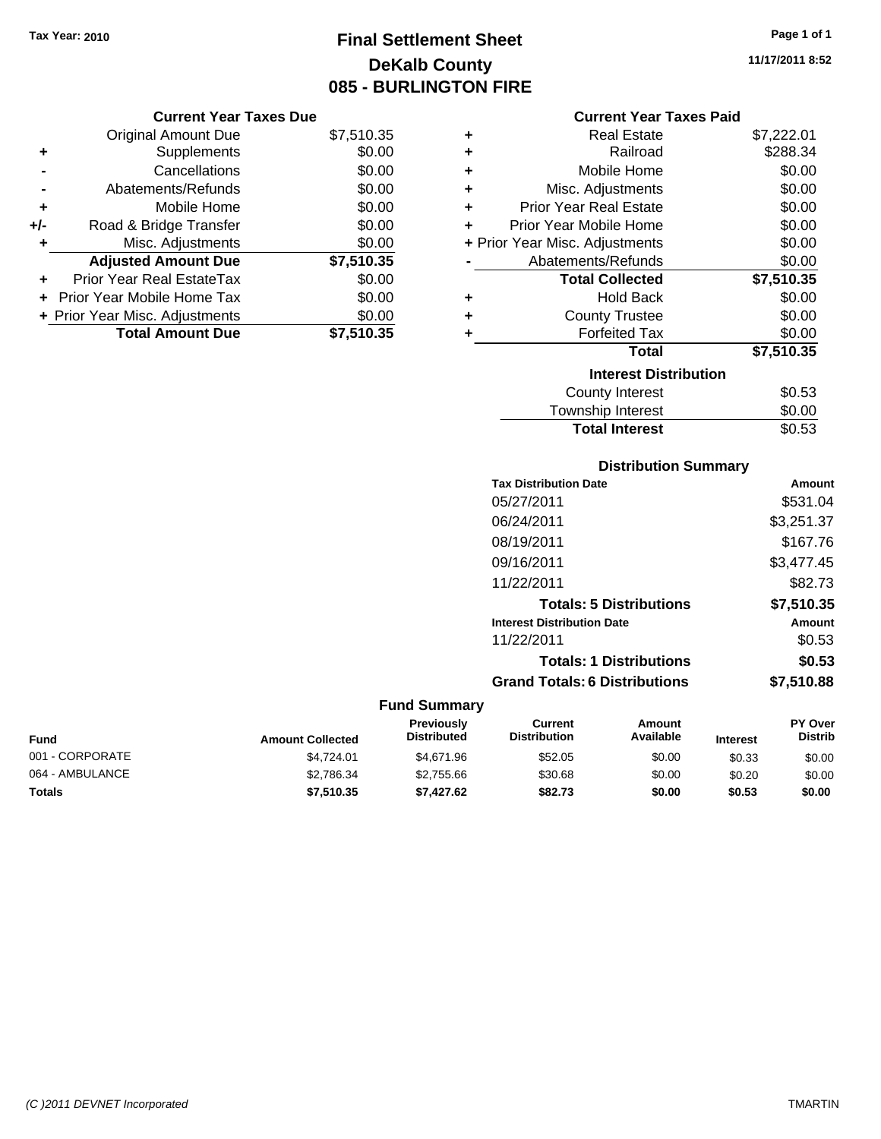## **Final Settlement Sheet Tax Year: 2010 Page 1 of 1 DeKalb County 085 - BURLINGTON FIRE**

**11/17/2011 8:52**

|     | <b>Original Amount Due</b>       | \$7,510.35 |
|-----|----------------------------------|------------|
| ٠   | Supplements                      | \$0.00     |
|     | Cancellations                    | \$0.00     |
|     | Abatements/Refunds               | \$0.00     |
| ٠   | Mobile Home                      | \$0.00     |
| +/- | Road & Bridge Transfer           | \$0.00     |
| ٠   | Misc. Adjustments                | \$0.00     |
|     | <b>Adjusted Amount Due</b>       | \$7,510.35 |
|     | <b>Prior Year Real EstateTax</b> | \$0.00     |
|     | Prior Year Mobile Home Tax       | \$0.00     |
|     | + Prior Year Misc. Adjustments   | \$0.00     |
|     | <b>Total Amount Due</b>          | \$7,510.35 |

### **Current Year Taxes Paid**

| ٠ | Real Estate                    | \$7,222.01 |
|---|--------------------------------|------------|
| ٠ | Railroad                       | \$288.34   |
| ÷ | Mobile Home                    | \$0.00     |
| ÷ | Misc. Adjustments              | \$0.00     |
| ÷ | <b>Prior Year Real Estate</b>  | \$0.00     |
| ÷ | Prior Year Mobile Home         | \$0.00     |
|   | + Prior Year Misc. Adjustments | \$0.00     |
|   | Abatements/Refunds             | \$0.00     |
|   |                                |            |
|   | <b>Total Collected</b>         | \$7,510.35 |
| ٠ | Hold Back                      | \$0.00     |
| ÷ | <b>County Trustee</b>          | \$0.00     |
| ٠ | <b>Forfeited Tax</b>           | \$0.00     |
|   | <b>Total</b>                   | \$7,510.35 |
|   | <b>Interest Distribution</b>   |            |
|   | <b>County Interest</b>         | \$0.53     |

### **Total Interest** \$0.53

| <b>Distribution Summary</b>          |            |
|--------------------------------------|------------|
| <b>Tax Distribution Date</b>         | Amount     |
| 05/27/2011                           | \$531.04   |
| 06/24/2011                           | \$3,251.37 |
| 08/19/2011                           | \$167.76   |
| 09/16/2011                           | \$3,477.45 |
| 11/22/2011                           | \$82.73    |
| <b>Totals: 5 Distributions</b>       | \$7,510.35 |
| <b>Interest Distribution Date</b>    | Amount     |
| 11/22/2011                           | \$0.53     |
| <b>Totals: 1 Distributions</b>       | \$0.53     |
| <b>Grand Totals: 6 Distributions</b> | \$7,510.88 |

| <b>Fund</b>     | <b>Amount Collected</b> | <b>Previously</b><br><b>Distributed</b> | Current<br><b>Distribution</b> | Amount<br>Available | <b>Interest</b> | <b>PY Over</b><br><b>Distrib</b> |
|-----------------|-------------------------|-----------------------------------------|--------------------------------|---------------------|-----------------|----------------------------------|
| 001 - CORPORATE | \$4.724.01              | \$4.671.96                              | \$52.05                        | \$0.00              | \$0.33          | \$0.00                           |
| 064 - AMBULANCE | \$2.786.34              | \$2.755.66                              | \$30.68                        | \$0.00              | \$0.20          | \$0.00                           |
| <b>Totals</b>   | \$7.510.35              | \$7.427.62                              | \$82.73                        | \$0.00              | \$0.53          | \$0.00                           |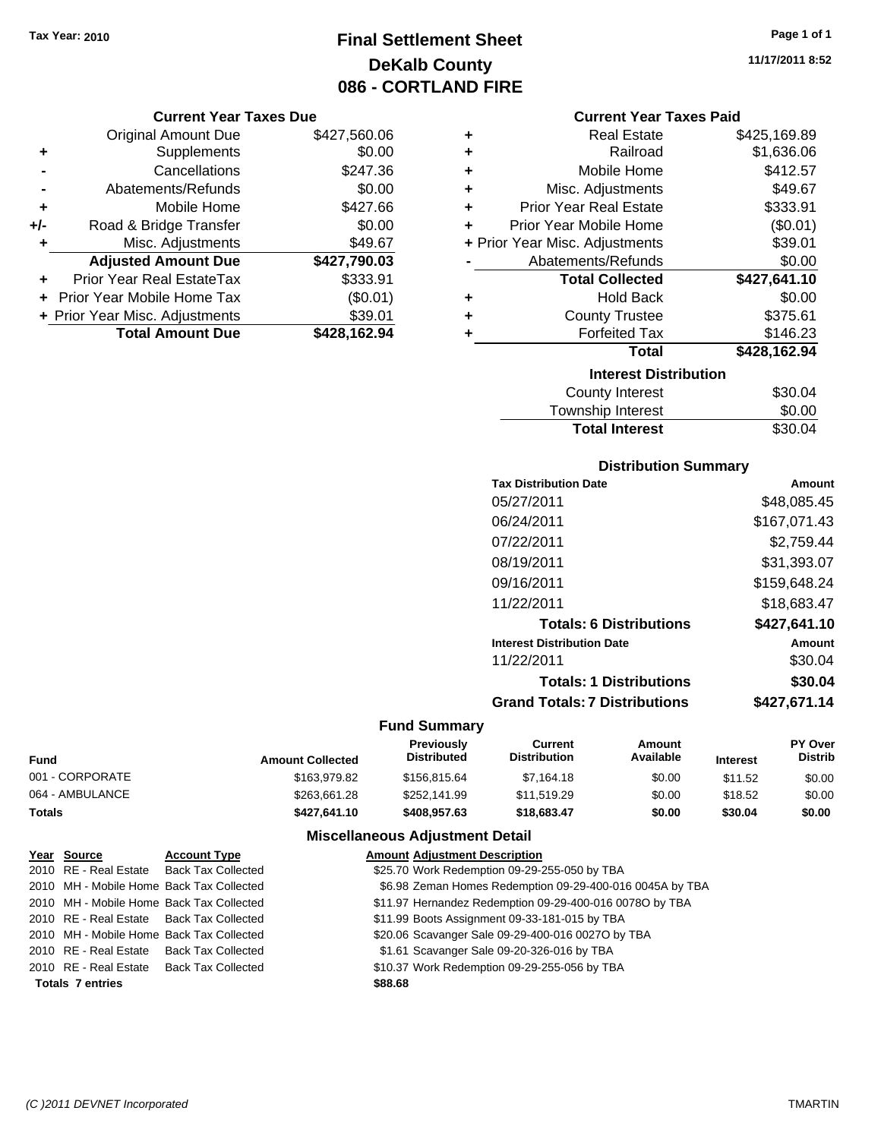### **Final Settlement Sheet Tax Year: 2010 Page 1 of 1 DeKalb County 086 - CORTLAND FIRE**

### **Current Year Taxes Due**

|       | <b>Original Amount Due</b>     | \$427,560.06 |
|-------|--------------------------------|--------------|
| ٠     | Supplements                    | \$0.00       |
|       | Cancellations                  | \$247.36     |
|       | Abatements/Refunds             | \$0.00       |
| ÷     | Mobile Home                    | \$427.66     |
| $+/-$ | Road & Bridge Transfer         | \$0.00       |
| ٠     | Misc. Adjustments              | \$49.67      |
|       | <b>Adjusted Amount Due</b>     | \$427,790.03 |
|       | Prior Year Real EstateTax      | \$333.91     |
|       | Prior Year Mobile Home Tax     | (\$0.01)     |
|       | + Prior Year Misc. Adjustments | \$39.01      |
|       | <b>Total Amount Due</b>        | \$428,162.94 |

| ٠ | <b>Real Estate</b>             | \$425,169.89 |
|---|--------------------------------|--------------|
| ٠ | Railroad                       | \$1,636.06   |
| ٠ | Mobile Home                    | \$412.57     |
| ٠ | Misc. Adjustments              | \$49.67      |
| ٠ | <b>Prior Year Real Estate</b>  | \$333.91     |
| ÷ | Prior Year Mobile Home         | (\$0.01)     |
|   | + Prior Year Misc. Adjustments | \$39.01      |
|   | Abatements/Refunds             | \$0.00       |
|   | <b>Total Collected</b>         | \$427,641.10 |
| ٠ | <b>Hold Back</b>               | \$0.00       |
| ٠ | <b>County Trustee</b>          | \$375.61     |
| ٠ | <b>Forfeited Tax</b>           | \$146.23     |
|   | <b>Total</b>                   | \$428,162.94 |
|   | <b>Interest Distribution</b>   |              |
|   | <b>County Interest</b>         | \$30.04      |
|   |                                |              |

| Township Interest     | \$0.00  |
|-----------------------|---------|
| <b>Total Interest</b> | \$30.04 |

### **Distribution Summary**

| <b>Tax Distribution Date</b>         | Amount       |
|--------------------------------------|--------------|
| 05/27/2011                           | \$48,085.45  |
| 06/24/2011                           | \$167,071.43 |
| 07/22/2011                           | \$2.759.44   |
| 08/19/2011                           | \$31,393.07  |
| 09/16/2011                           | \$159,648.24 |
| 11/22/2011                           | \$18,683.47  |
| <b>Totals: 6 Distributions</b>       | \$427,641.10 |
| <b>Interest Distribution Date</b>    | Amount       |
| 11/22/2011                           | \$30.04      |
| <b>Totals: 1 Distributions</b>       | \$30.04      |
| <b>Grand Totals: 7 Distributions</b> | \$427.671.14 |
|                                      |              |

### **Fund Summary**

 $\overline{\phantom{0}}$ 

| <b>Fund</b>     | <b>Amount Collected</b> | <b>Previously</b><br><b>Distributed</b> | Current<br><b>Distribution</b> | Amount<br>Available | <b>Interest</b> | <b>PY Over</b><br><b>Distrib</b> |
|-----------------|-------------------------|-----------------------------------------|--------------------------------|---------------------|-----------------|----------------------------------|
| 001 - CORPORATE | \$163,979.82            | \$156,815,64                            | \$7.164.18                     | \$0.00              | \$11.52         | \$0.00                           |
| 064 - AMBULANCE | \$263.661.28            | \$252.141.99                            | \$11.519.29                    | \$0.00              | \$18.52         | \$0.00                           |
| <b>Totals</b>   | \$427.641.10            | \$408,957.63                            | \$18,683,47                    | \$0.00              | \$30.04         | \$0.00                           |

### **Miscellaneous Adjustment Detail**

| Year Source             | <b>Account Type</b>                      | <b>Amount Adjustment Description</b>                     |
|-------------------------|------------------------------------------|----------------------------------------------------------|
|                         | 2010 RE - Real Estate Back Tax Collected | \$25.70 Work Redemption 09-29-255-050 by TBA             |
|                         | 2010 MH - Mobile Home Back Tax Collected | \$6.98 Zeman Homes Redemption 09-29-400-016 0045A by TBA |
|                         | 2010 MH - Mobile Home Back Tax Collected | \$11.97 Hernandez Redemption 09-29-400-016 00780 by TBA  |
|                         | 2010 RE - Real Estate Back Tax Collected | \$11.99 Boots Assignment 09-33-181-015 by TBA            |
|                         | 2010 MH - Mobile Home Back Tax Collected | \$20.06 Scavanger Sale 09-29-400-016 0027O by TBA        |
|                         | 2010 RE - Real Estate Back Tax Collected | \$1.61 Scavanger Sale 09-20-326-016 by TBA               |
|                         | 2010 RE - Real Estate Back Tax Collected | \$10.37 Work Redemption 09-29-255-056 by TBA             |
| <b>Totals 7 entries</b> |                                          | \$88.68                                                  |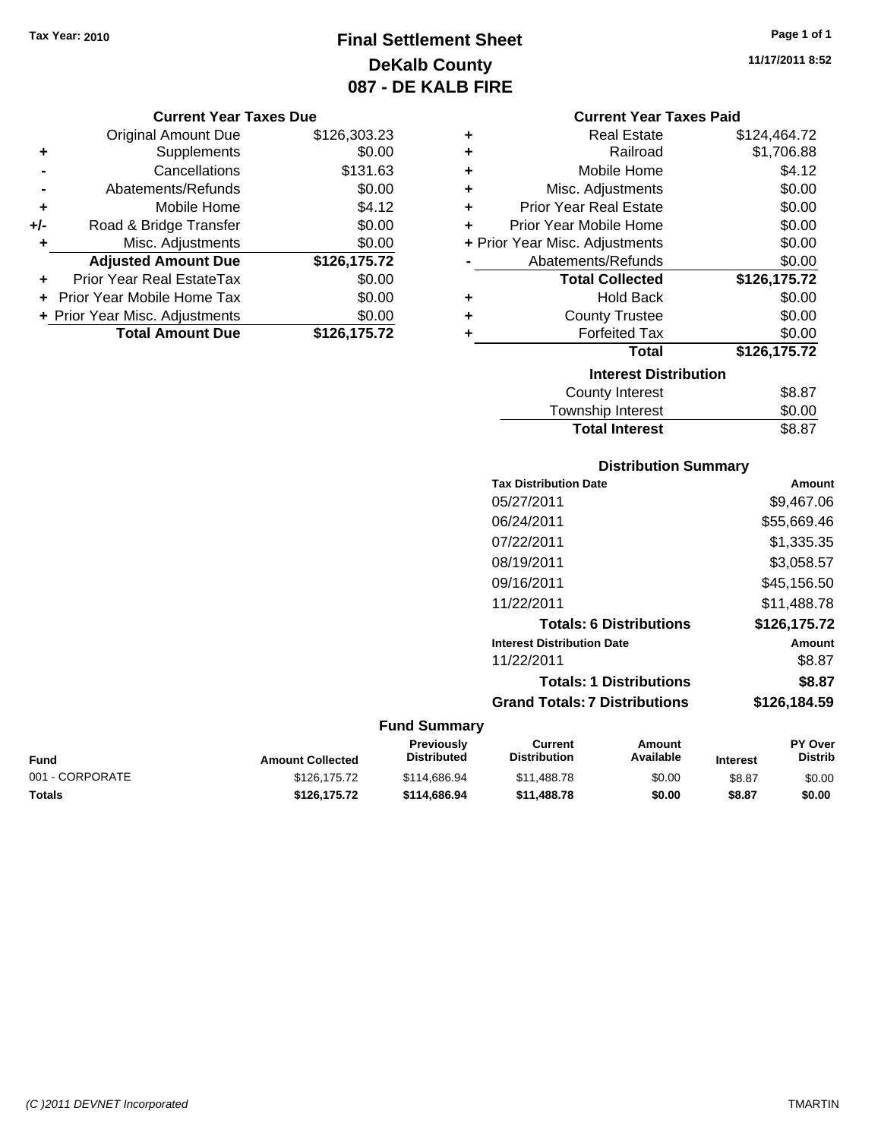### **Final Settlement Sheet Tax Year: 2010 Page 1 of 1 DeKalb County 087 - DE KALB FIRE**

#### **Current Year Taxes Due**

|     | <b>Original Amount Due</b>     | \$126,303.23 |
|-----|--------------------------------|--------------|
| ٠   | Supplements                    | \$0.00       |
|     | Cancellations                  | \$131.63     |
|     | Abatements/Refunds             | \$0.00       |
| ÷   | Mobile Home                    | \$4.12       |
| +/- | Road & Bridge Transfer         | \$0.00       |
| ٠   | Misc. Adjustments              | \$0.00       |
|     | <b>Adjusted Amount Due</b>     | \$126,175.72 |
|     | Prior Year Real EstateTax      | \$0.00       |
|     | Prior Year Mobile Home Tax     | \$0.00       |
|     | + Prior Year Misc. Adjustments | \$0.00       |
|     | <b>Total Amount Due</b>        | \$126,175.72 |

### **Current Year Taxes Paid**

| ٠ | <b>Real Estate</b>             | \$124,464.72 |
|---|--------------------------------|--------------|
| ٠ | Railroad                       | \$1,706.88   |
| ÷ | Mobile Home                    | \$4.12       |
| ٠ | Misc. Adjustments              | \$0.00       |
| ÷ | <b>Prior Year Real Estate</b>  | \$0.00       |
| ٠ | Prior Year Mobile Home         | \$0.00       |
|   | + Prior Year Misc. Adjustments | \$0.00       |
|   | Abatements/Refunds             | \$0.00       |
|   |                                |              |
|   | <b>Total Collected</b>         | \$126,175.72 |
| ٠ | Hold Back                      | \$0.00       |
| ÷ | <b>County Trustee</b>          | \$0.00       |
| ٠ | <b>Forfeited Tax</b>           | \$0.00       |
|   | <b>Total</b>                   | \$126,175.72 |
|   | <b>Interest Distribution</b>   |              |
|   | County Interest                | \$8.87       |

# **Distribution Summary**

**Total Interest** \$8.87

| <b>Tax Distribution Date</b>         | Amount       |
|--------------------------------------|--------------|
| 05/27/2011                           | \$9,467.06   |
| 06/24/2011                           | \$55,669.46  |
| 07/22/2011                           | \$1,335.35   |
| 08/19/2011                           | \$3,058.57   |
| 09/16/2011                           | \$45,156.50  |
| 11/22/2011                           | \$11,488.78  |
| <b>Totals: 6 Distributions</b>       | \$126,175.72 |
| <b>Interest Distribution Date</b>    | Amount       |
| 11/22/2011                           | \$8.87       |
| <b>Totals: 1 Distributions</b>       | \$8.87       |
| <b>Grand Totals: 7 Distributions</b> | \$126.184.59 |
|                                      |              |

### **Fund Summary**

|                 |                         | <b>Previously</b>  | Current             | Amount    |                 | <b>PY Over</b> |
|-----------------|-------------------------|--------------------|---------------------|-----------|-----------------|----------------|
| Fund            | <b>Amount Collected</b> | <b>Distributed</b> | <b>Distribution</b> | Available | <b>Interest</b> | Distrib        |
| 001 - CORPORATE | \$126.175.72            | \$114,686,94       | \$11,488.78         | \$0.00    | \$8.87          | \$0.00         |
| Totals          | \$126.175.72            | \$114,686,94       | \$11,488,78         | \$0.00    | \$8.87          | \$0.00         |

**11/17/2011 8:52**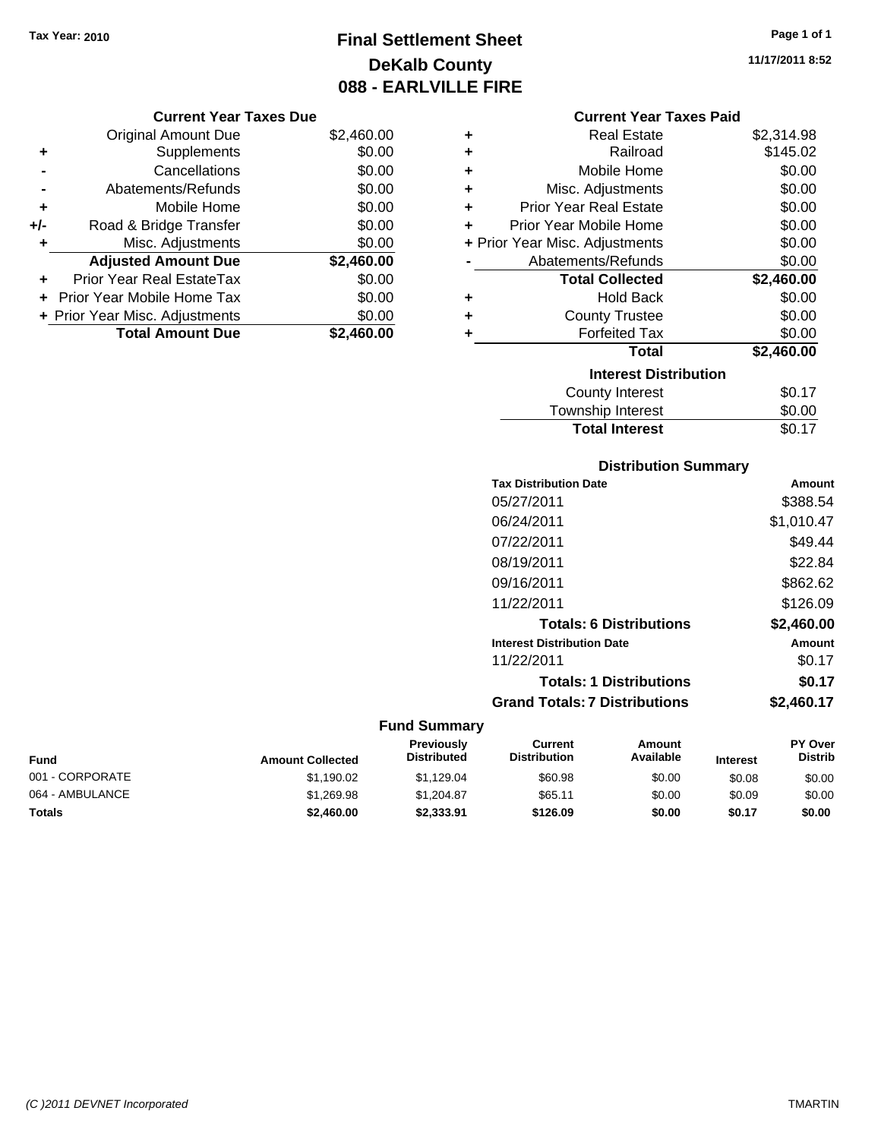## **Final Settlement Sheet Tax Year: 2010 Page 1 of 1 DeKalb County 088 - EARLVILLE FIRE**

**11/17/2011 8:52**

|     | <b>Original Amount Due</b>     | \$2,460.00 |
|-----|--------------------------------|------------|
| ٠   | Supplements                    | \$0.00     |
|     | Cancellations                  | \$0.00     |
|     | Abatements/Refunds             | \$0.00     |
| ÷   | Mobile Home                    | \$0.00     |
| +/- | Road & Bridge Transfer         | \$0.00     |
| ٠   | Misc. Adjustments              | \$0.00     |
|     | <b>Adjusted Amount Due</b>     | \$2,460.00 |
|     | Prior Year Real EstateTax      | \$0.00     |
|     | Prior Year Mobile Home Tax     | \$0.00     |
|     | + Prior Year Misc. Adjustments | \$0.00     |
|     | <b>Total Amount Due</b>        | \$2.460.00 |

| <b>Current Year Taxes Paid</b> |  |
|--------------------------------|--|
|--------------------------------|--|

| ٠ | Real Estate                    | \$2,314.98 |
|---|--------------------------------|------------|
| ÷ | Railroad                       | \$145.02   |
| ÷ | Mobile Home                    | \$0.00     |
| ٠ | Misc. Adjustments              | \$0.00     |
| ÷ | <b>Prior Year Real Estate</b>  | \$0.00     |
| ÷ | Prior Year Mobile Home         | \$0.00     |
|   | + Prior Year Misc. Adjustments | \$0.00     |
|   | Abatements/Refunds             | \$0.00     |
|   |                                |            |
|   | <b>Total Collected</b>         | \$2,460.00 |
| ٠ | Hold Back                      | \$0.00     |
| ÷ | <b>County Trustee</b>          | \$0.00     |
|   | <b>Forfeited Tax</b>           | \$0.00     |
|   | Total                          | \$2,460.00 |
|   | <b>Interest Distribution</b>   |            |
|   | <b>County Interest</b>         | \$0.17     |

### **Distribution Summary**

**Total Interest** \$0.17

| Amount     |
|------------|
| \$388.54   |
| \$1,010.47 |
| \$49.44    |
| \$22.84    |
| \$862.62   |
| \$126.09   |
| \$2,460.00 |
| Amount     |
| \$0.17     |
| \$0.17     |
| \$2.460.17 |
|            |

| Fund            | <b>Amount Collected</b> | <b>Previously</b><br><b>Distributed</b> | Current<br><b>Distribution</b> | Amount<br>Available | <b>Interest</b> | <b>PY Over</b><br><b>Distrib</b> |
|-----------------|-------------------------|-----------------------------------------|--------------------------------|---------------------|-----------------|----------------------------------|
| 001 - CORPORATE | \$1.190.02              | \$1.129.04                              | \$60.98                        | \$0.00              | \$0.08          | \$0.00                           |
| 064 - AMBULANCE | \$1,269.98              | \$1.204.87                              | \$65.11                        | \$0.00              | \$0.09          | \$0.00                           |
| Totals          | \$2,460.00              | \$2,333,91                              | \$126.09                       | \$0.00              | \$0.17          | \$0.00                           |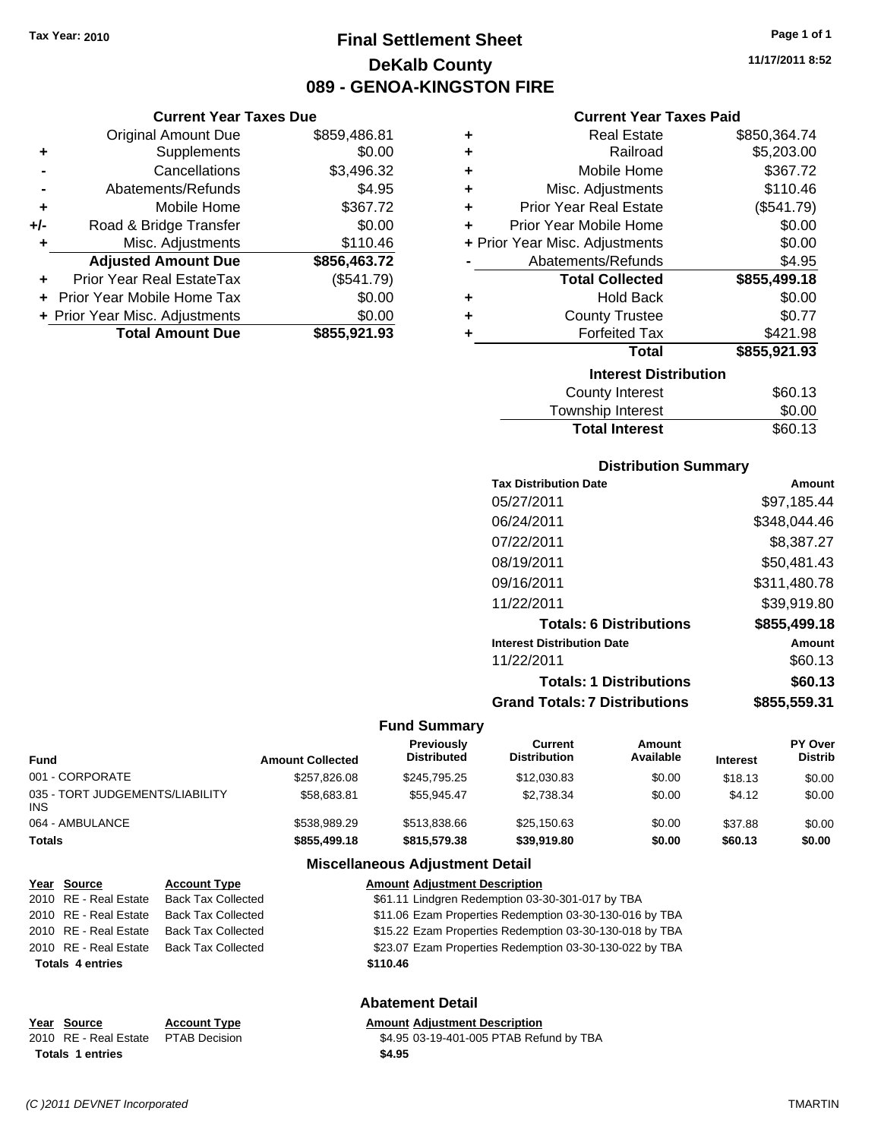**Current Year Taxes Due** Original Amount Due \$859,486.81

**Adjusted Amount Due \$856,463.72**

**Total Amount Due \$855,921.93**

**+** Supplements \$0.00 **-** Cancellations \$3,496.32 **-** Abatements/Refunds **\$4.95 +** Mobile Home \$367.72 **+/-** Road & Bridge Transfer \$0.00 **+** Misc. Adjustments \$110.46

**+** Prior Year Real EstateTax (\$541.79) **+** Prior Year Mobile Home Tax \$0.00 **+ Prior Year Misc. Adjustments**  $$0.00$ 

### **Final Settlement Sheet Tax Year: 2010 Page 1 of 1 DeKalb County 089 - GENOA-KINGSTON FIRE**

**11/17/2011 8:52**

### **Current Year Taxes Paid**

| ٠ | <b>Real Estate</b>             | \$850,364.74 |
|---|--------------------------------|--------------|
| ٠ | Railroad                       | \$5,203.00   |
| ٠ | Mobile Home                    | \$367.72     |
| ٠ | Misc. Adjustments              | \$110.46     |
| ٠ | <b>Prior Year Real Estate</b>  | (\$541.79)   |
|   | Prior Year Mobile Home         | \$0.00       |
|   | + Prior Year Misc. Adjustments | \$0.00       |
|   | Abatements/Refunds             | \$4.95       |
|   | <b>Total Collected</b>         | \$855,499.18 |
| ٠ | <b>Hold Back</b>               | \$0.00       |
| ٠ | <b>County Trustee</b>          | \$0.77       |
| ٠ | <b>Forfeited Tax</b>           | \$421.98     |
|   | <b>Total</b>                   | \$855,921.93 |
|   | <b>Interest Distribution</b>   |              |
|   | <b>County Interest</b>         | \$60.13      |
|   |                                |              |

| <b>Total Interest</b> | \$60.13 |
|-----------------------|---------|
| Township Interest     | \$0.00  |
| <b>COUTTLY TELEST</b> | JUU.IJ  |

#### **Distribution Summary**

| <b>Tax Distribution Date</b>         | Amount       |
|--------------------------------------|--------------|
| 05/27/2011                           | \$97,185.44  |
| 06/24/2011                           | \$348,044.46 |
| 07/22/2011                           | \$8,387.27   |
| 08/19/2011                           | \$50.481.43  |
| 09/16/2011                           | \$311,480.78 |
| 11/22/2011                           | \$39,919.80  |
| <b>Totals: 6 Distributions</b>       | \$855,499.18 |
| <b>Interest Distribution Date</b>    | Amount       |
| 11/22/2011                           | \$60.13      |
| <b>Totals: 1 Distributions</b>       | \$60.13      |
| <b>Grand Totals: 7 Distributions</b> | \$855,559.31 |
|                                      |              |

#### **Fund Summary**

| Fund                                   | <b>Amount Collected</b> | Previously<br><b>Distributed</b> | Current<br><b>Distribution</b> | Amount<br>Available | <b>Interest</b> | PY Over<br><b>Distrib</b> |
|----------------------------------------|-------------------------|----------------------------------|--------------------------------|---------------------|-----------------|---------------------------|
| 001 - CORPORATE                        | \$257,826.08            | \$245,795.25                     | \$12,030.83                    | \$0.00              | \$18.13         | \$0.00                    |
| 035 - TORT JUDGEMENTS/LIABILITY<br>INS | \$58,683.81             | \$55.945.47                      | \$2.738.34                     | \$0.00              | \$4.12          | \$0.00                    |
| 064 - AMBULANCE                        | \$538.989.29            | \$513,838,66                     | \$25,150.63                    | \$0.00              | \$37.88         | \$0.00                    |
| Totals                                 | \$855,499.18            | \$815,579.38                     | \$39,919.80                    | \$0.00              | \$60.13         | \$0.00                    |

### **Miscellaneous Adjustment Detail**

| Year Source             | <b>Account Type</b>       | <b>Amount Adjustment Description</b>                    |
|-------------------------|---------------------------|---------------------------------------------------------|
| 2010 RE - Real Estate   | <b>Back Tax Collected</b> | \$61.11 Lindgren Redemption 03-30-301-017 by TBA        |
| 2010 RE - Real Estate   | <b>Back Tax Collected</b> | \$11.06 Ezam Properties Redemption 03-30-130-016 by TBA |
| 2010 RE - Real Estate   | <b>Back Tax Collected</b> | \$15.22 Ezam Properties Redemption 03-30-130-018 by TBA |
| 2010 RE - Real Estate   | <b>Back Tax Collected</b> | \$23.07 Ezam Properties Redemption 03-30-130-022 by TBA |
| <b>Totals 4 entries</b> |                           | \$110.46                                                |
|                         |                           |                                                         |
|                         |                           |                                                         |

### **Abatement Detail**

### **Year Source Account Type Amount Adjustment Description**

2010 RE - Real Estate PTAB Decision \$4.95 03-19-401-005 PTAB Refund by TBA **Totals \$4.95 1 entries**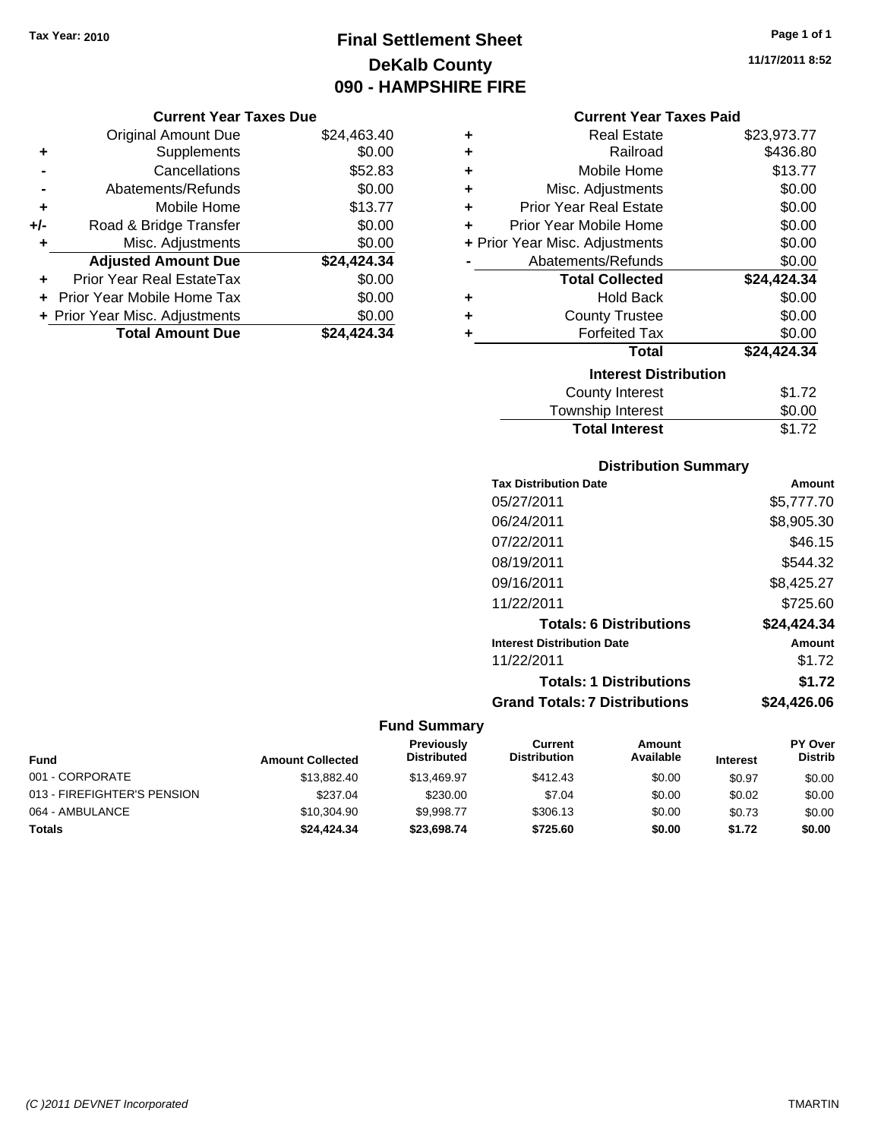## **Final Settlement Sheet Tax Year: 2010 Page 1 of 1 DeKalb County 090 - HAMPSHIRE FIRE**

**11/17/2011 8:52**

### **Current Year Taxes Due**

|       | <b>Original Amount Due</b>     | \$24,463.40 |
|-------|--------------------------------|-------------|
| ٠     | Supplements                    | \$0.00      |
|       | Cancellations                  | \$52.83     |
|       | Abatements/Refunds             | \$0.00      |
| ÷     | Mobile Home                    | \$13.77     |
| $+/-$ | Road & Bridge Transfer         | \$0.00      |
| ٠     | Misc. Adjustments              | \$0.00      |
|       | <b>Adjusted Amount Due</b>     | \$24,424.34 |
| ÷     | Prior Year Real EstateTax      | \$0.00      |
|       | Prior Year Mobile Home Tax     | \$0.00      |
|       | + Prior Year Misc. Adjustments | \$0.00      |
|       | <b>Total Amount Due</b>        | \$24,424.34 |

### **Current Year Taxes Paid**

| ٠ | Real Estate                    | \$23,973.77 |
|---|--------------------------------|-------------|
| ÷ | Railroad                       | \$436.80    |
| ٠ | Mobile Home                    | \$13.77     |
| ÷ | Misc. Adjustments              | \$0.00      |
| ÷ | Prior Year Real Estate         | \$0.00      |
| ٠ | Prior Year Mobile Home         | \$0.00      |
|   | + Prior Year Misc. Adjustments | \$0.00      |
|   | Abatements/Refunds             | \$0.00      |
|   | <b>Total Collected</b>         | \$24,424.34 |
| ٠ | Hold Back                      | \$0.00      |
| ÷ | <b>County Trustee</b>          | \$0.00      |
| ٠ | <b>Forfeited Tax</b>           | \$0.00      |
|   | <b>Total</b>                   | \$24,424.34 |
|   | <b>Interest Distribution</b>   |             |
|   | County Interest                | \$1.72      |
|   | <b>Township Interest</b>       | \$0.00      |
|   | <b>Total Interest</b>          | \$1.72      |

### **Distribution Summary**

| Amount      |
|-------------|
| \$5,777.70  |
| \$8,905.30  |
| \$46.15     |
| \$544.32    |
| \$8,425.27  |
| \$725.60    |
| \$24,424.34 |
| Amount      |
| \$1.72      |
| \$1.72      |
| \$24.426.06 |
|             |

| <b>Fund</b>                 | <b>Amount Collected</b> | <b>Previously</b><br><b>Distributed</b> | Current<br><b>Distribution</b> | Amount<br>Available | <b>Interest</b> | <b>PY Over</b><br><b>Distrib</b> |
|-----------------------------|-------------------------|-----------------------------------------|--------------------------------|---------------------|-----------------|----------------------------------|
| 001 - CORPORATE             | \$13,882,40             | \$13,469.97                             | \$412.43                       | \$0.00              | \$0.97          | \$0.00                           |
| 013 - FIREFIGHTER'S PENSION | \$237.04                | \$230.00                                | \$7.04                         | \$0.00              | \$0.02          | \$0.00                           |
| 064 - AMBULANCE             | \$10,304.90             | \$9.998.77                              | \$306.13                       | \$0.00              | \$0.73          | \$0.00                           |
| <b>Totals</b>               | \$24,424.34             | \$23,698,74                             | \$725.60                       | \$0.00              | \$1.72          | \$0.00                           |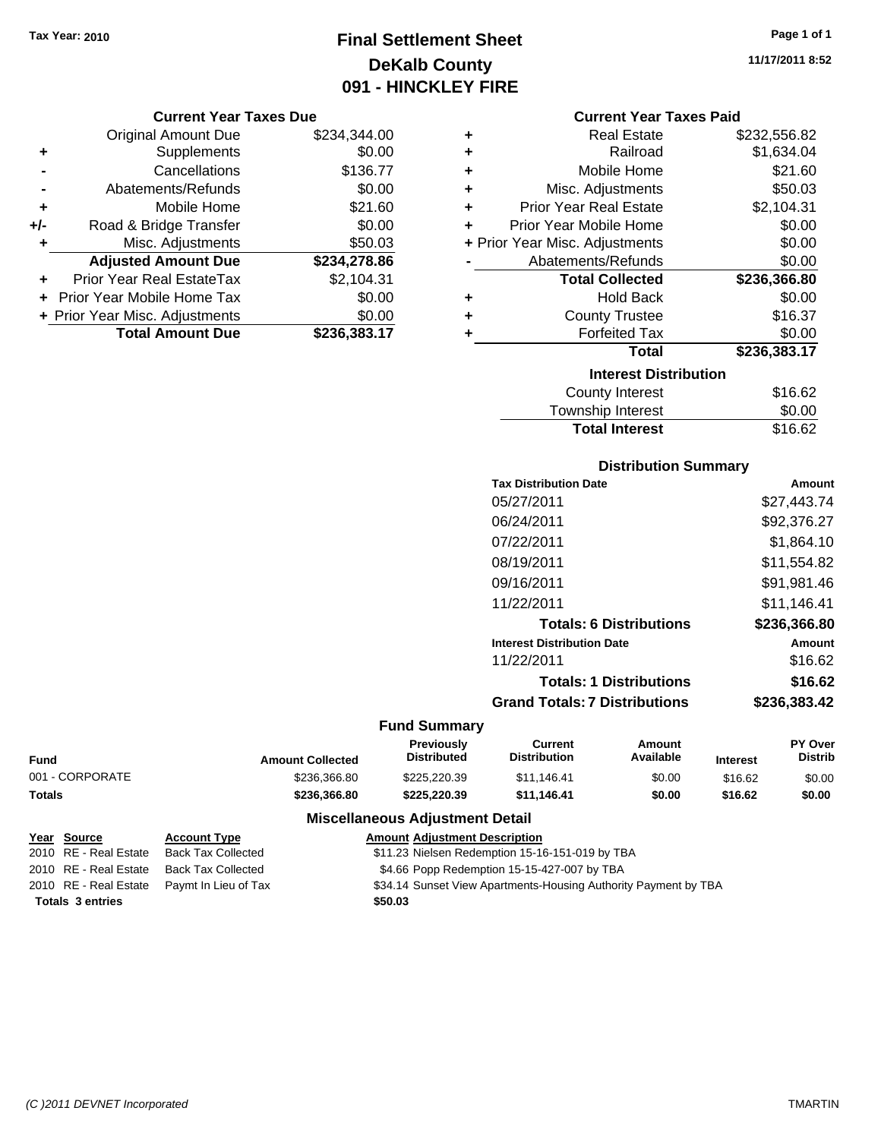## **Final Settlement Sheet Tax Year: 2010 Page 1 of 1 DeKalb County 091 - HINCKLEY FIRE**

#### **Current Year Taxes Due**

|       | <b>Original Amount Due</b>     | \$234,344.00 |
|-------|--------------------------------|--------------|
| ٠     | Supplements                    | \$0.00       |
|       | Cancellations                  | \$136.77     |
|       | Abatements/Refunds             | \$0.00       |
| ÷     | Mobile Home                    | \$21.60      |
| $+/-$ | Road & Bridge Transfer         | \$0.00       |
| ٠     | Misc. Adjustments              | \$50.03      |
|       | <b>Adjusted Amount Due</b>     | \$234,278.86 |
|       | Prior Year Real EstateTax      | \$2,104.31   |
|       | Prior Year Mobile Home Tax     | \$0.00       |
|       | + Prior Year Misc. Adjustments | \$0.00       |
|       | <b>Total Amount Due</b>        | \$236.383.17 |

### **Current Year Taxes Paid**

| ٠ | <b>Real Estate</b>             | \$232,556.82  |
|---|--------------------------------|---------------|
| ÷ | Railroad                       | \$1,634.04    |
| ٠ | Mobile Home                    | \$21.60       |
| ٠ | Misc. Adjustments              | \$50.03       |
| ÷ | <b>Prior Year Real Estate</b>  | \$2,104.31    |
| ÷ | Prior Year Mobile Home         | \$0.00        |
|   | + Prior Year Misc. Adjustments | \$0.00        |
|   | Abatements/Refunds             | \$0.00        |
|   | <b>Total Collected</b>         | \$236,366.80  |
| ٠ | <b>Hold Back</b>               | \$0.00        |
| ٠ | <b>County Trustee</b>          | \$16.37       |
| ٠ | <b>Forfeited Tax</b>           | \$0.00        |
|   | Total                          | \$236,383.17  |
|   | <b>Interest Distribution</b>   |               |
|   | <b>County Interest</b>         | \$16.62       |
|   |                                | $\sim$ $\sim$ |

#### Township Interest \$0.00<br>
Total Interest \$16.62 **Total Interest**

| <b>Distribution Summary</b>          |              |
|--------------------------------------|--------------|
| <b>Tax Distribution Date</b>         | Amount       |
| 05/27/2011                           | \$27.443.74  |
| 06/24/2011                           | \$92,376.27  |
| 07/22/2011                           | \$1,864.10   |
| 08/19/2011                           | \$11,554.82  |
| 09/16/2011                           | \$91,981.46  |
| 11/22/2011                           | \$11,146.41  |
| <b>Totals: 6 Distributions</b>       | \$236.366.80 |
| <b>Interest Distribution Date</b>    | Amount       |
| 11/22/2011                           | \$16.62      |
| <b>Totals: 1 Distributions</b>       | \$16.62      |
| <b>Grand Totals: 7 Distributions</b> | \$236,383.42 |

### **Fund Summary**

|                 |                         | <b>Previously</b><br><b>Distributed</b> | Current<br>Amount<br>Available<br><b>Distribution</b> |        |                 | <b>PY Over</b><br>Distrib |
|-----------------|-------------------------|-----------------------------------------|-------------------------------------------------------|--------|-----------------|---------------------------|
| Fund            | <b>Amount Collected</b> |                                         |                                                       |        | <b>Interest</b> |                           |
| 001 - CORPORATE | \$236,366.80            | \$225,220,39                            | \$11.146.41                                           | \$0.00 | \$16.62         | \$0.00                    |
| Totals          | \$236.366.80            | \$225.220.39                            | \$11.146.41                                           | \$0.00 | \$16.62         | \$0.00                    |

### **Miscellaneous Adjustment Detail**

|                         | <u>Year Source</u>    | <b>Account Type</b>                        | <b>Amount Adjustment Description</b>                            |
|-------------------------|-----------------------|--------------------------------------------|-----------------------------------------------------------------|
|                         | 2010 RE - Real Estate | Back Tax Collected                         | \$11.23 Nielsen Redemption 15-16-151-019 by TBA                 |
|                         | 2010 RE - Real Estate | Back Tax Collected                         | \$4.66 Popp Redemption 15-15-427-007 by TBA                     |
|                         |                       | 2010 RE - Real Estate Paymt In Lieu of Tax | \$34.14 Sunset View Apartments-Housing Authority Payment by TBA |
| <b>Totals 3 entries</b> |                       |                                            | \$50.03                                                         |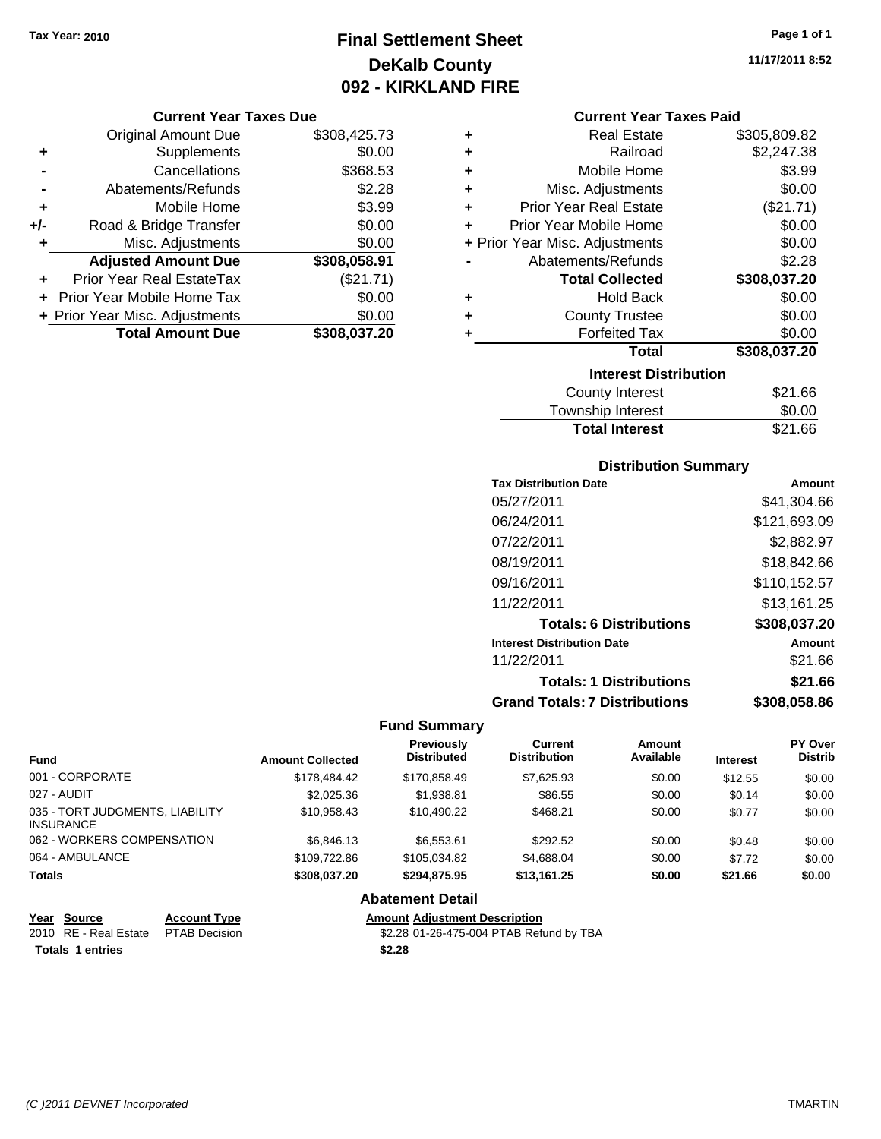### **Final Settlement Sheet Tax Year: 2010 Page 1 of 1 DeKalb County 092 - KIRKLAND FIRE**

#### **Current Year Taxes Due**

|       | <b>Original Amount Due</b>     | \$308,425.73 |
|-------|--------------------------------|--------------|
| ٠     | Supplements                    | \$0.00       |
|       | Cancellations                  | \$368.53     |
|       | Abatements/Refunds             | \$2.28       |
| ٠     | Mobile Home                    | \$3.99       |
| $+/-$ | Road & Bridge Transfer         | \$0.00       |
| ٠     | Misc. Adjustments              | \$0.00       |
|       | <b>Adjusted Amount Due</b>     | \$308,058.91 |
|       | Prior Year Real EstateTax      | (\$21.71)    |
|       | Prior Year Mobile Home Tax     | \$0.00       |
|       | + Prior Year Misc. Adjustments | \$0.00       |
|       | <b>Total Amount Due</b>        | \$308,037.20 |

#### **Current Year Taxes Paid**

| ٠ | <b>Real Estate</b>             | \$305,809.82 |
|---|--------------------------------|--------------|
| ٠ | Railroad                       | \$2,247.38   |
| ٠ | Mobile Home                    | \$3.99       |
| ٠ | Misc. Adjustments              | \$0.00       |
| ÷ | <b>Prior Year Real Estate</b>  | (\$21.71)    |
| ٠ | Prior Year Mobile Home         | \$0.00       |
|   | + Prior Year Misc. Adjustments | \$0.00       |
|   | Abatements/Refunds             | \$2.28       |
|   |                                |              |
|   | <b>Total Collected</b>         | \$308,037.20 |
| ٠ | <b>Hold Back</b>               | \$0.00       |
| ٠ | <b>County Trustee</b>          | \$0.00       |
| ٠ | <b>Forfeited Tax</b>           | \$0.00       |
|   | <b>Total</b>                   | \$308,037.20 |
|   | <b>Interest Distribution</b>   |              |
|   | <b>County Interest</b>         | \$21.66      |

### **Distribution Summary**

Total Interest \$21.66

| <b>Tax Distribution Date</b>         | <b>Amount</b> |
|--------------------------------------|---------------|
| 05/27/2011                           | \$41.304.66   |
| 06/24/2011                           | \$121,693.09  |
| 07/22/2011                           | \$2,882.97    |
| 08/19/2011                           | \$18.842.66   |
| 09/16/2011                           | \$110,152.57  |
| 11/22/2011                           | \$13,161.25   |
| <b>Totals: 6 Distributions</b>       | \$308,037.20  |
| <b>Interest Distribution Date</b>    | Amount        |
| 11/22/2011                           | \$21.66       |
| <b>Totals: 1 Distributions</b>       | \$21.66       |
| <b>Grand Totals: 7 Distributions</b> | \$308,058,86  |

#### **Fund Summary**

| <b>Fund</b>                                         | <b>Amount Collected</b> | Previously<br><b>Distributed</b> | Current<br><b>Distribution</b> | Amount<br>Available | <b>Interest</b> | <b>PY Over</b><br><b>Distrib</b> |
|-----------------------------------------------------|-------------------------|----------------------------------|--------------------------------|---------------------|-----------------|----------------------------------|
| 001 - CORPORATE                                     | \$178,484.42            | \$170.858.49                     | \$7.625.93                     | \$0.00              | \$12.55         | \$0.00                           |
| 027 - AUDIT                                         | \$2,025,36              | \$1.938.81                       | \$86.55                        | \$0.00              | \$0.14          | \$0.00                           |
| 035 - TORT JUDGMENTS, LIABILITY<br><b>INSURANCE</b> | \$10,958.43             | \$10.490.22                      | \$468.21                       | \$0.00              | \$0.77          | \$0.00                           |
| 062 - WORKERS COMPENSATION                          | \$6.846.13              | \$6,553.61                       | \$292.52                       | \$0.00              | \$0.48          | \$0.00                           |
| 064 - AMBULANCE                                     | \$109,722.86            | \$105.034.82                     | \$4,688.04                     | \$0.00              | \$7.72          | \$0.00                           |
| <b>Totals</b>                                       | \$308.037.20            | \$294.875.95                     | \$13.161.25                    | \$0.00              | \$21.66         | \$0.00                           |

### **Abatement Detail**

**Year Source Account Type Amount Adjustment Description**<br>2010 RE - Real Estate PTAB Decision **Amount** \$2.28 01-26-475-004 PTAB Ref

\$2.28 01-26-475-004 PTAB Refund by TBA

**Totals \$2.28 1 entries**

**11/17/2011 8:52**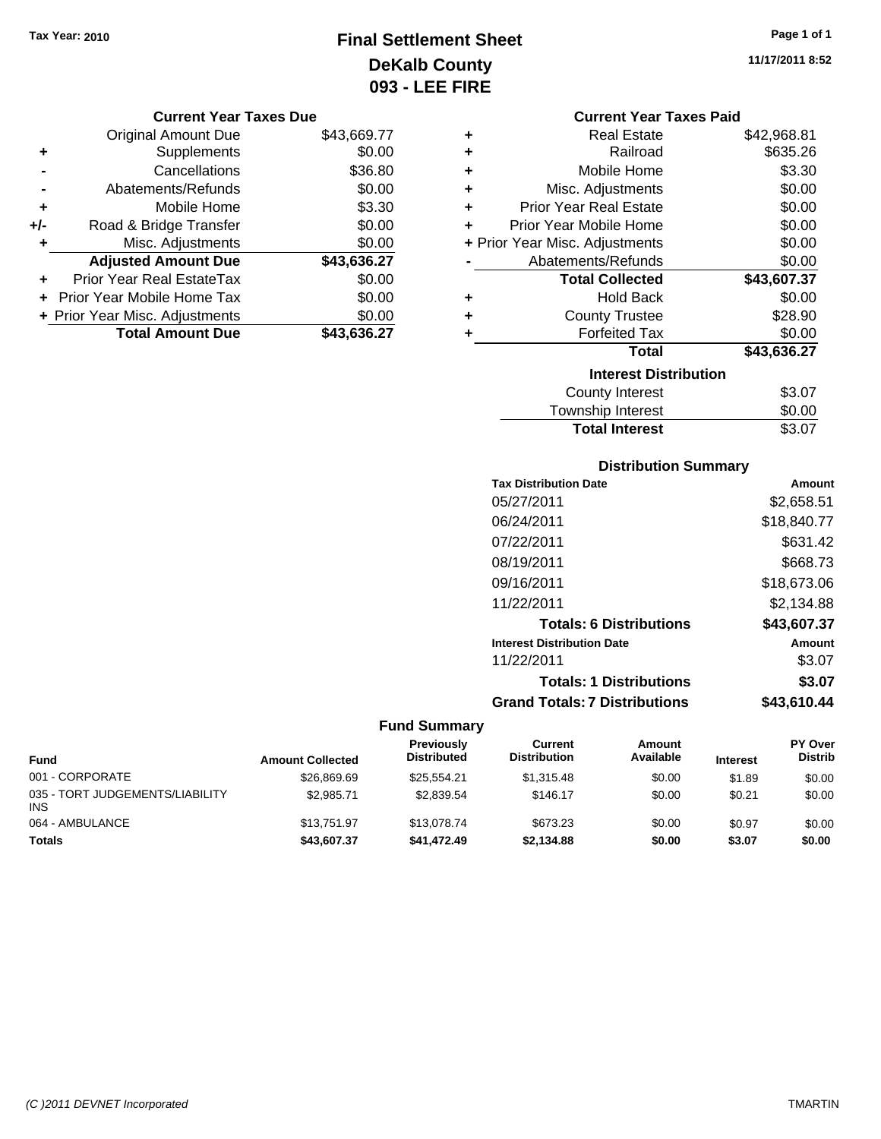### **Final Settlement Sheet Tax Year: 2010 Page 1 of 1 DeKalb County 093 - LEE FIRE**

**11/17/2011 8:52**

### **Current Year Taxes Due**

|     | <b>Original Amount Due</b>     | \$43,669.77 |
|-----|--------------------------------|-------------|
| ٠   | Supplements                    | \$0.00      |
|     | Cancellations                  | \$36.80     |
|     | Abatements/Refunds             | \$0.00      |
| ÷   | Mobile Home                    | \$3.30      |
| +/- | Road & Bridge Transfer         | \$0.00      |
| ٠   | Misc. Adjustments              | \$0.00      |
|     | <b>Adjusted Amount Due</b>     | \$43,636.27 |
| ÷   | Prior Year Real EstateTax      | \$0.00      |
|     | Prior Year Mobile Home Tax     | \$0.00      |
|     | + Prior Year Misc. Adjustments | \$0.00      |
|     | <b>Total Amount Due</b>        | \$43,636.27 |

|                                | <b>Current Year Taxes Paid</b> |             |  |  |
|--------------------------------|--------------------------------|-------------|--|--|
| ٠                              | Real Estate                    | \$42,968.81 |  |  |
| ٠                              | Railroad                       | \$635.26    |  |  |
| ÷                              | Mobile Home                    | \$3.30      |  |  |
| ÷                              | Misc. Adjustments              | \$0.00      |  |  |
| ÷                              | <b>Prior Year Real Estate</b>  | \$0.00      |  |  |
| ÷                              | Prior Year Mobile Home         | \$0.00      |  |  |
| + Prior Year Misc. Adjustments |                                | \$0.00      |  |  |
|                                | Abatements/Refunds             | \$0.00      |  |  |
|                                | <b>Total Collected</b>         | \$43,607.37 |  |  |
| ٠                              | Hold Back                      | \$0.00      |  |  |
| ÷                              | <b>County Trustee</b>          | \$28.90     |  |  |
| ٠                              | <b>Forfeited Tax</b>           | \$0.00      |  |  |
|                                | <b>Total</b>                   | \$43,636.27 |  |  |
| <b>Interest Distribution</b>   |                                |             |  |  |
|                                | <b>County Interest</b>         | \$3.07      |  |  |
|                                | <b>Township Interest</b>       | \$0.00      |  |  |

### **Distribution Summary**

**Total Interest** \$3.07

| <b>Tax Distribution Date</b>         | Amount      |
|--------------------------------------|-------------|
| 05/27/2011                           | \$2,658.51  |
| 06/24/2011                           | \$18,840.77 |
| 07/22/2011                           | \$631.42    |
| 08/19/2011                           | \$668.73    |
| 09/16/2011                           | \$18,673.06 |
| 11/22/2011                           | \$2.134.88  |
| <b>Totals: 6 Distributions</b>       | \$43,607.37 |
| <b>Interest Distribution Date</b>    | Amount      |
| 11/22/2011                           | \$3.07      |
| <b>Totals: 1 Distributions</b>       | \$3.07      |
| <b>Grand Totals: 7 Distributions</b> | \$43,610.44 |

| <b>Fund</b>                                   | <b>Amount Collected</b> | <b>Previously</b><br><b>Distributed</b> | Current<br><b>Distribution</b> | Amount<br>Available | <b>Interest</b> | <b>PY Over</b><br><b>Distrib</b> |
|-----------------------------------------------|-------------------------|-----------------------------------------|--------------------------------|---------------------|-----------------|----------------------------------|
| 001 - CORPORATE                               | \$26,869.69             | \$25.554.21                             | \$1.315.48                     | \$0.00              | \$1.89          | \$0.00                           |
| 035 - TORT JUDGEMENTS/LIABILITY<br><b>INS</b> | \$2.985.71              | \$2,839.54                              | \$146.17                       | \$0.00              | \$0.21          | \$0.00                           |
| 064 - AMBULANCE                               | \$13,751.97             | \$13,078.74                             | \$673.23                       | \$0.00              | \$0.97          | \$0.00                           |
| <b>Totals</b>                                 | \$43,607.37             | \$41,472.49                             | \$2,134.88                     | \$0.00              | \$3.07          | \$0.00                           |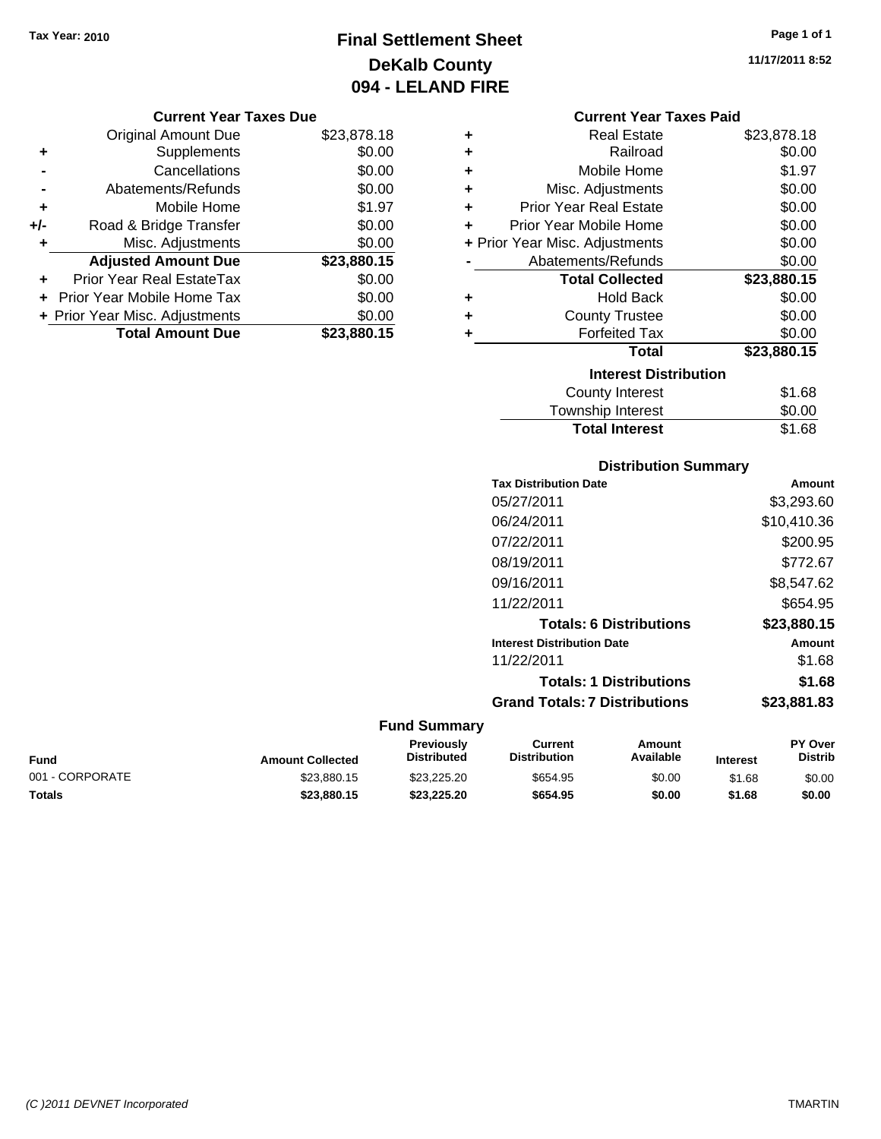### **Final Settlement Sheet Tax Year: 2010 Page 1 of 1 DeKalb County 094 - LELAND FIRE**

**11/17/2011 8:52**

#### **Current Year Taxes Due**

|     | <b>Original Amount Due</b>     | \$23,878.18 |
|-----|--------------------------------|-------------|
| ٠   | Supplements                    | \$0.00      |
|     | Cancellations                  | \$0.00      |
|     | Abatements/Refunds             | \$0.00      |
| ÷   | Mobile Home                    | \$1.97      |
| +/- | Road & Bridge Transfer         | \$0.00      |
| ٠   | Misc. Adjustments              | \$0.00      |
|     | <b>Adjusted Amount Due</b>     | \$23,880.15 |
|     | Prior Year Real EstateTax      | \$0.00      |
|     | Prior Year Mobile Home Tax     | \$0.00      |
|     | + Prior Year Misc. Adjustments | \$0.00      |
|     | <b>Total Amount Due</b>        | \$23,880.15 |

### **Current Year Taxes Paid**

| ٠ | Real Estate                    | \$23,878.18 |
|---|--------------------------------|-------------|
| ÷ | Railroad                       | \$0.00      |
| ÷ | Mobile Home                    | \$1.97      |
| ÷ | Misc. Adjustments              | \$0.00      |
| ÷ | Prior Year Real Estate         | \$0.00      |
| ٠ | Prior Year Mobile Home         | \$0.00      |
|   | + Prior Year Misc. Adjustments | \$0.00      |
|   | Abatements/Refunds             | \$0.00      |
|   | <b>Total Collected</b>         | \$23,880.15 |
| ٠ | Hold Back                      | \$0.00      |
| ٠ | <b>County Trustee</b>          | \$0.00      |
| ٠ | <b>Forfeited Tax</b>           | \$0.00      |
|   | Total                          | \$23,880.15 |
|   | <b>Interest Distribution</b>   |             |
|   | <b>County Interest</b>         | \$1.68      |
|   | <b>Township Interest</b>       | \$0.00      |
|   | <b>Total Interest</b>          | \$1.68      |

## **Distribution Summary**

|                     | <b>Tax Distribution Date</b>         | <b>Amount</b> |
|---------------------|--------------------------------------|---------------|
|                     | 05/27/2011                           | \$3,293.60    |
|                     | 06/24/2011                           | \$10,410.36   |
|                     | 07/22/2011                           | \$200.95      |
|                     | 08/19/2011                           | \$772.67      |
|                     | 09/16/2011                           | \$8,547.62    |
|                     | 11/22/2011                           | \$654.95      |
|                     | <b>Totals: 6 Distributions</b>       | \$23,880.15   |
|                     | <b>Interest Distribution Date</b>    | <b>Amount</b> |
|                     | 11/22/2011                           | \$1.68        |
|                     | <b>Totals: 1 Distributions</b>       | \$1.68        |
|                     | <b>Grand Totals: 7 Distributions</b> | \$23,881.83   |
| <b>Fund Summary</b> |                                      |               |

#### **Fund Interest Amount Collected Distributed PY Over Distrib Amount Available Current Distribution Previously** 001 - CORPORATE 60.00 \$23,880.15 \$23,225.20 \$654.95 \$0.00 \$1.68 \$0.00 **Totals \$23,880.15 \$23,225.20 \$654.95 \$0.00 \$1.68 \$0.00**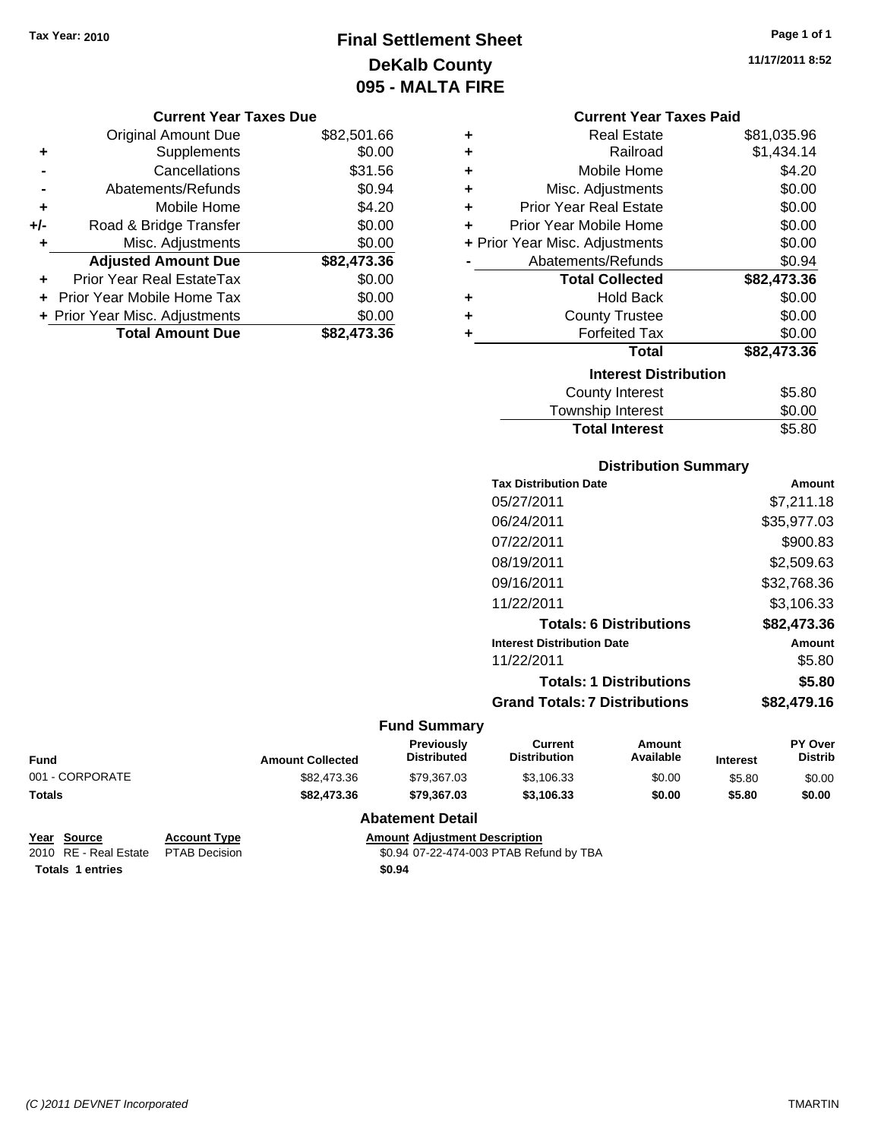### **Final Settlement Sheet Tax Year: 2010 Page 1 of 1 DeKalb County 095 - MALTA FIRE**

**11/17/2011 8:52**

| <b>Current Year Taxes Due</b> |  |
|-------------------------------|--|
|-------------------------------|--|

|     | <b>Original Amount Due</b>     | \$82,501.66 |
|-----|--------------------------------|-------------|
| ٠   | Supplements                    | \$0.00      |
|     | Cancellations                  | \$31.56     |
|     | Abatements/Refunds             | \$0.94      |
| ÷   | Mobile Home                    | \$4.20      |
| +/- | Road & Bridge Transfer         | \$0.00      |
| ٠   | Misc. Adjustments              | \$0.00      |
|     | <b>Adjusted Amount Due</b>     | \$82,473.36 |
|     | Prior Year Real EstateTax      | \$0.00      |
|     | Prior Year Mobile Home Tax     | \$0.00      |
|     | + Prior Year Misc. Adjustments | \$0.00      |
|     | <b>Total Amount Due</b>        | \$82,473,36 |

|   | <b>Current Year Taxes Paid</b> |             |
|---|--------------------------------|-------------|
| ٠ | Real Estate                    | \$81,035.96 |
| ÷ | Railroad                       | \$1,434.14  |
| ÷ | Mobile Home                    | \$4.20      |
| ÷ | Misc. Adjustments              | \$0.00      |
| ÷ | <b>Prior Year Real Estate</b>  | \$0.00      |
| ÷ | Prior Year Mobile Home         | \$0.00      |
|   | + Prior Year Misc. Adjustments | \$0.00      |
|   | Abatements/Refunds             | \$0.94      |
|   | <b>Total Collected</b>         | \$82,473.36 |
| ٠ | Hold Back                      | \$0.00      |
| ÷ | <b>County Trustee</b>          | \$0.00      |
| ٠ | <b>Forfeited Tax</b>           | \$0.00      |
|   | <b>Total</b>                   | \$82,473.36 |
|   | <b>Interest Distribution</b>   |             |
|   | County Interest                | \$5.80      |
|   | Township Interest              | \$0.00      |
|   | <b>Total Interest</b>          | \$5.80      |
|   |                                |             |

### **Distribution Summary**

| <b>Tax Distribution Date</b>         | Amount      |
|--------------------------------------|-------------|
| 05/27/2011                           | \$7.211.18  |
| 06/24/2011                           | \$35,977.03 |
| 07/22/2011                           | \$900.83    |
| 08/19/2011                           | \$2,509.63  |
| 09/16/2011                           | \$32,768.36 |
| 11/22/2011                           | \$3,106.33  |
| <b>Totals: 6 Distributions</b>       | \$82,473.36 |
| <b>Interest Distribution Date</b>    | Amount      |
| 11/22/2011                           | \$5.80      |
| <b>Totals: 1 Distributions</b>       | \$5.80      |
| <b>Grand Totals: 7 Distributions</b> | \$82,479.16 |
|                                      |             |

### **Fund Summary**

| <b>Fund</b>     | <b>Amount Collected</b> | <b>Previously</b><br><b>Distributed</b> | Current<br><b>Distribution</b> | Amount<br>Available | <b>Interest</b> | <b>PY Over</b><br><b>Distrib</b> |
|-----------------|-------------------------|-----------------------------------------|--------------------------------|---------------------|-----------------|----------------------------------|
| 001 - CORPORATE | \$82.473.36             | \$79.367.03                             | \$3.106.33                     | \$0.00              | \$5.80          | \$0.00                           |
| Totals          | \$82,473.36             | \$79.367.03                             | \$3.106.33                     | \$0.00              | \$5.80          | \$0.00                           |

### **Abatement Detail**

| Year Source             | <b>Account Ty</b> |
|-------------------------|-------------------|
| 2010   RE - Real Estate | <b>PTAB Decis</b> |

**Totals \$0.94 1 entries**

**Year Source Account Type Amount Adjustment Description** 20.94 07-22-474-003 PTAB Refund by TBA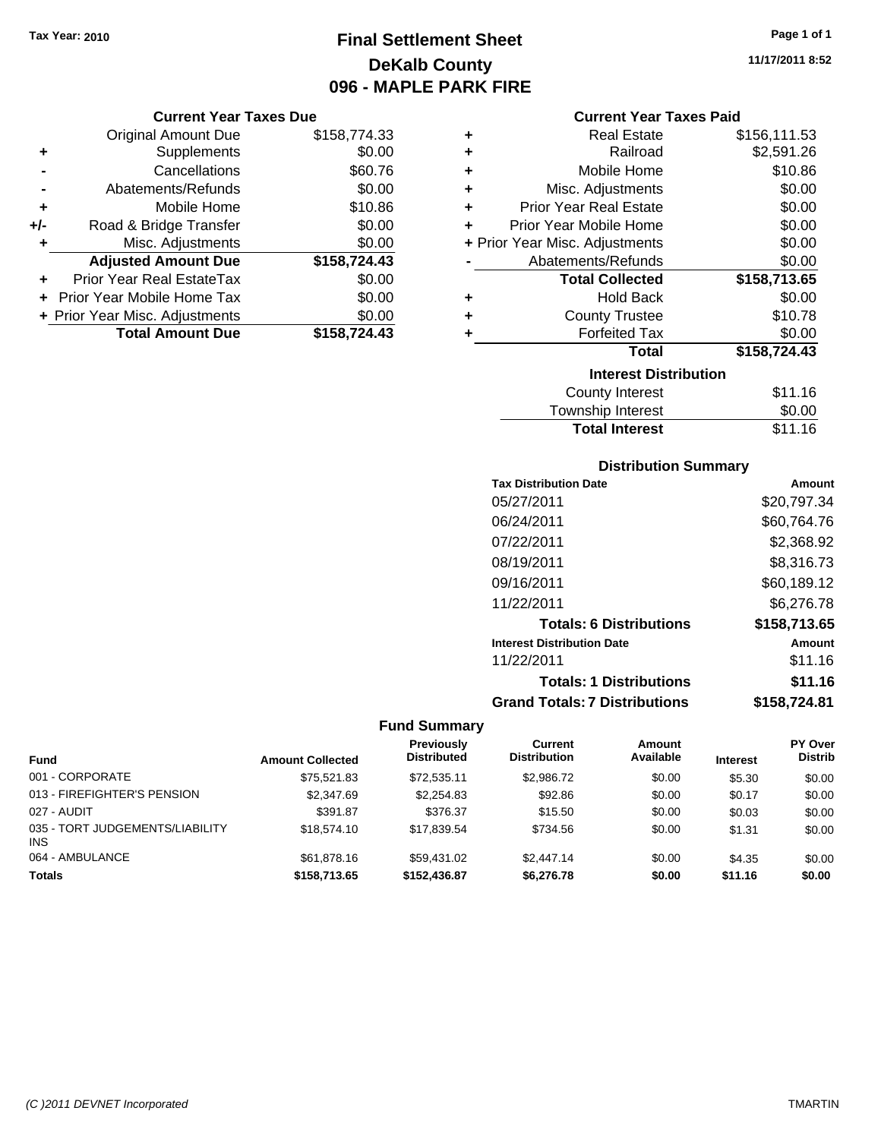### **Final Settlement Sheet Tax Year: 2010 Page 1 of 1 DeKalb County 096 - MAPLE PARK FIRE**

**11/17/2011 8:52**

### **Current Year Taxes Due**

|       | <b>Original Amount Due</b>     | \$158,774.33 |
|-------|--------------------------------|--------------|
| ٠     | Supplements                    | \$0.00       |
|       | Cancellations                  | \$60.76      |
|       | Abatements/Refunds             | \$0.00       |
| ÷     | Mobile Home                    | \$10.86      |
| $+/-$ | Road & Bridge Transfer         | \$0.00       |
| ٠     | Misc. Adjustments              | \$0.00       |
|       | <b>Adjusted Amount Due</b>     | \$158,724.43 |
|       | Prior Year Real EstateTax      | \$0.00       |
|       | Prior Year Mobile Home Tax     | \$0.00       |
|       | + Prior Year Misc. Adjustments | \$0.00       |
|       | <b>Total Amount Due</b>        | \$158,724.43 |

### **Current Year Taxes Paid**

| ٠ | <b>Real Estate</b>             | \$156,111.53 |
|---|--------------------------------|--------------|
| ÷ | Railroad                       | \$2,591.26   |
| ٠ | Mobile Home                    | \$10.86      |
| ٠ | Misc. Adjustments              | \$0.00       |
| ÷ | <b>Prior Year Real Estate</b>  | \$0.00       |
| ÷ | Prior Year Mobile Home         | \$0.00       |
|   | + Prior Year Misc. Adjustments | \$0.00       |
|   | Abatements/Refunds             | \$0.00       |
|   | <b>Total Collected</b>         | \$158,713.65 |
| ٠ | <b>Hold Back</b>               | \$0.00       |
|   |                                |              |
| ٠ | <b>County Trustee</b>          | \$10.78      |
| ٠ | <b>Forfeited Tax</b>           | \$0.00       |
|   | <b>Total</b>                   | \$158,724.43 |
|   | <b>Interest Distribution</b>   |              |

| <b>Total Interest</b> | \$11.16 |
|-----------------------|---------|
| Township Interest     | \$0.00  |
| County Interest       | \$11.16 |

### **Distribution Summary**

| Amount       |
|--------------|
| \$20,797.34  |
| \$60,764.76  |
| \$2,368.92   |
| \$8,316.73   |
| \$60,189.12  |
| \$6,276.78   |
| \$158,713.65 |
| Amount       |
| \$11.16      |
| \$11.16      |
| \$158,724.81 |
|              |

|                                               |                         | Previously<br><b>Distributed</b> | Current<br><b>Distribution</b> | <b>Amount</b><br>Available |                 | <b>PY Over</b><br><b>Distrib</b> |
|-----------------------------------------------|-------------------------|----------------------------------|--------------------------------|----------------------------|-----------------|----------------------------------|
| <b>Fund</b>                                   | <b>Amount Collected</b> |                                  |                                |                            | <b>Interest</b> |                                  |
| 001 - CORPORATE                               | \$75,521.83             | \$72,535.11                      | \$2,986.72                     | \$0.00                     | \$5.30          | \$0.00                           |
| 013 - FIREFIGHTER'S PENSION                   | \$2,347.69              | \$2,254.83                       | \$92.86                        | \$0.00                     | \$0.17          | \$0.00                           |
| 027 - AUDIT                                   | \$391.87                | \$376.37                         | \$15.50                        | \$0.00                     | \$0.03          | \$0.00                           |
| 035 - TORT JUDGEMENTS/LIABILITY<br><b>INS</b> | \$18,574.10             | \$17.839.54                      | \$734.56                       | \$0.00                     | \$1.31          | \$0.00                           |
| 064 - AMBULANCE                               | \$61,878.16             | \$59.431.02                      | \$2,447.14                     | \$0.00                     | \$4.35          | \$0.00                           |
| <b>Totals</b>                                 | \$158,713.65            | \$152,436.87                     | \$6,276,78                     | \$0.00                     | \$11.16         | \$0.00                           |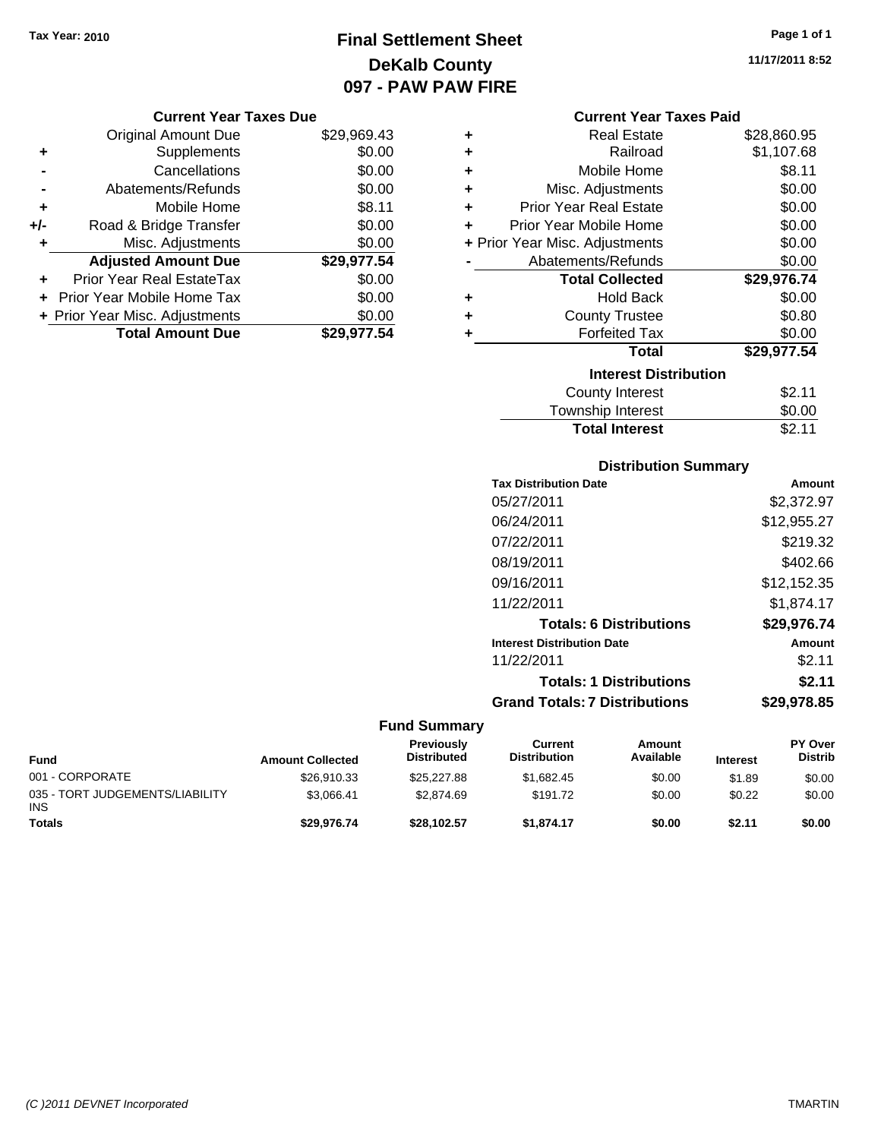### **Final Settlement Sheet Tax Year: 2010 Page 1 of 1 DeKalb County 097 - PAW PAW FIRE**

**11/17/2011 8:52**

### **Current Year Taxes Due**

|     | <b>Original Amount Due</b>       | \$29,969.43 |
|-----|----------------------------------|-------------|
| ٠   | Supplements                      | \$0.00      |
|     | Cancellations                    | \$0.00      |
|     | Abatements/Refunds               | \$0.00      |
| ÷   | Mobile Home                      | \$8.11      |
| +/- | Road & Bridge Transfer           | \$0.00      |
| ٠   | Misc. Adjustments                | \$0.00      |
|     | <b>Adjusted Amount Due</b>       | \$29,977.54 |
|     | <b>Prior Year Real EstateTax</b> | \$0.00      |
|     | Prior Year Mobile Home Tax       | \$0.00      |
|     | + Prior Year Misc. Adjustments   | \$0.00      |
|     | <b>Total Amount Due</b>          | \$29,977.54 |

|   | <b>Current Year Taxes Paid</b> |             |  |  |  |  |
|---|--------------------------------|-------------|--|--|--|--|
| ٠ | <b>Real Estate</b>             | \$28,860.95 |  |  |  |  |
| ÷ | Railroad                       | \$1,107.68  |  |  |  |  |
| ÷ | Mobile Home                    | \$8.11      |  |  |  |  |
| ٠ | Misc. Adjustments              | \$0.00      |  |  |  |  |
| ÷ | <b>Prior Year Real Estate</b>  | \$0.00      |  |  |  |  |
| ٠ | Prior Year Mobile Home         | \$0.00      |  |  |  |  |
|   | + Prior Year Misc. Adjustments | \$0.00      |  |  |  |  |
|   | Abatements/Refunds             | \$0.00      |  |  |  |  |
|   | <b>Total Collected</b>         | \$29,976.74 |  |  |  |  |
| ٠ | <b>Hold Back</b>               | \$0.00      |  |  |  |  |
| ٠ | <b>County Trustee</b>          | \$0.80      |  |  |  |  |
| ٠ | <b>Forfeited Tax</b>           | \$0.00      |  |  |  |  |
|   | Total                          | \$29,977.54 |  |  |  |  |
|   | <b>Interest Distribution</b>   |             |  |  |  |  |
|   | <b>County Interest</b>         | \$2.11      |  |  |  |  |
|   | <b>Township Interest</b>       | \$0.00      |  |  |  |  |

### **Distribution Summary**

**Total Interest** \$2.11

| <b>Tax Distribution Date</b>         | Amount      |
|--------------------------------------|-------------|
| 05/27/2011                           | \$2,372.97  |
| 06/24/2011                           | \$12,955.27 |
| 07/22/2011                           | \$219.32    |
| 08/19/2011                           | \$402.66    |
| 09/16/2011                           | \$12,152.35 |
| 11/22/2011                           | \$1.874.17  |
| <b>Totals: 6 Distributions</b>       | \$29,976.74 |
| <b>Interest Distribution Date</b>    | Amount      |
| 11/22/2011                           | \$2.11      |
| <b>Totals: 1 Distributions</b>       | \$2.11      |
| <b>Grand Totals: 7 Distributions</b> | \$29.978.85 |
|                                      |             |

| <b>Fund</b>                                   | <b>Amount Collected</b> | <b>Previously</b><br><b>Distributed</b> | Current<br><b>Distribution</b> | Amount<br>Available | <b>Interest</b> | <b>PY Over</b><br><b>Distrib</b> |
|-----------------------------------------------|-------------------------|-----------------------------------------|--------------------------------|---------------------|-----------------|----------------------------------|
| 001 - CORPORATE                               | \$26.910.33             | \$25,227.88                             | \$1.682.45                     | \$0.00              | \$1.89          | \$0.00                           |
| 035 - TORT JUDGEMENTS/LIABILITY<br><b>INS</b> | \$3.066.41              | \$2.874.69                              | \$191.72                       | \$0.00              | \$0.22          | \$0.00                           |
| <b>Totals</b>                                 | \$29.976.74             | \$28.102.57                             | \$1.874.17                     | \$0.00              | \$2.11          | \$0.00                           |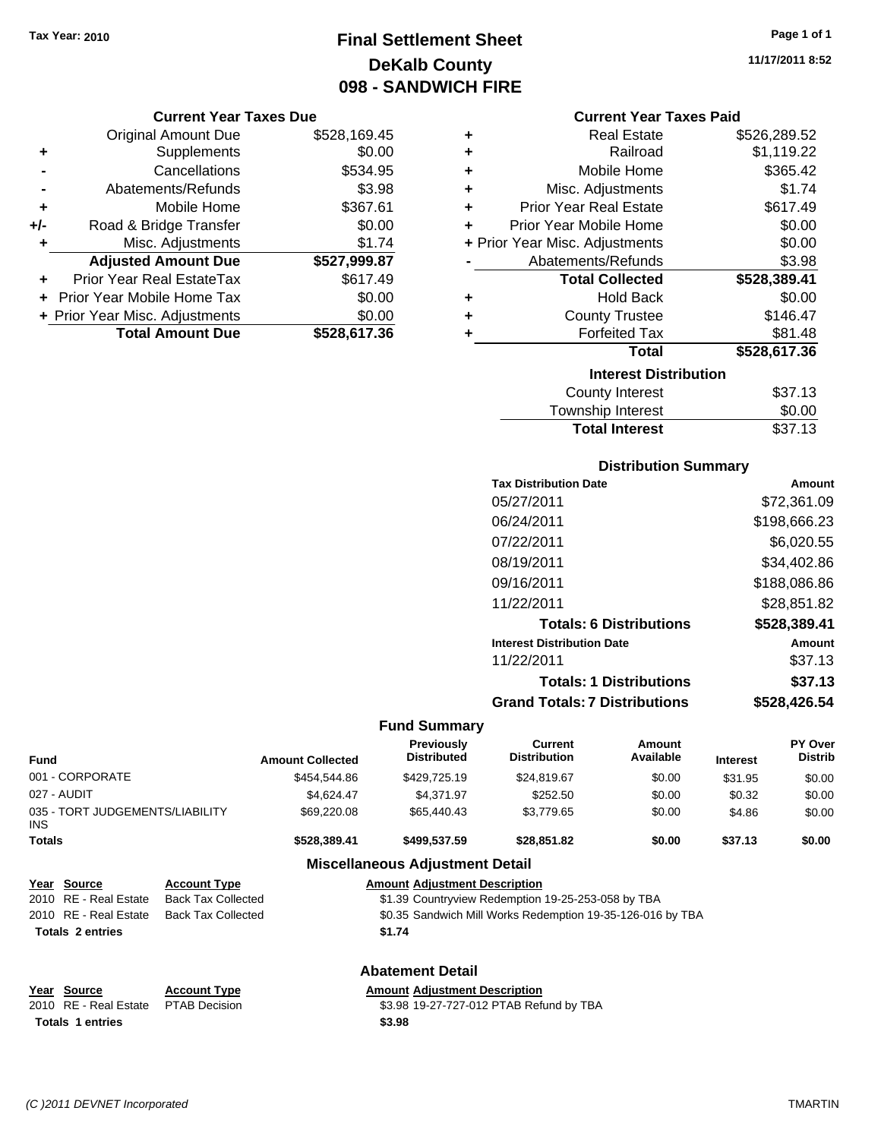## **Final Settlement Sheet Tax Year: 2010 Page 1 of 1 DeKalb County 098 - SANDWICH FIRE**

### **Current Year Taxes Due**

|     | <b>Original Amount Due</b>       | \$528,169.45 |
|-----|----------------------------------|--------------|
| ٠   | Supplements                      | \$0.00       |
|     | Cancellations                    | \$534.95     |
|     | Abatements/Refunds               | \$3.98       |
| ٠   | Mobile Home                      | \$367.61     |
| +/- | Road & Bridge Transfer           | \$0.00       |
| ٠   | Misc. Adjustments                | \$1.74       |
|     | <b>Adjusted Amount Due</b>       | \$527,999.87 |
|     | <b>Prior Year Real EstateTax</b> | \$617.49     |
|     | Prior Year Mobile Home Tax       | \$0.00       |
|     | + Prior Year Misc. Adjustments   | \$0.00       |
|     | <b>Total Amount Due</b>          | \$528,617,36 |

### **Current Year Taxes Paid**

| ٠ | Real Estate                    | \$526,289.52 |
|---|--------------------------------|--------------|
| ٠ | Railroad                       | \$1,119.22   |
| ٠ | Mobile Home                    | \$365.42     |
| ٠ | Misc. Adjustments              | \$1.74       |
| ٠ | <b>Prior Year Real Estate</b>  | \$617.49     |
| ٠ | Prior Year Mobile Home         | \$0.00       |
|   | + Prior Year Misc. Adjustments | \$0.00       |
|   | Abatements/Refunds             | \$3.98       |
|   | <b>Total Collected</b>         | \$528,389.41 |
| ٠ | Hold Back                      | \$0.00       |
| ٠ | <b>County Trustee</b>          | \$146.47     |
| ٠ | <b>Forfeited Tax</b>           | \$81.48      |
|   | Total                          | \$528,617.36 |
|   | <b>Interest Distribution</b>   |              |
|   | <b>County Interest</b>         | \$37.13      |
|   | <b>Township Interest</b>       | \$0.00       |
|   | <b>Total Interest</b>          | \$37.13      |

### **Distribution Summary**

| <b>Tax Distribution Date</b>         | Amount       |
|--------------------------------------|--------------|
| 05/27/2011                           | \$72.361.09  |
| 06/24/2011                           | \$198,666.23 |
| 07/22/2011                           | \$6,020.55   |
| 08/19/2011                           | \$34,402.86  |
| 09/16/2011                           | \$188,086.86 |
| 11/22/2011                           | \$28,851.82  |
| <b>Totals: 6 Distributions</b>       | \$528,389.41 |
| <b>Interest Distribution Date</b>    | Amount       |
| 11/22/2011                           | \$37.13      |
| <b>Totals: 1 Distributions</b>       | \$37.13      |
| <b>Grand Totals: 7 Distributions</b> | \$528,426.54 |

### **Fund Summary**

| <b>Fund</b>                             |                         |                                                                                         | <b>Amount Collected</b> | <b>Previously</b><br><b>Distributed</b> | Current<br><b>Distribution</b>                     | Amount<br>Available | <b>Interest</b> | <b>PY Over</b><br><b>Distrib</b> |
|-----------------------------------------|-------------------------|-----------------------------------------------------------------------------------------|-------------------------|-----------------------------------------|----------------------------------------------------|---------------------|-----------------|----------------------------------|
|                                         | 001 - CORPORATE         |                                                                                         | \$454,544.86            | \$429,725.19                            | \$24,819.67                                        | \$0.00              | \$31.95         | \$0.00                           |
| 027 - AUDIT                             |                         | \$4,624.47                                                                              | \$4,371.97              | \$252.50                                | \$0.00                                             | \$0.32              | \$0.00          |                                  |
| 035 - TORT JUDGEMENTS/LIABILITY<br>INS. |                         | \$69,220.08                                                                             | \$65,440.43             | \$3,779.65                              | \$0.00                                             | \$4.86              | \$0.00          |                                  |
| <b>Totals</b>                           |                         |                                                                                         | \$528,389.41            | \$499,537.59                            | \$28,851.82                                        | \$0.00              | \$37.13         | \$0.00                           |
|                                         |                         |                                                                                         |                         | <b>Miscellaneous Adjustment Detail</b>  |                                                    |                     |                 |                                  |
|                                         | Year Source             | <b>Amount Adjustment Description</b><br><b>Account Type</b>                             |                         |                                         |                                                    |                     |                 |                                  |
|                                         | 2010 RE - Real Estate   | <b>Back Tax Collected</b>                                                               |                         |                                         | \$1.39 Countryview Redemption 19-25-253-058 by TBA |                     |                 |                                  |
|                                         | 2010 RE - Real Estate   | <b>Back Tax Collected</b><br>\$0.35 Sandwich Mill Works Redemption 19-35-126-016 by TBA |                         |                                         |                                                    |                     |                 |                                  |
|                                         | <b>Totals 2 entries</b> |                                                                                         |                         | \$1.74                                  |                                                    |                     |                 |                                  |
|                                         |                         |                                                                                         |                         | <b>Abatement Detail</b>                 |                                                    |                     |                 |                                  |
|                                         | Year Source             | <b>Account Type</b>                                                                     |                         | <b>Amount Adjustment Description</b>    |                                                    |                     |                 |                                  |
| 2010                                    | <b>RE</b> - Real Estate | <b>PTAB Decision</b>                                                                    |                         |                                         | \$3.98 19-27-727-012 PTAB Refund by TBA            |                     |                 |                                  |
|                                         | <b>Totals 1 entries</b> |                                                                                         |                         | \$3.98                                  |                                                    |                     |                 |                                  |

**11/17/2011 8:52**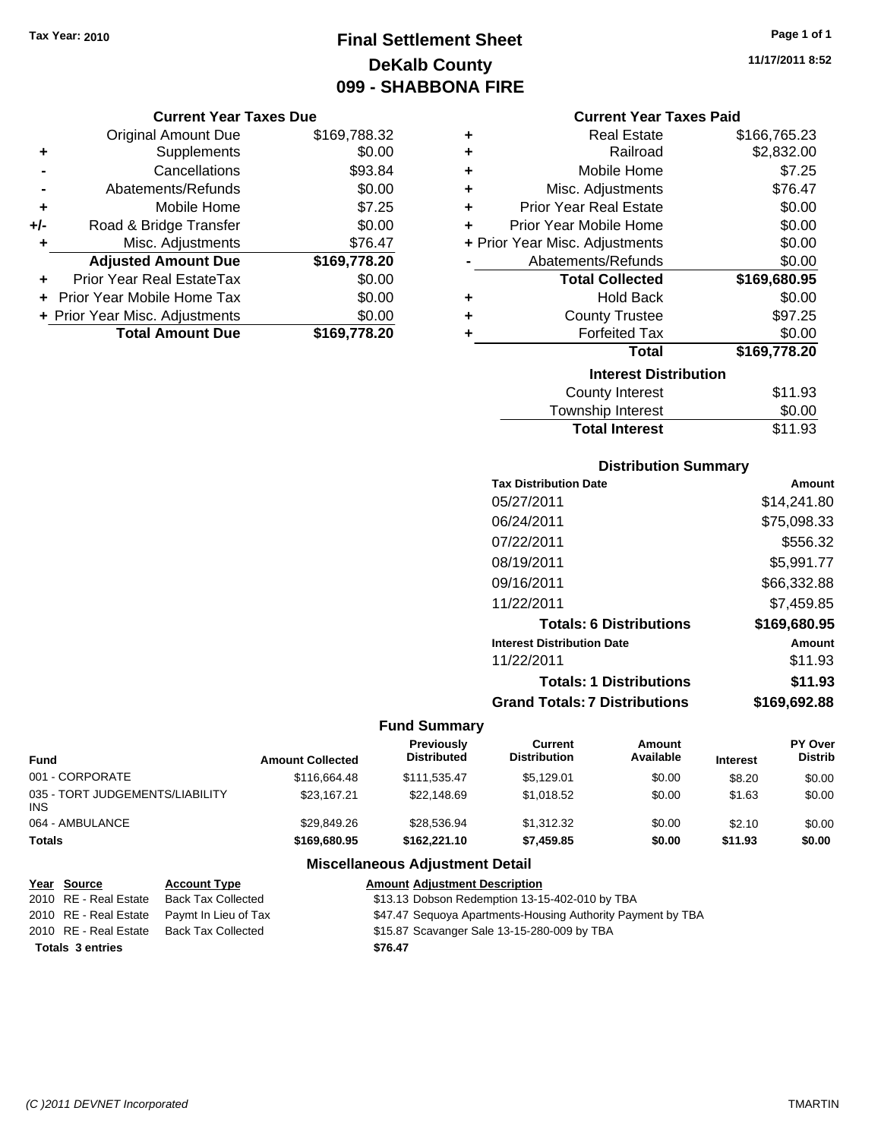## **Final Settlement Sheet Tax Year: 2010 Page 1 of 1 DeKalb County 099 - SHABBONA FIRE**

### **Current Year Taxes Due**

|       | <b>Original Amount Due</b>     | \$169,788.32 |
|-------|--------------------------------|--------------|
| ٠     | Supplements                    | \$0.00       |
|       | Cancellations                  | \$93.84      |
|       | Abatements/Refunds             | \$0.00       |
| ÷     | Mobile Home                    | \$7.25       |
| $+/-$ | Road & Bridge Transfer         | \$0.00       |
| ٠     | Misc. Adjustments              | \$76.47      |
|       | <b>Adjusted Amount Due</b>     | \$169,778.20 |
|       | Prior Year Real EstateTax      | \$0.00       |
|       | Prior Year Mobile Home Tax     | \$0.00       |
|       | + Prior Year Misc. Adjustments | \$0.00       |
|       | <b>Total Amount Due</b>        | \$169,778.20 |

#### **Current Year Taxes Paid**

| ٠ | <b>Real Estate</b>             | \$166,765.23 |
|---|--------------------------------|--------------|
| ٠ | Railroad                       | \$2,832.00   |
| ÷ | Mobile Home                    | \$7.25       |
| ٠ | Misc. Adjustments              | \$76.47      |
| ÷ | <b>Prior Year Real Estate</b>  | \$0.00       |
| ٠ | Prior Year Mobile Home         | \$0.00       |
|   | + Prior Year Misc. Adjustments | \$0.00       |
|   | Abatements/Refunds             | \$0.00       |
|   |                                |              |
|   | <b>Total Collected</b>         | \$169,680.95 |
| ٠ | <b>Hold Back</b>               | \$0.00       |
| ٠ | <b>County Trustee</b>          | \$97.25      |
| ٠ | <b>Forfeited Tax</b>           | \$0.00       |
|   | Total                          | \$169,778.20 |
|   | <b>Interest Distribution</b>   |              |
|   | <b>County Interest</b>         | \$11.93      |

### **Total Interest** \$11.93

| <b>Distribution Summary</b>          |              |
|--------------------------------------|--------------|
| <b>Tax Distribution Date</b>         | Amount       |
| 05/27/2011                           | \$14,241.80  |
| 06/24/2011                           | \$75,098.33  |
| 07/22/2011                           | \$556.32     |
| 08/19/2011                           | \$5,991.77   |
| 09/16/2011                           | \$66,332.88  |
| 11/22/2011                           | \$7.459.85   |
| <b>Totals: 6 Distributions</b>       | \$169,680.95 |
| <b>Interest Distribution Date</b>    | Amount       |
| 11/22/2011                           | \$11.93      |
| <b>Totals: 1 Distributions</b>       | \$11.93      |
| <b>Grand Totals: 7 Distributions</b> | \$169.692.88 |

### **Fund Summary**

| Fund                                   | <b>Amount Collected</b> | <b>Previously</b><br><b>Distributed</b> | Current<br><b>Distribution</b> | Amount<br>Available | <b>Interest</b> | <b>PY Over</b><br><b>Distrib</b> |
|----------------------------------------|-------------------------|-----------------------------------------|--------------------------------|---------------------|-----------------|----------------------------------|
| 001 - CORPORATE                        | \$116,664.48            | \$111.535.47                            | \$5,129.01                     | \$0.00              | \$8.20          | \$0.00                           |
| 035 - TORT JUDGEMENTS/LIABILITY<br>INS | \$23.167.21             | \$22,148.69                             | \$1.018.52                     | \$0.00              | \$1.63          | \$0.00                           |
| 064 - AMBULANCE                        | \$29.849.26             | \$28,536.94                             | \$1.312.32                     | \$0.00              | \$2.10          | \$0.00                           |
| Totals                                 | \$169,680.95            | \$162,221.10                            | \$7,459.85                     | \$0.00              | \$11.93         | \$0.00                           |

### **Miscellaneous Adjustment Detail**

| <u>Year Source</u>      | <b>Account Type</b>                        | <b>Amount Adjustment Description</b>                        |
|-------------------------|--------------------------------------------|-------------------------------------------------------------|
| 2010 RE - Real Estate   | <b>Back Tax Collected</b>                  | \$13.13 Dobson Redemption 13-15-402-010 by TBA              |
|                         | 2010 RE - Real Estate Paymt In Lieu of Tax | \$47.47 Sequoya Apartments-Housing Authority Payment by TBA |
| 2010 RE - Real Estate   | Back Tax Collected                         | \$15.87 Scavanger Sale 13-15-280-009 by TBA                 |
| <b>Totals 3 entries</b> |                                            | \$76.47                                                     |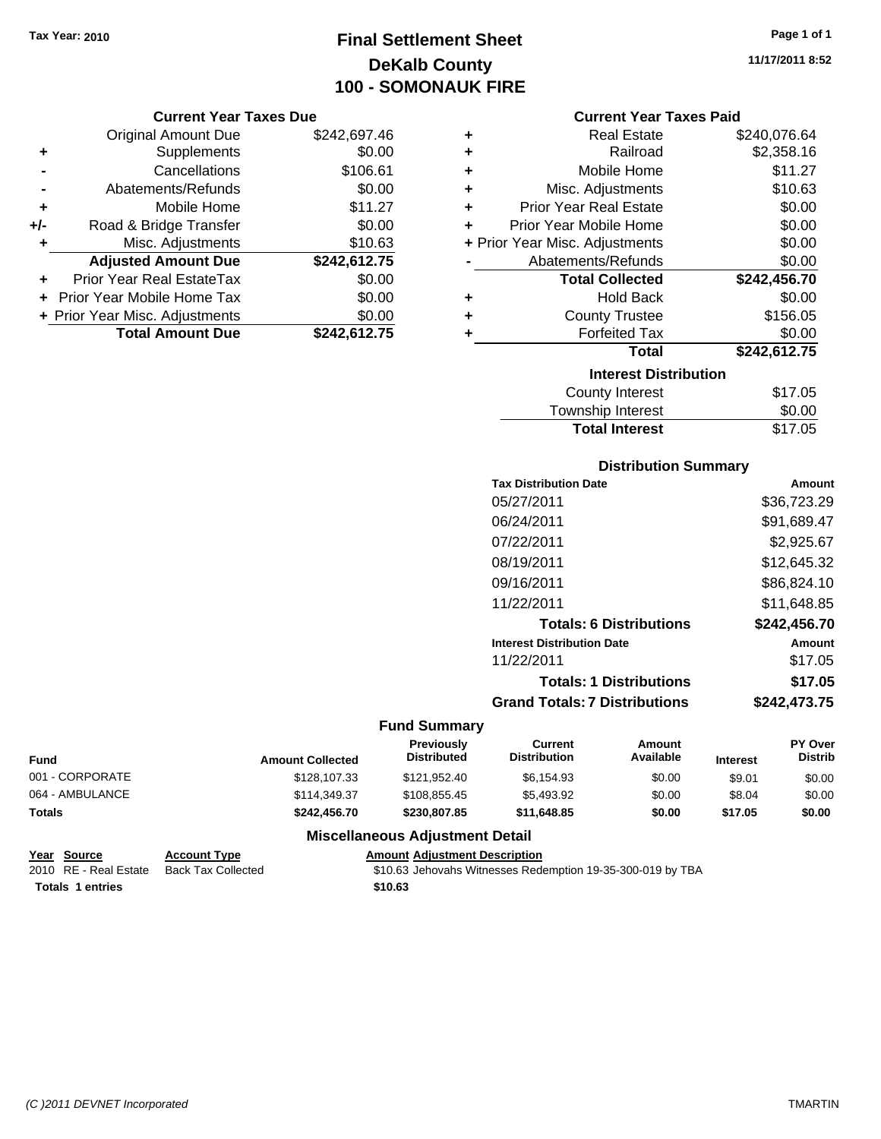## **Final Settlement Sheet Tax Year: 2010 Page 1 of 1 DeKalb County 100 - SOMONAUK FIRE**

#### **Current Year Taxes Due**

|       | <b>Original Amount Due</b>     | \$242,697.46 |
|-------|--------------------------------|--------------|
| ٠     | Supplements                    | \$0.00       |
|       | Cancellations                  | \$106.61     |
|       | Abatements/Refunds             | \$0.00       |
| ٠     | Mobile Home                    | \$11.27      |
| $+/-$ | Road & Bridge Transfer         | \$0.00       |
| ٠     | Misc. Adjustments              | \$10.63      |
|       | <b>Adjusted Amount Due</b>     | \$242,612.75 |
|       | Prior Year Real EstateTax      | \$0.00       |
|       | Prior Year Mobile Home Tax     | \$0.00       |
|       | + Prior Year Misc. Adjustments | \$0.00       |
|       | <b>Total Amount Due</b>        | \$242,612.75 |

| ٠ | <b>Real Estate</b>             | \$240,076.64 |  |  |  |
|---|--------------------------------|--------------|--|--|--|
| ÷ | Railroad                       | \$2,358.16   |  |  |  |
| ÷ | Mobile Home                    | \$11.27      |  |  |  |
| ٠ | Misc. Adjustments              | \$10.63      |  |  |  |
| ÷ | <b>Prior Year Real Estate</b>  | \$0.00       |  |  |  |
| ٠ | Prior Year Mobile Home         | \$0.00       |  |  |  |
|   | + Prior Year Misc. Adjustments | \$0.00       |  |  |  |
|   | Abatements/Refunds             | \$0.00       |  |  |  |
|   | <b>Total Collected</b>         | \$242,456.70 |  |  |  |
| ٠ | <b>Hold Back</b>               | \$0.00       |  |  |  |
| ٠ | <b>County Trustee</b>          | \$156.05     |  |  |  |
| ٠ | <b>Forfeited Tax</b>           | \$0.00       |  |  |  |
|   | Total                          | \$242,612.75 |  |  |  |
|   | <b>Interest Distribution</b>   |              |  |  |  |
|   | <b>County Interest</b>         | \$17.05      |  |  |  |
|   | Tauraahin Intornat             | ሮስ ሰሰ        |  |  |  |

| <b>Total Interest</b>   | \$17.05     |
|-------------------------|-------------|
| Township Interest       | \$0.00      |
| <b>OVAILLY THIGLEST</b> | $V1$ . $V0$ |

### **Distribution Summary**

| <b>Tax Distribution Date</b>         | Amount       |
|--------------------------------------|--------------|
| 05/27/2011                           | \$36,723.29  |
| 06/24/2011                           | \$91,689.47  |
| 07/22/2011                           | \$2,925.67   |
| 08/19/2011                           | \$12,645.32  |
| 09/16/2011                           | \$86,824.10  |
| 11/22/2011                           | \$11,648.85  |
| <b>Totals: 6 Distributions</b>       | \$242,456.70 |
| <b>Interest Distribution Date</b>    | Amount       |
| 11/22/2011                           | \$17.05      |
| <b>Totals: 1 Distributions</b>       | \$17.05      |
| <b>Grand Totals: 7 Distributions</b> | \$242,473.75 |
|                                      |              |

### **Fund Summary**

| Fund            | <b>Amount Collected</b> | <b>Previously</b><br><b>Distributed</b> | Current<br><b>Distribution</b> | Amount<br>Available | <b>Interest</b> | <b>PY Over</b><br><b>Distrib</b> |
|-----------------|-------------------------|-----------------------------------------|--------------------------------|---------------------|-----------------|----------------------------------|
| 001 - CORPORATE | \$128,107.33            | \$121.952.40                            | \$6.154.93                     | \$0.00              | \$9.01          | \$0.00                           |
| 064 - AMBULANCE | \$114,349.37            | \$108.855.45                            | \$5,493.92                     | \$0.00              | \$8.04          | \$0.00                           |
| <b>Totals</b>   | \$242,456.70            | \$230,807.85                            | \$11,648.85                    | \$0.00              | \$17.05         | \$0.00                           |

### **Miscellaneous Adjustment Detail**

|                         | Year Source           | <b>Account Type</b> | <b>Amount Adiustment Description</b>                       |
|-------------------------|-----------------------|---------------------|------------------------------------------------------------|
|                         | 2010 RE - Real Estate | Back Tax Collected  | \$10.63 Jehovahs Witnesses Redemption 19-35-300-019 by TBA |
| <b>Totals 1 entries</b> |                       |                     | \$10.63                                                    |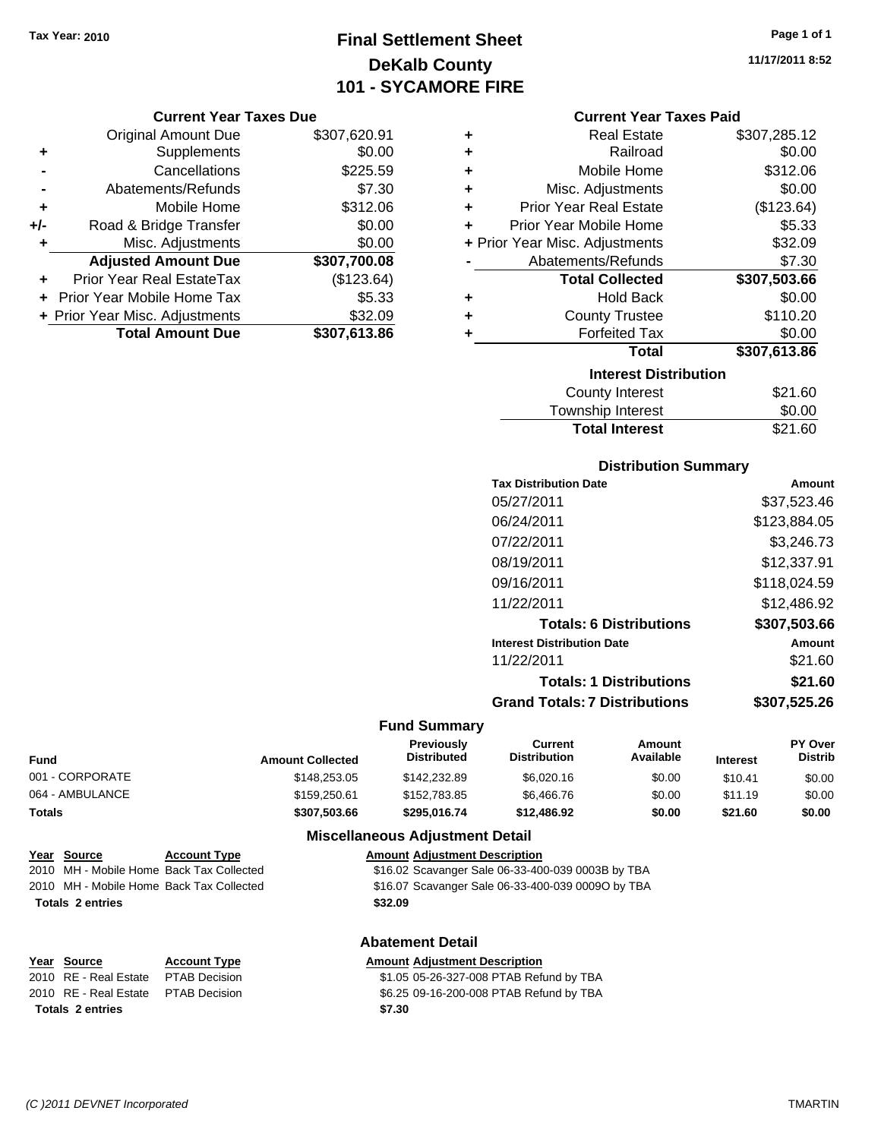## **Final Settlement Sheet Tax Year: 2010 Page 1 of 1 DeKalb County 101 - SYCAMORE FIRE**

#### **Current Year Taxes Due**

|       | <b>Original Amount Due</b>       | \$307,620.91 |
|-------|----------------------------------|--------------|
| ٠     | Supplements                      | \$0.00       |
|       | Cancellations                    | \$225.59     |
|       | Abatements/Refunds               | \$7.30       |
| ÷     | Mobile Home                      | \$312.06     |
| $+/-$ | Road & Bridge Transfer           | \$0.00       |
| ٠     | Misc. Adjustments                | \$0.00       |
|       | <b>Adjusted Amount Due</b>       | \$307,700.08 |
|       | <b>Prior Year Real EstateTax</b> | (\$123.64)   |
|       | Prior Year Mobile Home Tax       | \$5.33       |
|       | + Prior Year Misc. Adjustments   | \$32.09      |
|       | <b>Total Amount Due</b>          | \$307,613.86 |

| ٠ | <b>Real Estate</b>             | \$307,285.12 |  |  |  |
|---|--------------------------------|--------------|--|--|--|
| ٠ | Railroad                       | \$0.00       |  |  |  |
| ٠ | Mobile Home                    | \$312.06     |  |  |  |
| ÷ | Misc. Adjustments              | \$0.00       |  |  |  |
| ÷ | <b>Prior Year Real Estate</b>  | (\$123.64)   |  |  |  |
| ٠ | Prior Year Mobile Home         | \$5.33       |  |  |  |
|   | + Prior Year Misc. Adjustments | \$32.09      |  |  |  |
|   | Abatements/Refunds             | \$7.30       |  |  |  |
|   | <b>Total Collected</b>         | \$307,503.66 |  |  |  |
| ٠ | <b>Hold Back</b>               | \$0.00       |  |  |  |
| ٠ | <b>County Trustee</b>          | \$110.20     |  |  |  |
| ٠ | <b>Forfeited Tax</b>           | \$0.00       |  |  |  |
|   | <b>Total</b>                   | \$307,613.86 |  |  |  |
|   | <b>Interest Distribution</b>   |              |  |  |  |
|   | <b>County Interest</b>         | \$21.60      |  |  |  |
|   | Townehin Interact              | ደስ ሰስ        |  |  |  |

| <b>Total Interest</b> | \$21.60        |
|-----------------------|----------------|
| Township Interest     | \$0.00         |
| <b>COUTTY THEFEST</b> | <b>JZ 1.00</b> |

#### **Distribution Summary**

| Amount       |
|--------------|
| \$37,523.46  |
| \$123.884.05 |
| \$3,246.73   |
| \$12,337.91  |
| \$118,024.59 |
| \$12,486.92  |
| \$307,503.66 |
| Amount       |
| \$21.60      |
| \$21.60      |
| \$307,525.26 |
|              |

#### **Fund Summary**

| <b>Fund</b>     | <b>Amount Collected</b> | Previously<br><b>Distributed</b> | Current<br><b>Distribution</b> | Amount<br>Available | <b>Interest</b> | <b>PY Over</b><br><b>Distrib</b> |
|-----------------|-------------------------|----------------------------------|--------------------------------|---------------------|-----------------|----------------------------------|
| 001 - CORPORATE | \$148,253.05            | \$142,232.89                     | \$6,020.16                     | \$0.00              | \$10.41         | \$0.00                           |
| 064 - AMBULANCE | \$159,250.61            | \$152,783.85                     | \$6,466.76                     | \$0.00              | \$11.19         | \$0.00                           |
| <b>Totals</b>   | \$307.503.66            | \$295.016.74                     | \$12,486.92                    | \$0.00              | \$21.60         | \$0.00                           |

## **Year Source Account Type Amount Adjustment Description** 2010 MH - Mobile Home Back Tax Collected \$16.07 Scavanger Sale 06-33-400-039 0009O by TBA **Totals \$32.09 2 entries**

# **Year Source Account Type Amount Adjustment Description Totals \$7.30 2 entries**

### **Miscellaneous Adjustment Detail**

2010 MH - Mobile Home Back Tax Collected \$16.02 Scavanger Sale 06-33-400-039 0003B by TBA

#### **Abatement Detail**

## 2010 RE - Real Estate \$1.05 05-26-327-008 PTAB Refund by TBA PTAB Decision

2010 RE - Real Estate \$6.25 09-16-200-008 PTAB Refund by TBA PTAB Decision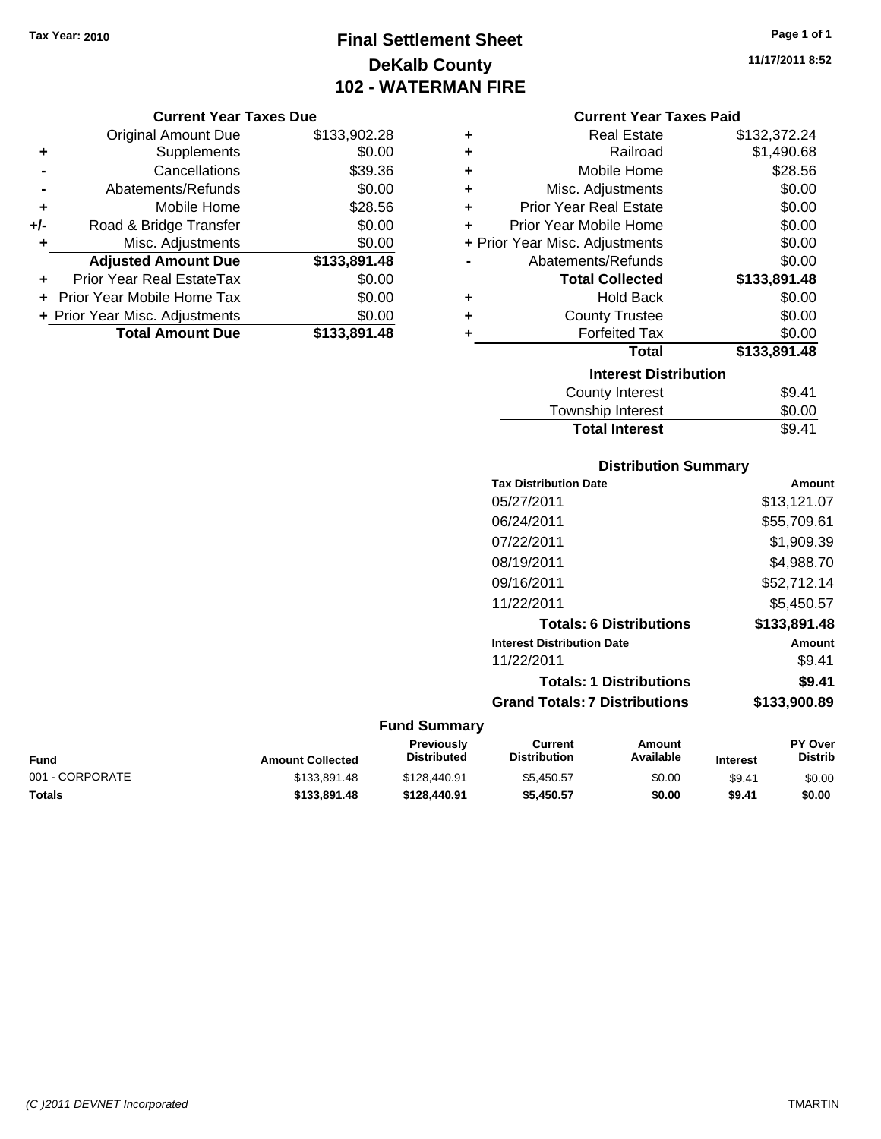## **Final Settlement Sheet Tax Year: 2010 Page 1 of 1 DeKalb County 102 - WATERMAN FIRE**

#### **Current Year Taxes Due**

|       | <b>Original Amount Due</b>       | \$133,902.28 |
|-------|----------------------------------|--------------|
| ٠     | Supplements                      | \$0.00       |
|       | Cancellations                    | \$39.36      |
|       | Abatements/Refunds               | \$0.00       |
| ÷     | Mobile Home                      | \$28.56      |
| $+/-$ | Road & Bridge Transfer           | \$0.00       |
| ٠     | Misc. Adjustments                | \$0.00       |
|       | <b>Adjusted Amount Due</b>       | \$133,891.48 |
|       | <b>Prior Year Real EstateTax</b> | \$0.00       |
|       | Prior Year Mobile Home Tax       | \$0.00       |
|       | + Prior Year Misc. Adjustments   | \$0.00       |
|       | <b>Total Amount Due</b>          | \$133,891.48 |

| ٠ | <b>Real Estate</b>             | \$132,372.24 |
|---|--------------------------------|--------------|
| ٠ | Railroad                       | \$1,490.68   |
| ٠ | Mobile Home                    | \$28.56      |
| ٠ | Misc. Adjustments              | \$0.00       |
| ÷ | <b>Prior Year Real Estate</b>  | \$0.00       |
| ÷ | Prior Year Mobile Home         | \$0.00       |
|   | + Prior Year Misc. Adjustments | \$0.00       |
|   | Abatements/Refunds             | \$0.00       |
|   | <b>Total Collected</b>         | \$133,891.48 |
| ٠ | <b>Hold Back</b>               | \$0.00       |
| ٠ | <b>County Trustee</b>          | \$0.00       |
| ٠ | <b>Forfeited Tax</b>           | \$0.00       |
|   | Total                          | \$133,891.48 |
|   | <b>Interest Distribution</b>   |              |
|   |                                |              |

### Township Interest  $$0.00$ **Total Interest** \$9.41

### **Distribution Summary**

| <b>Tax Distribution Date</b>         | Amount       |
|--------------------------------------|--------------|
| 05/27/2011                           | \$13,121.07  |
| 06/24/2011                           | \$55.709.61  |
| 07/22/2011                           | \$1,909.39   |
| 08/19/2011                           | \$4.988.70   |
| 09/16/2011                           | \$52,712.14  |
| 11/22/2011                           | \$5.450.57   |
| <b>Totals: 6 Distributions</b>       | \$133,891.48 |
| <b>Interest Distribution Date</b>    | Amount       |
| 11/22/2011                           | \$9.41       |
| <b>Totals: 1 Distributions</b>       | \$9.41       |
| <b>Grand Totals: 7 Distributions</b> | \$133,900.89 |
|                                      |              |

### **Fund Summary**

| Fund            | <b>Amount Collected</b> | <b>Previously</b><br>Distributed | Current<br><b>Distribution</b> | Amount<br>Available | <b>Interest</b> | <b>PY Over</b><br><b>Distrib</b> |
|-----------------|-------------------------|----------------------------------|--------------------------------|---------------------|-----------------|----------------------------------|
| 001 - CORPORATE | \$133.891.48            | \$128,440.91                     | \$5.450.57                     | \$0.00              | \$9.41          | \$0.00                           |
| Totals          | \$133.891.48            | \$128,440.91                     | \$5,450.57                     | \$0.00              | \$9.41          | \$0.00                           |

**11/17/2011 8:52**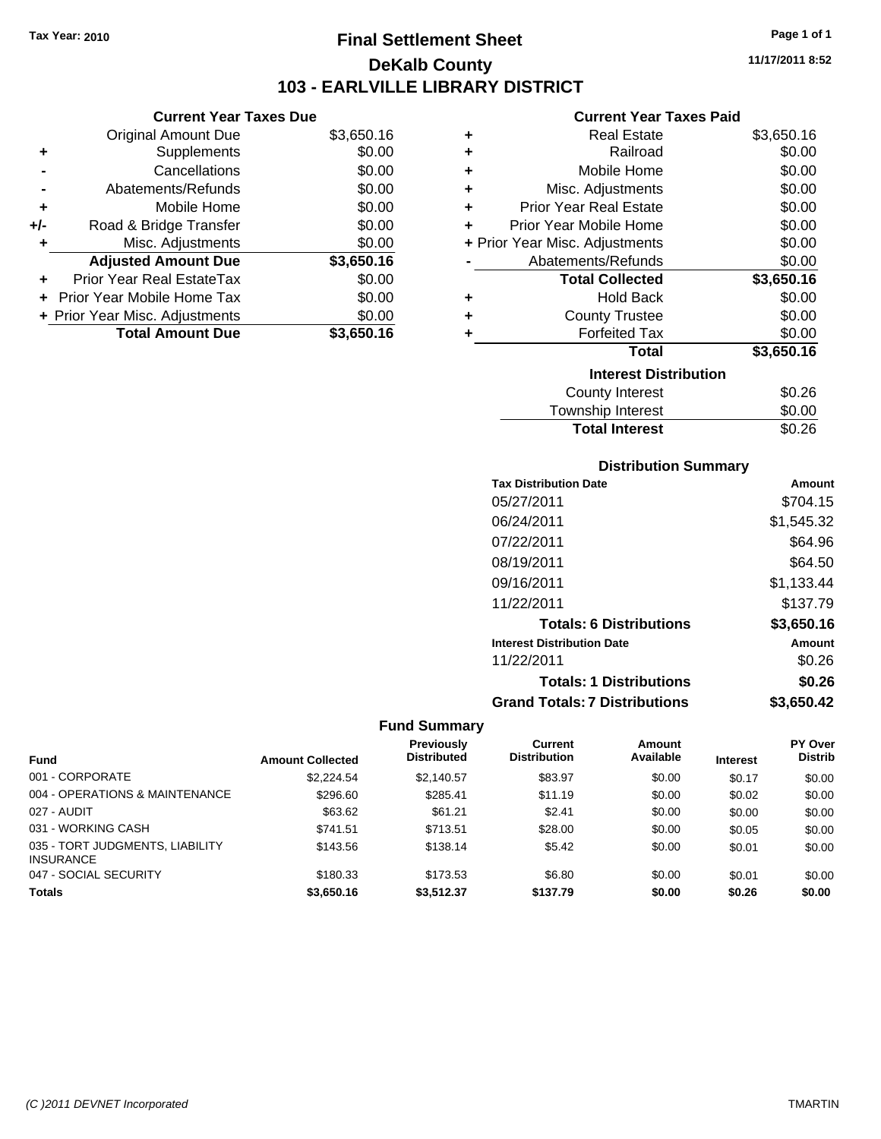### **Final Settlement Sheet Tax Year: 2010 Page 1 of 1 DeKalb County 103 - EARLVILLE LIBRARY DISTRICT**

**11/17/2011 8:52**

### **Current Year Taxes Paid**

|     | <b>Current Year Taxes Due</b>  |            |   | <b>Current Year Taxes Paid</b> |            |
|-----|--------------------------------|------------|---|--------------------------------|------------|
|     | Original Amount Due            | \$3,650.16 |   | <b>Real Estate</b>             | \$3,650.16 |
| ٠   | <b>Supplements</b>             | \$0.00     |   | Railroad                       | \$0.00     |
|     | Cancellations                  | \$0.00     | ٠ | Mobile Home                    | \$0.00     |
|     | Abatements/Refunds             | \$0.00     | ٠ | Misc. Adjustments              | \$0.00     |
| ٠   | Mobile Home                    | \$0.00     |   | <b>Prior Year Real Estate</b>  | \$0.00     |
| +/- | Road & Bridge Transfer         | \$0.00     |   | Prior Year Mobile Home         | \$0.00     |
|     | Misc. Adjustments              | \$0.00     |   | + Prior Year Misc. Adjustments | \$0.00     |
|     | <b>Adjusted Amount Due</b>     | \$3,650.16 |   | Abatements/Refunds             | \$0.00     |
| ٠   | Prior Year Real EstateTax      | \$0.00     |   | <b>Total Collected</b>         | \$3,650.16 |
|     | + Prior Year Mobile Home Tax   | \$0.00     | ٠ | <b>Hold Back</b>               | \$0.00     |
|     | + Prior Year Misc. Adjustments | \$0.00     | ٠ | <b>County Trustee</b>          | \$0.00     |
|     | <b>Total Amount Due</b>        | \$3,650.16 |   | <b>Forfeited Tax</b>           | \$0.00     |
|     |                                |            |   | <b>Total</b>                   | \$3,650.16 |
|     |                                |            |   |                                |            |

| <b>Interest Distribution</b> |        |  |  |  |
|------------------------------|--------|--|--|--|
| County Interest              | \$0.26 |  |  |  |
| <b>Township Interest</b>     | \$0.00 |  |  |  |
| <b>Total Interest</b>        | \$0.26 |  |  |  |

### **Distribution Summary**

| <b>Tax Distribution Date</b>         | Amount     |
|--------------------------------------|------------|
| 05/27/2011                           | \$704.15   |
| 06/24/2011                           | \$1,545.32 |
| 07/22/2011                           | \$64.96    |
| 08/19/2011                           | \$64.50    |
| 09/16/2011                           | \$1,133.44 |
| 11/22/2011                           | \$137.79   |
| <b>Totals: 6 Distributions</b>       | \$3,650.16 |
| <b>Interest Distribution Date</b>    | Amount     |
| 11/22/2011                           | \$0.26     |
| <b>Totals: 1 Distributions</b>       | \$0.26     |
| <b>Grand Totals: 7 Distributions</b> | \$3,650.42 |

|                                                     |                         | Previously         | Current             | <b>Amount</b> |                 | <b>PY Over</b> |
|-----------------------------------------------------|-------------------------|--------------------|---------------------|---------------|-----------------|----------------|
| <b>Fund</b>                                         | <b>Amount Collected</b> | <b>Distributed</b> | <b>Distribution</b> | Available     | <b>Interest</b> | <b>Distrib</b> |
| 001 - CORPORATE                                     | \$2,224.54              | \$2.140.57         | \$83.97             | \$0.00        | \$0.17          | \$0.00         |
| 004 - OPERATIONS & MAINTENANCE                      | \$296.60                | \$285.41           | \$11.19             | \$0.00        | \$0.02          | \$0.00         |
| 027 - AUDIT                                         | \$63.62                 | \$61.21            | \$2.41              | \$0.00        | \$0.00          | \$0.00         |
| 031 - WORKING CASH                                  | \$741.51                | \$713.51           | \$28.00             | \$0.00        | \$0.05          | \$0.00         |
| 035 - TORT JUDGMENTS, LIABILITY<br><b>INSURANCE</b> | \$143.56                | \$138.14           | \$5.42              | \$0.00        | \$0.01          | \$0.00         |
| 047 - SOCIAL SECURITY                               | \$180.33                | \$173.53           | \$6.80              | \$0.00        | \$0.01          | \$0.00         |
| <b>Totals</b>                                       | \$3,650,16              | \$3.512.37         | \$137.79            | \$0.00        | \$0.26          | \$0.00         |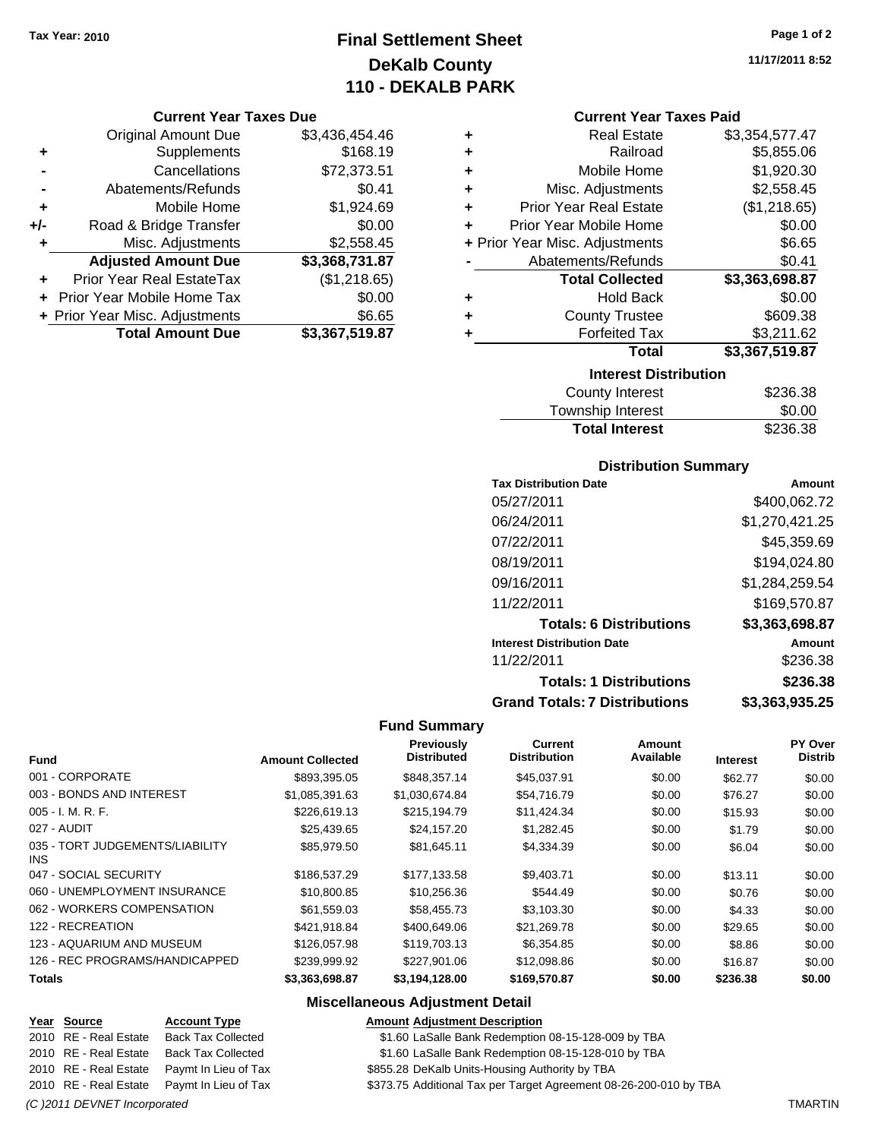### **Final Settlement Sheet Tax Year: 2010 Page 1 of 2 DeKalb County 110 - DEKALB PARK**

#### **Current Year Taxes Due**

|       | <b>Original Amount Due</b>        | \$3,436,454.46 |
|-------|-----------------------------------|----------------|
| ٠     | Supplements                       | \$168.19       |
|       | Cancellations                     | \$72,373.51    |
|       | Abatements/Refunds                | \$0.41         |
| ٠     | Mobile Home                       | \$1,924.69     |
| $+/-$ | Road & Bridge Transfer            | \$0.00         |
| ٠     | Misc. Adjustments                 | \$2,558.45     |
|       | <b>Adjusted Amount Due</b>        | \$3,368,731.87 |
|       | <b>Prior Year Real EstateTax</b>  | (\$1,218.65)   |
|       | <b>Prior Year Mobile Home Tax</b> | \$0.00         |
|       | + Prior Year Misc. Adjustments    | \$6.65         |
|       | <b>Total Amount Due</b>           | \$3,367,519.87 |

| ٠ | <b>Real Estate</b>             | \$3,354,577.47 |
|---|--------------------------------|----------------|
| ÷ | Railroad                       | \$5,855.06     |
| ÷ | Mobile Home                    | \$1,920.30     |
| ٠ | Misc. Adjustments              | \$2,558.45     |
| ÷ | <b>Prior Year Real Estate</b>  | (\$1,218.65)   |
| ÷ | Prior Year Mobile Home         | \$0.00         |
|   | + Prior Year Misc. Adjustments | \$6.65         |
|   | Abatements/Refunds             | \$0.41         |
|   | <b>Total Collected</b>         | \$3,363,698.87 |
| ٠ | <b>Hold Back</b>               | \$0.00         |
| ٠ | <b>County Trustee</b>          | \$609.38       |
| ٠ | <b>Forfeited Tax</b>           | \$3,211.62     |
|   | Total                          | \$3,367,519.87 |
|   | <b>Interest Distribution</b>   |                |
|   | County Interest                | \$236.38       |

| County Interest       | \$236.38 |
|-----------------------|----------|
| Township Interest     | \$0.00   |
| <b>Total Interest</b> | \$236.38 |

### **Distribution Summary**

| <b>Tax Distribution Date</b>         | Amount         |
|--------------------------------------|----------------|
| 05/27/2011                           | \$400,062.72   |
| 06/24/2011                           | \$1,270,421.25 |
| 07/22/2011                           | \$45,359.69    |
| 08/19/2011                           | \$194,024.80   |
| 09/16/2011                           | \$1,284,259.54 |
| 11/22/2011                           | \$169,570.87   |
| <b>Totals: 6 Distributions</b>       | \$3,363,698.87 |
| <b>Interest Distribution Date</b>    | Amount         |
| 11/22/2011                           | \$236.38       |
| <b>Totals: 1 Distributions</b>       | \$236.38       |
| <b>Grand Totals: 7 Distributions</b> | \$3,363,935.25 |

#### **Fund Summary**

|                                         |                         | Previously         | Current             | Amount    |                 | PY Over        |
|-----------------------------------------|-------------------------|--------------------|---------------------|-----------|-----------------|----------------|
| <b>Fund</b>                             | <b>Amount Collected</b> | <b>Distributed</b> | <b>Distribution</b> | Available | <b>Interest</b> | <b>Distrib</b> |
| 001 - CORPORATE                         | \$893,395.05            | \$848,357.14       | \$45,037.91         | \$0.00    | \$62.77         | \$0.00         |
| 003 - BONDS AND INTEREST                | \$1,085,391.63          | \$1,030,674.84     | \$54,716.79         | \$0.00    | \$76.27         | \$0.00         |
| $005 - I. M. R. F.$                     | \$226.619.13            | \$215.194.79       | \$11,424.34         | \$0.00    | \$15.93         | \$0.00         |
| 027 - AUDIT                             | \$25,439.65             | \$24,157.20        | \$1,282.45          | \$0.00    | \$1.79          | \$0.00         |
| 035 - TORT JUDGEMENTS/LIABILITY<br>INS. | \$85,979.50             | \$81,645.11        | \$4,334.39          | \$0.00    | \$6.04          | \$0.00         |
| 047 - SOCIAL SECURITY                   | \$186,537.29            | \$177,133.58       | \$9,403.71          | \$0.00    | \$13.11         | \$0.00         |
| 060 - UNEMPLOYMENT INSURANCE            | \$10,800.85             | \$10.256.36        | \$544.49            | \$0.00    | \$0.76          | \$0.00         |
| 062 - WORKERS COMPENSATION              | \$61,559.03             | \$58,455.73        | \$3,103.30          | \$0.00    | \$4.33          | \$0.00         |
| 122 - RECREATION                        | \$421.918.84            | \$400,649,06       | \$21,269.78         | \$0.00    | \$29.65         | \$0.00         |
| 123 - AQUARIUM AND MUSEUM               | \$126,057.98            | \$119,703.13       | \$6,354.85          | \$0.00    | \$8.86          | \$0.00         |
| 126 - REC PROGRAMS/HANDICAPPED          | \$239,999.92            | \$227.901.06       | \$12,098.86         | \$0.00    | \$16.87         | \$0.00         |
| <b>Totals</b>                           | \$3,363,698.87          | \$3,194,128.00     | \$169,570.87        | \$0.00    | \$236.38        | \$0.00         |

### **Miscellaneous Adjustment Detail**

#### **Year Source Account Type Amount Adjustment Description**

- 2010 RE Real Estate Back Tax Collected \$1.60 LaSalle Bank Redemption 08-15-128-009 by TBA
- 2010 RE Real Estate Back Tax Collected \$1.60 LaSalle Bank Redemption 08-15-128-010 by TBA
- 2010 RE Real Estate Paymt In Lieu of Tax \$855.28 DeKalb Units-Housing Authority by TBA
- 2010 RE Real Estate Paymt In Lieu of Tax Additional Tax per Target Agreement 08-26-200-010 by TBA

*(C )2011 DEVNET Incorporated* TMARTIN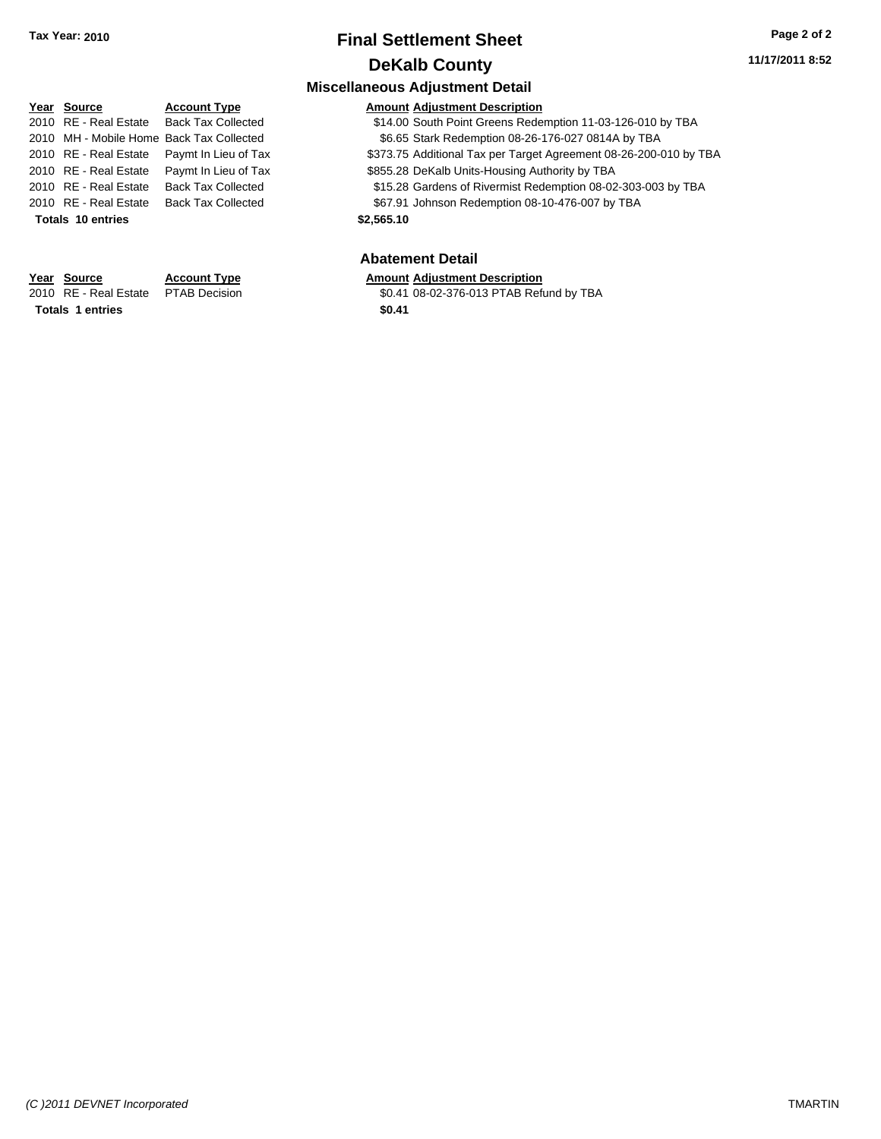|      |                          |                                          | <b>Miscellaneous Adjustment Detail</b>                            |
|------|--------------------------|------------------------------------------|-------------------------------------------------------------------|
|      | Year Source              | <b>Account Type</b>                      | <b>Amount Adiustment Description</b>                              |
|      | 2010 RE - Real Estate    | <b>Back Tax Collected</b>                | \$14.00 South Point Greens Redemption 11-03-126-010 by TBA        |
|      |                          | 2010 MH - Mobile Home Back Tax Collected | \$6.65 Stark Redemption 08-26-176-027 0814A by TBA                |
|      | 2010 RE - Real Estate    | Paymt In Lieu of Tax                     | \$373.75 Additional Tax per Target Agreement 08-26-200-010 by TBA |
|      | 2010 RE - Real Estate    | Paymt In Lieu of Tax                     | \$855.28 DeKalb Units-Housing Authority by TBA                    |
|      | 2010 RE - Real Estate    | <b>Back Tax Collected</b>                | \$15.28 Gardens of Rivermist Redemption 08-02-303-003 by TBA      |
|      | 2010 RE - Real Estate    | <b>Back Tax Collected</b>                | \$67.91 Johnson Redemption 08-10-476-007 by TBA                   |
|      | <b>Totals 10 entries</b> |                                          | \$2,565.10                                                        |
|      |                          |                                          |                                                                   |
|      |                          |                                          | <b>Abatement Detail</b>                                           |
|      | Year Source              | <b>Account Type</b>                      | <b>Amount Adjustment Description</b>                              |
| 2010 | RE - Real Estate         | <b>PTAB Decision</b>                     | \$0.41 08-02-376-013 PTAB Refund by TBA                           |

**Totals 1 entries** \$0.41

\$0.41 08-02-376-013 PTAB Refund by TBA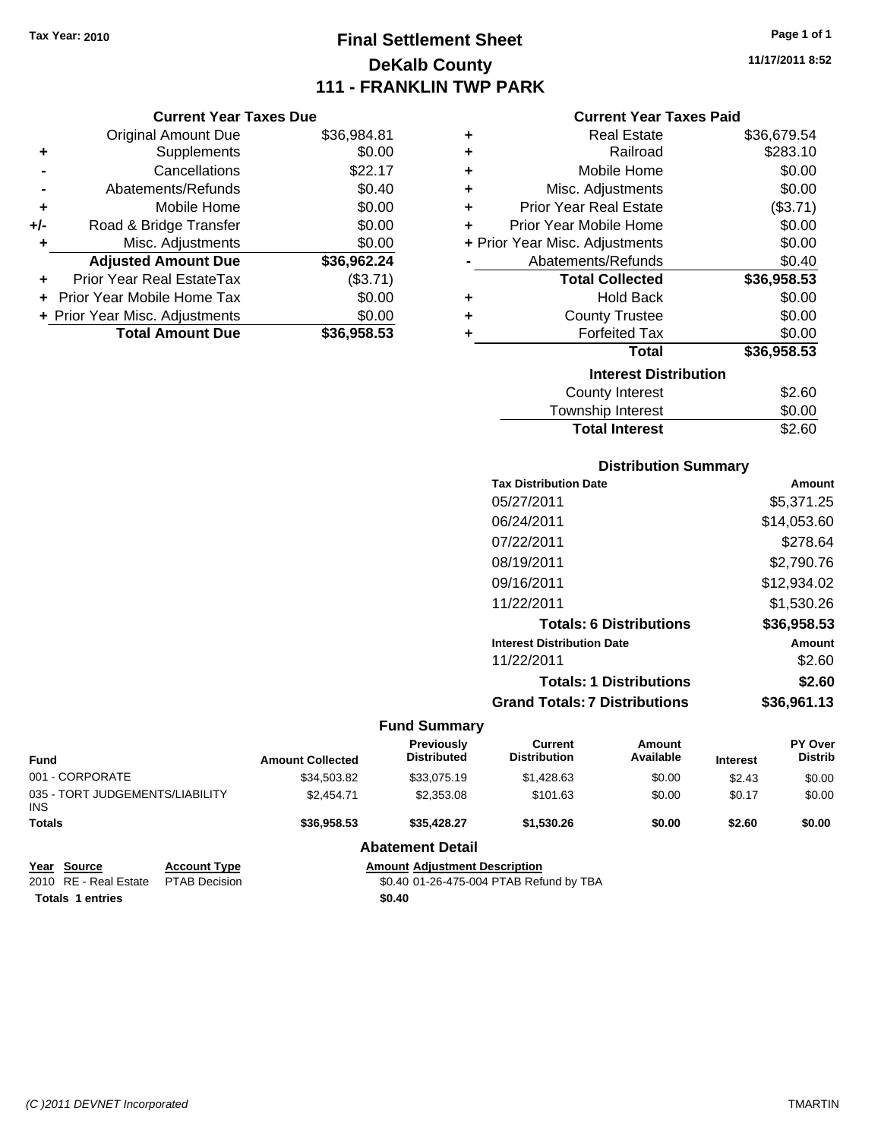## **Final Settlement Sheet Tax Year: 2010 Page 1 of 1 DeKalb County 111 - FRANKLIN TWP PARK**

**11/17/2011 8:52**

#### **Current Year Taxes Paid**

|     | <b>Current Year Taxes Due</b>  |             |
|-----|--------------------------------|-------------|
|     | <b>Original Amount Due</b>     | \$36,984.81 |
| ٠   | Supplements                    | \$0.00      |
|     | Cancellations                  | \$22.17     |
|     | Abatements/Refunds             | \$0.40      |
| ٠   | Mobile Home                    | \$0.00      |
| +/- | Road & Bridge Transfer         | \$0.00      |
|     | Misc. Adjustments              | \$0.00      |
|     | <b>Adjusted Amount Due</b>     | \$36,962.24 |
|     | Prior Year Real EstateTax      | (\$3.71)    |
|     | Prior Year Mobile Home Tax     | \$0.00      |
|     | + Prior Year Misc. Adjustments | \$0.00      |
|     | <b>Total Amount Due</b>        | \$36,958.53 |

| ٠ | Real Estate                    | \$36,679.54 |
|---|--------------------------------|-------------|
| ٠ | Railroad                       | \$283.10    |
| ٠ | Mobile Home                    | \$0.00      |
| ٠ | Misc. Adjustments              | \$0.00      |
| ٠ | <b>Prior Year Real Estate</b>  | (\$3.71)    |
| ٠ | Prior Year Mobile Home         | \$0.00      |
|   | + Prior Year Misc. Adjustments | \$0.00      |
|   | Abatements/Refunds             | \$0.40      |
|   | <b>Total Collected</b>         | \$36,958.53 |
| ٠ | <b>Hold Back</b>               | \$0.00      |
| ٠ | <b>County Trustee</b>          | \$0.00      |
| ٠ | <b>Forfeited Tax</b>           | \$0.00      |
|   | Total                          | \$36,958.53 |
|   | <b>Interest Distribution</b>   |             |
|   | <b>County Interest</b>         | \$2.60      |
|   | <b>Township Interest</b>       | \$0.00      |
|   | <b>Total Interest</b>          | \$2.60      |

#### **Distribution Summary**

| <b>Tax Distribution Date</b>         | Amount      |
|--------------------------------------|-------------|
| 05/27/2011                           | \$5,371.25  |
| 06/24/2011                           | \$14,053.60 |
| 07/22/2011                           | \$278.64    |
| 08/19/2011                           | \$2,790.76  |
| 09/16/2011                           | \$12,934.02 |
| 11/22/2011                           | \$1,530.26  |
| <b>Totals: 6 Distributions</b>       | \$36,958.53 |
| <b>Interest Distribution Date</b>    | Amount      |
| 11/22/2011                           | \$2.60      |
| <b>Totals: 1 Distributions</b>       | \$2.60      |
| <b>Grand Totals: 7 Distributions</b> | \$36.961.13 |
|                                      |             |

#### **Fund Summary**

| <b>Fund</b>                                   |                                                             | <b>Amount Collected</b> | Previously<br><b>Distributed</b> | Current<br><b>Distribution</b> | Amount<br>Available | <b>Interest</b> | <b>PY Over</b><br><b>Distrib</b> |
|-----------------------------------------------|-------------------------------------------------------------|-------------------------|----------------------------------|--------------------------------|---------------------|-----------------|----------------------------------|
| 001 - CORPORATE                               |                                                             | \$34,503.82             | \$33,075.19                      | \$1,428.63                     | \$0.00              | \$2.43          | \$0.00                           |
| 035 - TORT JUDGEMENTS/LIABILITY<br><b>INS</b> |                                                             | \$2,454.71              | \$2,353,08                       | \$101.63                       | \$0.00              | \$0.17          | \$0.00                           |
| <b>Totals</b>                                 |                                                             | \$36,958,53             | \$35.428.27                      | \$1.530.26                     | \$0.00              | \$2.60          | \$0.00                           |
|                                               |                                                             |                         | <b>Abatement Detail</b>          |                                |                     |                 |                                  |
| Year Source                                   | <b>Amount Adiustment Description</b><br><b>Account Type</b> |                         |                                  |                                |                     |                 |                                  |

**Year Source Account Type Amount Adjustment Description Totals 1 entries** \$0.40

\$0.40 01-26-475-004 PTAB Refund by TBA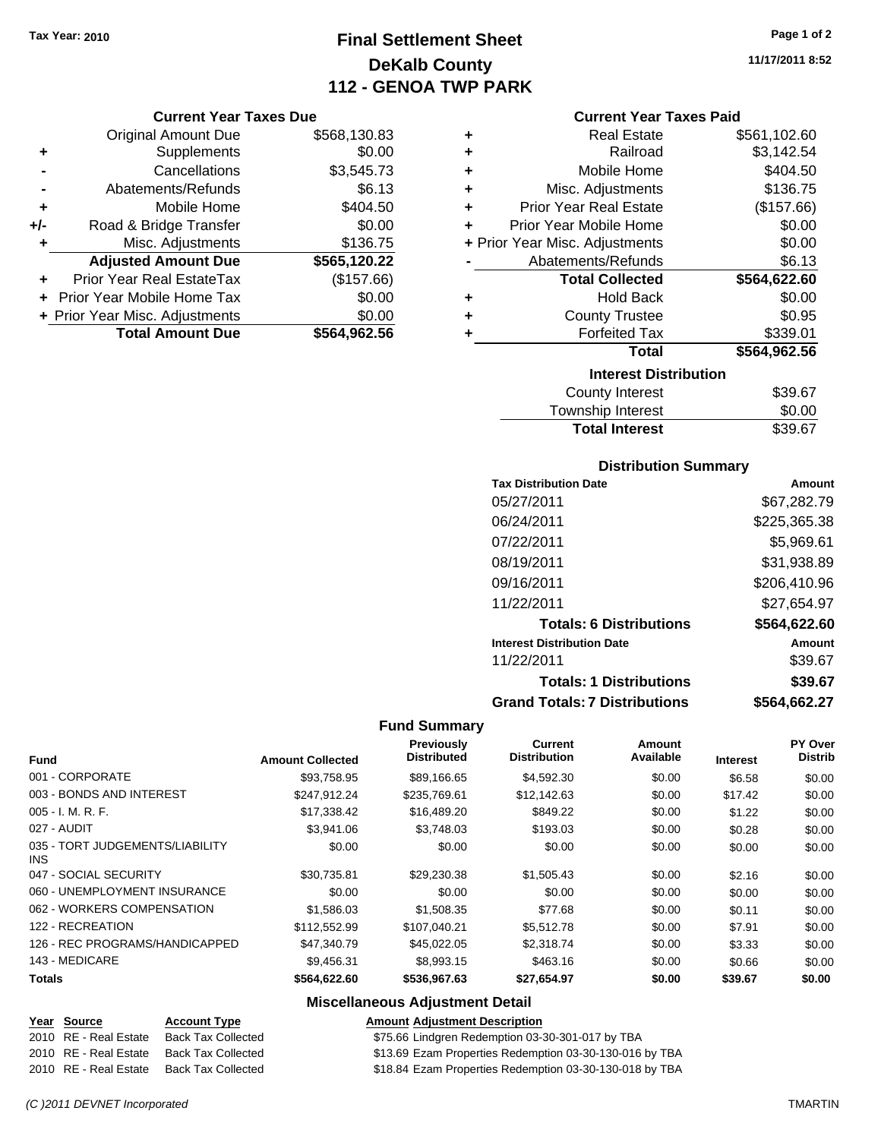## **Final Settlement Sheet Tax Year: 2010 Page 1 of 2 DeKalb County 112 - GENOA TWP PARK**

#### **Current Year Taxes Due**

|       | <b>Original Amount Due</b>     | \$568,130.83 |
|-------|--------------------------------|--------------|
| ٠     | Supplements                    | \$0.00       |
|       | Cancellations                  | \$3,545.73   |
|       | Abatements/Refunds             | \$6.13       |
| ٠     | Mobile Home                    | \$404.50     |
| $+/-$ | Road & Bridge Transfer         | \$0.00       |
| ٠     | Misc. Adjustments              | \$136.75     |
|       | <b>Adjusted Amount Due</b>     | \$565,120.22 |
|       | Prior Year Real EstateTax      | (\$157.66)   |
|       | Prior Year Mobile Home Tax     | \$0.00       |
|       | + Prior Year Misc. Adjustments | \$0.00       |
|       | <b>Total Amount Due</b>        | \$564,962.56 |

| ٠ | <b>Real Estate</b>             | \$561,102.60 |
|---|--------------------------------|--------------|
| ٠ | Railroad                       | \$3,142.54   |
| ٠ | Mobile Home                    | \$404.50     |
| ٠ | Misc. Adjustments              | \$136.75     |
| ÷ | <b>Prior Year Real Estate</b>  | (\$157.66)   |
| ÷ | Prior Year Mobile Home         | \$0.00       |
|   | + Prior Year Misc. Adjustments | \$0.00       |
|   | Abatements/Refunds             | \$6.13       |
|   | <b>Total Collected</b>         | \$564,622.60 |
| ٠ | <b>Hold Back</b>               | \$0.00       |
| ٠ | <b>County Trustee</b>          | \$0.95       |
| ٠ | <b>Forfeited Tax</b>           | \$339.01     |
|   | <b>Total</b>                   | \$564,962.56 |
|   | <b>Interest Distribution</b>   |              |
|   | <b>County Interest</b>         | \$39.67      |
|   |                                |              |

| <b>Total Interest</b>  | \$39.67       |
|------------------------|---------------|
| Township Interest      | \$0.00        |
| <b>OUGHLY HILLIGOL</b> | <b>UUU.UI</b> |

#### **Distribution Summary**

| <b>Tax Distribution Date</b>         | Amount       |
|--------------------------------------|--------------|
| 05/27/2011                           | \$67,282.79  |
| 06/24/2011                           | \$225,365.38 |
| 07/22/2011                           | \$5,969.61   |
| 08/19/2011                           | \$31,938.89  |
| 09/16/2011                           | \$206,410.96 |
| 11/22/2011                           | \$27,654.97  |
| <b>Totals: 6 Distributions</b>       | \$564,622.60 |
| <b>Interest Distribution Date</b>    | Amount       |
| 11/22/2011                           | \$39.67      |
| <b>Totals: 1 Distributions</b>       | \$39.67      |
| <b>Grand Totals: 7 Distributions</b> | \$564,662.27 |

#### **Fund Summary**

|                                               |                         | Previously         | <b>Current</b>      | <b>Amount</b> |                 | PY Over        |
|-----------------------------------------------|-------------------------|--------------------|---------------------|---------------|-----------------|----------------|
| <b>Fund</b>                                   | <b>Amount Collected</b> | <b>Distributed</b> | <b>Distribution</b> | Available     | <b>Interest</b> | <b>Distrib</b> |
| 001 - CORPORATE                               | \$93,758.95             | \$89,166.65        | \$4,592.30          | \$0.00        | \$6.58          | \$0.00         |
| 003 - BONDS AND INTEREST                      | \$247.912.24            | \$235,769.61       | \$12,142.63         | \$0.00        | \$17.42         | \$0.00         |
| 005 - I. M. R. F.                             | \$17,338.42             | \$16,489.20        | \$849.22            | \$0.00        | \$1.22          | \$0.00         |
| 027 - AUDIT                                   | \$3,941.06              | \$3,748.03         | \$193.03            | \$0.00        | \$0.28          | \$0.00         |
| 035 - TORT JUDGEMENTS/LIABILITY<br><b>INS</b> | \$0.00                  | \$0.00             | \$0.00              | \$0.00        | \$0.00          | \$0.00         |
| 047 - SOCIAL SECURITY                         | \$30.735.81             | \$29,230.38        | \$1,505.43          | \$0.00        | \$2.16          | \$0.00         |
| 060 - UNEMPLOYMENT INSURANCE                  | \$0.00                  | \$0.00             | \$0.00              | \$0.00        | \$0.00          | \$0.00         |
| 062 - WORKERS COMPENSATION                    | \$1,586.03              | \$1,508.35         | \$77.68             | \$0.00        | \$0.11          | \$0.00         |
| 122 - RECREATION                              | \$112.552.99            | \$107,040.21       | \$5,512.78          | \$0.00        | \$7.91          | \$0.00         |
| 126 - REC PROGRAMS/HANDICAPPED                | \$47,340.79             | \$45,022.05        | \$2,318.74          | \$0.00        | \$3.33          | \$0.00         |
| 143 - MEDICARE                                | \$9,456.31              | \$8,993.15         | \$463.16            | \$0.00        | \$0.66          | \$0.00         |
| <b>Totals</b>                                 | \$564,622.60            | \$536,967.63       | \$27,654.97         | \$0.00        | \$39.67         | \$0.00         |

#### **Miscellaneous Adjustment Detail**

#### **Year Source Account Type Amount Adjustment Description**

2010 RE - Real Estate Back Tax Collected \$75.66 Lindgren Redemption 03-30-301-017 by TBA

2010 RE - Real Estate Back Tax Collected \$13.69 Ezam Properties Redemption 03-30-130-016 by TBA

2010 RE - Real Estate Back Tax Collected \$18.84 Ezam Properties Redemption 03-30-130-018 by TBA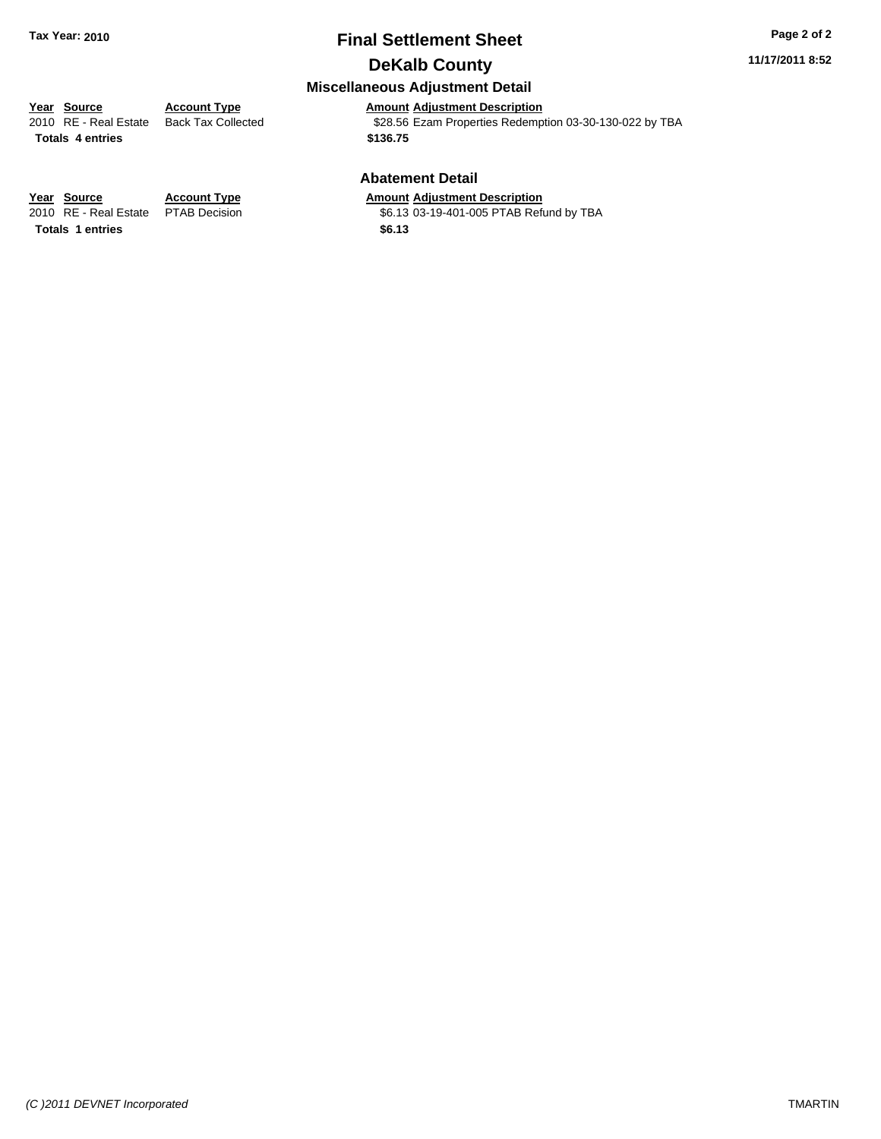#### **11/17/2011 8:52**

### **Miscellaneous Adjustment Detail**

**Year Source Account Type Amount Adjustment Description**<br>
2010 RE - Real Estate Back Tax Collected **1999** \$28.56 Ezam Properties Redemp \$28.56 Ezam Properties Redemption 03-30-130-022 by TBA **Totals \$136.75 4 entries**

#### **Abatement Detail**

\$6.13 03-19-401-005 PTAB Refund by TBA

**Year Source Account Type Amount Adjustment Description**<br>2010 RE - Real Estate PTAB Decision **Amount 66.13 03-19-401-005 PTAB Ref**u **Totals \$6.13 1 entries**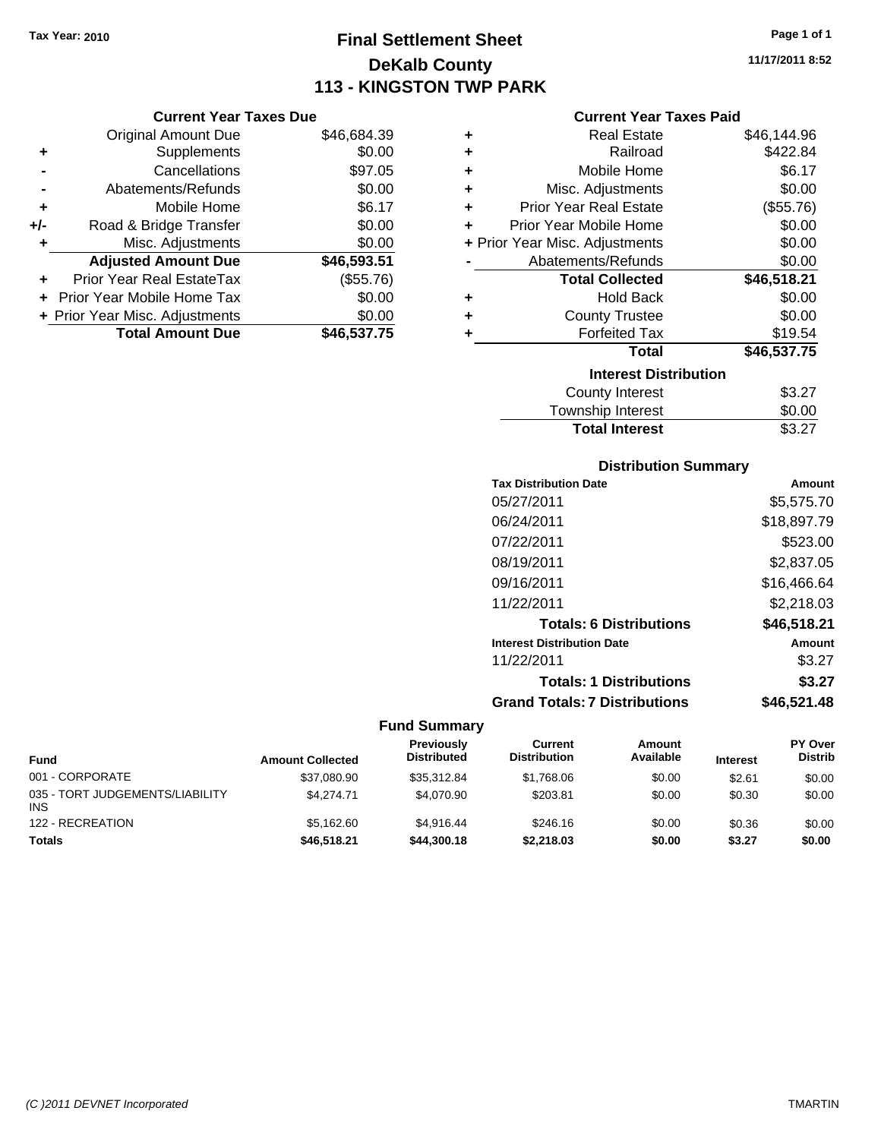## **Final Settlement Sheet Tax Year: 2010 Page 1 of 1 DeKalb County 113 - KINGSTON TWP PARK**

**11/17/2011 8:52**

#### **Current Year Taxes Paid**

|     | <b>Current Year Taxes Due</b>  |             |
|-----|--------------------------------|-------------|
|     | Original Amount Due            | \$46,684.39 |
| ٠   | Supplements                    | \$0.00      |
|     | Cancellations                  | \$97.05     |
|     | Abatements/Refunds             | \$0.00      |
| ٠   | Mobile Home                    | \$6.17      |
| +/- | Road & Bridge Transfer         | \$0.00      |
| ٠   | Misc. Adjustments              | \$0.00      |
|     | <b>Adjusted Amount Due</b>     | \$46,593.51 |
|     | Prior Year Real EstateTax      | (\$55.76)   |
|     | Prior Year Mobile Home Tax     | \$0.00      |
|     | + Prior Year Misc. Adjustments | \$0.00      |
|     | <b>Total Amount Due</b>        | \$46,537.75 |

| ٠ | <b>Real Estate</b>             | \$46,144.96 |
|---|--------------------------------|-------------|
| ٠ | Railroad                       | \$422.84    |
| ٠ | Mobile Home                    | \$6.17      |
| ٠ | Misc. Adjustments              | \$0.00      |
| ÷ | <b>Prior Year Real Estate</b>  | (\$55.76)   |
| ٠ | Prior Year Mobile Home         | \$0.00      |
|   | + Prior Year Misc. Adjustments | \$0.00      |
|   | Abatements/Refunds             | \$0.00      |
|   | <b>Total Collected</b>         | \$46,518.21 |
| ٠ | Hold Back                      | \$0.00      |
| ٠ | <b>County Trustee</b>          | \$0.00      |
| ٠ | <b>Forfeited Tax</b>           | \$19.54     |
|   | Total                          | \$46,537.75 |
|   | <b>Interest Distribution</b>   |             |
|   | County Interest                | \$3.27      |
|   | <b>Township Interest</b>       | \$0.00      |
|   | <b>Total Interest</b>          | \$3.27      |

### **Distribution Summary**

| <b>Tax Distribution Date</b>         | Amount      |
|--------------------------------------|-------------|
| 05/27/2011                           | \$5,575.70  |
| 06/24/2011                           | \$18,897.79 |
| 07/22/2011                           | \$523.00    |
| 08/19/2011                           | \$2,837.05  |
| 09/16/2011                           | \$16,466.64 |
| 11/22/2011                           | \$2,218.03  |
| <b>Totals: 6 Distributions</b>       | \$46,518.21 |
| <b>Interest Distribution Date</b>    | Amount      |
| 11/22/2011                           | \$3.27      |
| <b>Totals: 1 Distributions</b>       | \$3.27      |
| <b>Grand Totals: 7 Distributions</b> | \$46,521.48 |
|                                      |             |

| <b>Fund</b>                                   | <b>Amount Collected</b> | <b>Previously</b><br><b>Distributed</b> | Current<br><b>Distribution</b> | Amount<br>Available | <b>Interest</b> | <b>PY Over</b><br><b>Distrib</b> |
|-----------------------------------------------|-------------------------|-----------------------------------------|--------------------------------|---------------------|-----------------|----------------------------------|
| 001 - CORPORATE                               | \$37,080.90             | \$35,312.84                             | \$1,768.06                     | \$0.00              | \$2.61          | \$0.00                           |
| 035 - TORT JUDGEMENTS/LIABILITY<br><b>INS</b> | \$4.274.71              | \$4.070.90                              | \$203.81                       | \$0.00              | \$0.30          | \$0.00                           |
| 122 - RECREATION                              | \$5.162.60              | \$4.916.44                              | \$246.16                       | \$0.00              | \$0.36          | \$0.00                           |
| <b>Totals</b>                                 | \$46,518.21             | \$44,300.18                             | \$2.218.03                     | \$0.00              | \$3.27          | \$0.00                           |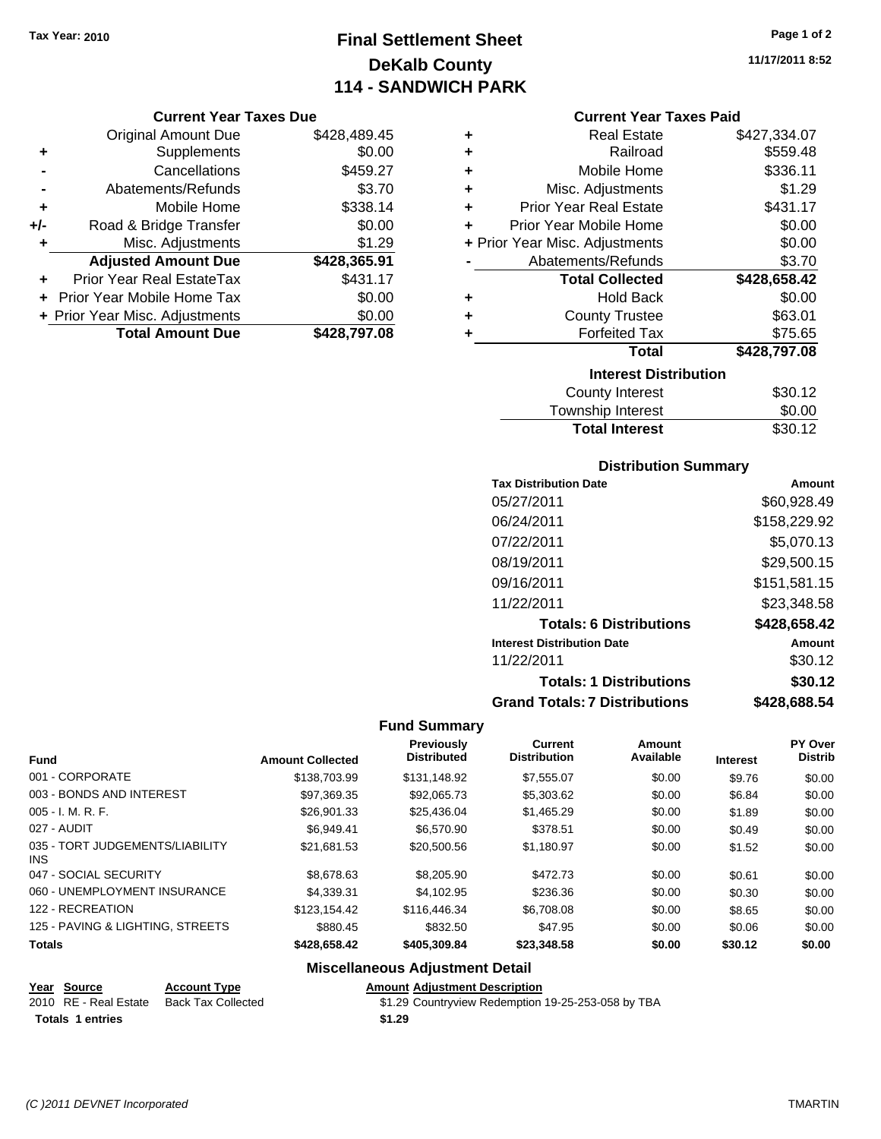## **Final Settlement Sheet Tax Year: 2010 Page 1 of 2 DeKalb County 114 - SANDWICH PARK**

**11/17/2011 8:52**

#### **Current Year Taxes Due**

|       | <b>Original Amount Due</b>     | \$428,489.45 |
|-------|--------------------------------|--------------|
| ٠     | Supplements                    | \$0.00       |
|       | Cancellations                  | \$459.27     |
|       | Abatements/Refunds             | \$3.70       |
| ٠     | Mobile Home                    | \$338.14     |
| $+/-$ | Road & Bridge Transfer         | \$0.00       |
| ٠     | Misc. Adjustments              | \$1.29       |
|       | <b>Adjusted Amount Due</b>     | \$428,365.91 |
|       | Prior Year Real EstateTax      | \$431.17     |
|       | Prior Year Mobile Home Tax     | \$0.00       |
|       | + Prior Year Misc. Adjustments | \$0.00       |
|       | <b>Total Amount Due</b>        | \$428,797.08 |

#### **Current Year Taxes Paid**

| ٠ | <b>Real Estate</b>             | \$427,334.07 |
|---|--------------------------------|--------------|
| ٠ | Railroad                       | \$559.48     |
| ٠ | Mobile Home                    | \$336.11     |
| ÷ | Misc. Adjustments              | \$1.29       |
| ÷ | <b>Prior Year Real Estate</b>  | \$431.17     |
| ÷ | Prior Year Mobile Home         | \$0.00       |
|   | + Prior Year Misc. Adjustments | \$0.00       |
|   | Abatements/Refunds             | \$3.70       |
|   |                                |              |
|   | <b>Total Collected</b>         | \$428,658.42 |
| ٠ | <b>Hold Back</b>               | \$0.00       |
| ٠ | <b>County Trustee</b>          | \$63.01      |
| ٠ | <b>Forfeited Tax</b>           | \$75.65      |
|   | Total                          | \$428,797.08 |
|   | <b>Interest Distribution</b>   |              |

## Township Interest

| Township Interest     | \$0.00  |
|-----------------------|---------|
| <b>Total Interest</b> | \$30.12 |
|                       |         |

## **Distribution Summary**

| <b>Tax Distribution Date</b>         | Amount       |
|--------------------------------------|--------------|
| 05/27/2011                           | \$60,928.49  |
| 06/24/2011                           | \$158,229.92 |
| 07/22/2011                           | \$5,070.13   |
| 08/19/2011                           | \$29,500.15  |
| 09/16/2011                           | \$151,581.15 |
| 11/22/2011                           | \$23,348.58  |
| <b>Totals: 6 Distributions</b>       | \$428,658.42 |
| <b>Interest Distribution Date</b>    | Amount       |
| 11/22/2011                           | \$30.12      |
| <b>Totals: 1 Distributions</b>       | \$30.12      |
| <b>Grand Totals: 7 Distributions</b> | \$428,688.54 |

#### **Fund Summary**

| <b>Fund</b>                                   | <b>Amount Collected</b> | Previously<br><b>Distributed</b> | <b>Current</b><br><b>Distribution</b> | Amount<br>Available | <b>Interest</b> | <b>PY Over</b><br><b>Distrib</b> |
|-----------------------------------------------|-------------------------|----------------------------------|---------------------------------------|---------------------|-----------------|----------------------------------|
| 001 - CORPORATE                               | \$138,703.99            | \$131.148.92                     | \$7,555.07                            | \$0.00              | \$9.76          | \$0.00                           |
| 003 - BONDS AND INTEREST                      | \$97,369.35             | \$92,065.73                      | \$5,303.62                            | \$0.00              | \$6.84          | \$0.00                           |
| $005 - I. M. R. F.$                           | \$26,901.33             | \$25.436.04                      | \$1,465.29                            | \$0.00              | \$1.89          | \$0.00                           |
| 027 - AUDIT                                   | \$6.949.41              | \$6,570.90                       | \$378.51                              | \$0.00              | \$0.49          | \$0.00                           |
| 035 - TORT JUDGEMENTS/LIABILITY<br><b>INS</b> | \$21.681.53             | \$20,500.56                      | \$1.180.97                            | \$0.00              | \$1.52          | \$0.00                           |
| 047 - SOCIAL SECURITY                         | \$8,678,63              | \$8,205.90                       | \$472.73                              | \$0.00              | \$0.61          | \$0.00                           |
| 060 - UNEMPLOYMENT INSURANCE                  | \$4,339.31              | \$4.102.95                       | \$236.36                              | \$0.00              | \$0.30          | \$0.00                           |
| 122 - RECREATION                              | \$123,154.42            | \$116,446,34                     | \$6,708.08                            | \$0.00              | \$8.65          | \$0.00                           |
| 125 - PAVING & LIGHTING, STREETS              | \$880.45                | \$832.50                         | \$47.95                               | \$0.00              | \$0.06          | \$0.00                           |
| <b>Totals</b>                                 | \$428,658.42            | \$405,309.84                     | \$23,348.58                           | \$0.00              | \$30.12         | \$0.00                           |

### **Miscellaneous Adjustment Detail**

#### **Year Source Account Type Amount Adjustment Description**

| 2010 RE - Real Estate Back Tax Collected | \$1.29 Countryview Redemption 19-25-253-058 by TBA |
|------------------------------------------|----------------------------------------------------|
| <b>Totals 1 entries</b>                  | \$1.29                                             |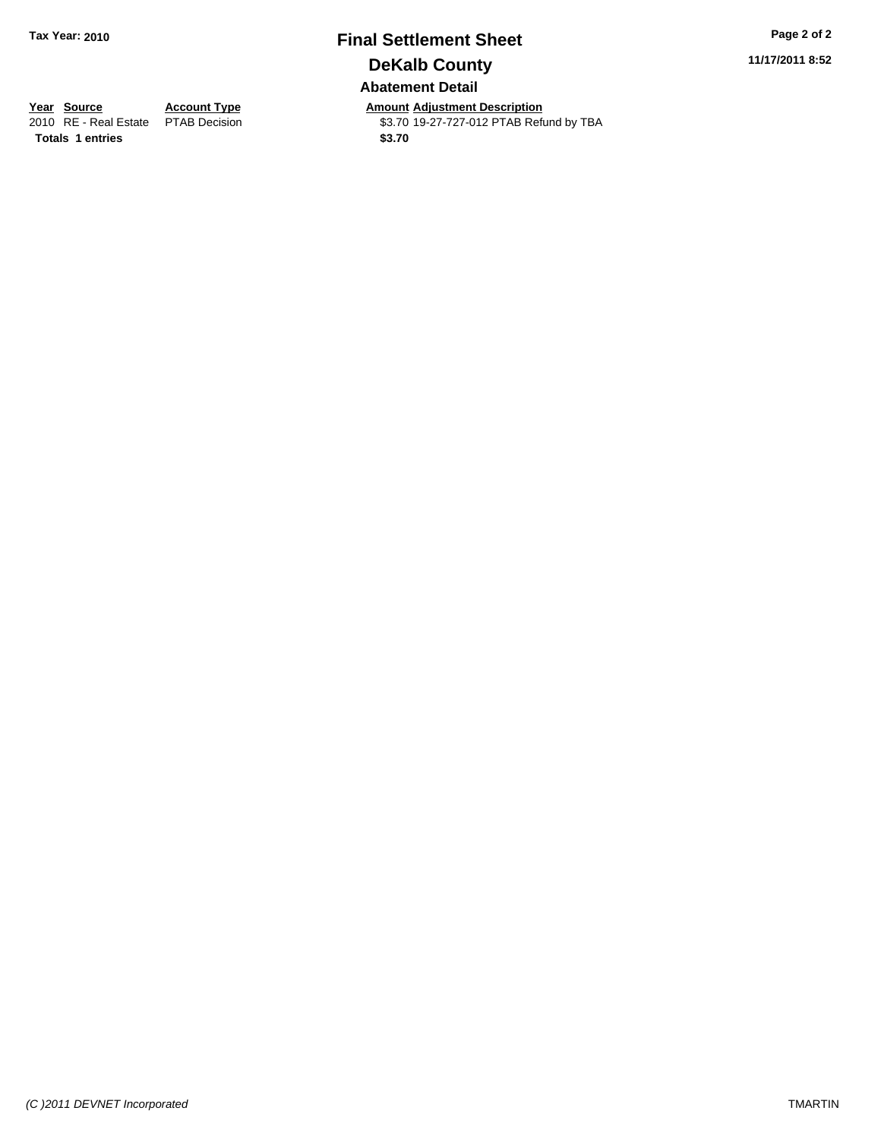## **Final Settlement Sheet Tax Year: 2010 Page 2 of 2 DeKalb County Abatement Detail**

**11/17/2011 8:52**

**Totals 1 entries** \$3.70

**Year Source Account Type Amount Adjustment Description**<br>
2010 RE - Real Estate PTAB Decision **Amount** \$3.70 19-27-727-012 PTAB Refu \$3.70 19-27-727-012 PTAB Refund by TBA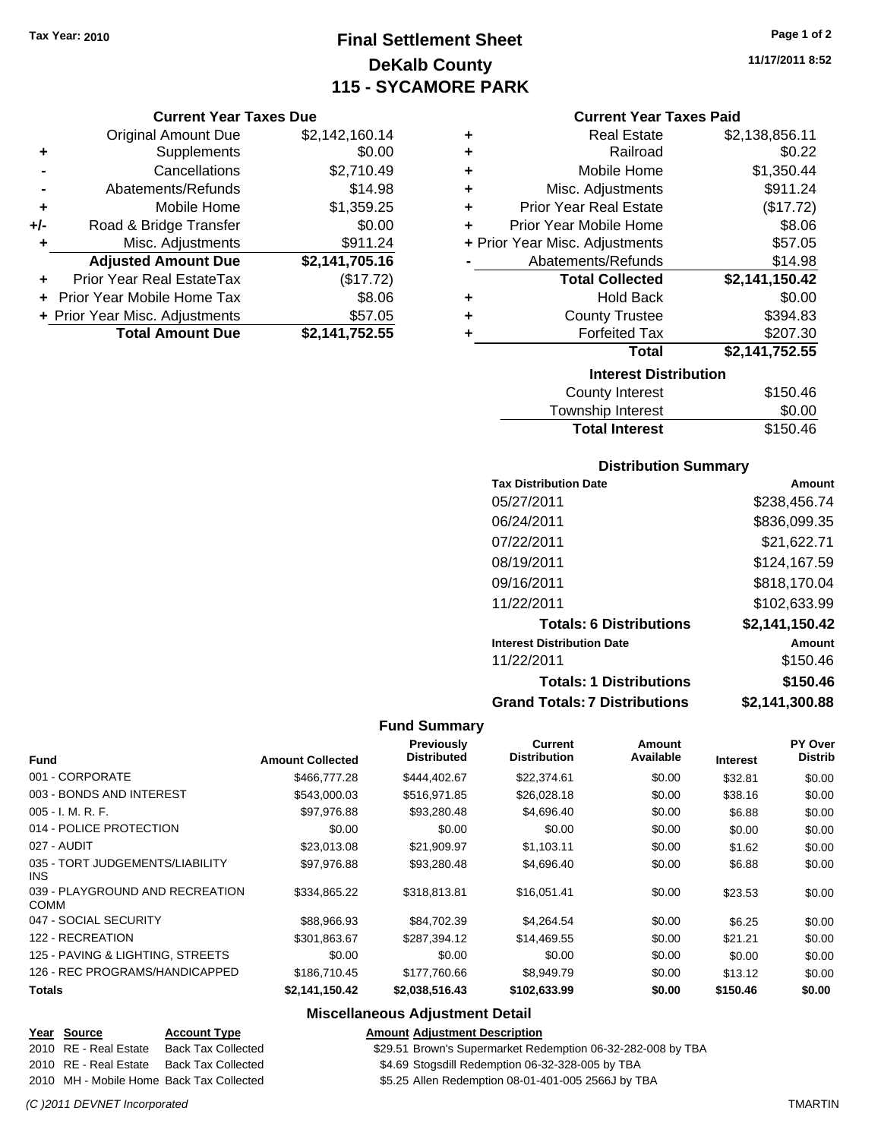## **Final Settlement Sheet Tax Year: 2010 Page 1 of 2 DeKalb County 115 - SYCAMORE PARK**

#### **Current Year Taxes Due**

|     | <b>Original Amount Due</b>     | \$2,142,160.14 |
|-----|--------------------------------|----------------|
| ٠   | Supplements                    | \$0.00         |
|     | Cancellations                  | \$2,710.49     |
|     | Abatements/Refunds             | \$14.98        |
| ÷   | Mobile Home                    | \$1,359.25     |
| +/- | Road & Bridge Transfer         | \$0.00         |
| ٠   | Misc. Adjustments              | \$911.24       |
|     | <b>Adjusted Amount Due</b>     | \$2,141,705.16 |
|     | Prior Year Real EstateTax      | (\$17.72)      |
|     | Prior Year Mobile Home Tax     | \$8.06         |
|     | + Prior Year Misc. Adjustments | \$57.05        |
|     | <b>Total Amount Due</b>        | \$2,141,752.55 |

| ٠ | <b>Real Estate</b>             | \$2,138,856.11 |
|---|--------------------------------|----------------|
| ٠ | Railroad                       | \$0.22         |
| ٠ | Mobile Home                    | \$1,350.44     |
| ٠ | Misc. Adjustments              | \$911.24       |
| ٠ | <b>Prior Year Real Estate</b>  | (\$17.72)      |
| ٠ | Prior Year Mobile Home         | \$8.06         |
|   | + Prior Year Misc. Adjustments | \$57.05        |
|   | Abatements/Refunds             | \$14.98        |
|   | <b>Total Collected</b>         | \$2,141,150.42 |
| ٠ | <b>Hold Back</b>               | \$0.00         |
| ٠ | <b>County Trustee</b>          | \$394.83       |
|   |                                |                |
| ٠ | <b>Forfeited Tax</b>           | \$207.30       |
|   | Total                          | \$2,141,752.55 |
|   | <b>Interest Distribution</b>   |                |

| <b>Total Interest</b> | \$150.46 |
|-----------------------|----------|
| Township Interest     | \$0.00   |
| County Interest       | \$150.46 |

### **Distribution Summary**

| <b>Tax Distribution Date</b>         | Amount         |
|--------------------------------------|----------------|
| 05/27/2011                           | \$238,456.74   |
| 06/24/2011                           | \$836,099.35   |
| 07/22/2011                           | \$21,622.71    |
| 08/19/2011                           | \$124,167.59   |
| 09/16/2011                           | \$818,170.04   |
| 11/22/2011                           | \$102,633.99   |
| <b>Totals: 6 Distributions</b>       | \$2,141,150.42 |
| <b>Interest Distribution Date</b>    | Amount         |
| 11/22/2011                           | \$150.46       |
| <b>Totals: 1 Distributions</b>       | \$150.46       |
| <b>Grand Totals: 7 Distributions</b> | \$2,141,300.88 |

#### **Fund Summary**

|                                                |                         | Previously         | <b>Current</b>      | Amount<br>Available |                 | <b>PY Over</b> |
|------------------------------------------------|-------------------------|--------------------|---------------------|---------------------|-----------------|----------------|
| <b>Fund</b>                                    | <b>Amount Collected</b> | <b>Distributed</b> | <b>Distribution</b> |                     | <b>Interest</b> | <b>Distrib</b> |
| 001 - CORPORATE                                | \$466,777,28            | \$444.402.67       | \$22,374.61         | \$0.00              | \$32.81         | \$0.00         |
| 003 - BONDS AND INTEREST                       | \$543,000.03            | \$516,971.85       | \$26,028.18         | \$0.00              | \$38.16         | \$0.00         |
| $005 - I. M. R. F.$                            | \$97,976.88             | \$93,280.48        | \$4,696.40          | \$0.00              | \$6.88          | \$0.00         |
| 014 - POLICE PROTECTION                        | \$0.00                  | \$0.00             | \$0.00              | \$0.00              | \$0.00          | \$0.00         |
| 027 - AUDIT                                    | \$23,013.08             | \$21,909.97        | \$1,103.11          | \$0.00              | \$1.62          | \$0.00         |
| 035 - TORT JUDGEMENTS/LIABILITY<br>INS.        | \$97,976.88             | \$93,280.48        | \$4,696.40          | \$0.00              | \$6.88          | \$0.00         |
| 039 - PLAYGROUND AND RECREATION<br><b>COMM</b> | \$334,865.22            | \$318,813.81       | \$16,051.41         | \$0.00              | \$23.53         | \$0.00         |
| 047 - SOCIAL SECURITY                          | \$88,966.93             | \$84,702.39        | \$4,264.54          | \$0.00              | \$6.25          | \$0.00         |
| 122 - RECREATION                               | \$301,863.67            | \$287,394.12       | \$14,469.55         | \$0.00              | \$21.21         | \$0.00         |
| 125 - PAVING & LIGHTING, STREETS               | \$0.00                  | \$0.00             | \$0.00              | \$0.00              | \$0.00          | \$0.00         |
| 126 - REC PROGRAMS/HANDICAPPED                 | \$186,710.45            | \$177,760.66       | \$8,949.79          | \$0.00              | \$13.12         | \$0.00         |
| <b>Totals</b>                                  | \$2,141,150.42          | \$2.038.516.43     | \$102.633.99        | \$0.00              | \$150.46        | \$0.00         |

### **Miscellaneous Adjustment Detail**

| Year Source           | <b>Account Type</b>                      | <b>Amount Adjustment Description</b>                        |
|-----------------------|------------------------------------------|-------------------------------------------------------------|
| 2010 RE - Real Estate | Back Tax Collected                       | \$29.51 Brown's Supermarket Redemption 06-32-282-008 by TBA |
|                       | 2010 RE - Real Estate Back Tax Collected | \$4.69 Stogsdill Redemption 06-32-328-005 by TBA            |
|                       | 2010 MH - Mobile Home Back Tax Collected | \$5.25 Allen Redemption 08-01-401-005 2566J by TBA          |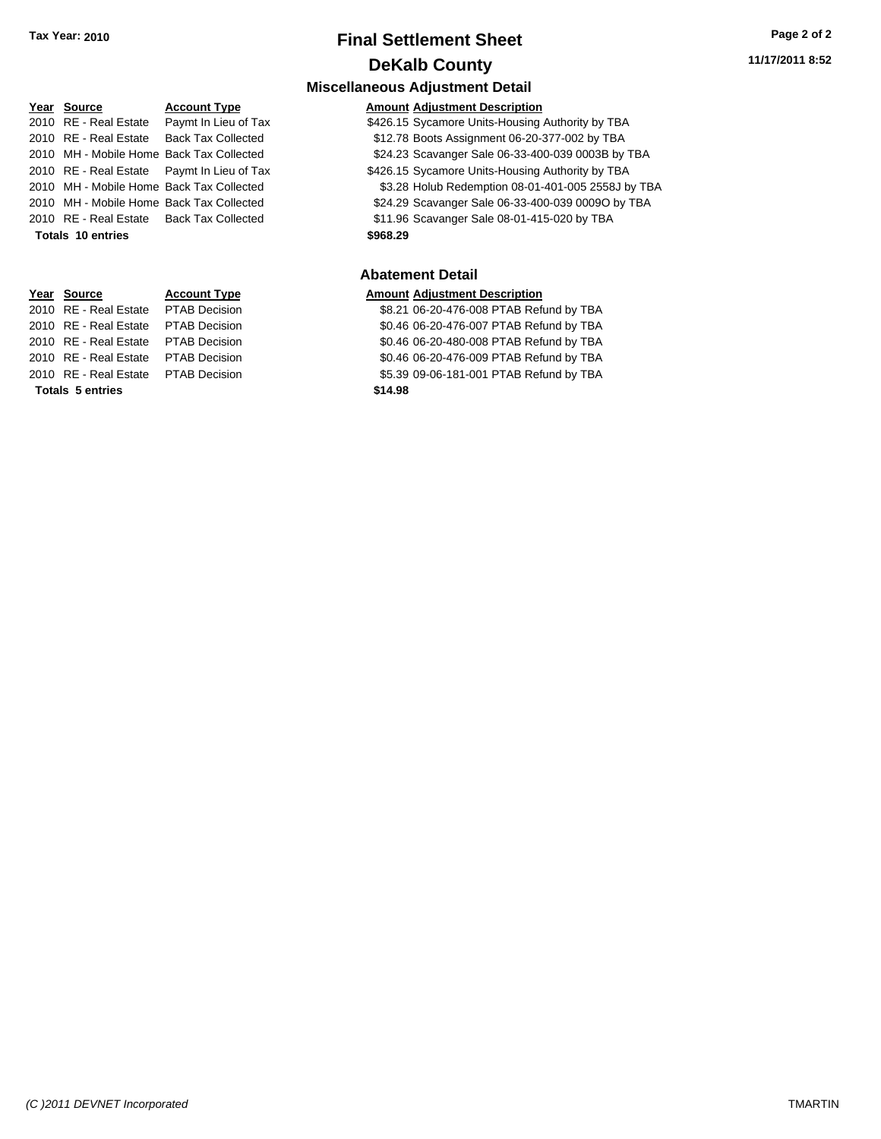**Miscellaneous Adjustment Detail**

## **Year Source Account Type Amount Adjustment Description**

2010 RE - Real Estate Paymt In Lieu of Tax \$426.15 Sycamore Units-Housing Authority by TBA

2010 RE - Real Estate Back Tax Collected \$12.78 Boots Assignment 06-20-377-002 by TBA

2010 MH - Mobile Home Back Tax Collected \$24.23 Scavanger Sale 06-33-400-039 0003B by TBA

2010 RE - Real Estate Paymt In Lieu of Tax S426.15 Sycamore Units-Housing Authority by TBA

2010 MH - Mobile Home Back Tax Collected \$3.28 Holub Redemption 08-01-401-005 2558J by TBA

2010 MH - Mobile Home Back Tax Collected \$24.29 Scavanger Sale 06-33-400-039 0009O by TBA

2010 RE - Real Estate Back Tax Collected \$11.96 Scavanger Sale 08-01-415-020 by TBA

**Totals \$968.29 10 entries**

#### **Abatement Detail**

#### **Amount Adjustment Description**

\$8.21 06-20-476-008 PTAB Refund by TBA \$0.46 06-20-476-007 PTAB Refund by TBA \$0.46 06-20-480-008 PTAB Refund by TBA \$0.46 06-20-476-009 PTAB Refund by TBA \$5.39 09-06-181-001 PTAB Refund by TBA **11/17/2011 8:52**

| <u>. var vvarvv</u>                     |  |
|-----------------------------------------|--|
| 2010 RE - Real Estate  Paymt In Lieu of |  |
| 2010 RE - Real Estate Back Tax Collect  |  |
| 2010 MH - Mobile Home Back Tax Collect  |  |
| 2010 RE - Real Estate  Paymt In Lieu of |  |
| 2010 MH - Mobile Home Back Tax Collect  |  |
| 2010 MH - Mobile Home Back Tax Collect  |  |
| 2010 RE - Real Estate Back Tax Collect  |  |
| <b>Totals 10 entries</b>                |  |
|                                         |  |

| Year Source                         | <b>Account Type</b> | Amount  |
|-------------------------------------|---------------------|---------|
| 2010 RE - Real Estate PTAB Decision |                     | \$8.21  |
| 2010 RE - Real Estate PTAB Decision |                     | \$0.46  |
| 2010 RE - Real Estate PTAB Decision |                     | \$0.46  |
| 2010 RE - Real Estate PTAB Decision |                     | \$0.46  |
| 2010 RE - Real Estate PTAB Decision |                     | \$5.39  |
| <b>Totals 5 entries</b>             |                     | \$14.98 |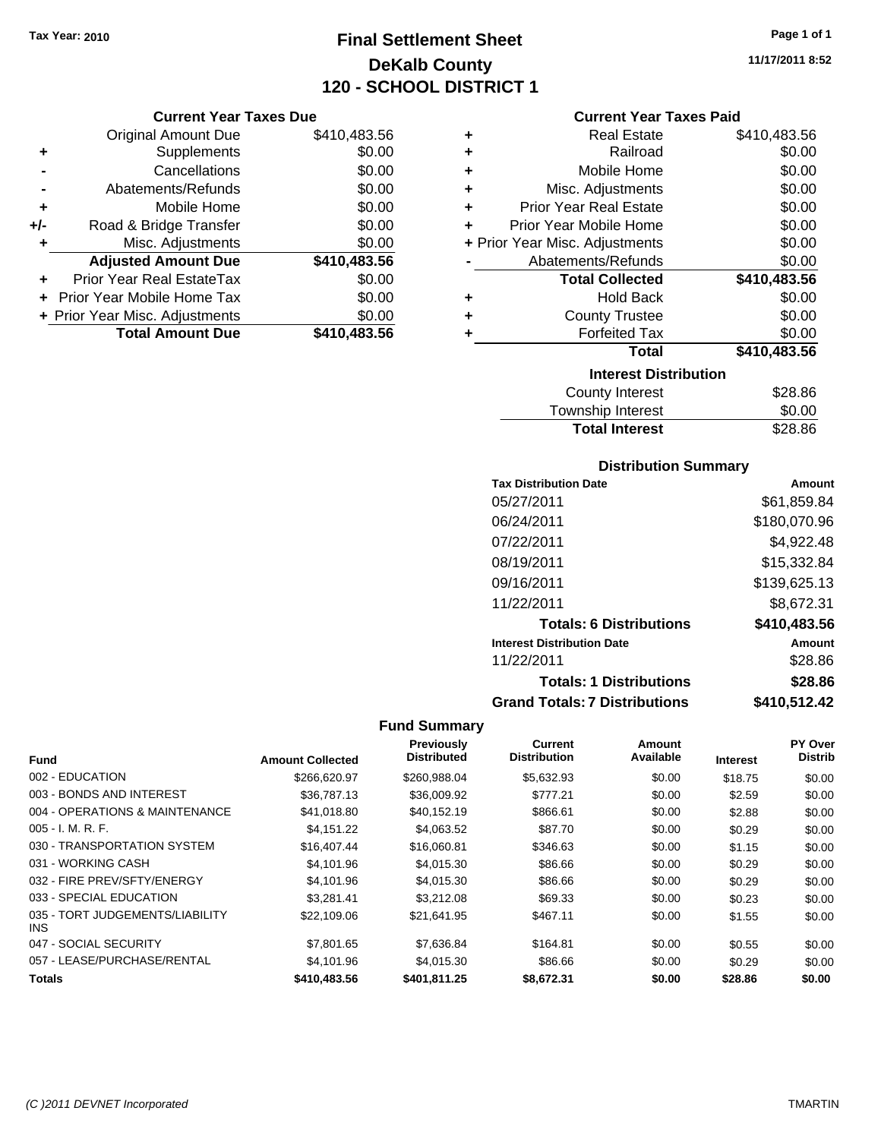## **Final Settlement Sheet Tax Year: 2010 Page 1 of 1 DeKalb County 120 - SCHOOL DISTRICT 1**

**11/17/2011 8:52**

|     | <b>Original Amount Due</b>       | \$410,483.56 |
|-----|----------------------------------|--------------|
| ٠   | Supplements                      | \$0.00       |
|     | Cancellations                    | \$0.00       |
|     | Abatements/Refunds               | \$0.00       |
| ٠   | Mobile Home                      | \$0.00       |
| +/- | Road & Bridge Transfer           | \$0.00       |
| ٠   | Misc. Adjustments                | \$0.00       |
|     | <b>Adjusted Amount Due</b>       | \$410,483.56 |
|     | <b>Prior Year Real EstateTax</b> | \$0.00       |
|     | + Prior Year Mobile Home Tax     | \$0.00       |
|     | + Prior Year Misc. Adjustments   | \$0.00       |
|     | <b>Total Amount Due</b>          | \$410,483,56 |

### **Current Year Taxes Paid**

|   | <b>Real Estate</b>             | \$410,483.56 |
|---|--------------------------------|--------------|
| ٠ | Railroad                       | \$0.00       |
| ٠ | Mobile Home                    | \$0.00       |
| ٠ | Misc. Adjustments              | \$0.00       |
| ٠ | <b>Prior Year Real Estate</b>  | \$0.00       |
| ÷ | Prior Year Mobile Home         | \$0.00       |
|   | + Prior Year Misc. Adjustments | \$0.00       |
|   | Abatements/Refunds             | \$0.00       |
|   | <b>Total Collected</b>         | \$410,483.56 |
| ٠ | <b>Hold Back</b>               | \$0.00       |
| ٠ | <b>County Trustee</b>          | \$0.00       |
| ٠ | <b>Forfeited Tax</b>           | \$0.00       |
|   | Total                          | \$410,483.56 |
|   | <b>Interest Distribution</b>   |              |
|   | <b>County Interest</b>         | \$28.86      |

| <b>Total Interest</b> | \$28.86 |
|-----------------------|---------|
| Township Interest     | \$0.00  |
| County interest       | ა∠ბ.ŏo  |

### **Distribution Summary**

| <b>Tax Distribution Date</b>         | Amount       |
|--------------------------------------|--------------|
| 05/27/2011                           | \$61,859.84  |
| 06/24/2011                           | \$180,070.96 |
| 07/22/2011                           | \$4,922.48   |
| 08/19/2011                           | \$15,332.84  |
| 09/16/2011                           | \$139,625.13 |
| 11/22/2011                           | \$8,672.31   |
| <b>Totals: 6 Distributions</b>       | \$410,483.56 |
| <b>Interest Distribution Date</b>    | Amount       |
| 11/22/2011                           | \$28.86      |
| <b>Totals: 1 Distributions</b>       | \$28.86      |
| <b>Grand Totals: 7 Distributions</b> | \$410,512.42 |

|                                         |                         | <b>Previously</b>  | Current             | Amount    |                 | PY Over        |
|-----------------------------------------|-------------------------|--------------------|---------------------|-----------|-----------------|----------------|
| <b>Fund</b>                             | <b>Amount Collected</b> | <b>Distributed</b> | <b>Distribution</b> | Available | <b>Interest</b> | <b>Distrib</b> |
| 002 - EDUCATION                         | \$266,620.97            | \$260,988,04       | \$5,632.93          | \$0.00    | \$18.75         | \$0.00         |
| 003 - BONDS AND INTEREST                | \$36,787.13             | \$36,009.92        | \$777.21            | \$0.00    | \$2.59          | \$0.00         |
| 004 - OPERATIONS & MAINTENANCE          | \$41.018.80             | \$40.152.19        | \$866.61            | \$0.00    | \$2.88          | \$0.00         |
| $005 - I. M. R. F.$                     | \$4,151.22              | \$4,063.52         | \$87.70             | \$0.00    | \$0.29          | \$0.00         |
| 030 - TRANSPORTATION SYSTEM             | \$16,407.44             | \$16,060.81        | \$346.63            | \$0.00    | \$1.15          | \$0.00         |
| 031 - WORKING CASH                      | \$4,101.96              | \$4,015.30         | \$86.66             | \$0.00    | \$0.29          | \$0.00         |
| 032 - FIRE PREV/SFTY/ENERGY             | \$4,101.96              | \$4,015.30         | \$86.66             | \$0.00    | \$0.29          | \$0.00         |
| 033 - SPECIAL EDUCATION                 | \$3.281.41              | \$3,212.08         | \$69.33             | \$0.00    | \$0.23          | \$0.00         |
| 035 - TORT JUDGEMENTS/LIABILITY<br>INS. | \$22,109.06             | \$21,641.95        | \$467.11            | \$0.00    | \$1.55          | \$0.00         |
| 047 - SOCIAL SECURITY                   | \$7,801.65              | \$7,636.84         | \$164.81            | \$0.00    | \$0.55          | \$0.00         |
| 057 - LEASE/PURCHASE/RENTAL             | \$4,101.96              | \$4,015.30         | \$86.66             | \$0.00    | \$0.29          | \$0.00         |
| <b>Totals</b>                           | \$410,483,56            | \$401.811.25       | \$8.672.31          | \$0.00    | \$28.86         | \$0.00         |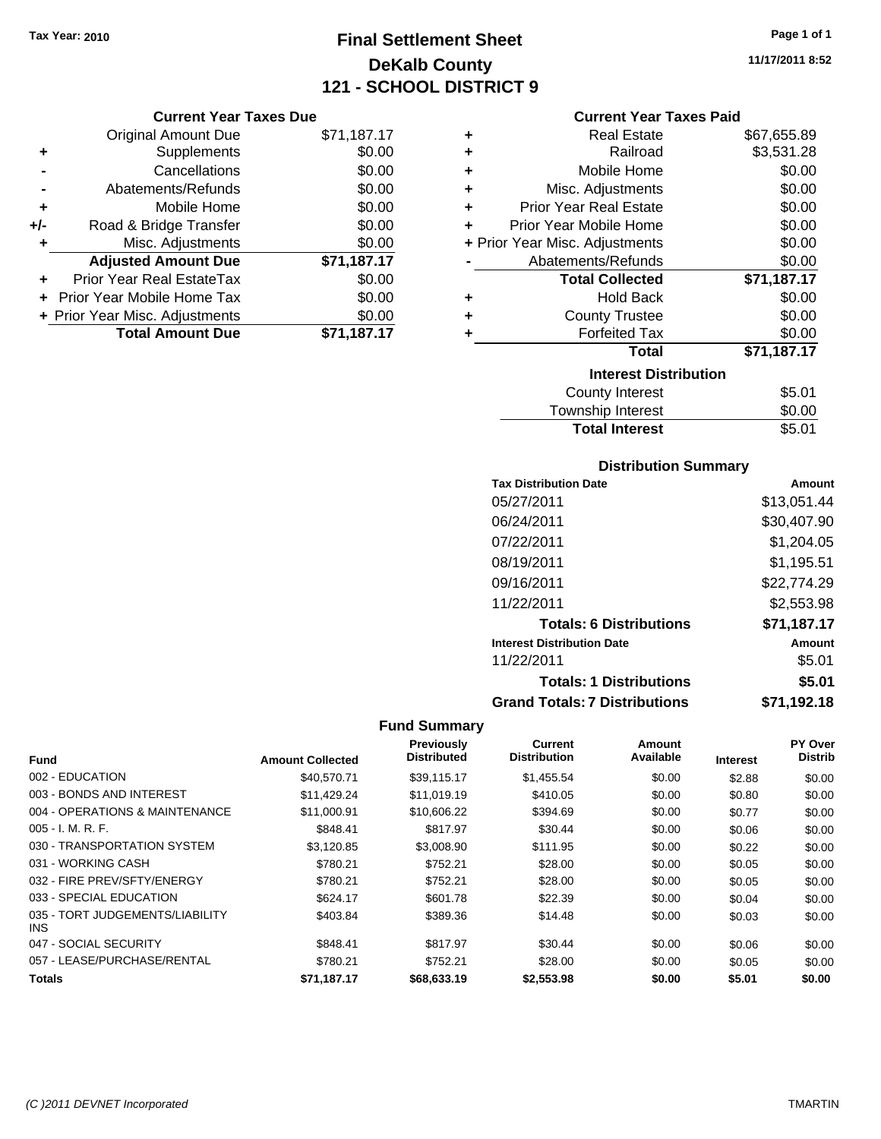## **Final Settlement Sheet Tax Year: 2010 Page 1 of 1 DeKalb County 121 - SCHOOL DISTRICT 9**

**11/17/2011 8:52**

#### **Current Year Taxes Due**

|     | <b>Original Amount Due</b>       | \$71,187.17 |
|-----|----------------------------------|-------------|
| ٠   | Supplements                      | \$0.00      |
|     | Cancellations                    | \$0.00      |
|     | Abatements/Refunds               | \$0.00      |
| ÷   | Mobile Home                      | \$0.00      |
| +/- | Road & Bridge Transfer           | \$0.00      |
| ٠   | Misc. Adjustments                | \$0.00      |
|     | <b>Adjusted Amount Due</b>       | \$71,187.17 |
|     | <b>Prior Year Real EstateTax</b> | \$0.00      |
|     | Prior Year Mobile Home Tax       | \$0.00      |
|     | + Prior Year Misc. Adjustments   | \$0.00      |
|     | <b>Total Amount Due</b>          | \$71,187.17 |

#### **Current Year Taxes Paid**

| ٠ | Real Estate                    | \$67,655.89 |
|---|--------------------------------|-------------|
| ٠ | Railroad                       | \$3,531.28  |
| ÷ | Mobile Home                    | \$0.00      |
| ٠ | Misc. Adjustments              | \$0.00      |
| ÷ | <b>Prior Year Real Estate</b>  | \$0.00      |
| ٠ | Prior Year Mobile Home         | \$0.00      |
|   | + Prior Year Misc. Adjustments | \$0.00      |
|   | Abatements/Refunds             | \$0.00      |
|   | <b>Total Collected</b>         | \$71,187.17 |
| ٠ | <b>Hold Back</b>               | \$0.00      |
| ÷ | <b>County Trustee</b>          | \$0.00      |
| ٠ | <b>Forfeited Tax</b>           | \$0.00      |
|   | Total                          | \$71,187.17 |
|   | <b>Interest Distribution</b>   |             |
|   | <b>County Interest</b>         | \$5.01      |
|   | <b>Township Interest</b>       | \$0.00      |
|   | <b>Total Interest</b>          | \$5.01      |

### **Distribution Summary**

| <b>Tax Distribution Date</b>         | Amount      |
|--------------------------------------|-------------|
| 05/27/2011                           | \$13,051.44 |
| 06/24/2011                           | \$30,407.90 |
| 07/22/2011                           | \$1,204.05  |
| 08/19/2011                           | \$1,195.51  |
| 09/16/2011                           | \$22,774.29 |
| 11/22/2011                           | \$2,553.98  |
| <b>Totals: 6 Distributions</b>       | \$71,187.17 |
| <b>Interest Distribution Date</b>    | Amount      |
| 11/22/2011                           | \$5.01      |
| <b>Totals: 1 Distributions</b>       | \$5.01      |
| <b>Grand Totals: 7 Distributions</b> | \$71,192.18 |

|                                         |                         | <b>Previously</b>  | Current             | Amount    |                 | PY Over        |
|-----------------------------------------|-------------------------|--------------------|---------------------|-----------|-----------------|----------------|
| <b>Fund</b>                             | <b>Amount Collected</b> | <b>Distributed</b> | <b>Distribution</b> | Available | <b>Interest</b> | <b>Distrib</b> |
| 002 - EDUCATION                         | \$40,570.71             | \$39.115.17        | \$1,455.54          | \$0.00    | \$2.88          | \$0.00         |
| 003 - BONDS AND INTEREST                | \$11.429.24             | \$11,019.19        | \$410.05            | \$0.00    | \$0.80          | \$0.00         |
| 004 - OPERATIONS & MAINTENANCE          | \$11.000.91             | \$10,606.22        | \$394.69            | \$0.00    | \$0.77          | \$0.00         |
| $005 - I. M. R. F.$                     | \$848.41                | \$817.97           | \$30.44             | \$0.00    | \$0.06          | \$0.00         |
| 030 - TRANSPORTATION SYSTEM             | \$3,120.85              | \$3,008.90         | \$111.95            | \$0.00    | \$0.22          | \$0.00         |
| 031 - WORKING CASH                      | \$780.21                | \$752.21           | \$28.00             | \$0.00    | \$0.05          | \$0.00         |
| 032 - FIRE PREV/SFTY/ENERGY             | \$780.21                | \$752.21           | \$28.00             | \$0.00    | \$0.05          | \$0.00         |
| 033 - SPECIAL EDUCATION                 | \$624.17                | \$601.78           | \$22.39             | \$0.00    | \$0.04          | \$0.00         |
| 035 - TORT JUDGEMENTS/LIABILITY<br>INS. | \$403.84                | \$389.36           | \$14.48             | \$0.00    | \$0.03          | \$0.00         |
| 047 - SOCIAL SECURITY                   | \$848.41                | \$817.97           | \$30.44             | \$0.00    | \$0.06          | \$0.00         |
| 057 - LEASE/PURCHASE/RENTAL             | \$780.21                | \$752.21           | \$28.00             | \$0.00    | \$0.05          | \$0.00         |
| <b>Totals</b>                           | \$71.187.17             | \$68,633.19        | \$2,553.98          | \$0.00    | \$5.01          | \$0.00         |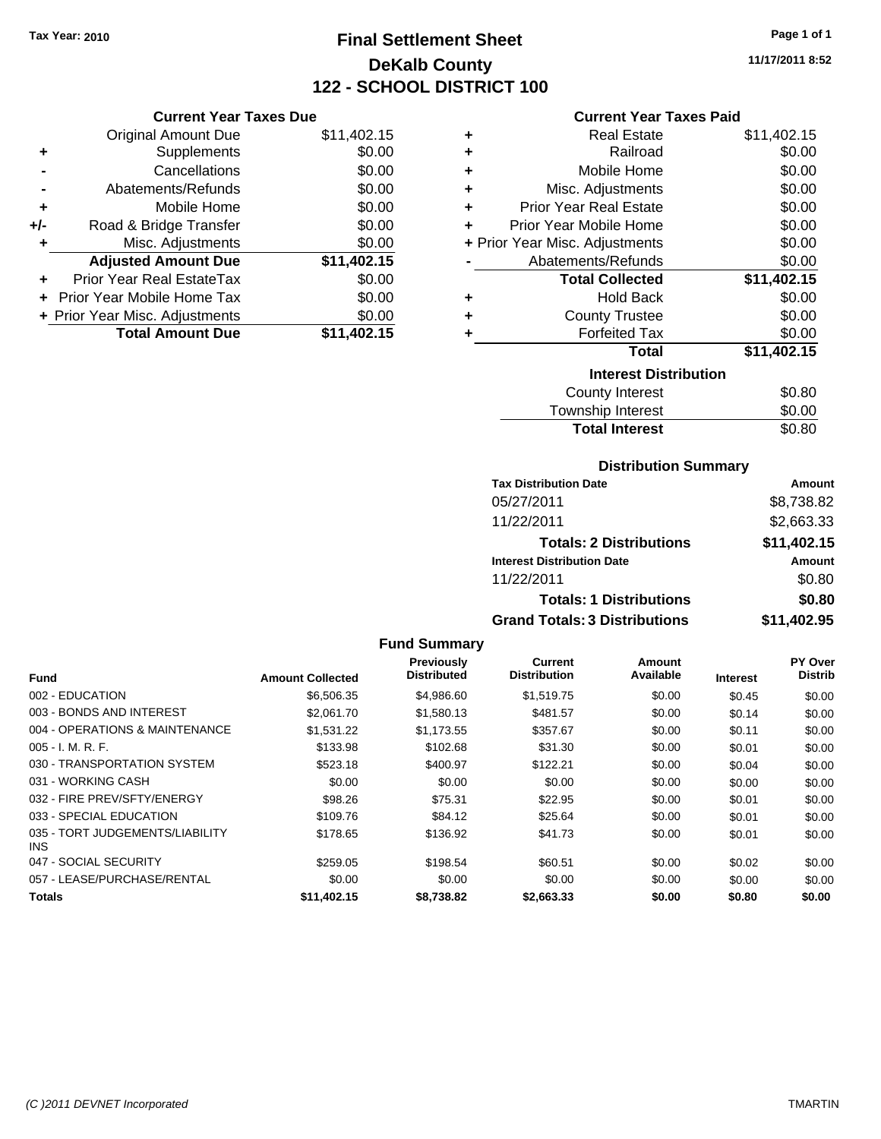## **Final Settlement Sheet Tax Year: 2010 Page 1 of 1 DeKalb County 122 - SCHOOL DISTRICT 100**

**11/17/2011 8:52**

#### **Current Year Taxes Paid**

| <b>Current Year Taxes Due</b> |                                |  |  |  |  |  |
|-------------------------------|--------------------------------|--|--|--|--|--|
| <b>Original Amount Due</b>    | \$11,402.15                    |  |  |  |  |  |
| Supplements                   | \$0.00                         |  |  |  |  |  |
| Cancellations                 | \$0.00                         |  |  |  |  |  |
| Abatements/Refunds            | \$0.00                         |  |  |  |  |  |
| Mobile Home                   | \$0.00                         |  |  |  |  |  |
| Road & Bridge Transfer        | \$0.00                         |  |  |  |  |  |
| Misc. Adjustments             | \$0.00                         |  |  |  |  |  |
| <b>Adjusted Amount Due</b>    | \$11,402.15                    |  |  |  |  |  |
| Prior Year Real EstateTax     | \$0.00                         |  |  |  |  |  |
| Prior Year Mobile Home Tax    | \$0.00                         |  |  |  |  |  |
|                               | \$0.00                         |  |  |  |  |  |
| <b>Total Amount Due</b>       | \$11,402.15                    |  |  |  |  |  |
|                               | + Prior Year Misc. Adjustments |  |  |  |  |  |

| ٠ | Real Estate                    | \$11,402.15 |  |  |  |  |  |
|---|--------------------------------|-------------|--|--|--|--|--|
| ٠ | Railroad                       | \$0.00      |  |  |  |  |  |
| ٠ | Mobile Home                    | \$0.00      |  |  |  |  |  |
| ٠ | Misc. Adjustments              | \$0.00      |  |  |  |  |  |
| ٠ | <b>Prior Year Real Estate</b>  | \$0.00      |  |  |  |  |  |
| ٠ | Prior Year Mobile Home         | \$0.00      |  |  |  |  |  |
|   | + Prior Year Misc. Adjustments | \$0.00      |  |  |  |  |  |
|   | Abatements/Refunds             | \$0.00      |  |  |  |  |  |
|   | <b>Total Collected</b>         | \$11,402.15 |  |  |  |  |  |
| ٠ | <b>Hold Back</b>               | \$0.00      |  |  |  |  |  |
| ٠ | <b>County Trustee</b>          | \$0.00      |  |  |  |  |  |
| ٠ | <b>Forfeited Tax</b>           | \$0.00      |  |  |  |  |  |
|   | Total                          | \$11,402.15 |  |  |  |  |  |
|   | <b>Interest Distribution</b>   |             |  |  |  |  |  |
|   | <b>County Interest</b>         | \$0.80      |  |  |  |  |  |
|   | <b>Township Interest</b>       | \$0.00      |  |  |  |  |  |
|   | <b>Total Interest</b>          | \$0.80      |  |  |  |  |  |

### **Distribution Summary**

| <b>Tax Distribution Date</b>         | Amount      |
|--------------------------------------|-------------|
| 05/27/2011                           | \$8,738.82  |
| 11/22/2011                           | \$2,663.33  |
| <b>Totals: 2 Distributions</b>       | \$11,402.15 |
| <b>Interest Distribution Date</b>    | Amount      |
| 11/22/2011                           | \$0.80      |
| <b>Totals: 1 Distributions</b>       | \$0.80      |
| <b>Grand Totals: 3 Distributions</b> | \$11,402.95 |

|                                         | <b>Amount Collected</b> | Previously<br><b>Distributed</b> | Current<br><b>Distribution</b> | Amount<br>Available |                 | PY Over<br><b>Distrib</b> |
|-----------------------------------------|-------------------------|----------------------------------|--------------------------------|---------------------|-----------------|---------------------------|
| Fund                                    |                         |                                  |                                |                     | <b>Interest</b> |                           |
| 002 - EDUCATION                         | \$6,506.35              | \$4,986.60                       | \$1,519.75                     | \$0.00              | \$0.45          | \$0.00                    |
| 003 - BONDS AND INTEREST                | \$2,061.70              | \$1,580.13                       | \$481.57                       | \$0.00              | \$0.14          | \$0.00                    |
| 004 - OPERATIONS & MAINTENANCE          | \$1,531.22              | \$1.173.55                       | \$357.67                       | \$0.00              | \$0.11          | \$0.00                    |
| $005 - I. M. R. F.$                     | \$133.98                | \$102.68                         | \$31.30                        | \$0.00              | \$0.01          | \$0.00                    |
| 030 - TRANSPORTATION SYSTEM             | \$523.18                | \$400.97                         | \$122.21                       | \$0.00              | \$0.04          | \$0.00                    |
| 031 - WORKING CASH                      | \$0.00                  | \$0.00                           | \$0.00                         | \$0.00              | \$0.00          | \$0.00                    |
| 032 - FIRE PREV/SFTY/ENERGY             | \$98.26                 | \$75.31                          | \$22.95                        | \$0.00              | \$0.01          | \$0.00                    |
| 033 - SPECIAL EDUCATION                 | \$109.76                | \$84.12                          | \$25.64                        | \$0.00              | \$0.01          | \$0.00                    |
| 035 - TORT JUDGEMENTS/LIABILITY<br>INS. | \$178.65                | \$136.92                         | \$41.73                        | \$0.00              | \$0.01          | \$0.00                    |
| 047 - SOCIAL SECURITY                   | \$259.05                | \$198.54                         | \$60.51                        | \$0.00              | \$0.02          | \$0.00                    |
| 057 - LEASE/PURCHASE/RENTAL             | \$0.00                  | \$0.00                           | \$0.00                         | \$0.00              | \$0.00          | \$0.00                    |
| <b>Totals</b>                           | \$11,402.15             | \$8.738.82                       | \$2,663,33                     | \$0.00              | \$0.80          | \$0.00                    |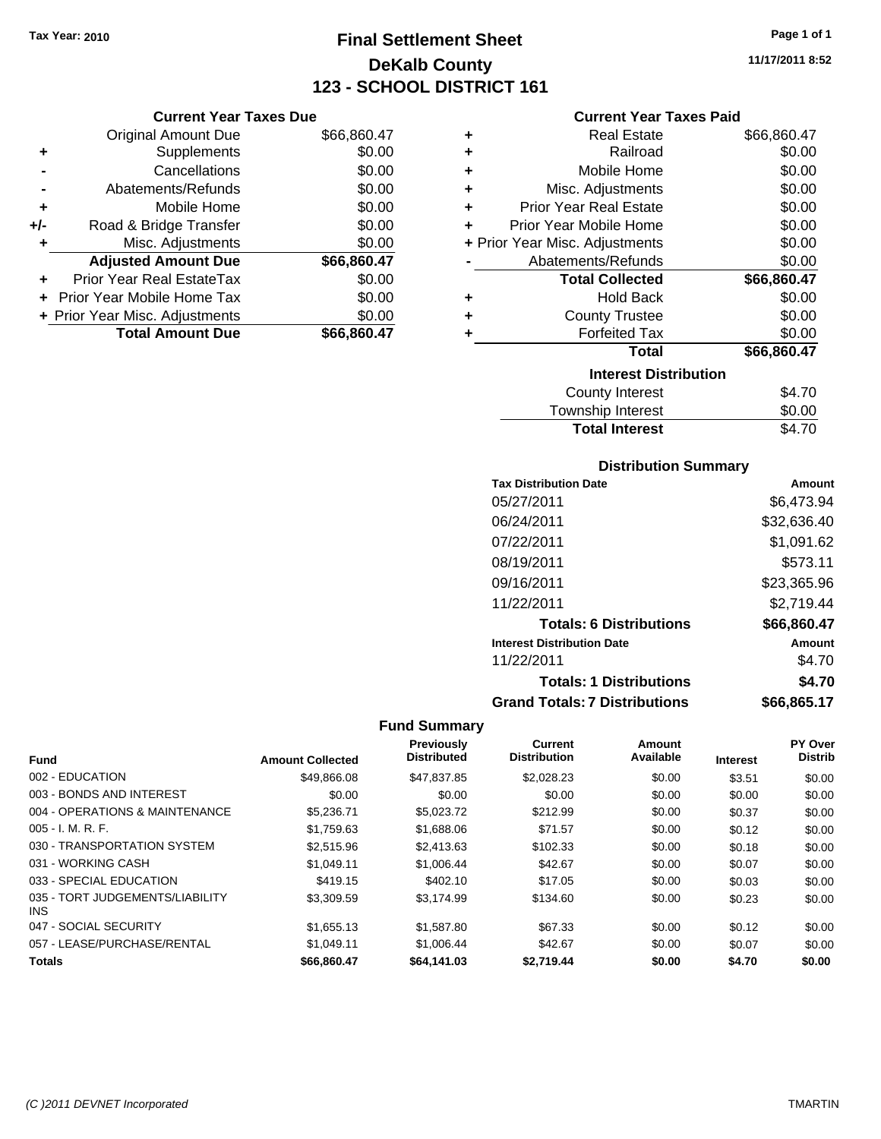**Current Year Taxes Due** Original Amount Due \$66,860.47

**Adjusted Amount Due \$66,860.47**

**Total Amount Due \$66,860.47**

**+** Supplements \$0.00 **-** Cancellations \$0.00 **-** Abatements/Refunds \$0.00 **+** Mobile Home \$0.00 **+/-** Road & Bridge Transfer \$0.00 **+** Misc. Adjustments \$0.00

**+** Prior Year Real EstateTax \$0.00 **+** Prior Year Mobile Home Tax \$0.00 **+ Prior Year Misc. Adjustments**  $$0.00$ 

## **Final Settlement Sheet Tax Year: 2010 Page 1 of 1 DeKalb County 123 - SCHOOL DISTRICT 161**

**11/17/2011 8:52**

#### **Current Year Taxes Paid**

| ٠ | <b>Real Estate</b>             | \$66,860.47 |
|---|--------------------------------|-------------|
| ٠ | Railroad                       | \$0.00      |
| ٠ | Mobile Home                    | \$0.00      |
| ٠ | Misc. Adjustments              | \$0.00      |
| ٠ | <b>Prior Year Real Estate</b>  | \$0.00      |
| ٠ | Prior Year Mobile Home         | \$0.00      |
|   | + Prior Year Misc. Adjustments | \$0.00      |
|   | Abatements/Refunds             | \$0.00      |
|   | <b>Total Collected</b>         | \$66,860.47 |
| ٠ | <b>Hold Back</b>               | \$0.00      |
| ÷ | <b>County Trustee</b>          | \$0.00      |
| ٠ | <b>Forfeited Tax</b>           | \$0.00      |
|   | <b>Total</b>                   | \$66,860.47 |
|   |                                |             |
|   | <b>Interest Distribution</b>   |             |
|   | County Interest                | \$4.70      |

## **Distribution Summary**

Total Interest \$4.70

| <b>Tax Distribution Date</b>         | Amount      |
|--------------------------------------|-------------|
| 05/27/2011                           | \$6,473.94  |
| 06/24/2011                           | \$32,636.40 |
| 07/22/2011                           | \$1,091.62  |
| 08/19/2011                           | \$573.11    |
| 09/16/2011                           | \$23.365.96 |
| 11/22/2011                           | \$2.719.44  |
| <b>Totals: 6 Distributions</b>       | \$66,860.47 |
| <b>Interest Distribution Date</b>    | Amount      |
| 11/22/2011                           | \$4.70      |
| <b>Totals: 1 Distributions</b>       | \$4.70      |
| <b>Grand Totals: 7 Distributions</b> | \$66.865.17 |

|                                         |                         | Previously         | <b>Current</b>      | Amount    |                 | PY Over        |
|-----------------------------------------|-------------------------|--------------------|---------------------|-----------|-----------------|----------------|
| <b>Fund</b>                             | <b>Amount Collected</b> | <b>Distributed</b> | <b>Distribution</b> | Available | <b>Interest</b> | <b>Distrib</b> |
| 002 - EDUCATION                         | \$49,866,08             | \$47,837.85        | \$2,028.23          | \$0.00    | \$3.51          | \$0.00         |
| 003 - BONDS AND INTEREST                | \$0.00                  | \$0.00             | \$0.00              | \$0.00    | \$0.00          | \$0.00         |
| 004 - OPERATIONS & MAINTENANCE          | \$5,236.71              | \$5,023.72         | \$212.99            | \$0.00    | \$0.37          | \$0.00         |
| $005 - I. M. R. F.$                     | \$1,759.63              | \$1,688.06         | \$71.57             | \$0.00    | \$0.12          | \$0.00         |
| 030 - TRANSPORTATION SYSTEM             | \$2,515.96              | \$2,413.63         | \$102.33            | \$0.00    | \$0.18          | \$0.00         |
| 031 - WORKING CASH                      | \$1.049.11              | \$1,006.44         | \$42.67             | \$0.00    | \$0.07          | \$0.00         |
| 033 - SPECIAL EDUCATION                 | \$419.15                | \$402.10           | \$17.05             | \$0.00    | \$0.03          | \$0.00         |
| 035 - TORT JUDGEMENTS/LIABILITY<br>INS. | \$3,309.59              | \$3.174.99         | \$134.60            | \$0.00    | \$0.23          | \$0.00         |
| 047 - SOCIAL SECURITY                   | \$1,655.13              | \$1,587.80         | \$67.33             | \$0.00    | \$0.12          | \$0.00         |
| 057 - LEASE/PURCHASE/RENTAL             | \$1.049.11              | \$1,006.44         | \$42.67             | \$0.00    | \$0.07          | \$0.00         |
| <b>Totals</b>                           | \$66.860.47             | \$64,141.03        | \$2.719.44          | \$0.00    | \$4.70          | \$0.00         |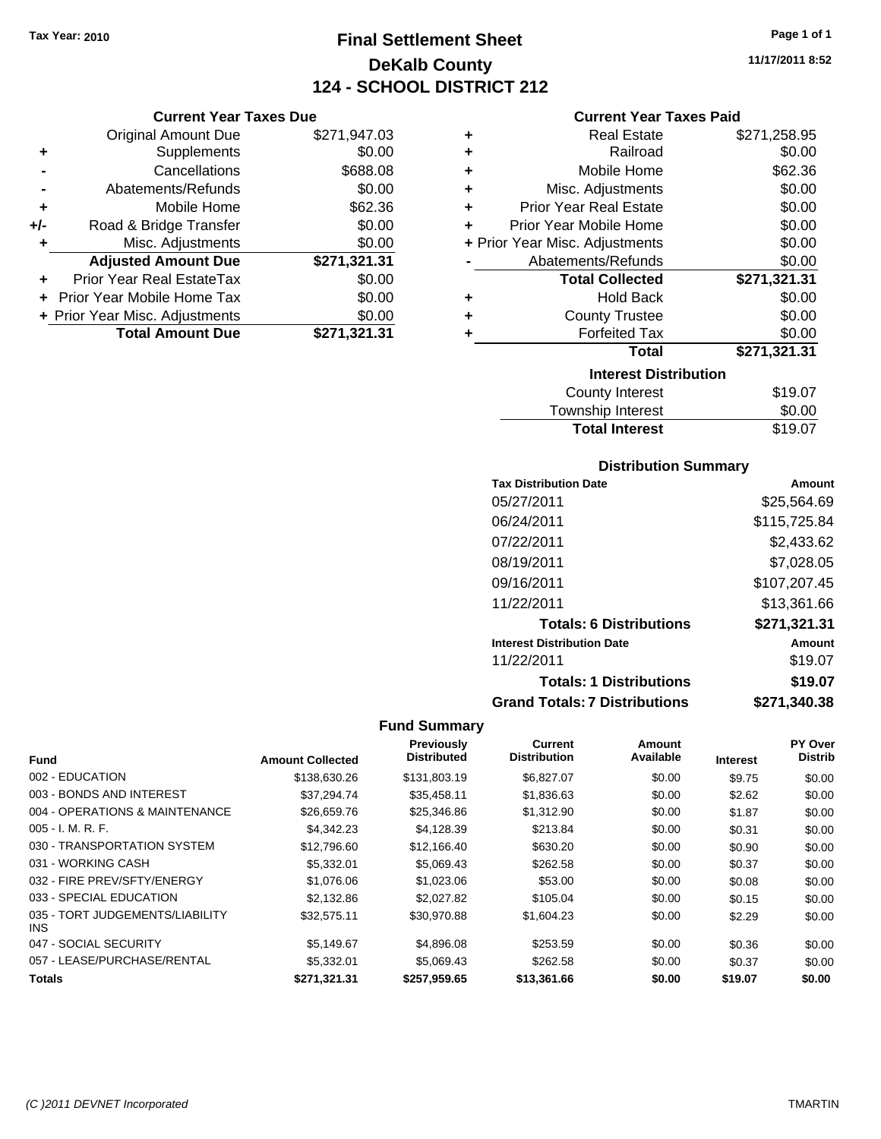**Current Year Taxes Due**

## **Final Settlement Sheet Tax Year: 2010 Page 1 of 1 DeKalb County 124 - SCHOOL DISTRICT 212**

**11/17/2011 8:52**

#### **Current Year Taxes Paid**

|     | <b>Original Amount Due</b>     | \$271,947.03 | ٠ | <b>Real Estate</b>             | \$271,258.95 |
|-----|--------------------------------|--------------|---|--------------------------------|--------------|
| ٠   | Supplements                    | \$0.00       | ٠ | Railroad                       | \$0.00       |
|     | Cancellations                  | \$688.08     | ٠ | Mobile Home                    | \$62.36      |
|     | Abatements/Refunds             | \$0.00       | ٠ | Misc. Adjustments              | \$0.00       |
| ٠   | Mobile Home                    | \$62.36      | ٠ | <b>Prior Year Real Estate</b>  | \$0.00       |
| +/- | Road & Bridge Transfer         | \$0.00       | ÷ | Prior Year Mobile Home         | \$0.00       |
|     | Misc. Adjustments              | \$0.00       |   | + Prior Year Misc. Adjustments | \$0.00       |
|     | <b>Adjusted Amount Due</b>     | \$271,321.31 |   | Abatements/Refunds             | \$0.00       |
| ÷.  | Prior Year Real EstateTax      | \$0.00       |   | <b>Total Collected</b>         | \$271,321.31 |
|     | Prior Year Mobile Home Tax     | \$0.00       | ٠ | <b>Hold Back</b>               | \$0.00       |
|     | + Prior Year Misc. Adjustments | \$0.00       |   | <b>County Trustee</b>          | \$0.00       |
|     | <b>Total Amount Due</b>        | \$271,321.31 |   | <b>Forfeited Tax</b>           | \$0.00       |
|     |                                |              |   | <b>Total</b>                   | \$271,321.31 |
|     |                                |              |   | <b>Interest Distribution</b>   |              |
|     |                                |              |   | <b>County Interest</b>         | \$19.07      |
|     |                                |              |   | <b>Township Interest</b>       | \$0.00       |

# **Distribution Summary**

**Total Interest** \$19.07

| PISU INUUVII VUIIIIIIUI V            |              |
|--------------------------------------|--------------|
| <b>Tax Distribution Date</b>         | Amount       |
| 05/27/2011                           | \$25,564.69  |
| 06/24/2011                           | \$115,725.84 |
| 07/22/2011                           | \$2,433.62   |
| 08/19/2011                           | \$7,028.05   |
| 09/16/2011                           | \$107,207.45 |
| 11/22/2011                           | \$13.361.66  |
| <b>Totals: 6 Distributions</b>       | \$271.321.31 |
| <b>Interest Distribution Date</b>    | Amount       |
| 11/22/2011                           | \$19.07      |
| <b>Totals: 1 Distributions</b>       | \$19.07      |
| <b>Grand Totals: 7 Distributions</b> | \$271,340.38 |

|                                         |                         | <b>Previously</b><br><b>Distributed</b> | Current<br><b>Distribution</b> | Amount<br>Available |                 | PY Over<br><b>Distrib</b> |
|-----------------------------------------|-------------------------|-----------------------------------------|--------------------------------|---------------------|-----------------|---------------------------|
| <b>Fund</b>                             | <b>Amount Collected</b> |                                         |                                |                     | <b>Interest</b> |                           |
| 002 - EDUCATION                         | \$138,630.26            | \$131,803.19                            | \$6,827.07                     | \$0.00              | \$9.75          | \$0.00                    |
| 003 - BONDS AND INTEREST                | \$37.294.74             | \$35,458.11                             | \$1,836.63                     | \$0.00              | \$2.62          | \$0.00                    |
| 004 - OPERATIONS & MAINTENANCE          | \$26,659.76             | \$25,346.86                             | \$1,312.90                     | \$0.00              | \$1.87          | \$0.00                    |
| $005 - I. M. R. F.$                     | \$4,342.23              | \$4,128.39                              | \$213.84                       | \$0.00              | \$0.31          | \$0.00                    |
| 030 - TRANSPORTATION SYSTEM             | \$12,796.60             | \$12,166.40                             | \$630.20                       | \$0.00              | \$0.90          | \$0.00                    |
| 031 - WORKING CASH                      | \$5,332.01              | \$5,069.43                              | \$262.58                       | \$0.00              | \$0.37          | \$0.00                    |
| 032 - FIRE PREV/SFTY/ENERGY             | \$1,076.06              | \$1,023.06                              | \$53.00                        | \$0.00              | \$0.08          | \$0.00                    |
| 033 - SPECIAL EDUCATION                 | \$2,132.86              | \$2,027.82                              | \$105.04                       | \$0.00              | \$0.15          | \$0.00                    |
| 035 - TORT JUDGEMENTS/LIABILITY<br>INS. | \$32,575.11             | \$30,970.88                             | \$1,604.23                     | \$0.00              | \$2.29          | \$0.00                    |
| 047 - SOCIAL SECURITY                   | \$5,149.67              | \$4,896,08                              | \$253.59                       | \$0.00              | \$0.36          | \$0.00                    |
| 057 - LEASE/PURCHASE/RENTAL             | \$5,332.01              | \$5.069.43                              | \$262.58                       | \$0.00              | \$0.37          | \$0.00                    |
| <b>Totals</b>                           | \$271.321.31            | \$257.959.65                            | \$13,361.66                    | \$0.00              | \$19.07         | \$0.00                    |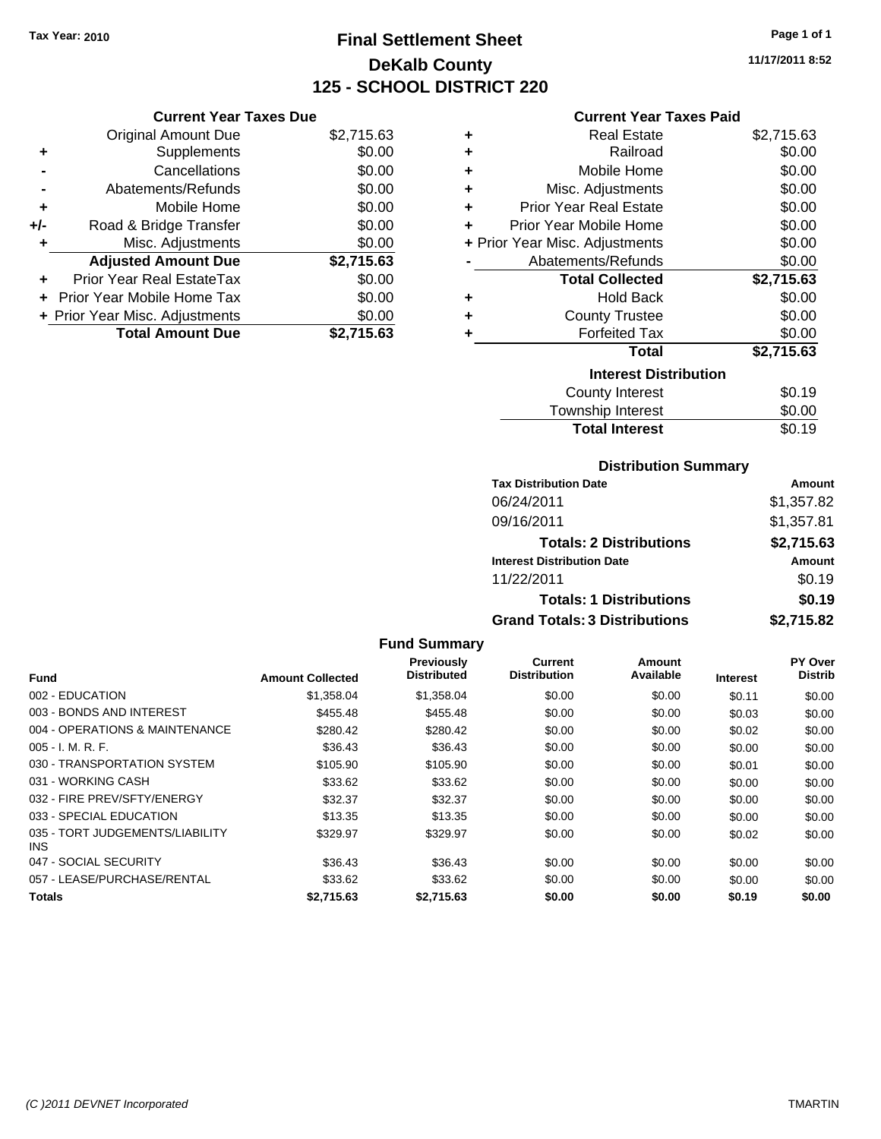## **Final Settlement Sheet Tax Year: 2010 Page 1 of 1 DeKalb County 125 - SCHOOL DISTRICT 220**

**11/17/2011 8:52**

#### **Current Year Taxes Paid**

|     | <b>Current Year Taxes Due</b>  |            |  |  |  |
|-----|--------------------------------|------------|--|--|--|
|     | <b>Original Amount Due</b>     | \$2,715.63 |  |  |  |
| ٠   | Supplements                    | \$0.00     |  |  |  |
|     | Cancellations                  | \$0.00     |  |  |  |
|     | Abatements/Refunds             | \$0.00     |  |  |  |
| ٠   | Mobile Home                    | \$0.00     |  |  |  |
| +/- | Road & Bridge Transfer         | \$0.00     |  |  |  |
| ٠   | Misc. Adjustments              | \$0.00     |  |  |  |
|     | <b>Adjusted Amount Due</b>     | \$2,715.63 |  |  |  |
|     | Prior Year Real EstateTax      | \$0.00     |  |  |  |
|     | Prior Year Mobile Home Tax     | \$0.00     |  |  |  |
|     | + Prior Year Misc. Adjustments | \$0.00     |  |  |  |
|     | <b>Total Amount Due</b>        | \$2.715.63 |  |  |  |

| ٠ | <b>Real Estate</b>             | \$2,715.63 |
|---|--------------------------------|------------|
| ٠ | Railroad                       | \$0.00     |
| ٠ | Mobile Home                    | \$0.00     |
| ÷ | Misc. Adjustments              | \$0.00     |
| ÷ | <b>Prior Year Real Estate</b>  | \$0.00     |
| ٠ | Prior Year Mobile Home         | \$0.00     |
|   | + Prior Year Misc. Adjustments | \$0.00     |
|   | Abatements/Refunds             | \$0.00     |
|   |                                |            |
|   | <b>Total Collected</b>         | \$2,715.63 |
| ٠ | <b>Hold Back</b>               | \$0.00     |
| ٠ | <b>County Trustee</b>          | \$0.00     |
| ٠ | <b>Forfeited Tax</b>           | \$0.00     |
|   | Total                          | \$2,715.63 |
|   | <b>Interest Distribution</b>   |            |
|   | County Interest                | \$0.19     |

### **Distribution Summary**

**Total Interest** \$0.19

| <b>Tax Distribution Date</b>         | Amount     |  |  |
|--------------------------------------|------------|--|--|
| 06/24/2011                           | \$1,357.82 |  |  |
| 09/16/2011                           | \$1,357.81 |  |  |
| <b>Totals: 2 Distributions</b>       | \$2,715.63 |  |  |
| <b>Interest Distribution Date</b>    | Amount     |  |  |
| 11/22/2011                           | \$0.19     |  |  |
| <b>Totals: 1 Distributions</b>       | \$0.19     |  |  |
| <b>Grand Totals: 3 Distributions</b> | \$2,715.82 |  |  |

|                                               |                         | <b>Previously</b>  | <b>Current</b>      | Amount    |                 | PY Over        |
|-----------------------------------------------|-------------------------|--------------------|---------------------|-----------|-----------------|----------------|
| <b>Fund</b>                                   | <b>Amount Collected</b> | <b>Distributed</b> | <b>Distribution</b> | Available | <b>Interest</b> | <b>Distrib</b> |
| 002 - EDUCATION                               | \$1,358.04              | \$1,358.04         | \$0.00              | \$0.00    | \$0.11          | \$0.00         |
| 003 - BONDS AND INTEREST                      | \$455.48                | \$455.48           | \$0.00              | \$0.00    | \$0.03          | \$0.00         |
| 004 - OPERATIONS & MAINTENANCE                | \$280.42                | \$280.42           | \$0.00              | \$0.00    | \$0.02          | \$0.00         |
| $005 - I. M. R. F.$                           | \$36.43                 | \$36.43            | \$0.00              | \$0.00    | \$0.00          | \$0.00         |
| 030 - TRANSPORTATION SYSTEM                   | \$105.90                | \$105.90           | \$0.00              | \$0.00    | \$0.01          | \$0.00         |
| 031 - WORKING CASH                            | \$33.62                 | \$33.62            | \$0.00              | \$0.00    | \$0.00          | \$0.00         |
| 032 - FIRE PREV/SFTY/ENERGY                   | \$32.37                 | \$32.37            | \$0.00              | \$0.00    | \$0.00          | \$0.00         |
| 033 - SPECIAL EDUCATION                       | \$13.35                 | \$13.35            | \$0.00              | \$0.00    | \$0.00          | \$0.00         |
| 035 - TORT JUDGEMENTS/LIABILITY<br><b>INS</b> | \$329.97                | \$329.97           | \$0.00              | \$0.00    | \$0.02          | \$0.00         |
| 047 - SOCIAL SECURITY                         | \$36.43                 | \$36.43            | \$0.00              | \$0.00    | \$0.00          | \$0.00         |
| 057 - LEASE/PURCHASE/RENTAL                   | \$33.62                 | \$33.62            | \$0.00              | \$0.00    | \$0.00          | \$0.00         |
| Totals                                        | \$2.715.63              | \$2.715.63         | \$0.00              | \$0.00    | \$0.19          | \$0.00         |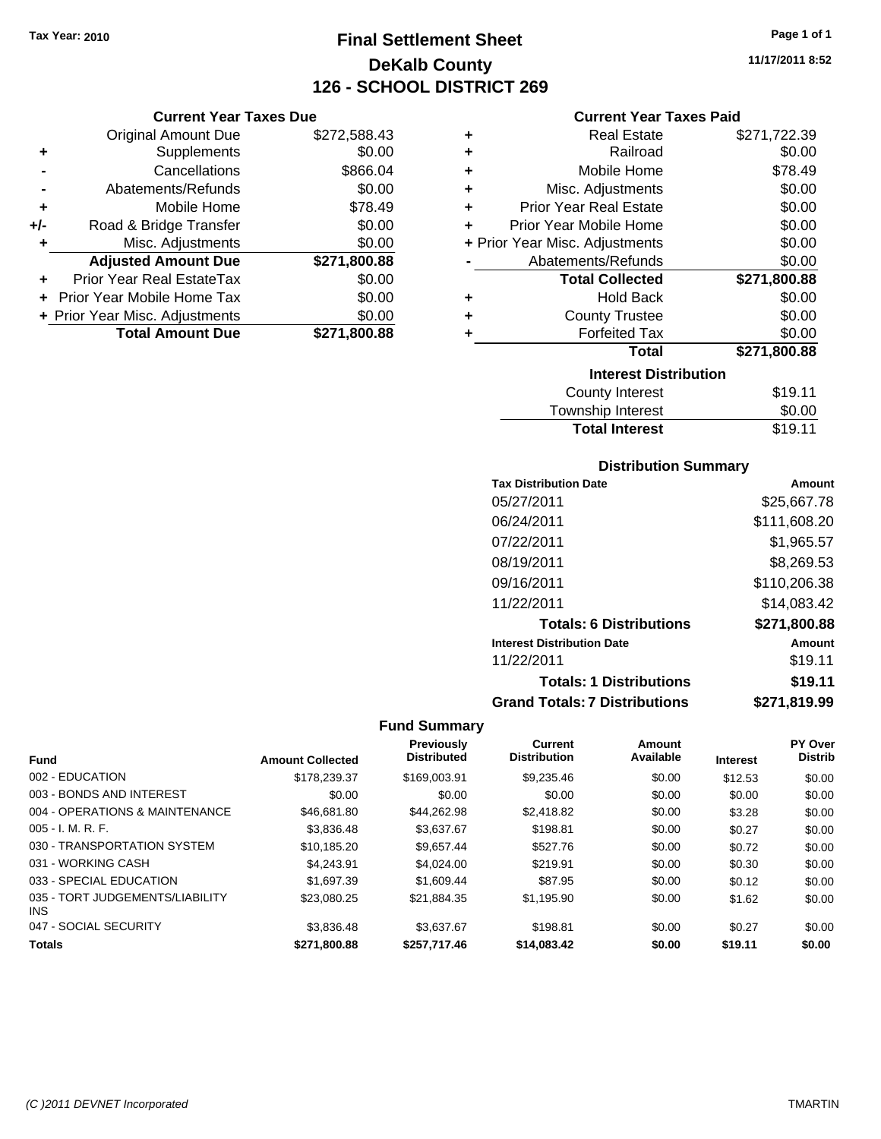**Current Year Taxes Due**

## **Final Settlement Sheet Tax Year: 2010 Page 1 of 1 DeKalb County 126 - SCHOOL DISTRICT 269**

| <b>Current Year Taxes Due</b> |                                |              |   | <b>Current Year Taxes Paid</b> |              |
|-------------------------------|--------------------------------|--------------|---|--------------------------------|--------------|
|                               | Original Amount Due            | \$272,588.43 | ٠ | <b>Real Estate</b>             | \$271,722.39 |
| ٠                             | Supplements                    | \$0.00       | ٠ | Railroad                       | \$0.00       |
|                               | Cancellations                  | \$866.04     | ٠ | Mobile Home                    | \$78.49      |
|                               | Abatements/Refunds             | \$0.00       | ٠ | Misc. Adjustments              | \$0.00       |
| ٠                             | Mobile Home                    | \$78.49      | ٠ | <b>Prior Year Real Estate</b>  | \$0.00       |
| +/-                           | Road & Bridge Transfer         | \$0.00       | ٠ | Prior Year Mobile Home         | \$0.00       |
|                               | Misc. Adjustments              | \$0.00       |   | + Prior Year Misc. Adjustments | \$0.00       |
|                               | <b>Adjusted Amount Due</b>     | \$271,800.88 |   | Abatements/Refunds             | \$0.00       |
| ÷.                            | Prior Year Real EstateTax      | \$0.00       |   | <b>Total Collected</b>         | \$271,800.88 |
|                               | + Prior Year Mobile Home Tax   | \$0.00       | ٠ | <b>Hold Back</b>               | \$0.00       |
|                               | + Prior Year Misc. Adjustments | \$0.00       | ٠ | <b>County Trustee</b>          | \$0.00       |
|                               | <b>Total Amount Due</b>        | \$271,800.88 |   | <b>Forfeited Tax</b>           | \$0.00       |
|                               |                                |              |   | <b>Total</b>                   | \$271,800.88 |
|                               |                                |              |   | <b>Interest Distribution</b>   |              |
|                               |                                |              |   | County Interest                | \$19.11      |

## **Distribution Summary**

Township Interest \$0.00 Total Interest \$19.11

| PISUINUUVII VUIIIIIIAI Y             |              |  |  |  |  |
|--------------------------------------|--------------|--|--|--|--|
| <b>Tax Distribution Date</b>         | Amount       |  |  |  |  |
| 05/27/2011                           | \$25,667.78  |  |  |  |  |
| 06/24/2011                           | \$111,608.20 |  |  |  |  |
| 07/22/2011                           | \$1.965.57   |  |  |  |  |
| 08/19/2011                           | \$8,269.53   |  |  |  |  |
| 09/16/2011                           | \$110,206.38 |  |  |  |  |
| 11/22/2011                           | \$14.083.42  |  |  |  |  |
| <b>Totals: 6 Distributions</b>       | \$271,800.88 |  |  |  |  |
| <b>Interest Distribution Date</b>    | Amount       |  |  |  |  |
| 11/22/2011                           | \$19.11      |  |  |  |  |
| <b>Totals: 1 Distributions</b>       | \$19.11      |  |  |  |  |
| <b>Grand Totals: 7 Distributions</b> | \$271.819.99 |  |  |  |  |

#### **Fund Summary**

|                                         |                         | Previously         | <b>Current</b>      | Amount    |                 | PY Over        |
|-----------------------------------------|-------------------------|--------------------|---------------------|-----------|-----------------|----------------|
| <b>Fund</b>                             | <b>Amount Collected</b> | <b>Distributed</b> | <b>Distribution</b> | Available | <b>Interest</b> | <b>Distrib</b> |
| 002 - EDUCATION                         | \$178,239.37            | \$169,003.91       | \$9.235.46          | \$0.00    | \$12.53         | \$0.00         |
| 003 - BONDS AND INTEREST                | \$0.00                  | \$0.00             | \$0.00              | \$0.00    | \$0.00          | \$0.00         |
| 004 - OPERATIONS & MAINTENANCE          | \$46.681.80             | \$44.262.98        | \$2,418.82          | \$0.00    | \$3.28          | \$0.00         |
| $005 - I. M. R. F.$                     | \$3.836.48              | \$3.637.67         | \$198.81            | \$0.00    | \$0.27          | \$0.00         |
| 030 - TRANSPORTATION SYSTEM             | \$10,185.20             | \$9.657.44         | \$527.76            | \$0.00    | \$0.72          | \$0.00         |
| 031 - WORKING CASH                      | \$4.243.91              | \$4.024.00         | \$219.91            | \$0.00    | \$0.30          | \$0.00         |
| 033 - SPECIAL EDUCATION                 | \$1,697.39              | \$1,609.44         | \$87.95             | \$0.00    | \$0.12          | \$0.00         |
| 035 - TORT JUDGEMENTS/LIABILITY<br>INS. | \$23,080.25             | \$21,884.35        | \$1,195.90          | \$0.00    | \$1.62          | \$0.00         |
| 047 - SOCIAL SECURITY                   | \$3.836.48              | \$3.637.67         | \$198.81            | \$0.00    | \$0.27          | \$0.00         |
| <b>Totals</b>                           | \$271.800.88            | \$257.717.46       | \$14,083,42         | \$0.00    | \$19.11         | \$0.00         |

**11/17/2011 8:52**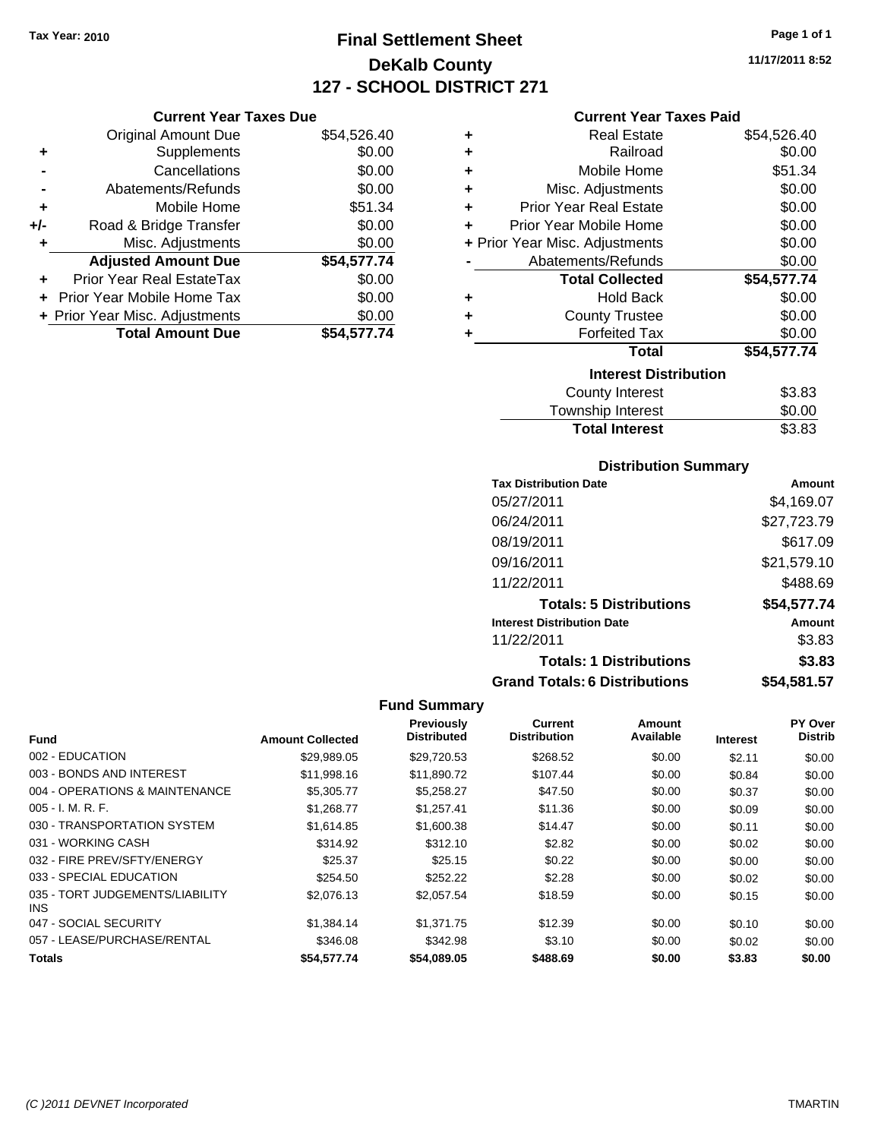## **Final Settlement Sheet Tax Year: 2010 Page 1 of 1 DeKalb County 127 - SCHOOL DISTRICT 271**

**11/17/2011 8:52**

#### **Current Year Taxes Paid**

|     | <b>Current Year Taxes Due</b>  |             |
|-----|--------------------------------|-------------|
|     | <b>Original Amount Due</b>     | \$54,526.40 |
| ٠   | Supplements                    | \$0.00      |
|     | Cancellations                  | \$0.00      |
|     | Abatements/Refunds             | \$0.00      |
| ٠   | Mobile Home                    | \$51.34     |
| +/- | Road & Bridge Transfer         | \$0.00      |
| ٠   | Misc. Adjustments              | \$0.00      |
|     | <b>Adjusted Amount Due</b>     | \$54,577.74 |
|     | Prior Year Real EstateTax      | \$0.00      |
|     | Prior Year Mobile Home Tax     | \$0.00      |
|     | + Prior Year Misc. Adjustments | \$0.00      |
|     | <b>Total Amount Due</b>        | \$54,577.74 |

| ٠ | Real Estate                    | \$54,526.40 |
|---|--------------------------------|-------------|
| ٠ | Railroad                       | \$0.00      |
| ٠ | Mobile Home                    | \$51.34     |
| ٠ | Misc. Adjustments              | \$0.00      |
| ٠ | <b>Prior Year Real Estate</b>  | \$0.00      |
| ٠ | Prior Year Mobile Home         | \$0.00      |
|   | + Prior Year Misc. Adjustments | \$0.00      |
|   | Abatements/Refunds             | \$0.00      |
|   | <b>Total Collected</b>         | \$54,577.74 |
| ٠ | <b>Hold Back</b>               | \$0.00      |
| ٠ | <b>County Trustee</b>          | \$0.00      |
| ٠ | <b>Forfeited Tax</b>           | \$0.00      |
|   | Total                          | \$54,577.74 |
|   | <b>Interest Distribution</b>   |             |
|   | <b>County Interest</b>         | \$3.83      |
|   | <b>Township Interest</b>       | \$0.00      |
|   | <b>Total Interest</b>          | \$3.83      |

### **Distribution Summary**

| <b>Tax Distribution Date</b>         | Amount      |
|--------------------------------------|-------------|
| 05/27/2011                           | \$4,169.07  |
| 06/24/2011                           | \$27,723.79 |
| 08/19/2011                           | \$617.09    |
| 09/16/2011                           | \$21,579.10 |
| 11/22/2011                           | \$488.69    |
| <b>Totals: 5 Distributions</b>       | \$54,577.74 |
| <b>Interest Distribution Date</b>    | Amount      |
| 11/22/2011                           | \$3.83      |
| <b>Totals: 1 Distributions</b>       | \$3.83      |
| <b>Grand Totals: 6 Distributions</b> | \$54,581.57 |

| <b>Fund</b>                             | <b>Amount Collected</b> | Previously<br><b>Distributed</b> | <b>Current</b><br><b>Distribution</b> | Amount<br>Available | <b>Interest</b> | PY Over<br><b>Distrib</b> |
|-----------------------------------------|-------------------------|----------------------------------|---------------------------------------|---------------------|-----------------|---------------------------|
|                                         |                         |                                  |                                       |                     |                 |                           |
| 002 - EDUCATION                         | \$29,989.05             | \$29,720.53                      | \$268.52                              | \$0.00              | \$2.11          | \$0.00                    |
| 003 - BONDS AND INTEREST                | \$11,998.16             | \$11,890.72                      | \$107.44                              | \$0.00              | \$0.84          | \$0.00                    |
| 004 - OPERATIONS & MAINTENANCE          | \$5,305.77              | \$5,258.27                       | \$47.50                               | \$0.00              | \$0.37          | \$0.00                    |
| $005 - I. M. R. F.$                     | \$1.268.77              | \$1.257.41                       | \$11.36                               | \$0.00              | \$0.09          | \$0.00                    |
| 030 - TRANSPORTATION SYSTEM             | \$1.614.85              | \$1,600.38                       | \$14.47                               | \$0.00              | \$0.11          | \$0.00                    |
| 031 - WORKING CASH                      | \$314.92                | \$312.10                         | \$2.82                                | \$0.00              | \$0.02          | \$0.00                    |
| 032 - FIRE PREV/SFTY/ENERGY             | \$25.37                 | \$25.15                          | \$0.22                                | \$0.00              | \$0.00          | \$0.00                    |
| 033 - SPECIAL EDUCATION                 | \$254.50                | \$252.22                         | \$2.28                                | \$0.00              | \$0.02          | \$0.00                    |
| 035 - TORT JUDGEMENTS/LIABILITY<br>INS. | \$2,076.13              | \$2,057.54                       | \$18.59                               | \$0.00              | \$0.15          | \$0.00                    |
| 047 - SOCIAL SECURITY                   | \$1,384.14              | \$1.371.75                       | \$12.39                               | \$0.00              | \$0.10          | \$0.00                    |
| 057 - LEASE/PURCHASE/RENTAL             | \$346.08                | \$342.98                         | \$3.10                                | \$0.00              | \$0.02          | \$0.00                    |
| <b>Totals</b>                           | \$54.577.74             | \$54,089.05                      | \$488.69                              | \$0.00              | \$3.83          | \$0.00                    |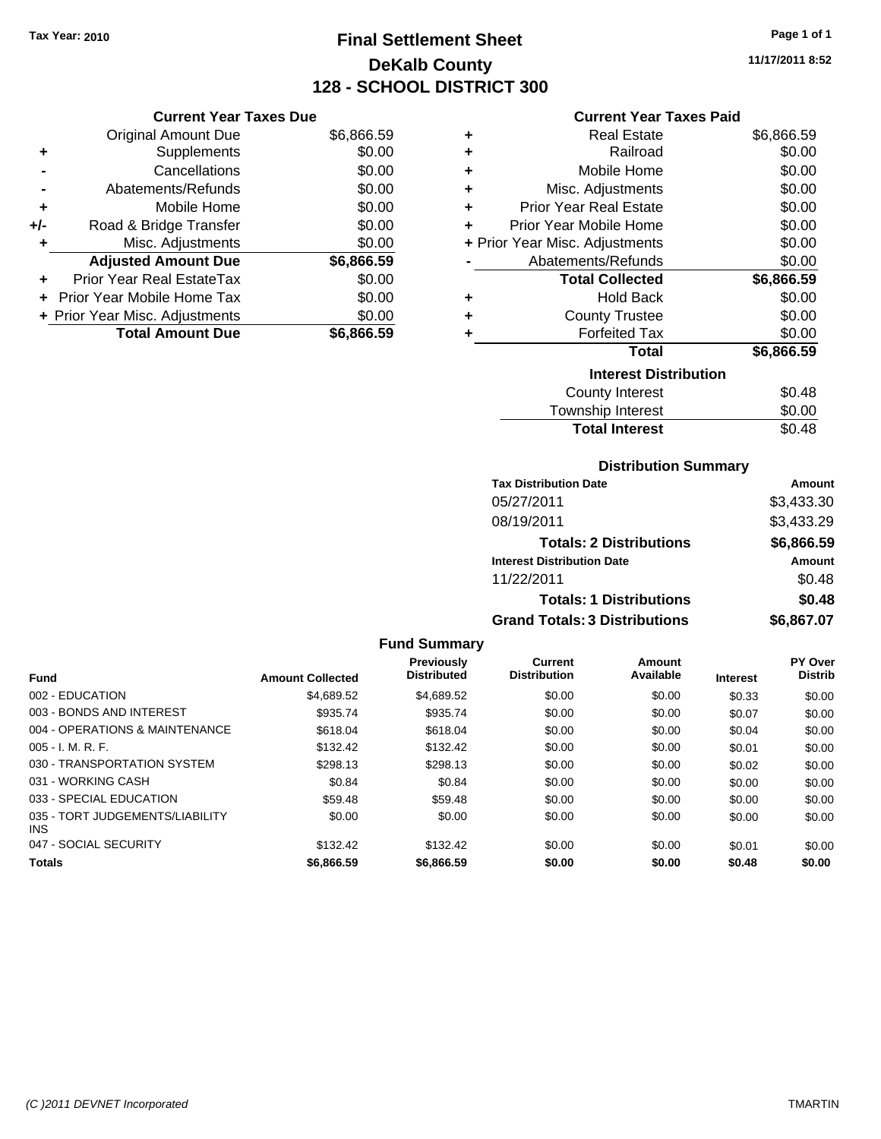## **Final Settlement Sheet Tax Year: 2010 Page 1 of 1 DeKalb County 128 - SCHOOL DISTRICT 300**

**11/17/2011 8:52**

#### **Current Year Taxes Paid**

|     | <b>Current Year Taxes Due</b>    |            |  |  |  |
|-----|----------------------------------|------------|--|--|--|
|     | <b>Original Amount Due</b>       | \$6,866.59 |  |  |  |
| ٠   | Supplements                      | \$0.00     |  |  |  |
|     | Cancellations                    | \$0.00     |  |  |  |
|     | Abatements/Refunds               | \$0.00     |  |  |  |
| ٠   | Mobile Home                      | \$0.00     |  |  |  |
| +/- | Road & Bridge Transfer           | \$0.00     |  |  |  |
| ٠   | Misc. Adjustments                | \$0.00     |  |  |  |
|     | <b>Adjusted Amount Due</b>       | \$6,866.59 |  |  |  |
| ٠   | <b>Prior Year Real EstateTax</b> | \$0.00     |  |  |  |
|     | Prior Year Mobile Home Tax       | \$0.00     |  |  |  |
|     | + Prior Year Misc. Adjustments   | \$0.00     |  |  |  |
|     | <b>Total Amount Due</b>          | \$6.866.59 |  |  |  |

| ٠ | <b>Real Estate</b>             | \$6,866.59 |
|---|--------------------------------|------------|
| ÷ | Railroad                       | \$0.00     |
| ÷ | Mobile Home                    | \$0.00     |
| ÷ | Misc. Adjustments              | \$0.00     |
| ÷ | <b>Prior Year Real Estate</b>  | \$0.00     |
| ٠ | Prior Year Mobile Home         | \$0.00     |
|   | + Prior Year Misc. Adjustments | \$0.00     |
|   | Abatements/Refunds             | \$0.00     |
|   |                                |            |
|   | <b>Total Collected</b>         | \$6,866.59 |
| ٠ | <b>Hold Back</b>               | \$0.00     |
| ٠ | <b>County Trustee</b>          | \$0.00     |
| ٠ | <b>Forfeited Tax</b>           | \$0.00     |
|   | <b>Total</b>                   | \$6,866.59 |
|   | <b>Interest Distribution</b>   |            |
|   | <b>County Interest</b>         | \$0.48     |

## **Distribution Summary**

Total Interest \$0.48

| <b>Tax Distribution Date</b>         | Amount     |
|--------------------------------------|------------|
| 05/27/2011                           | \$3,433.30 |
| 08/19/2011                           | \$3,433.29 |
| <b>Totals: 2 Distributions</b>       | \$6,866.59 |
| <b>Interest Distribution Date</b>    | Amount     |
| 11/22/2011                           | \$0.48     |
| <b>Totals: 1 Distributions</b>       | \$0.48     |
| <b>Grand Totals: 3 Distributions</b> | \$6,867.07 |

| <b>Fund</b>                                   | <b>Amount Collected</b> | <b>Previously</b><br><b>Distributed</b> | Current<br><b>Distribution</b> | Amount<br>Available | <b>Interest</b> | PY Over<br><b>Distrib</b> |
|-----------------------------------------------|-------------------------|-----------------------------------------|--------------------------------|---------------------|-----------------|---------------------------|
| 002 - EDUCATION                               | \$4,689.52              | \$4,689.52                              | \$0.00                         | \$0.00              | \$0.33          |                           |
|                                               |                         |                                         |                                |                     |                 | \$0.00                    |
| 003 - BONDS AND INTEREST                      | \$935.74                | \$935.74                                | \$0.00                         | \$0.00              | \$0.07          | \$0.00                    |
| 004 - OPERATIONS & MAINTENANCE                | \$618.04                | \$618.04                                | \$0.00                         | \$0.00              | \$0.04          | \$0.00                    |
| $005 - I. M. R. F.$                           | \$132.42                | \$132.42                                | \$0.00                         | \$0.00              | \$0.01          | \$0.00                    |
| 030 - TRANSPORTATION SYSTEM                   | \$298.13                | \$298.13                                | \$0.00                         | \$0.00              | \$0.02          | \$0.00                    |
| 031 - WORKING CASH                            | \$0.84                  | \$0.84                                  | \$0.00                         | \$0.00              | \$0.00          | \$0.00                    |
| 033 - SPECIAL EDUCATION                       | \$59.48                 | \$59.48                                 | \$0.00                         | \$0.00              | \$0.00          | \$0.00                    |
| 035 - TORT JUDGEMENTS/LIABILITY<br><b>INS</b> | \$0.00                  | \$0.00                                  | \$0.00                         | \$0.00              | \$0.00          | \$0.00                    |
| 047 - SOCIAL SECURITY                         | \$132.42                | \$132.42                                | \$0.00                         | \$0.00              | \$0.01          | \$0.00                    |
| <b>Totals</b>                                 | \$6,866.59              | \$6,866.59                              | \$0.00                         | \$0.00              | \$0.48          | \$0.00                    |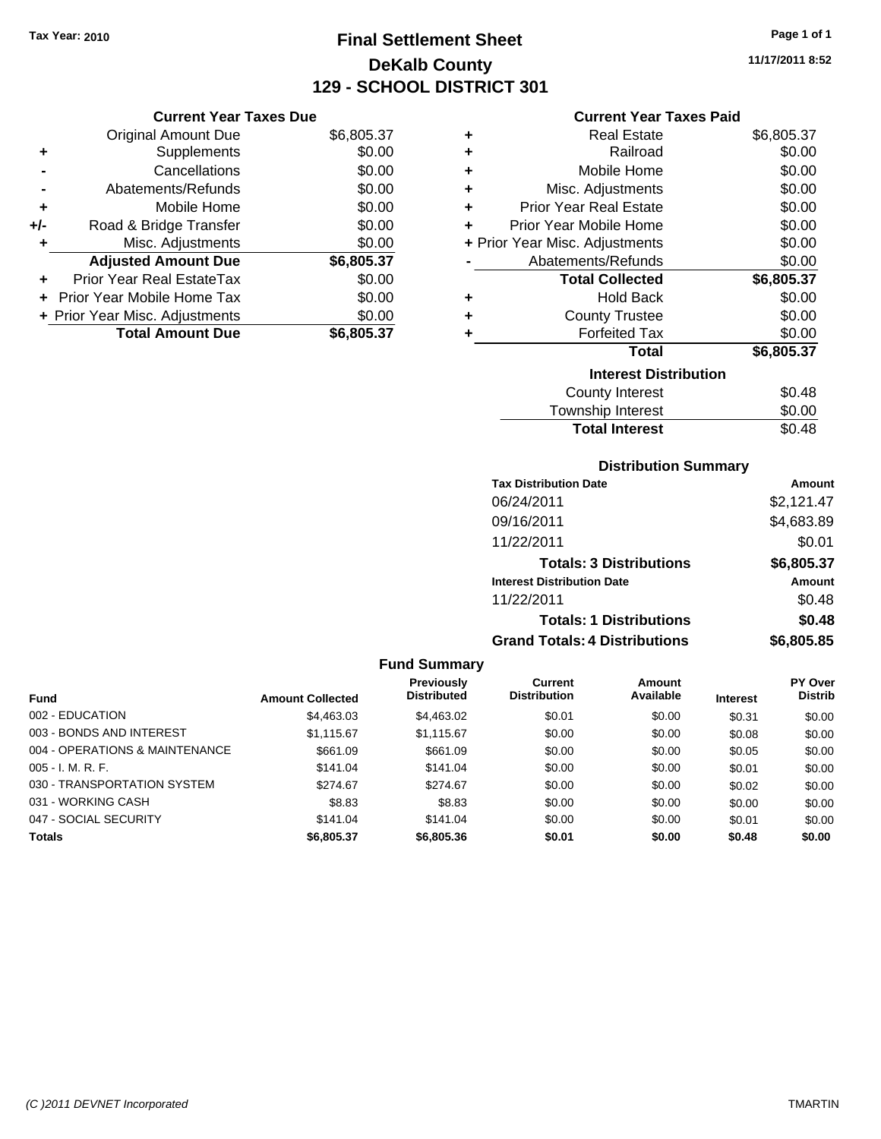## **Final Settlement Sheet Tax Year: 2010 Page 1 of 1 DeKalb County 129 - SCHOOL DISTRICT 301**

**11/17/2011 8:52**

#### **Current Year Taxes Paid**

| <b>Current Year Taxes Due</b> |                                |            |  |  |  |
|-------------------------------|--------------------------------|------------|--|--|--|
|                               | <b>Original Amount Due</b>     | \$6,805.37 |  |  |  |
| ٠                             | Supplements                    | \$0.00     |  |  |  |
|                               | Cancellations                  | \$0.00     |  |  |  |
|                               | Abatements/Refunds             | \$0.00     |  |  |  |
| ٠                             | Mobile Home                    | \$0.00     |  |  |  |
| +/-                           | Road & Bridge Transfer         | \$0.00     |  |  |  |
| ٠                             | Misc. Adjustments              | \$0.00     |  |  |  |
|                               | <b>Adjusted Amount Due</b>     | \$6,805.37 |  |  |  |
|                               | Prior Year Real EstateTax      | \$0.00     |  |  |  |
|                               | Prior Year Mobile Home Tax     | \$0.00     |  |  |  |
|                               | + Prior Year Misc. Adjustments | \$0.00     |  |  |  |
|                               | <b>Total Amount Due</b>        | \$6,805.37 |  |  |  |

| ٠ | Real Estate                    | \$6,805.37 |
|---|--------------------------------|------------|
| ٠ | Railroad                       | \$0.00     |
| ٠ | Mobile Home                    | \$0.00     |
| ٠ | Misc. Adjustments              | \$0.00     |
| ٠ | <b>Prior Year Real Estate</b>  | \$0.00     |
| ٠ | Prior Year Mobile Home         | \$0.00     |
|   | + Prior Year Misc. Adjustments | \$0.00     |
|   | Abatements/Refunds             | \$0.00     |
|   | <b>Total Collected</b>         | \$6,805.37 |
| ٠ | <b>Hold Back</b>               | \$0.00     |
| ٠ | <b>County Trustee</b>          | \$0.00     |
| ٠ | <b>Forfeited Tax</b>           | \$0.00     |
|   | Total                          | \$6,805.37 |
|   | <b>Interest Distribution</b>   |            |
|   | <b>County Interest</b>         | \$0.48     |
|   | <b>Township Interest</b>       | \$0.00     |
|   | <b>Total Interest</b>          | \$0.48     |

### **Distribution Summary**

| <b>Tax Distribution Date</b>         | Amount     |
|--------------------------------------|------------|
| 06/24/2011                           | \$2,121.47 |
| 09/16/2011                           | \$4,683.89 |
| 11/22/2011                           | \$0.01     |
| <b>Totals: 3 Distributions</b>       | \$6,805.37 |
| <b>Interest Distribution Date</b>    | Amount     |
| 11/22/2011                           | \$0.48     |
| <b>Totals: 1 Distributions</b>       | \$0.48     |
| <b>Grand Totals: 4 Distributions</b> | \$6,805.85 |

|                                |                         | <b>Fund Summary</b>              |                                |                     |                 |                                  |
|--------------------------------|-------------------------|----------------------------------|--------------------------------|---------------------|-----------------|----------------------------------|
| <b>Fund</b>                    | <b>Amount Collected</b> | Previously<br><b>Distributed</b> | Current<br><b>Distribution</b> | Amount<br>Available | <b>Interest</b> | <b>PY Over</b><br><b>Distrib</b> |
| 002 - EDUCATION                | \$4,463.03              | \$4,463.02                       | \$0.01                         | \$0.00              | \$0.31          | \$0.00                           |
| 003 - BONDS AND INTEREST       | \$1,115.67              | \$1,115.67                       | \$0.00                         | \$0.00              | \$0.08          | \$0.00                           |
| 004 - OPERATIONS & MAINTENANCE | \$661.09                | \$661.09                         | \$0.00                         | \$0.00              | \$0.05          | \$0.00                           |
| $005 - I. M. R. F.$            | \$141.04                | \$141.04                         | \$0.00                         | \$0.00              | \$0.01          | \$0.00                           |
| 030 - TRANSPORTATION SYSTEM    | \$274.67                | \$274.67                         | \$0.00                         | \$0.00              | \$0.02          | \$0.00                           |
| 031 - WORKING CASH             | \$8.83                  | \$8.83                           | \$0.00                         | \$0.00              | \$0.00          | \$0.00                           |
| 047 - SOCIAL SECURITY          | \$141.04                | \$141.04                         | \$0.00                         | \$0.00              | \$0.01          | \$0.00                           |
| <b>Totals</b>                  | \$6,805,37              | \$6,805,36                       | \$0.01                         | \$0.00              | \$0.48          | \$0.00                           |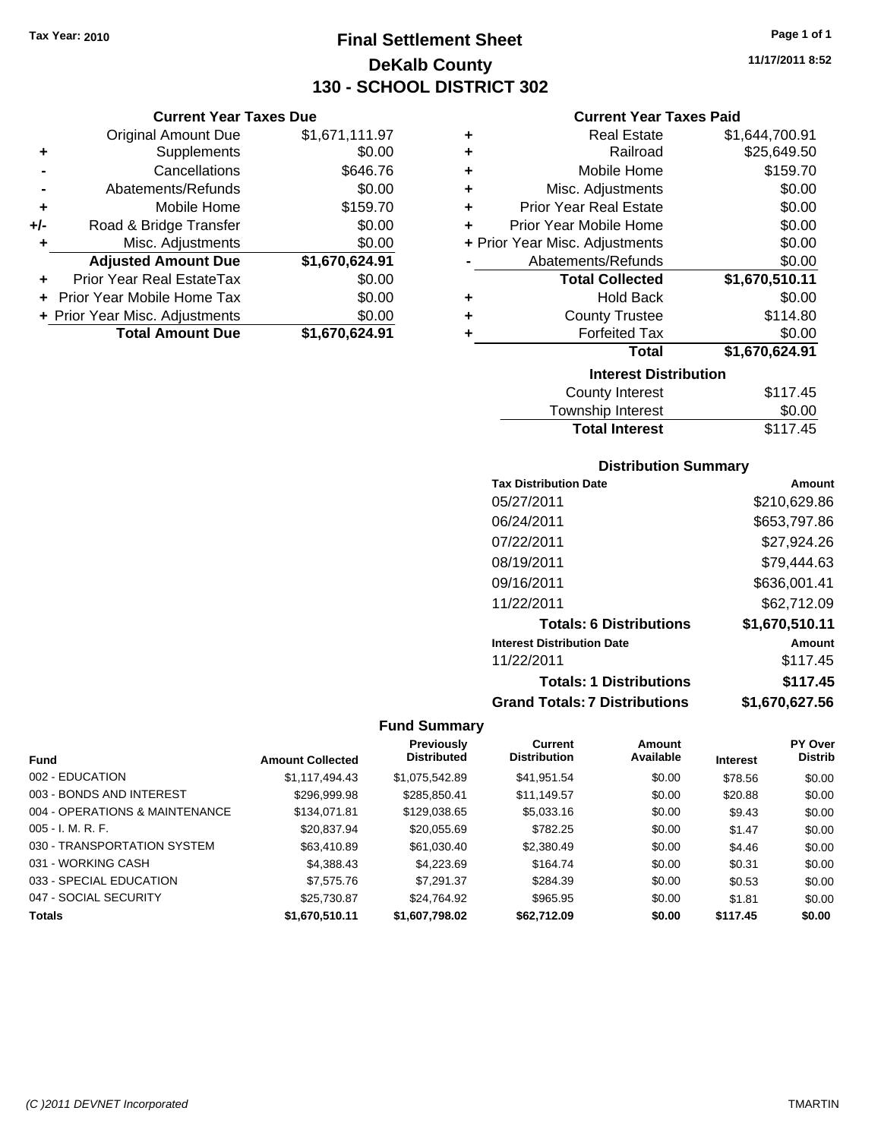**Current Year Taxes Due** Original Amount Due \$1,671,111.97

**Adjusted Amount Due \$1,670,624.91**

**Total Amount Due \$1,670,624.91**

**+** Supplements \$0.00 **-** Cancellations \$646.76 **-** Abatements/Refunds \$0.00 **+** Mobile Home \$159.70 **+/-** Road & Bridge Transfer \$0.00 **+** Misc. Adjustments \$0.00

**+** Prior Year Real EstateTax \$0.00 **+** Prior Year Mobile Home Tax \$0.00 **+ Prior Year Misc. Adjustments**  $$0.00$ 

## **Final Settlement Sheet Tax Year: 2010 Page 1 of 1 DeKalb County 130 - SCHOOL DISTRICT 302**

**11/17/2011 8:52**

#### **Current Year Taxes Paid**

| ٠ | <b>Real Estate</b>             | \$1,644,700.91 |  |  |  |
|---|--------------------------------|----------------|--|--|--|
| ÷ | Railroad                       | \$25,649.50    |  |  |  |
| ÷ | Mobile Home                    | \$159.70       |  |  |  |
| ÷ | Misc. Adjustments              | \$0.00         |  |  |  |
| ٠ | <b>Prior Year Real Estate</b>  | \$0.00         |  |  |  |
| ٠ | Prior Year Mobile Home         | \$0.00         |  |  |  |
|   | + Prior Year Misc. Adjustments | \$0.00         |  |  |  |
|   | Abatements/Refunds             | \$0.00         |  |  |  |
|   | <b>Total Collected</b>         | \$1,670,510.11 |  |  |  |
| ٠ | <b>Hold Back</b>               | \$0.00         |  |  |  |
| ٠ | <b>County Trustee</b>          | \$114.80       |  |  |  |
|   | <b>Forfeited Tax</b>           | \$0.00         |  |  |  |
|   | Total                          | \$1,670,624.91 |  |  |  |
|   | <b>Interest Distribution</b>   |                |  |  |  |
|   | County Interest                | \$117.45       |  |  |  |
|   |                                |                |  |  |  |

#### Township Interest \$0.00 Total Interest \$117.45

| <b>Distribution Summary</b>          |                |  |  |  |
|--------------------------------------|----------------|--|--|--|
| <b>Tax Distribution Date</b>         | Amount         |  |  |  |
| 05/27/2011                           | \$210,629.86   |  |  |  |
| 06/24/2011                           | \$653,797.86   |  |  |  |
| 07/22/2011                           | \$27.924.26    |  |  |  |
| 08/19/2011                           | \$79.444.63    |  |  |  |
| 09/16/2011                           | \$636,001.41   |  |  |  |
| 11/22/2011                           | \$62.712.09    |  |  |  |
| <b>Totals: 6 Distributions</b>       | \$1,670,510.11 |  |  |  |
| <b>Interest Distribution Date</b>    | Amount         |  |  |  |
| 11/22/2011                           | \$117.45       |  |  |  |
| <b>Totals: 1 Distributions</b>       | \$117.45       |  |  |  |
| <b>Grand Totals: 7 Distributions</b> | \$1,670,627.56 |  |  |  |

|                                |                         | <b>Previously</b>  | Current             | Amount    |                 | PY Over        |
|--------------------------------|-------------------------|--------------------|---------------------|-----------|-----------------|----------------|
| <b>Fund</b>                    | <b>Amount Collected</b> | <b>Distributed</b> | <b>Distribution</b> | Available | <b>Interest</b> | <b>Distrib</b> |
| 002 - EDUCATION                | \$1,117,494.43          | \$1,075,542.89     | \$41,951.54         | \$0.00    | \$78.56         | \$0.00         |
| 003 - BONDS AND INTEREST       | \$296,999.98            | \$285,850.41       | \$11,149.57         | \$0.00    | \$20.88         | \$0.00         |
| 004 - OPERATIONS & MAINTENANCE | \$134,071.81            | \$129,038.65       | \$5,033.16          | \$0.00    | \$9.43          | \$0.00         |
| $005 - I. M. R. F.$            | \$20,837.94             | \$20,055.69        | \$782.25            | \$0.00    | \$1.47          | \$0.00         |
| 030 - TRANSPORTATION SYSTEM    | \$63,410.89             | \$61,030.40        | \$2,380.49          | \$0.00    | \$4.46          | \$0.00         |
| 031 - WORKING CASH             | \$4,388.43              | \$4,223.69         | \$164.74            | \$0.00    | \$0.31          | \$0.00         |
| 033 - SPECIAL EDUCATION        | \$7,575.76              | \$7,291.37         | \$284.39            | \$0.00    | \$0.53          | \$0.00         |
| 047 - SOCIAL SECURITY          | \$25,730.87             | \$24.764.92        | \$965.95            | \$0.00    | \$1.81          | \$0.00         |
| <b>Totals</b>                  | \$1,670,510.11          | \$1,607,798.02     | \$62,712.09         | \$0.00    | \$117.45        | \$0.00         |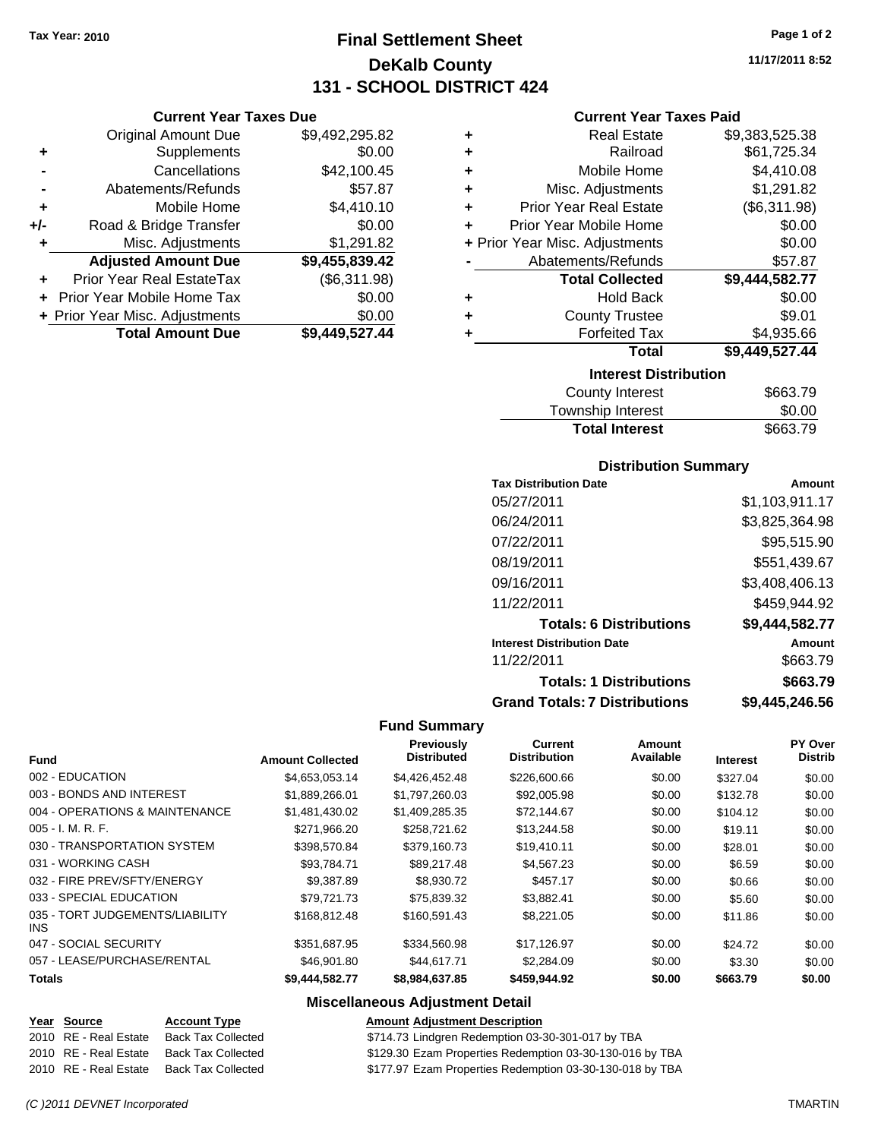**Current Year Taxes Due** Original Amount Due \$9,492,295.82

**Adjusted Amount Due \$9,455,839.42**

**Total Amount Due \$9,449,527.44**

**+** Supplements \$0.00 **-** Cancellations \$42,100.45 **-** Abatements/Refunds \$57.87 **+** Mobile Home \$4,410.10 **+/-** Road & Bridge Transfer \$0.00 **+** Misc. Adjustments \$1,291.82

**+** Prior Year Real EstateTax (\$6,311.98) **+** Prior Year Mobile Home Tax \$0.00 **+ Prior Year Misc. Adjustments**  $$0.00$ 

## **Final Settlement Sheet Tax Year: 2010 Page 1 of 2 DeKalb County 131 - SCHOOL DISTRICT 424**

**11/17/2011 8:52**

#### **Current Year Taxes Paid**

| ٠ | <b>Real Estate</b>             | \$9,383,525.38 |
|---|--------------------------------|----------------|
| ٠ | Railroad                       | \$61,725.34    |
| ٠ | Mobile Home                    | \$4,410.08     |
| ÷ | Misc. Adjustments              | \$1,291.82     |
| ÷ | <b>Prior Year Real Estate</b>  | (\$6,311.98)   |
| ÷ | Prior Year Mobile Home         | \$0.00         |
|   | + Prior Year Misc. Adjustments | \$0.00         |
|   | Abatements/Refunds             | \$57.87        |
|   | <b>Total Collected</b>         | \$9,444,582.77 |
| ٠ | <b>Hold Back</b>               | \$0.00         |
| ٠ | <b>County Trustee</b>          | \$9.01         |
| ٠ | <b>Forfeited Tax</b>           | \$4,935.66     |
|   | <b>Total</b>                   | \$9,449,527.44 |
|   | <b>Interest Distribution</b>   |                |
|   | <b>County Interest</b>         | \$663.79       |

| <b>Total Interest</b> | \$663.79 |
|-----------------------|----------|
| Township Interest     | \$0.00   |
| County Interest       | \$663.79 |

#### **Distribution Summary**

| <b>Tax Distribution Date</b>         | Amount         |
|--------------------------------------|----------------|
| 05/27/2011                           | \$1,103,911.17 |
| 06/24/2011                           | \$3,825,364.98 |
| 07/22/2011                           | \$95,515.90    |
| 08/19/2011                           | \$551,439.67   |
| 09/16/2011                           | \$3,408,406.13 |
| 11/22/2011                           | \$459,944.92   |
| <b>Totals: 6 Distributions</b>       | \$9,444,582.77 |
| <b>Interest Distribution Date</b>    | Amount         |
| 11/22/2011                           | \$663.79       |
| <b>Totals: 1 Distributions</b>       | \$663.79       |
| <b>Grand Totals: 7 Distributions</b> | \$9,445,246.56 |

#### **Fund Summary**

|                                         |                         | Previously         | Current             | Amount    |                 | PY Over        |
|-----------------------------------------|-------------------------|--------------------|---------------------|-----------|-----------------|----------------|
| <b>Fund</b>                             | <b>Amount Collected</b> | <b>Distributed</b> | <b>Distribution</b> | Available | <b>Interest</b> | <b>Distrib</b> |
| 002 - EDUCATION                         | \$4,653,053.14          | \$4,426,452.48     | \$226,600.66        | \$0.00    | \$327.04        | \$0.00         |
| 003 - BONDS AND INTEREST                | \$1,889,266.01          | \$1,797,260.03     | \$92,005.98         | \$0.00    | \$132.78        | \$0.00         |
| 004 - OPERATIONS & MAINTENANCE          | \$1,481,430.02          | \$1,409,285.35     | \$72,144.67         | \$0.00    | \$104.12        | \$0.00         |
| $005 - I. M. R. F.$                     | \$271,966.20            | \$258,721.62       | \$13,244.58         | \$0.00    | \$19.11         | \$0.00         |
| 030 - TRANSPORTATION SYSTEM             | \$398.570.84            | \$379.160.73       | \$19,410.11         | \$0.00    | \$28.01         | \$0.00         |
| 031 - WORKING CASH                      | \$93.784.71             | \$89,217.48        | \$4,567.23          | \$0.00    | \$6.59          | \$0.00         |
| 032 - FIRE PREV/SFTY/ENERGY             | \$9,387.89              | \$8,930.72         | \$457.17            | \$0.00    | \$0.66          | \$0.00         |
| 033 - SPECIAL EDUCATION                 | \$79.721.73             | \$75,839.32        | \$3,882.41          | \$0.00    | \$5.60          | \$0.00         |
| 035 - TORT JUDGEMENTS/LIABILITY<br>INS. | \$168,812.48            | \$160.591.43       | \$8,221.05          | \$0.00    | \$11.86         | \$0.00         |
| 047 - SOCIAL SECURITY                   | \$351,687.95            | \$334,560.98       | \$17,126.97         | \$0.00    | \$24.72         | \$0.00         |
| 057 - LEASE/PURCHASE/RENTAL             | \$46,901.80             | \$44,617.71        | \$2,284.09          | \$0.00    | \$3.30          | \$0.00         |
| <b>Totals</b>                           | \$9,444,582.77          | \$8,984,637.85     | \$459,944.92        | \$0.00    | \$663.79        | \$0.00         |

### **Miscellaneous Adjustment Detail**

#### **Year Source Account Type Amount Adjustment Description**

2010 RE - Real Estate Back Tax Collected \$714.73 Lindgren Redemption 03-30-301-017 by TBA 2010 RE - Real Estate Back Tax Collected \$129.30 Ezam Properties Redemption 03-30-130-016 by TBA 2010 RE - Real Estate Back Tax Collected \$177.97 Ezam Properties Redemption 03-30-130-018 by TBA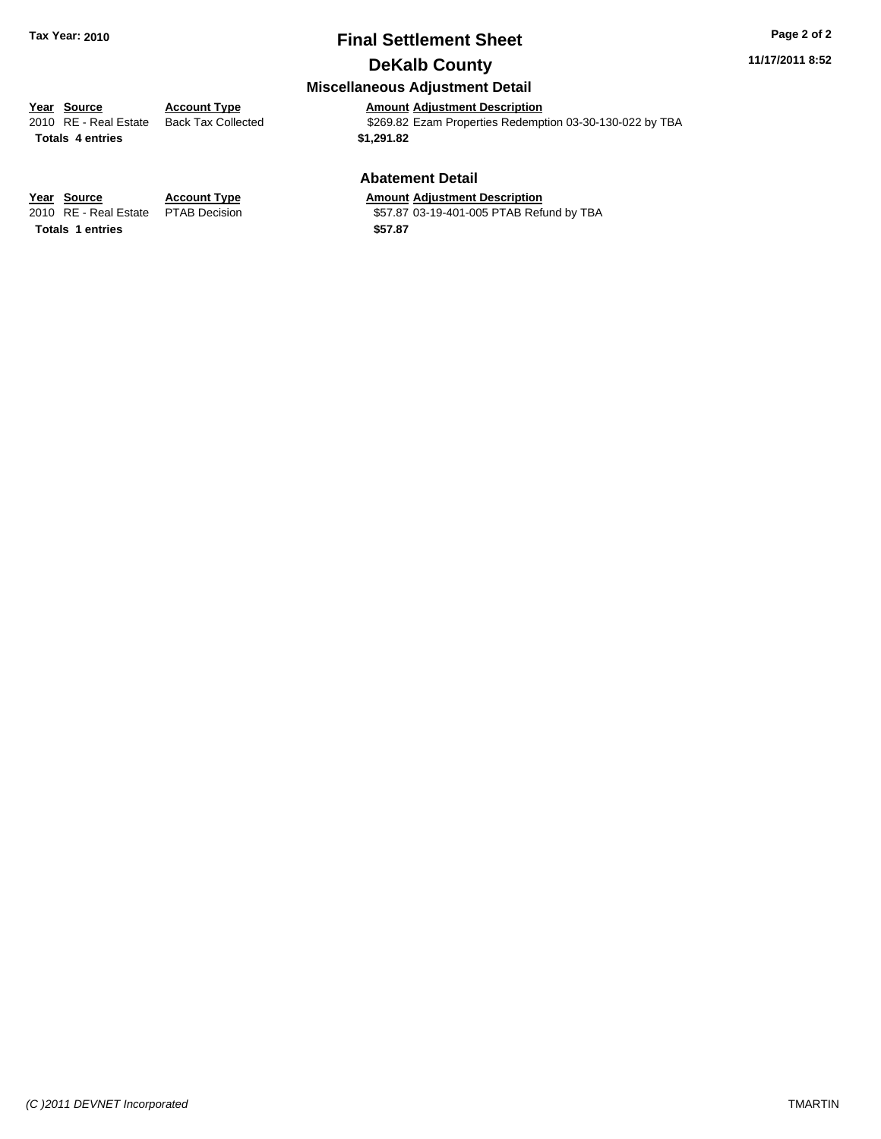#### **11/17/2011 8:52**

### **Miscellaneous Adjustment Detail**

**Year Source Account Type Amount Adjustment Description**<br>
2010 RE - Real Estate Back Tax Collected **1999** \$269.82 Ezam Properties Redemp \$269.82 Ezam Properties Redemption 03-30-130-022 by TBA **Totals \$1,291.82 4 entries**

#### **Abatement Detail**

\$57.87 03-19-401-005 PTAB Refund by TBA

**Year Source Account Type Amount Adjustment Description**<br>
2010 RE - Real Estate PTAB Decision **Amount** \$57.87 03-19-401-005 PTAB Refu **Totals \$57.87 1 entries**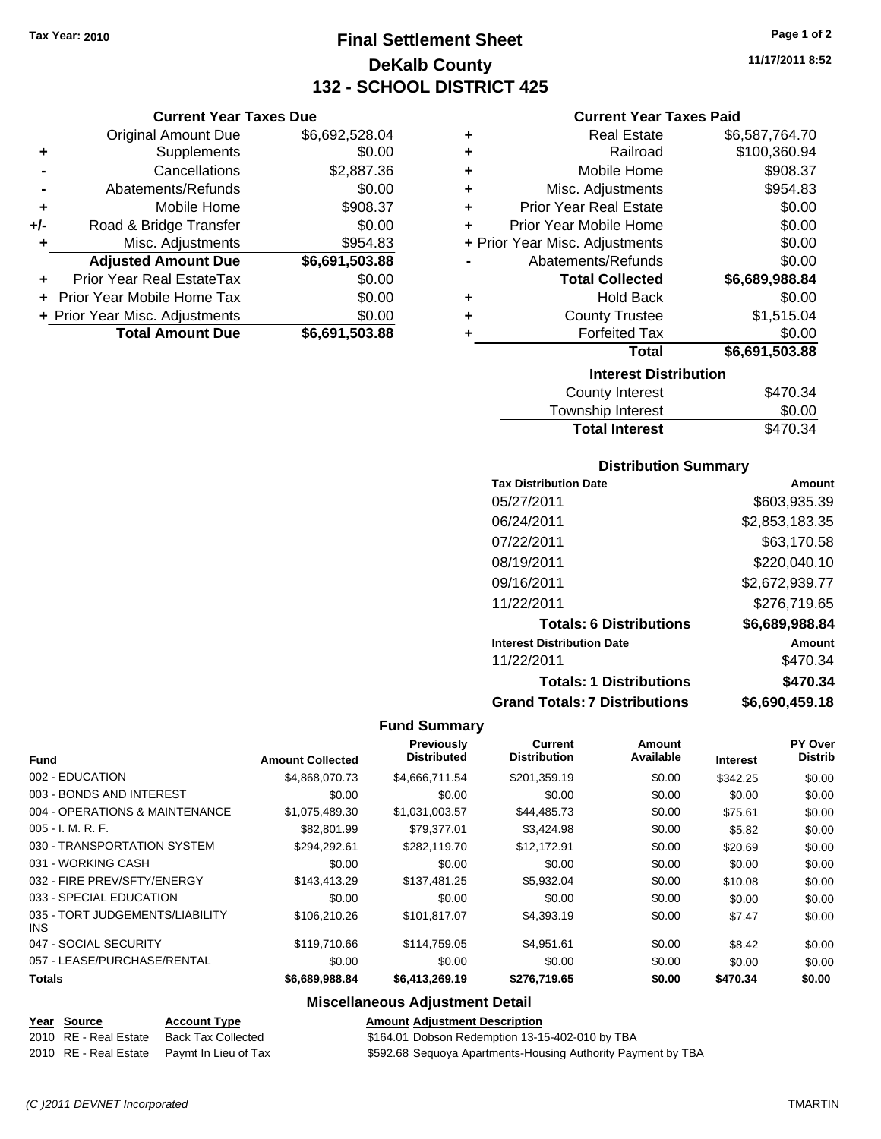**Current Year Taxes Due** Original Amount Due \$6,692,528.04

**Adjusted Amount Due \$6,691,503.88**

**Total Amount Due \$6,691,503.88**

**+** Supplements \$0.00 **-** Cancellations \$2,887.36 **-** Abatements/Refunds \$0.00 **+** Mobile Home \$908.37 **+/-** Road & Bridge Transfer \$0.00 **+** Misc. Adjustments \$954.83

**+** Prior Year Real EstateTax \$0.00 **+** Prior Year Mobile Home Tax \$0.00 **+ Prior Year Misc. Adjustments**  $$0.00$ 

## **Final Settlement Sheet Tax Year: 2010 Page 1 of 2 DeKalb County 132 - SCHOOL DISTRICT 425**

**11/17/2011 8:52**

#### **Current Year Taxes Paid**

| ÷ | <b>Real Estate</b>             | \$6,587,764.70 |  |  |  |
|---|--------------------------------|----------------|--|--|--|
| ٠ | Railroad                       | \$100,360.94   |  |  |  |
| ٠ | Mobile Home                    | \$908.37       |  |  |  |
| ÷ | Misc. Adjustments              | \$954.83       |  |  |  |
| ÷ | <b>Prior Year Real Estate</b>  | \$0.00         |  |  |  |
| ٠ | Prior Year Mobile Home         | \$0.00         |  |  |  |
|   | + Prior Year Misc. Adjustments | \$0.00         |  |  |  |
|   | Abatements/Refunds             | \$0.00         |  |  |  |
|   | <b>Total Collected</b>         | \$6,689,988.84 |  |  |  |
| ٠ | <b>Hold Back</b>               | \$0.00         |  |  |  |
| ٠ | <b>County Trustee</b>          | \$1,515.04     |  |  |  |
|   | <b>Forfeited Tax</b>           | \$0.00         |  |  |  |
|   | Total                          | \$6,691,503.88 |  |  |  |
|   | <b>Interest Distribution</b>   |                |  |  |  |
|   | County Interest<br>\$470.34    |                |  |  |  |

| <b>Total Interest</b>  | \$470.34 |
|------------------------|----------|
| Township Interest      | \$0.00   |
| <b>County Interest</b> | \$470.34 |

#### **Distribution Summary**

| <b>Tax Distribution Date</b>         | Amount         |
|--------------------------------------|----------------|
| 05/27/2011                           | \$603,935.39   |
| 06/24/2011                           | \$2,853,183.35 |
| 07/22/2011                           | \$63,170.58    |
| 08/19/2011                           | \$220,040.10   |
| 09/16/2011                           | \$2,672,939.77 |
| 11/22/2011                           | \$276,719.65   |
| <b>Totals: 6 Distributions</b>       | \$6,689,988.84 |
| <b>Interest Distribution Date</b>    | Amount         |
| 11/22/2011                           | \$470.34       |
| <b>Totals: 1 Distributions</b>       | \$470.34       |
| <b>Grand Totals: 7 Distributions</b> | \$6,690,459.18 |

#### **Fund Summary**

|                                               |                         | Previously<br><b>Distributed</b> | Current<br><b>Distribution</b> | Amount<br>Available |                 | PY Over<br><b>Distrib</b> |
|-----------------------------------------------|-------------------------|----------------------------------|--------------------------------|---------------------|-----------------|---------------------------|
| <b>Fund</b>                                   | <b>Amount Collected</b> |                                  |                                |                     | <b>Interest</b> |                           |
| 002 - EDUCATION                               | \$4,868,070.73          | \$4,666,711.54                   | \$201,359.19                   | \$0.00              | \$342.25        | \$0.00                    |
| 003 - BONDS AND INTEREST                      | \$0.00                  | \$0.00                           | \$0.00                         | \$0.00              | \$0.00          | \$0.00                    |
| 004 - OPERATIONS & MAINTENANCE                | \$1,075,489.30          | \$1,031,003.57                   | \$44,485.73                    | \$0.00              | \$75.61         | \$0.00                    |
| $005 - I. M. R. F.$                           | \$82,801.99             | \$79,377.01                      | \$3,424.98                     | \$0.00              | \$5.82          | \$0.00                    |
| 030 - TRANSPORTATION SYSTEM                   | \$294.292.61            | \$282.119.70                     | \$12,172.91                    | \$0.00              | \$20.69         | \$0.00                    |
| 031 - WORKING CASH                            | \$0.00                  | \$0.00                           | \$0.00                         | \$0.00              | \$0.00          | \$0.00                    |
| 032 - FIRE PREV/SFTY/ENERGY                   | \$143,413.29            | \$137.481.25                     | \$5,932.04                     | \$0.00              | \$10.08         | \$0.00                    |
| 033 - SPECIAL EDUCATION                       | \$0.00                  | \$0.00                           | \$0.00                         | \$0.00              | \$0.00          | \$0.00                    |
| 035 - TORT JUDGEMENTS/LIABILITY<br><b>INS</b> | \$106.210.26            | \$101,817.07                     | \$4,393.19                     | \$0.00              | \$7.47          | \$0.00                    |
| 047 - SOCIAL SECURITY                         | \$119,710.66            | \$114,759.05                     | \$4,951.61                     | \$0.00              | \$8.42          | \$0.00                    |
| 057 - LEASE/PURCHASE/RENTAL                   | \$0.00                  | \$0.00                           | \$0.00                         | \$0.00              | \$0.00          | \$0.00                    |
| <b>Totals</b>                                 | \$6,689,988.84          | \$6,413,269.19                   | \$276,719.65                   | \$0.00              | \$470.34        | \$0.00                    |

### **Miscellaneous Adjustment Detail**

#### **Year Source Account Type Amount Adjustment Description**

2010 RE - Real Estate Back Tax Collected \$164.01 Dobson Redemption 13-15-402-010 by TBA 2010 RE - Real Estate Paymt In Lieu of Tax \$592.68 Sequoya Apartments-Housing Authority Payment by TBA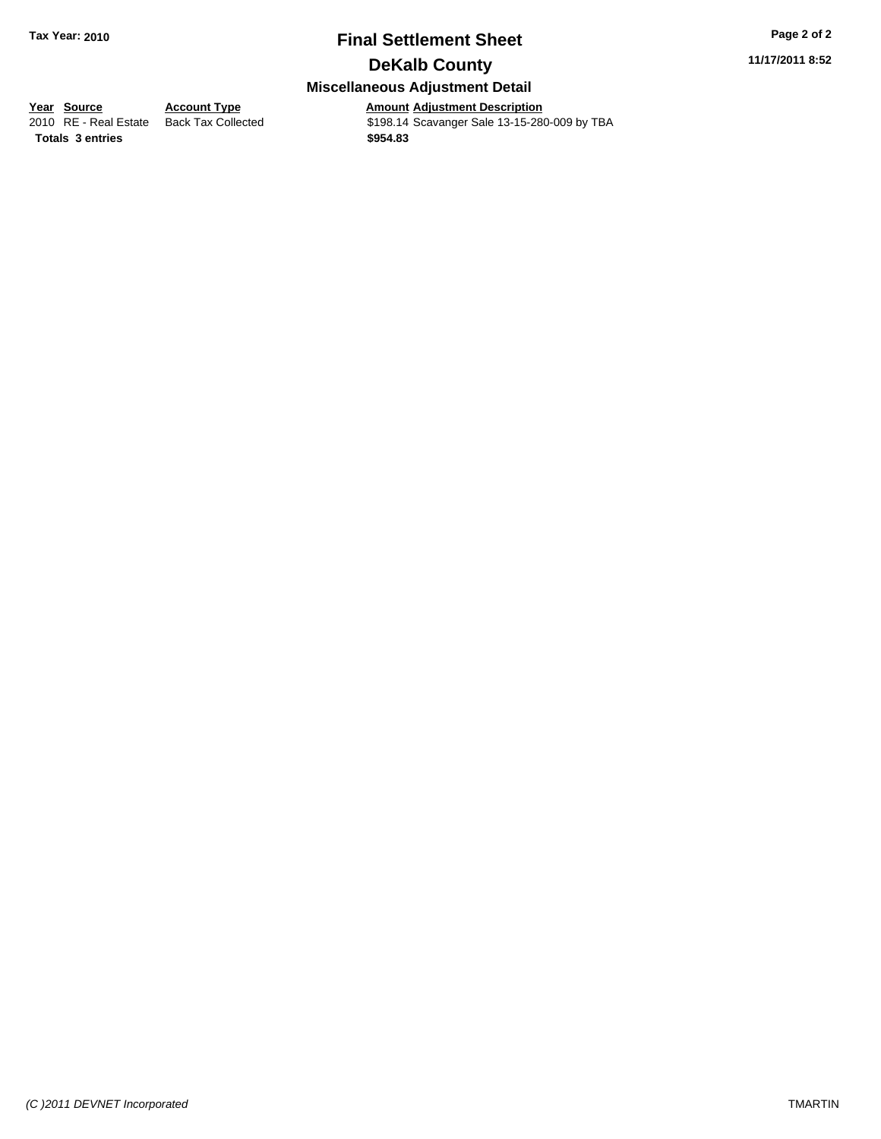**11/17/2011 8:52**

## **Miscellaneous Adjustment Detail**

**<u>Year Source</u> Account Type**<br> **Account Type Adding Description** 

Amount Adjustment Description<br>\$198.14 Scavanger Sale 13-15-280-009 by TBA **Totals \$954.83 3 entries**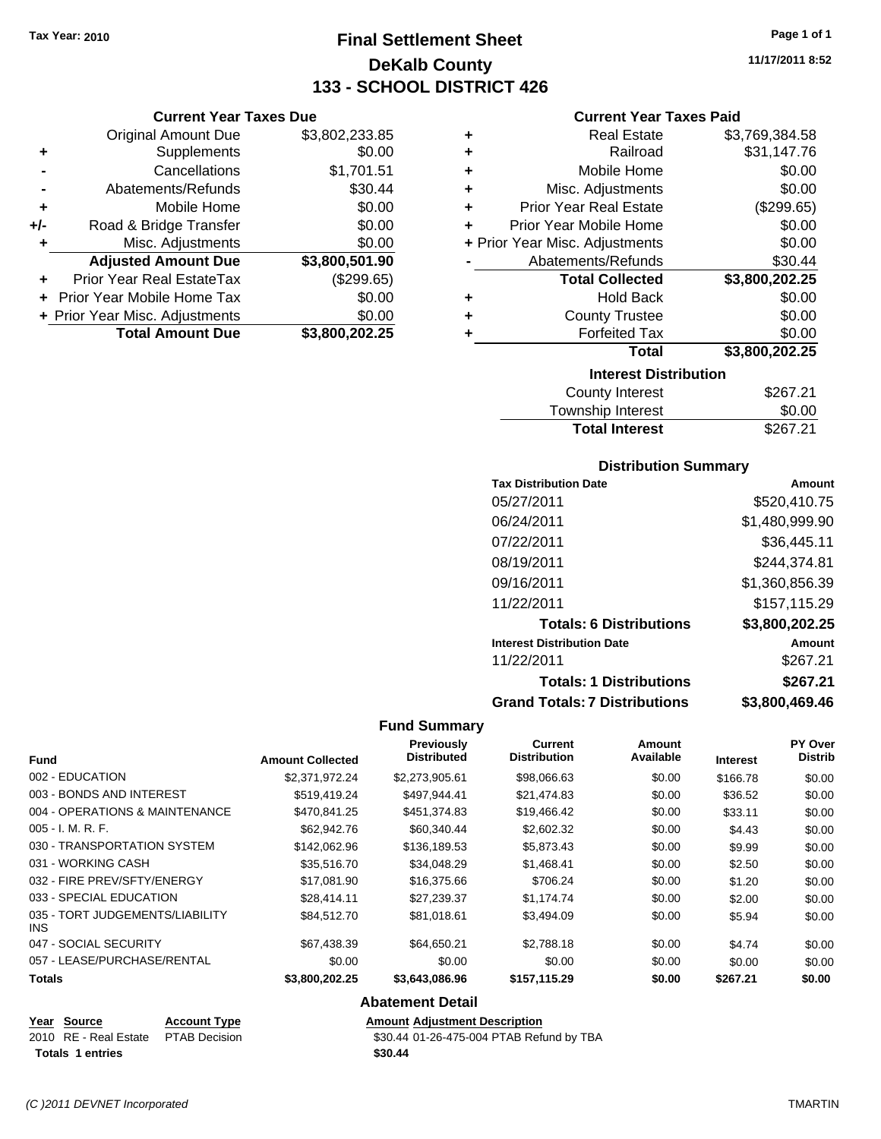**Current Year Taxes Due** Original Amount Due \$3,802,233.85

**Adjusted Amount Due \$3,800,501.90**

**Total Amount Due \$3,800,202.25**

**+** Supplements \$0.00 **-** Cancellations \$1,701.51 **-** Abatements/Refunds \$30.44 **+** Mobile Home \$0.00 **+/-** Road & Bridge Transfer \$0.00 **+** Misc. Adjustments \$0.00

**+** Prior Year Real EstateTax (\$299.65) **+** Prior Year Mobile Home Tax \$0.00 **+ Prior Year Misc. Adjustments**  $$0.00$ 

## **Final Settlement Sheet Tax Year: 2010 Page 1 of 1 DeKalb County 133 - SCHOOL DISTRICT 426**

**11/17/2011 8:52**

#### **Current Year Taxes Paid**

|       | \$3,769,384.58                                                                                                                                                                                                                                                                       |
|-------|--------------------------------------------------------------------------------------------------------------------------------------------------------------------------------------------------------------------------------------------------------------------------------------|
|       | \$31,147.76                                                                                                                                                                                                                                                                          |
|       | \$0.00                                                                                                                                                                                                                                                                               |
|       | \$0.00                                                                                                                                                                                                                                                                               |
|       | (\$299.65)                                                                                                                                                                                                                                                                           |
|       | \$0.00                                                                                                                                                                                                                                                                               |
|       | \$0.00                                                                                                                                                                                                                                                                               |
|       | \$30.44                                                                                                                                                                                                                                                                              |
|       | \$3,800,202.25                                                                                                                                                                                                                                                                       |
|       | \$0.00                                                                                                                                                                                                                                                                               |
|       | \$0.00                                                                                                                                                                                                                                                                               |
|       | \$0.00                                                                                                                                                                                                                                                                               |
| Total | \$3,800,202.25                                                                                                                                                                                                                                                                       |
|       |                                                                                                                                                                                                                                                                                      |
|       | <b>Interest Distribution</b>                                                                                                                                                                                                                                                         |
|       | <b>Real Estate</b><br>Railroad<br>Mobile Home<br>Misc. Adjustments<br><b>Prior Year Real Estate</b><br>Prior Year Mobile Home<br>+ Prior Year Misc. Adjustments<br>Abatements/Refunds<br><b>Total Collected</b><br><b>Hold Back</b><br><b>County Trustee</b><br><b>Forfeited Tax</b> |

| <b>Total Interest</b>  | \$267.21 |
|------------------------|----------|
| Township Interest      | \$0.00   |
| <b>County Interest</b> | \$267.21 |

#### **Distribution Summary**

| <b>Tax Distribution Date</b>         | Amount         |
|--------------------------------------|----------------|
| 05/27/2011                           | \$520,410.75   |
| 06/24/2011                           | \$1,480,999.90 |
| 07/22/2011                           | \$36,445.11    |
| 08/19/2011                           | \$244,374.81   |
| 09/16/2011                           | \$1,360,856.39 |
| 11/22/2011                           | \$157,115.29   |
| <b>Totals: 6 Distributions</b>       | \$3,800,202.25 |
| <b>Interest Distribution Date</b>    | Amount         |
| 11/22/2011                           | \$267.21       |
| <b>Totals: 1 Distributions</b>       | \$267.21       |
| <b>Grand Totals: 7 Distributions</b> | \$3,800,469,46 |

#### **Fund Summary**

| <b>Fund</b>                             | <b>Amount Collected</b> | Previously<br><b>Distributed</b> | <b>Current</b><br><b>Distribution</b> | <b>Amount</b><br>Available | <b>Interest</b> | PY Over<br><b>Distrib</b> |
|-----------------------------------------|-------------------------|----------------------------------|---------------------------------------|----------------------------|-----------------|---------------------------|
| 002 - EDUCATION                         | \$2,371,972.24          | \$2,273,905.61                   | \$98,066.63                           | \$0.00                     | \$166.78        | \$0.00                    |
| 003 - BONDS AND INTEREST                | \$519,419.24            | \$497,944.41                     | \$21,474.83                           | \$0.00                     | \$36.52         | \$0.00                    |
| 004 - OPERATIONS & MAINTENANCE          | \$470,841.25            | \$451,374.83                     | \$19,466.42                           | \$0.00                     | \$33.11         | \$0.00                    |
| 005 - I. M. R. F.                       | \$62,942.76             | \$60,340.44                      | \$2,602.32                            | \$0.00                     | \$4.43          | \$0.00                    |
| 030 - TRANSPORTATION SYSTEM             | \$142,062.96            | \$136,189.53                     | \$5,873.43                            | \$0.00                     | \$9.99          | \$0.00                    |
| 031 - WORKING CASH                      | \$35,516.70             | \$34.048.29                      | \$1,468.41                            | \$0.00                     | \$2.50          | \$0.00                    |
| 032 - FIRE PREV/SFTY/ENERGY             | \$17.081.90             | \$16,375,66                      | \$706.24                              | \$0.00                     | \$1.20          | \$0.00                    |
| 033 - SPECIAL EDUCATION                 | \$28,414.11             | \$27,239.37                      | \$1,174.74                            | \$0.00                     | \$2.00          | \$0.00                    |
| 035 - TORT JUDGEMENTS/LIABILITY<br>INS. | \$84,512.70             | \$81.018.61                      | \$3,494.09                            | \$0.00                     | \$5.94          | \$0.00                    |
| 047 - SOCIAL SECURITY                   | \$67,438.39             | \$64.650.21                      | \$2,788.18                            | \$0.00                     | \$4.74          | \$0.00                    |
| 057 - LEASE/PURCHASE/RENTAL             | \$0.00                  | \$0.00                           | \$0.00                                | \$0.00                     | \$0.00          | \$0.00                    |
| Totals                                  | \$3,800,202.25          | \$3,643,086.96                   | \$157,115.29                          | \$0.00                     | \$267.21        | \$0.00                    |

#### **Abatement Detail**

#### **Year Source Account Type Amount Adjustment Description** 2010 RE - Real Estate \$30.44 01-26-475-004 PTAB Refund by TBA PTAB Decision

**Totals \$30.44 1 entries**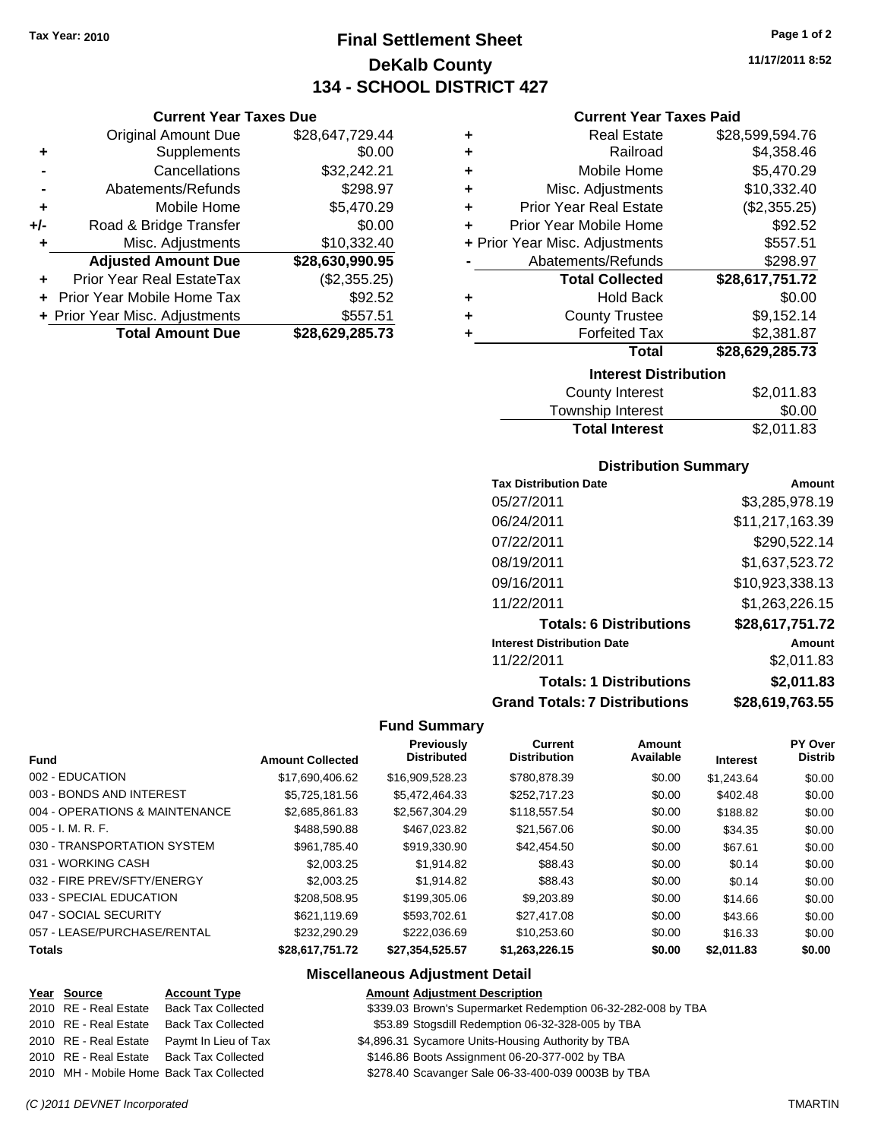**Current Year Taxes Due** Original Amount Due \$28,647,729.44

**Adjusted Amount Due \$28,630,990.95**

**Total Amount Due \$28,629,285.73**

**+** Supplements \$0.00 **-** Cancellations \$32,242.21 **-** Abatements/Refunds \$298.97 **+** Mobile Home \$5,470.29 **+/-** Road & Bridge Transfer \$0.00 **+** Misc. Adjustments \$10,332.40

**+** Prior Year Real EstateTax (\$2,355.25) **+** Prior Year Mobile Home Tax \$92.52 **+ Prior Year Misc. Adjustments \$557.51** 

## **Final Settlement Sheet Tax Year: 2010 Page 1 of 2 DeKalb County 134 - SCHOOL DISTRICT 427**

**11/17/2011 8:52**

#### **Current Year Taxes Paid**

| <b>Interest Distribution</b> |                                |                 |  |  |
|------------------------------|--------------------------------|-----------------|--|--|
|                              | Total                          | \$28,629,285.73 |  |  |
|                              | <b>Forfeited Tax</b>           | \$2,381.87      |  |  |
| ٠                            | <b>County Trustee</b>          | \$9,152.14      |  |  |
| ٠                            | Hold Back                      | \$0.00          |  |  |
|                              | <b>Total Collected</b>         | \$28,617,751.72 |  |  |
|                              | Abatements/Refunds             | \$298.97        |  |  |
|                              | + Prior Year Misc. Adjustments | \$557.51        |  |  |
| ÷                            | Prior Year Mobile Home         | \$92.52         |  |  |
| ٠                            | <b>Prior Year Real Estate</b>  | (\$2,355.25)    |  |  |
| ٠                            | Misc. Adjustments              | \$10,332.40     |  |  |
| ÷                            | Mobile Home                    | \$5,470.29      |  |  |
| ÷                            | Railroad                       | \$4,358.46      |  |  |
| ٠                            | <b>Real Estate</b>             | \$28,599,594.76 |  |  |
|                              |                                |                 |  |  |

| County Interest       | \$2,011.83 |
|-----------------------|------------|
| Township Interest     | \$0.00     |
| <b>Total Interest</b> | \$2,011.83 |

#### **Distribution Summary**

| <b>Tax Distribution Date</b>         | Amount          |
|--------------------------------------|-----------------|
| 05/27/2011                           | \$3,285,978.19  |
| 06/24/2011                           | \$11,217,163.39 |
| 07/22/2011                           | \$290,522.14    |
| 08/19/2011                           | \$1,637,523.72  |
| 09/16/2011                           | \$10,923,338.13 |
| 11/22/2011                           | \$1,263,226.15  |
| <b>Totals: 6 Distributions</b>       | \$28,617,751.72 |
| <b>Interest Distribution Date</b>    | Amount          |
| 11/22/2011                           | \$2,011.83      |
| <b>Totals: 1 Distributions</b>       | \$2,011.83      |
| <b>Grand Totals: 7 Distributions</b> | \$28.619.763.55 |

#### **Fund Summary**

| <b>Fund</b>                    | <b>Amount Collected</b> | Previously<br><b>Distributed</b> | <b>Current</b><br><b>Distribution</b> | Amount<br>Available | <b>Interest</b> | PY Over<br><b>Distrib</b> |
|--------------------------------|-------------------------|----------------------------------|---------------------------------------|---------------------|-----------------|---------------------------|
| 002 - EDUCATION                | \$17,690,406.62         | \$16,909,528.23                  | \$780,878.39                          | \$0.00              | \$1.243.64      | \$0.00                    |
| 003 - BONDS AND INTEREST       | \$5.725.181.56          | \$5,472,464.33                   | \$252.717.23                          | \$0.00              | \$402.48        | \$0.00                    |
| 004 - OPERATIONS & MAINTENANCE | \$2,685,861.83          | \$2,567,304.29                   | \$118,557.54                          | \$0.00              | \$188.82        | \$0.00                    |
| $005 - I. M. R. F.$            | \$488,590.88            | \$467.023.82                     | \$21,567.06                           | \$0.00              | \$34.35         | \$0.00                    |
| 030 - TRANSPORTATION SYSTEM    | \$961.785.40            | \$919,330.90                     | \$42,454.50                           | \$0.00              | \$67.61         | \$0.00                    |
| 031 - WORKING CASH             | \$2,003.25              | \$1.914.82                       | \$88.43                               | \$0.00              | \$0.14          | \$0.00                    |
| 032 - FIRE PREV/SFTY/ENERGY    | \$2,003.25              | \$1.914.82                       | \$88.43                               | \$0.00              | \$0.14          | \$0.00                    |
| 033 - SPECIAL EDUCATION        | \$208,508.95            | \$199,305.06                     | \$9,203.89                            | \$0.00              | \$14.66         | \$0.00                    |
| 047 - SOCIAL SECURITY          | \$621.119.69            | \$593.702.61                     | \$27,417.08                           | \$0.00              | \$43.66         | \$0.00                    |
| 057 - LEASE/PURCHASE/RENTAL    | \$232,290.29            | \$222,036.69                     | \$10,253.60                           | \$0.00              | \$16.33         | \$0.00                    |
| <b>Totals</b>                  | \$28.617.751.72         | \$27.354.525.57                  | \$1.263.226.15                        | \$0.00              | \$2.011.83      | \$0.00                    |

#### **Miscellaneous Adjustment Detail**

#### **Year Source Account Type Amount Adjustment Description** \$339.03 Brown's Supermarket Redemption 06-32-282-008 by TBA

| 2010 RE - Real Estate - Dack Tax Collected |  |
|--------------------------------------------|--|
| 2010 RE - Real Estate Back Tax Collected   |  |
| 2010 RE - Real Estate Paymt In Lieu of Ta  |  |
| 2010 RE - Real Estate Back Tax Collected   |  |
| 2010 MH - Mobile Home Back Tax Collected   |  |

1x 54,896.31 Sycamore Units-Housing Authority by TBA

\$146.86 Boots Assignment 06-20-377-002 by TBA

\$278.40 Scavanger Sale 06-33-400-039 0003B by TBA

\$53.89 Stogsdill Redemption 06-32-328-005 by TBA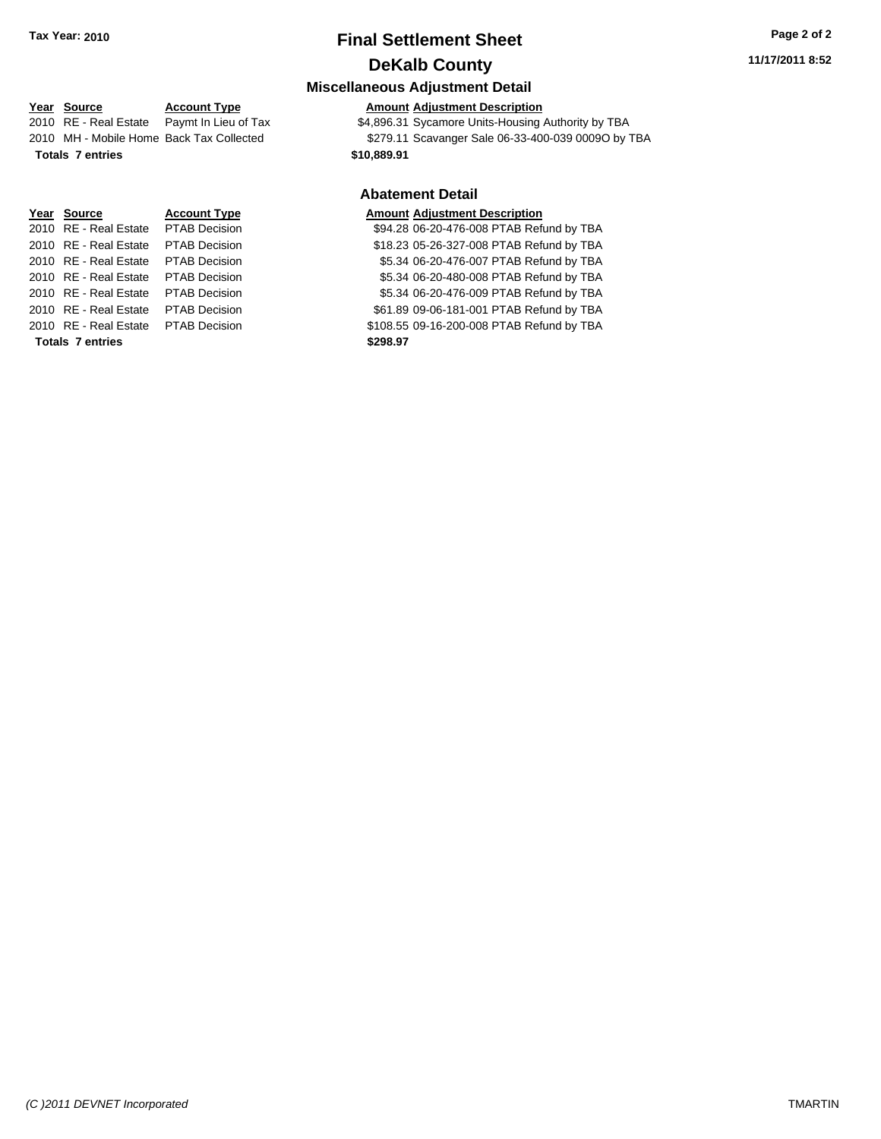**Miscellaneous Adjustment Detail**

#### **Year Source Account Type Amount Adjustment Description** 2010 RE - Real Estate Paymt In Lieu of Tax \$4,896.31 Sycamore Units-Housing Authority by TBA 2010 MH - Mobile Home Back Tax Collected \$279.11 Scavanger Sale 06-33-400-039 0009O by TBA **Totals \$10,889.91 7 entries**

# **Year Source Account Type Amount Adjustment Description** 2010 RE - Real Estate \$61.89 09-06-181-001 PTAB Refund by TBA PTAB Decision 2010 RE - Real Estate \$108.55 09-16-200-008 PTAB Refund by TBA PTAB Decision **Totals \$298.97 7 entries**

## **Abatement Detail** 2010 RE - Real Estate PTAB Decision \$94.28 06-20-476-008 PTAB Refund by TBA 2010 RE - Real Estate \$18.23 05-26-327-008 PTAB Refund by TBA PTAB Decision 2010 RE - Real Estate \$5.34 06-20-476-007 PTAB Refund by TBA PTAB Decision 2010 RE - Real Estate \$5.34 06-20-480-008 PTAB Refund by TBA PTAB Decision 2010 RE - Real Estate \$5.34 06-20-476-009 PTAB Refund by TBA PTAB Decision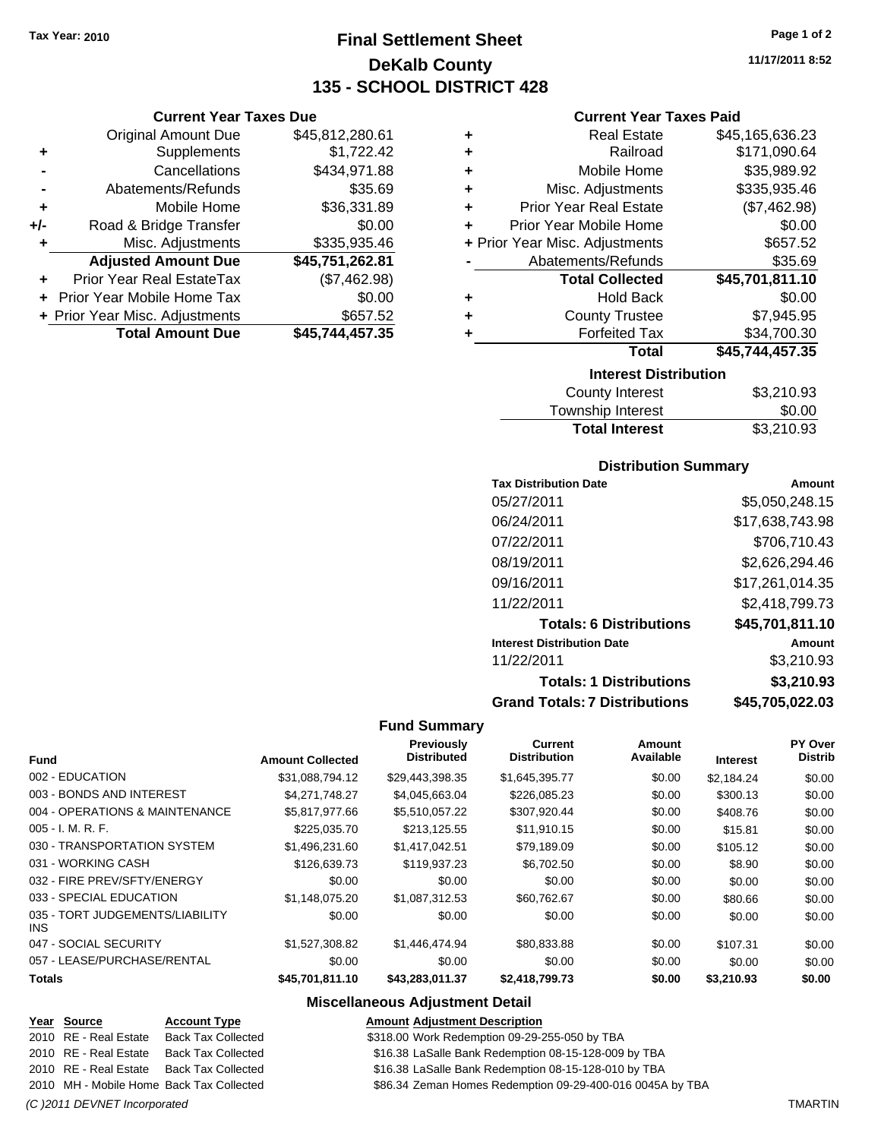**Current Year Taxes Due** Original Amount Due \$45,812,280.61

**Adjusted Amount Due \$45,751,262.81**

**Total Amount Due \$45,744,457.35**

**+** Supplements \$1,722.42 **-** Cancellations \$434,971.88 **-** Abatements/Refunds \$35.69 **+** Mobile Home \$36,331.89 **+/-** Road & Bridge Transfer \$0.00 **+** Misc. Adjustments \$335,935.46

**+** Prior Year Real EstateTax (\$7,462.98) **+** Prior Year Mobile Home Tax \$0.00 **+ Prior Year Misc. Adjustments \$657.52** 

## **Final Settlement Sheet Tax Year: 2010 Page 1 of 2 DeKalb County 135 - SCHOOL DISTRICT 428**

**11/17/2011 8:52**

#### **Current Year Taxes Paid**

| <b>Interest Distribution</b>       |                 |  |  |  |
|------------------------------------|-----------------|--|--|--|
| Total                              | \$45,744,457.35 |  |  |  |
| <b>Forfeited Tax</b>               | \$34,700.30     |  |  |  |
| <b>County Trustee</b><br>٠         | \$7,945.95      |  |  |  |
| <b>Hold Back</b><br>٠              | \$0.00          |  |  |  |
| <b>Total Collected</b>             | \$45,701,811.10 |  |  |  |
| Abatements/Refunds                 | \$35.69         |  |  |  |
| + Prior Year Misc. Adjustments     | \$657.52        |  |  |  |
| Prior Year Mobile Home<br>٠        | \$0.00          |  |  |  |
| <b>Prior Year Real Estate</b><br>÷ | (\$7,462.98)    |  |  |  |
| Misc. Adjustments<br>÷             | \$335,935.46    |  |  |  |
| Mobile Home<br>÷                   | \$35,989.92     |  |  |  |
| Railroad<br>٠                      | \$171,090.64    |  |  |  |
| <b>Real Estate</b><br>٠            | \$45,165,636.23 |  |  |  |
|                                    |                 |  |  |  |

| County Interest       | \$3,210.93 |
|-----------------------|------------|
| Township Interest     | \$0.00     |
| <b>Total Interest</b> | \$3,210.93 |
|                       |            |

#### **Distribution Summary**

| <b>Tax Distribution Date</b>         | Amount          |
|--------------------------------------|-----------------|
| 05/27/2011                           | \$5,050,248.15  |
| 06/24/2011                           | \$17.638.743.98 |
| 07/22/2011                           | \$706.710.43    |
| 08/19/2011                           | \$2,626,294.46  |
| 09/16/2011                           | \$17,261,014.35 |
| 11/22/2011                           | \$2,418,799.73  |
| <b>Totals: 6 Distributions</b>       | \$45,701,811.10 |
| <b>Interest Distribution Date</b>    | Amount          |
| 11/22/2011                           | \$3.210.93      |
| <b>Totals: 1 Distributions</b>       | \$3,210.93      |
| <b>Grand Totals: 7 Distributions</b> | \$45,705,022.03 |

#### **Fund Summary**

|                                         |                         | Previously<br><b>Distributed</b> | Current<br><b>Distribution</b> | Amount<br>Available |                 | PY Over<br><b>Distrib</b> |
|-----------------------------------------|-------------------------|----------------------------------|--------------------------------|---------------------|-----------------|---------------------------|
| <b>Fund</b>                             | <b>Amount Collected</b> |                                  |                                |                     | <b>Interest</b> |                           |
| 002 - EDUCATION                         | \$31,088,794.12         | \$29,443,398.35                  | \$1,645,395.77                 | \$0.00              | \$2,184.24      | \$0.00                    |
| 003 - BONDS AND INTEREST                | \$4,271,748.27          | \$4,045,663.04                   | \$226,085.23                   | \$0.00              | \$300.13        | \$0.00                    |
| 004 - OPERATIONS & MAINTENANCE          | \$5,817,977.66          | \$5,510,057.22                   | \$307,920.44                   | \$0.00              | \$408.76        | \$0.00                    |
| $005 - I. M. R. F.$                     | \$225,035.70            | \$213,125.55                     | \$11,910.15                    | \$0.00              | \$15.81         | \$0.00                    |
| 030 - TRANSPORTATION SYSTEM             | \$1,496,231.60          | \$1,417,042.51                   | \$79,189.09                    | \$0.00              | \$105.12        | \$0.00                    |
| 031 - WORKING CASH                      | \$126,639.73            | \$119,937.23                     | \$6,702.50                     | \$0.00              | \$8.90          | \$0.00                    |
| 032 - FIRE PREV/SFTY/ENERGY             | \$0.00                  | \$0.00                           | \$0.00                         | \$0.00              | \$0.00          | \$0.00                    |
| 033 - SPECIAL EDUCATION                 | \$1,148,075.20          | \$1.087.312.53                   | \$60,762.67                    | \$0.00              | \$80.66         | \$0.00                    |
| 035 - TORT JUDGEMENTS/LIABILITY<br>INS. | \$0.00                  | \$0.00                           | \$0.00                         | \$0.00              | \$0.00          | \$0.00                    |
| 047 - SOCIAL SECURITY                   | \$1,527,308.82          | \$1,446,474,94                   | \$80,833.88                    | \$0.00              | \$107.31        | \$0.00                    |
| 057 - LEASE/PURCHASE/RENTAL             | \$0.00                  | \$0.00                           | \$0.00                         | \$0.00              | \$0.00          | \$0.00                    |
| <b>Totals</b>                           | \$45,701,811.10         | \$43,283,011.37                  | \$2,418,799.73                 | \$0.00              | \$3,210.93      | \$0.00                    |

### **Miscellaneous Adjustment Detail**

| <u>Year Source</u>           | <b>Account Type</b>                      | <b>Amount Adjustment Description</b>                      |                |
|------------------------------|------------------------------------------|-----------------------------------------------------------|----------------|
| 2010 RE - Real Estate        | <b>Back Tax Collected</b>                | \$318.00 Work Redemption 09-29-255-050 by TBA             |                |
| 2010 RE - Real Estate        | <b>Back Tax Collected</b>                | \$16.38 LaSalle Bank Redemption 08-15-128-009 by TBA      |                |
| 2010 RE - Real Estate        | <b>Back Tax Collected</b>                | \$16.38 LaSalle Bank Redemption 08-15-128-010 by TBA      |                |
|                              | 2010 MH - Mobile Home Back Tax Collected | \$86.34 Zeman Homes Redemption 09-29-400-016 0045A by TBA |                |
| (C) 2011 DEVNET Incorporated |                                          |                                                           | <b>TMARTIN</b> |

**Amount Adjustment Description**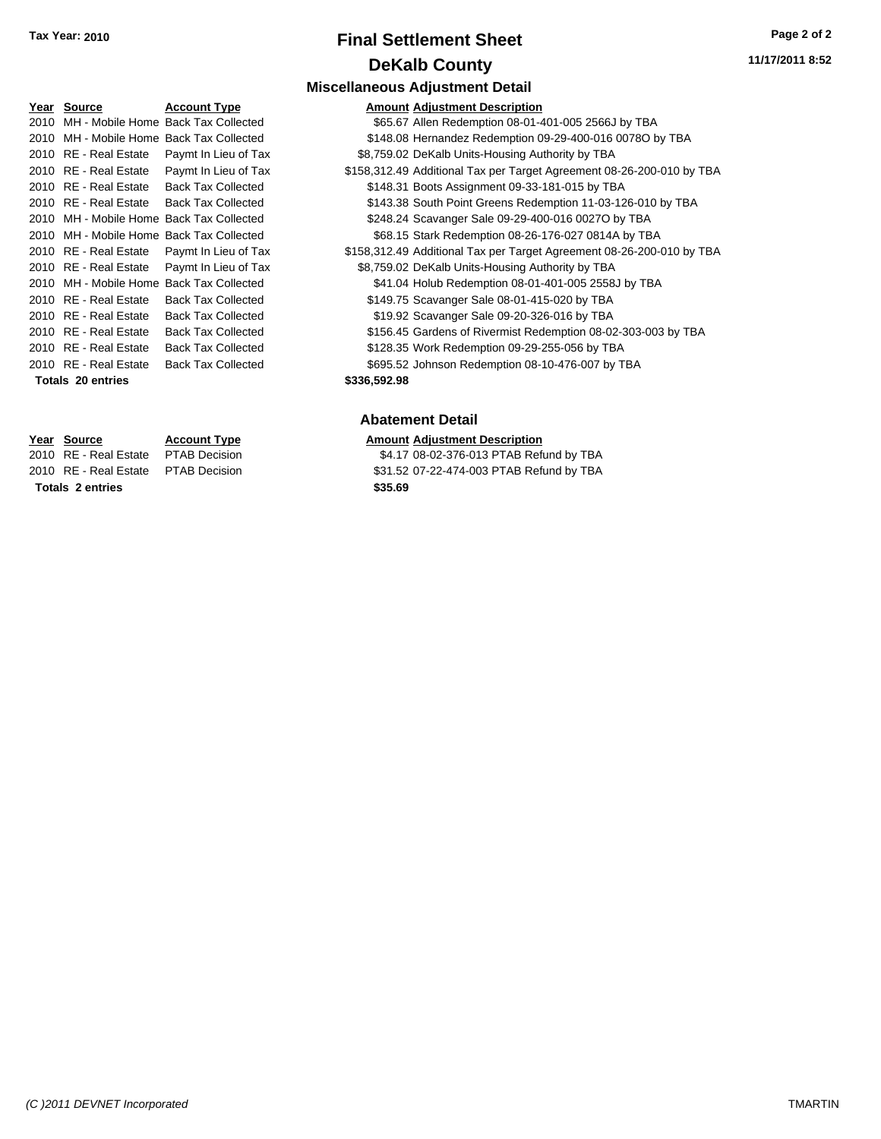#### **Miscellaneous Adjustment Detail**

|      | Year Source              | <b>Account Type</b>                      |              | <b>Amount Adjustment Description</b>                                  |
|------|--------------------------|------------------------------------------|--------------|-----------------------------------------------------------------------|
| 2010 |                          | MH - Mobile Home Back Tax Collected      |              | \$65.67 Allen Redemption 08-01-401-005 2566J by TBA                   |
| 2010 |                          | MH - Mobile Home Back Tax Collected      |              | \$148.08 Hernandez Redemption 09-29-400-016 0078O by TBA              |
|      | 2010 RE - Real Estate    | Paymt In Lieu of Tax                     |              | \$8,759.02 DeKalb Units-Housing Authority by TBA                      |
|      | 2010 RE - Real Estate    | Paymt In Lieu of Tax                     |              | \$158,312.49 Additional Tax per Target Agreement 08-26-200-010 by TBA |
|      | 2010 RE - Real Estate    | <b>Back Tax Collected</b>                |              | \$148.31 Boots Assignment 09-33-181-015 by TBA                        |
|      | 2010 RE - Real Estate    | <b>Back Tax Collected</b>                |              | \$143.38 South Point Greens Redemption 11-03-126-010 by TBA           |
|      |                          | 2010 MH - Mobile Home Back Tax Collected |              | \$248.24 Scavanger Sale 09-29-400-016 0027O by TBA                    |
|      |                          | 2010 MH - Mobile Home Back Tax Collected |              | \$68.15 Stark Redemption 08-26-176-027 0814A by TBA                   |
|      | 2010 RE - Real Estate    | Paymt In Lieu of Tax                     |              | \$158,312.49 Additional Tax per Target Agreement 08-26-200-010 by TBA |
|      | 2010 RE - Real Estate    | Paymt In Lieu of Tax                     |              | \$8,759.02 DeKalb Units-Housing Authority by TBA                      |
|      |                          | 2010 MH - Mobile Home Back Tax Collected |              | \$41.04 Holub Redemption 08-01-401-005 2558J by TBA                   |
|      | 2010 RE - Real Estate    | <b>Back Tax Collected</b>                |              | \$149.75 Scavanger Sale 08-01-415-020 by TBA                          |
|      | 2010 RE - Real Estate    | <b>Back Tax Collected</b>                |              | \$19.92 Scavanger Sale 09-20-326-016 by TBA                           |
|      | 2010 RE - Real Estate    | <b>Back Tax Collected</b>                |              | \$156.45 Gardens of Rivermist Redemption 08-02-303-003 by TBA         |
|      | 2010 RE - Real Estate    | <b>Back Tax Collected</b>                |              | \$128.35 Work Redemption 09-29-255-056 by TBA                         |
|      | 2010 RE - Real Estate    | <b>Back Tax Collected</b>                |              | \$695.52 Johnson Redemption 08-10-476-007 by TBA                      |
|      | <b>Totals 20 entries</b> |                                          | \$336,592.98 |                                                                       |

## **Abatement Detail**

# **Year Source Account Type Amount Adjustment Description**<br>2010 RE - Real Estate PTAB Decision **Amount** \$4.17 08-02-376-013 PTAB Refu

\$4.17 08-02-376-013 PTAB Refund by TBA 2010 RE - Real Estate \$31.52 07-22-474-003 PTAB Refund by TBA PTAB Decision

**Totals \$35.69 2 entries**

*(C )2011 DEVNET Incorporated* TMARTIN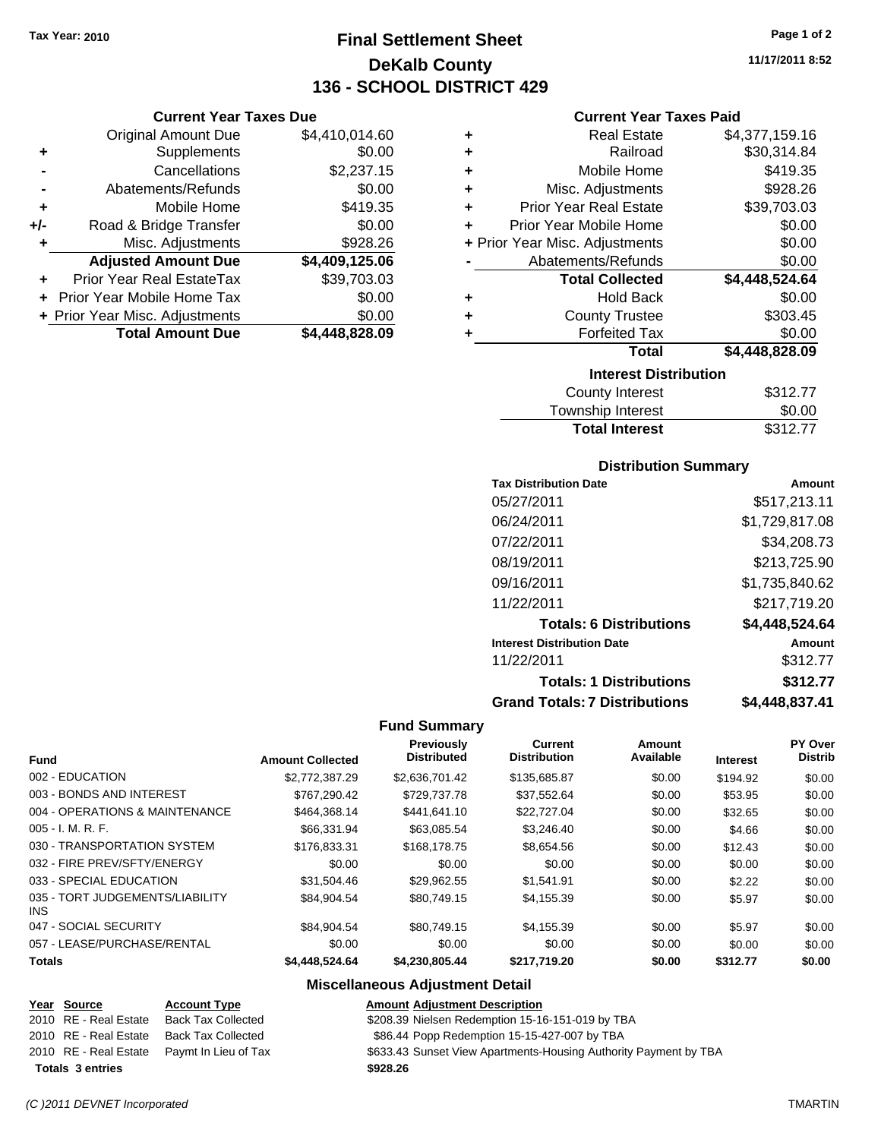**Current Year Taxes Due** Original Amount Due \$4,410,014.60

**Adjusted Amount Due \$4,409,125.06**

**Total Amount Due \$4,448,828.09**

**+** Supplements \$0.00 **-** Cancellations \$2,237.15 **-** Abatements/Refunds \$0.00 **+** Mobile Home \$419.35 **+/-** Road & Bridge Transfer \$0.00 **+** Misc. Adjustments \$928.26

**+** Prior Year Real EstateTax \$39,703.03 **+** Prior Year Mobile Home Tax \$0.00 **+ Prior Year Misc. Adjustments**  $$0.00$ 

## **Final Settlement Sheet Tax Year: 2010 Page 1 of 2 DeKalb County 136 - SCHOOL DISTRICT 429**

**11/17/2011 8:52**

#### **Current Year Taxes Paid**

| ٠ | <b>Real Estate</b>             | \$4,377,159.16 |
|---|--------------------------------|----------------|
| ٠ | Railroad                       | \$30,314.84    |
| ÷ | Mobile Home                    | \$419.35       |
| ٠ | Misc. Adjustments              | \$928.26       |
| ÷ | <b>Prior Year Real Estate</b>  | \$39,703.03    |
| ٠ | Prior Year Mobile Home         | \$0.00         |
|   | + Prior Year Misc. Adjustments | \$0.00         |
|   | Abatements/Refunds             | \$0.00         |
|   | <b>Total Collected</b>         | \$4,448,524.64 |
| ٠ | Hold Back                      | \$0.00         |
| ٠ | <b>County Trustee</b>          | \$303.45       |
| ٠ | <b>Forfeited Tax</b>           | \$0.00         |
|   | Total                          | \$4,448,828.09 |
|   | <b>Interest Distribution</b>   |                |
|   | <b>County Interest</b>         | \$312.77       |

| <b>Total Interest</b>  | \$312.77 |
|------------------------|----------|
| Township Interest      | \$0.00   |
| <b>County Interest</b> | \$312.77 |

#### **Distribution Summary**

| <b>Tax Distribution Date</b>         | Amount         |
|--------------------------------------|----------------|
| 05/27/2011                           | \$517,213.11   |
| 06/24/2011                           | \$1,729,817.08 |
| 07/22/2011                           | \$34,208.73    |
| 08/19/2011                           | \$213,725.90   |
| 09/16/2011                           | \$1,735,840.62 |
| 11/22/2011                           | \$217,719.20   |
| <b>Totals: 6 Distributions</b>       | \$4,448,524.64 |
| <b>Interest Distribution Date</b>    | Amount         |
| 11/22/2011                           | \$312.77       |
| <b>Totals: 1 Distributions</b>       | \$312.77       |
| <b>Grand Totals: 7 Distributions</b> | \$4,448,837.41 |

#### **Fund Summary**

|                                         |                         | Previously         | <b>Current</b>      | Amount    |                 | PY Over        |
|-----------------------------------------|-------------------------|--------------------|---------------------|-----------|-----------------|----------------|
| <b>Fund</b>                             | <b>Amount Collected</b> | <b>Distributed</b> | <b>Distribution</b> | Available | <b>Interest</b> | <b>Distrib</b> |
| 002 - EDUCATION                         | \$2,772,387.29          | \$2.636.701.42     | \$135,685.87        | \$0.00    | \$194.92        | \$0.00         |
| 003 - BONDS AND INTEREST                | \$767.290.42            | \$729,737.78       | \$37,552.64         | \$0.00    | \$53.95         | \$0.00         |
| 004 - OPERATIONS & MAINTENANCE          | \$464,368.14            | \$441,641.10       | \$22,727.04         | \$0.00    | \$32.65         | \$0.00         |
| $005 - I. M. R. F.$                     | \$66,331.94             | \$63.085.54        | \$3,246.40          | \$0.00    | \$4.66          | \$0.00         |
| 030 - TRANSPORTATION SYSTEM             | \$176.833.31            | \$168,178.75       | \$8,654.56          | \$0.00    | \$12.43         | \$0.00         |
| 032 - FIRE PREV/SFTY/ENERGY             | \$0.00                  | \$0.00             | \$0.00              | \$0.00    | \$0.00          | \$0.00         |
| 033 - SPECIAL EDUCATION                 | \$31,504.46             | \$29.962.55        | \$1,541.91          | \$0.00    | \$2.22          | \$0.00         |
| 035 - TORT JUDGEMENTS/LIABILITY<br>INS. | \$84.904.54             | \$80.749.15        | \$4,155.39          | \$0.00    | \$5.97          | \$0.00         |
| 047 - SOCIAL SECURITY                   | \$84.904.54             | \$80.749.15        | \$4,155.39          | \$0.00    | \$5.97          | \$0.00         |
| 057 - LEASE/PURCHASE/RENTAL             | \$0.00                  | \$0.00             | \$0.00              | \$0.00    | \$0.00          | \$0.00         |
| <b>Totals</b>                           | \$4,448,524,64          | \$4.230.805.44     | \$217.719.20        | \$0.00    | \$312.77        | \$0.00         |

#### **Miscellaneous Adjustment Detail**

#### **Year Source Account Type Amount Adjustment Description** \$208.39 Nielsen Redemption 15-16-151-019 by TBA 2010 RE - Real Estate Back Tax Collected \$86.44 Popp Redemption 15-15-427-007 by TBA 2010 RE - Real Estate Paymt In Lieu of Tax \$633.43 Sunset View Apartments-Housing Authority Payment by TBA **Totals \$928.26 3 entries**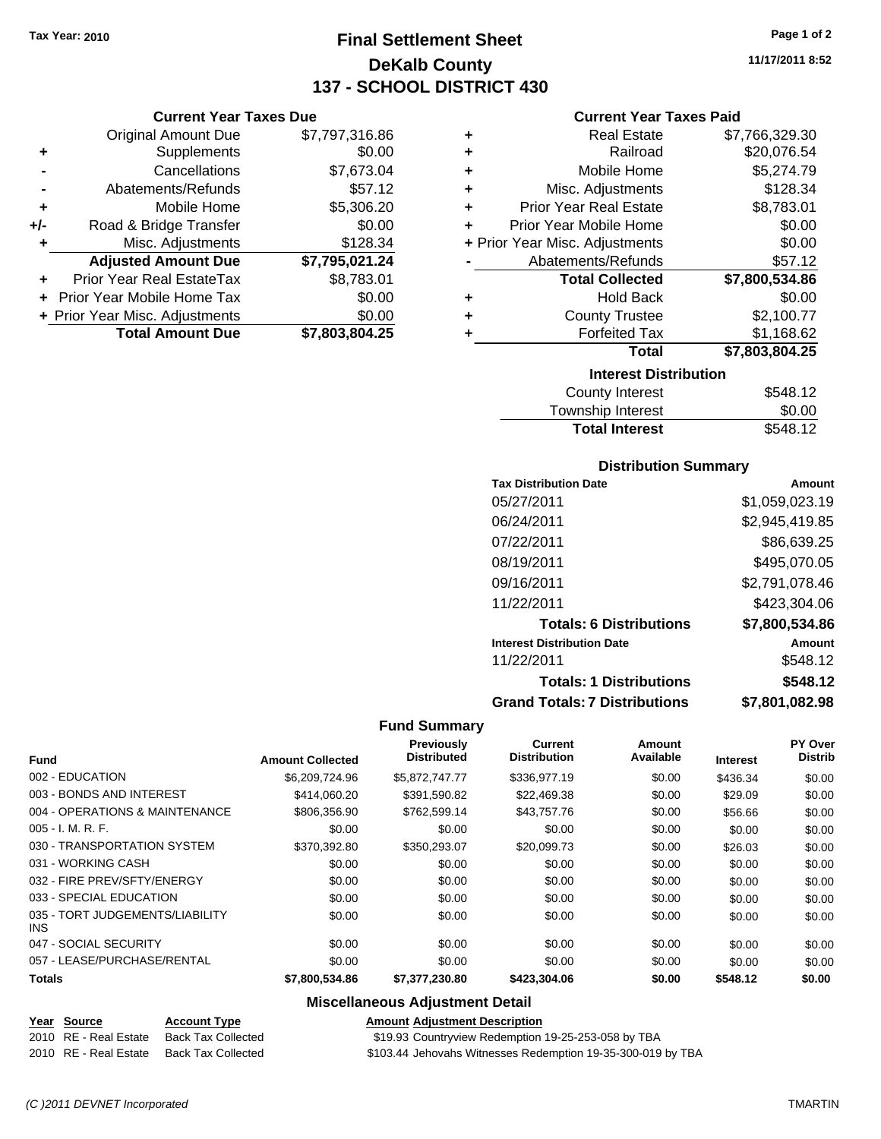**Current Year Taxes Due** Original Amount Due \$7,797,316.86

**Adjusted Amount Due \$7,795,021.24**

**Total Amount Due \$7,803,804.25**

**+** Supplements \$0.00 **-** Cancellations \$7,673.04 **-** Abatements/Refunds \$57.12 **+** Mobile Home \$5,306.20 **+/-** Road & Bridge Transfer \$0.00 **+** Misc. Adjustments \$128.34

**+** Prior Year Real EstateTax \$8,783.01 **+** Prior Year Mobile Home Tax \$0.00 **+ Prior Year Misc. Adjustments**  $$0.00$ 

## **Final Settlement Sheet Tax Year: 2010 Page 1 of 2 DeKalb County 137 - SCHOOL DISTRICT 430**

**11/17/2011 8:52**

#### **Current Year Taxes Paid**

|   |                                | 00 IO IO       |
|---|--------------------------------|----------------|
|   | <b>Interest Distribution</b>   |                |
|   | Total                          | \$7,803,804.25 |
| ٠ | <b>Forfeited Tax</b>           | \$1,168.62     |
| ٠ | <b>County Trustee</b>          | \$2,100.77     |
| ٠ | <b>Hold Back</b>               | \$0.00         |
|   | <b>Total Collected</b>         | \$7,800,534.86 |
|   | Abatements/Refunds             | \$57.12        |
|   | + Prior Year Misc. Adjustments | \$0.00         |
| ÷ | Prior Year Mobile Home         | \$0.00         |
| ٠ | <b>Prior Year Real Estate</b>  | \$8,783.01     |
| ٠ | Misc. Adjustments              | \$128.34       |
| ٠ | Mobile Home                    | \$5,274.79     |
| ٠ | Railroad                       | \$20,076.54    |
| ٠ | <b>Real Estate</b>             | \$7,766,329.30 |
|   |                                |                |

| County Interest       | \$548.12 |
|-----------------------|----------|
| Township Interest     | \$0.00   |
| <b>Total Interest</b> | \$548.12 |

#### **Distribution Summary**

| <b>Tax Distribution Date</b>         | Amount         |
|--------------------------------------|----------------|
| 05/27/2011                           | \$1,059,023.19 |
| 06/24/2011                           | \$2,945,419.85 |
| 07/22/2011                           | \$86,639.25    |
| 08/19/2011                           | \$495,070.05   |
| 09/16/2011                           | \$2,791,078.46 |
| 11/22/2011                           | \$423,304.06   |
| <b>Totals: 6 Distributions</b>       | \$7,800,534.86 |
| <b>Interest Distribution Date</b>    | Amount         |
| 11/22/2011                           | \$548.12       |
| <b>Totals: 1 Distributions</b>       | \$548.12       |
| <b>Grand Totals: 7 Distributions</b> | \$7,801,082.98 |

#### **Fund Summary**

|                                         |                         | Previously         | <b>Current</b>      | Amount    |                 | PY Over        |
|-----------------------------------------|-------------------------|--------------------|---------------------|-----------|-----------------|----------------|
| <b>Fund</b>                             | <b>Amount Collected</b> | <b>Distributed</b> | <b>Distribution</b> | Available | <b>Interest</b> | <b>Distrib</b> |
| 002 - EDUCATION                         | \$6,209,724.96          | \$5,872,747.77     | \$336,977.19        | \$0.00    | \$436.34        | \$0.00         |
| 003 - BONDS AND INTEREST                | \$414,060.20            | \$391,590.82       | \$22,469.38         | \$0.00    | \$29.09         | \$0.00         |
| 004 - OPERATIONS & MAINTENANCE          | \$806.356.90            | \$762.599.14       | \$43,757.76         | \$0.00    | \$56.66         | \$0.00         |
| $005 - I. M. R. F.$                     | \$0.00                  | \$0.00             | \$0.00              | \$0.00    | \$0.00          | \$0.00         |
| 030 - TRANSPORTATION SYSTEM             | \$370.392.80            | \$350.293.07       | \$20,099.73         | \$0.00    | \$26.03         | \$0.00         |
| 031 - WORKING CASH                      | \$0.00                  | \$0.00             | \$0.00              | \$0.00    | \$0.00          | \$0.00         |
| 032 - FIRE PREV/SFTY/ENERGY             | \$0.00                  | \$0.00             | \$0.00              | \$0.00    | \$0.00          | \$0.00         |
| 033 - SPECIAL EDUCATION                 | \$0.00                  | \$0.00             | \$0.00              | \$0.00    | \$0.00          | \$0.00         |
| 035 - TORT JUDGEMENTS/LIABILITY<br>INS. | \$0.00                  | \$0.00             | \$0.00              | \$0.00    | \$0.00          | \$0.00         |
| 047 - SOCIAL SECURITY                   | \$0.00                  | \$0.00             | \$0.00              | \$0.00    | \$0.00          | \$0.00         |
| 057 - LEASE/PURCHASE/RENTAL             | \$0.00                  | \$0.00             | \$0.00              | \$0.00    | \$0.00          | \$0.00         |
| <b>Totals</b>                           | \$7.800.534.86          | \$7.377.230.80     | \$423,304,06        | \$0.00    | \$548.12        | \$0.00         |

#### **Miscellaneous Adjustment Detail**

#### **Year Source Account Type Amount Adjustment Description**

2010 RE - Real Estate Back Tax Collected \$19.93 Countryview Redemption 19-25-253-058 by TBA 2010 RE - Real Estate Back Tax Collected \$103.44 Jehovahs Witnesses Redemption 19-35-300-019 by TBA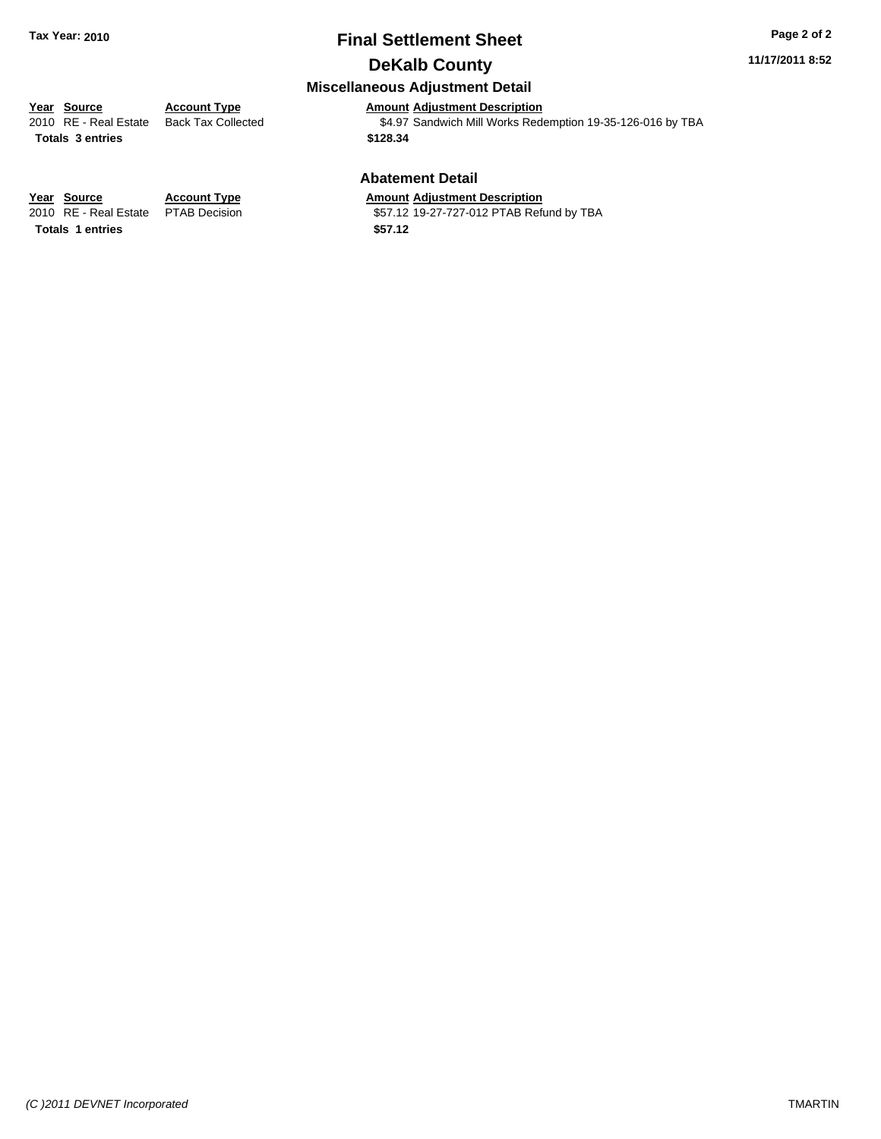#### **11/17/2011 8:52**

### **Miscellaneous Adjustment Detail**

**Year Source Account Type Amount Adjustment Description**<br>
2010 RE - Real Estate Back Tax Collected **1991** \$4.97 Sandwich Mill Works Rede **Totals \$128.34 3 entries**

\$4.97 Sandwich Mill Works Redemption 19-35-126-016 by TBA

#### **Abatement Detail**

\$57.12 19-27-727-012 PTAB Refund by TBA

**Year Source Account Type Amount Adjustment Description**<br>
2010 RE - Real Estate PTAB Decision **Amount** 19-27-727-012 PTAB Ref **Totals 1 entries** \$57.12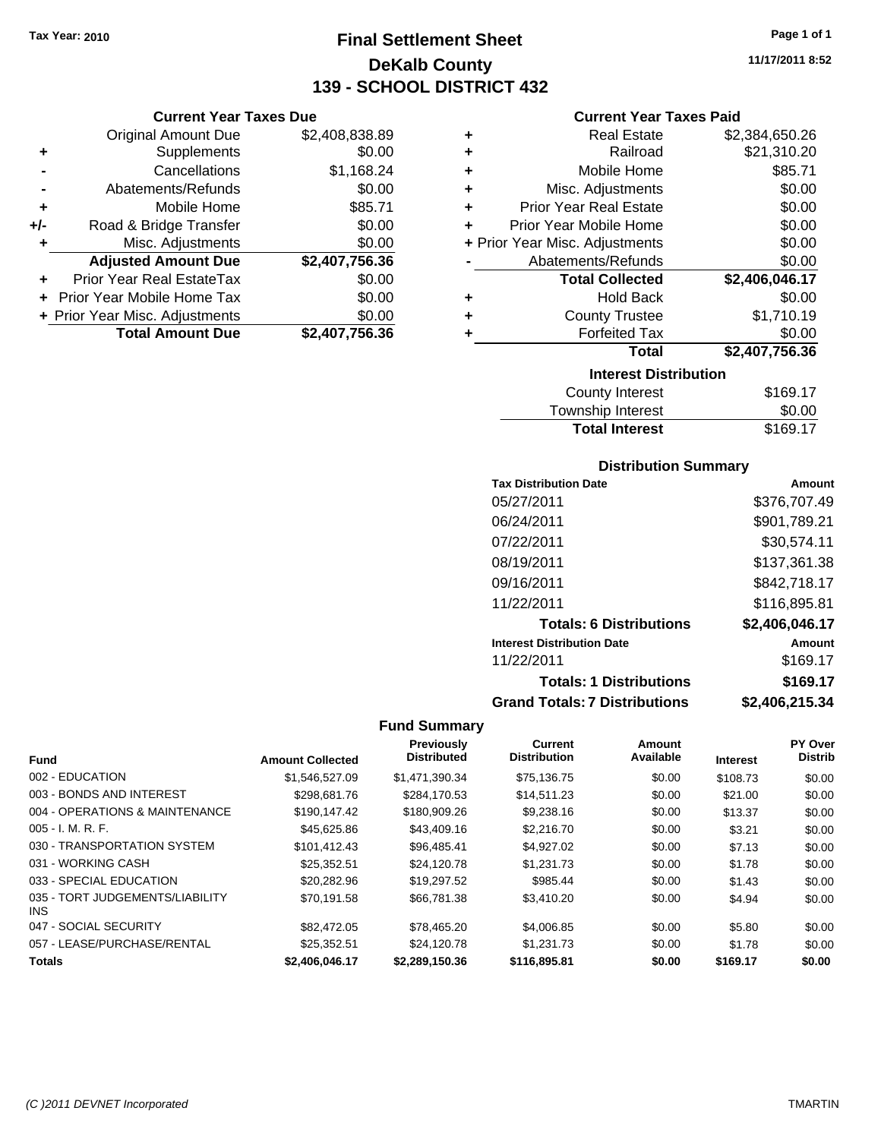**Current Year Taxes Due**

## **Final Settlement Sheet Tax Year: 2010 Page 1 of 1 DeKalb County 139 - SCHOOL DISTRICT 432**

|                      | <b>Current Year Taxes Due</b>  |                |   | <b>Current Year Taxes Paid</b> |                |
|----------------------|--------------------------------|----------------|---|--------------------------------|----------------|
|                      | Original Amount Due            | \$2,408,838.89 | ٠ | <b>Real Estate</b>             | \$2,384,650.26 |
| ÷                    | Supplements                    | \$0.00         | ٠ | Railroad                       | \$21,310.20    |
| $\blacksquare$       | Cancellations                  | \$1,168.24     | ٠ | Mobile Home                    | \$85.71        |
|                      | Abatements/Refunds             | \$0.00         | ٠ | Misc. Adjustments              | \$0.00         |
| $\ddot{\phantom{1}}$ | Mobile Home                    | \$85.71        | ٠ | <b>Prior Year Real Estate</b>  | \$0.00         |
| I-                   | Road & Bridge Transfer         | \$0.00         |   | Prior Year Mobile Home         | \$0.00         |
| ٠                    | Misc. Adjustments              | \$0.00         |   | + Prior Year Misc. Adjustments | \$0.00         |
|                      | <b>Adjusted Amount Due</b>     | \$2,407,756.36 |   | Abatements/Refunds             | \$0.00         |
| ÷                    | Prior Year Real EstateTax      | \$0.00         |   | <b>Total Collected</b>         | \$2,406,046.17 |
|                      | + Prior Year Mobile Home Tax   | \$0.00         | ٠ | <b>Hold Back</b>               | \$0.00         |
|                      | + Prior Year Misc. Adjustments | \$0.00         | ٠ | <b>County Trustee</b>          | \$1,710.19     |
|                      | <b>Total Amount Due</b>        | \$2,407,756.36 |   | <b>Forfeited Tax</b>           | \$0.00         |
|                      |                                |                |   | <b>Total</b>                   | \$2,407,756.36 |
|                      |                                |                |   | <b>Interest Distribution</b>   |                |

| ilituruat Piatribution |          |
|------------------------|----------|
| County Interest        | \$169.17 |
| Township Interest      | \$0.00   |
| <b>Total Interest</b>  | \$169.17 |
|                        |          |

#### **Distribution Summary**

| <b>Tax Distribution Date</b>         | Amount         |
|--------------------------------------|----------------|
| 05/27/2011                           | \$376,707.49   |
| 06/24/2011                           | \$901,789.21   |
| 07/22/2011                           | \$30,574.11    |
| 08/19/2011                           | \$137,361.38   |
| 09/16/2011                           | \$842,718.17   |
| 11/22/2011                           | \$116,895.81   |
| <b>Totals: 6 Distributions</b>       | \$2,406,046.17 |
| <b>Interest Distribution Date</b>    | Amount         |
| 11/22/2011                           | \$169.17       |
| <b>Totals: 1 Distributions</b>       | \$169.17       |
| <b>Grand Totals: 7 Distributions</b> | \$2,406,215.34 |

#### **Fund Summary**

|                                         |                         | Previously         | <b>Current</b>      | Amount    |                 | PY Over        |
|-----------------------------------------|-------------------------|--------------------|---------------------|-----------|-----------------|----------------|
| <b>Fund</b>                             | <b>Amount Collected</b> | <b>Distributed</b> | <b>Distribution</b> | Available | <b>Interest</b> | <b>Distrib</b> |
| 002 - EDUCATION                         | \$1,546,527.09          | \$1,471,390.34     | \$75,136.75         | \$0.00    | \$108.73        | \$0.00         |
| 003 - BONDS AND INTEREST                | \$298,681.76            | \$284.170.53       | \$14.511.23         | \$0.00    | \$21.00         | \$0.00         |
| 004 - OPERATIONS & MAINTENANCE          | \$190,147.42            | \$180,909.26       | \$9,238.16          | \$0.00    | \$13.37         | \$0.00         |
| $005 - I. M. R. F.$                     | \$45,625.86             | \$43,409.16        | \$2,216.70          | \$0.00    | \$3.21          | \$0.00         |
| 030 - TRANSPORTATION SYSTEM             | \$101.412.43            | \$96.485.41        | \$4,927.02          | \$0.00    | \$7.13          | \$0.00         |
| 031 - WORKING CASH                      | \$25.352.51             | \$24.120.78        | \$1.231.73          | \$0.00    | \$1.78          | \$0.00         |
| 033 - SPECIAL EDUCATION                 | \$20,282.96             | \$19.297.52        | \$985.44            | \$0.00    | \$1.43          | \$0.00         |
| 035 - TORT JUDGEMENTS/LIABILITY<br>INS. | \$70.191.58             | \$66,781,38        | \$3,410.20          | \$0.00    | \$4.94          | \$0.00         |
| 047 - SOCIAL SECURITY                   | \$82,472.05             | \$78.465.20        | \$4,006.85          | \$0.00    | \$5.80          | \$0.00         |
| 057 - LEASE/PURCHASE/RENTAL             | \$25.352.51             | \$24.120.78        | \$1.231.73          | \$0.00    | \$1.78          | \$0.00         |
| <b>Totals</b>                           | \$2.406.046.17          | \$2,289,150.36     | \$116,895.81        | \$0.00    | \$169.17        | \$0.00         |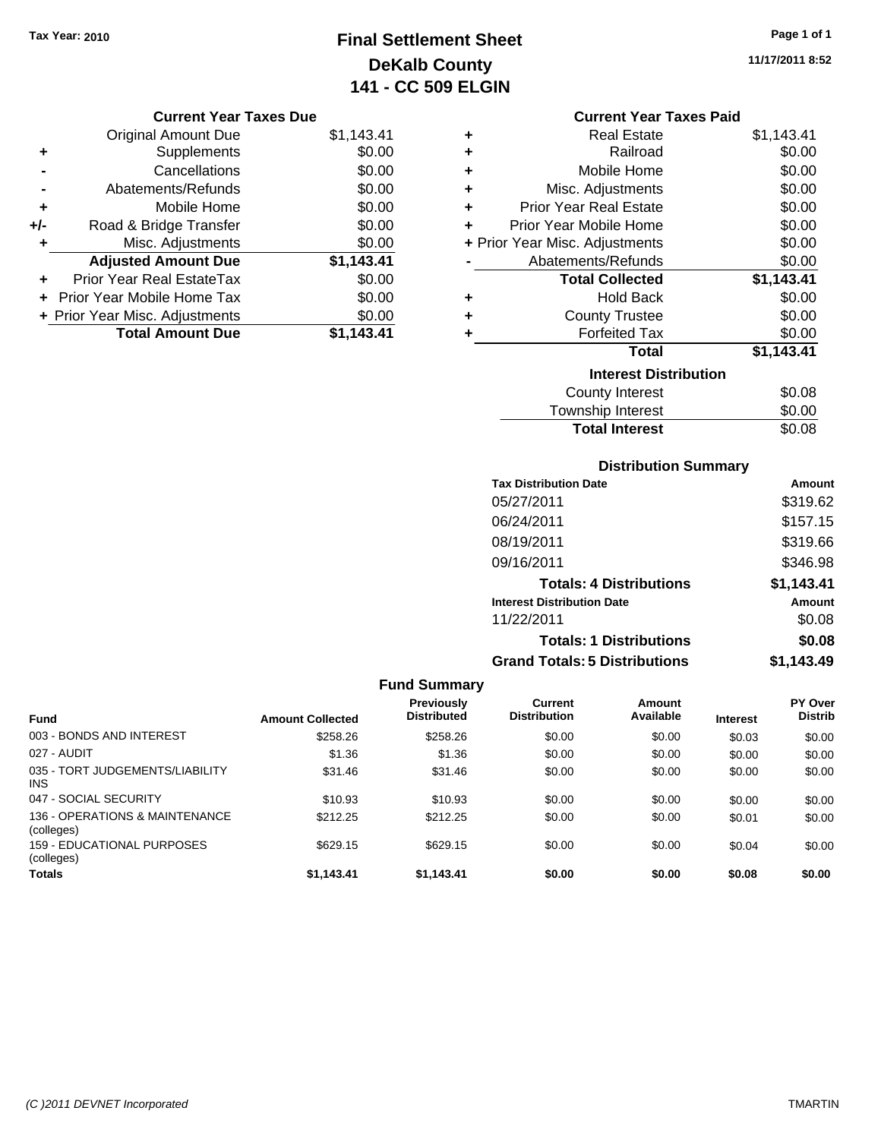## **Final Settlement Sheet Tax Year: 2010 Page 1 of 1 DeKalb County 141 - CC 509 ELGIN**

**11/17/2011 8:52**

#### **Current Year Taxes Due**

|       | <b>Original Amount Due</b>     | \$1,143.41 |
|-------|--------------------------------|------------|
| ٠     | Supplements                    | \$0.00     |
|       | Cancellations                  | \$0.00     |
|       | Abatements/Refunds             | \$0.00     |
| ÷     | Mobile Home                    | \$0.00     |
| $+/-$ | Road & Bridge Transfer         | \$0.00     |
| ٠     | Misc. Adjustments              | \$0.00     |
|       | <b>Adjusted Amount Due</b>     | \$1,143.41 |
| ÷     | Prior Year Real EstateTax      | \$0.00     |
|       | Prior Year Mobile Home Tax     | \$0.00     |
|       | + Prior Year Misc. Adjustments | \$0.00     |
|       | <b>Total Amount Due</b>        | \$1,143.41 |

#### **Current Year Taxes Paid**

|   | <b>Real Estate</b>             | \$1,143.41 |
|---|--------------------------------|------------|
| ٠ | Railroad                       | \$0.00     |
| ٠ | Mobile Home                    | \$0.00     |
| ٠ | Misc. Adjustments              | \$0.00     |
| ٠ | <b>Prior Year Real Estate</b>  | \$0.00     |
| ٠ | Prior Year Mobile Home         | \$0.00     |
|   | + Prior Year Misc. Adjustments | \$0.00     |
|   | Abatements/Refunds             | \$0.00     |
|   | <b>Total Collected</b>         | \$1,143.41 |
|   |                                |            |
| ٠ | <b>Hold Back</b>               | \$0.00     |
| ÷ | <b>County Trustee</b>          | \$0.00     |
|   | <b>Forfeited Tax</b>           | \$0.00     |
|   | <b>Total</b>                   | \$1,143.41 |
|   | <b>Interest Distribution</b>   |            |
|   | County Interest                | \$0.08     |

| Township Interest     | \$0.00 |
|-----------------------|--------|
| <b>Total Interest</b> | \$0.08 |

### **Distribution Summary**

| <b>Tax Distribution Date</b>         | Amount     |
|--------------------------------------|------------|
| 05/27/2011                           | \$319.62   |
| 06/24/2011                           | \$157.15   |
| 08/19/2011                           | \$319.66   |
| 09/16/2011                           | \$346.98   |
| <b>Totals: 4 Distributions</b>       | \$1,143.41 |
| <b>Interest Distribution Date</b>    | Amount     |
| 11/22/2011                           | \$0.08     |
| <b>Totals: 1 Distributions</b>       | \$0.08     |
| <b>Grand Totals: 5 Distributions</b> | \$1,143.49 |

| <b>Fund Summary</b>                           |                         |                                         |                                |                     |                 |                           |
|-----------------------------------------------|-------------------------|-----------------------------------------|--------------------------------|---------------------|-----------------|---------------------------|
| <b>Fund</b>                                   | <b>Amount Collected</b> | <b>Previously</b><br><b>Distributed</b> | Current<br><b>Distribution</b> | Amount<br>Available | <b>Interest</b> | PY Over<br><b>Distrib</b> |
| 003 - BONDS AND INTEREST                      | \$258.26                | \$258.26                                | \$0.00                         | \$0.00              | \$0.03          | \$0.00                    |
| 027 - AUDIT                                   | \$1.36                  | \$1.36                                  | \$0.00                         | \$0.00              | \$0.00          | \$0.00                    |
| 035 - TORT JUDGEMENTS/LIABILITY<br><b>INS</b> | \$31.46                 | \$31.46                                 | \$0.00                         | \$0.00              | \$0.00          | \$0.00                    |
| 047 - SOCIAL SECURITY                         | \$10.93                 | \$10.93                                 | \$0.00                         | \$0.00              | \$0.00          | \$0.00                    |
| 136 - OPERATIONS & MAINTENANCE<br>(colleges)  | \$212.25                | \$212.25                                | \$0.00                         | \$0.00              | \$0.01          | \$0.00                    |
| 159 - EDUCATIONAL PURPOSES<br>(colleges)      | \$629.15                | \$629.15                                | \$0.00                         | \$0.00              | \$0.04          | \$0.00                    |
| <b>Totals</b>                                 | \$1.143.41              | \$1.143.41                              | \$0.00                         | \$0.00              | \$0.08          | \$0.00                    |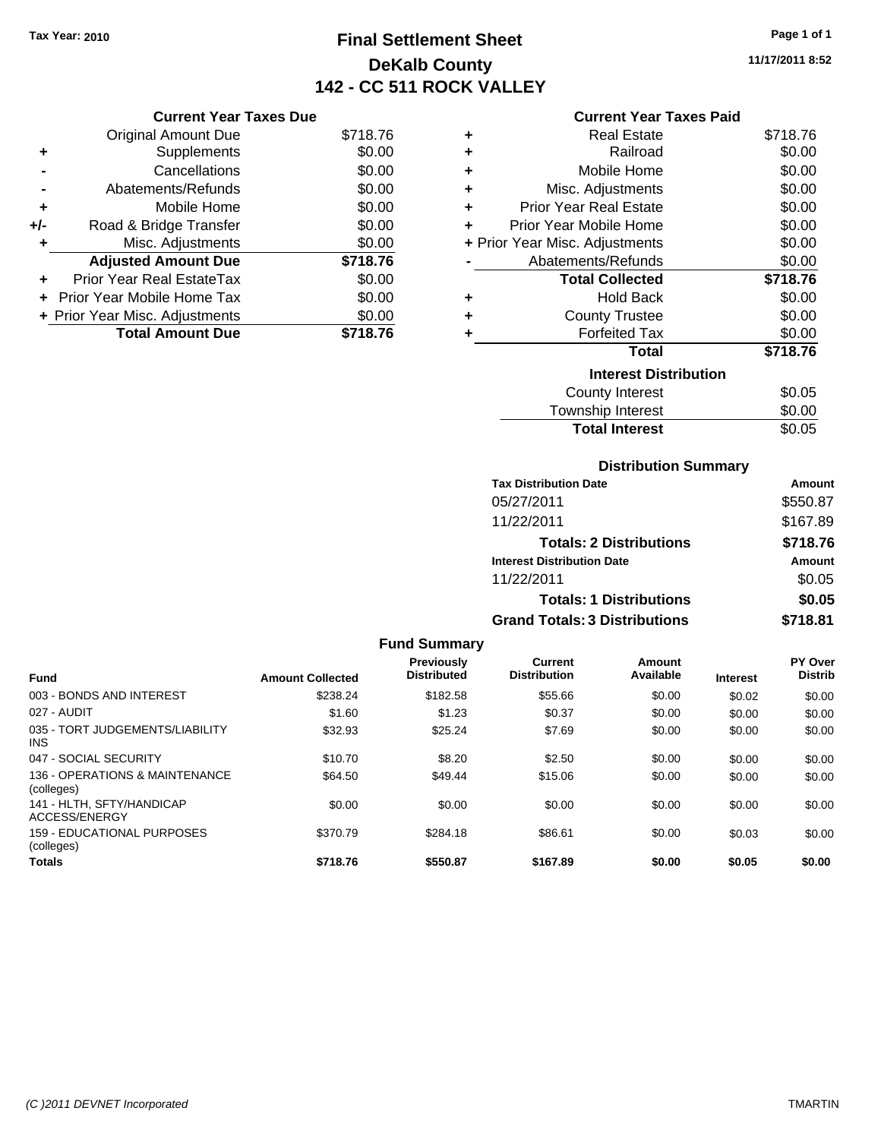## **Final Settlement Sheet Tax Year: 2010 Page 1 of 1 DeKalb County 142 - CC 511 ROCK VALLEY**

#### **Current Year Taxes Due**

|       | <b>Original Amount Due</b>        | \$718.76 |
|-------|-----------------------------------|----------|
| ٠     | Supplements                       | \$0.00   |
|       | Cancellations                     | \$0.00   |
|       | Abatements/Refunds                | \$0.00   |
| ٠     | Mobile Home                       | \$0.00   |
| $+/-$ | Road & Bridge Transfer            | \$0.00   |
| ٠     | Misc. Adjustments                 | \$0.00   |
|       | <b>Adjusted Amount Due</b>        | \$718.76 |
|       | Prior Year Real EstateTax         | \$0.00   |
|       | <b>Prior Year Mobile Home Tax</b> | \$0.00   |
|       | + Prior Year Misc. Adjustments    | \$0.00   |
|       | <b>Total Amount Due</b>           | \$718.76 |

#### **Current Year Taxes Paid**

| ٠                            | Real Estate                    | \$718.76 |  |  |
|------------------------------|--------------------------------|----------|--|--|
| ٠                            | Railroad                       | \$0.00   |  |  |
| ٠                            | Mobile Home                    | \$0.00   |  |  |
| ٠                            | Misc. Adjustments              | \$0.00   |  |  |
| ٠                            | <b>Prior Year Real Estate</b>  | \$0.00   |  |  |
| ٠                            | Prior Year Mobile Home         | \$0.00   |  |  |
|                              | + Prior Year Misc. Adjustments | \$0.00   |  |  |
|                              | Abatements/Refunds             | \$0.00   |  |  |
|                              | <b>Total Collected</b>         | \$718.76 |  |  |
| ٠                            | <b>Hold Back</b>               | \$0.00   |  |  |
| ٠                            | <b>County Trustee</b>          | \$0.00   |  |  |
| ٠                            | <b>Forfeited Tax</b>           | \$0.00   |  |  |
|                              | Total                          | \$718.76 |  |  |
| <b>Interest Distribution</b> |                                |          |  |  |
|                              | County Interest                | \$0.05   |  |  |
|                              | <b>Township Interest</b>       | \$0.00   |  |  |
|                              | <b>Total Interest</b>          | \$0.05   |  |  |

### **Distribution Summary**

| <b>Tax Distribution Date</b>         | Amount   |
|--------------------------------------|----------|
| 05/27/2011                           | \$550.87 |
| 11/22/2011                           | \$167.89 |
| <b>Totals: 2 Distributions</b>       | \$718.76 |
| <b>Interest Distribution Date</b>    | Amount   |
| 11/22/2011                           | \$0.05   |
| <b>Totals: 1 Distributions</b>       | \$0.05   |
| <b>Grand Totals: 3 Distributions</b> | \$718.81 |

| <b>Fund Summary</b>                           |                         |                                  |                                       |                     |                 |                           |
|-----------------------------------------------|-------------------------|----------------------------------|---------------------------------------|---------------------|-----------------|---------------------------|
| <b>Fund</b>                                   | <b>Amount Collected</b> | Previously<br><b>Distributed</b> | <b>Current</b><br><b>Distribution</b> | Amount<br>Available | <b>Interest</b> | PY Over<br><b>Distrib</b> |
| 003 - BONDS AND INTEREST                      | \$238.24                | \$182.58                         | \$55.66                               | \$0.00              | \$0.02          | \$0.00                    |
| 027 - AUDIT                                   | \$1.60                  | \$1.23                           | \$0.37                                | \$0.00              | \$0.00          | \$0.00                    |
| 035 - TORT JUDGEMENTS/LIABILITY<br><b>INS</b> | \$32.93                 | \$25.24                          | \$7.69                                | \$0.00              | \$0.00          | \$0.00                    |
| 047 - SOCIAL SECURITY                         | \$10.70                 | \$8.20                           | \$2.50                                | \$0.00              | \$0.00          | \$0.00                    |
| 136 - OPERATIONS & MAINTENANCE<br>(colleges)  | \$64.50                 | \$49.44                          | \$15.06                               | \$0.00              | \$0.00          | \$0.00                    |
| 141 - HLTH, SFTY/HANDICAP<br>ACCESS/ENERGY    | \$0.00                  | \$0.00                           | \$0.00                                | \$0.00              | \$0.00          | \$0.00                    |
| 159 - EDUCATIONAL PURPOSES<br>(colleges)      | \$370.79                | \$284.18                         | \$86.61                               | \$0.00              | \$0.03          | \$0.00                    |
| <b>Totals</b>                                 | \$718.76                | \$550.87                         | \$167.89                              | \$0.00              | \$0.05          | \$0.00                    |

**11/17/2011 8:52**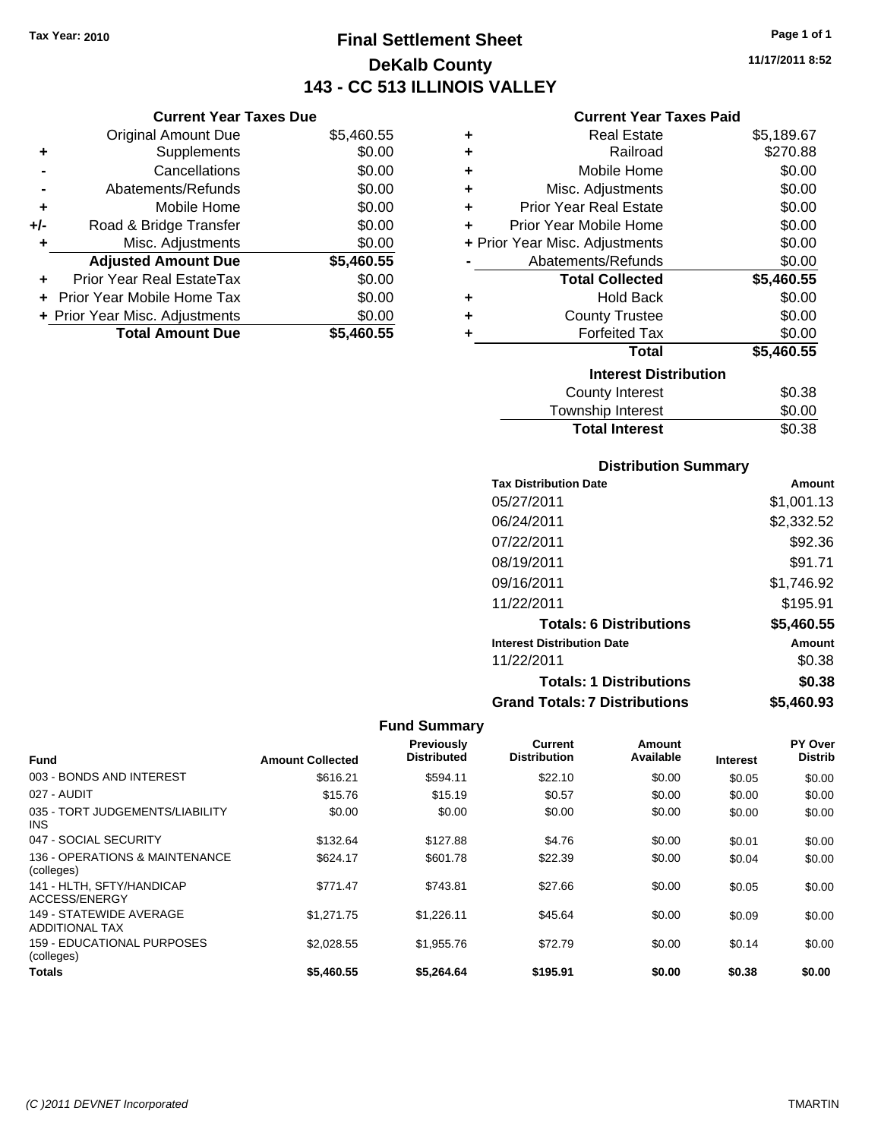Original Amount Due

**Adjusted Amount Due** 

**Total Amount Due** 

**+** Supplements **-** Cancellations **-** Abatements/Refunds **+** Mobile Home **+/-** Road & Bridge Transfer **+** Misc. Adjustments

**+** Prior Year Real EstateTax \$0.00 **+** Prior Year Mobile Home Tax **+ Prior Year Misc. Adjustments** 

## **Final Settlement Sheet Tax Year: 2010 Page 1 of 1 DeKalb County 143 - CC 513 ILLINOIS VALLEY**

**11/17/2011 8:52**

### **Current Year Taxes Paid**

| <b>Current Year Taxes Due</b> |            |           | <b>Current Year Taxes Paid</b> |            |
|-------------------------------|------------|-----------|--------------------------------|------------|
| ıl Amount Due                 | \$5,460.55 | ٠         | <b>Real Estate</b>             | \$5,189.67 |
| Supplements                   | \$0.00     | ÷         | Railroad                       | \$270.88   |
| Cancellations                 | \$0.00     | $\ddot{}$ | Mobile Home                    | \$0.00     |
| าents/Refunds                 | \$0.00     | ÷         | Misc. Adjustments              | \$0.00     |
| Mobile Home                   | \$0.00     | ÷         | <b>Prior Year Real Estate</b>  | \$0.00     |
| ridge Transfer                | \$0.00     | ÷         | Prior Year Mobile Home         | \$0.00     |
| . Adjustments                 | \$0.00     |           | + Prior Year Misc. Adjustments | \$0.00     |
| <b>Amount Due</b>             | \$5,460.55 |           | Abatements/Refunds             | \$0.00     |
| eal EstateTax                 | \$0.00     |           | <b>Total Collected</b>         | \$5,460.55 |
| pile Home Tax                 | \$0.00     | ÷         | <b>Hold Back</b>               | \$0.00     |
| . Adjustments                 | \$0.00     | ÷         | <b>County Trustee</b>          | \$0.00     |
| <b>Amount Due</b>             | \$5,460.55 |           | <b>Forfeited Tax</b>           | \$0.00     |
|                               |            |           | <b>Total</b>                   | \$5,460.55 |
|                               |            |           | <b>Interest Distribution</b>   |            |
|                               |            |           |                                |            |

| <u>MICICSL DISLINUITION</u> |        |  |
|-----------------------------|--------|--|
| County Interest             | \$0.38 |  |
| Township Interest           | \$0.00 |  |
| <b>Total Interest</b>       | \$0.38 |  |

### **Distribution Summary**

| <b>Tax Distribution Date</b>         | Amount     |
|--------------------------------------|------------|
| 05/27/2011                           | \$1,001.13 |
| 06/24/2011                           | \$2,332.52 |
| 07/22/2011                           | \$92.36    |
| 08/19/2011                           | \$91.71    |
| 09/16/2011                           | \$1,746.92 |
| 11/22/2011                           | \$195.91   |
| <b>Totals: 6 Distributions</b>       | \$5,460.55 |
| <b>Interest Distribution Date</b>    | Amount     |
| 11/22/2011                           | \$0.38     |
| <b>Totals: 1 Distributions</b>       | \$0.38     |
| <b>Grand Totals: 7 Distributions</b> | \$5,460.93 |

| <b>Fund</b>                                      | <b>Amount Collected</b> | Previously<br><b>Distributed</b> | Current<br><b>Distribution</b> | Amount<br>Available | <b>Interest</b> | PY Over<br><b>Distrib</b> |
|--------------------------------------------------|-------------------------|----------------------------------|--------------------------------|---------------------|-----------------|---------------------------|
| 003 - BONDS AND INTEREST                         | \$616.21                | \$594.11                         | \$22.10                        | \$0.00              | \$0.05          | \$0.00                    |
| 027 - AUDIT                                      | \$15.76                 | \$15.19                          | \$0.57                         | \$0.00              | \$0.00          | \$0.00                    |
| 035 - TORT JUDGEMENTS/LIABILITY<br><b>INS</b>    | \$0.00                  | \$0.00                           | \$0.00                         | \$0.00              | \$0.00          | \$0.00                    |
| 047 - SOCIAL SECURITY                            | \$132.64                | \$127.88                         | \$4.76                         | \$0.00              | \$0.01          | \$0.00                    |
| 136 - OPERATIONS & MAINTENANCE<br>(colleges)     | \$624.17                | \$601.78                         | \$22.39                        | \$0.00              | \$0.04          | \$0.00                    |
| 141 - HLTH, SFTY/HANDICAP<br>ACCESS/ENERGY       | \$771.47                | \$743.81                         | \$27.66                        | \$0.00              | \$0.05          | \$0.00                    |
| 149 - STATEWIDE AVERAGE<br><b>ADDITIONAL TAX</b> | \$1,271.75              | \$1.226.11                       | \$45.64                        | \$0.00              | \$0.09          | \$0.00                    |
| 159 - EDUCATIONAL PURPOSES<br>(colleges)         | \$2.028.55              | \$1,955.76                       | \$72.79                        | \$0.00              | \$0.14          | \$0.00                    |
| <b>Totals</b>                                    | \$5,460.55              | \$5,264.64                       | \$195.91                       | \$0.00              | \$0.38          | \$0.00                    |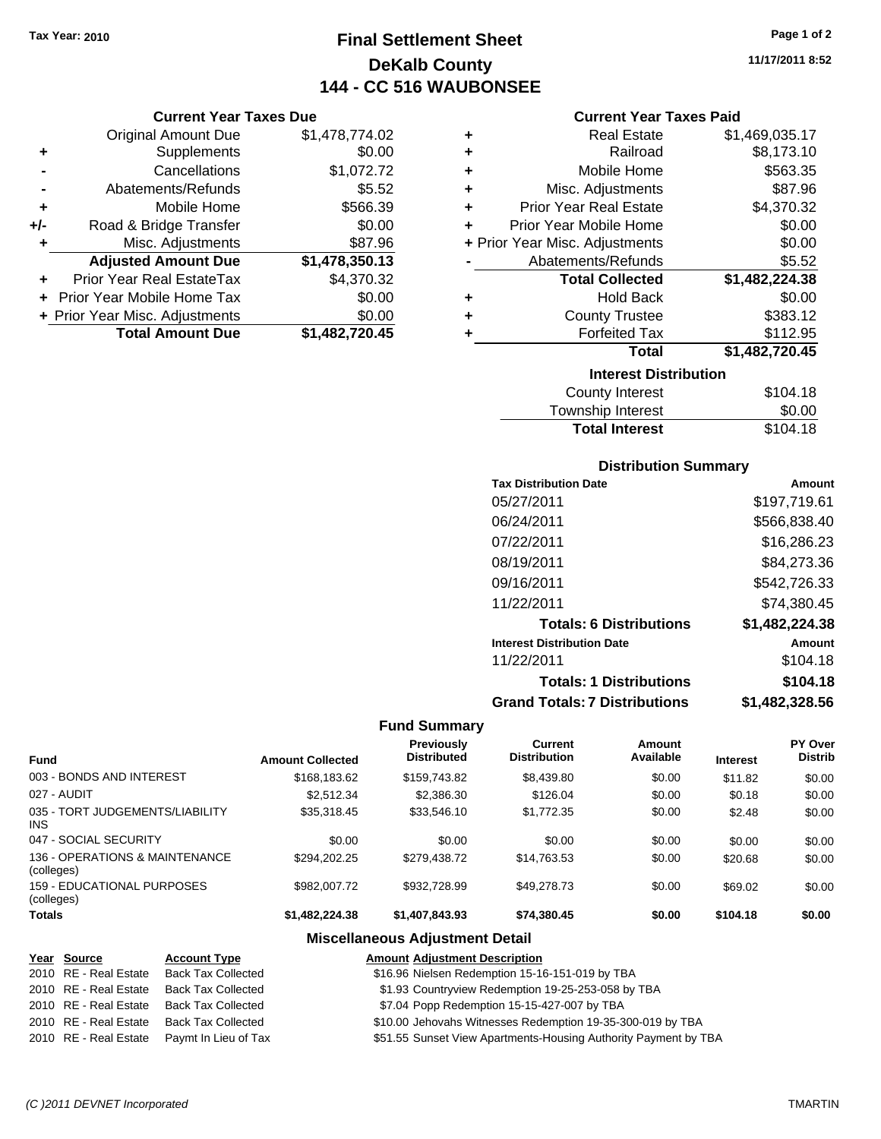## **Final Settlement Sheet Tax Year: 2010 Page 1 of 2 DeKalb County 144 - CC 516 WAUBONSEE**

**11/17/2011 8:52**

### **Current Year Taxes Paid**

|     | <b>Total Amount Due</b>           | \$1,482,720.45 |
|-----|-----------------------------------|----------------|
|     | + Prior Year Misc. Adjustments    | \$0.00         |
|     | <b>Prior Year Mobile Home Tax</b> | \$0.00         |
|     | Prior Year Real EstateTax         | \$4,370.32     |
|     | <b>Adjusted Amount Due</b>        | \$1,478,350.13 |
| ٠   | Misc. Adjustments                 | \$87.96        |
| +/- | Road & Bridge Transfer            | \$0.00         |
| ٠   | Mobile Home                       | \$566.39       |
| -   | Abatements/Refunds                | \$5.52         |
|     | Cancellations                     | \$1,072.72     |
| ٠   | Supplements                       | \$0.00         |
|     | <b>Original Amount Due</b>        | \$1,478,774.02 |
|     |                                   |                |

**Current Year Taxes Due**

| ٠ | <b>Real Estate</b>             | \$1,469,035.17 |
|---|--------------------------------|----------------|
| ÷ | Railroad                       | \$8,173.10     |
| ٠ | Mobile Home                    | \$563.35       |
| ٠ | Misc. Adjustments              | \$87.96        |
| ÷ | <b>Prior Year Real Estate</b>  | \$4,370.32     |
| ÷ | Prior Year Mobile Home         | \$0.00         |
|   | + Prior Year Misc. Adjustments | \$0.00         |
|   | Abatements/Refunds             | \$5.52         |
|   |                                |                |
|   | <b>Total Collected</b>         | \$1,482,224.38 |
| ٠ | <b>Hold Back</b>               | \$0.00         |
| ٠ | <b>County Trustee</b>          | \$383.12       |
| ٠ | <b>Forfeited Tax</b>           | \$112.95       |
|   | <b>Total</b>                   | \$1,482,720.45 |
|   | <b>Interest Distribution</b>   |                |
|   | County Interest                | \$104.18       |

## **Distribution Summary**

Total Interest \$104.18

| <b>Tax Distribution Date</b>         | Amount         |
|--------------------------------------|----------------|
| 05/27/2011                           | \$197,719.61   |
| 06/24/2011                           | \$566,838.40   |
| 07/22/2011                           | \$16,286.23    |
| 08/19/2011                           | \$84,273.36    |
| 09/16/2011                           | \$542,726.33   |
| 11/22/2011                           | \$74.380.45    |
| <b>Totals: 6 Distributions</b>       | \$1,482,224.38 |
| <b>Interest Distribution Date</b>    | Amount         |
| 11/22/2011                           | \$104.18       |
| <b>Totals: 1 Distributions</b>       | \$104.18       |
| <b>Grand Totals: 7 Distributions</b> | \$1,482,328.56 |

### **Fund Summary**

| <b>Fund</b>                                     | <b>Amount Collected</b> | <b>Previously</b><br><b>Distributed</b> | Current<br><b>Distribution</b> | Amount<br>Available | <b>Interest</b> | <b>PY Over</b><br><b>Distrib</b> |
|-------------------------------------------------|-------------------------|-----------------------------------------|--------------------------------|---------------------|-----------------|----------------------------------|
|                                                 |                         |                                         |                                |                     |                 |                                  |
| 003 - BONDS AND INTEREST                        | \$168,183.62            | \$159,743.82                            | \$8,439.80                     | \$0.00              | \$11.82         | \$0.00                           |
| 027 - AUDIT                                     | \$2,512.34              | \$2,386.30                              | \$126.04                       | \$0.00              | \$0.18          | \$0.00                           |
| 035 - TORT JUDGEMENTS/LIABILITY<br><b>INS</b>   | \$35,318.45             | \$33,546.10                             | \$1,772.35                     | \$0.00              | \$2.48          | \$0.00                           |
| 047 - SOCIAL SECURITY                           | \$0.00                  | \$0.00                                  | \$0.00                         | \$0.00              | \$0.00          | \$0.00                           |
| 136 - OPERATIONS & MAINTENANCE<br>(colleges)    | \$294.202.25            | \$279.438.72                            | \$14.763.53                    | \$0.00              | \$20.68         | \$0.00                           |
| <b>159 - EDUCATIONAL PURPOSES</b><br>(colleges) | \$982,007.72            | \$932,728.99                            | \$49,278.73                    | \$0.00              | \$69.02         | \$0.00                           |
| <b>Totals</b>                                   | \$1,482,224,38          | \$1,407,843.93                          | \$74.380.45                    | \$0.00              | \$104.18        | \$0.00                           |

### **Miscellaneous Adjustment Detail**

### **Year Source Account Type Amount Adjustment Description**  $$16.96$  Nielsen Redemption 15-16-151-019 by TBA 2010 RE - Real Estate Back Tax Collected \$1.93 Countryview Redemption 19-25-253-058 by TBA 2010 RE - Real Estate Back Tax Collected \$7.04 Popp Redemption 15-15-427-007 by TBA 2010 RE - Real Estate Back Tax Collected \$10.00 Jehovahs Witnesses Redemption 19-35-300-019 by TBA 2010 RE - Real Estate Paymt In Lieu of Tax \$51.55 Sunset View Apartments-Housing Authority Payment by TBA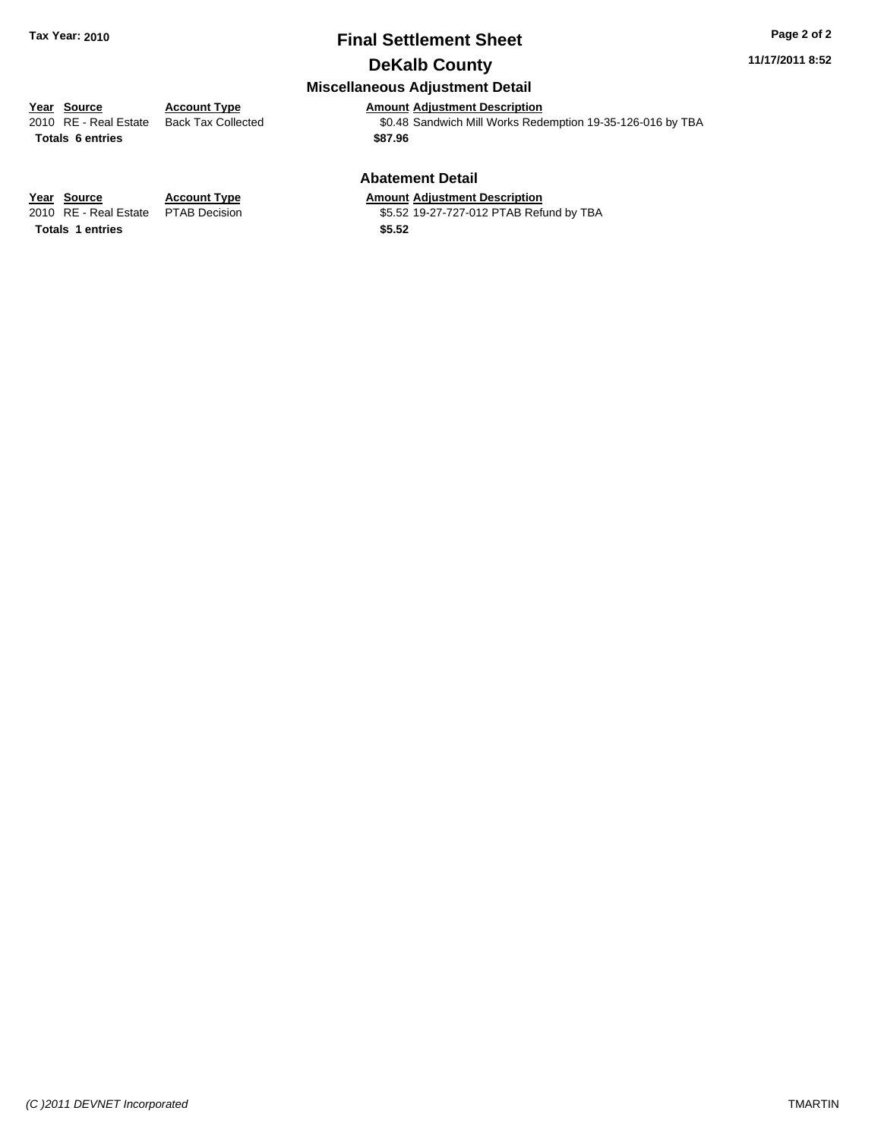## **Final Settlement Sheet Tax Year: 2010 Page 2 of 2 DeKalb County**

### **11/17/2011 8:52**

### **Miscellaneous Adjustment Detail**

**Year Source Account Type Amount Adjustment Description**<br>
2010 RE - Real Estate Back Tax Collected **1991** \$0.48 Sandwich Mill Works Rede **Totals \$87.96 6 entries**

**Abatement Detail**

### **Year Source Account Type Amount Adjustment Description**

2010 RE - Real Estate \$5.52 19-27-727-012 PTAB Refund by TBA PTAB Decision

\$0.48 Sandwich Mill Works Redemption 19-35-126-016 by TBA

Totals 1 entries **12.52 12.52**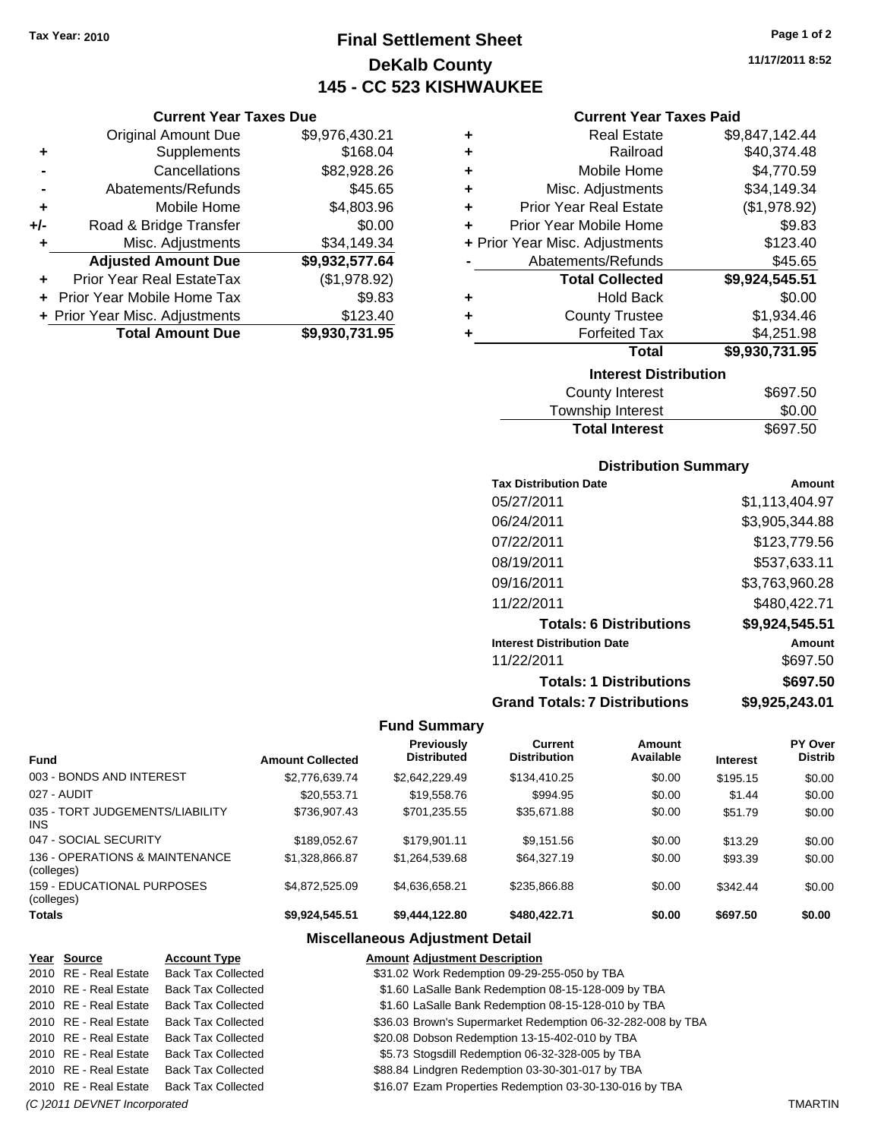## **Final Settlement Sheet Tax Year: 2010 Page 1 of 2 DeKalb County 145 - CC 523 KISHWAUKEE**

### **Current Year Taxes Due**

|     | <b>Original Amount Due</b>     | \$9,976,430.21 |
|-----|--------------------------------|----------------|
| ٠   | Supplements                    | \$168.04       |
|     | Cancellations                  | \$82,928.26    |
|     | Abatements/Refunds             | \$45.65        |
| ٠   | Mobile Home                    | \$4,803.96     |
| +/- | Road & Bridge Transfer         | \$0.00         |
| ٠   | Misc. Adjustments              | \$34,149.34    |
|     | <b>Adjusted Amount Due</b>     | \$9,932,577.64 |
|     | Prior Year Real EstateTax      | (\$1,978.92)   |
|     | Prior Year Mobile Home Tax     | \$9.83         |
|     | + Prior Year Misc. Adjustments | \$123.40       |
|     | <b>Total Amount Due</b>        | \$9,930,731.95 |

### **Current Year Taxes Paid**

| ٠ | <b>Real Estate</b>             | \$9,847,142.44 |  |  |
|---|--------------------------------|----------------|--|--|
| ٠ | Railroad                       | \$40,374.48    |  |  |
| ٠ | Mobile Home                    | \$4,770.59     |  |  |
| ÷ | Misc. Adjustments              | \$34,149.34    |  |  |
| ÷ | <b>Prior Year Real Estate</b>  | (\$1,978.92)   |  |  |
| ÷ | Prior Year Mobile Home         | \$9.83         |  |  |
|   | + Prior Year Misc. Adjustments | \$123.40       |  |  |
|   | Abatements/Refunds             | \$45.65        |  |  |
|   | <b>Total Collected</b>         | \$9,924,545.51 |  |  |
| ٠ | <b>Hold Back</b>               | \$0.00         |  |  |
| ٠ | <b>County Trustee</b>          | \$1,934.46     |  |  |
| ٠ | <b>Forfeited Tax</b>           | \$4,251.98     |  |  |
|   | Total                          | \$9,930,731.95 |  |  |
|   | <b>Interest Distribution</b>   |                |  |  |
|   | County Interest                | \$697 50       |  |  |

| <b>Total Interest</b>  | \$697.50 |
|------------------------|----------|
| Township Interest      | \$0.00   |
| <b>County Interest</b> | \$697.50 |

### **Distribution Summary**

| <b>Tax Distribution Date</b>         | Amount         |
|--------------------------------------|----------------|
| 05/27/2011                           | \$1,113,404.97 |
| 06/24/2011                           | \$3,905,344.88 |
| 07/22/2011                           | \$123,779.56   |
| 08/19/2011                           | \$537,633.11   |
| 09/16/2011                           | \$3,763,960.28 |
| 11/22/2011                           | \$480,422.71   |
| <b>Totals: 6 Distributions</b>       | \$9,924,545.51 |
| <b>Interest Distribution Date</b>    | Amount         |
| 11/22/2011                           | \$697.50       |
| <b>Totals: 1 Distributions</b>       | \$697.50       |
| <b>Grand Totals: 7 Distributions</b> | \$9,925,243.01 |

### **Fund Summary**

 $\frac{1}{2}$ 

|                                              |                         | <b>Previously</b><br><b>Distributed</b> | Current             | Amount<br>Available |                 | PY Over        |
|----------------------------------------------|-------------------------|-----------------------------------------|---------------------|---------------------|-----------------|----------------|
| <b>Fund</b>                                  | <b>Amount Collected</b> |                                         | <b>Distribution</b> |                     | <b>Interest</b> | <b>Distrib</b> |
| 003 - BONDS AND INTEREST                     | \$2,776,639.74          | \$2,642,229.49                          | \$134,410.25        | \$0.00              | \$195.15        | \$0.00         |
| 027 - AUDIT                                  | \$20,553.71             | \$19,558.76                             | \$994.95            | \$0.00              | \$1.44          | \$0.00         |
| 035 - TORT JUDGEMENTS/LIABILITY<br>INS.      | \$736,907.43            | \$701.235.55                            | \$35.671.88         | \$0.00              | \$51.79         | \$0.00         |
| 047 - SOCIAL SECURITY                        | \$189.052.67            | \$179.901.11                            | \$9,151.56          | \$0.00              | \$13.29         | \$0.00         |
| 136 - OPERATIONS & MAINTENANCE<br>(colleges) | \$1,328,866.87          | \$1,264,539.68                          | \$64,327.19         | \$0.00              | \$93.39         | \$0.00         |
| 159 - EDUCATIONAL PURPOSES<br>(colleges)     | \$4.872.525.09          | \$4,636,658.21                          | \$235,866,88        | \$0.00              | \$342.44        | \$0.00         |
| <b>Totals</b>                                | \$9,924,545.51          | \$9,444,122.80                          | \$480,422.71        | \$0.00              | \$697.50        | \$0.00         |

### **Miscellaneous Adjustment Detail**

| Year Source                  | <b>Account Type</b>       | <b>Amount Adjustment Description</b>                        |                |
|------------------------------|---------------------------|-------------------------------------------------------------|----------------|
| 2010 RE - Real Estate        | <b>Back Tax Collected</b> | \$31.02 Work Redemption 09-29-255-050 by TBA                |                |
| 2010 RE - Real Estate        | <b>Back Tax Collected</b> | \$1.60 LaSalle Bank Redemption 08-15-128-009 by TBA         |                |
| 2010 RE - Real Estate        | <b>Back Tax Collected</b> | \$1.60 LaSalle Bank Redemption 08-15-128-010 by TBA         |                |
| 2010 RE - Real Estate        | <b>Back Tax Collected</b> | \$36.03 Brown's Supermarket Redemption 06-32-282-008 by TBA |                |
| 2010 RE - Real Estate        | Back Tax Collected        | \$20.08 Dobson Redemption 13-15-402-010 by TBA              |                |
| 2010 RE - Real Estate        | <b>Back Tax Collected</b> | \$5.73 Stogsdill Redemption 06-32-328-005 by TBA            |                |
| 2010 RE - Real Estate        | <b>Back Tax Collected</b> | \$88.84 Lindgren Redemption 03-30-301-017 by TBA            |                |
| 2010 RE - Real Estate        | <b>Back Tax Collected</b> | \$16.07 Ezam Properties Redemption 03-30-130-016 by TBA     |                |
| (C) 2011 DEVNET Incorporated |                           |                                                             | <b>TMARTIN</b> |

**11/17/2011 8:52**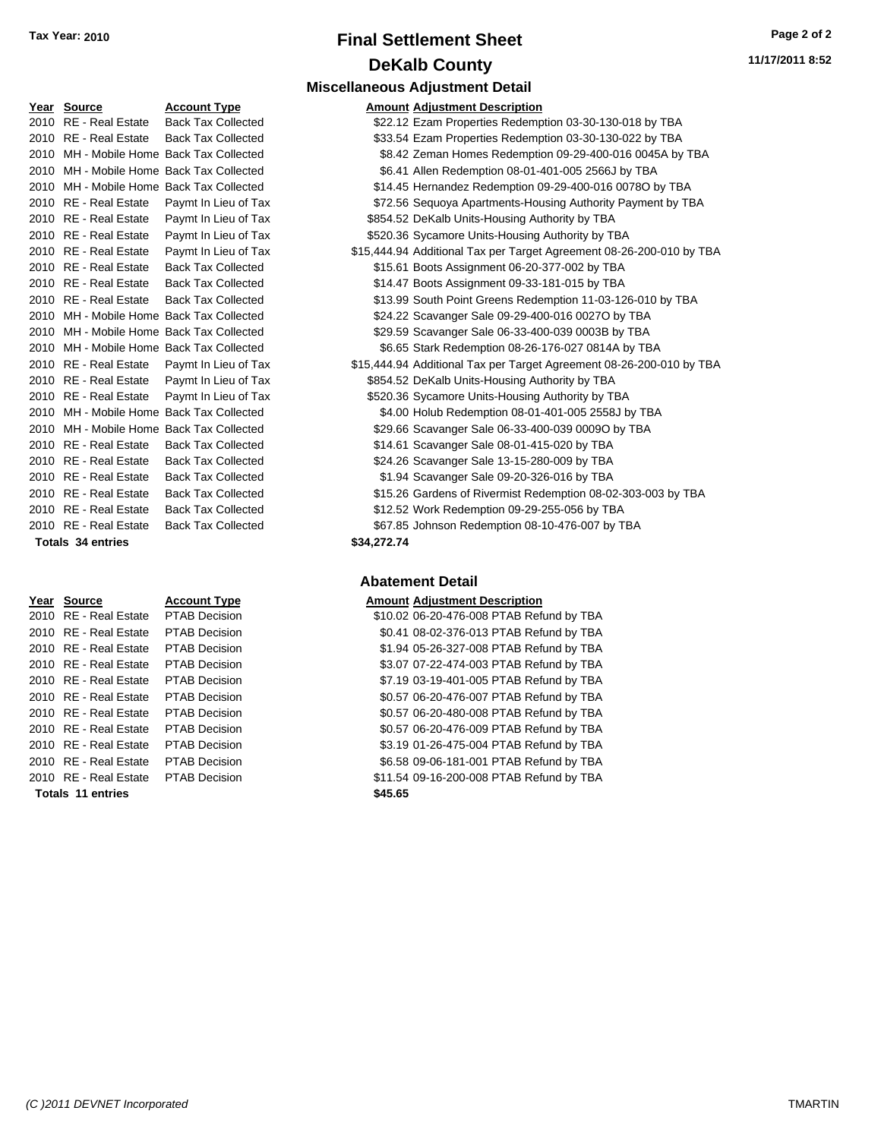# **Final Settlement Sheet Tax Year: 2010 Page 2 of 2 DeKalb County**

| Y <u>ear</u> | <b>Source</b>            | <b>Account Type</b>                        | Amount      |
|--------------|--------------------------|--------------------------------------------|-------------|
|              | 2010 RE - Real Estate    | <b>Back Tax Collected</b>                  | \$22.12     |
|              |                          | 2010 RE - Real Estate Back Tax Collected   | \$33.54     |
|              |                          | 2010 MH - Mobile Home Back Tax Collected   | \$8.42      |
|              |                          | 2010 MH - Mobile Home Back Tax Collected   | \$6.41      |
|              |                          | 2010 MH - Mobile Home Back Tax Collected   | \$14.45     |
|              | 2010 RE - Real Estate    | Paymt In Lieu of Tax                       | \$72.56     |
|              | 2010 RE - Real Estate    | Paymt In Lieu of Tax                       | \$854.52    |
|              | 2010 RE - Real Estate    | Paymt In Lieu of Tax                       | \$520.36    |
|              | 2010 RE - Real Estate    | Paymt In Lieu of Tax                       | \$15,444.94 |
|              | 2010 RE - Real Estate    | <b>Back Tax Collected</b>                  | \$15.61     |
|              |                          | 2010 RE - Real Estate Back Tax Collected   | \$14.47     |
|              |                          | 2010 RE - Real Estate Back Tax Collected   | \$13.99     |
|              |                          | 2010 MH - Mobile Home Back Tax Collected   | \$24.22     |
|              |                          | 2010 MH - Mobile Home Back Tax Collected   | \$29.59     |
|              |                          | 2010 MH - Mobile Home Back Tax Collected   | \$6.65      |
|              | 2010 RE - Real Estate    | Paymt In Lieu of Tax                       | \$15,444.94 |
|              |                          | 2010 RE - Real Estate Paymt In Lieu of Tax | \$854.52    |
|              | 2010 RE - Real Estate    | Paymt In Lieu of Tax                       | \$520.36    |
|              |                          | 2010 MH - Mobile Home Back Tax Collected   | \$4.00      |
|              |                          | 2010 MH - Mobile Home Back Tax Collected   | \$29.66     |
|              | 2010 RE - Real Estate    | <b>Back Tax Collected</b>                  | \$14.61     |
|              | 2010 RE - Real Estate    | <b>Back Tax Collected</b>                  | \$24.26     |
|              | 2010 RE - Real Estate    | <b>Back Tax Collected</b>                  | \$1.94      |
|              | 2010 RE - Real Estate    | <b>Back Tax Collected</b>                  | \$15.26     |
|              | 2010 RE - Real Estate    | <b>Back Tax Collected</b>                  | \$12.52     |
|              | 2010 RE - Real Estate    | <b>Back Tax Collected</b>                  | \$67.85     |
|              | <b>Totals 34 entries</b> |                                            | \$34,272.74 |

| Year Source                         | <b>Account Type</b>  | Amount  |
|-------------------------------------|----------------------|---------|
| 2010 RE - Real Estate               | <b>PTAB Decision</b> | \$10.02 |
| 2010 RE - Real Estate PTAB Decision |                      | \$0.41  |
| 2010 RE - Real Estate               | PTAB Decision        | \$1.94  |
| 2010 RE - Real Estate               | PTAB Decision        | \$3.07  |
| 2010 RE - Real Estate               | PTAB Decision        | \$7.19  |
| 2010 RE - Real Estate               | PTAB Decision        | \$0.57  |
| 2010 RE - Real Estate               | <b>PTAB Decision</b> | \$0.57  |
| 2010 RE - Real Estate               | <b>PTAB Decision</b> | \$0.57  |
| 2010 RE - Real Estate               | <b>PTAB Decision</b> | \$3.19  |
| 2010 RE - Real Estate               | PTAB Decision        | \$6.58  |
| 2010 RE - Real Estate PTAB Decision |                      | \$11.54 |
| Totals 11 entries                   |                      | \$45.65 |

## **Miscellaneous Adjustment Detail**

| Year Source           | <b>Account Type</b>                      |             | <b>Amount Adjustment Description</b>                                 |
|-----------------------|------------------------------------------|-------------|----------------------------------------------------------------------|
| 2010 RE - Real Estate | <b>Back Tax Collected</b>                |             | \$22.12 Ezam Properties Redemption 03-30-130-018 by TBA              |
| 2010 RE - Real Estate | <b>Back Tax Collected</b>                |             | \$33.54 Ezam Properties Redemption 03-30-130-022 by TBA              |
|                       | 2010 MH - Mobile Home Back Tax Collected |             | \$8.42 Zeman Homes Redemption 09-29-400-016 0045A by TBA             |
|                       | 2010 MH - Mobile Home Back Tax Collected |             | \$6.41 Allen Redemption 08-01-401-005 2566J by TBA                   |
|                       | 2010 MH - Mobile Home Back Tax Collected |             | \$14.45 Hernandez Redemption 09-29-400-016 00780 by TBA              |
| 2010 RE - Real Estate | Paymt In Lieu of Tax                     |             | \$72.56 Sequoya Apartments-Housing Authority Payment by TBA          |
| 2010 RE - Real Estate | Paymt In Lieu of Tax                     |             | \$854.52 DeKalb Units-Housing Authority by TBA                       |
| 2010 RE - Real Estate | Paymt In Lieu of Tax                     |             | \$520.36 Sycamore Units-Housing Authority by TBA                     |
| 2010 RE - Real Estate | Paymt In Lieu of Tax                     |             | \$15,444.94 Additional Tax per Target Agreement 08-26-200-010 by TBA |
| 2010 RE - Real Estate | <b>Back Tax Collected</b>                |             | \$15.61 Boots Assignment 06-20-377-002 by TBA                        |
| 2010 RE - Real Estate | <b>Back Tax Collected</b>                |             | \$14.47 Boots Assignment 09-33-181-015 by TBA                        |
| 2010 RE - Real Estate | <b>Back Tax Collected</b>                |             | \$13.99 South Point Greens Redemption 11-03-126-010 by TBA           |
|                       | 2010 MH - Mobile Home Back Tax Collected |             | \$24.22 Scavanger Sale 09-29-400-016 0027O by TBA                    |
|                       | 2010 MH - Mobile Home Back Tax Collected |             | \$29.59 Scavanger Sale 06-33-400-039 0003B by TBA                    |
|                       | 2010 MH - Mobile Home Back Tax Collected |             | \$6.65 Stark Redemption 08-26-176-027 0814A by TBA                   |
| 2010 RE - Real Estate | Paymt In Lieu of Tax                     |             | \$15,444.94 Additional Tax per Target Agreement 08-26-200-010 by TBA |
| 2010 RE - Real Estate | Paymt In Lieu of Tax                     |             | \$854.52 DeKalb Units-Housing Authority by TBA                       |
| 2010 RE - Real Estate | Paymt In Lieu of Tax                     |             | \$520.36 Sycamore Units-Housing Authority by TBA                     |
|                       | 2010 MH - Mobile Home Back Tax Collected |             | \$4.00 Holub Redemption 08-01-401-005 2558J by TBA                   |
|                       | 2010 MH - Mobile Home Back Tax Collected |             | \$29.66 Scavanger Sale 06-33-400-039 0009O by TBA                    |
| 2010 RE - Real Estate | <b>Back Tax Collected</b>                |             | \$14.61 Scavanger Sale 08-01-415-020 by TBA                          |
| 2010 RE - Real Estate | <b>Back Tax Collected</b>                |             | \$24.26 Scavanger Sale 13-15-280-009 by TBA                          |
| 2010 RE - Real Estate | <b>Back Tax Collected</b>                |             | \$1.94 Scavanger Sale 09-20-326-016 by TBA                           |
| 2010 RE - Real Estate | <b>Back Tax Collected</b>                |             | \$15.26 Gardens of Rivermist Redemption 08-02-303-003 by TBA         |
| 2010 RE - Real Estate | <b>Back Tax Collected</b>                |             | \$12.52 Work Redemption 09-29-255-056 by TBA                         |
| 2010 RE - Real Estate | <b>Back Tax Collected</b>                |             | \$67.85 Johnson Redemption 08-10-476-007 by TBA                      |
| Totals 34 entries     |                                          | \$34,272.74 |                                                                      |
|                       |                                          |             |                                                                      |

### **Abatement Detail**

### **Year Source Account Type Amount Adjustment Description**

| 2010 RE - Real Estate | PTAB Decision        | \$10.02 06-20-476-008 PTAB Refund by TBA |
|-----------------------|----------------------|------------------------------------------|
| 2010 RE - Real Estate | <b>PTAB Decision</b> | \$0.41 08-02-376-013 PTAB Refund by TBA  |
| 2010 RE - Real Estate | <b>PTAB Decision</b> | \$1.94 05-26-327-008 PTAB Refund by TBA  |
| 2010 RE - Real Estate | PTAB Decision        | \$3.07 07-22-474-003 PTAB Refund by TBA  |
| 2010 RE - Real Estate | <b>PTAB Decision</b> | \$7.19 03-19-401-005 PTAB Refund by TBA  |
| 2010 RE - Real Estate | <b>PTAB Decision</b> | \$0.57 06-20-476-007 PTAB Refund by TBA  |
| 2010 RE - Real Estate | <b>PTAB Decision</b> | \$0.57 06-20-480-008 PTAB Refund by TBA  |
| 2010 RE - Real Estate | <b>PTAB Decision</b> | \$0.57 06-20-476-009 PTAB Refund by TBA  |
| 2010 RE - Real Estate | <b>PTAB Decision</b> | \$3.19 01-26-475-004 PTAB Refund by TBA  |
| 2010 RE - Real Estate | <b>PTAB Decision</b> | \$6.58 09-06-181-001 PTAB Refund by TBA  |
| 2010 RE - Real Estate | <b>PTAB Decision</b> | \$11.54 09-16-200-008 PTAB Refund by TBA |
| Totals 11 entries     |                      | \$45.65                                  |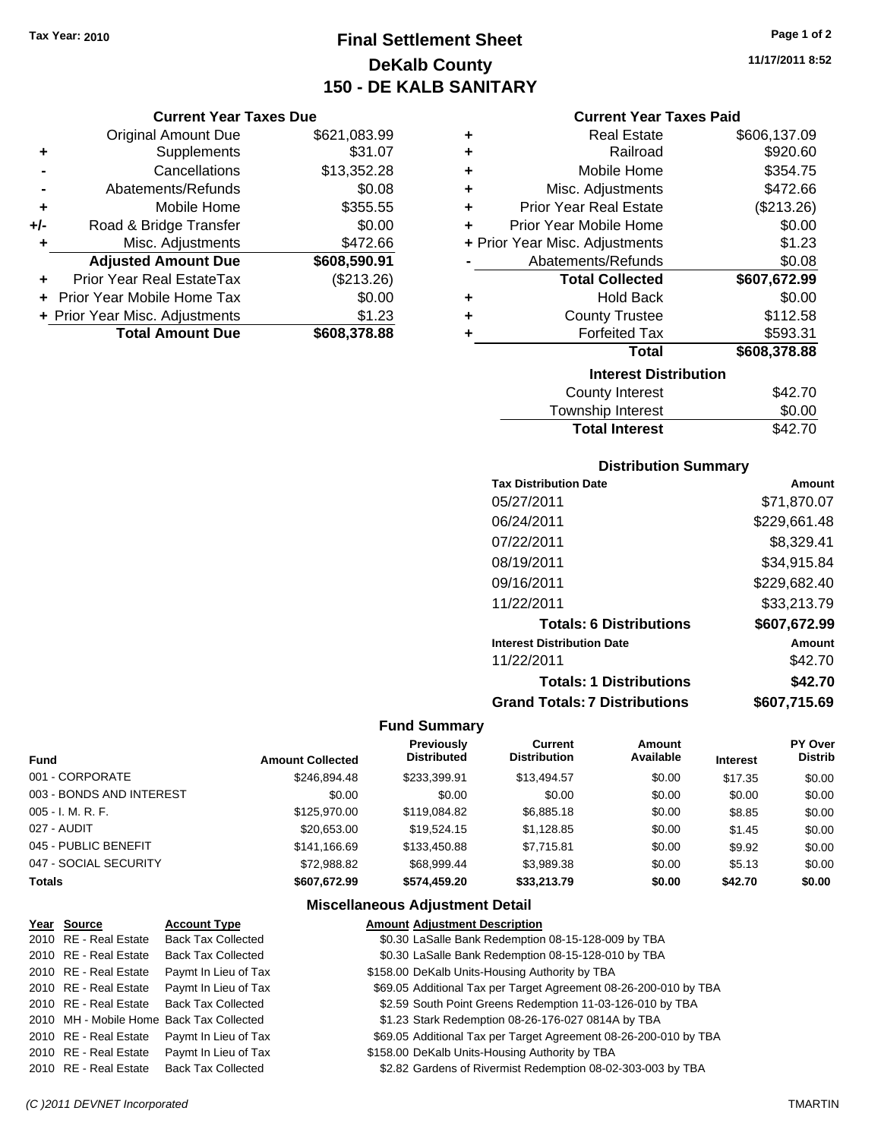## **Final Settlement Sheet Tax Year: 2010 Page 1 of 2 DeKalb County 150 - DE KALB SANITARY**

### **Current Year Taxes Due**

|     | <b>Original Amount Due</b>     | \$621,083.99 |
|-----|--------------------------------|--------------|
| ٠   | Supplements                    | \$31.07      |
|     | Cancellations                  | \$13,352.28  |
|     | Abatements/Refunds             | \$0.08       |
| ÷   | Mobile Home                    | \$355.55     |
| +/- | Road & Bridge Transfer         | \$0.00       |
| ٠   | Misc. Adjustments              | \$472.66     |
|     | <b>Adjusted Amount Due</b>     | \$608,590.91 |
|     | Prior Year Real EstateTax      | (\$213.26)   |
|     | Prior Year Mobile Home Tax     | \$0.00       |
|     | + Prior Year Misc. Adjustments | \$1.23       |
|     | <b>Total Amount Due</b>        | \$608,378.88 |

| ٠ | <b>Real Estate</b>             | \$606,137.09 |
|---|--------------------------------|--------------|
| ٠ | Railroad                       | \$920.60     |
| ٠ | Mobile Home                    | \$354.75     |
| ٠ | Misc. Adjustments              | \$472.66     |
| ٠ | <b>Prior Year Real Estate</b>  | (\$213.26)   |
| ÷ | Prior Year Mobile Home         | \$0.00       |
|   | + Prior Year Misc. Adjustments | \$1.23       |
|   | Abatements/Refunds             | \$0.08       |
|   | <b>Total Collected</b>         | \$607,672.99 |
| ٠ | <b>Hold Back</b>               | \$0.00       |
| ٠ | <b>County Trustee</b>          | \$112.58     |
|   |                                |              |
| ٠ | <b>Forfeited Tax</b>           | \$593.31     |
|   | Total                          | \$608,378.88 |
|   | <b>Interest Distribution</b>   |              |

| <b>Total Interest</b>  | \$42.70 |
|------------------------|---------|
| Township Interest      | \$0.00  |
| <b>County Interest</b> | \$42.70 |

### **Distribution Summary**

| \$71,870.07  |
|--------------|
| \$229,661.48 |
| \$8,329.41   |
| \$34,915.84  |
| \$229,682.40 |
| \$33,213.79  |
| \$607.672.99 |
| Amount       |
| \$42.70      |
| \$42.70      |
| \$607.715.69 |
|              |

### **Fund Summary**

| <b>Fund</b>              | <b>Amount Collected</b> | <b>Previously</b><br><b>Distributed</b> | Current<br><b>Distribution</b> | Amount<br>Available | <b>Interest</b> | PY Over<br><b>Distrib</b> |
|--------------------------|-------------------------|-----------------------------------------|--------------------------------|---------------------|-----------------|---------------------------|
| 001 - CORPORATE          | \$246,894.48            | \$233.399.91                            | \$13,494.57                    | \$0.00              | \$17.35         | \$0.00                    |
| 003 - BONDS AND INTEREST | \$0.00                  | \$0.00                                  | \$0.00                         | \$0.00              | \$0.00          | \$0.00                    |
| 005 - I. M. R. F.        | \$125,970.00            | \$119,084.82                            | \$6,885.18                     | \$0.00              | \$8.85          | \$0.00                    |
| 027 - AUDIT              | \$20.653.00             | \$19.524.15                             | \$1,128.85                     | \$0.00              | \$1.45          | \$0.00                    |
| 045 - PUBLIC BENEFIT     | \$141.166.69            | \$133,450.88                            | \$7,715.81                     | \$0.00              | \$9.92          | \$0.00                    |
| 047 - SOCIAL SECURITY    | \$72.988.82             | \$68,999.44                             | \$3,989.38                     | \$0.00              | \$5.13          | \$0.00                    |
| <b>Totals</b>            | \$607.672.99            | \$574.459.20                            | \$33,213.79                    | \$0.00              | \$42.70         | \$0.00                    |

## **Miscellaneous Adjustment Detail**

| Year Source           | <b>Account Type</b>                        | <b>Amount Adjustment Description</b>                             |
|-----------------------|--------------------------------------------|------------------------------------------------------------------|
| 2010 RE - Real Estate | <b>Back Tax Collected</b>                  | \$0.30 LaSalle Bank Redemption 08-15-128-009 by TBA              |
| 2010 RE - Real Estate | <b>Back Tax Collected</b>                  | \$0.30 LaSalle Bank Redemption 08-15-128-010 by TBA              |
| 2010 RE - Real Estate | Paymt In Lieu of Tax                       | \$158.00 DeKalb Units-Housing Authority by TBA                   |
| 2010 RE - Real Estate | Paymt In Lieu of Tax                       | \$69.05 Additional Tax per Target Agreement 08-26-200-010 by TBA |
| 2010 RE - Real Estate | <b>Back Tax Collected</b>                  | \$2.59 South Point Greens Redemption 11-03-126-010 by TBA        |
|                       | 2010 MH - Mobile Home Back Tax Collected   | \$1.23 Stark Redemption 08-26-176-027 0814A by TBA               |
| 2010 RE - Real Estate | Paymt In Lieu of Tax                       | \$69.05 Additional Tax per Target Agreement 08-26-200-010 by TBA |
|                       | 2010 RE - Real Estate Paymt In Lieu of Tax | \$158.00 DeKalb Units-Housing Authority by TBA                   |
| 2010 RE - Real Estate | <b>Back Tax Collected</b>                  | \$2.82 Gardens of Rivermist Redemption 08-02-303-003 by TBA      |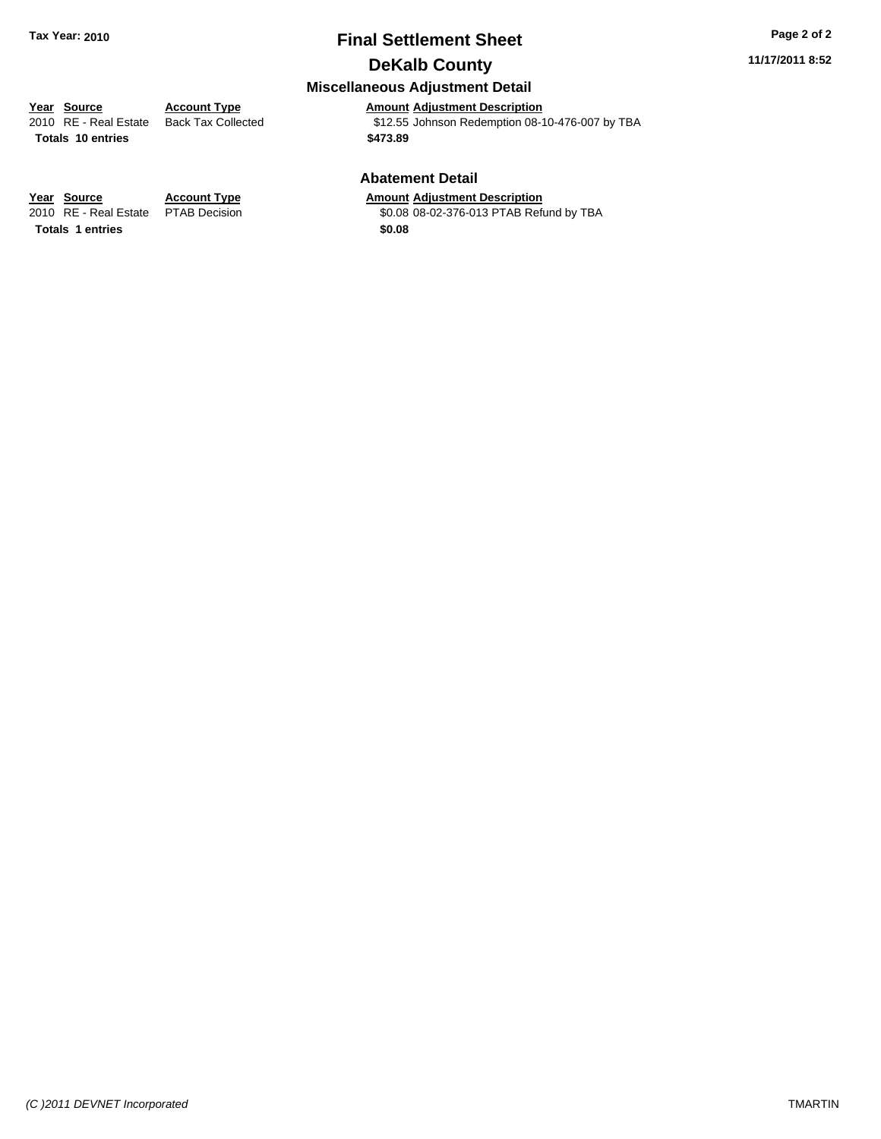## **Final Settlement Sheet Tax Year: 2010 Page 2 of 2 DeKalb County**

### **11/17/2011 8:52**

## **Miscellaneous Adjustment Detail**

**Year Source Account Type Amount Adjustment Description**<br>
2010 RE - Real Estate Back Tax Collected **1991** \$12.55 Johnson Redemption 08-1  $$12.55$  Johnson Redemption 08-10-476-007 by TBA **Totals \$473.89 10 entries**

### **Abatement Detail**

\$0.08 08-02-376-013 PTAB Refund by TBA

**Year Source Account Type Amount Adjustment Description**<br>2010 RE - Real Estate PTAB Decision **Amount COLOGES ACCOL ACCOL ADDER ADDER ADDER ACCOLL Totals \$0.08 1 entries**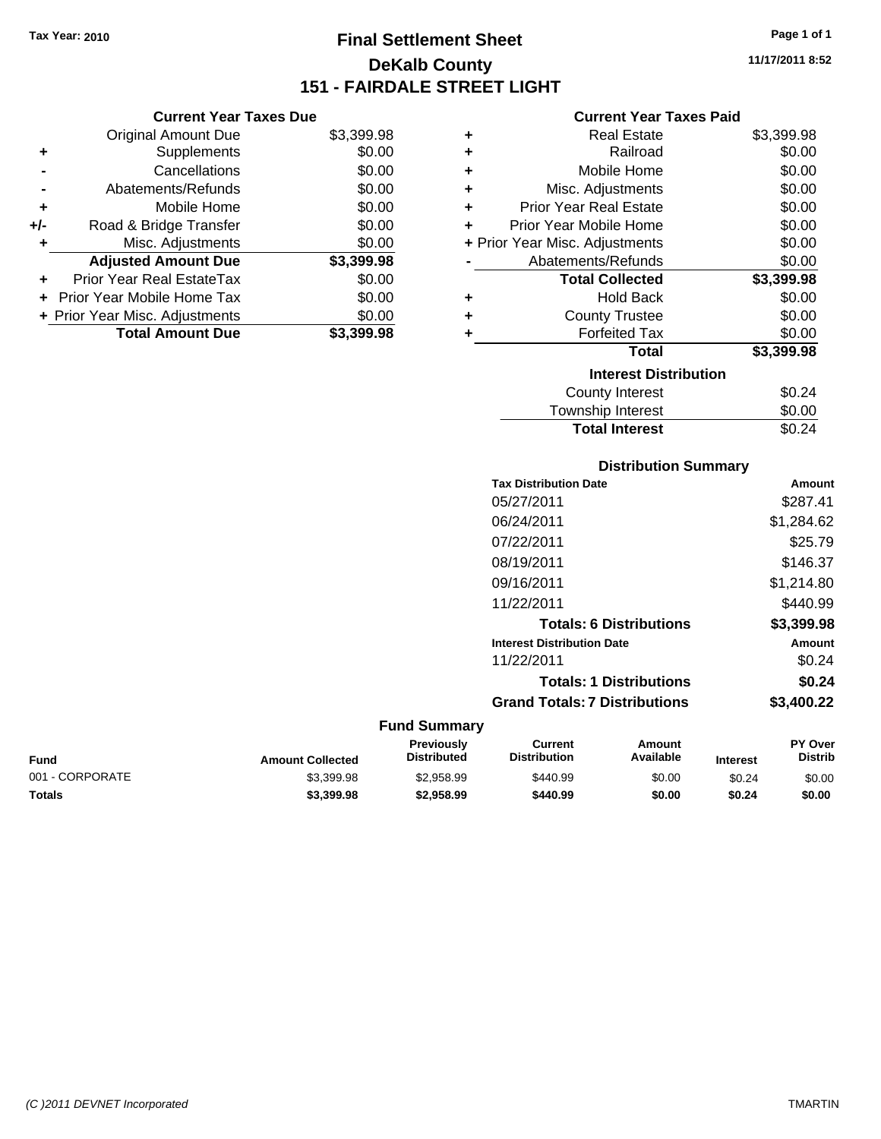**Current Year Taxes Due** Original Amount Due \$3,399.98

**Adjusted Amount Due \$3,399.98**

**Total Amount Due \$3,399.98**

**+** Supplements \$0.00 **-** Cancellations \$0.00 **-** Abatements/Refunds \$0.00 **+** Mobile Home \$0.00 **+/-** Road & Bridge Transfer \$0.00 **+** Misc. Adjustments \$0.00

**+** Prior Year Real EstateTax \$0.00 **+** Prior Year Mobile Home Tax \$0.00 **+ Prior Year Misc. Adjustments**  $$0.00$ 

## **Final Settlement Sheet Tax Year: 2010 Page 1 of 1 DeKalb County 151 - FAIRDALE STREET LIGHT**

**11/17/2011 8:52**

| <b>Current Year Taxes Paid</b> |  |  |  |
|--------------------------------|--|--|--|
|--------------------------------|--|--|--|

| ÷ | <b>Real Estate</b>             | \$3,399.98 |
|---|--------------------------------|------------|
| ٠ | Railroad                       | \$0.00     |
| ٠ | Mobile Home                    | \$0.00     |
| ٠ | Misc. Adjustments              | \$0.00     |
| ÷ | <b>Prior Year Real Estate</b>  | \$0.00     |
| ÷ | Prior Year Mobile Home         | \$0.00     |
|   | + Prior Year Misc. Adjustments | \$0.00     |
|   | Abatements/Refunds             | \$0.00     |
|   | <b>Total Collected</b>         | \$3,399.98 |
| ٠ | <b>Hold Back</b>               | \$0.00     |
| ٠ | <b>County Trustee</b>          | \$0.00     |
|   | <b>Forfeited Tax</b>           | \$0.00     |
|   | <b>Total</b>                   | \$3,399.98 |
|   | <b>Interest Distribution</b>   |            |
|   | <b>County Interest</b>         | \$0.24     |
|   | Townshin Interest              | ፍስ ሰስ      |

## County Interest  $$0.24$ wnship Interest  $$0.00$ **Total Interest** \$0.24

| <b>Distribution Summary</b> |  |
|-----------------------------|--|
|-----------------------------|--|

|                     | <b>Tax Distribution Date</b>         | Amount     |
|---------------------|--------------------------------------|------------|
|                     | 05/27/2011                           | \$287.41   |
|                     | 06/24/2011                           | \$1,284.62 |
|                     | 07/22/2011                           | \$25.79    |
|                     | 08/19/2011                           | \$146.37   |
|                     | 09/16/2011                           | \$1,214.80 |
|                     | 11/22/2011                           | \$440.99   |
|                     | <b>Totals: 6 Distributions</b>       | \$3,399.98 |
|                     | <b>Interest Distribution Date</b>    | Amount     |
|                     | 11/22/2011                           | \$0.24     |
|                     | <b>Totals: 1 Distributions</b>       | \$0.24     |
|                     | <b>Grand Totals: 7 Distributions</b> | \$3,400.22 |
| <b>Fund Summary</b> |                                      |            |

### **Fund Interest Amount Collected Distributed PY Over Distrib Amount Available Current Distribution Previously** 001 - CORPORATE \$3,399.98 \$2,958.99 \$440.99 \$0.00 \$0.24 \$0.00 **Totals \$3,399.98 \$2,958.99 \$440.99 \$0.00 \$0.24 \$0.00**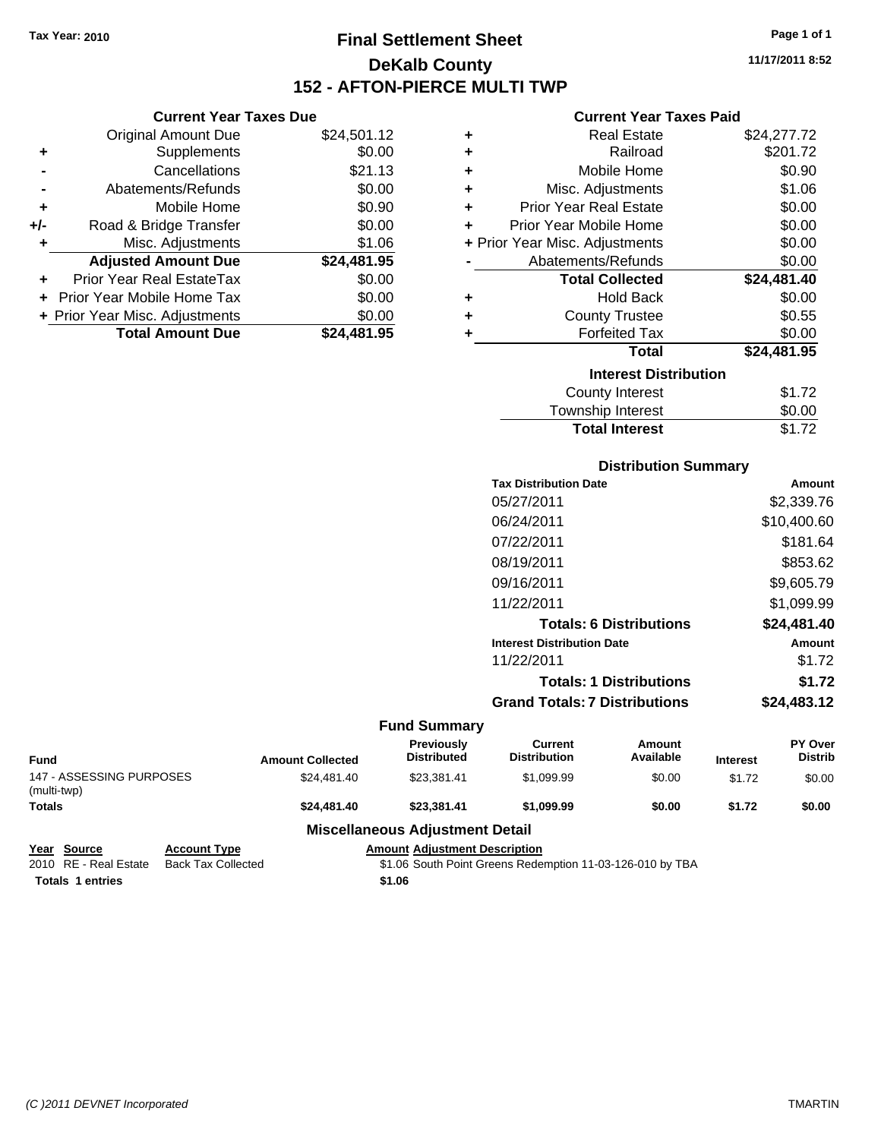**Current Year Taxes Due**

## **Final Settlement Sheet Tax Year: 2010 Page 1 of 1 DeKalb County 152 - AFTON-PIERCE MULTI TWP**

**11/17/2011 8:52**

### **Current Year Taxes Paid**

|                | <b>Original Amount Due</b>     | \$24,501.12 | ٠  | <b>Real Estate</b>             | \$24,277.72 |
|----------------|--------------------------------|-------------|----|--------------------------------|-------------|
| ٠              | Supplements                    | \$0.00      | ٠  | Railroad                       | \$201.72    |
| $\blacksquare$ | Cancellations                  | \$21.13     |    | Mobile Home                    | \$0.90      |
| $\blacksquare$ | Abatements/Refunds             | \$0.00      |    | Misc. Adjustments              | \$1.06      |
| ٠              | Mobile Home                    | \$0.90      |    | <b>Prior Year Real Estate</b>  | \$0.00      |
| I-             | Road & Bridge Transfer         | \$0.00      | ÷. | Prior Year Mobile Home         | \$0.00      |
| ÷              | Misc. Adjustments              | \$1.06      |    | + Prior Year Misc. Adjustments | \$0.00      |
|                | <b>Adjusted Amount Due</b>     | \$24,481.95 |    | Abatements/Refunds             | \$0.00      |
| ÷              | Prior Year Real EstateTax      | \$0.00      |    | <b>Total Collected</b>         | \$24,481.40 |
|                | + Prior Year Mobile Home Tax   | \$0.00      | ٠  | <b>Hold Back</b>               | \$0.00      |
|                | + Prior Year Misc. Adjustments | \$0.00      | ٠  | <b>County Trustee</b>          | \$0.55      |
|                | <b>Total Amount Due</b>        | \$24,481.95 |    | <b>Forfeited Tax</b>           | \$0.00      |
|                |                                |             |    | <b>Total</b>                   | \$24,481.95 |
|                |                                |             |    | <b>Interest Distribution</b>   |             |
|                |                                |             |    | County Interest                | \$1.72      |

| Interest Distribution |        |  |  |  |
|-----------------------|--------|--|--|--|
| County Interest       | \$1.72 |  |  |  |
| Township Interest     | \$0.00 |  |  |  |
| <b>Total Interest</b> | \$1.72 |  |  |  |
|                       |        |  |  |  |

### **Distribution Summary**

| <b>Tax Distribution Date</b>         | Amount      |
|--------------------------------------|-------------|
| 05/27/2011                           | \$2,339.76  |
| 06/24/2011                           | \$10,400.60 |
| 07/22/2011                           | \$181.64    |
| 08/19/2011                           | \$853.62    |
| 09/16/2011                           | \$9,605.79  |
| 11/22/2011                           | \$1,099.99  |
| <b>Totals: 6 Distributions</b>       | \$24,481.40 |
| <b>Interest Distribution Date</b>    | Amount      |
| 11/22/2011                           | \$1.72      |
| <b>Totals: 1 Distributions</b>       | \$1.72      |
| <b>Grand Totals: 7 Distributions</b> | \$24,483.12 |
|                                      |             |

### **Fund Summary**

| Fund                                    | <b>Amount Collected</b> | <b>Previously</b><br><b>Distributed</b> | Current<br><b>Distribution</b> | Amount<br>Available | <b>Interest</b> | <b>PY Over</b><br><b>Distrib</b> |
|-----------------------------------------|-------------------------|-----------------------------------------|--------------------------------|---------------------|-----------------|----------------------------------|
| 147 - ASSESSING PURPOSES<br>(multi-twp) | \$24,481.40             | \$23.381.41                             | \$1.099.99                     | \$0.00              | \$1.72          | \$0.00                           |
| <b>Totals</b>                           | \$24,481.40             | \$23.381.41                             | \$1,099.99                     | \$0.00              | \$1.72          | \$0.00                           |
|                                         |                         | Miccollangous Adjustment Detail         |                                |                     |                 |                                  |

### **Miscellaneous Adjustment Detail**

| Year Source             | <b>Account Type</b> | <b>Amount Adiustment Description</b>                      |
|-------------------------|---------------------|-----------------------------------------------------------|
| 2010 RE - Real Estate   | Back Tax Collected  | \$1.06 South Point Greens Redemption 11-03-126-010 by TBA |
| <b>Totals 1 entries</b> |                     | \$1.06                                                    |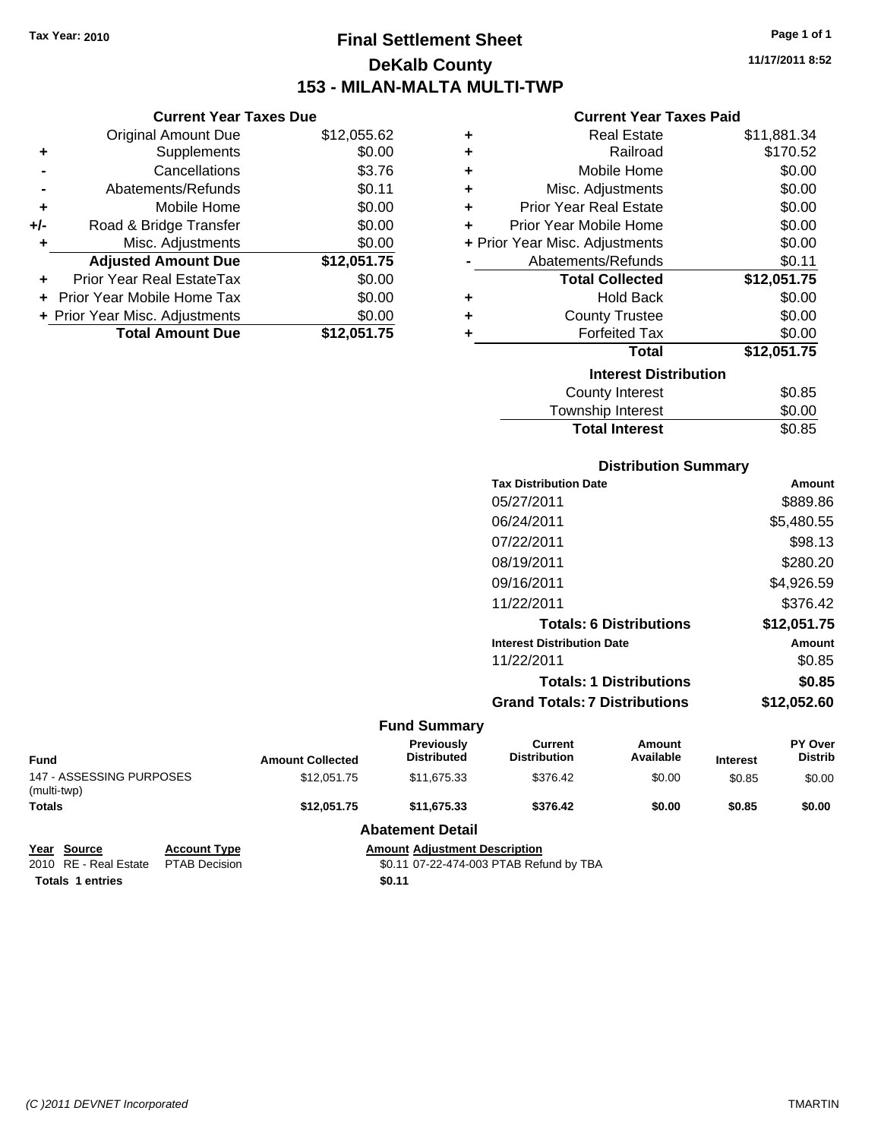## **Final Settlement Sheet Tax Year: 2010 Page 1 of 1 DeKalb County 153 - MILAN-MALTA MULTI-TWP**

**11/17/2011 8:52**

### **Current Year Taxes Paid**

|     | <b>Current Year Taxes Due</b>  |             |
|-----|--------------------------------|-------------|
|     | <b>Original Amount Due</b>     | \$12,055.62 |
| ٠   | Supplements                    | \$0.00      |
|     | Cancellations                  | \$3.76      |
|     | Abatements/Refunds             | \$0.11      |
| ٠   | Mobile Home                    | \$0.00      |
| +/- | Road & Bridge Transfer         | \$0.00      |
| ٠   | Misc. Adjustments              | \$0.00      |
|     | <b>Adjusted Amount Due</b>     | \$12,051.75 |
|     | Prior Year Real EstateTax      | \$0.00      |
|     | Prior Year Mobile Home Tax     | \$0.00      |
|     | + Prior Year Misc. Adjustments | \$0.00      |
|     | <b>Total Amount Due</b>        | \$12,051.75 |

| ٠ | Real Estate                    | \$11,881.34 |
|---|--------------------------------|-------------|
| ٠ | Railroad                       | \$170.52    |
| ٠ | Mobile Home                    | \$0.00      |
| ٠ | Misc. Adjustments              | \$0.00      |
| ٠ | <b>Prior Year Real Estate</b>  | \$0.00      |
| ٠ | Prior Year Mobile Home         | \$0.00      |
|   | + Prior Year Misc. Adjustments | \$0.00      |
|   | Abatements/Refunds             | \$0.11      |
|   | <b>Total Collected</b>         | \$12,051.75 |
| ٠ | <b>Hold Back</b>               | \$0.00      |
| ٠ | <b>County Trustee</b>          | \$0.00      |
| ٠ | <b>Forfeited Tax</b>           | \$0.00      |
|   | Total                          | \$12,051.75 |
|   | <b>Interest Distribution</b>   |             |
|   | <b>County Interest</b>         | \$0.85      |
|   | <b>Township Interest</b>       | \$0.00      |
|   | <b>Total Interest</b>          | \$0.85      |

## **Distribution Summary Tax Distribution Date Amount** 05/27/2011 \$889.86 06/24/2011 \$5,480.55 07/22/2011 \$98.13 08/19/2011 \$280.20 09/16/2011 \$4,926.59 11/22/2011 \$376.42 **Totals: 6 Distributions \$12,051.75 Interest Distribution Date Amount** 11/22/2011 \$0.85 **Totals: 1 Distributions \$0.85 Grand Totals: 7 Distributions \$12,052.60**

|                                         |                      |                                         | <b>Fund Summary</b>                     |                                |                     |                 |                                  |
|-----------------------------------------|----------------------|-----------------------------------------|-----------------------------------------|--------------------------------|---------------------|-----------------|----------------------------------|
| <b>Fund</b>                             |                      | <b>Amount Collected</b>                 | <b>Previously</b><br><b>Distributed</b> | Current<br><b>Distribution</b> | Amount<br>Available | <b>Interest</b> | <b>PY Over</b><br><b>Distrib</b> |
| 147 - ASSESSING PURPOSES<br>(multi-twp) |                      | \$12.051.75                             | \$11,675.33                             | \$376.42                       | \$0.00              | \$0.85          | \$0.00                           |
| <b>Totals</b>                           |                      | \$12.051.75                             | \$11,675.33                             | \$376.42                       | \$0.00              | \$0.85          | \$0.00                           |
|                                         |                      |                                         | <b>Abatement Detail</b>                 |                                |                     |                 |                                  |
| Year Source                             | <b>Account Type</b>  | <b>Amount Adjustment Description</b>    |                                         |                                |                     |                 |                                  |
| 2010 RE - Real Estate                   | <b>PTAB Decision</b> | \$0.11 07-22-474-003 PTAB Refund by TBA |                                         |                                |                     |                 |                                  |

**Totals 1 entries** \$0.11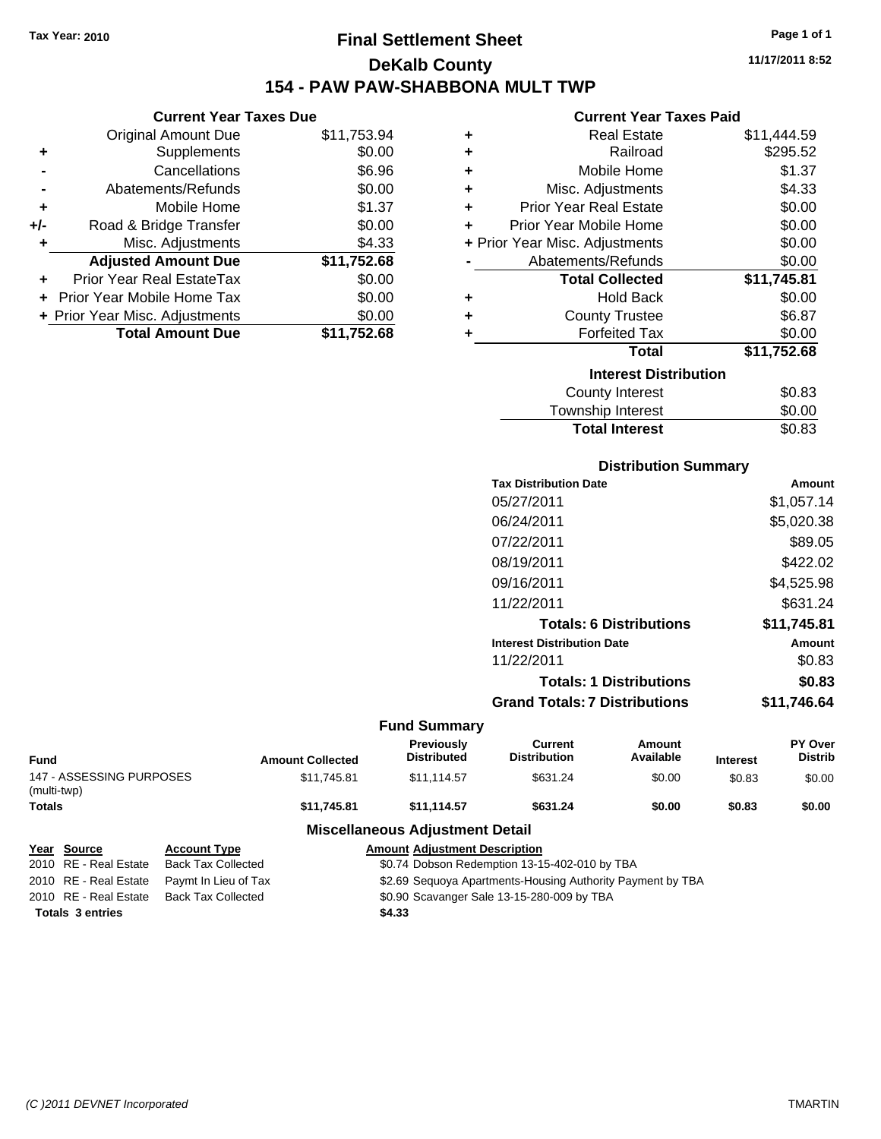## **Final Settlement Sheet Tax Year: 2010 Page 1 of 1 DeKalb County 154 - PAW PAW-SHABBONA MULT TWP**

### **Current Year Taxes Due**

|       | <b>Total Amount Due</b>           | \$11,752.68 |
|-------|-----------------------------------|-------------|
|       | + Prior Year Misc. Adjustments    | \$0.00      |
|       | <b>Prior Year Mobile Home Tax</b> | \$0.00      |
|       | Prior Year Real EstateTax         | \$0.00      |
|       | <b>Adjusted Amount Due</b>        | \$11,752.68 |
| ٠     | Misc. Adjustments                 | \$4.33      |
| $+/-$ | Road & Bridge Transfer            | \$0.00      |
| ÷     | Mobile Home                       | \$1.37      |
|       | Abatements/Refunds                | \$0.00      |
|       | Cancellations                     | \$6.96      |
| ٠     | Supplements                       | \$0.00      |
|       | <b>Original Amount Due</b>        | \$11,753.94 |
|       |                                   |             |

### **Current Year Taxes Paid**

| ٠ | Real Estate                    | \$11,444.59 |
|---|--------------------------------|-------------|
| ٠ | Railroad                       | \$295.52    |
| ÷ | Mobile Home                    | \$1.37      |
| ٠ | Misc. Adjustments              | \$4.33      |
| ٠ | <b>Prior Year Real Estate</b>  | \$0.00      |
| ٠ | Prior Year Mobile Home         | \$0.00      |
|   | + Prior Year Misc. Adjustments | \$0.00      |
|   | Abatements/Refunds             | \$0.00      |
|   | <b>Total Collected</b>         | \$11,745.81 |
| ٠ | <b>Hold Back</b>               | \$0.00      |
| ٠ | <b>County Trustee</b>          | \$6.87      |
|   | <b>Forfeited Tax</b>           | \$0.00      |
|   | Total                          | \$11,752.68 |
|   | <b>Interest Distribution</b>   |             |
|   | County Interest                | \$0.83      |
|   | <b>Township Interest</b>       | \$0.00      |
|   | <b>Total Interest</b>          | \$0.83      |

### **Distribution Summary Tax Distribution Date Amount**

| гах різтгіонтоп рате                 | AMOUNT      |
|--------------------------------------|-------------|
| 05/27/2011                           | \$1,057.14  |
| 06/24/2011                           | \$5,020.38  |
| 07/22/2011                           | \$89.05     |
| 08/19/2011                           | \$422.02    |
| 09/16/2011                           | \$4,525.98  |
| 11/22/2011                           | \$631.24    |
| <b>Totals: 6 Distributions</b>       | \$11,745.81 |
| <b>Interest Distribution Date</b>    | Amount      |
| 11/22/2011                           | \$0.83      |
| <b>Totals: 1 Distributions</b>       | \$0.83      |
| <b>Grand Totals: 7 Distributions</b> | \$11,746.64 |

|                                         |                     |                         | <b>Fund Summary</b>                    |                                |                            |                 |                           |
|-----------------------------------------|---------------------|-------------------------|----------------------------------------|--------------------------------|----------------------------|-----------------|---------------------------|
| Fund                                    |                     | <b>Amount Collected</b> | Previously<br><b>Distributed</b>       | <b>Current</b><br>Distribution | <b>Amount</b><br>Available | <b>Interest</b> | PY Over<br><b>Distrib</b> |
| 147 - ASSESSING PURPOSES<br>(multi-twp) |                     | \$11.745.81             | \$11.114.57                            | \$631.24                       | \$0.00                     | \$0.83          | \$0.00                    |
| <b>Totals</b>                           |                     | \$11.745.81             | \$11.114.57                            | \$631.24                       | \$0.00                     | \$0.83          | \$0.00                    |
|                                         |                     |                         | <b>Miscellaneous Adjustment Detail</b> |                                |                            |                 |                           |
| Year<br>Source                          | <b>Account Type</b> |                         | <b>Amount Adjustment Description</b>   |                                |                            |                 |                           |

### 2010 RE - Real Estate Back Tax Collected **120.74 Dobson Redemption 13-15-402-010 by TBA**<br>2010 RE - Real Estate Paymt In Lieu of Tax \$2.69 Sequoya Apartments-Housing Authority Pay \$2.69 Sequoya Apartments-Housing Authority Payment by TBA 2010 RE - Real Estate Back Tax Collected \$0.90 Scavanger Sale 13-15-280-009 by TBA **Totals \$4.33 3 entries**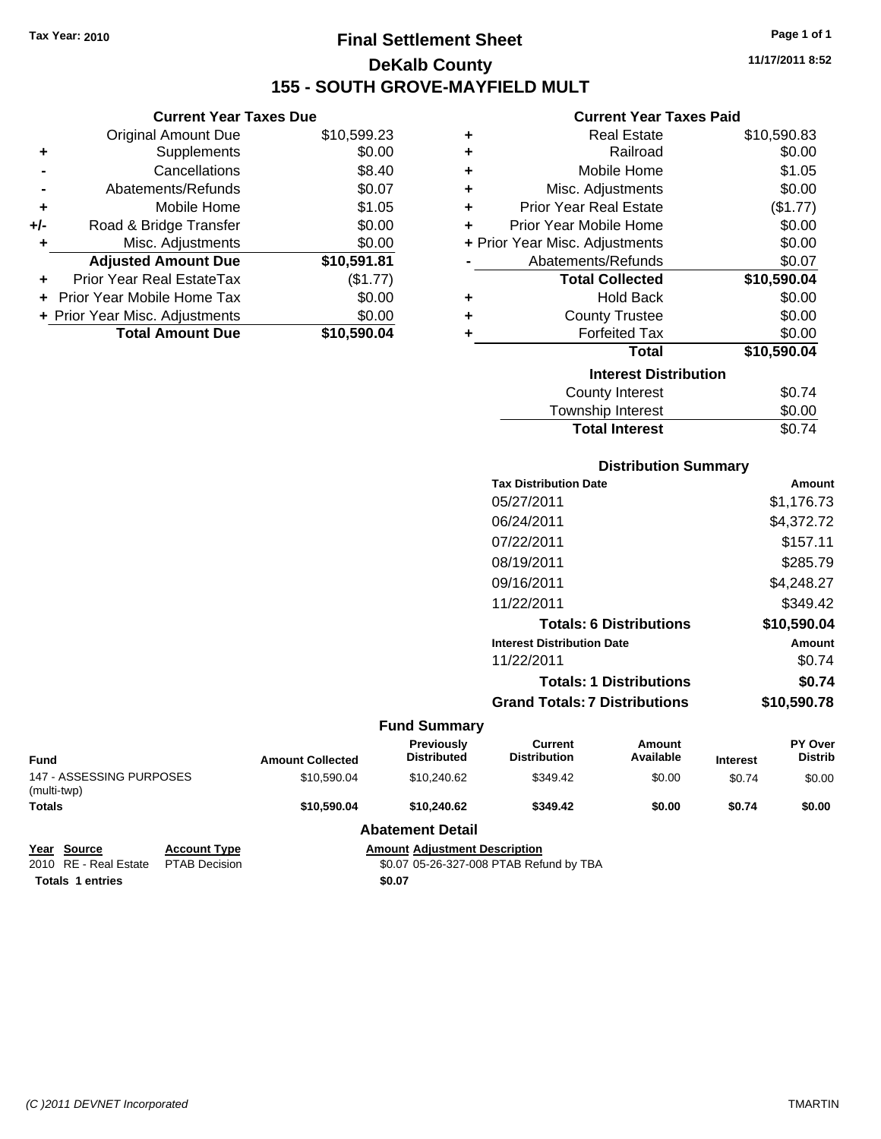## **Final Settlement Sheet Tax Year: 2010 Page 1 of 1 DeKalb County 155 - SOUTH GROVE-MAYFIELD MULT**

**11/17/2011 8:52**

### **Current Year Taxes Paid**

| ٠ | <b>Real Estate</b>             | \$10,590.83 |
|---|--------------------------------|-------------|
| ٠ | Railroad                       | \$0.00      |
| ÷ | Mobile Home                    | \$1.05      |
| ÷ | Misc. Adjustments              | \$0.00      |
| ÷ | <b>Prior Year Real Estate</b>  | (\$1.77)    |
| ٠ | Prior Year Mobile Home         | \$0.00      |
|   | + Prior Year Misc. Adjustments | \$0.00      |
|   | Abatements/Refunds             | \$0.07      |
|   | <b>Total Collected</b>         | \$10,590.04 |
| ٠ | <b>Hold Back</b>               | \$0.00      |
| ٠ | <b>County Trustee</b>          | \$0.00      |
| ÷ | <b>Forfeited Tax</b>           | \$0.00      |
|   | Total                          | \$10,590.04 |
|   | <b>Interest Distribution</b>   |             |
|   | County Interest                | \$0.74      |
|   | Townshin Interest              | ደ0 00       |

## **Distribution Summary** Township Interest  $$0.00$ **Total Interest** \$0.74

| <b>Tax Distribution Date</b>         | Amount      |
|--------------------------------------|-------------|
| 05/27/2011                           | \$1,176.73  |
| 06/24/2011                           | \$4,372.72  |
| 07/22/2011                           | \$157.11    |
| 08/19/2011                           | \$285.79    |
| 09/16/2011                           | \$4,248.27  |
| 11/22/2011                           | \$349.42    |
| <b>Totals: 6 Distributions</b>       | \$10,590.04 |
| <b>Interest Distribution Date</b>    | Amount      |
| 11/22/2011                           | \$0.74      |
| <b>Totals: 1 Distributions</b>       | \$0.74      |
| <b>Grand Totals: 7 Distributions</b> | \$10,590.78 |
|                                      |             |

|                                         |                     |                         | <b>Fund Summary</b>                  |                                |                     |                 |                                  |
|-----------------------------------------|---------------------|-------------------------|--------------------------------------|--------------------------------|---------------------|-----------------|----------------------------------|
| Fund                                    |                     | <b>Amount Collected</b> | Previously<br><b>Distributed</b>     | Current<br><b>Distribution</b> | Amount<br>Available | <b>Interest</b> | <b>PY Over</b><br><b>Distrib</b> |
| 147 - ASSESSING PURPOSES<br>(multi-twp) |                     | \$10,590.04             | \$10.240.62                          | \$349.42                       | \$0.00              | \$0.74          | \$0.00                           |
| <b>Totals</b>                           |                     | \$10,590,04             | \$10,240.62                          | \$349.42                       | \$0.00              | \$0.74          | \$0.00                           |
|                                         |                     |                         | <b>Abatement Detail</b>              |                                |                     |                 |                                  |
| Year Source                             | <b>Account Type</b> |                         | <b>Amount Adjustment Description</b> |                                |                     |                 |                                  |

**Totals 1 entries** \$0.07

**Current Year Taxes Due** Original Amount Due \$10,599.23

**Adjusted Amount Due \$10,591.81**

**Total Amount Due \$10,590.04**

**+** Supplements \$0.00 **-** Cancellations \$8.40 **-** Abatements/Refunds \$0.07 **+** Mobile Home \$1.05 **+/-** Road & Bridge Transfer \$0.00 **+** Misc. Adjustments \$0.00

**+** Prior Year Real EstateTax (\$1.77) **+** Prior Year Mobile Home Tax \$0.00 **+ Prior Year Misc. Adjustments**  $$0.00$ 

2010 RE - Real Estate PTAB Decision \$0.07 05-26-327-008 PTAB Refund by TBA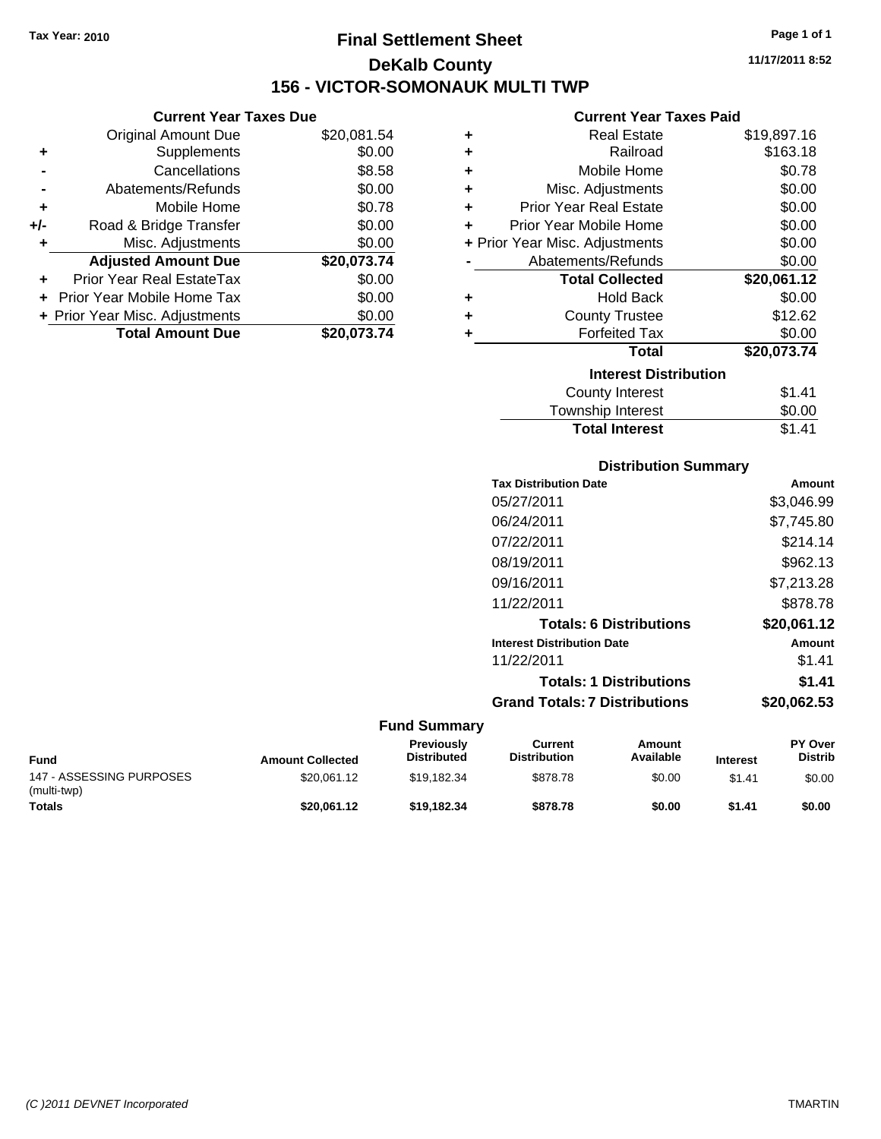## **Final Settlement Sheet Tax Year: 2010 Page 1 of 1 DeKalb County 156 - VICTOR-SOMONAUK MULTI TWP**

### **Current Year Taxes Due**

|       | <b>Original Amount Due</b>       | \$20,081.54 |
|-------|----------------------------------|-------------|
| ٠     | Supplements                      | \$0.00      |
|       | Cancellations                    | \$8.58      |
|       | Abatements/Refunds               | \$0.00      |
| ٠     | Mobile Home                      | \$0.78      |
| $+/-$ | Road & Bridge Transfer           | \$0.00      |
| ٠     | Misc. Adjustments                | \$0.00      |
|       | <b>Adjusted Amount Due</b>       | \$20,073.74 |
|       | <b>Prior Year Real EstateTax</b> | \$0.00      |
|       | Prior Year Mobile Home Tax       | \$0.00      |
|       | + Prior Year Misc. Adjustments   | \$0.00      |
|       | <b>Total Amount Due</b>          | \$20,073.74 |

### **Current Year Taxes Paid**

| ٠ | <b>Real Estate</b>             | \$19,897.16 |
|---|--------------------------------|-------------|
| ٠ | Railroad                       | \$163.18    |
| ٠ | Mobile Home                    | \$0.78      |
| ٠ | Misc. Adjustments              | \$0.00      |
| ÷ | <b>Prior Year Real Estate</b>  | \$0.00      |
| ٠ | Prior Year Mobile Home         | \$0.00      |
|   | + Prior Year Misc. Adjustments | \$0.00      |
|   | Abatements/Refunds             | \$0.00      |
|   |                                |             |
|   | <b>Total Collected</b>         | \$20,061.12 |
| ٠ | <b>Hold Back</b>               | \$0.00      |
| ٠ | <b>County Trustee</b>          | \$12.62     |
| ٠ | <b>Forfeited Tax</b>           | \$0.00      |
|   | <b>Total</b>                   | \$20,073.74 |
|   | <b>Interest Distribution</b>   |             |
|   | <b>County Interest</b>         | \$1.41      |

### **Distribution Summary Tax Distribution Date Amount** 05/27/2011 \$3,046.99 06/24/2011 \$7,745.80 07/22/2011 \$214.14 08/19/2011 \$962.13 09/16/2011 \$7,213.28 11/22/2011 \$878.78 **Totals: 6 Distributions \$20,061.12 Interest Distribution Date Amount** 11/22/2011 \$1.41 **Totals: 1 Distributions \$1.41**

Total Interest **\$1.41** 

**Grand Totals: 7 Distributions \$20,062.53**

| <b>Fund</b>                             | <b>Amount Collected</b> | <b>Previously</b><br><b>Distributed</b> | Current<br><b>Distribution</b> | Amount<br>Available | <b>Interest</b> | <b>PY Over</b><br>Distrib |
|-----------------------------------------|-------------------------|-----------------------------------------|--------------------------------|---------------------|-----------------|---------------------------|
| 147 - ASSESSING PURPOSES<br>(multi-twp) | \$20.061.12             | \$19.182.34                             | \$878.78                       | \$0.00              | \$1.41          | \$0.00                    |
| <b>Totals</b>                           | \$20.061.12             | \$19,182,34                             | \$878.78                       | \$0.00              | \$1.41          | \$0.00                    |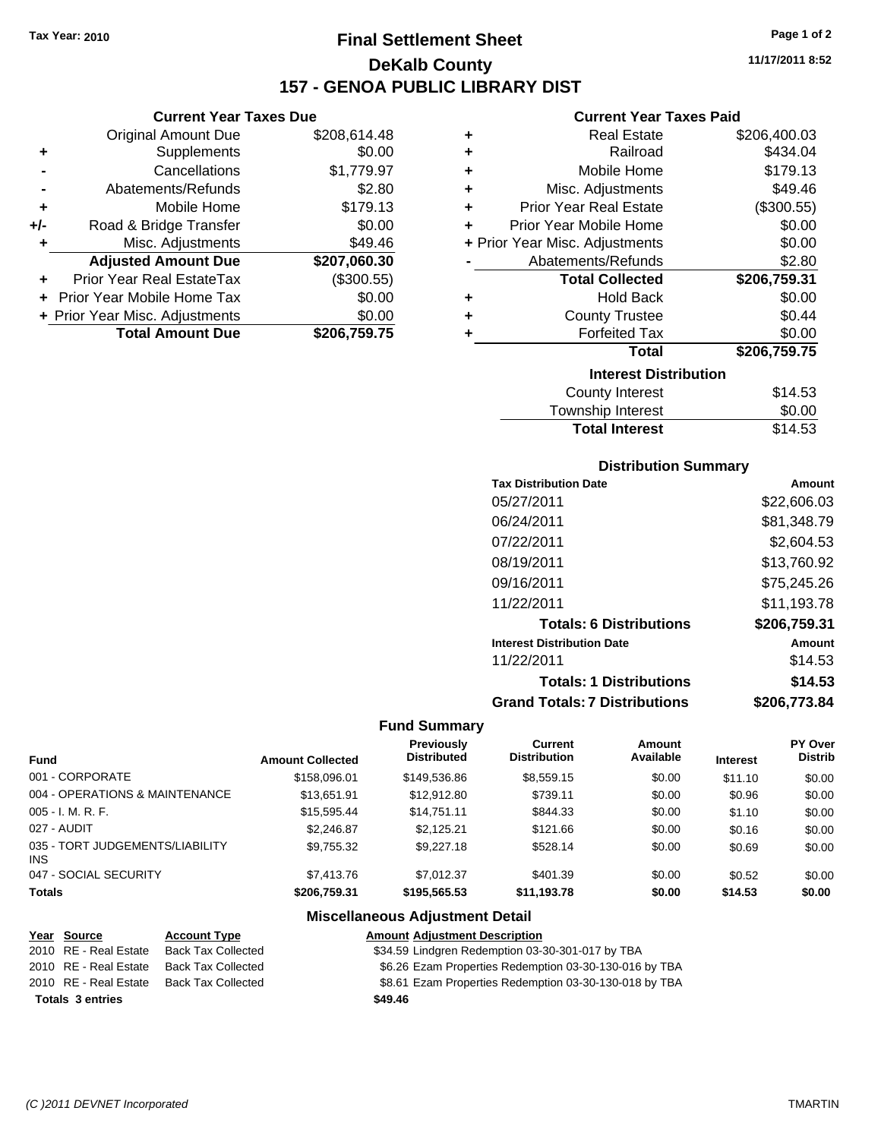**Current Year Taxes Due** Original Amount Due \$208,614.48

**Adjusted Amount Due \$207,060.30**

**Total Amount Due \$206,759.75**

**+** Supplements \$0.00 **-** Cancellations \$1,779.97 **-** Abatements/Refunds \$2.80 **+** Mobile Home \$179.13 **+/-** Road & Bridge Transfer \$0.00 **+** Misc. Adjustments \$49.46

**+** Prior Year Real EstateTax (\$300.55) **+** Prior Year Mobile Home Tax \$0.00 **+ Prior Year Misc. Adjustments**  $$0.00$ 

## **Final Settlement Sheet Tax Year: 2010 Page 1 of 2 DeKalb County 157 - GENOA PUBLIC LIBRARY DIST**

**11/17/2011 8:52**

### **Current Year Taxes Paid**

| ٠                            | <b>Real Estate</b>             | \$206,400.03 |  |  |
|------------------------------|--------------------------------|--------------|--|--|
| ٠                            | Railroad                       | \$434.04     |  |  |
| ÷                            | Mobile Home                    | \$179.13     |  |  |
| ÷                            | Misc. Adjustments              | \$49.46      |  |  |
| ٠                            | <b>Prior Year Real Estate</b>  | (\$300.55)   |  |  |
| ÷                            | Prior Year Mobile Home         | \$0.00       |  |  |
|                              | + Prior Year Misc. Adjustments | \$0.00       |  |  |
|                              | Abatements/Refunds             | \$2.80       |  |  |
|                              | <b>Total Collected</b>         | \$206,759.31 |  |  |
| ٠                            | <b>Hold Back</b>               | \$0.00       |  |  |
| ٠                            | <b>County Trustee</b>          | \$0.44       |  |  |
| ٠                            | <b>Forfeited Tax</b>           | \$0.00       |  |  |
|                              | <b>Total</b>                   | \$206,759.75 |  |  |
| <b>Interest Distribution</b> |                                |              |  |  |
|                              | <b>County Interest</b>         | \$14.53      |  |  |
|                              | Tauraahin Intornat             | ሮስ ሰሰ        |  |  |

| <b>Total Interest</b>  | \$14.53   |
|------------------------|-----------|
| Township Interest      | \$0.00    |
| <b>OUGHLY HILLICAL</b> | , ט. דו ש |

### **Distribution Summary**

| <b>Tax Distribution Date</b>         | Amount       |
|--------------------------------------|--------------|
| 05/27/2011                           | \$22,606.03  |
| 06/24/2011                           | \$81,348.79  |
| 07/22/2011                           | \$2,604.53   |
| 08/19/2011                           | \$13,760.92  |
| 09/16/2011                           | \$75,245.26  |
| 11/22/2011                           | \$11,193.78  |
| <b>Totals: 6 Distributions</b>       | \$206,759.31 |
| <b>Interest Distribution Date</b>    | Amount       |
| 11/22/2011                           | \$14.53      |
| <b>Totals: 1 Distributions</b>       | \$14.53      |
| <b>Grand Totals: 7 Distributions</b> | \$206.773.84 |
|                                      |              |

### **Fund Summary**

|                                         |                         | <b>Previously</b><br><b>Distributed</b> | Current<br><b>Distribution</b> | Amount<br>Available |                 | PY Over<br><b>Distrib</b> |
|-----------------------------------------|-------------------------|-----------------------------------------|--------------------------------|---------------------|-----------------|---------------------------|
| Fund                                    | <b>Amount Collected</b> |                                         |                                |                     | <b>Interest</b> |                           |
| 001 - CORPORATE                         | \$158,096.01            | \$149,536.86                            | \$8,559.15                     | \$0.00              | \$11.10         | \$0.00                    |
| 004 - OPERATIONS & MAINTENANCE          | \$13.651.91             | \$12,912.80                             | \$739.11                       | \$0.00              | \$0.96          | \$0.00                    |
| 005 - I. M. R. F.                       | \$15.595.44             | \$14,751.11                             | \$844.33                       | \$0.00              | \$1.10          | \$0.00                    |
| 027 - AUDIT                             | \$2,246.87              | \$2,125.21                              | \$121.66                       | \$0.00              | \$0.16          | \$0.00                    |
| 035 - TORT JUDGEMENTS/LIABILITY<br>INS. | \$9,755.32              | \$9,227.18                              | \$528.14                       | \$0.00              | \$0.69          | \$0.00                    |
| 047 - SOCIAL SECURITY                   | \$7,413.76              | \$7.012.37                              | \$401.39                       | \$0.00              | \$0.52          | \$0.00                    |
| <b>Totals</b>                           | \$206,759.31            | \$195,565,53                            | \$11,193.78                    | \$0.00              | \$14.53         | \$0.00                    |

### **Miscellaneous Adjustment Detail**

| Year Source             | <b>Account Type</b>       | <b>Amount Adjustment Description</b>                   |
|-------------------------|---------------------------|--------------------------------------------------------|
| 2010 RE - Real Estate   | <b>Back Tax Collected</b> | \$34.59 Lindgren Redemption 03-30-301-017 by TBA       |
| 2010 RE - Real Estate   | Back Tax Collected        | \$6.26 Ezam Properties Redemption 03-30-130-016 by TBA |
| 2010 RE - Real Estate   | <b>Back Tax Collected</b> | \$8.61 Ezam Properties Redemption 03-30-130-018 by TBA |
| <b>Totals 3 entries</b> |                           | \$49.46                                                |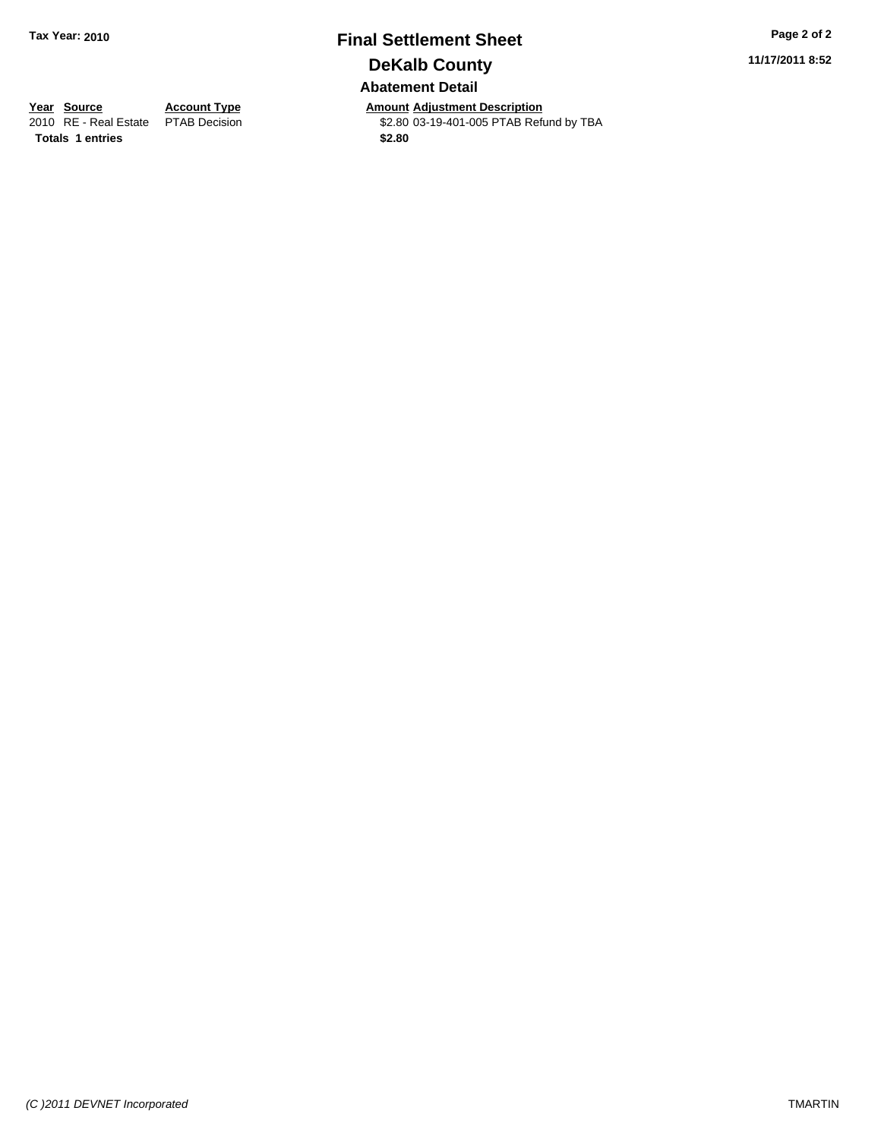## **Final Settlement Sheet Tax Year: 2010 Page 2 of 2 DeKalb County Abatement Detail**

\$2.80 03-19-401-005 PTAB Refund by TBA

**11/17/2011 8:52**

**Totals 1 entries** \$2.80

**Year Source Account Type Amount Adjustment Description**<br>
2010 RE - Real Estate PTAB Decision **Amount** \$2.80 03-19-401-005 PTAB Refu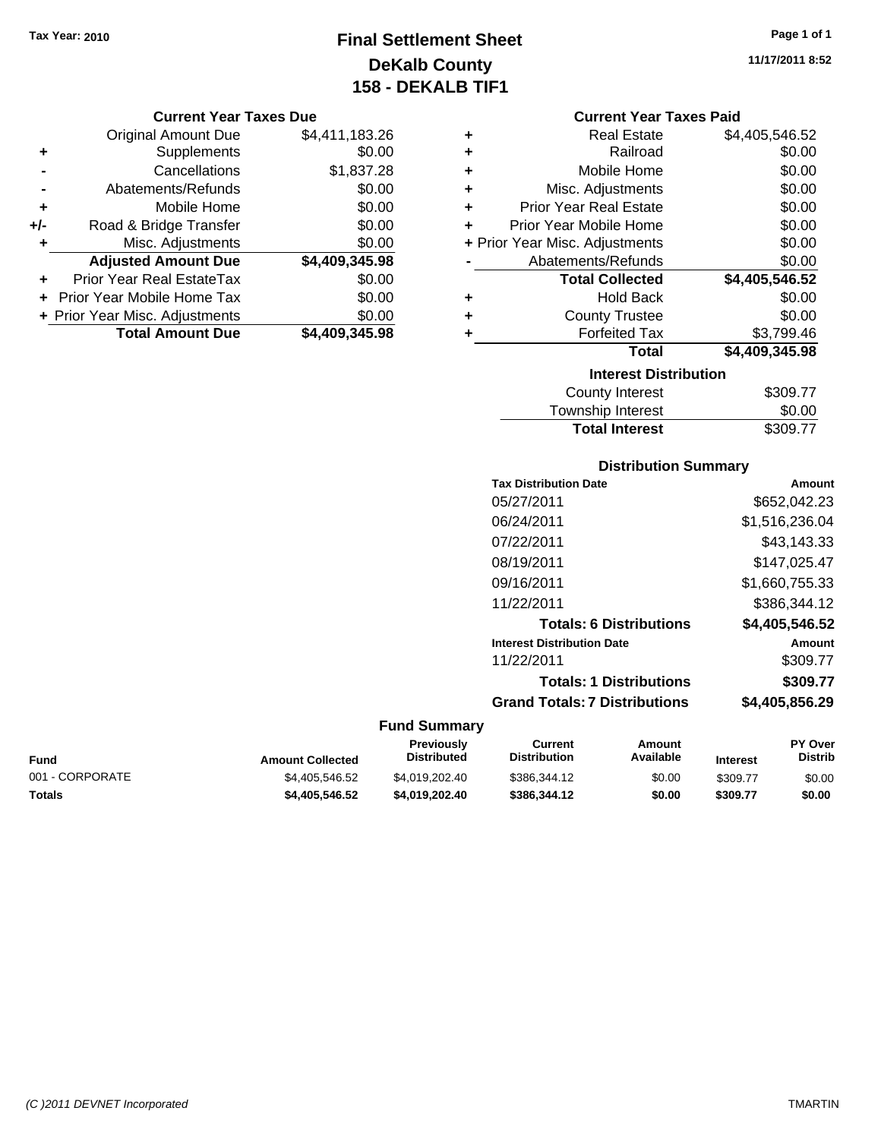## **Final Settlement Sheet Tax Year: 2010 Page 1 of 1 DeKalb County 158 - DEKALB TIF1**

### **Current Year Taxes Due**

|     | <b>Original Amount Due</b>     | \$4,411,183.26 |
|-----|--------------------------------|----------------|
| ٠   | Supplements                    | \$0.00         |
|     | Cancellations                  | \$1,837.28     |
|     | Abatements/Refunds             | \$0.00         |
| ÷   | Mobile Home                    | \$0.00         |
| +/- | Road & Bridge Transfer         | \$0.00         |
| ٠   | Misc. Adjustments              | \$0.00         |
|     | <b>Adjusted Amount Due</b>     | \$4,409,345.98 |
|     | Prior Year Real EstateTax      | \$0.00         |
|     | Prior Year Mobile Home Tax     | \$0.00         |
|     | + Prior Year Misc. Adjustments | \$0.00         |
|     | <b>Total Amount Due</b>        | \$4,409,345.98 |

| ٠ | <b>Real Estate</b>             | \$4,405,546.52 |
|---|--------------------------------|----------------|
| ٠ | Railroad                       | \$0.00         |
| ٠ | Mobile Home                    | \$0.00         |
| ٠ | Misc. Adjustments              | \$0.00         |
| ٠ | <b>Prior Year Real Estate</b>  | \$0.00         |
| ٠ | Prior Year Mobile Home         | \$0.00         |
|   | + Prior Year Misc. Adjustments | \$0.00         |
|   | Abatements/Refunds             | \$0.00         |
|   | <b>Total Collected</b>         | \$4,405,546.52 |
| ٠ | Hold Back                      | \$0.00         |
| ٠ | <b>County Trustee</b>          | \$0.00         |
| ٠ | <b>Forfeited Tax</b>           | \$3,799.46     |
|   | Total                          | \$4,409,345.98 |
|   | <b>Interest Distribution</b>   |                |
|   | County Interest                | \$309.77       |

| <b>Total Interest</b> | \$309.77 |
|-----------------------|----------|
| Township Interest     | \$0.00   |
| County Interest       | \$309.77 |

### **Distribution Summary**

|                     | <b>Tax Distribution Date</b>         | Amount         |
|---------------------|--------------------------------------|----------------|
|                     | 05/27/2011                           | \$652,042.23   |
|                     | 06/24/2011                           | \$1,516,236.04 |
|                     | 07/22/2011                           | \$43,143.33    |
|                     | 08/19/2011                           | \$147,025.47   |
|                     | 09/16/2011                           | \$1,660,755.33 |
|                     | 11/22/2011                           | \$386,344.12   |
|                     | <b>Totals: 6 Distributions</b>       | \$4,405,546.52 |
|                     | <b>Interest Distribution Date</b>    | Amount         |
|                     | 11/22/2011                           | \$309.77       |
|                     | <b>Totals: 1 Distributions</b>       | \$309.77       |
|                     | <b>Grand Totals: 7 Distributions</b> | \$4,405,856.29 |
| <b>Fund Summary</b> |                                      |                |

| <b>Amount Collected</b> | <b>Previously</b><br><b>Distributed</b> | Current<br><b>Distribution</b> | Amount<br>Available | <b>Interest</b> | <b>PY Over</b><br><b>Distrib</b> |
|-------------------------|-----------------------------------------|--------------------------------|---------------------|-----------------|----------------------------------|
| \$4.405.546.52          | \$4.019.202.40                          | \$386,344.12                   | \$0.00              | \$309.77        | \$0.00                           |
| \$4.405.546.52          | \$4.019.202.40                          | \$386,344.12                   | \$0.00              | \$309.77        | \$0.00                           |
|                         |                                         |                                |                     |                 |                                  |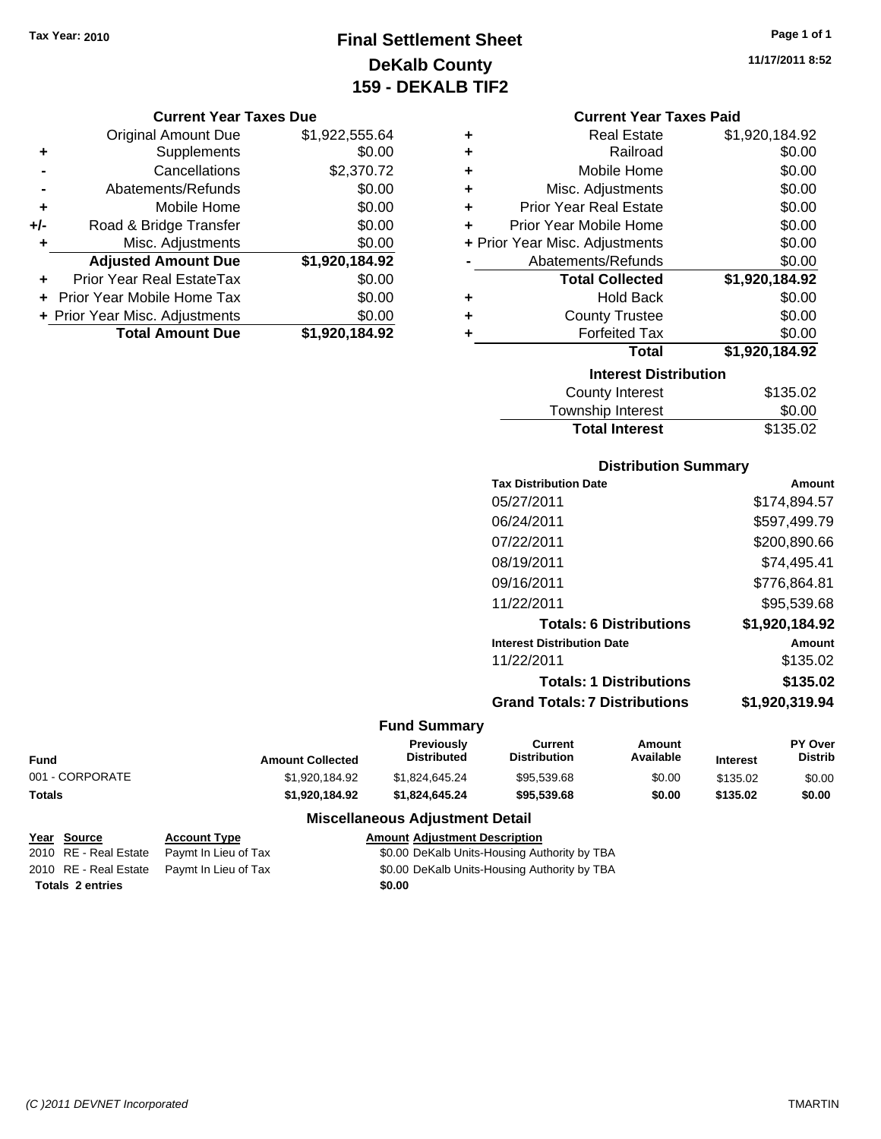## **Final Settlement Sheet Tax Year: 2010 Page 1 of 1 DeKalb County 159 - DEKALB TIF2**

### **Current Year Taxes Due**

|       | <b>Original Amount Due</b>       | \$1,922,555.64 |
|-------|----------------------------------|----------------|
| ٠     | Supplements                      | \$0.00         |
|       | Cancellations                    | \$2,370.72     |
|       | Abatements/Refunds               | \$0.00         |
| ÷     | Mobile Home                      | \$0.00         |
| $+/-$ | Road & Bridge Transfer           | \$0.00         |
| ٠     | Misc. Adjustments                | \$0.00         |
|       | <b>Adjusted Amount Due</b>       | \$1,920,184.92 |
|       | <b>Prior Year Real EstateTax</b> | \$0.00         |
|       | Prior Year Mobile Home Tax       | \$0.00         |
|       | + Prior Year Misc. Adjustments   | \$0.00         |
|       | <b>Total Amount Due</b>          | \$1,920,184.92 |

| ٠ | <b>Real Estate</b>             | \$1,920,184.92 |
|---|--------------------------------|----------------|
| ٠ | Railroad                       | \$0.00         |
| ÷ | Mobile Home                    | \$0.00         |
| ÷ | Misc. Adjustments              | \$0.00         |
| ٠ | <b>Prior Year Real Estate</b>  | \$0.00         |
| ٠ | Prior Year Mobile Home         | \$0.00         |
|   | + Prior Year Misc. Adjustments | \$0.00         |
|   | Abatements/Refunds             | \$0.00         |
|   | <b>Total Collected</b>         | \$1,920,184.92 |
| ٠ | <b>Hold Back</b>               | \$0.00         |
| ٠ | <b>County Trustee</b>          | \$0.00         |
| ٠ | <b>Forfeited Tax</b>           | \$0.00         |
|   | Total                          | \$1,920,184.92 |
|   | <b>Interest Distribution</b>   |                |
|   | County Interest                | ፍ135 ሰ2        |

| <b>Total Interest</b> | \$135.02 |
|-----------------------|----------|
| Township Interest     | \$0.00   |
| County Interest       | \$135.02 |

### **Distribution Summary**

| <b>Tax Distribution Date</b>         | Amount         |
|--------------------------------------|----------------|
| 05/27/2011                           | \$174,894.57   |
| 06/24/2011                           | \$597,499.79   |
| 07/22/2011                           | \$200,890.66   |
| 08/19/2011                           | \$74,495.41    |
| 09/16/2011                           | \$776.864.81   |
| 11/22/2011                           | \$95,539,68    |
| <b>Totals: 6 Distributions</b>       | \$1,920,184.92 |
| <b>Interest Distribution Date</b>    | Amount         |
| 11/22/2011                           | \$135.02       |
| <b>Totals: 1 Distributions</b>       | \$135.02       |
| <b>Grand Totals: 7 Distributions</b> | \$1,920,319.94 |
|                                      |                |

### **Fund Summary**

| Fund            | <b>Amount Collected</b> | <b>Previously</b><br><b>Distributed</b> | Current<br><b>Distribution</b> | Amount<br>Available | <b>Interest</b> | <b>PY Over</b><br><b>Distrib</b> |
|-----------------|-------------------------|-----------------------------------------|--------------------------------|---------------------|-----------------|----------------------------------|
| 001 - CORPORATE | \$1.920.184.92          | \$1.824.645.24                          | \$95,539.68                    | \$0.00              | \$135.02        | \$0.00                           |
| Totals          | \$1,920,184,92          | \$1.824.645.24                          | \$95,539.68                    | \$0.00              | \$135.02        | \$0.00                           |

### **Miscellaneous Adjustment Detail**

| Year Source             | <b>Account Type</b>                        | <b>Amount Adiustment Description</b>         |
|-------------------------|--------------------------------------------|----------------------------------------------|
|                         | 2010 RE - Real Estate Paymt In Lieu of Tax | \$0.00 DeKalb Units-Housing Authority by TBA |
|                         | 2010 RE - Real Estate Paymt In Lieu of Tax | \$0.00 DeKalb Units-Housing Authority by TBA |
| <b>Totals 2 entries</b> |                                            | \$0.00                                       |

**11/17/2011 8:52**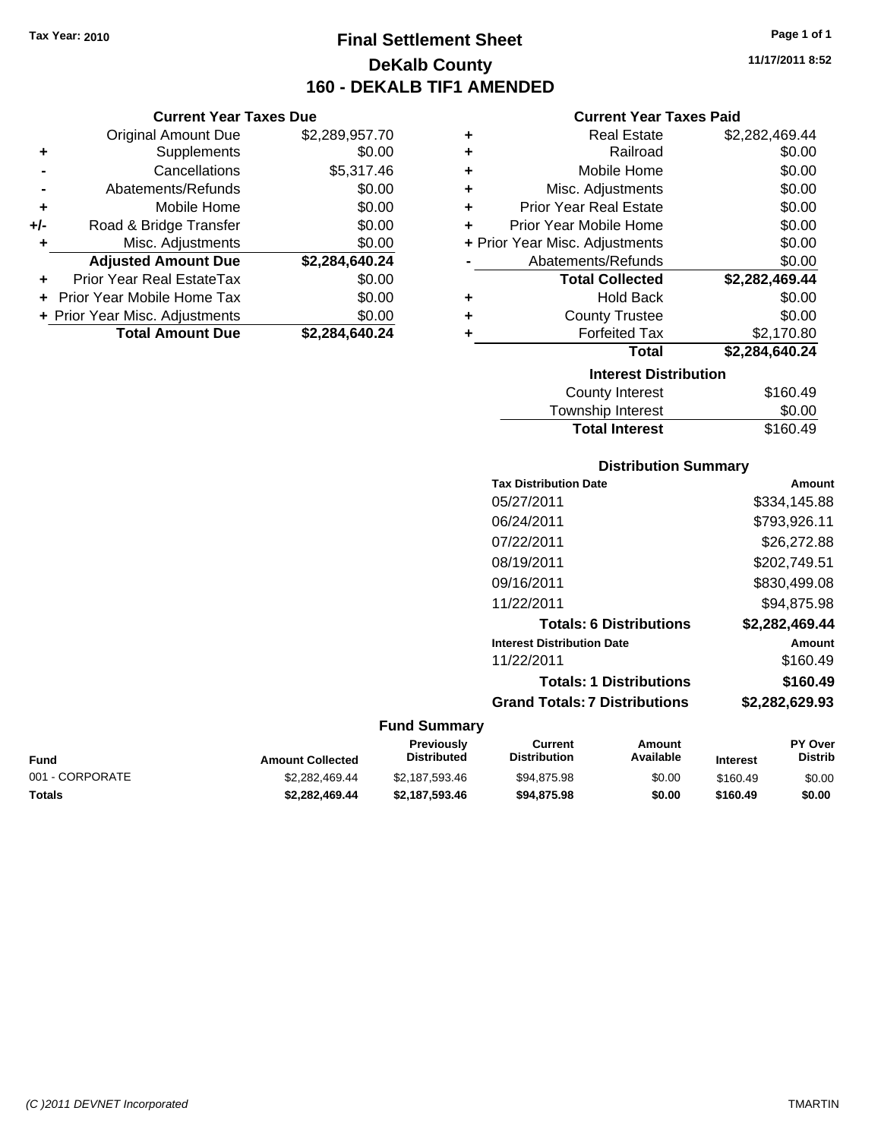**Current Year Taxes Due** Original Amount Due \$2,289,957.70

**Adjusted Amount Due \$2,284,640.24**

**Total Amount Due \$2,284,640.24**

**+** Supplements \$0.00 **-** Cancellations \$5,317.46 **-** Abatements/Refunds \$0.00 **+** Mobile Home \$0.00 **+/-** Road & Bridge Transfer \$0.00 **+** Misc. Adjustments \$0.00

**+** Prior Year Real EstateTax \$0.00 **+** Prior Year Mobile Home Tax \$0.00 **+ Prior Year Misc. Adjustments**  $$0.00$ 

## **Final Settlement Sheet Tax Year: 2010 Page 1 of 1 DeKalb County 160 - DEKALB TIF1 AMENDED**

**11/17/2011 8:52**

### **Current Year Taxes Paid**

| ٠ | <b>Real Estate</b>             | \$2,282,469.44 |
|---|--------------------------------|----------------|
| ٠ | Railroad                       | \$0.00         |
| ٠ | Mobile Home                    | \$0.00         |
| ÷ | Misc. Adjustments              | \$0.00         |
| ÷ | <b>Prior Year Real Estate</b>  | \$0.00         |
| ÷ | Prior Year Mobile Home         | \$0.00         |
|   | + Prior Year Misc. Adjustments | \$0.00         |
|   | Abatements/Refunds             | \$0.00         |
|   | <b>Total Collected</b>         | \$2,282,469.44 |
| ٠ | <b>Hold Back</b>               | \$0.00         |
| ÷ | <b>County Trustee</b>          | \$0.00         |
| ٠ | <b>Forfeited Tax</b>           | \$2,170.80     |
|   | Total                          | \$2,284,640.24 |
|   | <b>Interest Distribution</b>   |                |
|   | County Interest                | \$160.49       |
|   |                                |                |

| <b>Total Interest</b> | \$160.49 |
|-----------------------|----------|
| Township Interest     | \$0.00   |
| County Interest       | \$160.49 |

### **Distribution Summary**

|                     | <b>Tax Distribution Date</b>         | Amount         |
|---------------------|--------------------------------------|----------------|
|                     | 05/27/2011                           | \$334,145.88   |
|                     | 06/24/2011                           | \$793,926.11   |
|                     | 07/22/2011                           | \$26,272.88    |
|                     | 08/19/2011                           | \$202,749.51   |
|                     | 09/16/2011                           | \$830,499.08   |
|                     | 11/22/2011                           | \$94,875.98    |
|                     | <b>Totals: 6 Distributions</b>       | \$2,282,469.44 |
|                     | <b>Interest Distribution Date</b>    | Amount         |
|                     | 11/22/2011                           | \$160.49       |
|                     | <b>Totals: 1 Distributions</b>       | \$160.49       |
|                     | <b>Grand Totals: 7 Distributions</b> | \$2,282,629.93 |
| <b>Fund Summary</b> |                                      |                |

### **Fund Interest Amount Collected Distributed PY Over Distrib Amount Available Current Distribution Previously** 001 - CORPORATE \$2,282,469.44 \$2,187,593.46 \$94,875.98 \$0.00 \$160.49 \$0.00 **Totals \$2,282,469.44 \$2,187,593.46 \$94,875.98 \$0.00 \$160.49 \$0.00**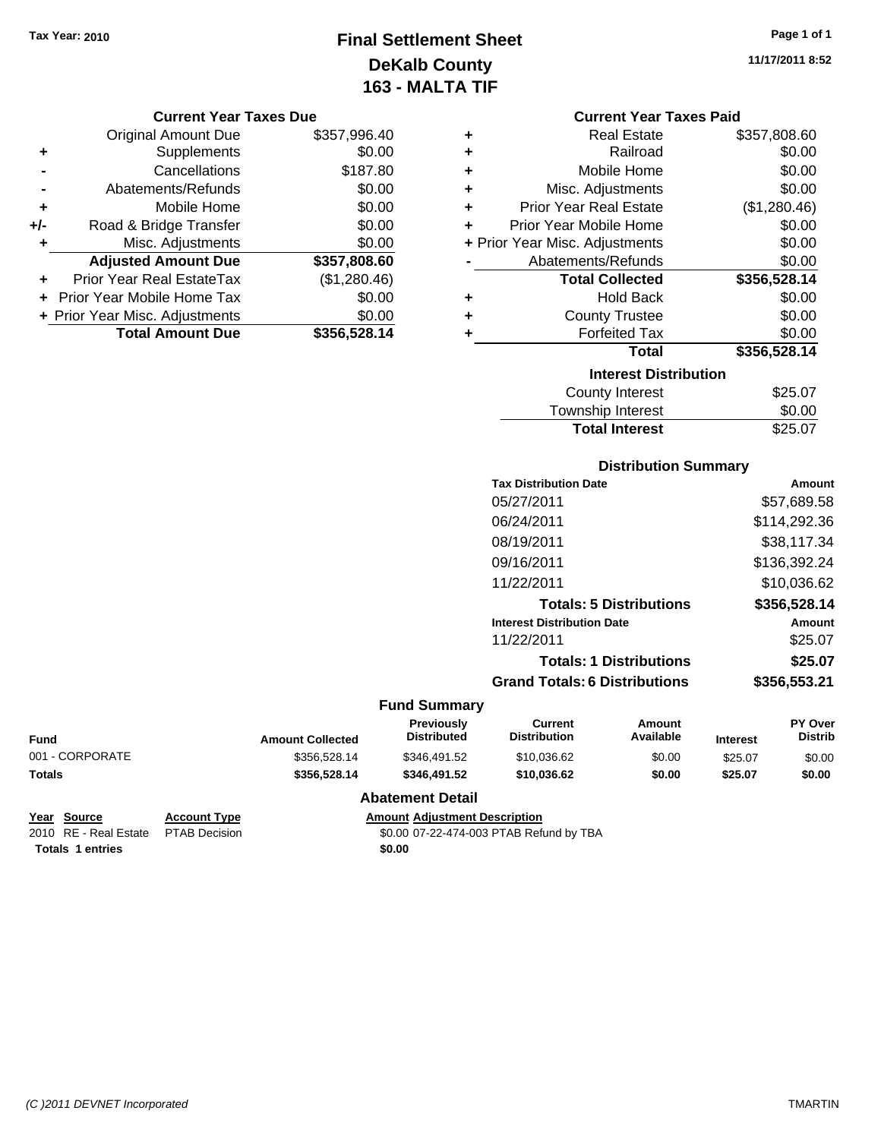## **Final Settlement Sheet Tax Year: 2010 Page 1 of 1 DeKalb County 163 - MALTA TIF**

**11/17/2011 8:52**

### **Current Year Taxes Due**

|       | <b>Original Amount Due</b>     | \$357,996.40 |
|-------|--------------------------------|--------------|
| ٠     | Supplements                    | \$0.00       |
|       | Cancellations                  | \$187.80     |
|       | Abatements/Refunds             | \$0.00       |
| ÷     | Mobile Home                    | \$0.00       |
| $+/-$ | Road & Bridge Transfer         | \$0.00       |
| ٠     | Misc. Adjustments              | \$0.00       |
|       | <b>Adjusted Amount Due</b>     | \$357,808.60 |
|       | Prior Year Real EstateTax      | (\$1,280.46) |
|       | Prior Year Mobile Home Tax     | \$0.00       |
|       | + Prior Year Misc. Adjustments | \$0.00       |
|       | <b>Total Amount Due</b>        | \$356,528.14 |

|                              | <b>Current Year Taxes Paid</b> |              |  |
|------------------------------|--------------------------------|--------------|--|
| ٠                            | <b>Real Estate</b>             | \$357,808.60 |  |
| ٠                            | Railroad                       | \$0.00       |  |
| ÷                            | Mobile Home                    | \$0.00       |  |
| ÷                            | Misc. Adjustments              | \$0.00       |  |
| ÷                            | <b>Prior Year Real Estate</b>  | (\$1,280.46) |  |
| ÷                            | Prior Year Mobile Home         | \$0.00       |  |
|                              | + Prior Year Misc. Adjustments | \$0.00       |  |
|                              | Abatements/Refunds             | \$0.00       |  |
|                              | <b>Total Collected</b>         | \$356,528.14 |  |
| ٠                            | <b>Hold Back</b>               | \$0.00       |  |
| ÷                            | <b>County Trustee</b>          | \$0.00       |  |
| ٠                            | <b>Forfeited Tax</b>           | \$0.00       |  |
|                              | Total                          | \$356,528.14 |  |
| <b>Interest Distribution</b> |                                |              |  |
|                              | <b>County Interest</b>         | \$25.07      |  |
|                              | <b>Township Interest</b>       | \$0.00       |  |

### **Distribution Summary**

Total Interest \$25.07

|                     | <b>Tax Distribution Date</b>         | Amount       |
|---------------------|--------------------------------------|--------------|
|                     | 05/27/2011                           | \$57,689.58  |
|                     | 06/24/2011                           | \$114,292.36 |
|                     | 08/19/2011                           | \$38,117.34  |
|                     | 09/16/2011                           | \$136,392.24 |
|                     | 11/22/2011                           | \$10,036.62  |
|                     | <b>Totals: 5 Distributions</b>       | \$356,528.14 |
|                     | <b>Interest Distribution Date</b>    | Amount       |
|                     | 11/22/2011                           | \$25.07      |
|                     | <b>Totals: 1 Distributions</b>       | \$25.07      |
|                     | <b>Grand Totals: 6 Distributions</b> | \$356,553.21 |
| <b>Fund Summarv</b> |                                      |              |

| Fund            | <b>Amount Collected</b> | <b>Previously</b><br><b>Distributed</b> | Current<br><b>Distribution</b> | Amount<br>Available | <b>Interest</b> | <b>PY Over</b><br><b>Distrib</b> |
|-----------------|-------------------------|-----------------------------------------|--------------------------------|---------------------|-----------------|----------------------------------|
| 001 - CORPORATE | \$356,528.14            | \$346.491.52                            | \$10.036.62                    | \$0.00              | \$25.07         | \$0.00                           |
| Totals          | \$356,528.14            | \$346.491.52                            | \$10,036.62                    | \$0.00              | \$25.07         | \$0.00                           |

### **Abatement Detail**

### **Year Source Account Type Amount Adjustment Description**

2010 RE - Real Estate \$0.00 07-22-474-003 PTAB Refund by TBA PTAB Decision

**Totals 1 entries** \$0.00

*(C )2011 DEVNET Incorporated* TMARTIN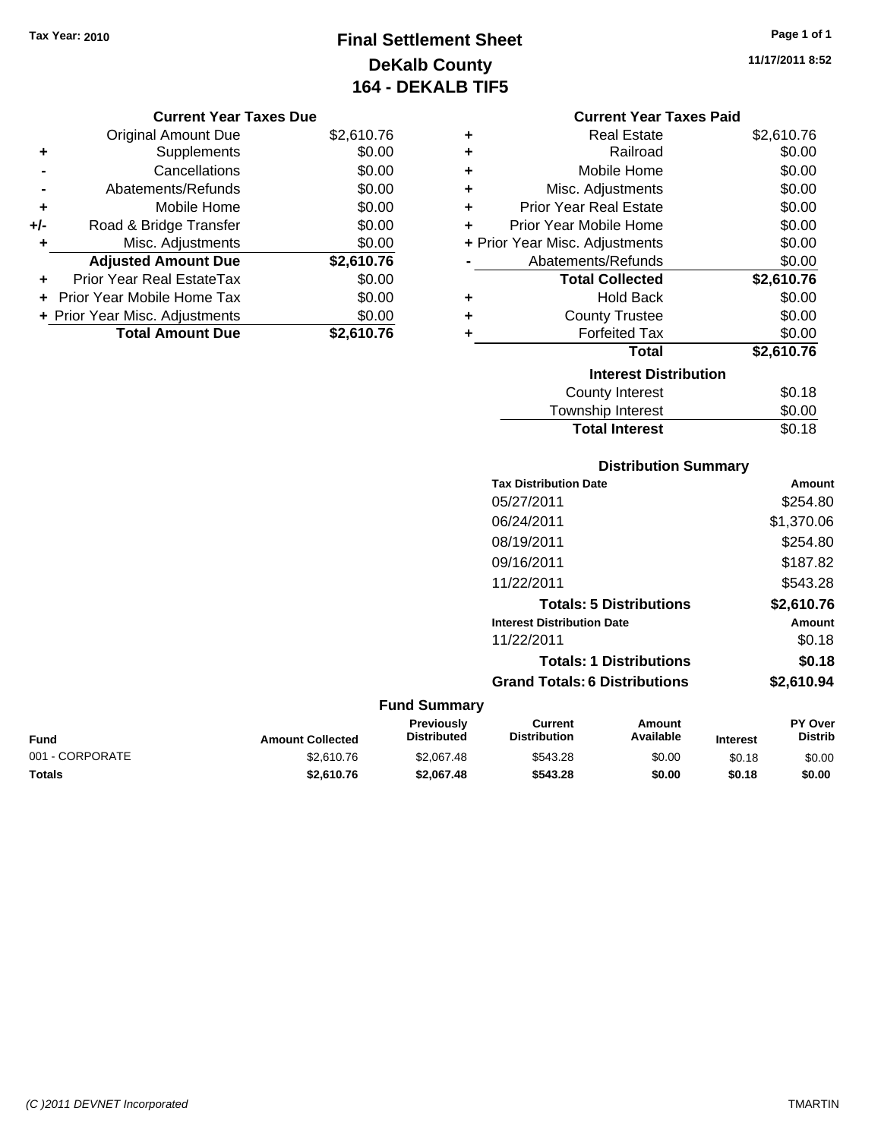## **Final Settlement Sheet Tax Year: 2010 Page 1 of 1 DeKalb County 164 - DEKALB TIF5**

**11/17/2011 8:52**

### **Current Year Taxes Due**

|     | <b>Original Amount Due</b>       | \$2,610.76 |
|-----|----------------------------------|------------|
| ٠   | Supplements                      | \$0.00     |
|     | Cancellations                    | \$0.00     |
|     | Abatements/Refunds               | \$0.00     |
| ٠   | Mobile Home                      | \$0.00     |
| +/- | Road & Bridge Transfer           | \$0.00     |
| ٠   | Misc. Adjustments                | \$0.00     |
|     | <b>Adjusted Amount Due</b>       | \$2,610.76 |
|     | <b>Prior Year Real EstateTax</b> | \$0.00     |
|     | Prior Year Mobile Home Tax       | \$0.00     |
|     | + Prior Year Misc. Adjustments   | \$0.00     |
|     | <b>Total Amount Due</b>          | \$2,610.76 |

### **Current Year Taxes Paid**

| ٠ | <b>Real Estate</b>             | \$2,610.76 |
|---|--------------------------------|------------|
| ÷ | Railroad                       | \$0.00     |
| ÷ | Mobile Home                    | \$0.00     |
| ÷ | Misc. Adjustments              | \$0.00     |
| ÷ | <b>Prior Year Real Estate</b>  | \$0.00     |
| ٠ | Prior Year Mobile Home         | \$0.00     |
|   | + Prior Year Misc. Adjustments | \$0.00     |
|   | Abatements/Refunds             | \$0.00     |
|   | <b>Total Collected</b>         | \$2,610.76 |
|   |                                |            |
| ٠ | <b>Hold Back</b>               | \$0.00     |
| ٠ | <b>County Trustee</b>          | \$0.00     |
|   | <b>Forfeited Tax</b>           | \$0.00     |
|   | <b>Total</b>                   | \$2,610.76 |
|   | <b>Interest Distribution</b>   |            |
|   | County Interest                | \$0.18     |

| Township Interest     | \$0.00 |
|-----------------------|--------|
| <b>Total Interest</b> | \$0.18 |

### **Distribution Summary**

| <b>Tax Distribution Date</b>         | Amount     |
|--------------------------------------|------------|
| 05/27/2011                           | \$254.80   |
| 06/24/2011                           | \$1,370.06 |
| 08/19/2011                           | \$254.80   |
| 09/16/2011                           | \$187.82   |
| 11/22/2011                           | \$543.28   |
| <b>Totals: 5 Distributions</b>       | \$2,610.76 |
| <b>Interest Distribution Date</b>    | Amount     |
| 11/22/2011                           | \$0.18     |
| <b>Totals: 1 Distributions</b>       | \$0.18     |
| <b>Grand Totals: 6 Distributions</b> | \$2.610.94 |
|                                      |            |

| <b>Fund</b>     | <b>Amount Collected</b> | <b>Previously</b><br><b>Distributed</b> | Current<br><b>Distribution</b> | Amount<br>Available | <b>Interest</b> | <b>PY Over</b><br><b>Distrib</b> |
|-----------------|-------------------------|-----------------------------------------|--------------------------------|---------------------|-----------------|----------------------------------|
| 001 - CORPORATE | \$2,610.76              | \$2,067.48                              | \$543.28                       | \$0.00              | \$0.18          | \$0.00                           |
| <b>Totals</b>   | \$2,610.76              | \$2.067.48                              | \$543.28                       | \$0.00              | \$0.18          | \$0.00                           |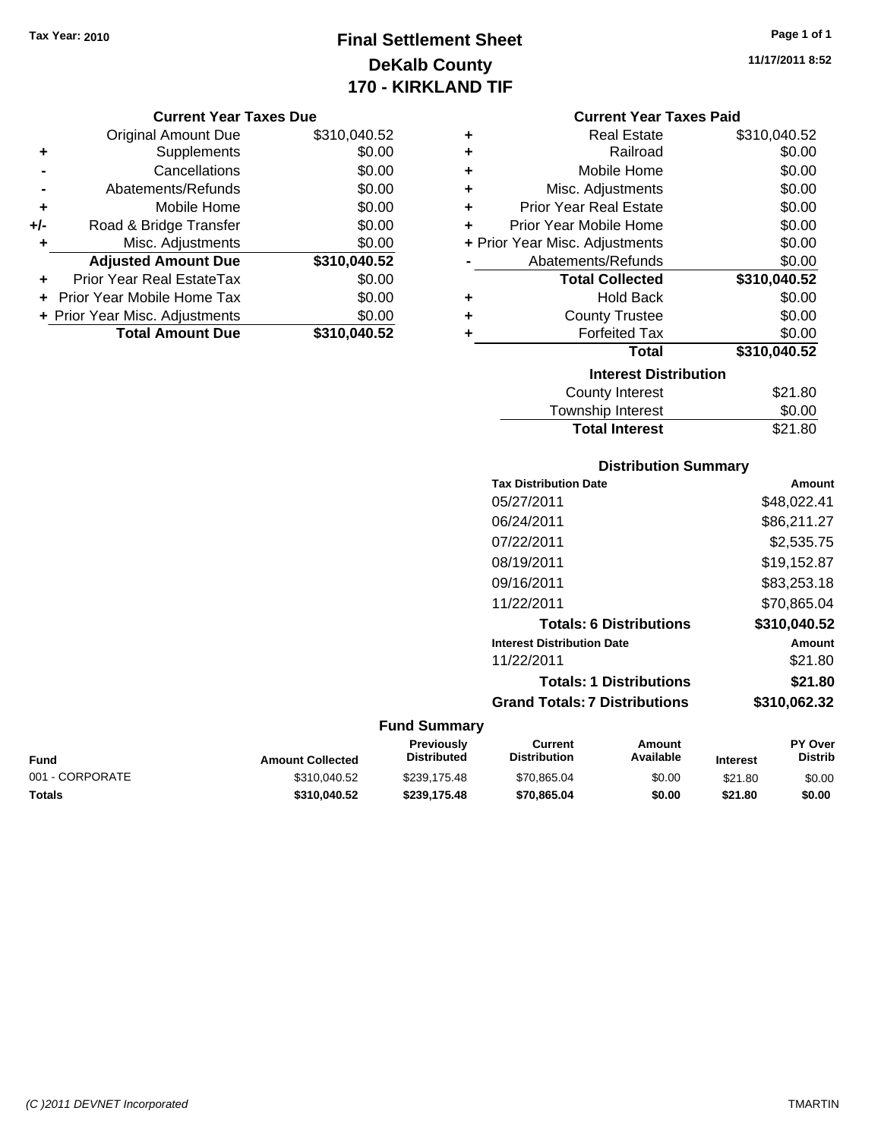## **Final Settlement Sheet Tax Year: 2010 Page 1 of 1 DeKalb County 170 - KIRKLAND TIF**

**11/17/2011 8:52**

### **Current Year Taxes Due**

|       | <b>Original Amount Due</b>       | \$310,040.52 |
|-------|----------------------------------|--------------|
| ٠     | Supplements                      | \$0.00       |
|       | Cancellations                    | \$0.00       |
|       | Abatements/Refunds               | \$0.00       |
| ÷     | Mobile Home                      | \$0.00       |
| $+/-$ | Road & Bridge Transfer           | \$0.00       |
| ٠     | Misc. Adjustments                | \$0.00       |
|       | <b>Adjusted Amount Due</b>       | \$310,040.52 |
|       | <b>Prior Year Real EstateTax</b> | \$0.00       |
|       | Prior Year Mobile Home Tax       | \$0.00       |
|       | + Prior Year Misc. Adjustments   | \$0.00       |
|       | <b>Total Amount Due</b>          | \$310,040.52 |

### **Current Year Taxes Paid**

|   | <b>Real Estate</b>             | \$310,040.52 |
|---|--------------------------------|--------------|
| ٠ | Railroad                       | \$0.00       |
| ٠ | Mobile Home                    | \$0.00       |
| ٠ | Misc. Adjustments              | \$0.00       |
| ٠ | <b>Prior Year Real Estate</b>  | \$0.00       |
| ٠ | Prior Year Mobile Home         | \$0.00       |
|   | + Prior Year Misc. Adjustments | \$0.00       |
|   | Abatements/Refunds             | \$0.00       |
|   | <b>Total Collected</b>         | \$310,040.52 |
| ٠ | <b>Hold Back</b>               | \$0.00       |
| ٠ | <b>County Trustee</b>          | \$0.00       |
| ٠ | <b>Forfeited Tax</b>           | \$0.00       |
|   | <b>Total</b>                   | \$310,040.52 |
|   | <b>Interest Distribution</b>   |              |
|   |                                | \$21.80      |

| <b>Total Interest</b> | \$21.80 |
|-----------------------|---------|
| Township Interest     | \$0.00  |
| County Interest       | \$21.80 |

### **Distribution Summary**

| <b>Tax Distribution Date</b>         | Amount       |
|--------------------------------------|--------------|
| 05/27/2011                           | \$48,022.41  |
| 06/24/2011                           | \$86,211.27  |
| 07/22/2011                           | \$2,535.75   |
| 08/19/2011                           | \$19,152.87  |
| 09/16/2011                           | \$83.253.18  |
| 11/22/2011                           | \$70.865.04  |
| <b>Totals: 6 Distributions</b>       | \$310,040.52 |
| <b>Interest Distribution Date</b>    | Amount       |
| 11/22/2011                           | \$21.80      |
| <b>Totals: 1 Distributions</b>       | \$21.80      |
| <b>Grand Totals: 7 Distributions</b> | \$310.062.32 |
|                                      |              |

### **Fund Summary**

 $\overline{\phantom{0}}$ 

| Fund            | <b>Amount Collected</b> | <b>Previously</b><br><b>Distributed</b> | Current<br><b>Distribution</b> | Amount<br>Available | <b>Interest</b> | <b>PY Over</b><br><b>Distrib</b> |
|-----------------|-------------------------|-----------------------------------------|--------------------------------|---------------------|-----------------|----------------------------------|
| 001 - CORPORATE | \$310,040.52            | \$239.175.48                            | \$70,865.04                    | \$0.00              | \$21.80         | \$0.00                           |
| Totals          | \$310.040.52            | \$239,175.48                            | \$70.865.04                    | \$0.00              | \$21.80         | \$0.00                           |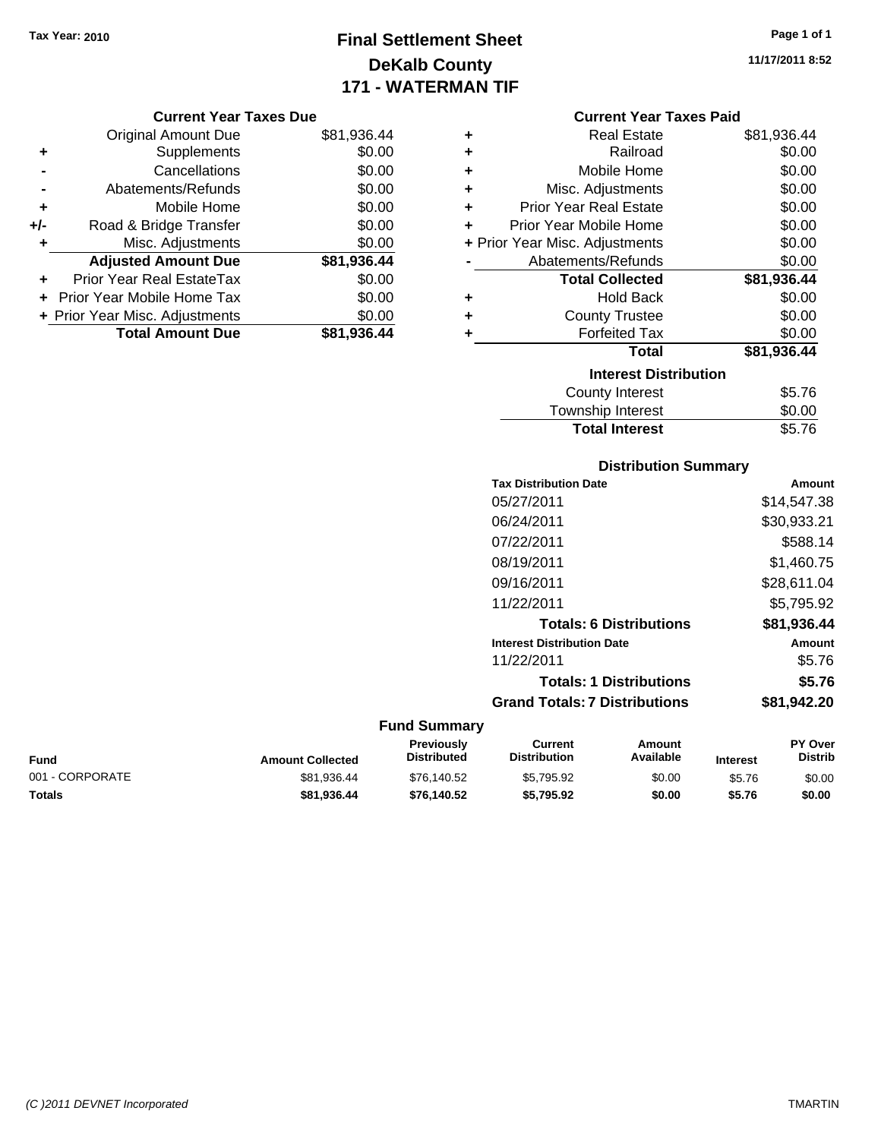## **Final Settlement Sheet Tax Year: 2010 Page 1 of 1 DeKalb County 171 - WATERMAN TIF**

**11/17/2011 8:52**

### **Current Year Taxes Due**

|       | <b>Original Amount Due</b>     | \$81,936.44 |
|-------|--------------------------------|-------------|
| ٠     | Supplements                    | \$0.00      |
|       | Cancellations                  | \$0.00      |
|       | Abatements/Refunds             | \$0.00      |
| ÷     | Mobile Home                    | \$0.00      |
| $+/-$ | Road & Bridge Transfer         | \$0.00      |
| ٠     | Misc. Adjustments              | \$0.00      |
|       | <b>Adjusted Amount Due</b>     | \$81,936.44 |
| ÷     | Prior Year Real EstateTax      | \$0.00      |
|       | Prior Year Mobile Home Tax     | \$0.00      |
|       | + Prior Year Misc. Adjustments | \$0.00      |
|       | <b>Total Amount Due</b>        | \$81,936.44 |

### **Current Year Taxes Paid**

| ٠ | Real Estate                    | \$81,936.44 |
|---|--------------------------------|-------------|
| ٠ | Railroad                       | \$0.00      |
| ٠ | Mobile Home                    | \$0.00      |
| ÷ | Misc. Adjustments              | \$0.00      |
| ÷ | <b>Prior Year Real Estate</b>  | \$0.00      |
| ٠ | Prior Year Mobile Home         | \$0.00      |
|   | + Prior Year Misc. Adjustments | \$0.00      |
|   | Abatements/Refunds             | \$0.00      |
|   | <b>Total Collected</b>         | \$81,936.44 |
| ٠ | Hold Back                      | \$0.00      |
| ٠ | <b>County Trustee</b>          | \$0.00      |
| ٠ | <b>Forfeited Tax</b>           | \$0.00      |
|   | <b>Total</b>                   | \$81,936.44 |
|   | <b>Interest Distribution</b>   |             |
|   | <b>County Interest</b>         | \$5.76      |
|   | <b>Township Interest</b>       | \$0.00      |
|   | <b>Total Interest</b>          | \$5.76      |

### **Distribution Summary**

| <b>Tax Distribution Date</b>         | Amount      |
|--------------------------------------|-------------|
| 05/27/2011                           | \$14,547.38 |
| 06/24/2011                           | \$30,933.21 |
| 07/22/2011                           | \$588.14    |
| 08/19/2011                           | \$1,460.75  |
| 09/16/2011                           | \$28,611.04 |
| 11/22/2011                           | \$5.795.92  |
| <b>Totals: 6 Distributions</b>       | \$81.936.44 |
| <b>Interest Distribution Date</b>    | Amount      |
| 11/22/2011                           | \$5.76      |
| <b>Totals: 1 Distributions</b>       | \$5.76      |
| <b>Grand Totals: 7 Distributions</b> | \$81,942.20 |

| Fund            | <b>Amount Collected</b> | <b>Previously</b><br><b>Distributed</b> | Current<br><b>Distribution</b> | Amount<br>Available | <b>Interest</b> | <b>PY Over</b><br>Distrib |
|-----------------|-------------------------|-----------------------------------------|--------------------------------|---------------------|-----------------|---------------------------|
| 001 - CORPORATE | \$81.936.44             | \$76.140.52                             | \$5.795.92                     | \$0.00              | \$5.76          | \$0.00                    |
| Totals          | \$81.936.44             | \$76,140.52                             | \$5.795.92                     | \$0.00              | \$5.76          | \$0.00                    |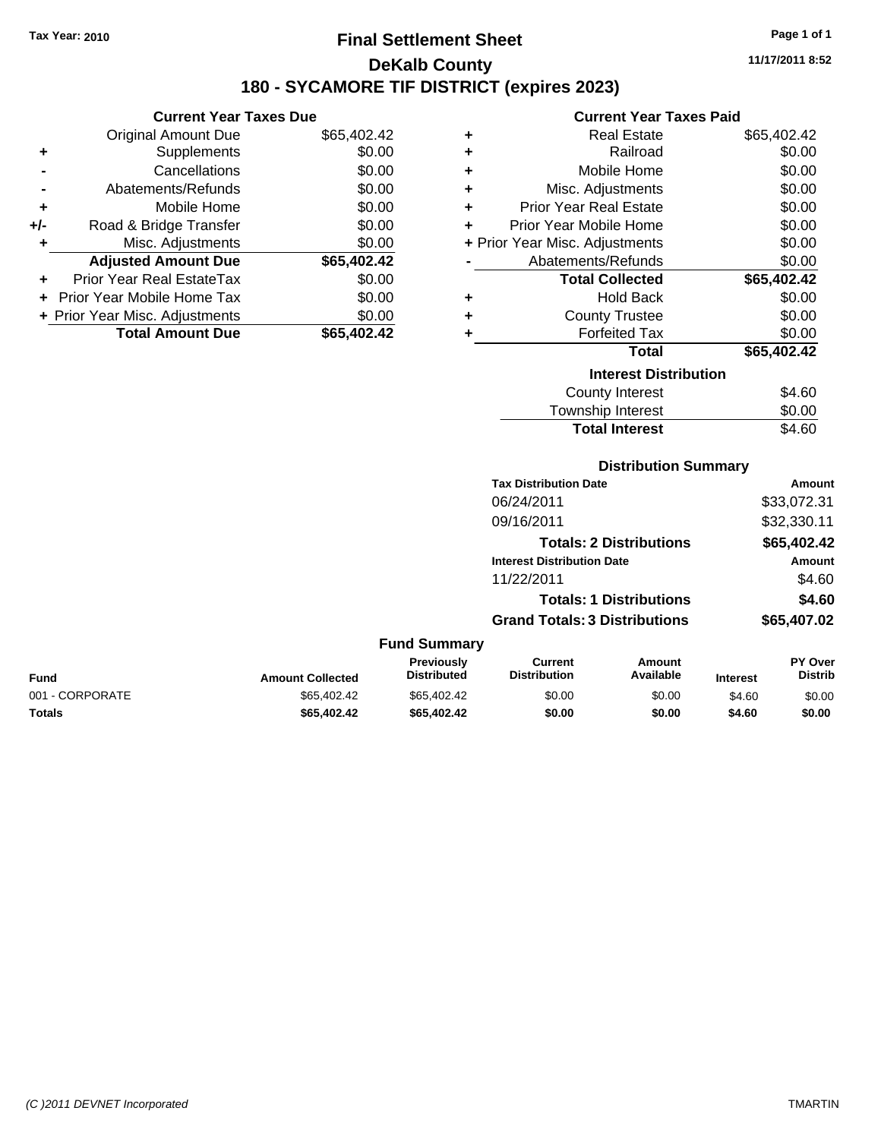## **Final Settlement Sheet Tax Year: 2010 Page 1 of 1 DeKalb County 180 - SYCAMORE TIF DISTRICT (expires 2023)**

**11/17/2011 8:52**

## **Current Year Taxes Paid**

|     | <b>Current Year Taxes Due</b>     |             |
|-----|-----------------------------------|-------------|
|     | <b>Original Amount Due</b>        | \$65,402.42 |
| ٠   | Supplements                       | \$0.00      |
|     | Cancellations                     | \$0.00      |
|     | Abatements/Refunds                | \$0.00      |
| ٠   | Mobile Home                       | \$0.00      |
| +/- | Road & Bridge Transfer            | \$0.00      |
| ٠   | Misc. Adjustments                 | \$0.00      |
|     | <b>Adjusted Amount Due</b>        | \$65,402.42 |
|     | Prior Year Real EstateTax         | \$0.00      |
|     | <b>Prior Year Mobile Home Tax</b> | \$0.00      |
|     | + Prior Year Misc. Adjustments    | \$0.00      |
|     | <b>Total Amount Due</b>           | \$65,402.42 |

| ٠ | <b>Real Estate</b>             | \$65,402.42 |
|---|--------------------------------|-------------|
| ٠ | Railroad                       | \$0.00      |
| ÷ | Mobile Home                    | \$0.00      |
| ٠ | Misc. Adjustments              | \$0.00      |
| ÷ | Prior Year Real Estate         | \$0.00      |
| ÷ | Prior Year Mobile Home         | \$0.00      |
|   | + Prior Year Misc. Adjustments | \$0.00      |
|   | Abatements/Refunds             | \$0.00      |
|   | <b>Total Collected</b>         | \$65,402.42 |
| ٠ | <b>Hold Back</b>               | \$0.00      |
| ÷ | <b>County Trustee</b>          | \$0.00      |
| ٠ | <b>Forfeited Tax</b>           | \$0.00      |
|   | Total                          | \$65,402.42 |
|   | <b>Interest Distribution</b>   |             |
|   | <b>County Interest</b>         | \$4.60      |
|   | <b>Township Interest</b>       | \$0.00      |
|   | <b>Total Interest</b>          | \$4.60      |

### **Distribution Summary**

| <b>Tax Distribution Date</b>         | Amount      |
|--------------------------------------|-------------|
| 06/24/2011                           | \$33,072.31 |
| 09/16/2011                           | \$32,330.11 |
| <b>Totals: 2 Distributions</b>       | \$65,402.42 |
| <b>Interest Distribution Date</b>    | Amount      |
| 11/22/2011                           | \$4.60      |
| <b>Totals: 1 Distributions</b>       | \$4.60      |
| <b>Grand Totals: 3 Distributions</b> | \$65,407.02 |
|                                      |             |

| Fund            | <b>Amount Collected</b> | <b>Previously</b><br><b>Distributed</b> | Current<br><b>Distribution</b> | Amount<br>Available | <b>Interest</b> | <b>PY Over</b><br><b>Distrib</b> |
|-----------------|-------------------------|-----------------------------------------|--------------------------------|---------------------|-----------------|----------------------------------|
| 001 - CORPORATE | \$65,402.42             | \$65,402.42                             | \$0.00                         | \$0.00              | \$4.60          | \$0.00                           |
| Totals          | \$65,402.42             | \$65,402.42                             | \$0.00                         | \$0.00              | \$4.60          | \$0.00                           |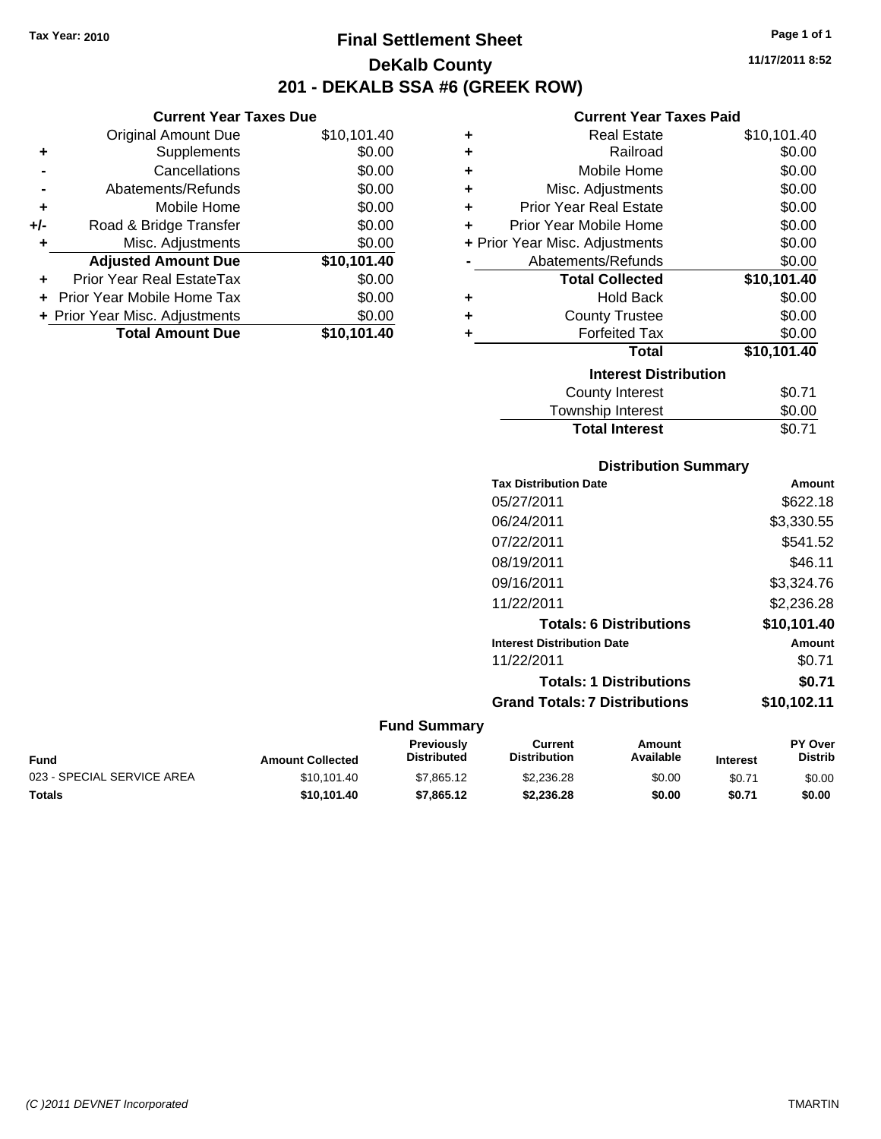## **Final Settlement Sheet Tax Year: 2010 Page 1 of 1 DeKalb County 201 - DEKALB SSA #6 (GREEK ROW)**

**11/17/2011 8:52**

### **Current Year Taxes Paid**

|     | <b>Current Year Taxes Due</b>  |             |      |
|-----|--------------------------------|-------------|------|
|     | <b>Original Amount Due</b>     | \$10,101.40 |      |
|     | Supplements                    | \$0.00      |      |
|     | Cancellations                  | \$0.00      |      |
|     | Abatements/Refunds             | \$0.00      | ٠    |
|     | Mobile Home                    | \$0.00      |      |
| +/- | Road & Bridge Transfer         | \$0.00      |      |
|     | Misc. Adjustments              | \$0.00      | + Pr |
|     | <b>Adjusted Amount Due</b>     | \$10,101.40 |      |
|     | Prior Year Real EstateTax      | \$0.00      |      |
|     | Prior Year Mobile Home Tax     | \$0.00      |      |
|     | + Prior Year Misc. Adjustments | \$0.00      |      |
|     | <b>Total Amount Due</b>        | \$10,101.40 |      |
|     |                                |             |      |

| ٠ | Real Estate                    | \$10,101.40 |
|---|--------------------------------|-------------|
| ÷ | Railroad                       | \$0.00      |
| ÷ | Mobile Home                    | \$0.00      |
| ÷ | Misc. Adjustments              | \$0.00      |
| ÷ | <b>Prior Year Real Estate</b>  | \$0.00      |
| ٠ | Prior Year Mobile Home         | \$0.00      |
|   | + Prior Year Misc. Adjustments | \$0.00      |
|   | Abatements/Refunds             | \$0.00      |
|   | <b>Total Collected</b>         | \$10,101.40 |
| ٠ | <b>Hold Back</b>               | \$0.00      |
| ٠ | <b>County Trustee</b>          | \$0.00      |
| ٠ | <b>Forfeited Tax</b>           | \$0.00      |
|   | Total                          | \$10,101.40 |
|   | <b>Interest Distribution</b>   |             |
|   | County Interest                | \$0.71      |
|   | <b>Township Interest</b>       | \$0.00      |
|   | <b>Total Interest</b>          | \$0.71      |

| <b>Distribution Summary</b>          |             |
|--------------------------------------|-------------|
| <b>Tax Distribution Date</b>         | Amount      |
| 05/27/2011                           | \$622.18    |
| 06/24/2011                           | \$3,330.55  |
| 07/22/2011                           | \$541.52    |
| 08/19/2011                           | \$46.11     |
| 09/16/2011                           | \$3,324.76  |
| 11/22/2011                           | \$2,236.28  |
| <b>Totals: 6 Distributions</b>       | \$10,101.40 |
| <b>Interest Distribution Date</b>    | Amount      |
| 11/22/2011                           | \$0.71      |
| <b>Totals: 1 Distributions</b>       | \$0.71      |
| <b>Grand Totals: 7 Distributions</b> | \$10.102.11 |

| <b>Amount Collected</b> | <b>Previously</b><br><b>Distributed</b> | Current<br><b>Distribution</b> | Amount<br>Available | <b>Interest</b> | <b>PY Over</b><br><b>Distrib</b> |
|-------------------------|-----------------------------------------|--------------------------------|---------------------|-----------------|----------------------------------|
| \$10.101.40             | \$7,865.12                              | \$2,236.28                     | \$0.00              | \$0.71          | \$0.00                           |
| \$10.101.40             | \$7,865.12                              | \$2.236.28                     | \$0.00              | \$0.71          | \$0.00                           |
|                         |                                         |                                |                     |                 |                                  |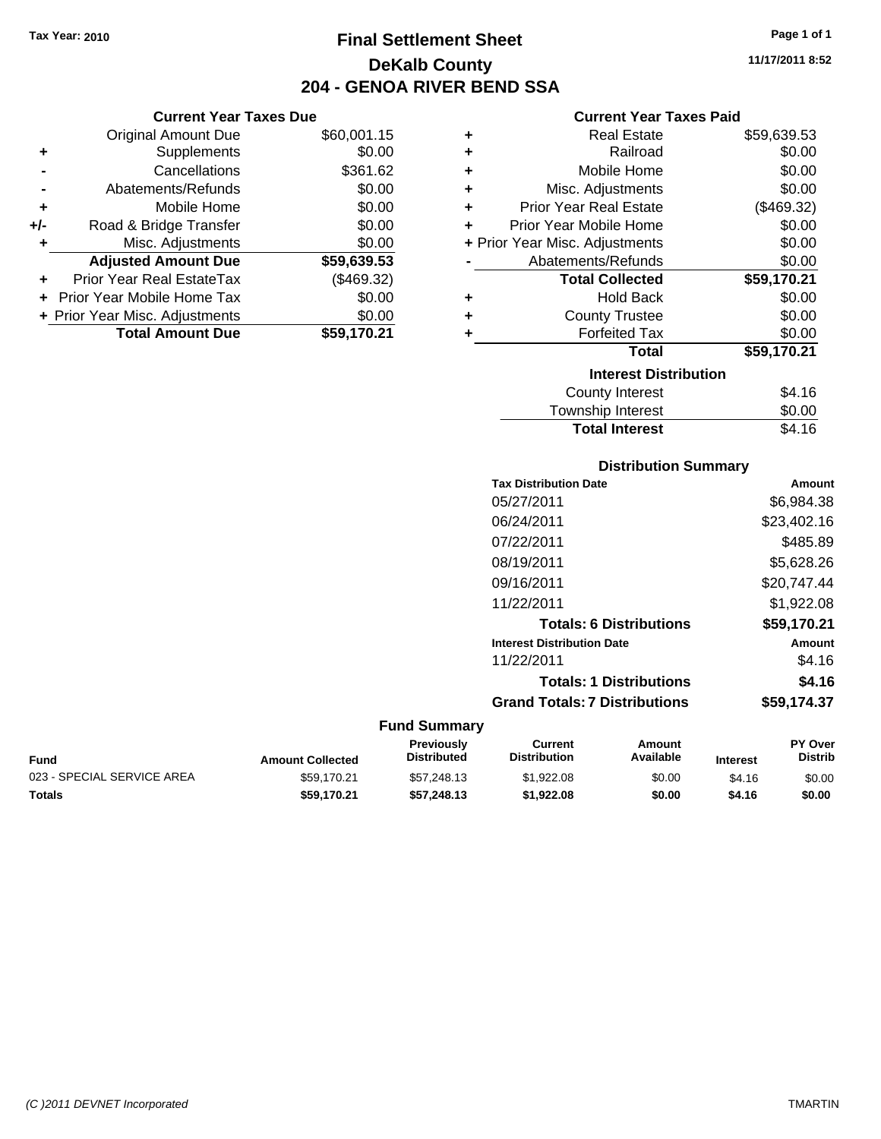**Current Year Taxes Due** Original Amount Due \$60,001.15

**Adjusted Amount Due \$59,639.53**

**Total Amount Due \$59,170.21**

**+** Supplements \$0.00 **-** Cancellations \$361.62 **-** Abatements/Refunds \$0.00 **+** Mobile Home \$0.00 **+/-** Road & Bridge Transfer \$0.00 **+** Misc. Adjustments \$0.00

**+** Prior Year Real EstateTax (\$469.32) **+** Prior Year Mobile Home Tax \$0.00 **+ Prior Year Misc. Adjustments**  $$0.00$ 

## **Final Settlement Sheet Tax Year: 2010 Page 1 of 1 DeKalb County 204 - GENOA RIVER BEND SSA**

**11/17/2011 8:52**

### **Current Year Taxes Paid**

| ٠ | <b>Real Estate</b>             | \$59,639.53 |
|---|--------------------------------|-------------|
| ٠ | Railroad                       | \$0.00      |
| ÷ | Mobile Home                    | \$0.00      |
| ÷ | Misc. Adjustments              | \$0.00      |
| ÷ | <b>Prior Year Real Estate</b>  | (\$469.32)  |
| ÷ | Prior Year Mobile Home         | \$0.00      |
|   | + Prior Year Misc. Adjustments | \$0.00      |
|   | Abatements/Refunds             | \$0.00      |
|   | <b>Total Collected</b>         | \$59,170.21 |
| ٠ | <b>Hold Back</b>               | \$0.00      |
| ÷ | <b>County Trustee</b>          | \$0.00      |
| ٠ | <b>Forfeited Tax</b>           | \$0.00      |
|   | <b>Total</b>                   | \$59,170.21 |
|   | <b>Interest Distribution</b>   |             |
|   | County Interest                | \$4.16      |
|   | <b>Township Interest</b>       | \$0.00      |

# **Distribution Summary** Total Interest **\$4.16**

| Amount      |
|-------------|
| \$6.984.38  |
| \$23,402.16 |
| \$485.89    |
| \$5.628.26  |
| \$20.747.44 |
| \$1,922.08  |
| \$59,170.21 |
| Amount      |
| \$4.16      |
| \$4.16      |
| \$59.174.37 |
|             |

| Fund                       | <b>Amount Collected</b> | <b>Previously</b><br><b>Distributed</b> | Current<br><b>Distribution</b> | Amount<br>Available | <b>Interest</b> | <b>PY Over</b><br><b>Distrib</b> |
|----------------------------|-------------------------|-----------------------------------------|--------------------------------|---------------------|-----------------|----------------------------------|
| 023 - SPECIAL SERVICE AREA | \$59.170.21             | \$57,248,13                             | \$1,922.08                     | \$0.00              | \$4.16          | \$0.00                           |
| Totals                     | \$59.170.21             | \$57,248,13                             | \$1.922.08                     | \$0.00              | \$4.16          | \$0.00                           |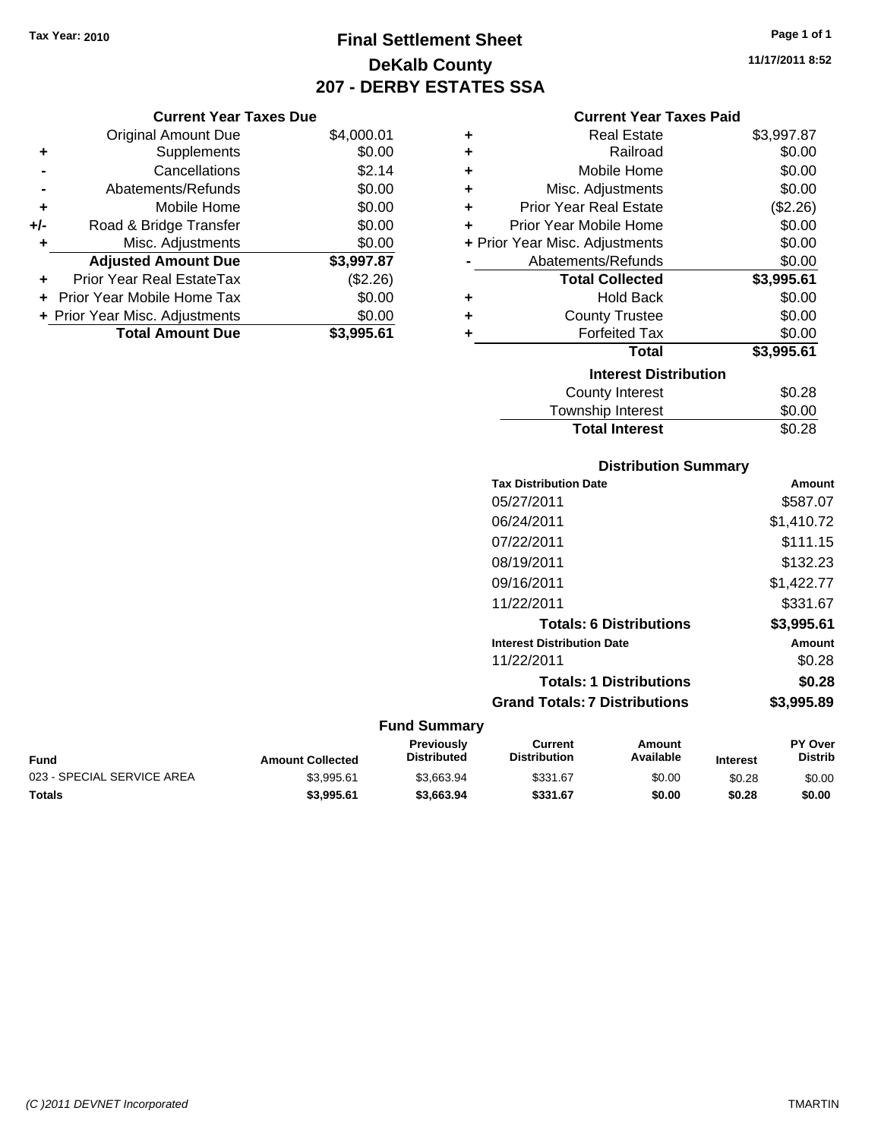## **Final Settlement Sheet Tax Year: 2010 Page 1 of 1 DeKalb County 207 - DERBY ESTATES SSA**

**11/17/2011 8:52**

### **Current Year Taxes Paid**

|     | <b>Original Amount Due</b>     | \$4,000.01 |
|-----|--------------------------------|------------|
| ٠   | Supplements                    | \$0.00     |
|     | Cancellations                  | \$2.14     |
|     | Abatements/Refunds             | \$0.00     |
| ٠   | Mobile Home                    | \$0.00     |
| +/- | Road & Bridge Transfer         | \$0.00     |
| ٠   | Misc. Adjustments              | \$0.00     |
|     | <b>Adjusted Amount Due</b>     | \$3,997.87 |
| ٠   | Prior Year Real EstateTax      | (\$2.26)   |
|     | Prior Year Mobile Home Tax     | \$0.00     |
|     | + Prior Year Misc. Adjustments | \$0.00     |
|     | <b>Total Amount Due</b>        | \$3,995.61 |
|     |                                |            |

**Current Year Taxes Due**

| ٠ | <b>Real Estate</b>             | \$3,997.87 |
|---|--------------------------------|------------|
| ٠ | Railroad                       | \$0.00     |
| ٠ | Mobile Home                    | \$0.00     |
| ٠ | Misc. Adjustments              | \$0.00     |
| ٠ | <b>Prior Year Real Estate</b>  | (\$2.26)   |
| ٠ | Prior Year Mobile Home         | \$0.00     |
|   | + Prior Year Misc. Adjustments | \$0.00     |
|   | Abatements/Refunds             | \$0.00     |
|   | <b>Total Collected</b>         | \$3,995.61 |
| ٠ | <b>Hold Back</b>               | \$0.00     |
| ٠ | <b>County Trustee</b>          | \$0.00     |
| ٠ | <b>Forfeited Tax</b>           | \$0.00     |
|   | Total                          | \$3,995.61 |
|   | <b>Interest Distribution</b>   |            |
|   | <b>County Interest</b>         | \$0.28     |
|   | Township Interest              | \$0.00     |
|   | <b>Total Interest</b>          | \$0.28     |

## **Distribution Summary Tax Distribution Date Amount** 05/27/2011 \$587.07 06/24/2011 \$1,410.72 07/22/2011 \$111.15 08/19/2011 \$132.23 09/16/2011 \$1,422.77 11/22/2011 \$331.67 **Totals: 6 Distributions \$3,995.61 Interest Distribution Date Amount** 11/22/2011 \$0.28 **Totals: 1 Distributions \$0.28 Grand Totals: 7 Distributions \$3,995.89**

| <b>Fund</b>                | <b>Amount Collected</b> | <b>Previously</b><br><b>Distributed</b> | Current<br><b>Distribution</b> | Amount<br>Available | <b>Interest</b> | <b>PY Over</b><br>Distrib |
|----------------------------|-------------------------|-----------------------------------------|--------------------------------|---------------------|-----------------|---------------------------|
| 023 - SPECIAL SERVICE AREA | \$3.995.61              | \$3.663.94                              | \$331.67                       | \$0.00              | \$0.28          | \$0.00                    |
| <b>Totals</b>              | \$3,995.61              | \$3,663.94                              | \$331.67                       | \$0.00              | \$0.28          | \$0.00                    |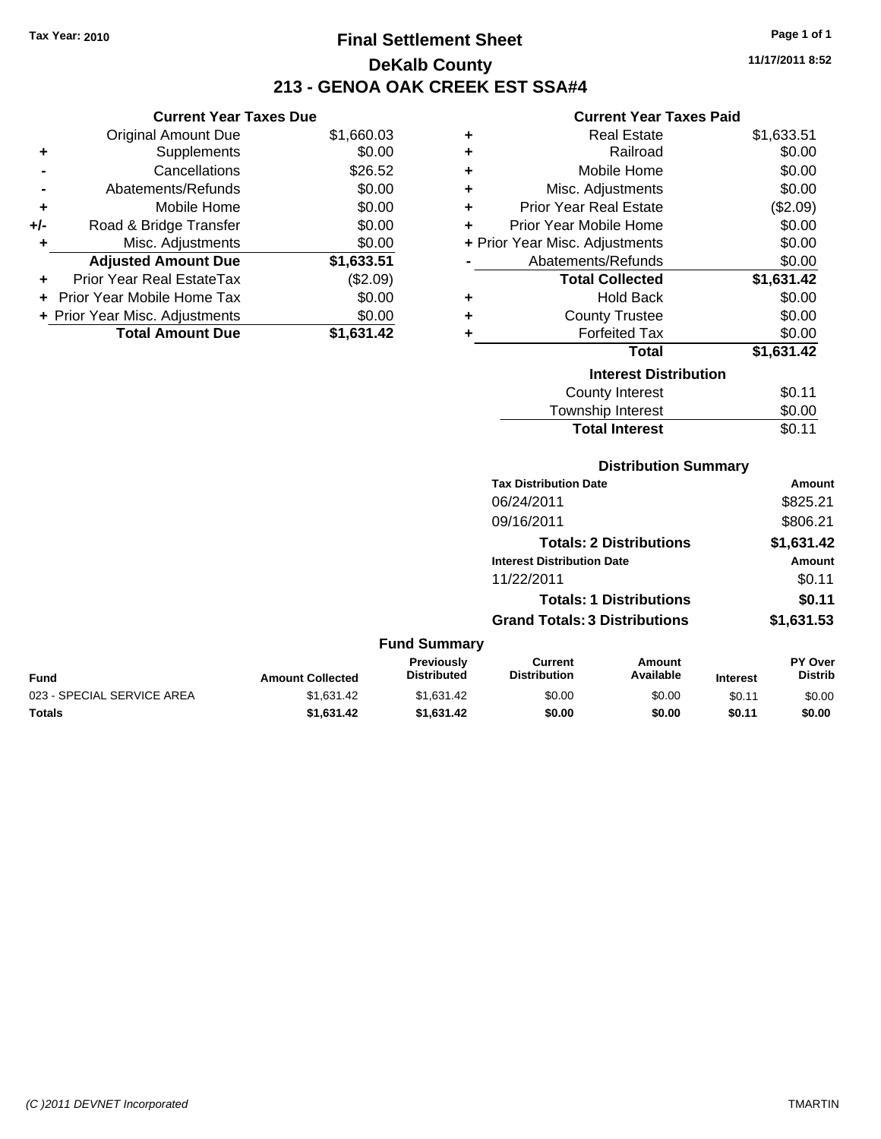**Current Year Taxes Due** Original Amount Due \$1,660.03

**Adjusted Amount Due \$1,633.51**

**Total Amount Due \$1,631.42**

**+** Supplements \$0.00 **-** Cancellations \$26.52 **-** Abatements/Refunds \$0.00 **+** Mobile Home \$0.00 **+/-** Road & Bridge Transfer \$0.00 **+** Misc. Adjustments \$0.00

**+** Prior Year Real EstateTax (\$2.09) **+** Prior Year Mobile Home Tax \$0.00 **+ Prior Year Misc. Adjustments**  $$0.00$ 

## **Final Settlement Sheet Tax Year: 2010 Page 1 of 1 DeKalb County 213 - GENOA OAK CREEK EST SSA#4**

**11/17/2011 8:52**

### **Current Year Taxes Paid**

| ٠ | <b>Real Estate</b>             | \$1,633.51 |
|---|--------------------------------|------------|
| ٠ | Railroad                       | \$0.00     |
| ÷ | Mobile Home                    | \$0.00     |
| ÷ | Misc. Adjustments              | \$0.00     |
| ÷ | <b>Prior Year Real Estate</b>  | (\$2.09)   |
| ÷ | Prior Year Mobile Home         | \$0.00     |
|   | + Prior Year Misc. Adjustments | \$0.00     |
|   | Abatements/Refunds             | \$0.00     |
|   | <b>Total Collected</b>         | \$1,631.42 |
| ÷ | <b>Hold Back</b>               | \$0.00     |
| ٠ | <b>County Trustee</b>          | \$0.00     |
| ٠ | <b>Forfeited Tax</b>           | \$0.00     |
|   | <b>Total</b>                   | \$1,631.42 |
|   | <b>Interest Distribution</b>   |            |
|   | <b>County Interest</b>         | \$0.11     |
|   | Townshin Interest              | ፍስ ሰስ      |

### $T_{\text{F}}$   $\sim$   $T_{\text{F}}$   $\sim$   $T_{\text{F}}$   $\sim$   $T_{\text{F}}$   $\sim$   $T_{\text{F}}$   $\sim$   $T_{\text{F}}$   $\sim$   $T_{\text{F}}$   $\sim$   $T_{\text{F}}$   $\sim$   $T_{\text{F}}$   $\sim$   $T_{\text{F}}$   $\sim$   $T_{\text{F}}$   $\sim$   $T_{\text{F}}$   $\sim$   $T_{\text{F}}$   $\sim$   $T_{\text{F}}$   $\sim$   $T_{\text{F}}$

| <b>Distribution Summary</b> |
|-----------------------------|
|-----------------------------|

Total Interest \$0.11

| <b>Tax Distribution Date</b>         | Amount     |
|--------------------------------------|------------|
| 06/24/2011                           | \$825.21   |
| 09/16/2011                           | \$806.21   |
| <b>Totals: 2 Distributions</b>       | \$1,631.42 |
| <b>Interest Distribution Date</b>    | Amount     |
| 11/22/2011                           | \$0.11     |
| <b>Totals: 1 Distributions</b>       | \$0.11     |
| <b>Grand Totals: 3 Distributions</b> | \$1,631.53 |

| <b>Fund</b>                | <b>Amount Collected</b> | <b>Previously</b><br><b>Distributed</b> | Current<br><b>Distribution</b> | Amount<br>Available | <b>Interest</b> | <b>PY Over</b><br><b>Distrib</b> |
|----------------------------|-------------------------|-----------------------------------------|--------------------------------|---------------------|-----------------|----------------------------------|
| 023 - SPECIAL SERVICE AREA | \$1.631.42              | \$1.631.42                              | \$0.00                         | \$0.00              | \$0.11          | \$0.00                           |
| <b>Totals</b>              | \$1.631.42              | \$1.631.42                              | \$0.00                         | \$0.00              | \$0.11          | \$0.00                           |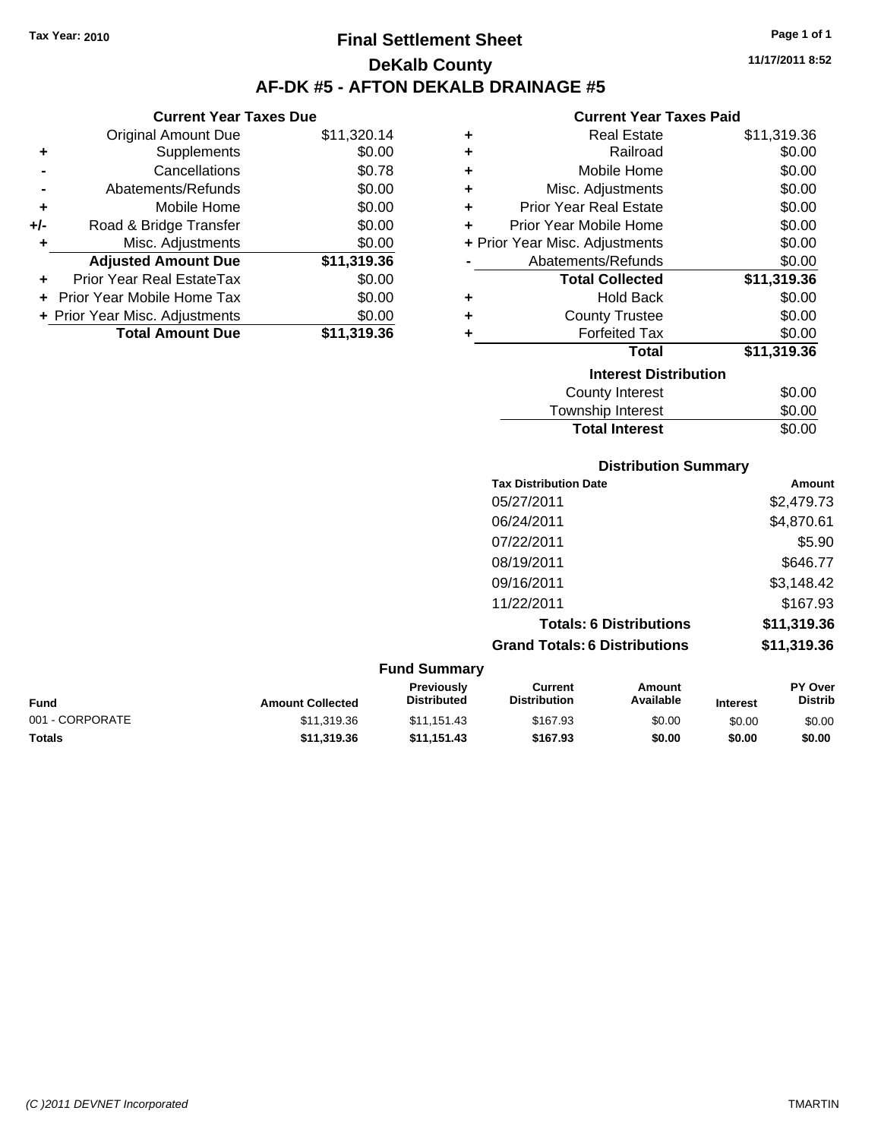**Current Year Taxes Due** Original Amount Due \$11,320.14

**Adjusted Amount Due \$11,319.36**

**Total Amount Due \$11,319.36**

**+** Supplements \$0.00 **-** Cancellations \$0.78 **-** Abatements/Refunds \$0.00 **+** Mobile Home \$0.00 **+/-** Road & Bridge Transfer \$0.00 **+** Misc. Adjustments \$0.00

**+** Prior Year Real EstateTax \$0.00 **+** Prior Year Mobile Home Tax \$0.00 **+ Prior Year Misc. Adjustments**  $$0.00$ 

## **Final Settlement Sheet Tax Year: 2010 Page 1 of 1 DeKalb County AF-DK #5 - AFTON DEKALB DRAINAGE #5**

**11/17/2011 8:52**

### **Current Year Taxes Paid**

| ٠ | <b>Real Estate</b>             | \$11,319.36 |
|---|--------------------------------|-------------|
| ٠ | Railroad                       | \$0.00      |
| ٠ | Mobile Home                    | \$0.00      |
| ٠ | Misc. Adjustments              | \$0.00      |
| ÷ | <b>Prior Year Real Estate</b>  | \$0.00      |
| ٠ | Prior Year Mobile Home         | \$0.00      |
|   | + Prior Year Misc. Adjustments | \$0.00      |
|   | Abatements/Refunds             | \$0.00      |
|   | <b>Total Collected</b>         | \$11,319.36 |
| ٠ | <b>Hold Back</b>               | \$0.00      |
| ٠ | <b>County Trustee</b>          | \$0.00      |
| ٠ | <b>Forfeited Tax</b>           | \$0.00      |
|   | <b>Total</b>                   | \$11,319.36 |
|   | <b>Interest Distribution</b>   |             |
|   | <b>County Interest</b>         | \$0.00      |
|   | <b>Township Interest</b>       | \$0.00      |

## **Distribution Summary** Township Interest  $$0.00$ **Total Interest** \$0.00

| <b>Tax Distribution Date</b>         | Amount      |
|--------------------------------------|-------------|
| 05/27/2011                           | \$2,479.73  |
| 06/24/2011                           | \$4,870.61  |
| 07/22/2011                           | \$5.90      |
| 08/19/2011                           | \$646.77    |
| 09/16/2011                           | \$3,148.42  |
| 11/22/2011                           | \$167.93    |
| <b>Totals: 6 Distributions</b>       | \$11,319.36 |
| <b>Grand Totals: 6 Distributions</b> | \$11,319.36 |

| <b>Fund Summary</b> |                         |                                         |                                |                     |                 |                                  |
|---------------------|-------------------------|-----------------------------------------|--------------------------------|---------------------|-----------------|----------------------------------|
| <b>Fund</b>         | <b>Amount Collected</b> | <b>Previously</b><br><b>Distributed</b> | Current<br><b>Distribution</b> | Amount<br>Available | <b>Interest</b> | <b>PY Over</b><br><b>Distrib</b> |
| 001 - CORPORATE     | \$11,319,36             | \$11.151.43                             | \$167.93                       | \$0.00              | \$0.00          | \$0.00                           |
| <b>Totals</b>       | \$11,319.36             | \$11.151.43                             | \$167.93                       | \$0.00              | \$0.00          | \$0.00                           |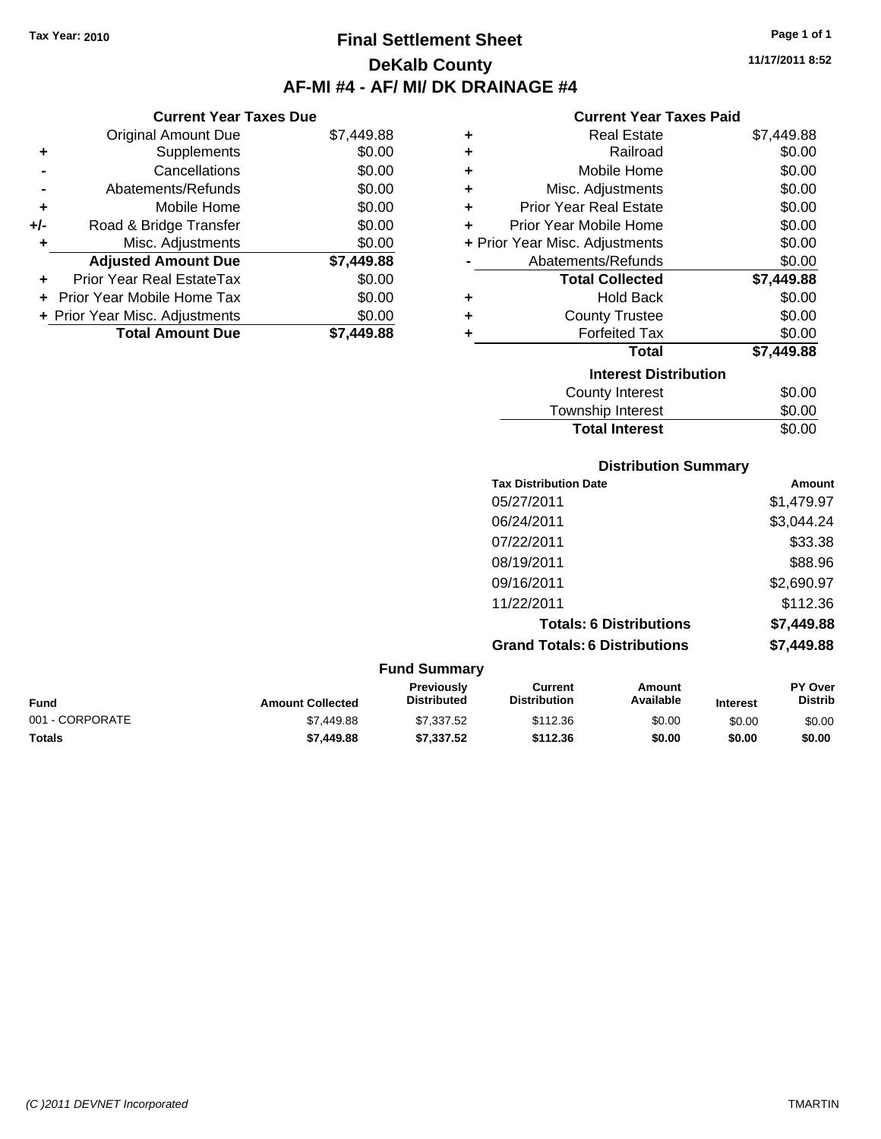**Current Year Taxes Due** Original Amount Due \$7,449.88

**Adjusted Amount Due \$7,449.88**

**Total Amount Due \$7,449.88**

**+** Supplements \$0.00 **-** Cancellations \$0.00 **-** Abatements/Refunds \$0.00 **+** Mobile Home \$0.00 **+/-** Road & Bridge Transfer \$0.00 **+** Misc. Adjustments \$0.00

**+** Prior Year Real EstateTax \$0.00 **+** Prior Year Mobile Home Tax \$0.00 **+ Prior Year Misc. Adjustments**  $$0.00$ 

## **Final Settlement Sheet Tax Year: 2010 Page 1 of 1 DeKalb County AF-MI #4 - AF/ MI/ DK DRAINAGE #4**

**11/17/2011 8:52**

### **Current Year Taxes Paid**

| ٠ | <b>Real Estate</b>             | \$7,449.88 |
|---|--------------------------------|------------|
| ÷ | Railroad                       | \$0.00     |
| ÷ | Mobile Home                    | \$0.00     |
| ÷ | Misc. Adjustments              | \$0.00     |
| ÷ | <b>Prior Year Real Estate</b>  | \$0.00     |
| ÷ | Prior Year Mobile Home         | \$0.00     |
|   | + Prior Year Misc. Adjustments | \$0.00     |
|   | Abatements/Refunds             | \$0.00     |
|   | <b>Total Collected</b>         | \$7,449.88 |
| ٠ | <b>Hold Back</b>               | \$0.00     |
| ÷ | <b>County Trustee</b>          | \$0.00     |
| ٠ | <b>Forfeited Tax</b>           | \$0.00     |
|   | Total                          | \$7,449.88 |
|   | <b>Interest Distribution</b>   |            |
|   | County Interest                | \$0.00     |
|   | Townshin Interest              | ደ0 00      |

# Township Interest  $$0.00$ **Total Interest** \$0.00

### **Distribution Summary**

| <b>Tax Distribution Date</b>         | Amount     |
|--------------------------------------|------------|
| 05/27/2011                           | \$1,479.97 |
| 06/24/2011                           | \$3,044.24 |
| 07/22/2011                           | \$33.38    |
| 08/19/2011                           | \$88.96    |
| 09/16/2011                           | \$2,690.97 |
| 11/22/2011                           | \$112.36   |
| <b>Totals: 6 Distributions</b>       | \$7,449.88 |
| <b>Grand Totals: 6 Distributions</b> | \$7,449.88 |

| <b>Fund Summary</b> |                         |                                  |                                |                     |                 |                                  |
|---------------------|-------------------------|----------------------------------|--------------------------------|---------------------|-----------------|----------------------------------|
| Fund                | <b>Amount Collected</b> | Previously<br><b>Distributed</b> | Current<br><b>Distribution</b> | Amount<br>Available | <b>Interest</b> | <b>PY Over</b><br><b>Distrib</b> |
| 001 - CORPORATE     | \$7,449.88              | \$7,337.52                       | \$112.36                       | \$0.00              | \$0.00          | \$0.00                           |
| Totals              | \$7,449.88              | \$7,337.52                       | \$112.36                       | \$0.00              | \$0.00          | \$0.00                           |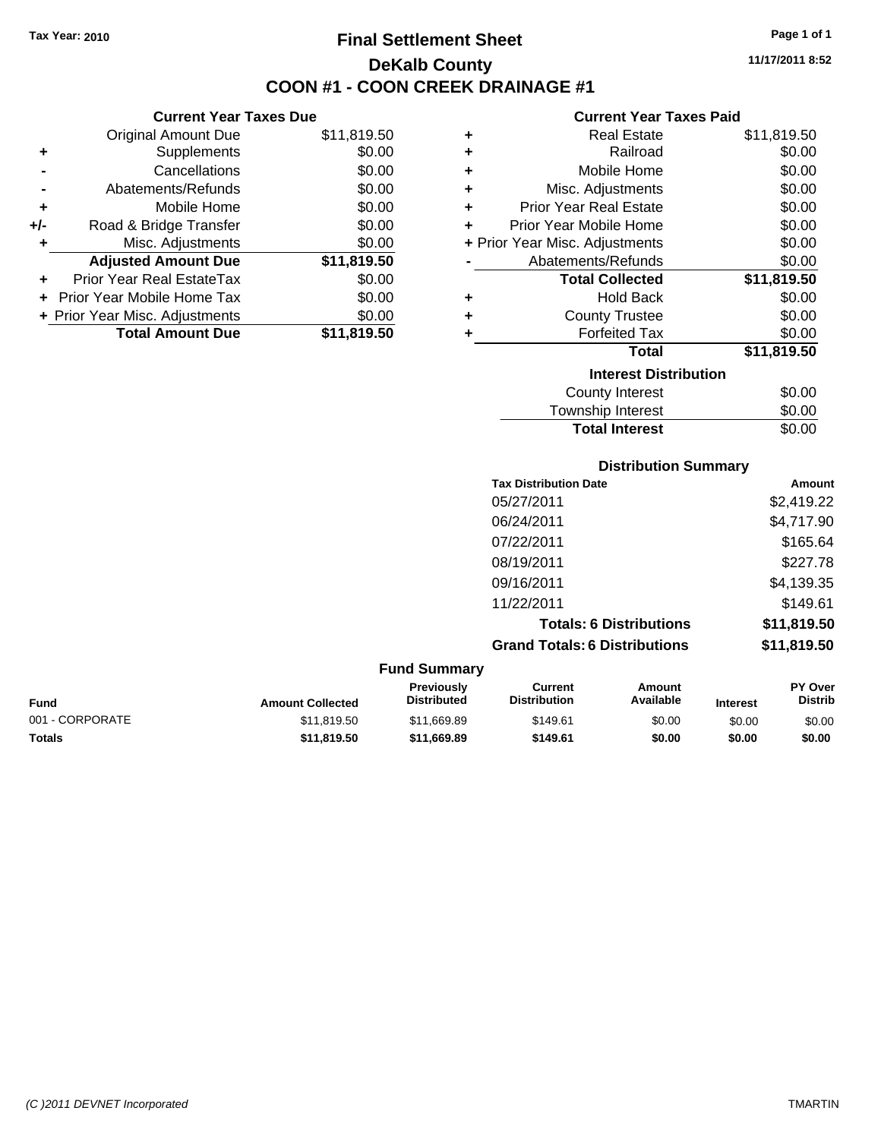**Current Year Taxes Due** Original Amount Due \$11,819.50

**Adjusted Amount Due \$11,819.50**

**Total Amount Due \$11,819.50**

**+** Supplements \$0.00 **-** Cancellations \$0.00 **-** Abatements/Refunds \$0.00 **+** Mobile Home \$0.00 **+/-** Road & Bridge Transfer \$0.00 **+** Misc. Adjustments \$0.00

**+** Prior Year Real EstateTax \$0.00 **+** Prior Year Mobile Home Tax \$0.00 **+ Prior Year Misc. Adjustments**  $$0.00$ 

## **Final Settlement Sheet Tax Year: 2010 Page 1 of 1 DeKalb County COON #1 - COON CREEK DRAINAGE #1**

**11/17/2011 8:52**

### **Current Year Taxes Paid**

| ٠ | <b>Real Estate</b>             | \$11,819.50 |  |  |  |
|---|--------------------------------|-------------|--|--|--|
| ÷ | Railroad                       | \$0.00      |  |  |  |
| ÷ | Mobile Home                    | \$0.00      |  |  |  |
| ÷ | Misc. Adjustments              | \$0.00      |  |  |  |
| ÷ | <b>Prior Year Real Estate</b>  | \$0.00      |  |  |  |
| ÷ | Prior Year Mobile Home         | \$0.00      |  |  |  |
|   | + Prior Year Misc. Adjustments | \$0.00      |  |  |  |
|   | Abatements/Refunds             | \$0.00      |  |  |  |
|   | <b>Total Collected</b>         | \$11,819.50 |  |  |  |
| ٠ | <b>Hold Back</b>               | \$0.00      |  |  |  |
| ÷ | <b>County Trustee</b>          | \$0.00      |  |  |  |
|   | <b>Forfeited Tax</b>           | \$0.00      |  |  |  |
|   | <b>Total</b>                   | \$11,819.50 |  |  |  |
|   | <b>Interest Distribution</b>   |             |  |  |  |
|   | County Interest                | \$0.00      |  |  |  |
|   | Township Interest              | \$0.00      |  |  |  |

# Township Interest  $$0.00$ Total Interest \$0.00

| <b>Distribution Summary</b>          |             |
|--------------------------------------|-------------|
| <b>Tax Distribution Date</b>         | Amount      |
| 05/27/2011                           | \$2,419.22  |
| 06/24/2011                           | \$4,717.90  |
| 07/22/2011                           | \$165.64    |
| 08/19/2011                           | \$227.78    |
| 09/16/2011                           | \$4,139.35  |
| 11/22/2011                           | \$149.61    |
| <b>Totals: 6 Distributions</b>       | \$11,819.50 |
| <b>Grand Totals: 6 Distributions</b> | \$11,819.50 |

### **Fund Summary Fund Interest Amount Collected Distributed PY Over Distrib Amount Available Current Distribution Previously** 001 - CORPORATE \$11,819.50 \$11,669.89 \$149.61 \$0.00 \$0.00 \$0.00 **Totals \$11,819.50 \$11,669.89 \$149.61 \$0.00 \$0.00 \$0.00**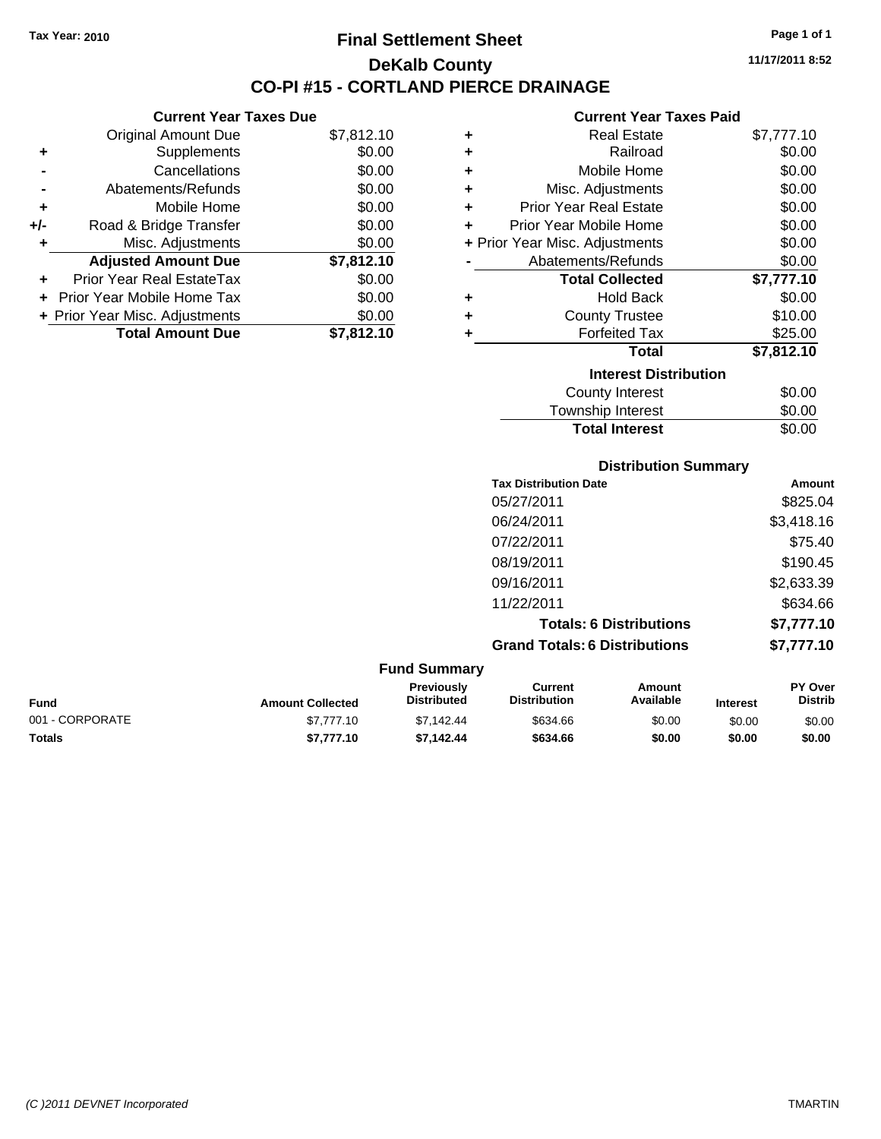**Current Year Taxes Due** Original Amount Due \$7,812.10

**Adjusted Amount Due \$7,812.10**

Total Amount Due \$7,812.10

**+** Supplements \$0.00 **-** Cancellations \$0.00 **-** Abatements/Refunds \$0.00 **+** Mobile Home \$0.00 **+/-** Road & Bridge Transfer \$0.00 **+** Misc. Adjustments \$0.00

**+** Prior Year Real EstateTax \$0.00 **+** Prior Year Mobile Home Tax \$0.00 **+ Prior Year Misc. Adjustments**  $$0.00$ 

## **Final Settlement Sheet Tax Year: 2010 Page 1 of 1 DeKalb County CO-PI #15 - CORTLAND PIERCE DRAINAGE**

**11/17/2011 8:52**

### **Current Year Taxes Paid**

| ٠ | <b>Real Estate</b>             | \$7,777.10 |
|---|--------------------------------|------------|
| ٠ | Railroad                       | \$0.00     |
| ÷ | Mobile Home                    | \$0.00     |
| ٠ | Misc. Adjustments              | \$0.00     |
| ÷ | <b>Prior Year Real Estate</b>  | \$0.00     |
| ٠ | Prior Year Mobile Home         | \$0.00     |
|   | + Prior Year Misc. Adjustments | \$0.00     |
|   | Abatements/Refunds             | \$0.00     |
|   | <b>Total Collected</b>         | \$7,777.10 |
| ٠ | <b>Hold Back</b>               | \$0.00     |
| ٠ | <b>County Trustee</b>          | \$10.00    |
| ٠ | <b>Forfeited Tax</b>           | \$25.00    |
|   | Total                          | \$7,812.10 |
|   | <b>Interest Distribution</b>   |            |
|   | <b>County Interest</b>         | \$0.00     |
|   | Township Interest              | \$0.00     |

| <b>County Interest</b> | \$0.00 |
|------------------------|--------|
| Township Interest      | \$0.00 |
| <b>Total Interest</b>  | \$0.00 |
|                        |        |

### **Distribution Summary**

| <b>Tax Distribution Date</b>         | Amount     |
|--------------------------------------|------------|
| 05/27/2011                           | \$825.04   |
| 06/24/2011                           | \$3,418.16 |
| 07/22/2011                           | \$75.40    |
| 08/19/2011                           | \$190.45   |
| 09/16/2011                           | \$2,633.39 |
| 11/22/2011                           | \$634.66   |
| <b>Totals: 6 Distributions</b>       | \$7,777.10 |
| <b>Grand Totals: 6 Distributions</b> | \$7,777.10 |

|                 |                         | <b>Fund Summary</b>                     |                                |                     |                 |                                  |
|-----------------|-------------------------|-----------------------------------------|--------------------------------|---------------------|-----------------|----------------------------------|
| Fund            | <b>Amount Collected</b> | <b>Previously</b><br><b>Distributed</b> | Current<br><b>Distribution</b> | Amount<br>Available | <b>Interest</b> | <b>PY Over</b><br><b>Distrib</b> |
| 001 - CORPORATE | \$7,777.10              | \$7.142.44                              | \$634.66                       | \$0.00              | \$0.00          | \$0.00                           |
| <b>Totals</b>   | \$7,777.10              | \$7.142.44                              | \$634.66                       | \$0.00              | \$0.00          | \$0.00                           |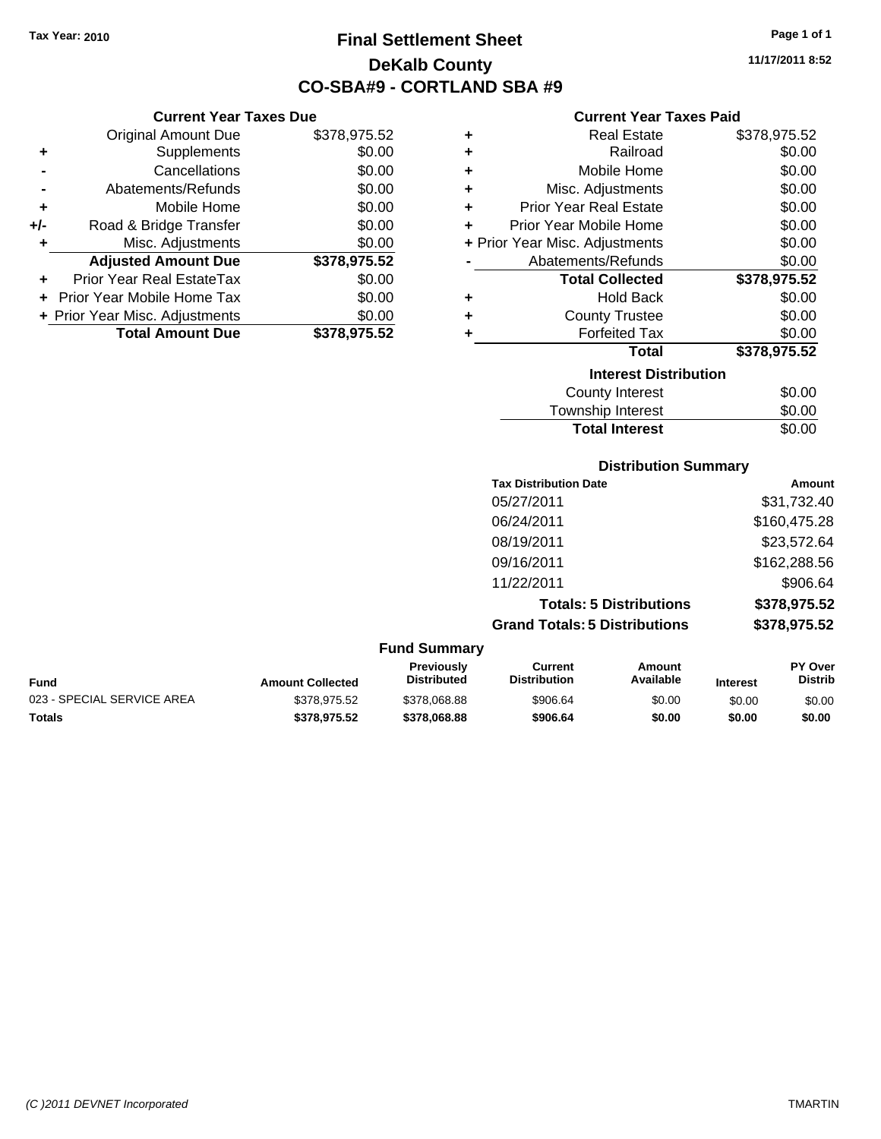**Current Year Taxes Due** Original Amount Due \$378,975.52

**Adjusted Amount Due \$378,975.52**

**Total Amount Due \$378,975.52**

**+** Supplements \$0.00 **-** Cancellations \$0.00 **-** Abatements/Refunds \$0.00 **+** Mobile Home \$0.00 **+/-** Road & Bridge Transfer \$0.00 **+** Misc. Adjustments \$0.00

**+** Prior Year Real EstateTax \$0.00 **+** Prior Year Mobile Home Tax \$0.00 **+ Prior Year Misc. Adjustments**  $$0.00$ 

## **Final Settlement Sheet Tax Year: 2010 Page 1 of 1 DeKalb County CO-SBA#9 - CORTLAND SBA #9**

**11/17/2011 8:52**

### **Current Year Taxes Paid**

| ٠ | <b>Real Estate</b>             | \$378,975.52 |
|---|--------------------------------|--------------|
| ٠ | Railroad                       | \$0.00       |
| ٠ | Mobile Home                    | \$0.00       |
| ÷ | Misc. Adjustments              | \$0.00       |
| ٠ | <b>Prior Year Real Estate</b>  | \$0.00       |
| ÷ | Prior Year Mobile Home         | \$0.00       |
|   | + Prior Year Misc. Adjustments | \$0.00       |
|   | Abatements/Refunds             | \$0.00       |
|   | <b>Total Collected</b>         | \$378,975.52 |
| ٠ | <b>Hold Back</b>               | \$0.00       |
| ٠ | <b>County Trustee</b>          | \$0.00       |
| ٠ | <b>Forfeited Tax</b>           | \$0.00       |
|   | Total                          | \$378,975.52 |
|   | <b>Interest Distribution</b>   |              |
|   | <b>County Interest</b>         | \$0.00       |
|   |                                |              |

| <b>Total Interest</b> | \$0.00 |
|-----------------------|--------|
| Township Interest     | \$0.00 |
| <b>OVAIRS HILLING</b> | vv.vv  |

### **Distribution Summary**

| <b>Tax Distribution Date</b>         | Amount       |
|--------------------------------------|--------------|
| 05/27/2011                           | \$31,732.40  |
| 06/24/2011                           | \$160,475.28 |
| 08/19/2011                           | \$23,572.64  |
| 09/16/2011                           | \$162,288.56 |
| 11/22/2011                           | \$906.64     |
| <b>Totals: 5 Distributions</b>       | \$378,975.52 |
| <b>Grand Totals: 5 Distributions</b> | \$378,975.52 |
|                                      |              |

| Fund                       | <b>Amount Collected</b> | <b>Previously</b><br><b>Distributed</b> | Current<br><b>Distribution</b> | Amount<br>Available | <b>Interest</b> | <b>PY Over</b><br><b>Distrib</b> |
|----------------------------|-------------------------|-----------------------------------------|--------------------------------|---------------------|-----------------|----------------------------------|
| 023 - SPECIAL SERVICE AREA | \$378,975.52            | \$378,068.88                            | \$906.64                       | \$0.00              | \$0.00          | \$0.00                           |
| Totals                     | \$378.975.52            | \$378,068,88                            | \$906.64                       | \$0.00              | \$0.00          | \$0.00                           |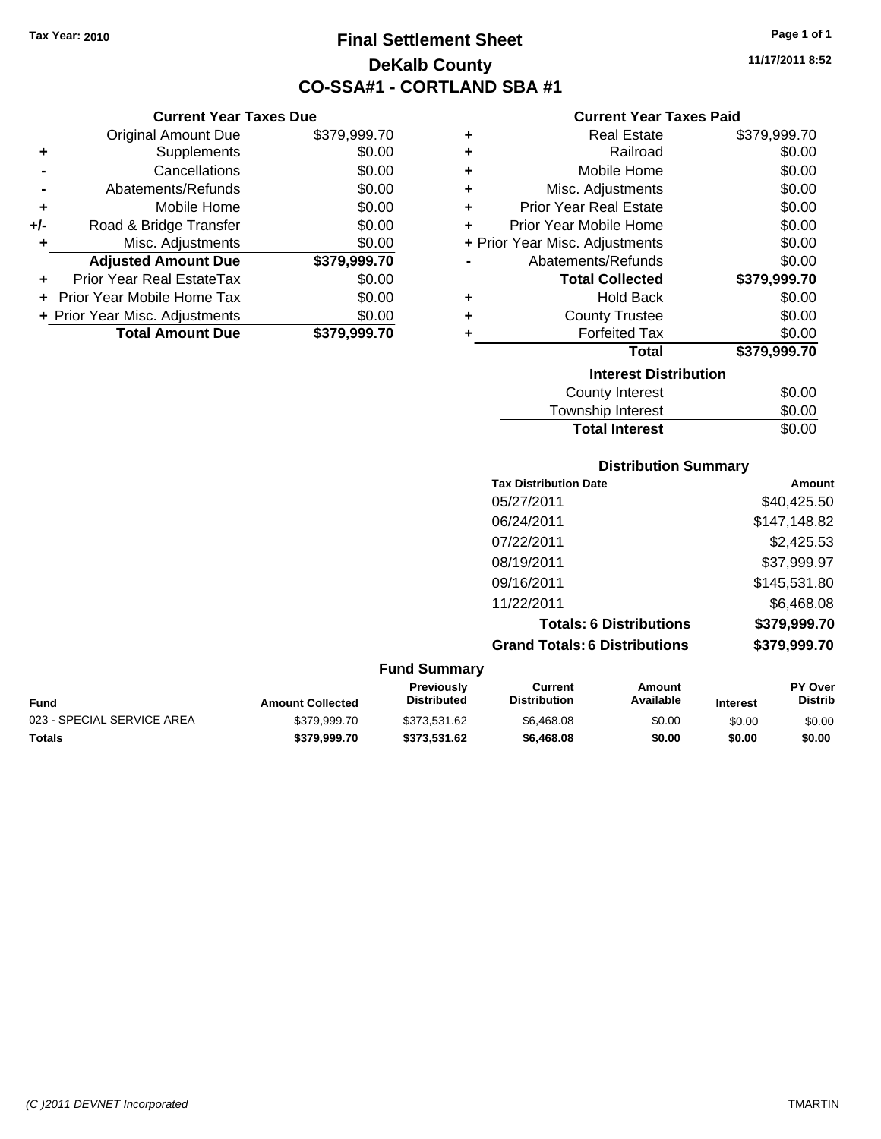## **Final Settlement Sheet Tax Year: 2010 Page 1 of 1 DeKalb County CO-SSA#1 - CORTLAND SBA #1**

**11/17/2011 8:52**

### **Current Year Taxes Paid**

| ٠ | <b>Real Estate</b>             | \$379,999.70 |
|---|--------------------------------|--------------|
| ٠ | Railroad                       | \$0.00       |
| ÷ | Mobile Home                    | \$0.00       |
| ÷ | Misc. Adjustments              | \$0.00       |
| ÷ | <b>Prior Year Real Estate</b>  | \$0.00       |
| ÷ | Prior Year Mobile Home         | \$0.00       |
|   | + Prior Year Misc. Adjustments | \$0.00       |
|   | Abatements/Refunds             | \$0.00       |
|   | <b>Total Collected</b>         | \$379,999.70 |
| ٠ | <b>Hold Back</b>               | \$0.00       |
| ٠ | <b>County Trustee</b>          | \$0.00       |
| ٠ | <b>Forfeited Tax</b>           | \$0.00       |
|   | <b>Total</b>                   | \$379,999.70 |
|   | <b>Interest Distribution</b>   |              |
|   | <b>County Interest</b>         | \$0.00       |
|   |                                |              |

| <b>Total Interest</b> | \$0.00       |
|-----------------------|--------------|
| Township Interest     | \$0.00       |
|                       | <b>vv.vv</b> |

### **Distribution Summary**

| \$40,425.50<br>\$147,148.82 |
|-----------------------------|
|                             |
|                             |
| \$2,425.53                  |
| \$37,999.97                 |
| \$145,531.80                |
| \$6,468.08                  |
| \$379,999.70                |
| \$379,999.70                |
|                             |

### **Fund Summary Fund Interest Amount Collected Distributed PY Over Distrib Amount Available Current Distribution Previously** 023 - SPECIAL SERVICE AREA  $$379,999.70$  \$373,531.62 \$6,468.08 \$0.00 \$0.00 \$0.00 \$0.00 **Totals \$379,999.70 \$373,531.62 \$6,468.08 \$0.00 \$0.00 \$0.00**

**+** Mobile Home \$0.00 **+/-** Road & Bridge Transfer \$0.00 **+** Misc. Adjustments \$0.00 **Adjusted Amount Due \$379,999.70 +** Prior Year Real EstateTax \$0.00 **+** Prior Year Mobile Home Tax \$0.00 **+ Prior Year Misc. Adjustments**  $$0.00$ **Total Amount Due \$379,999.70**

**Current Year Taxes Due** Original Amount Due \$379,999.70

**+** Supplements \$0.00 **-** Cancellations \$0.00 **-** Abatements/Refunds \$0.00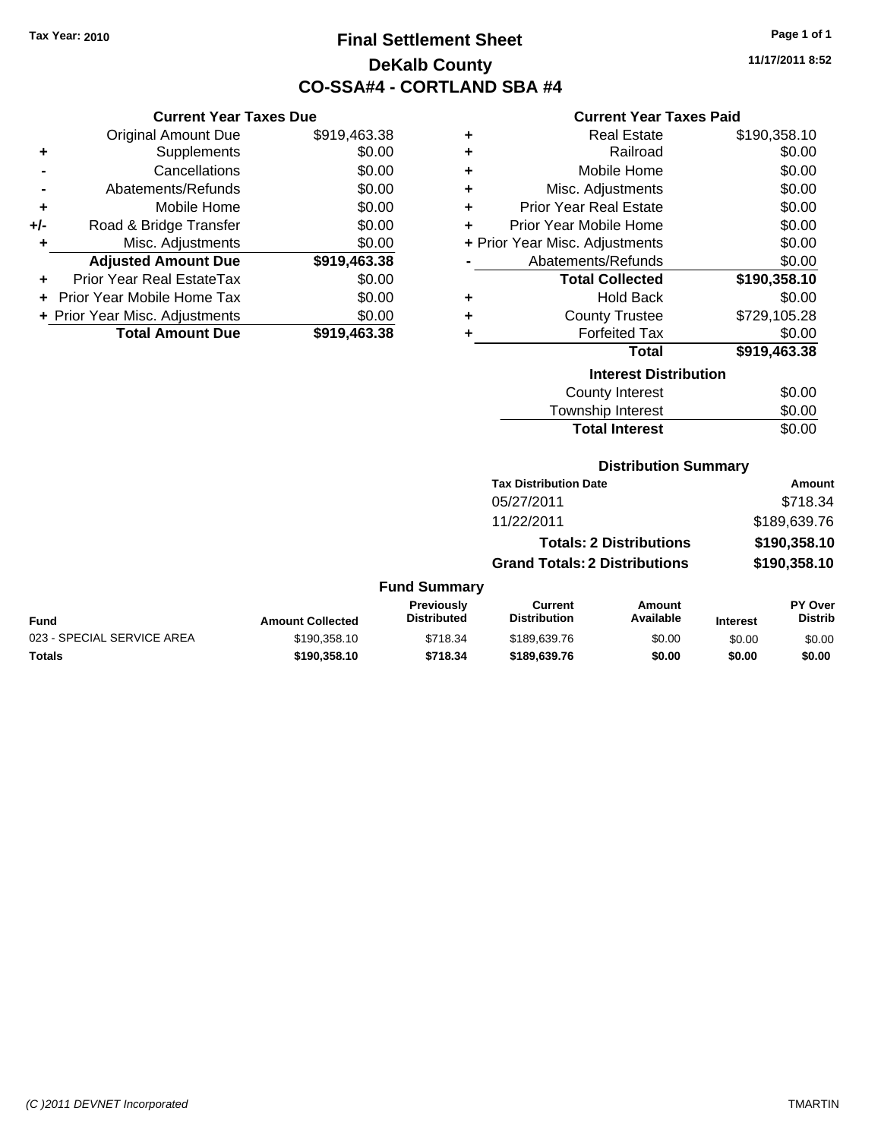**Current Year Taxes Due**

## **Final Settlement Sheet Tax Year: 2010 Page 1 of 1 DeKalb County CO-SSA#4 - CORTLAND SBA #4**

**11/17/2011 8:52**

### **Current Year Taxes Paid**

|                | OGNOM TOGET GAOS DUC           |              |   | odilent i cal taxco i dia      |              |
|----------------|--------------------------------|--------------|---|--------------------------------|--------------|
|                | <b>Original Amount Due</b>     | \$919,463.38 | ٠ | <b>Real Estate</b>             | \$190,358.10 |
| ÷              | Supplements                    | \$0.00       | ٠ | Railroad                       | \$0.00       |
| $\blacksquare$ | Cancellations                  | \$0.00       | ٠ | Mobile Home                    | \$0.00       |
| $\blacksquare$ | Abatements/Refunds             | \$0.00       | ٠ | Misc. Adjustments              | \$0.00       |
| ٠              | Mobile Home                    | \$0.00       | ٠ | <b>Prior Year Real Estate</b>  | \$0.00       |
| I-             | Road & Bridge Transfer         | \$0.00       |   | Prior Year Mobile Home         | \$0.00       |
| ٠              | Misc. Adjustments              | \$0.00       |   | + Prior Year Misc. Adjustments | \$0.00       |
|                | <b>Adjusted Amount Due</b>     | \$919,463.38 |   | Abatements/Refunds             | \$0.00       |
| ÷              | Prior Year Real EstateTax      | \$0.00       |   | <b>Total Collected</b>         | \$190,358.10 |
|                | + Prior Year Mobile Home Tax   | \$0.00       | ٠ | <b>Hold Back</b>               | \$0.00       |
|                | + Prior Year Misc. Adjustments | \$0.00       | ٠ | <b>County Trustee</b>          | \$729,105.28 |
|                | <b>Total Amount Due</b>        | \$919,463.38 |   | <b>Forfeited Tax</b>           | \$0.00       |
|                |                                |              |   | <b>Total</b>                   | \$919,463.38 |
|                |                                |              |   | <b>Interest Distribution</b>   |              |
|                |                                |              |   | County Interest                | \$0.00       |

| ilituruat Piatribution                                                                                          |
|-----------------------------------------------------------------------------------------------------------------|
| <b>County Interest</b>                                                                                          |
| the contract of the contract of the contract of the contract of the contract of the contract of the contract of |

| Township Interest     | \$0.00 |
|-----------------------|--------|
| <b>Total Interest</b> | \$0.00 |

### **Distribution Summary**

| <b>Tax Distribution Date</b>         | Amount       |
|--------------------------------------|--------------|
| 05/27/2011                           | \$718.34     |
| 11/22/2011                           | \$189,639.76 |
| <b>Totals: 2 Distributions</b>       | \$190,358.10 |
| <b>Grand Totals: 2 Distributions</b> | \$190,358.10 |
|                                      |              |

|                            |                         | <b>Previously</b>  | Current             | Amount    |                 | PY Over        |
|----------------------------|-------------------------|--------------------|---------------------|-----------|-----------------|----------------|
| <b>Fund</b>                | <b>Amount Collected</b> | <b>Distributed</b> | <b>Distribution</b> | Available | <b>Interest</b> | <b>Distrib</b> |
| 023 - SPECIAL SERVICE AREA | \$190.358.10            | \$718.34           | \$189,639.76        | \$0.00    | \$0.00          | \$0.00         |
| Totals                     | \$190,358.10            | \$718.34           | \$189,639.76        | \$0.00    | \$0.00          | \$0.00         |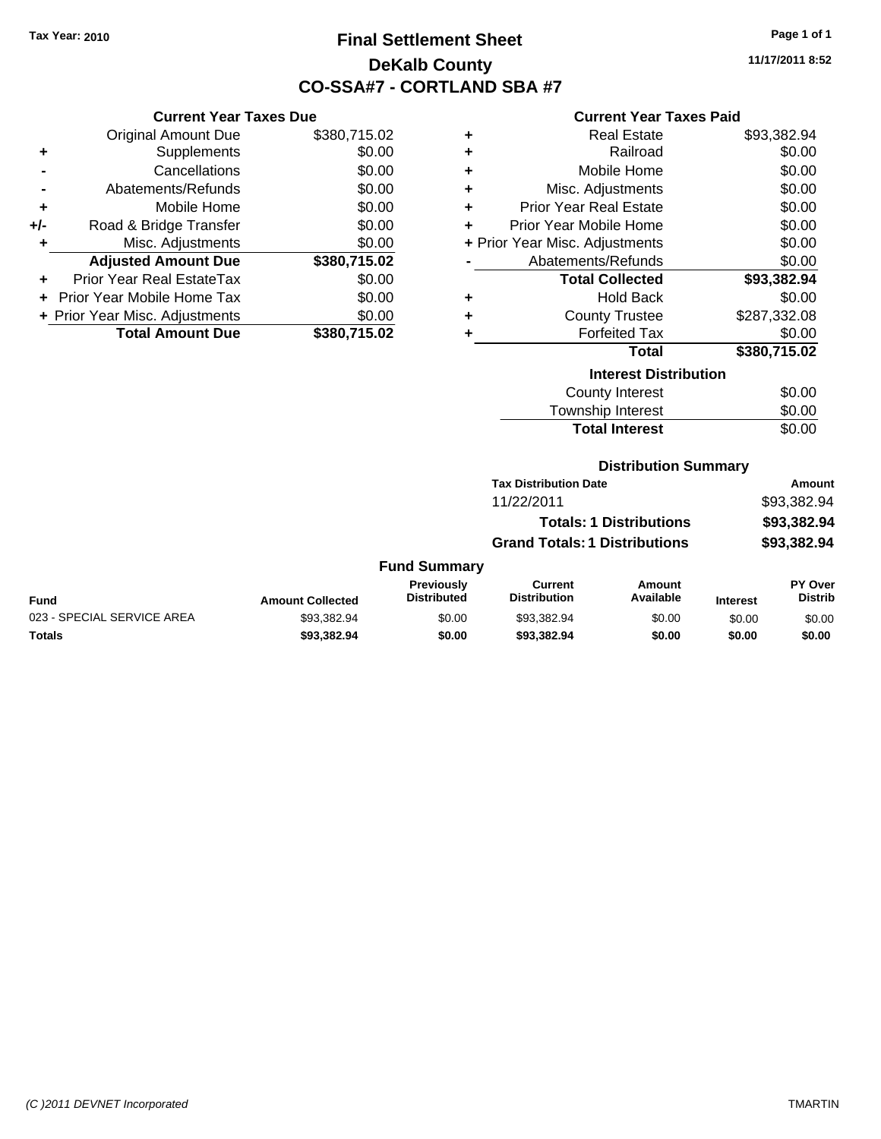## **Final Settlement Sheet Tax Year: 2010 Page 1 of 1 DeKalb County CO-SSA#7 - CORTLAND SBA #7**

**11/17/2011 8:52**

### **Current Year Taxes Paid**

|     | <b>Current Year Taxes Due</b>  |              |  |  |  |
|-----|--------------------------------|--------------|--|--|--|
|     | <b>Original Amount Due</b>     | \$380,715.02 |  |  |  |
| ٠   | Supplements                    | \$0.00       |  |  |  |
|     | Cancellations                  | \$0.00       |  |  |  |
|     | Abatements/Refunds             | \$0.00       |  |  |  |
| ٠   | Mobile Home                    | \$0.00       |  |  |  |
| +/- | Road & Bridge Transfer         | \$0.00       |  |  |  |
| ٠   | Misc. Adjustments              | \$0.00       |  |  |  |
|     | <b>Adjusted Amount Due</b>     | \$380,715.02 |  |  |  |
|     | Prior Year Real EstateTax      | \$0.00       |  |  |  |
|     | Prior Year Mobile Home Tax     | \$0.00       |  |  |  |
|     | + Prior Year Misc. Adjustments | \$0.00       |  |  |  |
|     | <b>Total Amount Due</b>        | \$380,715.02 |  |  |  |

| ٠ | <b>Real Estate</b>             | \$93,382.94  |
|---|--------------------------------|--------------|
| ٠ | Railroad                       | \$0.00       |
| ٠ | Mobile Home                    | \$0.00       |
| ٠ | Misc. Adjustments              | \$0.00       |
| ٠ | <b>Prior Year Real Estate</b>  | \$0.00       |
| ÷ | Prior Year Mobile Home         | \$0.00       |
|   | + Prior Year Misc. Adjustments | \$0.00       |
|   | Abatements/Refunds             | \$0.00       |
|   | <b>Total Collected</b>         | \$93,382.94  |
| ٠ | <b>Hold Back</b>               | \$0.00       |
| ÷ | <b>County Trustee</b>          | \$287,332.08 |
| ٠ | <b>Forfeited Tax</b>           | \$0.00       |
|   | <b>Total</b>                   | \$380,715.02 |
|   | <b>Interest Distribution</b>   |              |
|   | <b>County Interest</b>         | \$0.00       |
|   | -                              |              |

| <b>Total Interest</b> | \$0.00 |
|-----------------------|--------|
| Township Interest     | \$0.00 |
| County Interest       | \$0.00 |

### **Distribution Summary**

| <b>Tax Distribution Date</b>         | Amount      |
|--------------------------------------|-------------|
| 11/22/2011                           | \$93,382.94 |
| <b>Totals: 1 Distributions</b>       | \$93,382,94 |
| <b>Grand Totals: 1 Distributions</b> | \$93,382,94 |

|                            |                         | Previously         | Current      | Amount    |                 | PY Over        |
|----------------------------|-------------------------|--------------------|--------------|-----------|-----------------|----------------|
| Fund                       | <b>Amount Collected</b> | <b>Distributed</b> | Distribution | Available | <b>Interest</b> | <b>Distrib</b> |
| 023 - SPECIAL SERVICE AREA | \$93.382.94             | \$0.00             | \$93.382.94  | \$0.00    | \$0.00          | \$0.00         |
| Totals                     | \$93,382.94             | \$0.00             | \$93.382.94  | \$0.00    | \$0.00          | \$0.00         |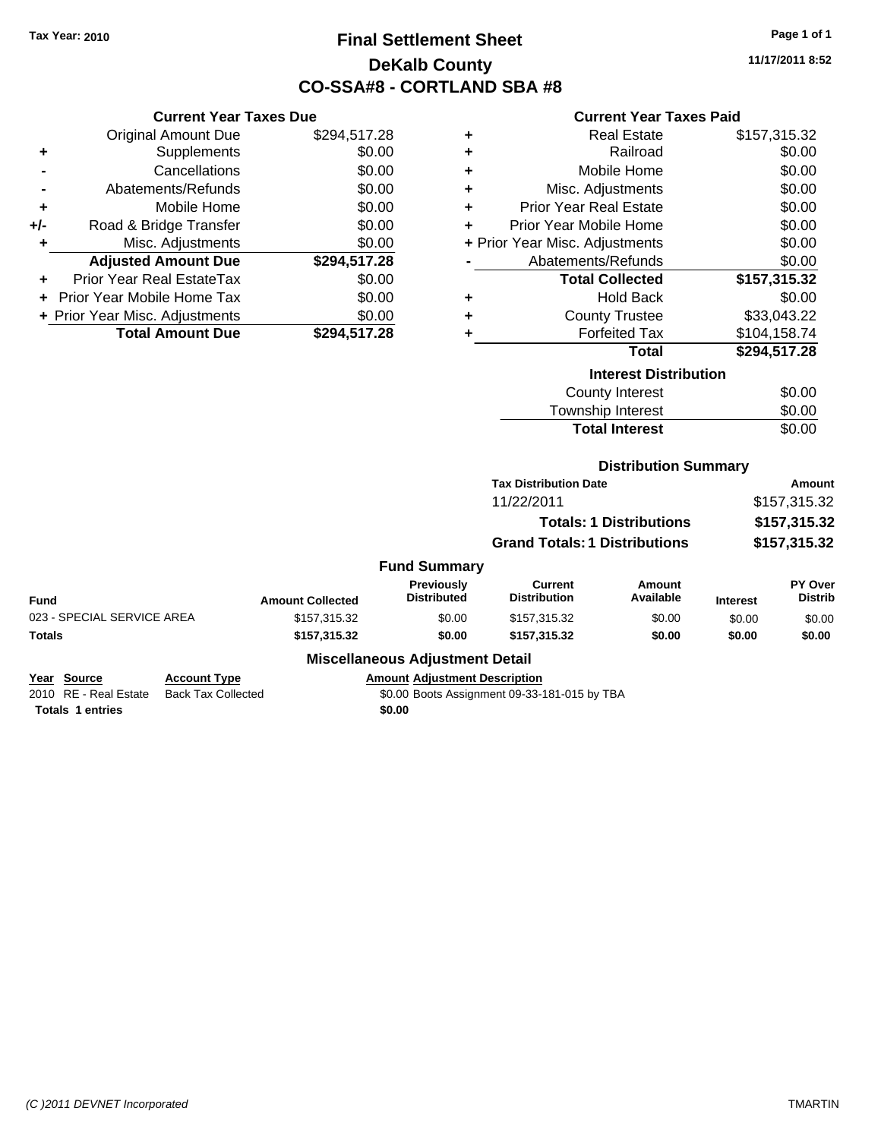## **Final Settlement Sheet Tax Year: 2010 Page 1 of 1 DeKalb County CO-SSA#8 - CORTLAND SBA #8**

**11/17/2011 8:52**

### **Current Year Taxes Paid**

|     | <b>Current Year Taxes Due</b>  |              |  |  |  |
|-----|--------------------------------|--------------|--|--|--|
|     | <b>Original Amount Due</b>     | \$294,517.28 |  |  |  |
| ٠   | Supplements                    | \$0.00       |  |  |  |
|     | Cancellations                  | \$0.00       |  |  |  |
|     | Abatements/Refunds             | \$0.00       |  |  |  |
| ٠   | Mobile Home                    | \$0.00       |  |  |  |
| +/- | Road & Bridge Transfer         | \$0.00       |  |  |  |
| ٠   | Misc. Adjustments              | \$0.00       |  |  |  |
|     | <b>Adjusted Amount Due</b>     | \$294,517.28 |  |  |  |
|     | Prior Year Real EstateTax      | \$0.00       |  |  |  |
|     | Prior Year Mobile Home Tax     | \$0.00       |  |  |  |
|     | + Prior Year Misc. Adjustments | \$0.00       |  |  |  |
|     | <b>Total Amount Due</b>        | \$294.517.28 |  |  |  |

| ٠ | <b>Real Estate</b>             | \$157,315.32 |
|---|--------------------------------|--------------|
| ٠ | Railroad                       | \$0.00       |
| ٠ | Mobile Home                    | \$0.00       |
| ٠ | Misc. Adjustments              | \$0.00       |
| ٠ | <b>Prior Year Real Estate</b>  | \$0.00       |
| ÷ | Prior Year Mobile Home         | \$0.00       |
|   | + Prior Year Misc. Adjustments | \$0.00       |
|   | Abatements/Refunds             | \$0.00       |
|   | <b>Total Collected</b>         | \$157,315.32 |
| ٠ | <b>Hold Back</b>               | \$0.00       |
| ٠ | <b>County Trustee</b>          | \$33,043.22  |
| ٠ | <b>Forfeited Tax</b>           | \$104,158.74 |
|   | <b>Total</b>                   | \$294,517.28 |
|   | <b>Interest Distribution</b>   |              |
|   | County Interest                |              |

| <b>Total Interest</b> | \$0.00       |
|-----------------------|--------------|
| Township Interest     | \$0.00       |
| County Interest       | <b>SU.UU</b> |

### **Distribution Summary**

| <b>Tax Distribution Date</b>         | Amount       |  |  |
|--------------------------------------|--------------|--|--|
| 11/22/2011                           | \$157,315.32 |  |  |
| <b>Totals: 1 Distributions</b>       | \$157,315.32 |  |  |
| <b>Grand Totals: 1 Distributions</b> | \$157,315.32 |  |  |

### **Fund Summary**

| Fund                       | <b>Amount Collected</b> | <b>Previously</b><br><b>Distributed</b> | Current<br><b>Distribution</b> | Amount<br>Available | <b>Interest</b> | <b>PY Over</b><br><b>Distrib</b> |
|----------------------------|-------------------------|-----------------------------------------|--------------------------------|---------------------|-----------------|----------------------------------|
| 023 - SPECIAL SERVICE AREA | \$157,315,32            | \$0.00                                  | \$157.315.32                   | \$0.00              | \$0.00          | \$0.00                           |
| Totals                     | \$157.315.32            | \$0.00                                  | \$157.315.32                   | \$0.00              | \$0.00          | \$0.00                           |

### **Miscellaneous Adjustment Detail**

### **Year Source Account Type Amount Adjustment Description**

2010 RE - Real Estate Back Tax Collected \$0.00 Boots Assignment 09-33-181-015 by TBA **Totals 1 entries** \$0.00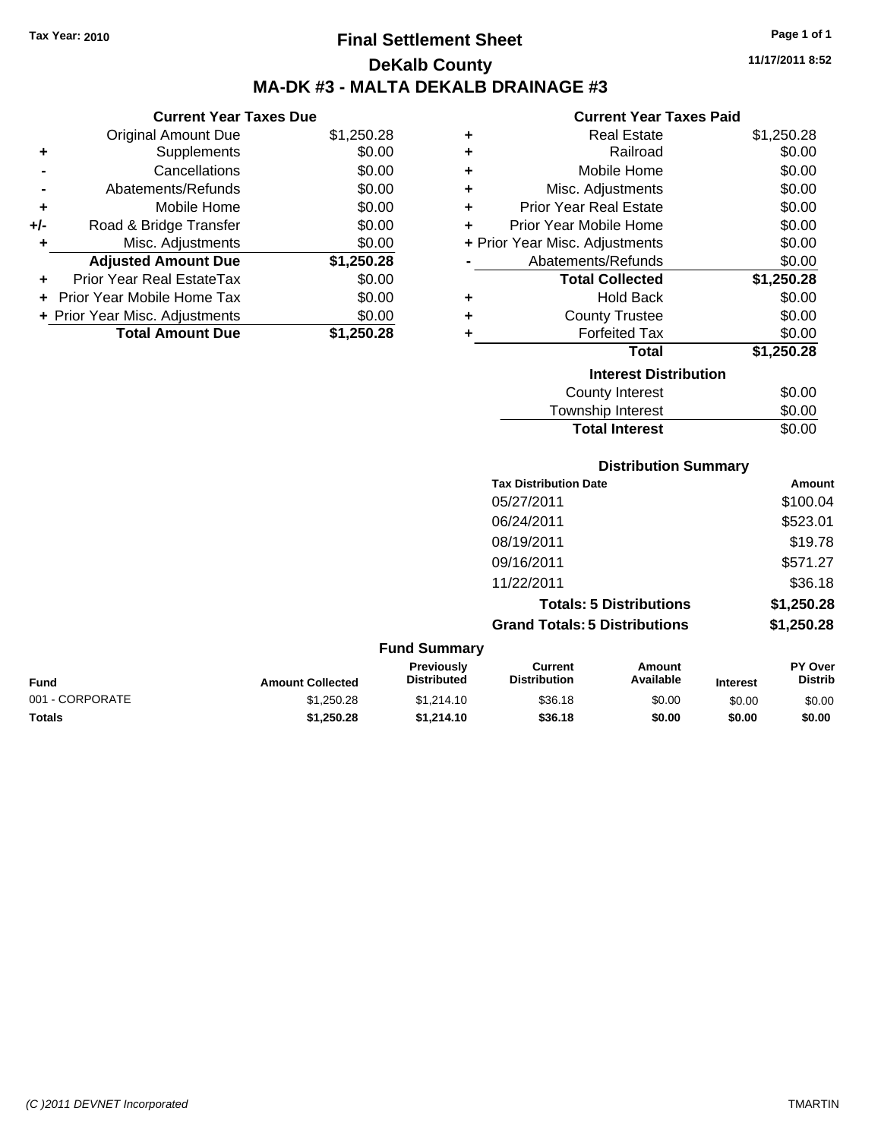**Current Year Taxes Due** Original Amount Due \$1,250.28

**Adjusted Amount Due \$1,250.28**

**Total Amount Due \$1,250.28**

**+** Supplements \$0.00 **-** Cancellations \$0.00 **-** Abatements/Refunds \$0.00 **+** Mobile Home \$0.00 **+/-** Road & Bridge Transfer \$0.00 **+** Misc. Adjustments \$0.00

**+** Prior Year Real EstateTax \$0.00 **+** Prior Year Mobile Home Tax \$0.00 **+ Prior Year Misc. Adjustments**  $$0.00$ 

## **Final Settlement Sheet Tax Year: 2010 Page 1 of 1 DeKalb County MA-DK #3 - MALTA DEKALB DRAINAGE #3**

**11/17/2011 8:52**

#### **Current Year Taxes Paid**

| ٠ | <b>Real Estate</b>             | \$1,250.28 |
|---|--------------------------------|------------|
| ٠ | Railroad                       | \$0.00     |
| ÷ | Mobile Home                    | \$0.00     |
| ٠ | Misc. Adjustments              | \$0.00     |
| ٠ | <b>Prior Year Real Estate</b>  | \$0.00     |
| ٠ | Prior Year Mobile Home         | \$0.00     |
|   | + Prior Year Misc. Adjustments | \$0.00     |
|   | Abatements/Refunds             | \$0.00     |
|   | <b>Total Collected</b>         | \$1,250.28 |
| ٠ | <b>Hold Back</b>               | \$0.00     |
| ٠ | <b>County Trustee</b>          | \$0.00     |
| ٠ | <b>Forfeited Tax</b>           | \$0.00     |
|   | Total                          | \$1,250.28 |
|   | <b>Interest Distribution</b>   |            |
|   | <b>County Interest</b>         | \$0.00     |
|   | Township Interest              | \$0.00     |

| <b>Total Interest</b> | \$0.00 |
|-----------------------|--------|
| Township Interest     | \$0.00 |
| County Interest       | \$0.00 |

## **Distribution Summary**

| <b>Tax Distribution Date</b>         | Amount     |
|--------------------------------------|------------|
| 05/27/2011                           | \$100.04   |
| 06/24/2011                           | \$523.01   |
| 08/19/2011                           | \$19.78    |
| 09/16/2011                           | \$571.27   |
| 11/22/2011                           | \$36.18    |
| <b>Totals: 5 Distributions</b>       | \$1,250.28 |
| <b>Grand Totals: 5 Distributions</b> | \$1,250.28 |
|                                      |            |

#### **Fund Summary Fund Interest Amount Collected Distributed PY Over Distrib Amount Available Current Distribution Previously** 001 - CORPORATE \$1,250.28 \$1,214.10 \$36.18 \$0.00 \$0.00 \$0.00 **Totals \$1,250.28 \$1,214.10 \$36.18 \$0.00 \$0.00 \$0.00**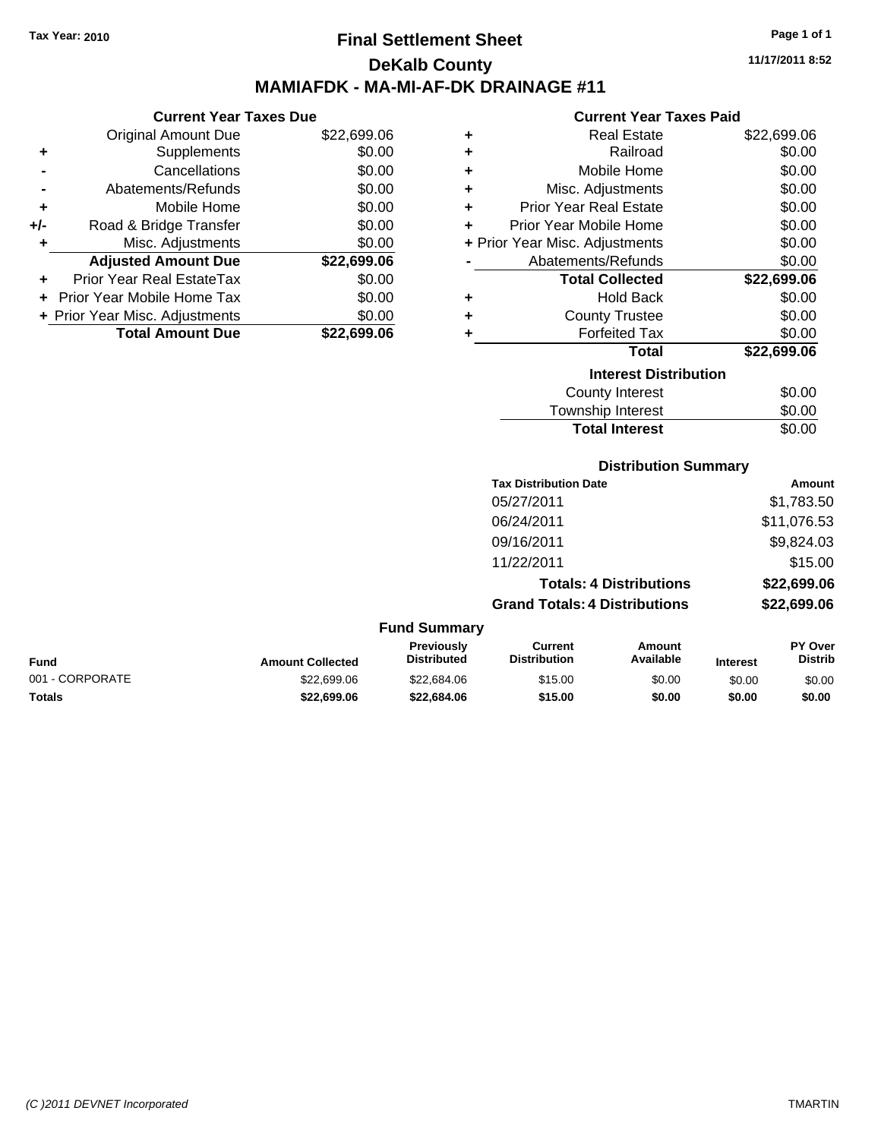## **Final Settlement Sheet Tax Year: 2010 Page 1 of 1 DeKalb County MAMIAFDK - MA-MI-AF-DK DRAINAGE #11**

**11/17/2011 8:52**

#### **Current Year Taxes Paid**

| <b>Current Year Taxes Due</b>  |             |  |  |  |
|--------------------------------|-------------|--|--|--|
| <b>Original Amount Due</b>     | \$22,699.06 |  |  |  |
| Supplements                    | \$0.00      |  |  |  |
| Cancellations                  | \$0.00      |  |  |  |
| Abatements/Refunds             | \$0.00      |  |  |  |
| Mobile Home                    | \$0.00      |  |  |  |
| Road & Bridge Transfer         | \$0.00      |  |  |  |
| Misc. Adjustments              | \$0.00      |  |  |  |
| <b>Adjusted Amount Due</b>     | \$22,699.06 |  |  |  |
|                                |             |  |  |  |
| Prior Year Real EstateTax      | \$0.00      |  |  |  |
| Prior Year Mobile Home Tax     | \$0.00      |  |  |  |
| + Prior Year Misc. Adjustments | \$0.00      |  |  |  |
|                                |             |  |  |  |

| ٠ | <b>Real Estate</b>             | \$22,699.06 |
|---|--------------------------------|-------------|
| ٠ | Railroad                       | \$0.00      |
| ٠ | Mobile Home                    | \$0.00      |
| ٠ | Misc. Adjustments              | \$0.00      |
| ÷ | <b>Prior Year Real Estate</b>  | \$0.00      |
| ÷ | Prior Year Mobile Home         | \$0.00      |
|   | + Prior Year Misc. Adjustments | \$0.00      |
|   | Abatements/Refunds             | \$0.00      |
|   | <b>Total Collected</b>         | \$22,699.06 |
| ٠ | <b>Hold Back</b>               | \$0.00      |
| ٠ | <b>County Trustee</b>          | \$0.00      |
| ٠ | <b>Forfeited Tax</b>           | \$0.00      |
|   | Total                          | \$22,699.06 |
|   | <b>Interest Distribution</b>   |             |
|   | <b>County Interest</b>         | \$0.00      |
|   | <b>Township Interest</b>       | \$0.00      |
|   | <b>Total Interest</b>          | \$0.00      |

## **Distribution Summary**

| <b>Tax Distribution Date</b>         | Amount      |
|--------------------------------------|-------------|
| 05/27/2011                           | \$1,783.50  |
| 06/24/2011                           | \$11,076.53 |
| 09/16/2011                           | \$9,824.03  |
| 11/22/2011                           | \$15.00     |
| <b>Totals: 4 Distributions</b>       | \$22,699.06 |
| <b>Grand Totals: 4 Distributions</b> | \$22,699.06 |

#### **Fund Summary**

| Fund            | <b>Amount Collected</b> | Previously<br><b>Distributed</b> | Current<br><b>Distribution</b> | Amount<br>Available | <b>Interest</b> | <b>PY Over</b><br>Distrib |
|-----------------|-------------------------|----------------------------------|--------------------------------|---------------------|-----------------|---------------------------|
| 001 - CORPORATE | \$22,699.06             | \$22,684.06                      | \$15.00                        | \$0.00              | \$0.00          | \$0.00                    |
| Totals          | \$22,699.06             | \$22.684.06                      | \$15.00                        | \$0.00              | \$0.00          | \$0.00                    |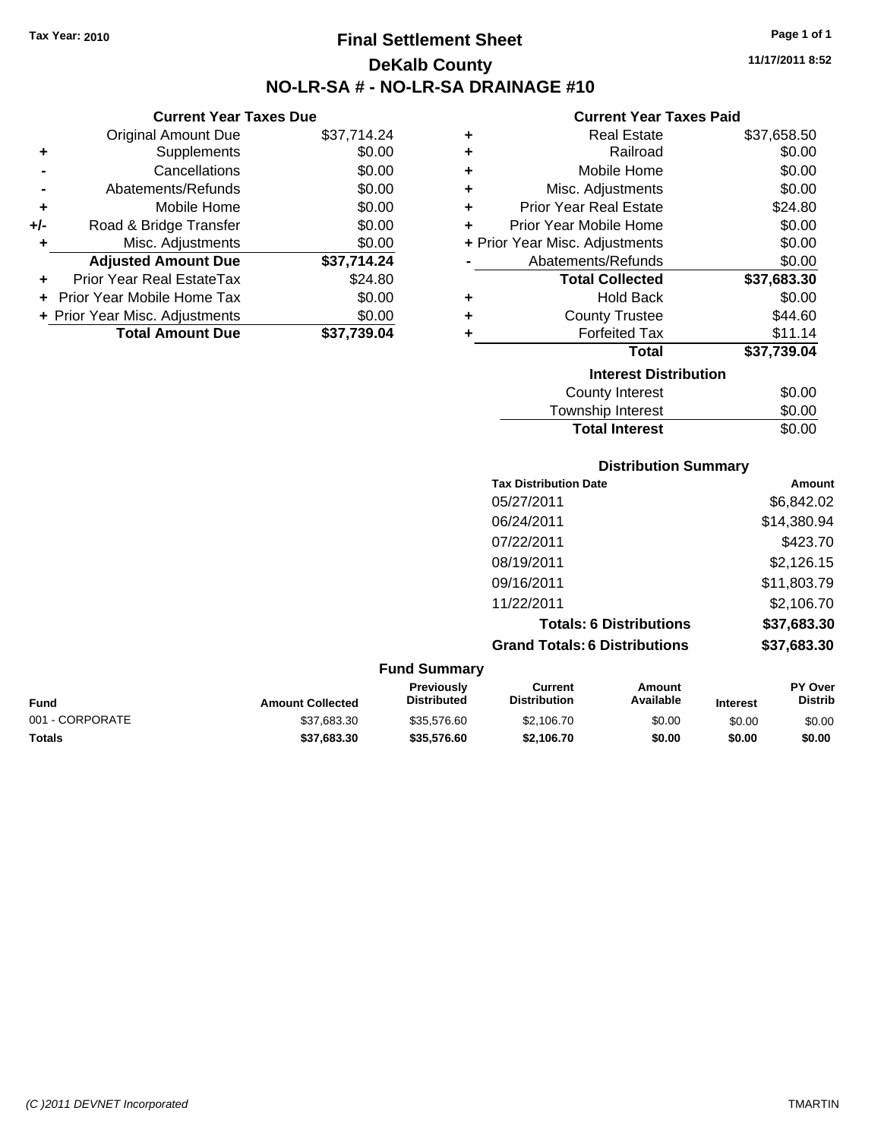**Current Year Taxes Due** Original Amount Due \$37,714.24

**Adjusted Amount Due \$37,714.24**

**Total Amount Due \$37,739.04**

**+** Supplements \$0.00 **-** Cancellations \$0.00 **-** Abatements/Refunds \$0.00 **+** Mobile Home \$0.00 **+/-** Road & Bridge Transfer \$0.00 **+** Misc. Adjustments \$0.00

**+** Prior Year Real EstateTax \$24.80 **+** Prior Year Mobile Home Tax \$0.00 **+ Prior Year Misc. Adjustments**  $$0.00$ 

## **Final Settlement Sheet Tax Year: 2010 Page 1 of 1 DeKalb County NO-LR-SA # - NO-LR-SA DRAINAGE #10**

**11/17/2011 8:52**

#### **Current Year Taxes Paid**

|   | un viit 1 vai 1 unvolt ulu     |             |
|---|--------------------------------|-------------|
| ٠ | Real Estate                    | \$37,658.50 |
| ٠ | Railroad                       | \$0.00      |
| ÷ | Mobile Home                    | \$0.00      |
| ÷ | Misc. Adjustments              | \$0.00      |
| ÷ | <b>Prior Year Real Estate</b>  | \$24.80     |
| ÷ | Prior Year Mobile Home         | \$0.00      |
|   | + Prior Year Misc. Adjustments | \$0.00      |
|   | Abatements/Refunds             | \$0.00      |
|   | <b>Total Collected</b>         | \$37,683.30 |
| ٠ | <b>Hold Back</b>               | \$0.00      |
| ÷ | <b>County Trustee</b>          | \$44.60     |
| ÷ | <b>Forfeited Tax</b>           | \$11.14     |
|   | <b>Total</b>                   | \$37,739.04 |
|   | <b>Interest Distribution</b>   |             |
|   |                                |             |
|   | County Interest                | \$0.00      |

## Township Interest  $$0.00$ **Total Interest** \$0.00

| <b>Distribution Summary</b> |  |
|-----------------------------|--|
|                             |  |

| <b>Tax Distribution Date</b>         | Amount      |
|--------------------------------------|-------------|
| 05/27/2011                           | \$6,842.02  |
| 06/24/2011                           | \$14,380.94 |
| 07/22/2011                           | \$423.70    |
| 08/19/2011                           | \$2,126.15  |
| 09/16/2011                           | \$11,803.79 |
| 11/22/2011                           | \$2,106.70  |
| <b>Totals: 6 Distributions</b>       | \$37,683.30 |
| <b>Grand Totals: 6 Distributions</b> | \$37,683.30 |
|                                      |             |

| <b>Fund Summary</b> |                         |                                         |                                |                     |                 |                                  |
|---------------------|-------------------------|-----------------------------------------|--------------------------------|---------------------|-----------------|----------------------------------|
| Fund                | <b>Amount Collected</b> | <b>Previously</b><br><b>Distributed</b> | Current<br><b>Distribution</b> | Amount<br>Available | <b>Interest</b> | <b>PY Over</b><br><b>Distrib</b> |
| 001 - CORPORATE     | \$37,683.30             | \$35,576.60                             | \$2,106.70                     | \$0.00              | \$0.00          | \$0.00                           |
| Totals              | \$37.683.30             | \$35,576.60                             | \$2.106.70                     | \$0.00              | \$0.00          | \$0.00                           |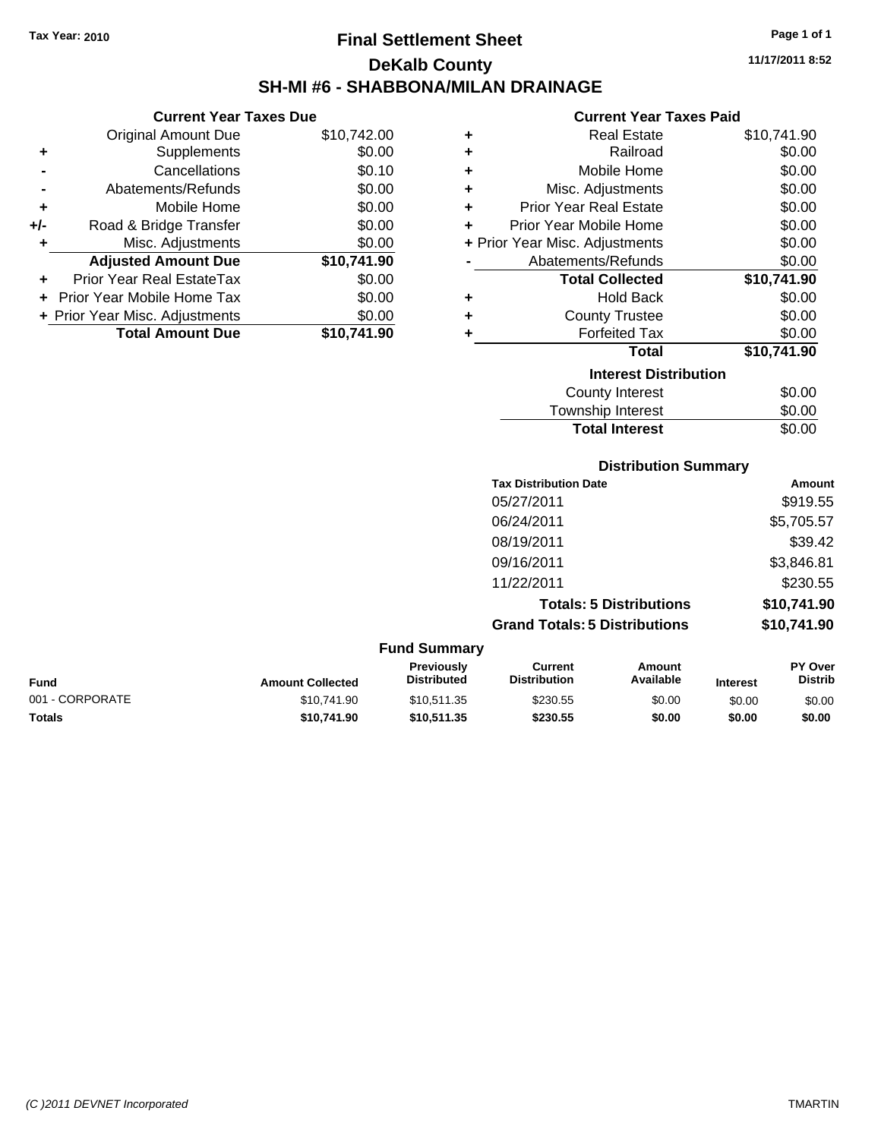## **Final Settlement Sheet Tax Year: 2010 Page 1 of 1 DeKalb County SH-MI #6 - SHABBONA/MILAN DRAINAGE**

**11/17/2011 8:52**

#### **Current Year Taxes Paid**

| ٠ | <b>Real Estate</b>             | \$10,741.90 |
|---|--------------------------------|-------------|
| ٠ | Railroad                       | \$0.00      |
| ٠ | Mobile Home                    | \$0.00      |
| ٠ | Misc. Adjustments              | \$0.00      |
| ٠ | <b>Prior Year Real Estate</b>  | \$0.00      |
| ÷ | Prior Year Mobile Home         | \$0.00      |
|   | + Prior Year Misc. Adjustments | \$0.00      |
|   | Abatements/Refunds             | \$0.00      |
|   | <b>Total Collected</b>         | \$10,741.90 |
| ٠ | <b>Hold Back</b>               | \$0.00      |
| ٠ | <b>County Trustee</b>          | \$0.00      |
| ٠ | <b>Forfeited Tax</b>           | \$0.00      |
|   | <b>Total</b>                   | \$10,741.90 |
|   | <b>Interest Distribution</b>   |             |
|   | <b>County Interest</b>         | \$0.00      |
|   | Townehin Interact              | ቁስ ሰስ       |

## Township Interest  $\frac{$0.00}{0.00}$ **Total Interest**

| <b>Distribution Summary</b>    |             |  |
|--------------------------------|-------------|--|
| <b>Tax Distribution Date</b>   | Amount      |  |
| 05/27/2011                     | \$919.55    |  |
| 06/24/2011                     | \$5,705.57  |  |
| 08/19/2011                     | \$39.42     |  |
| 09/16/2011                     | \$3,846.81  |  |
| 11/22/2011                     | \$230.55    |  |
| <b>Totals: 5 Distributions</b> | \$10,741.90 |  |

**Grand Totals: 5 Distributions \$10,741.90**

|                         | <b>Fund Summary</b>                     |                                |                     |                 |                                  |
|-------------------------|-----------------------------------------|--------------------------------|---------------------|-----------------|----------------------------------|
| <b>Amount Collected</b> | <b>Previously</b><br><b>Distributed</b> | Current<br><b>Distribution</b> | Amount<br>Available | <b>Interest</b> | <b>PY Over</b><br><b>Distrib</b> |
| \$10.741.90             | \$10.511.35                             | \$230.55                       | \$0.00              | \$0.00          | \$0.00                           |
| \$10.741.90             | \$10,511,35                             | \$230.55                       | \$0.00              | \$0.00          | \$0.00                           |
|                         |                                         |                                |                     |                 |                                  |

 $F_{\text{max}}$ 

|     | <b>Total Amount Due</b>        | \$10,741.90 |
|-----|--------------------------------|-------------|
|     | + Prior Year Misc. Adjustments | \$0.00      |
|     | + Prior Year Mobile Home Tax   | \$0.00      |
|     | Prior Year Real EstateTax      | \$0.00      |
|     | <b>Adjusted Amount Due</b>     | \$10,741.90 |
| ÷   | Misc. Adjustments              | \$0.00      |
| +/- | Road & Bridge Transfer         | \$0.00      |
| ٠   | Mobile Home                    | \$0.00      |
|     | Abatements/Refunds             | \$0.00      |

**+** Supplements \$0.00 **-** Cancellations \$0.10

**Current Year Taxes Due** Original Amount Due \$10,742.00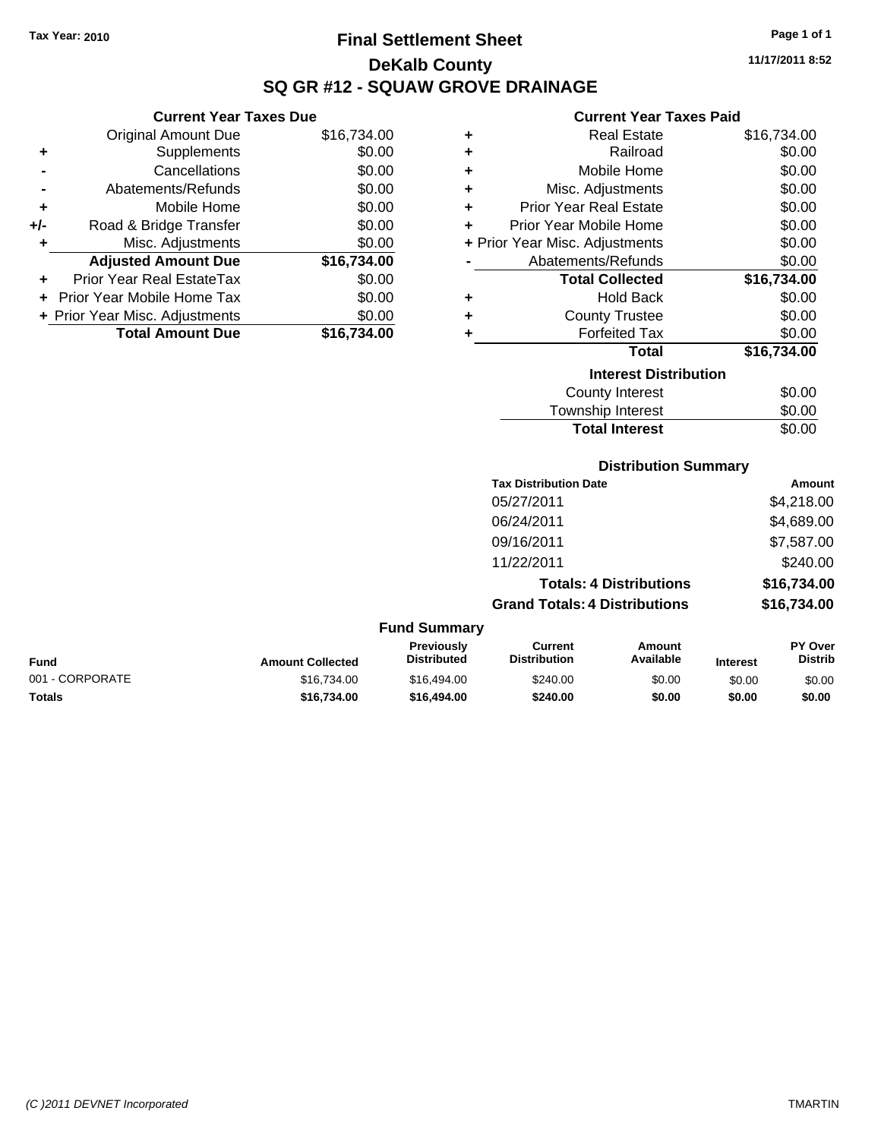## **Final Settlement Sheet Tax Year: 2010 Page 1 of 1 DeKalb County SQ GR #12 - SQUAW GROVE DRAINAGE**

**Current Year Taxes Paid**

|   | GUITEIN TEAT TAXES FAIU        |             |
|---|--------------------------------|-------------|
| ٠ | <b>Real Estate</b>             | \$16,734.00 |
| ٠ | Railroad                       | \$0.00      |
| ÷ | Mobile Home                    | \$0.00      |
| ÷ | Misc. Adjustments              | \$0.00      |
| ÷ | <b>Prior Year Real Estate</b>  | \$0.00      |
| ÷ | Prior Year Mobile Home         | \$0.00      |
|   | + Prior Year Misc. Adjustments | \$0.00      |
|   | Abatements/Refunds             | \$0.00      |
|   | <b>Total Collected</b>         | \$16,734.00 |
| ٠ | <b>Hold Back</b>               | \$0.00      |
| ÷ | <b>County Trustee</b>          | \$0.00      |
| ÷ | <b>Forfeited Tax</b>           | \$0.00      |
|   | Total                          | \$16,734.00 |
|   | <b>Interest Distribution</b>   |             |
|   | <b>County Interest</b>         | \$0.00      |
|   | Township Interest              | \$0.00      |
|   | <b>Total Interest</b>          | \$0.00      |

| <b>Distribution Summary</b> |  |
|-----------------------------|--|

| <b>Tax Distribution Date</b>         | Amount      |
|--------------------------------------|-------------|
| 05/27/2011                           | \$4,218.00  |
| 06/24/2011                           | \$4,689.00  |
| 09/16/2011                           | \$7,587.00  |
| 11/22/2011                           | \$240.00    |
| <b>Totals: 4 Distributions</b>       | \$16,734.00 |
| <b>Grand Totals: 4 Distributions</b> | \$16,734.00 |
|                                      |             |

|                 |                         | <b>Fund Summary</b>                     |                                |                     |                 |                                  |
|-----------------|-------------------------|-----------------------------------------|--------------------------------|---------------------|-----------------|----------------------------------|
| Fund            | <b>Amount Collected</b> | <b>Previously</b><br><b>Distributed</b> | Current<br><b>Distribution</b> | Amount<br>Available | <b>Interest</b> | <b>PY Over</b><br><b>Distrib</b> |
| 001 - CORPORATE | \$16,734.00             | \$16,494.00                             | \$240.00                       | \$0.00              | \$0.00          | \$0.00                           |
| <b>Totals</b>   | \$16,734.00             | \$16,494.00                             | \$240.00                       | \$0.00              | \$0.00          | \$0.00                           |

**11/17/2011 8:52**

#### Original Amount Due \$16,734.00 **+** Supplements \$0.00 **-** Cancellations \$0.00 **-** Abatements/Refunds \$0.00 **+** Mobile Home \$0.00 **+/-** Road & Bridge Transfer \$0.00 **+** Misc. Adjustments \$0.00 **Adjusted Amount Due \$16,734.00 +** Prior Year Real EstateTax \$0.00 **+** Prior Year Mobile Home Tax \$0.00 **+ Prior Year Misc. Adjustments**  $$0.00$

**Total Amount Due \$16,734.00**

**Current Year Taxes Due**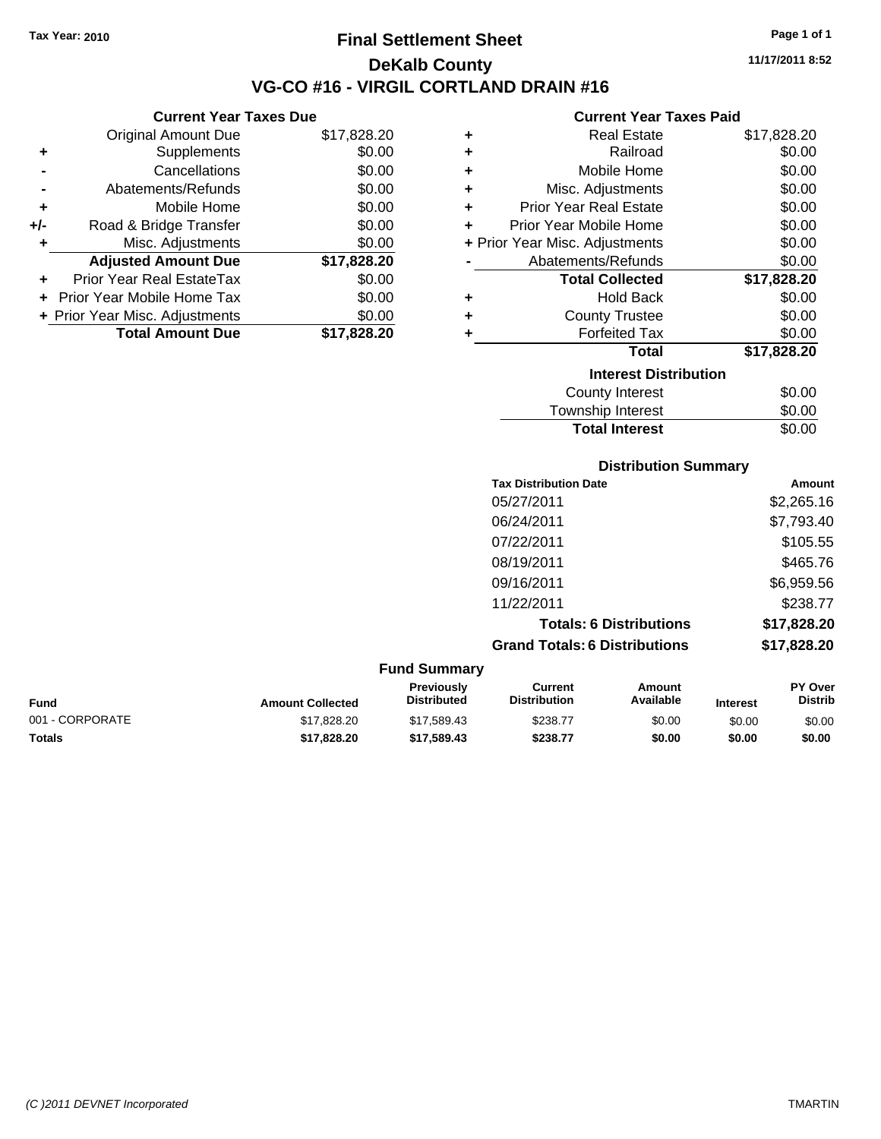**Current Year Taxes Due** Original Amount Due \$17,828.20

**Adjusted Amount Due \$17,828.20**

**Total Amount Due \$17,828.20**

**+** Supplements \$0.00 **-** Cancellations \$0.00 **-** Abatements/Refunds \$0.00 **+** Mobile Home \$0.00 **+/-** Road & Bridge Transfer \$0.00 **+** Misc. Adjustments \$0.00

**+** Prior Year Real EstateTax \$0.00 **+** Prior Year Mobile Home Tax \$0.00 **+ Prior Year Misc. Adjustments**  $$0.00$ 

## **Final Settlement Sheet Tax Year: 2010 Page 1 of 1 DeKalb County VG-CO #16 - VIRGIL CORTLAND DRAIN #16**

**11/17/2011 8:52**

#### **Current Year Taxes Paid**

| ٠                            | <b>Real Estate</b>             | \$17,828.20 |  |
|------------------------------|--------------------------------|-------------|--|
| ٠                            | Railroad                       | \$0.00      |  |
| ٠                            | Mobile Home                    | \$0.00      |  |
| ٠                            | Misc. Adjustments              | \$0.00      |  |
| ٠                            | <b>Prior Year Real Estate</b>  | \$0.00      |  |
| ÷                            | Prior Year Mobile Home         | \$0.00      |  |
|                              | + Prior Year Misc. Adjustments | \$0.00      |  |
|                              | Abatements/Refunds             | \$0.00      |  |
|                              | <b>Total Collected</b>         | \$17,828.20 |  |
| ٠                            | <b>Hold Back</b>               | \$0.00      |  |
| ٠                            | <b>County Trustee</b>          | \$0.00      |  |
| ٠                            | <b>Forfeited Tax</b>           | \$0.00      |  |
|                              | Total                          | \$17,828.20 |  |
| <b>Interest Distribution</b> |                                |             |  |
|                              | <b>County Interest</b>         | \$0.00      |  |
|                              | Townshin Interest              | ፍስ ሰበ       |  |

# ownship interest  $\phi$ 0.00 Total Interest \$0.00

## **Distribution Summary**

| <b>Tax Distribution Date</b>         | Amount      |
|--------------------------------------|-------------|
| 05/27/2011                           | \$2,265.16  |
| 06/24/2011                           | \$7,793.40  |
| 07/22/2011                           | \$105.55    |
| 08/19/2011                           | \$465.76    |
| 09/16/2011                           | \$6,959.56  |
| 11/22/2011                           | \$238.77    |
| <b>Totals: 6 Distributions</b>       | \$17,828.20 |
| <b>Grand Totals: 6 Distributions</b> | \$17,828.20 |

|                 |                         | <b>Fund Summary</b>                     |                                |                     |                 |                                  |
|-----------------|-------------------------|-----------------------------------------|--------------------------------|---------------------|-----------------|----------------------------------|
| <b>Fund</b>     | <b>Amount Collected</b> | <b>Previously</b><br><b>Distributed</b> | Current<br><b>Distribution</b> | Amount<br>Available | <b>Interest</b> | <b>PY Over</b><br><b>Distrib</b> |
| 001 - CORPORATE | \$17,828,20             | \$17.589.43                             | \$238.77                       | \$0.00              | \$0.00          | \$0.00                           |
| Totals          | \$17,828,20             | \$17,589,43                             | \$238.77                       | \$0.00              | \$0.00          | \$0.00                           |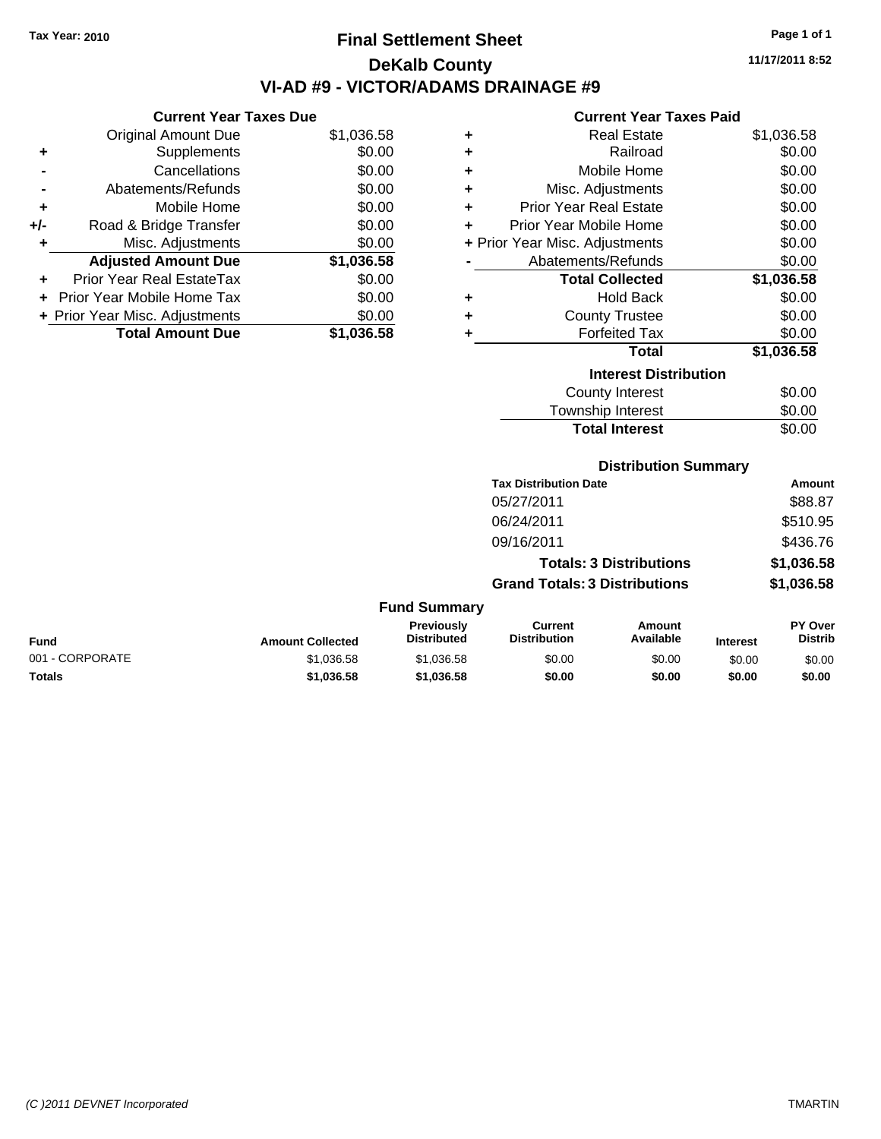## **Final Settlement Sheet Tax Year: 2010 Page 1 of 1 DeKalb County VI-AD #9 - VICTOR/ADAMS DRAINAGE #9**

**11/17/2011 8:52**

#### **Current Year Taxes Paid**

|     | <b>Current Year Taxes Due</b>  |            |        |
|-----|--------------------------------|------------|--------|
|     | <b>Original Amount Due</b>     | \$1,036.58 |        |
|     | Supplements                    | \$0.00     | ٠      |
|     | Cancellations                  | \$0.00     | ٠      |
|     | Abatements/Refunds             | \$0.00     | ٠      |
|     | Mobile Home                    | \$0.00     | ٠      |
| +/- | Road & Bridge Transfer         | \$0.00     | ٠      |
|     | Misc. Adjustments              | \$0.00     | + Prio |
|     | <b>Adjusted Amount Due</b>     | \$1,036.58 |        |
|     | Prior Year Real EstateTax      | \$0.00     |        |
|     | Prior Year Mobile Home Tax     | \$0.00     |        |
|     | + Prior Year Misc. Adjustments | \$0.00     | ٠      |
|     | <b>Total Amount Due</b>        | \$1,036.58 |        |
|     |                                |            |        |

| ٠ | <b>Real Estate</b>             | \$1,036.58 |
|---|--------------------------------|------------|
| ÷ | Railroad                       | \$0.00     |
| ٠ | Mobile Home                    | \$0.00     |
| ÷ | Misc. Adjustments              | \$0.00     |
| ÷ | <b>Prior Year Real Estate</b>  | \$0.00     |
| ٠ | Prior Year Mobile Home         | \$0.00     |
|   | + Prior Year Misc. Adjustments | \$0.00     |
|   | Abatements/Refunds             | \$0.00     |
|   | <b>Total Collected</b>         | \$1,036.58 |
| ٠ | Hold Back                      | \$0.00     |
| ٠ | <b>County Trustee</b>          | \$0.00     |
| ٠ | <b>Forfeited Tax</b>           | \$0.00     |
|   | Total                          | \$1,036.58 |
|   | <b>Interest Distribution</b>   |            |
|   | <b>County Interest</b>         | \$0.00     |
|   | Township Interest              | \$0.00     |
|   | <b>Total Interest</b>          | \$0.00     |

## **Distribution Summary**

| Amount     |
|------------|
| \$88.87    |
| \$510.95   |
| \$436.76   |
| \$1,036.58 |
| \$1,036.58 |
|            |

| <b>Fund</b>     | <b>Amount Collected</b> | <b>Previously</b><br><b>Distributed</b> | Current<br><b>Distribution</b> | Amount<br>Available | <b>Interest</b> | <b>PY Over</b><br><b>Distrib</b> |
|-----------------|-------------------------|-----------------------------------------|--------------------------------|---------------------|-----------------|----------------------------------|
| 001 - CORPORATE | \$1.036.58              | \$1.036.58                              | \$0.00                         | \$0.00              | \$0.00          | \$0.00                           |
| <b>Totals</b>   | \$1,036.58              | \$1,036.58                              | \$0.00                         | \$0.00              | \$0.00          | \$0.00                           |

**Fund Summary**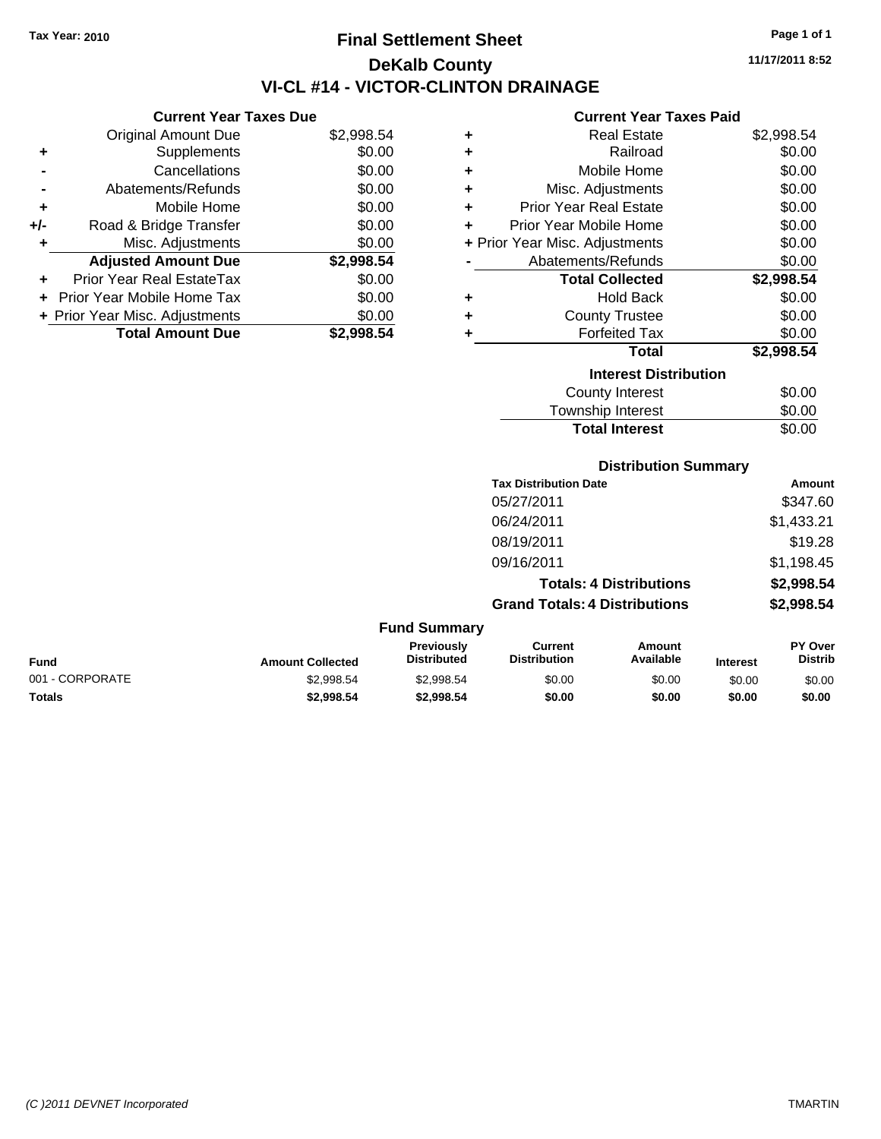**Current Year Taxes Due** Original Amount Due \$2,998.54

**Adjusted Amount Due \$2,998.54**

**Total Amount Due \$2,998.54**

**+** Supplements \$0.00 **-** Cancellations \$0.00 **-** Abatements/Refunds \$0.00 **+** Mobile Home \$0.00 **+/-** Road & Bridge Transfer \$0.00 **+** Misc. Adjustments \$0.00

**+** Prior Year Real EstateTax \$0.00 **+** Prior Year Mobile Home Tax \$0.00 **+ Prior Year Misc. Adjustments**  $$0.00$ 

## **Final Settlement Sheet Tax Year: 2010 Page 1 of 1 DeKalb County VI-CL #14 - VICTOR-CLINTON DRAINAGE**

**Current Year Taxes Paid**

|   | Current Tear Taxes Paid        |            |
|---|--------------------------------|------------|
| ٠ | <b>Real Estate</b>             | \$2,998.54 |
| ÷ | Railroad                       | \$0.00     |
| ٠ | Mobile Home                    | \$0.00     |
| ÷ | Misc. Adjustments              | \$0.00     |
| ÷ | <b>Prior Year Real Estate</b>  | \$0.00     |
| ÷ | Prior Year Mobile Home         | \$0.00     |
|   | + Prior Year Misc. Adjustments | \$0.00     |
|   | Abatements/Refunds             | \$0.00     |
|   | <b>Total Collected</b>         | \$2,998.54 |
| ٠ | Hold Back                      | \$0.00     |
| ÷ | <b>County Trustee</b>          | \$0.00     |
| ÷ | <b>Forfeited Tax</b>           | \$0.00     |
|   |                                |            |
|   | Total                          | \$2,998.54 |
|   | <b>Interest Distribution</b>   |            |
|   | <b>County Interest</b>         | \$0.00     |

| Township Interest     | \$0.00 |
|-----------------------|--------|
| <b>Total Interest</b> | \$0.00 |
|                       |        |

#### **Distribution Summary**

| <b>Tax Distribution Date</b>         | Amount     |
|--------------------------------------|------------|
| 05/27/2011                           | \$347.60   |
| 06/24/2011                           | \$1,433.21 |
| 08/19/2011                           | \$19.28    |
| 09/16/2011                           | \$1,198.45 |
| <b>Totals: 4 Distributions</b>       | \$2,998.54 |
| <b>Grand Totals: 4 Distributions</b> | \$2,998.54 |
|                                      |            |

|                 |                         | <b>Fund Summary</b>                     |                                |                     |                 |                                  |
|-----------------|-------------------------|-----------------------------------------|--------------------------------|---------------------|-----------------|----------------------------------|
| <b>Fund</b>     | <b>Amount Collected</b> | <b>Previously</b><br><b>Distributed</b> | Current<br><b>Distribution</b> | Amount<br>Available | <b>Interest</b> | <b>PY Over</b><br><b>Distrib</b> |
| 001 - CORPORATE | \$2,998.54              | \$2,998.54                              | \$0.00                         | \$0.00              | \$0.00          | \$0.00                           |
| <b>Totals</b>   | \$2,998.54              | \$2,998.54                              | \$0.00                         | \$0.00              | \$0.00          | \$0.00                           |